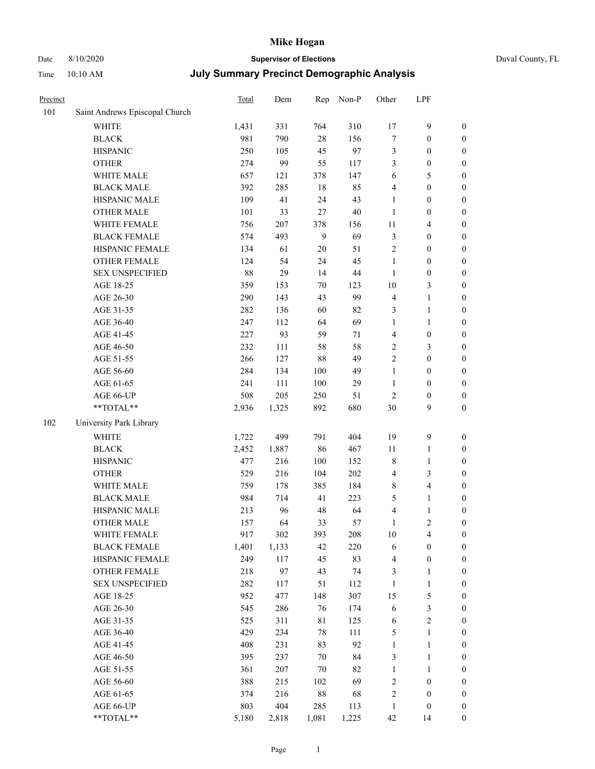# Date 8/10/2020 **Supervisor of Elections** Duval County, FL

| Precinct |                                | <b>Total</b> | Dem     | Rep    | Non-P  | Other          | LPF                     |                  |
|----------|--------------------------------|--------------|---------|--------|--------|----------------|-------------------------|------------------|
| 101      | Saint Andrews Episcopal Church |              |         |        |        |                |                         |                  |
|          | <b>WHITE</b>                   | 1,431        | 331     | 764    | 310    | 17             | $\mathbf{9}$            | 0                |
|          | <b>BLACK</b>                   | 981          | 790     | $28\,$ | 156    | 7              | $\boldsymbol{0}$        | $\boldsymbol{0}$ |
|          | <b>HISPANIC</b>                | 250          | 105     | 45     | 97     | 3              | $\boldsymbol{0}$        | $\boldsymbol{0}$ |
|          | <b>OTHER</b>                   | 274          | 99      | 55     | 117    | 3              | $\boldsymbol{0}$        | $\boldsymbol{0}$ |
|          | WHITE MALE                     | 657          | 121     | 378    | 147    | 6              | 5                       | $\boldsymbol{0}$ |
|          | <b>BLACK MALE</b>              | 392          | 285     | 18     | 85     | 4              | $\boldsymbol{0}$        | $\boldsymbol{0}$ |
|          | HISPANIC MALE                  | 109          | 41      | 24     | 43     | 1              | $\boldsymbol{0}$        | $\boldsymbol{0}$ |
|          | <b>OTHER MALE</b>              | 101          | 33      | 27     | $40\,$ | $\mathbf{1}$   | $\boldsymbol{0}$        | $\boldsymbol{0}$ |
|          | WHITE FEMALE                   | 756          | $207\,$ | 378    | 156    | 11             | $\overline{\mathbf{4}}$ | $\boldsymbol{0}$ |
|          | <b>BLACK FEMALE</b>            | 574          | 493     | 9      | 69     | 3              | $\boldsymbol{0}$        | $\boldsymbol{0}$ |
|          | HISPANIC FEMALE                | 134          | 61      | 20     | 51     | $\overline{c}$ | $\boldsymbol{0}$        | $\boldsymbol{0}$ |
|          | <b>OTHER FEMALE</b>            | 124          | 54      | 24     | 45     | $\mathbf{1}$   | $\boldsymbol{0}$        | $\boldsymbol{0}$ |
|          | <b>SEX UNSPECIFIED</b>         | 88           | 29      | 14     | $44\,$ | $\mathbf{1}$   | $\boldsymbol{0}$        | $\boldsymbol{0}$ |
|          | AGE 18-25                      | 359          | 153     | 70     | 123    | $10\,$         | $\mathfrak{Z}$          | $\boldsymbol{0}$ |
|          | AGE 26-30                      | 290          | 143     | 43     | 99     | 4              | $\mathbf{1}$            | $\boldsymbol{0}$ |
|          | AGE 31-35                      | 282          | 136     | 60     | 82     | 3              | $\mathbf{1}$            | $\boldsymbol{0}$ |
|          | AGE 36-40                      | 247          | 112     | 64     | 69     | 1              | $\mathbf{1}$            | $\boldsymbol{0}$ |
|          | AGE 41-45                      | 227          | 93      | 59     | 71     | $\overline{4}$ | $\boldsymbol{0}$        | $\boldsymbol{0}$ |
|          | AGE 46-50                      | 232          | 111     | 58     | 58     | $\overline{c}$ | $\mathfrak{Z}$          | $\boldsymbol{0}$ |
|          | AGE 51-55                      | 266          | 127     | 88     | 49     | $\overline{c}$ | $\boldsymbol{0}$        | $\boldsymbol{0}$ |
|          | AGE 56-60                      | 284          | 134     | 100    | 49     | $\mathbf{1}$   | $\boldsymbol{0}$        | 0                |
|          | AGE 61-65                      | 241          | 111     | 100    | 29     | $\mathbf{1}$   | $\boldsymbol{0}$        | $\boldsymbol{0}$ |
|          | AGE 66-UP                      | 508          | 205     | 250    | 51     | $\sqrt{2}$     | $\boldsymbol{0}$        | $\boldsymbol{0}$ |
|          | **TOTAL**                      | 2,936        | 1,325   | 892    | 680    | 30             | 9                       | $\boldsymbol{0}$ |
| 102      | University Park Library        |              |         |        |        |                |                         |                  |
|          | <b>WHITE</b>                   | 1,722        | 499     | 791    | 404    | 19             | $\mathbf{9}$            | $\boldsymbol{0}$ |
|          | <b>BLACK</b>                   | 2,452        | 1,887   | 86     | 467    | 11             | $\mathbf{1}$            | $\boldsymbol{0}$ |
|          | <b>HISPANIC</b>                | 477          | 216     | 100    | 152    | 8              | $\mathbf{1}$            | $\boldsymbol{0}$ |
|          | <b>OTHER</b>                   | 529          | 216     | 104    | 202    | 4              | 3                       | $\boldsymbol{0}$ |
|          | WHITE MALE                     | 759          | 178     | 385    | 184    | 8              | $\overline{4}$          | $\boldsymbol{0}$ |
|          | <b>BLACK MALE</b>              | 984          | 714     | 41     | 223    | 5              | $\mathbf{1}$            | $\boldsymbol{0}$ |
|          | HISPANIC MALE                  | 213          | 96      | 48     | 64     | 4              | $\mathbf{1}$            | $\boldsymbol{0}$ |
|          | OTHER MALE                     | 157          | 64      | 33     | 57     | $\mathbf{1}$   | $\mathbf{2}$            | $\boldsymbol{0}$ |
|          | WHITE FEMALE                   | 917          | 302     | 393    | 208    | 10             | 4                       | 0                |
|          | <b>BLACK FEMALE</b>            | 1,401        | 1,133   | 42     | 220    | 6              | $\boldsymbol{0}$        | $\boldsymbol{0}$ |
|          | HISPANIC FEMALE                | 249          | 117     | 45     | 83     | 4              | $\boldsymbol{0}$        | $\overline{0}$   |
|          | OTHER FEMALE                   | 218          | 97      | 43     | 74     | 3              | $\mathbf{1}$            | $\overline{0}$   |
|          | <b>SEX UNSPECIFIED</b>         | 282          | 117     | 51     | 112    | $\mathbf{1}$   | $\mathbf{1}$            | 0                |
|          | AGE 18-25                      | 952          | 477     | 148    | 307    | 15             | $\mathfrak s$           | 0                |
|          | AGE 26-30                      | 545          | 286     | 76     | 174    | 6              | 3                       | 0                |
|          | AGE 31-35                      | 525          | 311     | 81     | 125    | 6              | $\sqrt{2}$              | 0                |
|          | AGE 36-40                      | 429          | 234     | 78     | 111    | 5              | $\mathbf{1}$            | 0                |
|          | AGE 41-45                      | 408          | 231     | 83     | 92     | $\mathbf{1}$   | $\mathbf{1}$            | 0                |
|          | AGE 46-50                      | 395          | 237     | $70\,$ | 84     | 3              | $\mathbf{1}$            | 0                |
|          | AGE 51-55                      | 361          | 207     | 70     | 82     | $\mathbf{1}$   | $\mathbf{1}$            | 0                |
|          | AGE 56-60                      | 388          | 215     | 102    | 69     | 2              | $\boldsymbol{0}$        | 0                |
|          | AGE 61-65                      | 374          | 216     | $88\,$ | 68     | 2              | $\boldsymbol{0}$        | $\overline{0}$   |
|          | AGE 66-UP                      | 803          | 404     | 285    | 113    | $\mathbf{1}$   | $\boldsymbol{0}$        | 0                |
|          | **TOTAL**                      | 5,180        | 2,818   | 1,081  | 1,225  | 42             | 14                      | $\boldsymbol{0}$ |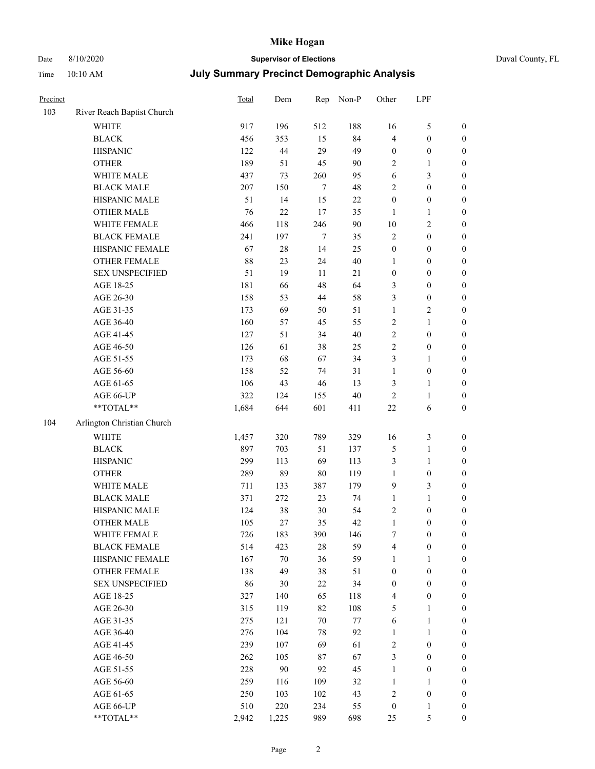# Date 8/10/2020 **Supervisor of Elections** Duval County, FL

| Precinct |                            | Total      | Dem    | Rep    | Non-P    | Other            | LPF                   |                                  |
|----------|----------------------------|------------|--------|--------|----------|------------------|-----------------------|----------------------------------|
| 103      | River Reach Baptist Church |            |        |        |          |                  |                       |                                  |
|          | <b>WHITE</b>               | 917        | 196    | 512    | 188      | 16               | $\mathfrak{S}$        | 0                                |
|          | <b>BLACK</b>               | 456        | 353    | 15     | 84       | $\overline{4}$   | $\boldsymbol{0}$      | 0                                |
|          | <b>HISPANIC</b>            | 122        | 44     | 29     | 49       | $\boldsymbol{0}$ | $\boldsymbol{0}$      | $\boldsymbol{0}$                 |
|          | <b>OTHER</b>               | 189        | 51     | 45     | 90       | 2                | 1                     | $\boldsymbol{0}$                 |
|          | WHITE MALE                 | 437        | 73     | 260    | 95       | 6                | $\mathfrak{Z}$        | $\boldsymbol{0}$                 |
|          | <b>BLACK MALE</b>          | 207        | 150    | 7      | 48       | 2                | $\boldsymbol{0}$      | $\boldsymbol{0}$                 |
|          | HISPANIC MALE              | 51         | 14     | 15     | $22\,$   | $\boldsymbol{0}$ | $\boldsymbol{0}$      | $\boldsymbol{0}$                 |
|          | <b>OTHER MALE</b>          | 76         | 22     | $17\,$ | 35       | $\mathbf{1}$     | $\mathbf{1}$          | $\boldsymbol{0}$                 |
|          | WHITE FEMALE               | 466        | 118    | 246    | 90       | $10\,$           | $\sqrt{2}$            | $\boldsymbol{0}$                 |
|          | <b>BLACK FEMALE</b>        | 241        | 197    | $\tau$ | 35       | $\sqrt{2}$       | $\boldsymbol{0}$      | $\boldsymbol{0}$                 |
|          | HISPANIC FEMALE            | 67         | $28\,$ | 14     | 25       | $\boldsymbol{0}$ | $\boldsymbol{0}$      | $\boldsymbol{0}$                 |
|          | OTHER FEMALE               | 88         | 23     | 24     | $40\,$   | $\mathbf{1}$     | $\boldsymbol{0}$      | $\boldsymbol{0}$                 |
|          | <b>SEX UNSPECIFIED</b>     | 51         | 19     | 11     | 21       | $\boldsymbol{0}$ | $\boldsymbol{0}$      | $\boldsymbol{0}$                 |
|          | AGE 18-25                  | 181        | 66     | 48     | 64       | 3                | $\boldsymbol{0}$      | $\boldsymbol{0}$                 |
|          | AGE 26-30                  | 158        | 53     | 44     | 58       | 3                | $\boldsymbol{0}$      | $\boldsymbol{0}$                 |
|          | AGE 31-35                  | 173        | 69     | 50     | 51       | $\mathbf{1}$     | $\sqrt{2}$            | $\boldsymbol{0}$                 |
|          | AGE 36-40                  | 160        | 57     | 45     | 55       | 2                | $\mathbf{1}$          | $\boldsymbol{0}$                 |
|          | AGE 41-45                  | 127        | 51     | 34     | $40\,$   | $\overline{c}$   | $\boldsymbol{0}$      | $\boldsymbol{0}$                 |
|          | AGE 46-50                  | 126        | 61     | 38     | 25       | $\overline{2}$   | $\boldsymbol{0}$      | $\boldsymbol{0}$                 |
|          | AGE 51-55                  | 173        | 68     | 67     | 34       | 3                | $\mathbf{1}$          | 0                                |
|          | AGE 56-60                  | 158        | 52     | 74     | 31       | $\mathbf{1}$     | $\boldsymbol{0}$      | 0                                |
|          | AGE 61-65                  | 106        | 43     | 46     | 13       | 3                | $\mathbf{1}$          | 0                                |
|          | AGE 66-UP                  | 322        | 124    | 155    | $40\,$   | $\sqrt{2}$       | $\mathbf{1}$          | $\boldsymbol{0}$                 |
|          | **TOTAL**                  | 1,684      | 644    | 601    | 411      | $22\,$           | 6                     | $\boldsymbol{0}$                 |
| 104      | Arlington Christian Church |            |        |        |          |                  |                       |                                  |
|          | <b>WHITE</b>               | 1,457      | 320    | 789    | 329      | 16               | $\mathfrak{Z}$        | $\boldsymbol{0}$                 |
|          | <b>BLACK</b>               | 897        | 703    | 51     | 137      | 5                | $\mathbf{1}$          | $\boldsymbol{0}$                 |
|          | <b>HISPANIC</b>            | 299        | 113    | 69     | 113      | 3                | $\mathbf{1}$          | $\boldsymbol{0}$                 |
|          | <b>OTHER</b>               | 289        | 89     | $80\,$ | 119      | $\mathbf{1}$     | $\boldsymbol{0}$      | $\boldsymbol{0}$                 |
|          | WHITE MALE                 | 711        | 133    | 387    | 179      | 9                | 3                     | $\boldsymbol{0}$                 |
|          | <b>BLACK MALE</b>          | 371        | 272    | 23     | 74       | $\mathbf{1}$     | $\mathbf{1}$          | $\boldsymbol{0}$                 |
|          | HISPANIC MALE              | 124        | 38     | 30     | 54       | 2                | $\boldsymbol{0}$      | 0                                |
|          | OTHER MALE                 | 105        | 27     | 35     | 42       | $\mathbf{1}$     | $\boldsymbol{0}$      | $\boldsymbol{0}$                 |
|          | WHITE FEMALE               | 726        | 183    | 390    | 146      | 7                | $\boldsymbol{0}$      | 0                                |
|          | <b>BLACK FEMALE</b>        | 514        | 423    | 28     | 59       | 4                | $\boldsymbol{0}$      | $\boldsymbol{0}$                 |
|          | HISPANIC FEMALE            | 167        | $70\,$ | 36     | 59       | 1                | 1                     | $\overline{0}$                   |
|          | <b>OTHER FEMALE</b>        | 138        | 49     | 38     | 51       | $\boldsymbol{0}$ | $\boldsymbol{0}$      | $\overline{0}$                   |
|          | <b>SEX UNSPECIFIED</b>     | 86         | 30     | 22     | 34       | $\boldsymbol{0}$ | $\boldsymbol{0}$      | 0                                |
|          | AGE 18-25                  | 327        | 140    | 65     | 118      | 4                | $\boldsymbol{0}$      | $\theta$                         |
|          | AGE 26-30                  | 315        | 119    | 82     | 108      | 5                | $\mathbf{1}$          | 0                                |
|          | AGE 31-35                  | 275        | 121    | $70\,$ | $77\,$   | 6                | $\mathbf{1}$          | 0                                |
|          | AGE 36-40                  | 276        | 104    | 78     | 92       | $\mathbf{1}$     | $\mathbf{1}$          | 0                                |
|          | AGE 41-45                  | 239        | 107    | 69     | 61       | 2                | $\boldsymbol{0}$      | 0                                |
|          | AGE 46-50                  | 262        | 105    | 87     | 67       | 3                | $\boldsymbol{0}$      | 0                                |
|          |                            |            |        |        |          |                  |                       |                                  |
|          | AGE 51-55                  | 228<br>259 | 90     | 92     | 45       | $\mathbf{1}$     | $\boldsymbol{0}$      | $\overline{0}$<br>$\overline{0}$ |
|          | AGE 56-60                  |            | 116    | 109    | 32<br>43 | 1<br>2           | 1<br>$\boldsymbol{0}$ | $\overline{0}$                   |
|          | AGE 61-65                  | 250        | 103    | 102    |          |                  | $\mathbf{1}$          |                                  |
|          | AGE 66-UP<br>$**TOTAL**$   | 510        | 220    | 234    | 55       | $\boldsymbol{0}$ |                       | 0                                |
|          |                            | 2,942      | 1,225  | 989    | 698      | 25               | $\mathfrak{S}$        | $\boldsymbol{0}$                 |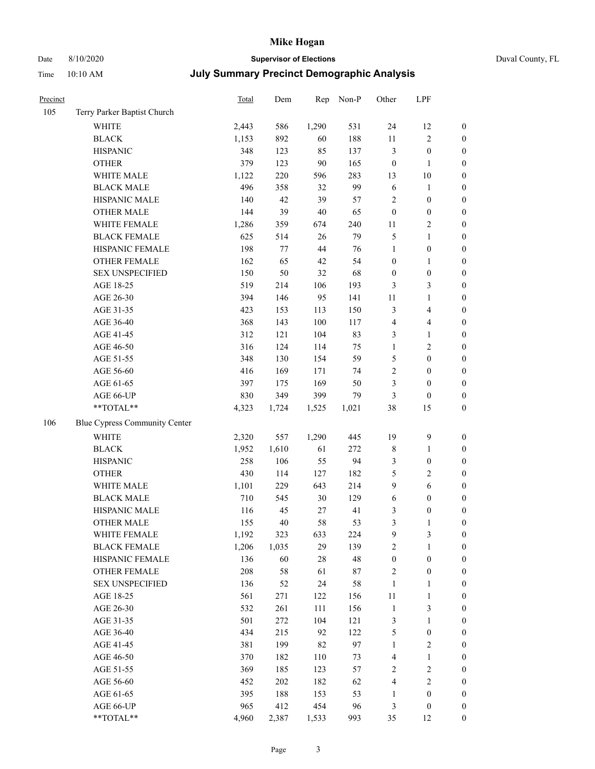# Date 8/10/2020 **Supervisor of Elections** Duval County, FL

| Precinct |                               | <b>Total</b> | Dem   | Rep    | Non-P  | Other            | LPF                     |                  |
|----------|-------------------------------|--------------|-------|--------|--------|------------------|-------------------------|------------------|
| 105      | Terry Parker Baptist Church   |              |       |        |        |                  |                         |                  |
|          | <b>WHITE</b>                  | 2,443        | 586   | 1,290  | 531    | 24               | 12                      | 0                |
|          | <b>BLACK</b>                  | 1,153        | 892   | 60     | 188    | $11\,$           | $\sqrt{2}$              | $\boldsymbol{0}$ |
|          | <b>HISPANIC</b>               | 348          | 123   | 85     | 137    | 3                | $\boldsymbol{0}$        | $\boldsymbol{0}$ |
|          | <b>OTHER</b>                  | 379          | 123   | 90     | 165    | $\boldsymbol{0}$ | $\mathbf{1}$            | $\boldsymbol{0}$ |
|          | WHITE MALE                    | 1,122        | 220   | 596    | 283    | 13               | $10\,$                  | $\boldsymbol{0}$ |
|          | <b>BLACK MALE</b>             | 496          | 358   | 32     | 99     | $\sqrt{6}$       | 1                       | $\boldsymbol{0}$ |
|          | HISPANIC MALE                 | 140          | 42    | 39     | 57     | 2                | $\boldsymbol{0}$        | $\boldsymbol{0}$ |
|          | <b>OTHER MALE</b>             | 144          | 39    | $40\,$ | 65     | $\boldsymbol{0}$ | $\boldsymbol{0}$        | $\boldsymbol{0}$ |
|          | WHITE FEMALE                  | 1,286        | 359   | 674    | 240    | 11               | $\sqrt{2}$              | $\boldsymbol{0}$ |
|          | <b>BLACK FEMALE</b>           | 625          | 514   | 26     | 79     | 5                | $\mathbf{1}$            | $\boldsymbol{0}$ |
|          | HISPANIC FEMALE               | 198          | 77    | 44     | 76     | $\mathbf{1}$     | $\boldsymbol{0}$        | 0                |
|          | OTHER FEMALE                  | 162          | 65    | 42     | 54     | $\boldsymbol{0}$ | $\mathbf{1}$            | $\boldsymbol{0}$ |
|          | <b>SEX UNSPECIFIED</b>        | 150          | 50    | 32     | 68     | $\boldsymbol{0}$ | $\boldsymbol{0}$        | $\boldsymbol{0}$ |
|          | AGE 18-25                     | 519          | 214   | 106    | 193    | 3                | $\mathfrak{Z}$          | $\boldsymbol{0}$ |
|          | AGE 26-30                     | 394          | 146   | 95     | 141    | 11               | $\mathbf{1}$            | $\boldsymbol{0}$ |
|          | AGE 31-35                     | 423          | 153   | 113    | 150    | 3                | $\overline{\mathbf{4}}$ | $\boldsymbol{0}$ |
|          | AGE 36-40                     | 368          | 143   | 100    | 117    | 4                | $\overline{\mathbf{4}}$ | $\boldsymbol{0}$ |
|          | AGE 41-45                     | 312          | 121   | 104    | 83     | 3                | $\mathbf{1}$            | $\boldsymbol{0}$ |
|          | AGE 46-50                     | 316          | 124   | 114    | 75     | $\mathbf{1}$     | $\sqrt{2}$              | $\boldsymbol{0}$ |
|          | AGE 51-55                     | 348          | 130   | 154    | 59     | 5                | $\boldsymbol{0}$        | $\boldsymbol{0}$ |
|          | AGE 56-60                     | 416          | 169   | 171    | 74     | $\overline{c}$   | $\boldsymbol{0}$        | 0                |
|          | AGE 61-65                     | 397          | 175   | 169    | 50     | 3                | $\boldsymbol{0}$        | $\boldsymbol{0}$ |
|          | AGE 66-UP                     | 830          | 349   | 399    | 79     | 3                | $\boldsymbol{0}$        | $\boldsymbol{0}$ |
|          | **TOTAL**                     | 4,323        | 1,724 | 1,525  | 1,021  | 38               | 15                      | $\boldsymbol{0}$ |
| 106      | Blue Cypress Community Center |              |       |        |        |                  |                         |                  |
|          | <b>WHITE</b>                  | 2,320        | 557   | 1,290  | 445    | 19               | $\mathbf{9}$            | $\boldsymbol{0}$ |
|          | <b>BLACK</b>                  | 1,952        | 1,610 | 61     | 272    | $\,$ 8 $\,$      | $\mathbf{1}$            | $\boldsymbol{0}$ |
|          | <b>HISPANIC</b>               | 258          | 106   | 55     | 94     | 3                | $\boldsymbol{0}$        | $\boldsymbol{0}$ |
|          | <b>OTHER</b>                  | 430          | 114   | 127    | 182    | 5                | $\sqrt{2}$              | $\boldsymbol{0}$ |
|          | WHITE MALE                    | 1,101        | 229   | 643    | 214    | $\mathbf{9}$     | $\sqrt{6}$              | $\boldsymbol{0}$ |
|          | <b>BLACK MALE</b>             | 710          | 545   | 30     | 129    | $\sqrt{6}$       | $\boldsymbol{0}$        | $\boldsymbol{0}$ |
|          | HISPANIC MALE                 | 116          | 45    | 27     | 41     | 3                | $\boldsymbol{0}$        | $\boldsymbol{0}$ |
|          | <b>OTHER MALE</b>             | 155          | 40    | 58     | 53     | 3                | $\mathbf{1}$            | $\boldsymbol{0}$ |
|          | WHITE FEMALE                  | 1,192        | 323   | 633    | 224    | 9                | 3                       | 0                |
|          | <b>BLACK FEMALE</b>           | 1,206        | 1,035 | 29     | 139    | 2                | $\mathbf{1}$            | $\boldsymbol{0}$ |
|          | HISPANIC FEMALE               | 136          | 60    | 28     | 48     | $\boldsymbol{0}$ | $\boldsymbol{0}$        | $\overline{0}$   |
|          | <b>OTHER FEMALE</b>           | 208          | 58    | 61     | $87\,$ | 2                | $\boldsymbol{0}$        | 0                |
|          | <b>SEX UNSPECIFIED</b>        | 136          | 52    | 24     | 58     | $\mathbf{1}$     | $\mathbf{1}$            | 0                |
|          | AGE 18-25                     | 561          | 271   | 122    | 156    | 11               | $\mathbf{1}$            | 0                |
|          | AGE 26-30                     | 532          | 261   | 111    | 156    | $\mathbf{1}$     | 3                       | 0                |
|          | AGE 31-35                     | 501          | 272   | 104    | 121    | 3                | $\mathbf{1}$            | 0                |
|          | AGE 36-40                     | 434          | 215   | 92     | 122    | 5                | $\boldsymbol{0}$        | 0                |
|          | AGE 41-45                     | 381          | 199   | 82     | 97     | $\mathbf{1}$     | $\sqrt{2}$              | 0                |
|          | AGE 46-50                     | 370          | 182   | 110    | 73     | 4                | $\mathbf{1}$            | 0                |
|          | AGE 51-55                     | 369          | 185   | 123    | 57     | 2                | $\sqrt{2}$              | 0                |
|          | AGE 56-60                     | 452          | 202   | 182    | 62     | 4                | $\sqrt{2}$              | 0                |
|          | AGE 61-65                     | 395          | 188   | 153    | 53     | 1                | $\boldsymbol{0}$        | $\boldsymbol{0}$ |
|          | AGE 66-UP                     | 965          | 412   | 454    | 96     | 3                | $\boldsymbol{0}$        | 0                |
|          | **TOTAL**                     | 4,960        | 2,387 | 1,533  | 993    | 35               | 12                      | $\boldsymbol{0}$ |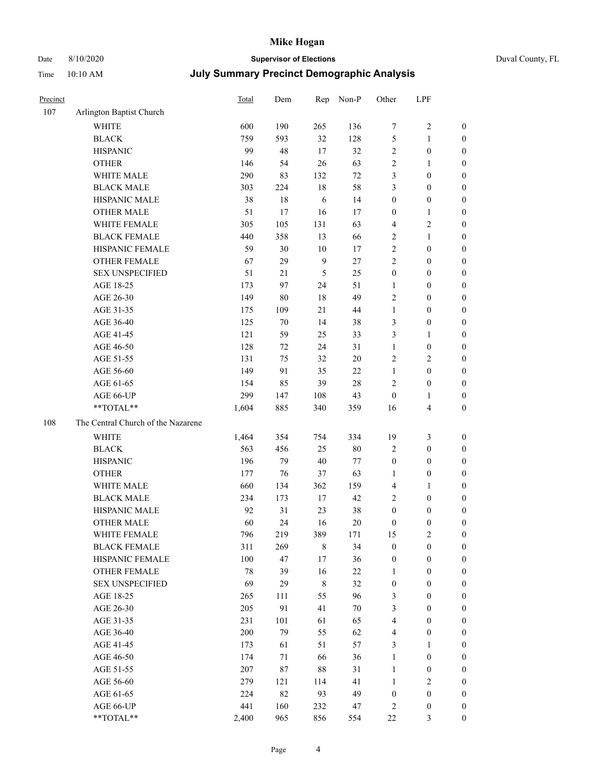# Date 8/10/2020 **Supervisor of Elections** Duval County, FL

| Precinct |                                    | <b>Total</b> | Dem    | Rep            | Non-P  | Other                   | LPF                     |                  |
|----------|------------------------------------|--------------|--------|----------------|--------|-------------------------|-------------------------|------------------|
| 107      | Arlington Baptist Church           |              |        |                |        |                         |                         |                  |
|          | <b>WHITE</b>                       | 600          | 190    | 265            | 136    | 7                       | $\sqrt{2}$              | 0                |
|          | <b>BLACK</b>                       | 759          | 593    | 32             | 128    | 5                       | $\mathbf{1}$            | 0                |
|          | <b>HISPANIC</b>                    | 99           | 48     | 17             | 32     | 2                       | $\boldsymbol{0}$        | $\boldsymbol{0}$ |
|          | <b>OTHER</b>                       | 146          | 54     | 26             | 63     | 2                       | 1                       | $\boldsymbol{0}$ |
|          | WHITE MALE                         | 290          | 83     | 132            | $72\,$ | 3                       | $\boldsymbol{0}$        | $\boldsymbol{0}$ |
|          | <b>BLACK MALE</b>                  | 303          | 224    | 18             | 58     | 3                       | $\boldsymbol{0}$        | $\boldsymbol{0}$ |
|          | HISPANIC MALE                      | 38           | 18     | 6              | 14     | $\boldsymbol{0}$        | $\boldsymbol{0}$        | $\boldsymbol{0}$ |
|          | <b>OTHER MALE</b>                  | 51           | 17     | 16             | 17     | $\boldsymbol{0}$        | $\mathbf{1}$            | $\boldsymbol{0}$ |
|          | WHITE FEMALE                       | 305          | 105    | 131            | 63     | 4                       | $\sqrt{2}$              | $\boldsymbol{0}$ |
|          | <b>BLACK FEMALE</b>                | 440          | 358    | 13             | 66     | 2                       | $\mathbf{1}$            | $\boldsymbol{0}$ |
|          | HISPANIC FEMALE                    | 59           | 30     | 10             | 17     | $\sqrt{2}$              | $\boldsymbol{0}$        | 0                |
|          | <b>OTHER FEMALE</b>                | 67           | 29     | $\overline{9}$ | $27\,$ | $\overline{2}$          | $\boldsymbol{0}$        | $\boldsymbol{0}$ |
|          | <b>SEX UNSPECIFIED</b>             | 51           | 21     | 5              | 25     | $\boldsymbol{0}$        | $\boldsymbol{0}$        | $\boldsymbol{0}$ |
|          | AGE 18-25                          | 173          | 97     | 24             | 51     | 1                       | $\boldsymbol{0}$        | $\boldsymbol{0}$ |
|          | AGE 26-30                          | 149          | 80     | 18             | 49     | 2                       | $\boldsymbol{0}$        | $\boldsymbol{0}$ |
|          | AGE 31-35                          | 175          | 109    | 21             | $44\,$ | $\mathbf{1}$            | $\boldsymbol{0}$        | $\boldsymbol{0}$ |
|          | AGE 36-40                          | 125          | $70\,$ | 14             | 38     | 3                       | $\boldsymbol{0}$        | $\boldsymbol{0}$ |
|          | AGE 41-45                          | 121          | 59     | 25             | 33     | 3                       | $\mathbf{1}$            | $\boldsymbol{0}$ |
|          | AGE 46-50                          | 128          | 72     | 24             | 31     | $\mathbf{1}$            | $\boldsymbol{0}$        | $\boldsymbol{0}$ |
|          | AGE 51-55                          | 131          | 75     | 32             | $20\,$ | 2                       | $\sqrt{2}$              | $\boldsymbol{0}$ |
|          | AGE 56-60                          | 149          | 91     | 35             | 22     | $\mathbf{1}$            | $\boldsymbol{0}$        | 0                |
|          | AGE 61-65                          | 154          | 85     | 39             | $28\,$ | $\mathfrak{2}$          | $\boldsymbol{0}$        | $\boldsymbol{0}$ |
|          | AGE 66-UP                          | 299          | 147    | 108            | 43     | $\boldsymbol{0}$        | $\mathbf{1}$            | $\boldsymbol{0}$ |
|          | **TOTAL**                          | 1,604        | 885    | 340            | 359    | 16                      | $\overline{\mathbf{4}}$ | $\boldsymbol{0}$ |
| 108      | The Central Church of the Nazarene |              |        |                |        |                         |                         |                  |
|          | <b>WHITE</b>                       | 1,464        | 354    | 754            | 334    | 19                      | $\mathfrak{Z}$          | $\boldsymbol{0}$ |
|          | <b>BLACK</b>                       | 563          | 456    | 25             | $80\,$ | 2                       | $\boldsymbol{0}$        | $\boldsymbol{0}$ |
|          | <b>HISPANIC</b>                    | 196          | 79     | 40             | 77     | $\boldsymbol{0}$        | $\boldsymbol{0}$        | $\boldsymbol{0}$ |
|          | <b>OTHER</b>                       | 177          | 76     | 37             | 63     | 1                       | $\boldsymbol{0}$        | $\boldsymbol{0}$ |
|          | WHITE MALE                         | 660          | 134    | 362            | 159    | $\overline{\mathbf{4}}$ | $\mathbf{1}$            | $\boldsymbol{0}$ |
|          | <b>BLACK MALE</b>                  | 234          | 173    | $17\,$         | 42     | 2                       | $\boldsymbol{0}$        | $\boldsymbol{0}$ |
|          | HISPANIC MALE                      | 92           | 31     | 23             | 38     | $\boldsymbol{0}$        | $\boldsymbol{0}$        | 0                |
|          | <b>OTHER MALE</b>                  | 60           | 24     | 16             | 20     | $\boldsymbol{0}$        | $\boldsymbol{0}$        | $\boldsymbol{0}$ |
|          | WHITE FEMALE                       | 796          | 219    | 389            | 171    | 15                      | 2                       | 0                |
|          | <b>BLACK FEMALE</b>                | 311          | 269    | $\,$ 8 $\,$    | 34     | $\boldsymbol{0}$        | $\boldsymbol{0}$        | $\overline{0}$   |
|          | HISPANIC FEMALE                    | 100          | 47     | 17             | 36     | $\boldsymbol{0}$        | $\boldsymbol{0}$        | $\overline{0}$   |
|          | <b>OTHER FEMALE</b>                | 78           | 39     | 16             | $22\,$ | 1                       | $\boldsymbol{0}$        | $\overline{0}$   |
|          | <b>SEX UNSPECIFIED</b>             | 69           | 29     | $\,$ 8 $\,$    | 32     | $\boldsymbol{0}$        | $\boldsymbol{0}$        | 0                |
|          | AGE 18-25                          | 265          | 111    | 55             | 96     | 3                       | $\boldsymbol{0}$        | $\theta$         |
|          | AGE 26-30                          | 205          | 91     | 41             | $70\,$ | 3                       | $\boldsymbol{0}$        | 0                |
|          | AGE 31-35                          | 231          | 101    | 61             | 65     | 4                       | $\boldsymbol{0}$        | 0                |
|          | AGE 36-40                          | 200          | 79     | 55             | 62     | 4                       | $\boldsymbol{0}$        | 0                |
|          | AGE 41-45                          | 173          | 61     | 51             | 57     | 3                       | $\mathbf{1}$            | 0                |
|          | AGE 46-50                          | 174          | 71     | 66             | 36     | $\mathbf{1}$            | $\boldsymbol{0}$        | 0                |
|          | AGE 51-55                          | 207          | 87     | 88             | 31     | $\mathbf{1}$            | $\boldsymbol{0}$        | 0                |
|          | AGE 56-60                          | 279          | 121    | 114            | 41     | 1                       | $\sqrt{2}$              | $\overline{0}$   |
|          | AGE 61-65                          | 224          | 82     | 93             | 49     | $\boldsymbol{0}$        | $\boldsymbol{0}$        | $\overline{0}$   |
|          | AGE 66-UP                          | 441          | 160    | 232            | 47     | 2                       | $\boldsymbol{0}$        | 0                |
|          | **TOTAL**                          | 2,400        | 965    | 856            | 554    | $22\,$                  | $\mathfrak{Z}$          | $\boldsymbol{0}$ |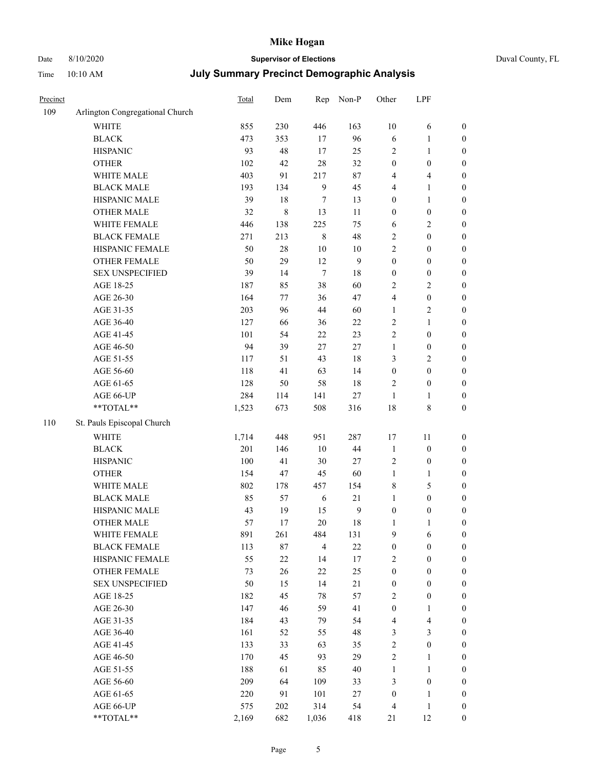# Date 8/10/2020 **Supervisor of Elections** Duval County, FL

| Precinct |                                 | <b>Total</b> | Dem         | Rep              | Non-P         | Other              | LPF              |                                      |
|----------|---------------------------------|--------------|-------------|------------------|---------------|--------------------|------------------|--------------------------------------|
| 109      | Arlington Congregational Church |              |             |                  |               |                    |                  |                                      |
|          | <b>WHITE</b>                    | 855          | 230         | 446              | 163           | $10\,$             | 6                | 0                                    |
|          | <b>BLACK</b>                    | 473          | 353         | 17               | 96            | $\sqrt{6}$         | $\mathbf{1}$     | $\boldsymbol{0}$                     |
|          | <b>HISPANIC</b>                 | 93           | 48          | 17               | 25            | 2                  | $\mathbf{1}$     | $\boldsymbol{0}$                     |
|          | <b>OTHER</b>                    | 102          | 42          | 28               | 32            | $\boldsymbol{0}$   | $\boldsymbol{0}$ | $\boldsymbol{0}$                     |
|          | WHITE MALE                      | 403          | 91          | 217              | $87\,$        | 4                  | $\overline{4}$   | $\boldsymbol{0}$                     |
|          | <b>BLACK MALE</b>               | 193          | 134         | $\boldsymbol{9}$ | 45            | 4                  | $\mathbf{1}$     | $\boldsymbol{0}$                     |
|          | HISPANIC MALE                   | 39           | 18          | 7                | 13            | 0                  | $\mathbf{1}$     | $\boldsymbol{0}$                     |
|          | <b>OTHER MALE</b>               | 32           | $\,$ 8 $\,$ | 13               | 11            | $\boldsymbol{0}$   | $\boldsymbol{0}$ | $\boldsymbol{0}$                     |
|          | WHITE FEMALE                    | 446          | 138         | 225              | 75            | 6                  | $\sqrt{2}$       | $\boldsymbol{0}$                     |
|          | <b>BLACK FEMALE</b>             | 271          | 213         | $\,$ 8 $\,$      | 48            | $\overline{c}$     | $\boldsymbol{0}$ | $\boldsymbol{0}$                     |
|          | HISPANIC FEMALE                 | 50           | $28\,$      | $10\,$           | $10\,$        | $\overline{2}$     | $\boldsymbol{0}$ | $\boldsymbol{0}$                     |
|          | <b>OTHER FEMALE</b>             | 50           | 29          | 12               | 9             | $\boldsymbol{0}$   | $\boldsymbol{0}$ | $\boldsymbol{0}$                     |
|          | <b>SEX UNSPECIFIED</b>          | 39           | 14          | $\tau$           | 18            | $\boldsymbol{0}$   | $\boldsymbol{0}$ | $\boldsymbol{0}$                     |
|          | AGE 18-25                       | 187          | 85          | 38               | 60            | $\overline{c}$     | $\sqrt{2}$       | $\boldsymbol{0}$                     |
|          | AGE 26-30                       | 164          | $77 \,$     | 36               | 47            | 4                  | $\boldsymbol{0}$ | $\boldsymbol{0}$                     |
|          | AGE 31-35                       | 203          | 96          | 44               | 60            | $\mathbf{1}$       | $\sqrt{2}$       | $\boldsymbol{0}$                     |
|          | AGE 36-40                       | 127          | 66          | 36               | $22\,$        | $\overline{c}$     | $\mathbf{1}$     | $\boldsymbol{0}$                     |
|          | AGE 41-45                       | 101          | 54          | 22               | 23            | $\overline{2}$     | $\boldsymbol{0}$ | $\boldsymbol{0}$                     |
|          | AGE 46-50                       | 94           | 39          | 27               | $27\,$        | $\mathbf{1}$       | $\boldsymbol{0}$ | $\boldsymbol{0}$                     |
|          | AGE 51-55                       | 117          | 51          | 43               | 18            | 3                  | $\sqrt{2}$       | $\boldsymbol{0}$                     |
|          | AGE 56-60                       | 118          | 41          | 63               | 14            | $\boldsymbol{0}$   | $\boldsymbol{0}$ |                                      |
|          |                                 | 128          | 50          | 58               | 18            | 2                  | $\boldsymbol{0}$ | $\boldsymbol{0}$                     |
|          | AGE 61-65                       |              |             |                  |               |                    |                  | $\boldsymbol{0}$                     |
|          | AGE 66-UP<br>$**TOTAL**$        | 284<br>1,523 | 114<br>673  | 141<br>508       | $27\,$<br>316 | $\mathbf{1}$<br>18 | 1<br>$\,$ 8 $\,$ | $\boldsymbol{0}$<br>$\boldsymbol{0}$ |
|          |                                 |              |             |                  |               |                    |                  |                                      |
| 110      | St. Pauls Episcopal Church      |              |             |                  |               |                    |                  |                                      |
|          | <b>WHITE</b>                    | 1,714        | 448         | 951              | 287           | 17                 | 11               | $\boldsymbol{0}$                     |
|          | <b>BLACK</b>                    | 201          | 146         | $10\,$           | $44\,$        | $\mathbf{1}$       | $\boldsymbol{0}$ | $\boldsymbol{0}$                     |
|          | <b>HISPANIC</b>                 | 100          | 41          | 30               | $27\,$        | 2                  | $\boldsymbol{0}$ | $\boldsymbol{0}$                     |
|          | <b>OTHER</b>                    | 154          | 47          | 45               | 60            | $\mathbf{1}$       | $\mathbf{1}$     | $\boldsymbol{0}$                     |
|          | WHITE MALE                      | 802          | 178         | 457              | 154           | 8                  | 5                | $\boldsymbol{0}$                     |
|          | <b>BLACK MALE</b>               | 85           | 57          | 6                | 21            | $\mathbf{1}$       | $\boldsymbol{0}$ | $\boldsymbol{0}$                     |
|          | HISPANIC MALE                   | 43           | 19          | 15               | $\mathbf{9}$  | $\boldsymbol{0}$   | $\boldsymbol{0}$ | $\boldsymbol{0}$                     |
|          | <b>OTHER MALE</b>               | 57           | 17          | 20               | $18\,$        | $\mathbf{1}$       | $\mathbf{1}$     | $\boldsymbol{0}$                     |
|          | WHITE FEMALE                    | 891          | 261         | 484              | 131           | 9                  | 6                | 0                                    |
|          | <b>BLACK FEMALE</b>             | 113          | 87          | $\overline{4}$   | $22\,$        | $\boldsymbol{0}$   | $\boldsymbol{0}$ | $\overline{0}$                       |
|          | HISPANIC FEMALE                 | 55           | $22\,$      | 14               | 17            | 2                  | $\boldsymbol{0}$ | $\overline{0}$                       |
|          | OTHER FEMALE                    | 73           | $26\,$      | $22\,$           | 25            | $\boldsymbol{0}$   | $\boldsymbol{0}$ | $\overline{0}$                       |
|          | <b>SEX UNSPECIFIED</b>          | 50           | 15          | 14               | $21\,$        | $\boldsymbol{0}$   | $\boldsymbol{0}$ | 0                                    |
|          | AGE 18-25                       | 182          | 45          | 78               | 57            | 2                  | $\boldsymbol{0}$ | 0                                    |
|          | AGE 26-30                       | 147          | 46          | 59               | 41            | $\boldsymbol{0}$   | $\mathbf{1}$     | 0                                    |
|          | AGE 31-35                       | 184          | 43          | 79               | 54            | 4                  | $\overline{4}$   | 0                                    |
|          | AGE 36-40                       | 161          | 52          | 55               | 48            | 3                  | $\mathfrak{Z}$   | 0                                    |
|          | AGE 41-45                       | 133          | 33          | 63               | 35            | 2                  | $\boldsymbol{0}$ | 0                                    |
|          | AGE 46-50                       | 170          | 45          | 93               | 29            | 2                  | 1                | 0                                    |
|          | AGE 51-55                       | 188          | 61          | 85               | $40\,$        | $\mathbf{1}$       | $\mathbf{1}$     | 0                                    |
|          | AGE 56-60                       | 209          | 64          | 109              | 33            | 3                  | $\boldsymbol{0}$ | 0                                    |
|          | AGE 61-65                       | 220          | 91          | 101              | 27            | $\boldsymbol{0}$   | 1                | $\overline{0}$                       |
|          | AGE 66-UP                       | 575          | 202         | 314              | 54            | 4                  | $\mathbf{1}$     | 0                                    |
|          | **TOTAL**                       | 2,169        | 682         | 1,036            | 418           | 21                 | 12               | $\boldsymbol{0}$                     |
|          |                                 |              |             |                  |               |                    |                  |                                      |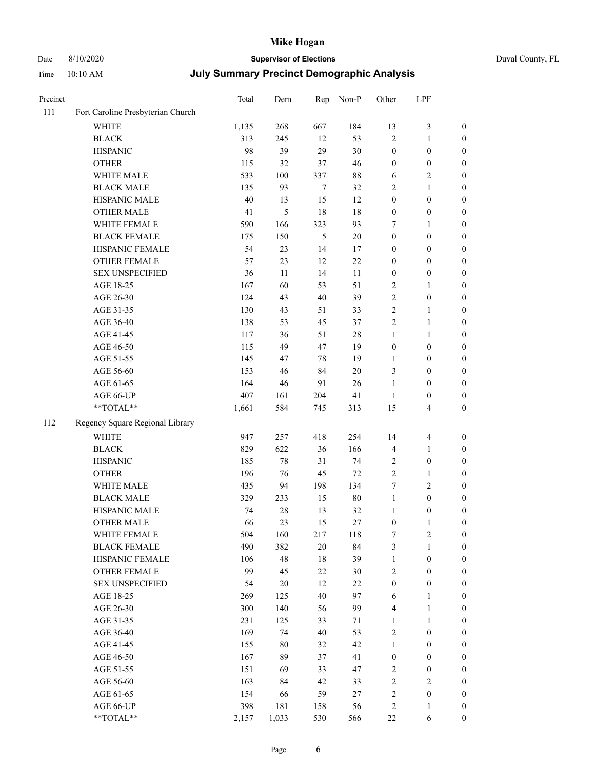# Date 8/10/2020 **Supervisor of Elections** Duval County, FL

| Precinct |                                   | <b>Total</b> | Dem    | Rep            | Non-P  | Other            | LPF                     |                  |
|----------|-----------------------------------|--------------|--------|----------------|--------|------------------|-------------------------|------------------|
| 111      | Fort Caroline Presbyterian Church |              |        |                |        |                  |                         |                  |
|          | <b>WHITE</b>                      | 1,135        | 268    | 667            | 184    | 13               | $\mathfrak{Z}$          | 0                |
|          | <b>BLACK</b>                      | 313          | 245    | 12             | 53     | $\overline{2}$   | $\mathbf{1}$            | $\boldsymbol{0}$ |
|          | <b>HISPANIC</b>                   | 98           | 39     | 29             | 30     | $\boldsymbol{0}$ | $\boldsymbol{0}$        | $\boldsymbol{0}$ |
|          | <b>OTHER</b>                      | 115          | 32     | 37             | 46     | $\boldsymbol{0}$ | $\boldsymbol{0}$        | $\boldsymbol{0}$ |
|          | WHITE MALE                        | 533          | 100    | 337            | $88\,$ | 6                | $\sqrt{2}$              | $\boldsymbol{0}$ |
|          | <b>BLACK MALE</b>                 | 135          | 93     | $\tau$         | 32     | 2                | $\mathbf{1}$            | $\boldsymbol{0}$ |
|          | HISPANIC MALE                     | 40           | 13     | 15             | 12     | $\boldsymbol{0}$ | $\boldsymbol{0}$        | $\boldsymbol{0}$ |
|          | <b>OTHER MALE</b>                 | 41           | 5      | 18             | 18     | $\boldsymbol{0}$ | $\boldsymbol{0}$        | $\boldsymbol{0}$ |
|          | WHITE FEMALE                      | 590          | 166    | 323            | 93     | 7                | 1                       | $\boldsymbol{0}$ |
|          | <b>BLACK FEMALE</b>               | 175          | 150    | $\mathfrak{S}$ | $20\,$ | $\boldsymbol{0}$ | $\boldsymbol{0}$        | 0                |
|          | HISPANIC FEMALE                   | 54           | 23     | 14             | 17     | $\boldsymbol{0}$ | $\boldsymbol{0}$        | 0                |
|          | OTHER FEMALE                      | 57           | 23     | 12             | 22     | $\boldsymbol{0}$ | $\boldsymbol{0}$        | $\boldsymbol{0}$ |
|          | <b>SEX UNSPECIFIED</b>            | 36           | 11     | 14             | 11     | $\boldsymbol{0}$ | $\boldsymbol{0}$        | $\boldsymbol{0}$ |
|          | AGE 18-25                         | 167          | 60     | 53             | 51     | 2                | 1                       | $\boldsymbol{0}$ |
|          | AGE 26-30                         | 124          | 43     | 40             | 39     | 2                | $\boldsymbol{0}$        | $\boldsymbol{0}$ |
|          | AGE 31-35                         | 130          | 43     | 51             | 33     | $\overline{c}$   | $\mathbf{1}$            | $\boldsymbol{0}$ |
|          | AGE 36-40                         | 138          | 53     | 45             | 37     | $\overline{c}$   | $\mathbf{1}$            | $\boldsymbol{0}$ |
|          | AGE 41-45                         | 117          | 36     | 51             | $28\,$ | $\mathbf{1}$     | $\mathbf{1}$            | $\boldsymbol{0}$ |
|          | AGE 46-50                         | 115          | 49     | 47             | 19     | $\boldsymbol{0}$ | $\boldsymbol{0}$        | $\boldsymbol{0}$ |
|          | AGE 51-55                         | 145          | 47     | 78             | 19     | 1                | $\boldsymbol{0}$        | $\boldsymbol{0}$ |
|          | AGE 56-60                         | 153          | 46     | 84             | 20     | 3                | $\boldsymbol{0}$        | 0                |
|          | AGE 61-65                         | 164          | 46     | 91             | 26     | $\mathbf{1}$     | $\boldsymbol{0}$        | 0                |
|          | AGE 66-UP                         | 407          | 161    | 204            | 41     | $\mathbf{1}$     | $\boldsymbol{0}$        | $\boldsymbol{0}$ |
|          | **TOTAL**                         | 1,661        | 584    | 745            | 313    | 15               | $\overline{\mathbf{4}}$ | $\boldsymbol{0}$ |
| 112      | Regency Square Regional Library   |              |        |                |        |                  |                         |                  |
|          | <b>WHITE</b>                      | 947          | 257    | 418            | 254    | 14               | $\overline{\mathbf{4}}$ | $\boldsymbol{0}$ |
|          | <b>BLACK</b>                      | 829          | 622    | 36             | 166    | 4                | $\mathbf{1}$            | $\boldsymbol{0}$ |
|          | <b>HISPANIC</b>                   | 185          | 78     | 31             | 74     | 2                | $\boldsymbol{0}$        | $\boldsymbol{0}$ |
|          | <b>OTHER</b>                      | 196          | 76     | 45             | $72\,$ | $\overline{c}$   | $\mathbf{1}$            | $\boldsymbol{0}$ |
|          | WHITE MALE                        | 435          | 94     | 198            | 134    | 7                | $\overline{2}$          | $\boldsymbol{0}$ |
|          | <b>BLACK MALE</b>                 | 329          | 233    | 15             | $80\,$ | $\mathbf{1}$     | $\boldsymbol{0}$        | $\boldsymbol{0}$ |
|          | HISPANIC MALE                     | 74           | $28\,$ | 13             | 32     | 1                | $\boldsymbol{0}$        | $\boldsymbol{0}$ |
|          | OTHER MALE                        | 66           | 23     | 15             | 27     | $\boldsymbol{0}$ | $\mathbf{1}$            | $\boldsymbol{0}$ |
|          | WHITE FEMALE                      | 504          | 160    | 217            | 118    | 7                | 2                       | 0                |
|          | <b>BLACK FEMALE</b>               | 490          | 382    | 20             | 84     | 3                | $\mathbf{1}$            | $\boldsymbol{0}$ |
|          | HISPANIC FEMALE                   | 106          | 48     | 18             | 39     | $\mathbf{1}$     | $\boldsymbol{0}$        | $\overline{0}$   |
|          | <b>OTHER FEMALE</b>               | 99           | 45     | 22             | $30\,$ | 2                | $\boldsymbol{0}$        | $\overline{0}$   |
|          | <b>SEX UNSPECIFIED</b>            | 54           | $20\,$ | 12             | 22     | $\boldsymbol{0}$ | $\boldsymbol{0}$        | 0                |
|          | AGE 18-25                         | 269          | 125    | 40             | 97     | 6                | $\mathbf{1}$            | 0                |
|          | AGE 26-30                         | 300          | 140    | 56             | 99     | 4                | $\mathbf{1}$            | 0                |
|          | AGE 31-35                         | 231          | 125    | 33             | 71     | $\mathbf{1}$     | $\mathbf{1}$            | 0                |
|          | AGE 36-40                         | 169          | 74     | 40             | 53     | 2                | $\boldsymbol{0}$        | 0                |
|          | AGE 41-45                         | 155          | $80\,$ | 32             | 42     | $\mathbf{1}$     | $\boldsymbol{0}$        | 0                |
|          | AGE 46-50                         | 167          | 89     | 37             | 41     | $\boldsymbol{0}$ | $\boldsymbol{0}$        | 0                |
|          | AGE 51-55                         | 151          | 69     | 33             | 47     | 2                | $\boldsymbol{0}$        | 0                |
|          | AGE 56-60                         | 163          | 84     | 42             | 33     | 2                | $\sqrt{2}$              | $\overline{0}$   |
|          | AGE 61-65                         | 154          | 66     | 59             | 27     | 2                | $\boldsymbol{0}$        | $\overline{0}$   |
|          | AGE 66-UP                         | 398          | 181    | 158            | 56     | 2                | $\mathbf{1}$            | 0                |
|          | **TOTAL**                         | 2,157        | 1,033  | 530            | 566    | $22\,$           | 6                       | $\boldsymbol{0}$ |
|          |                                   |              |        |                |        |                  |                         |                  |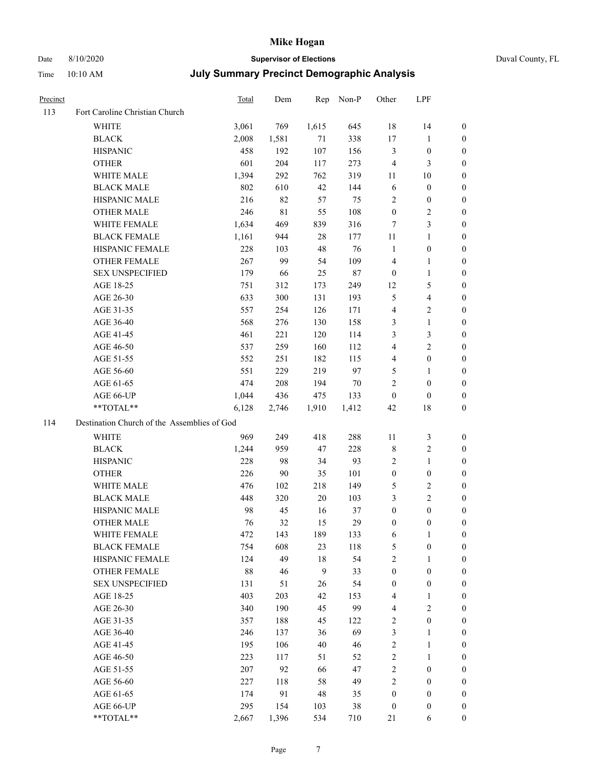Time 10:10 AM

# Date 8/10/2020 **Supervisor of Elections**

|  | Duval County, FL |  |
|--|------------------|--|
|--|------------------|--|

|  |  |  | July Summary Precinct Demographic Analysis |  |
|--|--|--|--------------------------------------------|--|
|--|--|--|--------------------------------------------|--|

| <b>Precinct</b> |                                             | Total | Dem   | Rep          | Non-P  | Other            | LPF                     |                  |
|-----------------|---------------------------------------------|-------|-------|--------------|--------|------------------|-------------------------|------------------|
| 113             | Fort Caroline Christian Church              |       |       |              |        |                  |                         |                  |
|                 | <b>WHITE</b>                                | 3,061 | 769   | 1,615        | 645    | 18               | 14                      | 0                |
|                 | <b>BLACK</b>                                | 2,008 | 1,581 | 71           | 338    | 17               | $\mathbf{1}$            | 0                |
|                 | <b>HISPANIC</b>                             | 458   | 192   | 107          | 156    | 3                | $\boldsymbol{0}$        | 0                |
|                 | <b>OTHER</b>                                | 601   | 204   | 117          | 273    | $\overline{4}$   | 3                       | $\boldsymbol{0}$ |
|                 | WHITE MALE                                  | 1,394 | 292   | 762          | 319    | 11               | 10                      | $\boldsymbol{0}$ |
|                 | <b>BLACK MALE</b>                           | 802   | 610   | 42           | 144    | 6                | $\boldsymbol{0}$        | 0                |
|                 | HISPANIC MALE                               | 216   | 82    | 57           | 75     | $\overline{c}$   | $\boldsymbol{0}$        | 0                |
|                 | <b>OTHER MALE</b>                           | 246   | 81    | 55           | 108    | $\boldsymbol{0}$ | $\overline{2}$          | 0                |
|                 | WHITE FEMALE                                | 1,634 | 469   | 839          | 316    | 7                | $\mathfrak{Z}$          | 0                |
|                 | <b>BLACK FEMALE</b>                         | 1,161 | 944   | 28           | 177    | 11               | $\mathbf{1}$            | 0                |
|                 | HISPANIC FEMALE                             | 228   | 103   | $48\,$       | 76     | $\mathbf{1}$     | $\boldsymbol{0}$        | 0                |
|                 | OTHER FEMALE                                | 267   | 99    | 54           | 109    | 4                | $\mathbf{1}$            | 0                |
|                 | <b>SEX UNSPECIFIED</b>                      | 179   | 66    | 25           | $87\,$ | $\boldsymbol{0}$ | $\mathbf{1}$            | 0                |
|                 | AGE 18-25                                   | 751   | 312   | 173          | 249    | 12               | $\mathfrak{S}$          | $\boldsymbol{0}$ |
|                 | AGE 26-30                                   | 633   | 300   | 131          | 193    | 5                | $\overline{\mathbf{4}}$ | $\boldsymbol{0}$ |
|                 | AGE 31-35                                   | 557   | 254   | 126          | 171    | $\overline{4}$   | $\sqrt{2}$              | 0                |
|                 | AGE 36-40                                   | 568   | 276   | 130          | 158    | 3                | $\mathbf{1}$            | $\boldsymbol{0}$ |
|                 | AGE 41-45                                   | 461   | 221   | 120          | 114    | 3                | $\mathfrak{Z}$          | $\overline{0}$   |
|                 | AGE 46-50                                   | 537   | 259   | 160          | 112    | 4                | $\overline{2}$          | 0                |
|                 | AGE 51-55                                   | 552   | 251   | 182          | 115    | $\overline{4}$   | $\boldsymbol{0}$        | 0                |
|                 | AGE 56-60                                   | 551   | 229   | 219          | 97     | 5                | $\mathbf{1}$            | 0                |
|                 | AGE 61-65                                   | 474   | 208   | 194          | 70     | $\mathbf{2}$     | $\boldsymbol{0}$        | 0                |
|                 | AGE 66-UP                                   | 1,044 | 436   | 475          | 133    | $\boldsymbol{0}$ | $\boldsymbol{0}$        | 0                |
|                 | **TOTAL**                                   | 6,128 | 2,746 | 1,910        | 1,412  | 42               | 18                      | $\boldsymbol{0}$ |
| 114             | Destination Church of the Assemblies of God |       |       |              |        |                  |                         |                  |
|                 | <b>WHITE</b>                                | 969   | 249   | 418          | 288    | 11               | $\mathfrak{Z}$          | $\boldsymbol{0}$ |
|                 | <b>BLACK</b>                                | 1,244 | 959   | 47           | 228    | 8                | $\sqrt{2}$              | $\boldsymbol{0}$ |
|                 | <b>HISPANIC</b>                             | 228   | 98    | 34           | 93     | $\overline{c}$   | $\mathbf{1}$            | $\boldsymbol{0}$ |
|                 | <b>OTHER</b>                                | 226   | 90    | 35           | 101    | $\boldsymbol{0}$ | $\boldsymbol{0}$        | $\boldsymbol{0}$ |
|                 | WHITE MALE                                  | 476   | 102   | 218          | 149    | 5                | $\sqrt{2}$              | 0                |
|                 | <b>BLACK MALE</b>                           | 448   | 320   | $20\,$       | 103    | 3                | $\overline{2}$          | 0                |
|                 | HISPANIC MALE                               | 98    | 45    | 16           | 37     | $\boldsymbol{0}$ | $\boldsymbol{0}$        | 0                |
|                 | <b>OTHER MALE</b>                           | 76    | 32    | 15           | 29     | $\boldsymbol{0}$ | $\boldsymbol{0}$        | 0                |
|                 | WHITE FEMALE                                | 472   | 143   | 189          | 133    | 6                | 1                       | 0                |
|                 | <b>BLACK FEMALE</b>                         | 754   | 608   | 23           | 118    | 5                | $\boldsymbol{0}$        | $\boldsymbol{0}$ |
|                 | HISPANIC FEMALE                             | 124   | 49    | $18\,$       | 54     | $\sqrt{2}$       | $\mathbf{1}$            | $\overline{0}$   |
|                 | OTHER FEMALE                                | 88    | 46    | $\mathbf{9}$ | 33     | $\boldsymbol{0}$ | $\boldsymbol{0}$        | $\overline{0}$   |
|                 | <b>SEX UNSPECIFIED</b>                      | 131   | 51    | 26           | 54     | $\boldsymbol{0}$ | $\boldsymbol{0}$        | 0                |
|                 | AGE 18-25                                   | 403   | 203   | 42           | 153    | 4                | $\mathbf{1}$            | 0                |
|                 | AGE 26-30                                   | 340   | 190   | 45           | 99     | 4                | $\overline{2}$          | 0                |
|                 | AGE 31-35                                   | 357   | 188   | 45           | 122    | $\sqrt{2}$       | $\boldsymbol{0}$        | 0                |
|                 | AGE 36-40                                   | 246   | 137   | 36           | 69     | 3                | $\mathbf{1}$            | 0                |
|                 | AGE 41-45                                   | 195   | 106   | 40           | 46     | $\sqrt{2}$       | $\mathbf{1}$            | 0                |
|                 | AGE 46-50                                   | 223   | 117   | 51           | 52     | $\sqrt{2}$       | $\mathbf{1}$            | 0                |
|                 | AGE 51-55                                   | 207   | 92    | 66           | 47     | $\sqrt{2}$       | $\boldsymbol{0}$        | 0                |
|                 | AGE 56-60                                   | 227   | 118   | 58           | 49     | $\overline{c}$   | $\boldsymbol{0}$        | 0                |
|                 | AGE 61-65                                   | 174   | 91    | 48           | 35     | $\boldsymbol{0}$ | $\boldsymbol{0}$        | $\boldsymbol{0}$ |
|                 | AGE 66-UP                                   | 295   | 154   | 103          | 38     | $\boldsymbol{0}$ | $\boldsymbol{0}$        | 0                |
|                 | **TOTAL**                                   | 2,667 | 1,396 | 534          | 710    | 21               | 6                       | $\boldsymbol{0}$ |
|                 |                                             |       |       |              |        |                  |                         |                  |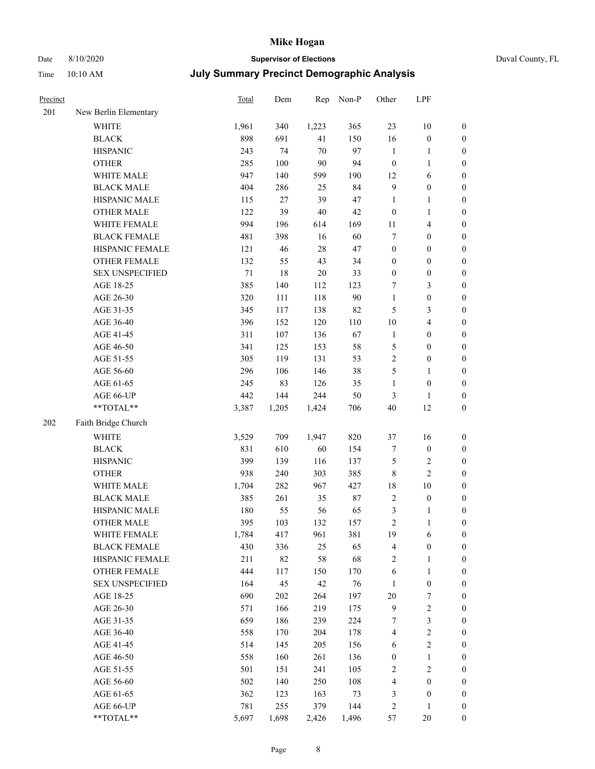# Date 8/10/2020 **Supervisor of Elections** Duval County, FL

| Precinct |                        | <b>Total</b> | Dem   | Rep    | Non-P  | Other            | LPF              |                  |
|----------|------------------------|--------------|-------|--------|--------|------------------|------------------|------------------|
| 201      | New Berlin Elementary  |              |       |        |        |                  |                  |                  |
|          | <b>WHITE</b>           | 1,961        | 340   | 1,223  | 365    | 23               | 10               | 0                |
|          | <b>BLACK</b>           | 898          | 691   | 41     | 150    | 16               | $\boldsymbol{0}$ | 0                |
|          | <b>HISPANIC</b>        | 243          | 74    | 70     | 97     | $\mathbf{1}$     | $\mathbf{1}$     | $\boldsymbol{0}$ |
|          | <b>OTHER</b>           | 285          | 100   | 90     | 94     | $\boldsymbol{0}$ | $\mathbf{1}$     | $\boldsymbol{0}$ |
|          | WHITE MALE             | 947          | 140   | 599    | 190    | 12               | 6                | $\boldsymbol{0}$ |
|          | <b>BLACK MALE</b>      | 404          | 286   | 25     | 84     | 9                | $\boldsymbol{0}$ | $\boldsymbol{0}$ |
|          | HISPANIC MALE          | 115          | 27    | 39     | 47     | $\mathbf{1}$     | $\mathbf{1}$     | $\boldsymbol{0}$ |
|          | <b>OTHER MALE</b>      | 122          | 39    | $40\,$ | 42     | $\boldsymbol{0}$ | $\mathbf{1}$     | $\boldsymbol{0}$ |
|          | WHITE FEMALE           | 994          | 196   | 614    | 169    | $11\,$           | $\overline{4}$   | $\boldsymbol{0}$ |
|          | <b>BLACK FEMALE</b>    | 481          | 398   | 16     | 60     | 7                | $\boldsymbol{0}$ | $\boldsymbol{0}$ |
|          | HISPANIC FEMALE        | 121          | 46    | $28\,$ | 47     | $\boldsymbol{0}$ | $\boldsymbol{0}$ | $\boldsymbol{0}$ |
|          | <b>OTHER FEMALE</b>    | 132          | 55    | 43     | 34     | $\boldsymbol{0}$ | $\boldsymbol{0}$ | $\boldsymbol{0}$ |
|          | <b>SEX UNSPECIFIED</b> | 71           | 18    | $20\,$ | 33     | $\boldsymbol{0}$ | $\boldsymbol{0}$ | $\boldsymbol{0}$ |
|          | AGE 18-25              | 385          | 140   | 112    | 123    | 7                | $\mathfrak{Z}$   | $\boldsymbol{0}$ |
|          | AGE 26-30              | 320          | 111   | 118    | 90     | $\mathbf{1}$     | $\boldsymbol{0}$ | $\boldsymbol{0}$ |
|          | AGE 31-35              | 345          | 117   | 138    | 82     | 5                | $\mathfrak{Z}$   | $\boldsymbol{0}$ |
|          | AGE 36-40              | 396          | 152   | 120    | 110    | $10\,$           | $\overline{4}$   | $\boldsymbol{0}$ |
|          | AGE 41-45              | 311          | 107   | 136    | 67     | $\mathbf{1}$     | $\boldsymbol{0}$ | $\boldsymbol{0}$ |
|          | AGE 46-50              | 341          | 125   | 153    | 58     | 5                | $\boldsymbol{0}$ | $\boldsymbol{0}$ |
|          | AGE 51-55              | 305          | 119   | 131    | 53     | $\overline{c}$   | $\boldsymbol{0}$ | $\boldsymbol{0}$ |
|          | AGE 56-60              | 296          | 106   | 146    | 38     | 5                | 1                | 0                |
|          | AGE 61-65              | 245          | 83    | 126    | 35     | $\mathbf{1}$     | $\boldsymbol{0}$ | $\boldsymbol{0}$ |
|          | AGE 66-UP              | 442          | 144   | 244    | 50     | 3                | $\mathbf{1}$     | $\boldsymbol{0}$ |
|          | $**TOTAL**$            | 3,387        | 1,205 | 1,424  | 706    | 40               | 12               | $\boldsymbol{0}$ |
| 202      | Faith Bridge Church    |              |       |        |        |                  |                  |                  |
|          | <b>WHITE</b>           | 3,529        | 709   | 1,947  | 820    | 37               | 16               | $\boldsymbol{0}$ |
|          | <b>BLACK</b>           | 831          | 610   | 60     | 154    | 7                | $\boldsymbol{0}$ | $\boldsymbol{0}$ |
|          | <b>HISPANIC</b>        | 399          | 139   | 116    | 137    | 5                | $\mathfrak{2}$   | $\boldsymbol{0}$ |
|          | <b>OTHER</b>           | 938          | 240   | 303    | 385    | $\,$ $\,$        | $\overline{2}$   | $\boldsymbol{0}$ |
|          | WHITE MALE             | 1,704        | 282   | 967    | 427    | 18               | 10               | $\boldsymbol{0}$ |
|          | <b>BLACK MALE</b>      | 385          | 261   | 35     | $87\,$ | $\sqrt{2}$       | $\boldsymbol{0}$ | $\boldsymbol{0}$ |
|          | HISPANIC MALE          | 180          | 55    | 56     | 65     | 3                | 1                | 0                |
|          | <b>OTHER MALE</b>      | 395          | 103   | 132    | 157    | $\overline{c}$   | $\mathbf{1}$     | $\boldsymbol{0}$ |
|          | WHITE FEMALE           | 1,784        | 417   | 961    | 381    | 19               | 6                | 0                |
|          | <b>BLACK FEMALE</b>    | 430          | 336   | 25     | 65     | 4                | $\boldsymbol{0}$ | $\boldsymbol{0}$ |
|          | HISPANIC FEMALE        | 211          | 82    | 58     | 68     | 2                | $\mathbf{1}$     | $\overline{0}$   |
|          | <b>OTHER FEMALE</b>    | 444          | 117   | 150    | 170    | 6                | $\mathbf{1}$     | $\overline{0}$   |
|          | <b>SEX UNSPECIFIED</b> | 164          | 45    | 42     | 76     | $\mathbf{1}$     | $\boldsymbol{0}$ | 0                |
|          | AGE 18-25              | 690          | 202   | 264    | 197    | $20\,$           | 7                | 0                |
|          | AGE 26-30              | 571          | 166   | 219    | 175    | 9                | $\sqrt{2}$       | 0                |
|          | AGE 31-35              | 659          | 186   | 239    | 224    | 7                | $\sqrt{3}$       | 0                |
|          | AGE 36-40              | 558          | 170   | 204    | 178    | 4                | $\sqrt{2}$       | 0                |
|          | AGE 41-45              | 514          | 145   | 205    | 156    | 6                | $\sqrt{2}$       | 0                |
|          | AGE 46-50              | 558          | 160   | 261    | 136    | $\boldsymbol{0}$ | $\mathbf{1}$     | 0                |
|          | AGE 51-55              | 501          | 151   | 241    | 105    | 2                | $\sqrt{2}$       | 0                |
|          | AGE 56-60              | 502          | 140   | 250    | 108    | 4                | $\boldsymbol{0}$ | 0                |
|          | AGE 61-65              | 362          | 123   | 163    | 73     | 3                | $\boldsymbol{0}$ | $\boldsymbol{0}$ |
|          | AGE 66-UP              | 781          | 255   | 379    | 144    | 2                | $\mathbf{1}$     | 0                |
|          | **TOTAL**              | 5,697        | 1,698 | 2,426  | 1,496  | 57               | 20               | $\boldsymbol{0}$ |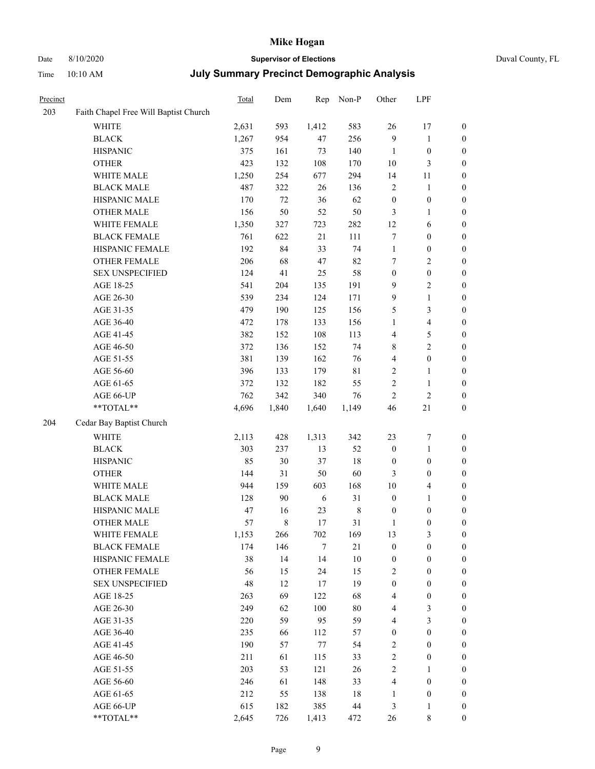Time 10:10 AM

## Date 8/10/2020 **Supervisor of Elections** Duval County, FL

| <b>July Summary Precinct Demographic Analysis</b> |  |
|---------------------------------------------------|--|
|---------------------------------------------------|--|

| Precinct |                                       | <b>Total</b> | Dem   | Rep    | Non-P       | Other            | LPF                     |                  |
|----------|---------------------------------------|--------------|-------|--------|-------------|------------------|-------------------------|------------------|
| 203      | Faith Chapel Free Will Baptist Church |              |       |        |             |                  |                         |                  |
|          | <b>WHITE</b>                          | 2,631        | 593   | 1,412  | 583         | 26               | 17                      | 0                |
|          | <b>BLACK</b>                          | 1,267        | 954   | 47     | 256         | 9                | $\mathbf{1}$            | 0                |
|          | <b>HISPANIC</b>                       | 375          | 161   | 73     | 140         | $\mathbf{1}$     | $\boldsymbol{0}$        | $\boldsymbol{0}$ |
|          | <b>OTHER</b>                          | 423          | 132   | 108    | 170         | 10               | $\mathfrak{Z}$          | $\boldsymbol{0}$ |
|          | WHITE MALE                            | 1,250        | 254   | 677    | 294         | 14               | 11                      | $\boldsymbol{0}$ |
|          | <b>BLACK MALE</b>                     | 487          | 322   | 26     | 136         | 2                | $\mathbf{1}$            | $\boldsymbol{0}$ |
|          | HISPANIC MALE                         | 170          | 72    | 36     | 62          | $\boldsymbol{0}$ | $\boldsymbol{0}$        | $\boldsymbol{0}$ |
|          | <b>OTHER MALE</b>                     | 156          | 50    | 52     | 50          | 3                | $\mathbf{1}$            | $\boldsymbol{0}$ |
|          | WHITE FEMALE                          | 1,350        | 327   | 723    | 282         | 12               | 6                       | $\boldsymbol{0}$ |
|          | <b>BLACK FEMALE</b>                   | 761          | 622   | 21     | 111         | 7                | $\boldsymbol{0}$        | 0                |
|          | HISPANIC FEMALE                       | 192          | 84    | 33     | 74          | $\mathbf{1}$     | $\boldsymbol{0}$        | 0                |
|          | OTHER FEMALE                          | 206          | 68    | $47\,$ | 82          | 7                | $\sqrt{2}$              | $\boldsymbol{0}$ |
|          | <b>SEX UNSPECIFIED</b>                | 124          | 41    | 25     | 58          | $\boldsymbol{0}$ | $\boldsymbol{0}$        | $\boldsymbol{0}$ |
|          | AGE 18-25                             | 541          | 204   | 135    | 191         | 9                | $\sqrt{2}$              | $\boldsymbol{0}$ |
|          | AGE 26-30                             | 539          | 234   | 124    | 171         | 9                | $\mathbf{1}$            | $\boldsymbol{0}$ |
|          | AGE 31-35                             | 479          | 190   | 125    | 156         | 5                | $\mathfrak{Z}$          | $\boldsymbol{0}$ |
|          | AGE 36-40                             | 472          | 178   | 133    | 156         | $\mathbf{1}$     | $\overline{\mathbf{4}}$ | $\boldsymbol{0}$ |
|          | AGE 41-45                             | 382          | 152   | 108    | 113         | 4                | 5                       | $\boldsymbol{0}$ |
|          | AGE 46-50                             | 372          | 136   | 152    | 74          | 8                | $\overline{2}$          | $\boldsymbol{0}$ |
|          | AGE 51-55                             | 381          | 139   | 162    | 76          | $\overline{4}$   | $\boldsymbol{0}$        | $\boldsymbol{0}$ |
|          | AGE 56-60                             | 396          | 133   | 179    | $8\sqrt{1}$ | $\sqrt{2}$       | $\mathbf{1}$            | 0                |
|          | AGE 61-65                             | 372          | 132   | 182    | 55          | $\mathbf{2}$     | $\mathbf{1}$            | 0                |
|          | AGE 66-UP                             | 762          | 342   | 340    | 76          | $\sqrt{2}$       | $\sqrt{2}$              | $\boldsymbol{0}$ |
|          | $**TOTAL**$                           | 4,696        | 1,840 | 1,640  | 1,149       | 46               | 21                      | $\boldsymbol{0}$ |
| 204      | Cedar Bay Baptist Church              |              |       |        |             |                  |                         |                  |
|          | <b>WHITE</b>                          | 2,113        | 428   | 1,313  | 342         | 23               | $\boldsymbol{7}$        | $\boldsymbol{0}$ |
|          | <b>BLACK</b>                          | 303          | 237   | 13     | 52          | $\boldsymbol{0}$ | $\mathbf{1}$            | $\boldsymbol{0}$ |
|          | <b>HISPANIC</b>                       | 85           | 30    | 37     | 18          | $\boldsymbol{0}$ | $\boldsymbol{0}$        | $\boldsymbol{0}$ |
|          | <b>OTHER</b>                          | 144          | 31    | 50     | 60          | 3                | $\boldsymbol{0}$        | $\boldsymbol{0}$ |
|          | WHITE MALE                            | 944          | 159   | 603    | 168         | 10               | $\overline{4}$          | $\boldsymbol{0}$ |
|          | <b>BLACK MALE</b>                     | 128          | 90    | 6      | 31          | $\boldsymbol{0}$ | $\mathbf{1}$            | $\boldsymbol{0}$ |
|          | HISPANIC MALE                         | 47           | 16    | 23     | $\,$ 8 $\,$ | $\boldsymbol{0}$ | $\boldsymbol{0}$        | $\boldsymbol{0}$ |
|          | <b>OTHER MALE</b>                     | 57           | 8     | 17     | 31          | $\mathbf{1}$     | $\boldsymbol{0}$        | $\boldsymbol{0}$ |
|          | WHITE FEMALE                          | 1,153        | 266   | 702    | 169         | 13               | 3                       | 0                |
|          | <b>BLACK FEMALE</b>                   | 174          | 146   | 7      | $21\,$      | $\boldsymbol{0}$ | $\boldsymbol{0}$        | $\boldsymbol{0}$ |
|          | HISPANIC FEMALE                       | 38           | 14    | 14     | $10\,$      | $\boldsymbol{0}$ | $\boldsymbol{0}$        | $\overline{0}$   |
|          | <b>OTHER FEMALE</b>                   | 56           | 15    | 24     | 15          | $\overline{c}$   | $\boldsymbol{0}$        | $\overline{0}$   |
|          | <b>SEX UNSPECIFIED</b>                | 48           | 12    | 17     | 19          | $\boldsymbol{0}$ | $\boldsymbol{0}$        | 0                |
|          | AGE 18-25                             | 263          | 69    | 122    | 68          | 4                | $\boldsymbol{0}$        | 0                |
|          | AGE 26-30                             | 249          | 62    | 100    | $80\,$      | $\overline{4}$   | $\mathfrak{Z}$          | 0                |
|          | AGE 31-35                             | 220          | 59    | 95     | 59          | 4                | $\mathfrak{Z}$          | 0                |
|          | AGE 36-40                             | 235          | 66    | 112    | 57          | $\boldsymbol{0}$ | $\boldsymbol{0}$        | 0                |
|          | AGE 41-45                             | 190          | 57    | $77\,$ | 54          | $\overline{c}$   | $\boldsymbol{0}$        | 0                |
|          | AGE 46-50                             | 211          | 61    | 115    | 33          | $\sqrt{2}$       | $\boldsymbol{0}$        | 0                |
|          | AGE 51-55                             | 203          | 53    | 121    | 26          | $\sqrt{2}$       | $\mathbf{1}$            | 0                |
|          | AGE 56-60                             | 246          | 61    | 148    | 33          | 4                | $\boldsymbol{0}$        | $\overline{0}$   |
|          | AGE 61-65                             | 212          | 55    | 138    | 18          | 1                | $\boldsymbol{0}$        | $\overline{0}$   |
|          | AGE 66-UP                             | 615          | 182   | 385    | 44          | 3                | $\mathbf{1}$            | $\boldsymbol{0}$ |
|          | **TOTAL**                             | 2,645        | 726   | 1,413  | 472         | 26               | 8                       | $\boldsymbol{0}$ |
|          |                                       |              |       |        |             |                  |                         |                  |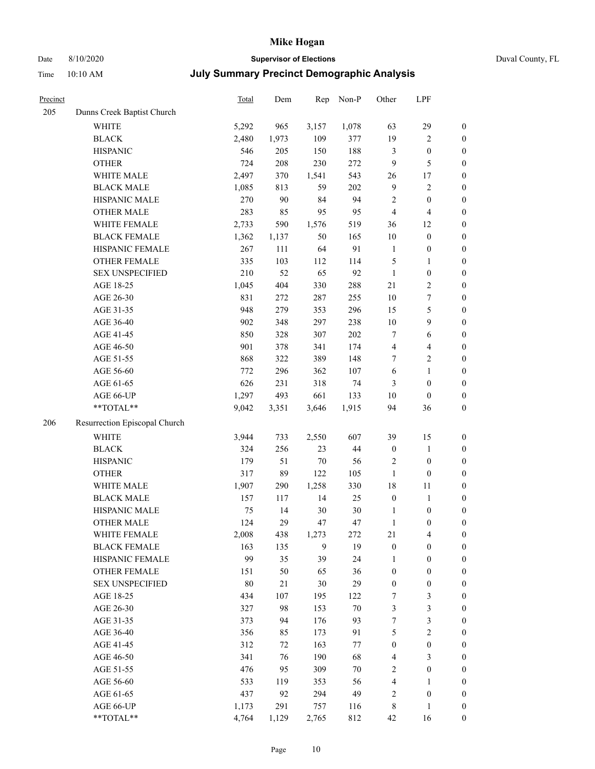## Date 8/10/2020 **Supervisor of Elections** Duval County, FL

| Precinct |                               | <b>Total</b> | Dem   | Rep    | Non-P  | Other            | LPF                     |                  |
|----------|-------------------------------|--------------|-------|--------|--------|------------------|-------------------------|------------------|
| 205      | Dunns Creek Baptist Church    |              |       |        |        |                  |                         |                  |
|          | <b>WHITE</b>                  | 5,292        | 965   | 3,157  | 1,078  | 63               | 29                      | $\boldsymbol{0}$ |
|          | <b>BLACK</b>                  | 2,480        | 1,973 | 109    | 377    | 19               | $\sqrt{2}$              | $\boldsymbol{0}$ |
|          | <b>HISPANIC</b>               | 546          | 205   | 150    | 188    | 3                | $\boldsymbol{0}$        | $\boldsymbol{0}$ |
|          | <b>OTHER</b>                  | 724          | 208   | 230    | 272    | 9                | 5                       | $\boldsymbol{0}$ |
|          | WHITE MALE                    | 2,497        | 370   | 1,541  | 543    | 26               | $17\,$                  | $\boldsymbol{0}$ |
|          | <b>BLACK MALE</b>             | 1,085        | 813   | 59     | 202    | 9                | $\sqrt{2}$              | $\boldsymbol{0}$ |
|          | HISPANIC MALE                 | 270          | 90    | 84     | 94     | 2                | $\boldsymbol{0}$        | $\boldsymbol{0}$ |
|          | <b>OTHER MALE</b>             | 283          | 85    | 95     | 95     | $\overline{4}$   | $\overline{4}$          | $\boldsymbol{0}$ |
|          | WHITE FEMALE                  | 2,733        | 590   | 1,576  | 519    | 36               | 12                      | $\boldsymbol{0}$ |
|          | <b>BLACK FEMALE</b>           | 1,362        | 1,137 | 50     | 165    | $10\,$           | $\boldsymbol{0}$        | $\boldsymbol{0}$ |
|          | HISPANIC FEMALE               | 267          | 111   | 64     | 91     | $\mathbf{1}$     | $\boldsymbol{0}$        | 0                |
|          | OTHER FEMALE                  | 335          | 103   | 112    | 114    | 5                | $\mathbf{1}$            | $\boldsymbol{0}$ |
|          | <b>SEX UNSPECIFIED</b>        | 210          | 52    | 65     | 92     | $\mathbf{1}$     | $\boldsymbol{0}$        | $\boldsymbol{0}$ |
|          | AGE 18-25                     | 1,045        | 404   | 330    | 288    | 21               | $\sqrt{2}$              | $\boldsymbol{0}$ |
|          | AGE 26-30                     | 831          | 272   | 287    | 255    | 10               | $\boldsymbol{7}$        | $\boldsymbol{0}$ |
|          | AGE 31-35                     | 948          | 279   | 353    | 296    | 15               | $\mathfrak s$           | $\boldsymbol{0}$ |
|          | AGE 36-40                     | 902          | 348   | 297    | 238    | $10\,$           | $\mathbf{9}$            | $\boldsymbol{0}$ |
|          | AGE 41-45                     | 850          | 328   | 307    | 202    | 7                | $\sqrt{6}$              | $\boldsymbol{0}$ |
|          | AGE 46-50                     | 901          | 378   | 341    | 174    | $\overline{4}$   | $\overline{\mathbf{4}}$ | $\boldsymbol{0}$ |
|          | AGE 51-55                     | 868          | 322   | 389    | 148    | 7                | $\sqrt{2}$              | $\boldsymbol{0}$ |
|          | AGE 56-60                     | 772          | 296   | 362    | 107    | 6                | $\mathbf{1}$            | 0                |
|          | AGE 61-65                     | 626          | 231   | 318    | 74     | 3                | $\boldsymbol{0}$        | $\boldsymbol{0}$ |
|          | AGE 66-UP                     | 1,297        | 493   | 661    | 133    | 10               | $\boldsymbol{0}$        | $\boldsymbol{0}$ |
|          | **TOTAL**                     | 9,042        | 3,351 | 3,646  | 1,915  | 94               | 36                      | $\boldsymbol{0}$ |
|          |                               |              |       |        |        |                  |                         |                  |
| 206      | Resurrection Episcopal Church |              |       |        |        |                  |                         |                  |
|          | <b>WHITE</b>                  | 3,944        | 733   | 2,550  | 607    | 39               | 15                      | $\boldsymbol{0}$ |
|          | <b>BLACK</b>                  | 324          | 256   | 23     | $44\,$ | $\boldsymbol{0}$ | $\mathbf{1}$            | $\boldsymbol{0}$ |
|          | <b>HISPANIC</b>               | 179          | 51    | $70\,$ | 56     | 2                | $\boldsymbol{0}$        | $\boldsymbol{0}$ |
|          | <b>OTHER</b>                  | 317          | 89    | 122    | 105    | $\mathbf{1}$     | $\boldsymbol{0}$        | $\boldsymbol{0}$ |
|          | WHITE MALE                    | 1,907        | 290   | 1,258  | 330    | 18               | $11\,$                  | $\boldsymbol{0}$ |
|          | <b>BLACK MALE</b>             | 157          | 117   | 14     | 25     | $\boldsymbol{0}$ | $\mathbf{1}$            | $\boldsymbol{0}$ |
|          | HISPANIC MALE                 | 75           | 14    | 30     | $30\,$ | 1                | $\boldsymbol{0}$        | $\boldsymbol{0}$ |
|          | <b>OTHER MALE</b>             | 124          | 29    | 47     | 47     | $\mathbf{1}$     | $\boldsymbol{0}$        | $\boldsymbol{0}$ |
|          | WHITE FEMALE                  | 2,008        | 438   | 1,273  | 272    | 21               | 4                       | 0                |
|          | <b>BLACK FEMALE</b>           | 163          | 135   | 9      | 19     | $\boldsymbol{0}$ | $\boldsymbol{0}$        | $\boldsymbol{0}$ |
|          | HISPANIC FEMALE               | 99           | 35    | 39     | 24     | 1                | $\boldsymbol{0}$        | $\overline{0}$   |
|          | OTHER FEMALE                  | 151          | 50    | 65     | 36     | $\boldsymbol{0}$ | $\boldsymbol{0}$        | $\overline{0}$   |
|          | <b>SEX UNSPECIFIED</b>        | 80           | 21    | 30     | 29     | $\boldsymbol{0}$ | $\boldsymbol{0}$        | 0                |
|          | AGE 18-25                     | 434          | 107   | 195    | 122    | 7                | $\mathfrak{Z}$          | 0                |
|          | AGE 26-30                     | 327          | 98    | 153    | $70\,$ | 3                | $\mathfrak{Z}$          | 0                |
|          | AGE 31-35                     | 373          | 94    | 176    | 93     | 7                | $\mathfrak{Z}$          | 0                |
|          | AGE 36-40                     | 356          | 85    | 173    | 91     | 5                | $\sqrt{2}$              | 0                |
|          | AGE 41-45                     | 312          | 72    | 163    | 77     | $\boldsymbol{0}$ | $\boldsymbol{0}$        | 0                |
|          | AGE 46-50                     | 341          | 76    | 190    | 68     | 4                | 3                       | 0                |
|          | AGE 51-55                     | 476          | 95    | 309    | $70\,$ | 2                | $\boldsymbol{0}$        | 0                |
|          | AGE 56-60                     | 533          | 119   | 353    | 56     | 4                | 1                       | 0                |
|          | AGE 61-65                     | 437          | 92    | 294    | 49     | 2                | $\boldsymbol{0}$        | 0                |
|          | AGE 66-UP                     | 1,173        | 291   | 757    | 116    | 8                | $\mathbf{1}$            | 0                |
|          | $**TOTAL**$                   | 4,764        | 1,129 | 2,765  | 812    | 42               | 16                      | $\boldsymbol{0}$ |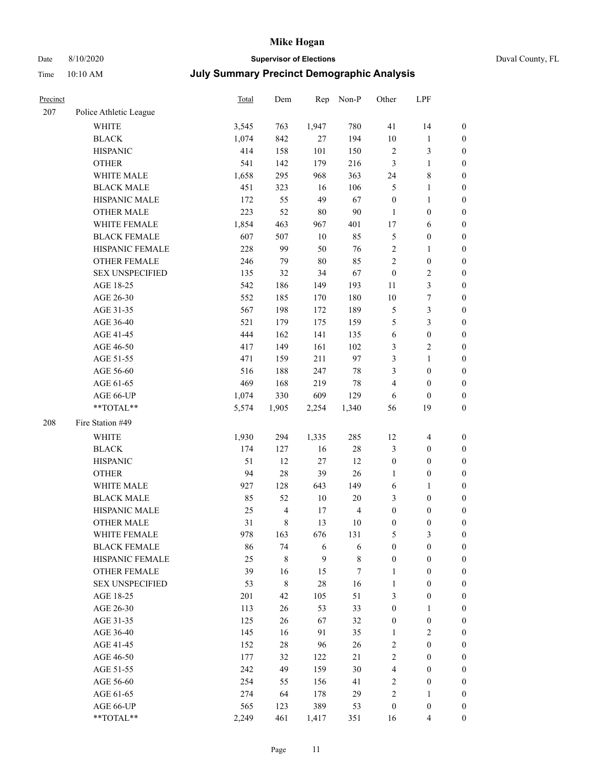# Date 8/10/2020 **Supervisor of Elections** Duval County, FL

| Precinct |                                     | <b>Total</b> | Dem                     | Rep               | Non-P            | Other                 | LPF                                  |                                      |
|----------|-------------------------------------|--------------|-------------------------|-------------------|------------------|-----------------------|--------------------------------------|--------------------------------------|
| 207      | Police Athletic League              |              |                         |                   |                  |                       |                                      |                                      |
|          | <b>WHITE</b>                        | 3,545        | 763                     | 1,947             | 780              | 41                    | 14                                   | 0                                    |
|          | <b>BLACK</b>                        | 1,074        | 842                     | 27                | 194              | 10                    | $\mathbf{1}$                         | 0                                    |
|          | <b>HISPANIC</b>                     | 414          | 158                     | 101               | 150              | $\sqrt{2}$            | $\mathfrak{Z}$                       | $\boldsymbol{0}$                     |
|          | <b>OTHER</b>                        | 541          | 142                     | 179               | 216              | 3                     | $\mathbf{1}$                         | $\boldsymbol{0}$                     |
|          | WHITE MALE                          | 1,658        | 295                     | 968               | 363              | 24                    | $\,$ 8 $\,$                          | $\boldsymbol{0}$                     |
|          | <b>BLACK MALE</b>                   | 451          | 323                     | 16                | 106              | 5                     | $\mathbf{1}$                         | $\boldsymbol{0}$                     |
|          | HISPANIC MALE                       | 172          | 55                      | 49                | 67               | $\boldsymbol{0}$      | $\mathbf{1}$                         | $\boldsymbol{0}$                     |
|          | <b>OTHER MALE</b>                   | 223          | 52                      | $80\,$            | $90\,$           | $\mathbf{1}$          | $\boldsymbol{0}$                     | $\boldsymbol{0}$                     |
|          | WHITE FEMALE                        | 1,854        | 463                     | 967               | 401              | 17                    | 6                                    | $\boldsymbol{0}$                     |
|          | <b>BLACK FEMALE</b>                 | 607          | 507                     | $10\,$            | 85               | 5                     | $\boldsymbol{0}$                     | 0                                    |
|          | HISPANIC FEMALE                     | 228          | 99                      | 50                | 76               | $\sqrt{2}$            | $\mathbf{1}$                         | 0                                    |
|          | <b>OTHER FEMALE</b>                 | 246          | 79                      | $80\,$            | 85               | $\overline{c}$        | $\boldsymbol{0}$                     | $\boldsymbol{0}$                     |
|          | <b>SEX UNSPECIFIED</b>              | 135          | 32                      | 34                | 67               | $\boldsymbol{0}$      | $\sqrt{2}$                           | $\boldsymbol{0}$                     |
|          | AGE 18-25                           | 542          | 186                     | 149               | 193              | $11\,$                | $\mathfrak{Z}$                       | $\boldsymbol{0}$                     |
|          | AGE 26-30                           | 552          | 185                     | 170               | 180              | 10                    | $\boldsymbol{7}$                     | $\boldsymbol{0}$                     |
|          | AGE 31-35                           | 567          | 198                     | 172               | 189              | 5                     | $\mathfrak{Z}$                       | $\boldsymbol{0}$                     |
|          | AGE 36-40                           | 521          | 179                     | 175               | 159              | 5                     | $\mathfrak{Z}$                       | $\boldsymbol{0}$                     |
|          | AGE 41-45                           | 444          | 162                     | 141               | 135              | 6                     | $\boldsymbol{0}$                     | $\boldsymbol{0}$                     |
|          | AGE 46-50                           | 417          | 149                     | 161               | 102              | 3                     | $\sqrt{2}$                           | $\boldsymbol{0}$                     |
|          | AGE 51-55                           | 471          | 159                     | 211               | 97               | 3                     | $\mathbf{1}$                         | $\boldsymbol{0}$                     |
|          | AGE 56-60                           | 516          | 188                     | 247               | $78\,$           | 3                     | $\boldsymbol{0}$                     | 0                                    |
|          | AGE 61-65                           | 469          | 168                     | 219               | $78\,$           | 4                     | $\boldsymbol{0}$                     | $\boldsymbol{0}$                     |
|          | AGE 66-UP                           | 1,074        | 330                     | 609               | 129              | 6                     | $\boldsymbol{0}$                     | $\boldsymbol{0}$                     |
|          | $**TOTAL**$                         | 5,574        | 1,905                   | 2,254             | 1,340            | 56                    | 19                                   | $\boldsymbol{0}$                     |
| 208      | Fire Station #49                    |              |                         |                   |                  |                       |                                      |                                      |
|          | <b>WHITE</b>                        | 1,930        | 294                     |                   | 285              | 12                    |                                      |                                      |
|          | <b>BLACK</b>                        | 174          | 127                     | 1,335             | $28\,$           | 3                     | $\overline{4}$                       | $\boldsymbol{0}$                     |
|          | <b>HISPANIC</b>                     | 51           | 12                      | 16<br>$27\,$      | 12               |                       | $\boldsymbol{0}$<br>$\boldsymbol{0}$ | $\boldsymbol{0}$                     |
|          |                                     |              |                         |                   |                  | $\boldsymbol{0}$      |                                      | $\boldsymbol{0}$                     |
|          | <b>OTHER</b>                        | 94           | 28                      | 39                | 26               | $\mathbf{1}$          | $\boldsymbol{0}$                     | $\boldsymbol{0}$                     |
|          | WHITE MALE<br><b>BLACK MALE</b>     | 927          | 128<br>52               | 643<br>$10\,$     | 149<br>$20\,$    | 6<br>3                | $\mathbf{1}$                         | $\boldsymbol{0}$                     |
|          | HISPANIC MALE                       | 85<br>25     | $\overline{\mathbf{4}}$ |                   | $\overline{4}$   | $\boldsymbol{0}$      | $\boldsymbol{0}$                     | $\boldsymbol{0}$                     |
|          | <b>OTHER MALE</b>                   | 31           | 8                       | 17<br>13          |                  | $\boldsymbol{0}$      | $\boldsymbol{0}$<br>$\boldsymbol{0}$ | $\boldsymbol{0}$<br>$\boldsymbol{0}$ |
|          |                                     |              |                         |                   | 10               |                       |                                      | 0                                    |
|          | WHITE FEMALE<br><b>BLACK FEMALE</b> | 978          | 163<br>74               | 676               | 131              | 5<br>$\boldsymbol{0}$ | 3<br>$\boldsymbol{0}$                |                                      |
|          | HISPANIC FEMALE                     | 86<br>25     | 8                       | 6<br>$\mathbf{9}$ | 6<br>$\,$ 8 $\,$ | $\boldsymbol{0}$      | $\boldsymbol{0}$                     | $\boldsymbol{0}$<br>$\overline{0}$   |
|          | <b>OTHER FEMALE</b>                 | 39           | 16                      |                   | 7                | $\mathbf{1}$          | $\boldsymbol{0}$                     | $\overline{0}$                       |
|          | <b>SEX UNSPECIFIED</b>              | 53           | 8                       | 15<br>$28\,$      | 16               | $\mathbf{1}$          | $\boldsymbol{0}$                     | $\overline{0}$                       |
|          | AGE 18-25                           | 201          | 42                      | 105               | 51               | 3                     | $\boldsymbol{0}$                     | $\theta$                             |
|          | AGE 26-30                           | 113          | 26                      | 53                | 33               | $\boldsymbol{0}$      | $\mathbf{1}$                         | 0                                    |
|          | AGE 31-35                           | 125          | 26                      | 67                | 32               | $\boldsymbol{0}$      | $\boldsymbol{0}$                     | 0                                    |
|          | AGE 36-40                           | 145          | 16                      | 91                | 35               | $\mathbf{1}$          | $\sqrt{2}$                           | 0                                    |
|          | AGE 41-45                           | 152          | 28                      | 96                | 26               | $\sqrt{2}$            | $\boldsymbol{0}$                     | 0                                    |
|          | AGE 46-50                           | 177          | 32                      | 122               | 21               | $\mathbf{2}$          | $\boldsymbol{0}$                     | 0                                    |
|          | AGE 51-55                           | 242          | 49                      | 159               | 30               | 4                     | $\boldsymbol{0}$                     | $\overline{0}$                       |
|          | AGE 56-60                           | 254          | 55                      | 156               | 41               | $\overline{c}$        | $\boldsymbol{0}$                     | $\overline{0}$                       |
|          | AGE 61-65                           | 274          | 64                      | 178               | 29               | $\overline{c}$        | $\mathbf{1}$                         | $\overline{0}$                       |
|          | AGE 66-UP                           | 565          | 123                     | 389               | 53               | $\boldsymbol{0}$      | $\boldsymbol{0}$                     | $\boldsymbol{0}$                     |
|          | **TOTAL**                           | 2,249        | 461                     | 1,417             | 351              | 16                    | $\overline{4}$                       | $\boldsymbol{0}$                     |
|          |                                     |              |                         |                   |                  |                       |                                      |                                      |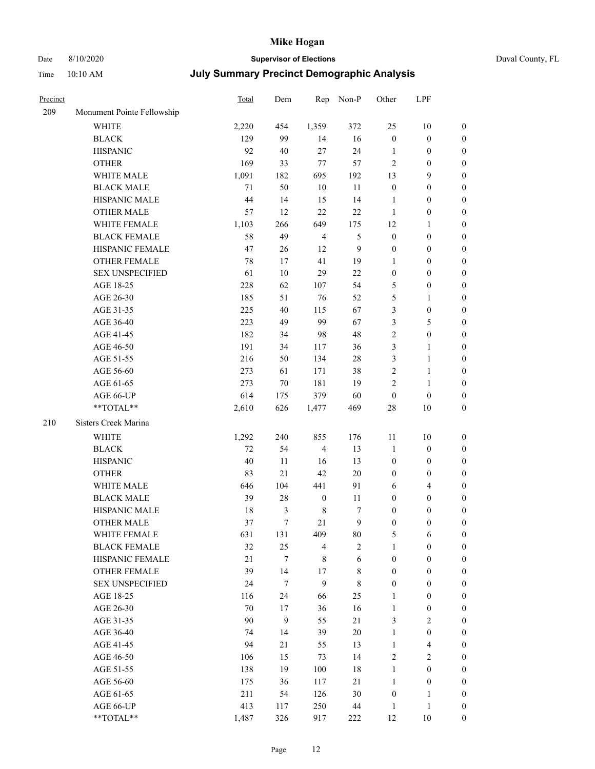# Date 8/10/2020 **Supervisor of Elections** Duval County, FL

| Precinct |                            | Total  | Dem        | Rep              | Non-P       | Other            | LPF                        |                                      |
|----------|----------------------------|--------|------------|------------------|-------------|------------------|----------------------------|--------------------------------------|
| 209      | Monument Pointe Fellowship |        |            |                  |             |                  |                            |                                      |
|          | <b>WHITE</b>               | 2,220  | 454        | 1,359            | 372         | 25               | $10\,$                     | $\boldsymbol{0}$                     |
|          | <b>BLACK</b>               | 129    | 99         | 14               | 16          | $\boldsymbol{0}$ | $\boldsymbol{0}$           | $\boldsymbol{0}$                     |
|          | <b>HISPANIC</b>            | 92     | 40         | 27               | 24          | 1                | $\boldsymbol{0}$           | $\boldsymbol{0}$                     |
|          | <b>OTHER</b>               | 169    | 33         | $77 \,$          | 57          | $\overline{c}$   | $\boldsymbol{0}$           | $\boldsymbol{0}$                     |
|          | WHITE MALE                 | 1,091  | 182        | 695              | 192         | 13               | $\mathbf{9}$               | $\boldsymbol{0}$                     |
|          | <b>BLACK MALE</b>          | 71     | 50         | $10\,$           | $11\,$      | $\boldsymbol{0}$ | $\boldsymbol{0}$           | $\boldsymbol{0}$                     |
|          | HISPANIC MALE              | 44     | 14         | 15               | 14          | $\mathbf{1}$     | $\boldsymbol{0}$           | $\boldsymbol{0}$                     |
|          | OTHER MALE                 | 57     | 12         | 22               | 22          | $\mathbf{1}$     | $\boldsymbol{0}$           | $\boldsymbol{0}$                     |
|          | WHITE FEMALE               | 1,103  | 266        | 649              | 175         | 12               | $\mathbf{1}$               | 0                                    |
|          | <b>BLACK FEMALE</b>        | 58     | 49         | $\overline{4}$   | 5           | $\boldsymbol{0}$ | $\boldsymbol{0}$           | 0                                    |
|          | HISPANIC FEMALE            | 47     | 26         | 12               | 9           | $\boldsymbol{0}$ | $\boldsymbol{0}$           | $\boldsymbol{0}$                     |
|          | OTHER FEMALE               | 78     | 17         | 41               | 19          | $\mathbf{1}$     | $\boldsymbol{0}$           | $\boldsymbol{0}$                     |
|          | <b>SEX UNSPECIFIED</b>     | 61     | $10\,$     | 29               | $22\,$      | $\boldsymbol{0}$ | $\boldsymbol{0}$           | $\boldsymbol{0}$                     |
|          | AGE 18-25                  | 228    | 62         | 107              | 54          | 5                | $\boldsymbol{0}$           | $\boldsymbol{0}$                     |
|          | AGE 26-30                  | 185    | 51         | 76               | 52          | 5                | $\mathbf{1}$               | $\boldsymbol{0}$                     |
|          | AGE 31-35                  | 225    | 40         | 115              | 67          | 3                | $\boldsymbol{0}$           | $\boldsymbol{0}$                     |
|          | AGE 36-40                  | 223    | 49         | 99               | 67          | 3                | 5                          | $\boldsymbol{0}$                     |
|          | AGE 41-45                  | 182    | 34         | 98               | 48          | $\overline{c}$   | $\boldsymbol{0}$           | $\boldsymbol{0}$                     |
|          | AGE 46-50                  | 191    | 34         | 117              | 36          | 3                | $\mathbf{1}$               | 0                                    |
|          | AGE 51-55                  | 216    | 50         | 134              | $28\,$      | 3                | $\mathbf{1}$               | 0                                    |
|          | AGE 56-60                  | 273    | 61         | 171              | 38          | $\sqrt{2}$       | $\mathbf{1}$               | $\boldsymbol{0}$                     |
|          | AGE 61-65                  | 273    | 70         | 181              | 19          | 2                | $\mathbf{1}$               | $\boldsymbol{0}$                     |
|          |                            | 614    |            | 379              | 60          | $\boldsymbol{0}$ |                            |                                      |
|          | AGE 66-UP<br>**TOTAL**     | 2,610  | 175<br>626 | 1,477            | 469         | 28               | $\boldsymbol{0}$<br>$10\,$ | $\boldsymbol{0}$<br>$\boldsymbol{0}$ |
|          |                            |        |            |                  |             |                  |                            |                                      |
| 210      | Sisters Creek Marina       |        |            |                  |             |                  |                            |                                      |
|          | WHITE                      | 1,292  | 240        | 855              | 176         | 11               | 10                         | $\boldsymbol{0}$                     |
|          | <b>BLACK</b>               | 72     | 54         | $\overline{4}$   | 13          | $\mathbf{1}$     | $\boldsymbol{0}$           | $\boldsymbol{0}$                     |
|          | <b>HISPANIC</b>            | 40     | 11         | 16               | 13          | $\boldsymbol{0}$ | $\boldsymbol{0}$           | $\boldsymbol{0}$                     |
|          | <b>OTHER</b>               | 83     | 21         | 42               | $20\,$      | $\boldsymbol{0}$ | $\boldsymbol{0}$           | $\boldsymbol{0}$                     |
|          | WHITE MALE                 | 646    | 104        | 441              | 91          | 6                | $\overline{4}$             | $\boldsymbol{0}$                     |
|          | <b>BLACK MALE</b>          | 39     | $28\,$     | $\boldsymbol{0}$ | 11          | $\boldsymbol{0}$ | $\boldsymbol{0}$           | $\boldsymbol{0}$                     |
|          | HISPANIC MALE              | 18     | 3          | $\,8\,$          | 7           | 0                | $\boldsymbol{0}$           | 0                                    |
|          | OTHER MALE                 | 37     | $\tau$     | 21               | 9           | $\boldsymbol{0}$ | $\boldsymbol{0}$           | $\boldsymbol{0}$                     |
|          | WHITE FEMALE               | 631    | 131        | 409              | $80\,$      | 5                | 6                          | $\boldsymbol{0}$                     |
|          | <b>BLACK FEMALE</b>        | 32     | 25         | $\overline{4}$   | $\sqrt{2}$  | $\mathbf{1}$     | $\boldsymbol{0}$           | $\overline{0}$                       |
|          | HISPANIC FEMALE            | 21     | 7          | 8                | $\sqrt{6}$  | $\boldsymbol{0}$ | $\boldsymbol{0}$           | $\overline{0}$                       |
|          | <b>OTHER FEMALE</b>        | 39     | 14         | 17               | $\,$ 8 $\,$ | $\boldsymbol{0}$ | $\boldsymbol{0}$           | $\overline{0}$                       |
|          | <b>SEX UNSPECIFIED</b>     | 24     | 7          | $\overline{9}$   | $\,$ 8 $\,$ | $\boldsymbol{0}$ | $\boldsymbol{0}$           | $\theta$                             |
|          | AGE 18-25                  | 116    | 24         | 66               | 25          | $\mathbf{1}$     | $\boldsymbol{0}$           | 0                                    |
|          | AGE 26-30                  | $70\,$ | 17         | 36               | 16          | $\mathbf{1}$     | $\boldsymbol{0}$           | 0                                    |
|          | AGE 31-35                  | 90     | 9          | 55               | $21\,$      | 3                | $\sqrt{2}$                 | 0                                    |
|          | AGE 36-40                  | 74     | 14         | 39               | 20          | $\mathbf{1}$     | $\boldsymbol{0}$           | 0                                    |
|          | AGE 41-45                  | 94     | 21         | 55               | 13          | $\mathbf{1}$     | $\overline{\mathbf{4}}$    | 0                                    |
|          | AGE 46-50                  | 106    | 15         | 73               | 14          | 2                | $\overline{2}$             | $\overline{0}$                       |
|          | AGE 51-55                  | 138    | 19         | 100              | 18          | $\mathbf{1}$     | $\boldsymbol{0}$           | $\boldsymbol{0}$                     |
|          | AGE 56-60                  | 175    | 36         | 117              | $21\,$      | $\mathbf{1}$     | $\boldsymbol{0}$           | $\overline{0}$                       |
|          | AGE 61-65                  | 211    | 54         | 126              | $30\,$      | $\boldsymbol{0}$ | $\mathbf{1}$               | 0                                    |
|          | AGE 66-UP                  | 413    | 117        | 250              | 44          | $\mathbf{1}$     | $\mathbf{1}$               | 0                                    |
|          | **TOTAL**                  | 1,487  | 326        | 917              | 222         | 12               | $10\,$                     | $\boldsymbol{0}$                     |
|          |                            |        |            |                  |             |                  |                            |                                      |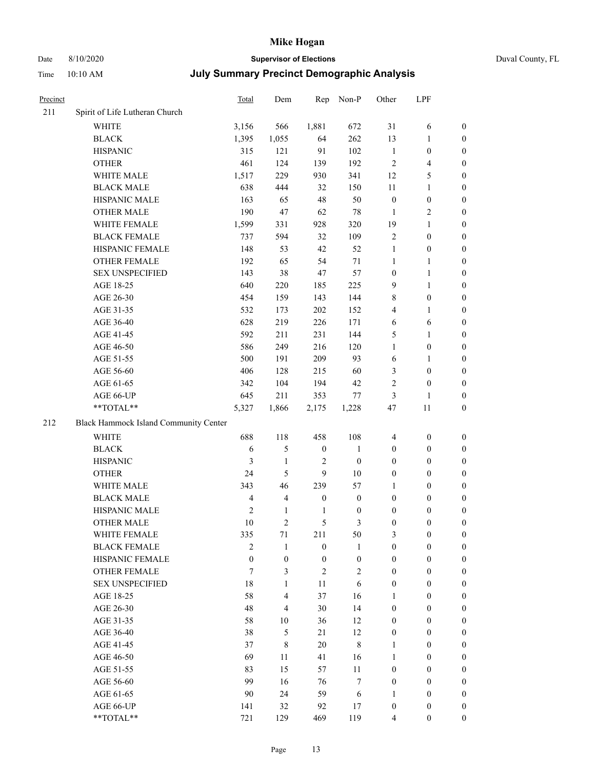# Date 8/10/2020 **Supervisor of Elections** Duval County, FL

| Precinct |                                       | <b>Total</b>   | Dem                      | Rep              | Non-P            | Other                   | LPF                     |                  |
|----------|---------------------------------------|----------------|--------------------------|------------------|------------------|-------------------------|-------------------------|------------------|
| 211      | Spirit of Life Lutheran Church        |                |                          |                  |                  |                         |                         |                  |
|          | <b>WHITE</b>                          | 3,156          | 566                      | 1,881            | 672              | 31                      | 6                       | 0                |
|          | <b>BLACK</b>                          | 1,395          | 1,055                    | 64               | 262              | 13                      | $\mathbf{1}$            | 0                |
|          | <b>HISPANIC</b>                       | 315            | 121                      | 91               | 102              | $\mathbf{1}$            | $\boldsymbol{0}$        | $\boldsymbol{0}$ |
|          | <b>OTHER</b>                          | 461            | 124                      | 139              | 192              | $\mathfrak{2}$          | $\overline{\mathbf{4}}$ | $\boldsymbol{0}$ |
|          | WHITE MALE                            | 1,517          | 229                      | 930              | 341              | 12                      | 5                       | $\boldsymbol{0}$ |
|          | <b>BLACK MALE</b>                     | 638            | 444                      | 32               | 150              | 11                      | $\mathbf{1}$            | $\boldsymbol{0}$ |
|          | HISPANIC MALE                         | 163            | 65                       | 48               | 50               | $\boldsymbol{0}$        | $\boldsymbol{0}$        | $\boldsymbol{0}$ |
|          | <b>OTHER MALE</b>                     | 190            | 47                       | 62               | $78\,$           | $\mathbf{1}$            | $\overline{2}$          | $\boldsymbol{0}$ |
|          | WHITE FEMALE                          | 1,599          | 331                      | 928              | 320              | 19                      | $\mathbf{1}$            | $\boldsymbol{0}$ |
|          | <b>BLACK FEMALE</b>                   | 737            | 594                      | 32               | 109              | $\sqrt{2}$              | $\boldsymbol{0}$        | 0                |
|          | HISPANIC FEMALE                       | 148            | 53                       | 42               | 52               | $\mathbf{1}$            | $\boldsymbol{0}$        | 0                |
|          | OTHER FEMALE                          | 192            | 65                       | 54               | 71               | 1                       | $\mathbf{1}$            | 0                |
|          | <b>SEX UNSPECIFIED</b>                | 143            | 38                       | 47               | 57               | $\boldsymbol{0}$        | $\mathbf{1}$            | $\boldsymbol{0}$ |
|          | AGE 18-25                             | 640            | 220                      | 185              | 225              | 9                       | $\mathbf{1}$            | $\boldsymbol{0}$ |
|          | AGE 26-30                             | 454            | 159                      | 143              | 144              | 8                       | $\boldsymbol{0}$        | $\boldsymbol{0}$ |
|          | AGE 31-35                             | 532            | 173                      | 202              | 152              | 4                       | 1                       | $\boldsymbol{0}$ |
|          | AGE 36-40                             | 628            | 219                      | 226              | 171              | 6                       | 6                       | $\boldsymbol{0}$ |
|          | AGE 41-45                             | 592            | 211                      | 231              | 144              | 5                       | $\mathbf{1}$            | $\boldsymbol{0}$ |
|          | AGE 46-50                             | 586            | 249                      | 216              | 120              | $\mathbf{1}$            | $\boldsymbol{0}$        | $\boldsymbol{0}$ |
|          | AGE 51-55                             | 500            | 191                      | 209              | 93               | 6                       | 1                       | 0                |
|          | AGE 56-60                             | 406            | 128                      | 215              | 60               | 3                       | $\boldsymbol{0}$        | 0                |
|          | AGE 61-65                             | 342            | 104                      | 194              | 42               | 2                       | $\boldsymbol{0}$        | 0                |
|          | AGE 66-UP                             | 645            | 211                      | 353              | 77               | 3                       | $\mathbf{1}$            | $\boldsymbol{0}$ |
|          | **TOTAL**                             | 5,327          | 1,866                    | 2,175            | 1,228            | 47                      | 11                      | $\boldsymbol{0}$ |
| 212      | Black Hammock Island Community Center |                |                          |                  |                  |                         |                         |                  |
|          | WHITE                                 | 688            | 118                      | 458              | 108              | $\overline{\mathbf{4}}$ | $\boldsymbol{0}$        | $\boldsymbol{0}$ |
|          | <b>BLACK</b>                          | 6              | 5                        | $\boldsymbol{0}$ | $\mathbf{1}$     | $\boldsymbol{0}$        | $\boldsymbol{0}$        | $\boldsymbol{0}$ |
|          | <b>HISPANIC</b>                       | 3              | $\mathbf{1}$             | $\sqrt{2}$       | $\boldsymbol{0}$ | $\boldsymbol{0}$        | $\boldsymbol{0}$        | $\boldsymbol{0}$ |
|          | <b>OTHER</b>                          | 24             | 5                        | 9                | 10               | $\boldsymbol{0}$        | $\boldsymbol{0}$        | $\boldsymbol{0}$ |
|          | WHITE MALE                            | 343            | 46                       | 239              | 57               | $\mathbf{1}$            | $\boldsymbol{0}$        | $\boldsymbol{0}$ |
|          | <b>BLACK MALE</b>                     | $\overline{4}$ | $\overline{4}$           | $\boldsymbol{0}$ | $\boldsymbol{0}$ | $\boldsymbol{0}$        | $\boldsymbol{0}$        | $\boldsymbol{0}$ |
|          | HISPANIC MALE                         | $\mathfrak{2}$ | $\mathbf{1}$             | 1                | $\boldsymbol{0}$ | $\boldsymbol{0}$        | $\boldsymbol{0}$        | 0                |
|          | OTHER MALE                            | 10             | $\overline{c}$           | 5                | 3                | $\boldsymbol{0}$        | $\boldsymbol{0}$        | $\boldsymbol{0}$ |
|          | WHITE FEMALE                          | 335            | 71                       | 211              | 50               | 3                       | $\boldsymbol{0}$        | 0                |
|          | <b>BLACK FEMALE</b>                   | $\overline{c}$ | 1                        | $\boldsymbol{0}$ | $\mathbf{1}$     | $\boldsymbol{0}$        | $\boldsymbol{0}$        | $\overline{0}$   |
|          | HISPANIC FEMALE                       | $\overline{0}$ | $\boldsymbol{0}$         | $\boldsymbol{0}$ | $\boldsymbol{0}$ | $\boldsymbol{0}$        | $\boldsymbol{0}$        | $\overline{0}$   |
|          | <b>OTHER FEMALE</b>                   | 7              | 3                        | $\overline{c}$   | $\sqrt{2}$       | $\boldsymbol{0}$        | $\boldsymbol{0}$        | $\overline{0}$   |
|          | <b>SEX UNSPECIFIED</b>                | 18             | $\mathbf{1}$             | 11               | 6                | $\boldsymbol{0}$        | $\boldsymbol{0}$        | $\overline{0}$   |
|          | AGE 18-25                             | 58             | 4                        | 37               | 16               | $\mathbf{1}$            | $\boldsymbol{0}$        | $\theta$         |
|          | AGE 26-30                             | 48             | $\overline{\mathcal{L}}$ | 30               | 14               | $\boldsymbol{0}$        | $\boldsymbol{0}$        | $\overline{0}$   |
|          | AGE 31-35                             | 58             | 10                       | 36               | 12               | $\boldsymbol{0}$        | $\boldsymbol{0}$        | 0                |
|          | AGE 36-40                             | 38             | 5                        | 21               | 12               | $\boldsymbol{0}$        | $\boldsymbol{0}$        | 0                |
|          | AGE 41-45                             | 37             | $\,$ 8 $\,$              | 20               | $\,8\,$          | $\mathbf{1}$            | $\boldsymbol{0}$        | 0                |
|          | AGE 46-50                             | 69             | 11                       | 41               | 16               | $\mathbf{1}$            | $\boldsymbol{0}$        | 0                |
|          | AGE 51-55                             | 83             | 15                       | 57               | 11               | $\boldsymbol{0}$        | $\boldsymbol{0}$        | $\overline{0}$   |
|          | AGE 56-60                             | 99             | 16                       | 76               | 7                | $\boldsymbol{0}$        | $\boldsymbol{0}$        | $\overline{0}$   |
|          | AGE 61-65                             | 90             | 24                       | 59               | 6                | 1                       | $\boldsymbol{0}$        | $\overline{0}$   |
|          | AGE 66-UP                             | 141            | 32                       | 92               | 17               | $\boldsymbol{0}$        | $\boldsymbol{0}$        | 0                |
|          | **TOTAL**                             | 721            | 129                      | 469              | 119              | 4                       | $\boldsymbol{0}$        | $\overline{0}$   |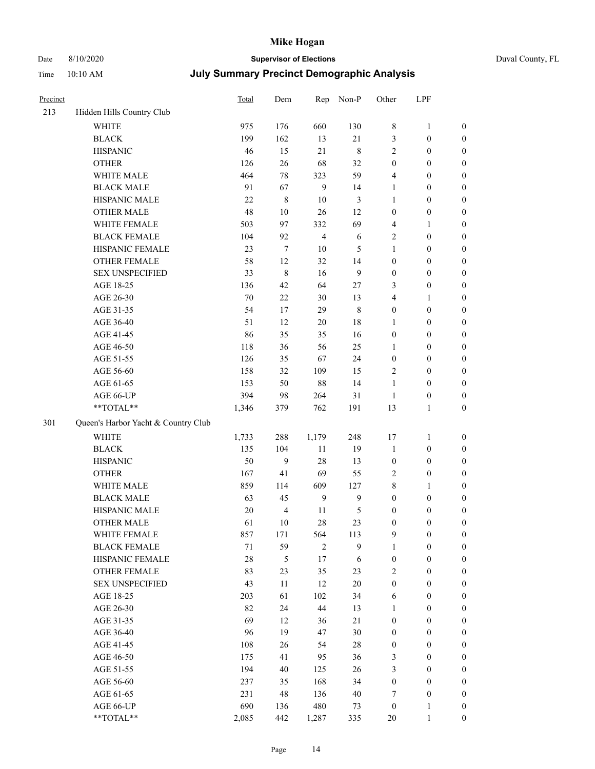# Date 8/10/2020 **Supervisor of Elections** Duval County, FL

| Precinct |                                                             | <b>Total</b> | Dem              |                  | Rep Non-P        | Other                   | LPF              |                  |
|----------|-------------------------------------------------------------|--------------|------------------|------------------|------------------|-------------------------|------------------|------------------|
| 213      | Hidden Hills Country Club                                   |              |                  |                  |                  |                         |                  |                  |
|          | <b>WHITE</b>                                                | 975          | 176              | 660              | 130              | 8                       | $\mathbf{1}$     | 0                |
|          | <b>BLACK</b>                                                | 199          | 162              | 13               | $21\,$           | 3                       | $\boldsymbol{0}$ | 0                |
|          | <b>HISPANIC</b>                                             | 46           | 15               | 21               | $\,$ 8 $\,$      | 2                       | $\boldsymbol{0}$ | $\boldsymbol{0}$ |
|          | <b>OTHER</b>                                                | 126          | 26               | 68               | 32               | $\boldsymbol{0}$        | $\boldsymbol{0}$ | $\boldsymbol{0}$ |
|          | WHITE MALE                                                  | 464          | 78               | 323              | 59               | 4                       | $\boldsymbol{0}$ | $\boldsymbol{0}$ |
|          | <b>BLACK MALE</b>                                           | 91           | 67               | $\boldsymbol{9}$ | 14               | 1                       | $\boldsymbol{0}$ | $\boldsymbol{0}$ |
|          | HISPANIC MALE                                               | 22           | $\,$ 8 $\,$      | 10               | $\mathfrak{Z}$   | 1                       | $\boldsymbol{0}$ | $\boldsymbol{0}$ |
|          | <b>OTHER MALE</b>                                           | 48           | 10               | 26               | 12               | $\boldsymbol{0}$        | $\boldsymbol{0}$ | $\boldsymbol{0}$ |
|          | WHITE FEMALE                                                | 503          | 97               | 332              | 69               | 4                       | 1                | $\boldsymbol{0}$ |
|          | <b>BLACK FEMALE</b>                                         | 104          | 92               | $\overline{4}$   | 6                | 2                       | $\boldsymbol{0}$ | $\boldsymbol{0}$ |
|          | HISPANIC FEMALE                                             | 23           | $\boldsymbol{7}$ | 10               | 5                | $\mathbf{1}$            | $\boldsymbol{0}$ | 0                |
|          | OTHER FEMALE                                                | 58           | 12               | 32               | 14               | $\boldsymbol{0}$        | $\boldsymbol{0}$ | 0                |
|          | <b>SEX UNSPECIFIED</b>                                      | 33           | $\,$ 8 $\,$      | 16               | 9                | $\boldsymbol{0}$        | $\boldsymbol{0}$ | $\boldsymbol{0}$ |
|          | AGE 18-25                                                   | 136          | 42               | 64               | 27               | 3                       | $\boldsymbol{0}$ | $\boldsymbol{0}$ |
|          | AGE 26-30                                                   | 70           | $22\,$           | 30               | 13               | 4                       | 1                | $\boldsymbol{0}$ |
|          | AGE 31-35                                                   | 54           | 17               | 29               | $\,$ 8 $\,$      | 0                       | $\boldsymbol{0}$ | $\boldsymbol{0}$ |
|          | AGE 36-40                                                   | 51           | 12               | 20               | 18               | 1                       | $\boldsymbol{0}$ | $\boldsymbol{0}$ |
|          | AGE 41-45                                                   | 86           | 35               | 35               | 16               | 0                       | $\boldsymbol{0}$ | $\boldsymbol{0}$ |
|          | AGE 46-50                                                   | 118          | 36               | 56               | 25               | 1                       | $\boldsymbol{0}$ | $\boldsymbol{0}$ |
|          | AGE 51-55                                                   | 126          | 35               | 67               | 24               | $\boldsymbol{0}$        | $\boldsymbol{0}$ | 0                |
|          | AGE 56-60                                                   | 158          | 32               | 109              | 15               | 2                       | $\boldsymbol{0}$ | 0                |
|          | AGE 61-65                                                   | 153          | 50               | 88               | 14               | $\mathbf{1}$            | $\boldsymbol{0}$ | 0                |
|          | AGE 66-UP                                                   | 394          | 98               | 264              | 31               | $\mathbf{1}$            | $\boldsymbol{0}$ | $\boldsymbol{0}$ |
|          | $\mathrm{*}\mathrm{*} \mathrm{TOTAL} \mathrm{*} \mathrm{*}$ | 1,346        | 379              | 762              | 191              | 13                      | $\mathbf{1}$     | $\boldsymbol{0}$ |
| 301      | Queen's Harbor Yacht & Country Club                         |              |                  |                  |                  |                         |                  |                  |
|          | <b>WHITE</b>                                                | 1,733        | 288              | 1,179            | 248              | 17                      | 1                | $\boldsymbol{0}$ |
|          | <b>BLACK</b>                                                | 135          | 104              | 11               | 19               | $\mathbf{1}$            | $\boldsymbol{0}$ | $\boldsymbol{0}$ |
|          | <b>HISPANIC</b>                                             | 50           | $\boldsymbol{9}$ | 28               | 13               | $\boldsymbol{0}$        | $\boldsymbol{0}$ | $\boldsymbol{0}$ |
|          | <b>OTHER</b>                                                | 167          | 41               | 69               | 55               | 2                       | $\boldsymbol{0}$ | $\boldsymbol{0}$ |
|          | WHITE MALE                                                  | 859          | 114              | 609              | 127              | 8                       | $\mathbf{1}$     | $\boldsymbol{0}$ |
|          | <b>BLACK MALE</b>                                           | 63           | 45               | $\mathbf{9}$     | $\boldsymbol{9}$ | $\boldsymbol{0}$        | $\boldsymbol{0}$ | $\boldsymbol{0}$ |
|          | HISPANIC MALE                                               | 20           | $\overline{4}$   | 11               | $\mathfrak s$    | 0                       | $\boldsymbol{0}$ | $\boldsymbol{0}$ |
|          | <b>OTHER MALE</b>                                           | 61           | 10               | 28               | 23               | 0                       | $\boldsymbol{0}$ | $\boldsymbol{0}$ |
|          | WHITE FEMALE                                                | 857          | 171              | 564              | 113              | 9                       | $\boldsymbol{0}$ | 0                |
|          | <b>BLACK FEMALE</b>                                         | $71\,$       | 59               | $\overline{2}$   | $\boldsymbol{9}$ | 1                       | $\boldsymbol{0}$ | $\boldsymbol{0}$ |
|          | HISPANIC FEMALE                                             | 28           | $\mathfrak s$    | 17               | 6                | $\boldsymbol{0}$        | $\boldsymbol{0}$ | $\overline{0}$   |
|          | <b>OTHER FEMALE</b>                                         | 83           | 23               | 35               | 23               | $\overline{\mathbf{c}}$ | $\boldsymbol{0}$ | $\overline{0}$   |
|          | <b>SEX UNSPECIFIED</b>                                      | 43           | 11               | 12               | 20               | $\boldsymbol{0}$        | $\boldsymbol{0}$ | $\overline{0}$   |
|          | AGE 18-25                                                   | 203          | 61               | 102              | 34               | 6                       | $\boldsymbol{0}$ | $\overline{0}$   |
|          | AGE 26-30                                                   | 82           | 24               | 44               | 13               | 1                       | $\boldsymbol{0}$ | $\overline{0}$   |
|          | AGE 31-35                                                   | 69           | 12               | 36               | $21\,$           | 0                       | $\boldsymbol{0}$ | $\overline{0}$   |
|          | AGE 36-40                                                   | 96           | 19               | 47               | 30               | 0                       | $\boldsymbol{0}$ | 0                |
|          | AGE 41-45                                                   | 108          | 26               | 54               | 28               | $\boldsymbol{0}$        | $\boldsymbol{0}$ | 0                |
|          | AGE 46-50                                                   | 175          | 41               | 95               | 36               | 3                       | $\boldsymbol{0}$ | $\boldsymbol{0}$ |
|          | AGE 51-55                                                   | 194          | 40               | 125              | 26               | 3                       | $\boldsymbol{0}$ | $\overline{0}$   |
|          | AGE 56-60                                                   | 237          | 35               | 168              | 34               | $\boldsymbol{0}$        | $\boldsymbol{0}$ | $\overline{0}$   |
|          | AGE 61-65                                                   | 231          | 48               | 136              | 40               | 7                       | $\boldsymbol{0}$ | $\overline{0}$   |
|          | AGE 66-UP                                                   | 690          | 136              | 480              | 73               | $\boldsymbol{0}$        | $\mathbf{1}$     | 0                |
|          | **TOTAL**                                                   | 2,085        | 442              | 1,287            | 335              | $20\,$                  | $\mathbf{1}$     | $\overline{0}$   |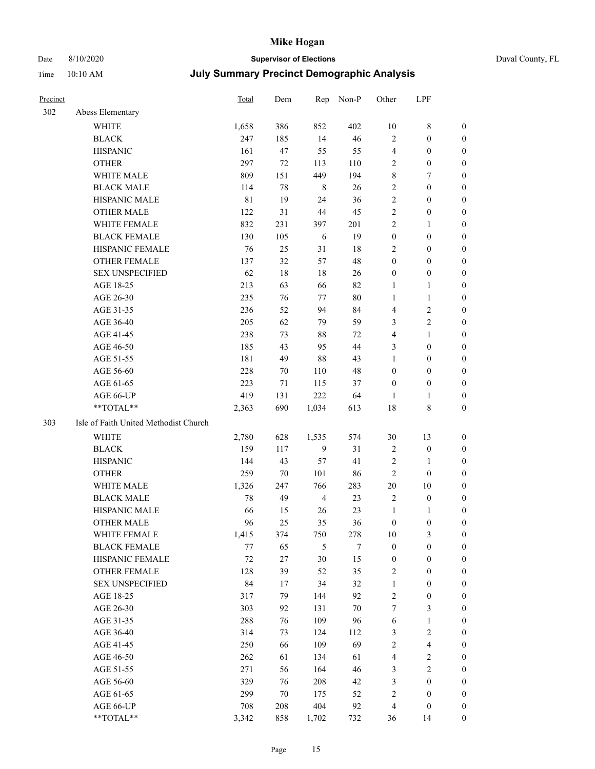## Date 8/10/2020 **Supervisor of Elections** Duval County, FL

| Precinct |                                       | Total       | Dem | Rep            | Non-P  | Other            | LPF                     |                  |
|----------|---------------------------------------|-------------|-----|----------------|--------|------------------|-------------------------|------------------|
| 302      | Abess Elementary                      |             |     |                |        |                  |                         |                  |
|          | <b>WHITE</b>                          | 1,658       | 386 | 852            | 402    | $10\,$           | $\,$ 8 $\,$             | 0                |
|          | <b>BLACK</b>                          | 247         | 185 | 14             | 46     | $\mathbf{2}$     | $\boldsymbol{0}$        | 0                |
|          | <b>HISPANIC</b>                       | 161         | 47  | 55             | 55     | 4                | $\boldsymbol{0}$        | $\boldsymbol{0}$ |
|          | <b>OTHER</b>                          | 297         | 72  | 113            | 110    | 2                | $\boldsymbol{0}$        | $\boldsymbol{0}$ |
|          | WHITE MALE                            | 809         | 151 | 449            | 194    | 8                | 7                       | $\boldsymbol{0}$ |
|          | <b>BLACK MALE</b>                     | 114         | 78  | $\,8\,$        | 26     | $\sqrt{2}$       | $\boldsymbol{0}$        | $\boldsymbol{0}$ |
|          | HISPANIC MALE                         | $8\sqrt{1}$ | 19  | 24             | 36     | $\overline{c}$   | $\boldsymbol{0}$        | $\boldsymbol{0}$ |
|          | <b>OTHER MALE</b>                     | 122         | 31  | 44             | 45     | 2                | $\boldsymbol{0}$        | $\boldsymbol{0}$ |
|          | WHITE FEMALE                          | 832         | 231 | 397            | 201    | 2                | $\mathbf{1}$            | $\boldsymbol{0}$ |
|          | <b>BLACK FEMALE</b>                   | 130         | 105 | 6              | 19     | $\boldsymbol{0}$ | $\boldsymbol{0}$        | 0                |
|          | HISPANIC FEMALE                       | 76          | 25  | 31             | $18\,$ | 2                | $\boldsymbol{0}$        | 0                |
|          | <b>OTHER FEMALE</b>                   | 137         | 32  | 57             | 48     | $\boldsymbol{0}$ | $\boldsymbol{0}$        | $\boldsymbol{0}$ |
|          | <b>SEX UNSPECIFIED</b>                | 62          | 18  | 18             | 26     | $\boldsymbol{0}$ | $\boldsymbol{0}$        | $\boldsymbol{0}$ |
|          | AGE 18-25                             | 213         | 63  | 66             | 82     | 1                | $\mathbf{1}$            | $\boldsymbol{0}$ |
|          | AGE 26-30                             | 235         | 76  | 77             | $80\,$ | $\mathbf{1}$     | $\mathbf{1}$            | $\boldsymbol{0}$ |
|          | AGE 31-35                             | 236         | 52  | 94             | 84     | 4                | $\sqrt{2}$              | $\boldsymbol{0}$ |
|          | AGE 36-40                             | 205         | 62  | 79             | 59     | 3                | $\sqrt{2}$              | $\boldsymbol{0}$ |
|          | AGE 41-45                             | 238         | 73  | 88             | 72     | 4                | $\mathbf{1}$            | $\boldsymbol{0}$ |
|          | AGE 46-50                             | 185         | 43  | 95             | 44     | 3                | $\boldsymbol{0}$        | $\boldsymbol{0}$ |
|          | AGE 51-55                             | 181         | 49  | 88             | 43     | $\mathbf{1}$     | $\boldsymbol{0}$        | 0                |
|          | AGE 56-60                             | 228         | 70  | 110            | 48     | $\boldsymbol{0}$ | $\boldsymbol{0}$        | 0                |
|          | AGE 61-65                             | 223         | 71  | 115            | 37     | $\boldsymbol{0}$ | $\boldsymbol{0}$        | 0                |
|          | AGE 66-UP                             | 419         | 131 | 222            | 64     | 1                | $\mathbf{1}$            | $\boldsymbol{0}$ |
|          | **TOTAL**                             | 2,363       | 690 | 1,034          | 613    | 18               | 8                       | $\boldsymbol{0}$ |
| 303      | Isle of Faith United Methodist Church |             |     |                |        |                  |                         |                  |
|          | <b>WHITE</b>                          | 2,780       | 628 | 1,535          | 574    | 30               | 13                      | $\boldsymbol{0}$ |
|          | <b>BLACK</b>                          | 159         | 117 | $\mathbf{9}$   | 31     | $\sqrt{2}$       | $\boldsymbol{0}$        | $\boldsymbol{0}$ |
|          | <b>HISPANIC</b>                       | 144         | 43  | 57             | 41     | 2                | $\mathbf{1}$            | $\boldsymbol{0}$ |
|          | <b>OTHER</b>                          | 259         | 70  | 101            | 86     | $\overline{c}$   | $\boldsymbol{0}$        | $\boldsymbol{0}$ |
|          | WHITE MALE                            | 1,326       | 247 | 766            | 283    | $20\,$           | $10\,$                  | $\boldsymbol{0}$ |
|          | <b>BLACK MALE</b>                     | $78\,$      | 49  | $\overline{4}$ | 23     | $\mathfrak{2}$   | $\boldsymbol{0}$        | $\boldsymbol{0}$ |
|          | HISPANIC MALE                         | 66          | 15  | 26             | 23     | $\mathbf{1}$     | 1                       | 0                |
|          | <b>OTHER MALE</b>                     | 96          | 25  | 35             | 36     | $\boldsymbol{0}$ | $\boldsymbol{0}$        | $\boldsymbol{0}$ |
|          | WHITE FEMALE                          | 1,415       | 374 | 750            | 278    | 10               | 3                       | 0                |
|          | <b>BLACK FEMALE</b>                   | 77          | 65  | 5              | 7      | $\boldsymbol{0}$ | $\boldsymbol{0}$        | $\boldsymbol{0}$ |
|          | HISPANIC FEMALE                       | $72\,$      | 27  | 30             | 15     | $\boldsymbol{0}$ | $\boldsymbol{0}$        | $\overline{0}$   |
|          | OTHER FEMALE                          | 128         | 39  | 52             | 35     | $\sqrt{2}$       | $\boldsymbol{0}$        | $\overline{0}$   |
|          | <b>SEX UNSPECIFIED</b>                | 84          | 17  | 34             | 32     | $\mathbf{1}$     | $\boldsymbol{0}$        | 0                |
|          | AGE 18-25                             | 317         | 79  | 144            | 92     | $\sqrt{2}$       | $\boldsymbol{0}$        | $\theta$         |
|          | AGE 26-30                             | 303         | 92  | 131            | $70\,$ | 7                | $\mathfrak{Z}$          | 0                |
|          | AGE 31-35                             | 288         | 76  | 109            | 96     | 6                | $\mathbf{1}$            | 0                |
|          | AGE 36-40                             | 314         | 73  | 124            | 112    | 3                | $\sqrt{2}$              | 0                |
|          | AGE 41-45                             | 250         | 66  | 109            | 69     | 2                | $\overline{\mathbf{4}}$ | 0                |
|          | AGE 46-50                             | 262         | 61  | 134            | 61     | 4                | $\sqrt{2}$              | 0                |
|          | AGE 51-55                             | 271         | 56  | 164            | 46     | 3                | $\overline{2}$          | $\overline{0}$   |
|          | AGE 56-60                             | 329         | 76  | 208            | 42     | 3                | $\boldsymbol{0}$        | $\overline{0}$   |
|          | AGE 61-65                             | 299         | 70  | 175            | 52     | $\overline{c}$   | $\boldsymbol{0}$        | $\overline{0}$   |
|          | AGE 66-UP                             | 708         | 208 | 404            | 92     | 4                | $\boldsymbol{0}$        | $\boldsymbol{0}$ |
|          | **TOTAL**                             | 3,342       | 858 | 1,702          | 732    | 36               | 14                      | $\boldsymbol{0}$ |
|          |                                       |             |     |                |        |                  |                         |                  |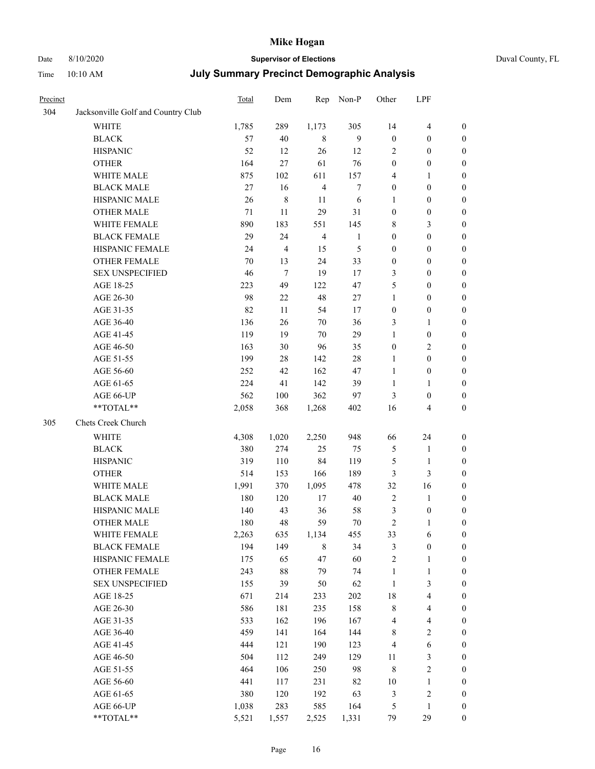# Date 8/10/2020 **Supervisor of Elections** Duval County, FL

| Time | $10:10~\mathrm{AM}$ | <b>July Summary Precinct Demographic Analysis</b> |
|------|---------------------|---------------------------------------------------|
|      |                     |                                                   |

| Precinct |                                    | Total  | Dem            | Rep                     | Non-P            | Other            | LPF              |                  |
|----------|------------------------------------|--------|----------------|-------------------------|------------------|------------------|------------------|------------------|
| 304      | Jacksonville Golf and Country Club |        |                |                         |                  |                  |                  |                  |
|          | <b>WHITE</b>                       | 1,785  | 289            | 1,173                   | 305              | 14               | $\overline{4}$   | $\boldsymbol{0}$ |
|          | <b>BLACK</b>                       | 57     | $40\,$         | $\,$ 8 $\,$             | $\boldsymbol{9}$ | $\boldsymbol{0}$ | $\boldsymbol{0}$ | $\boldsymbol{0}$ |
|          | <b>HISPANIC</b>                    | 52     | 12             | 26                      | 12               | 2                | $\boldsymbol{0}$ | $\boldsymbol{0}$ |
|          | <b>OTHER</b>                       | 164    | 27             | 61                      | 76               | $\boldsymbol{0}$ | $\boldsymbol{0}$ | $\boldsymbol{0}$ |
|          | WHITE MALE                         | 875    | 102            | 611                     | 157              | 4                | $\mathbf{1}$     | 0                |
|          | <b>BLACK MALE</b>                  | $27\,$ | 16             | $\overline{4}$          | $\boldsymbol{7}$ | $\mathbf{0}$     | $\boldsymbol{0}$ | 0                |
|          | HISPANIC MALE                      | 26     | $\,8\,$        | 11                      | 6                | $\mathbf{1}$     | $\boldsymbol{0}$ | $\boldsymbol{0}$ |
|          | OTHER MALE                         | 71     | 11             | 29                      | 31               | $\boldsymbol{0}$ | $\boldsymbol{0}$ | $\boldsymbol{0}$ |
|          | WHITE FEMALE                       | 890    | 183            | 551                     | 145              | $\,$ 8 $\,$      | 3                | $\boldsymbol{0}$ |
|          | <b>BLACK FEMALE</b>                | 29     | 24             | $\overline{\mathbf{4}}$ | 1                | $\boldsymbol{0}$ | $\boldsymbol{0}$ | $\boldsymbol{0}$ |
|          | HISPANIC FEMALE                    | 24     | $\overline{4}$ | 15                      | 5                | $\boldsymbol{0}$ | $\boldsymbol{0}$ | $\boldsymbol{0}$ |
|          | OTHER FEMALE                       | 70     | 13             | 24                      | 33               | $\boldsymbol{0}$ | $\boldsymbol{0}$ | $\boldsymbol{0}$ |
|          | <b>SEX UNSPECIFIED</b>             | 46     | $\tau$         | 19                      | 17               | 3                | $\boldsymbol{0}$ | $\boldsymbol{0}$ |
|          | AGE 18-25                          | 223    | 49             | 122                     | 47               | 5                | $\boldsymbol{0}$ | $\boldsymbol{0}$ |
|          | AGE 26-30                          | 98     | $22\,$         | 48                      | 27               | $\mathbf{1}$     | $\boldsymbol{0}$ | $\boldsymbol{0}$ |
|          | AGE 31-35                          | 82     | 11             | 54                      | 17               | $\boldsymbol{0}$ | $\boldsymbol{0}$ | 0                |
|          | AGE 36-40                          | 136    | 26             | $70\,$                  | 36               | 3                | $\mathbf{1}$     | 0                |
|          | AGE 41-45                          | 119    | 19             | 70                      | 29               | $\mathbf{1}$     | $\boldsymbol{0}$ | $\boldsymbol{0}$ |
|          | AGE 46-50                          | 163    | 30             | 96                      | 35               | $\boldsymbol{0}$ | $\sqrt{2}$       | $\boldsymbol{0}$ |
|          | AGE 51-55                          | 199    | $28\,$         | 142                     | 28               | $\mathbf{1}$     | $\boldsymbol{0}$ | $\boldsymbol{0}$ |
|          | AGE 56-60                          | 252    | 42             | 162                     | 47               | $\mathbf{1}$     | $\boldsymbol{0}$ | $\boldsymbol{0}$ |
|          | AGE 61-65                          | 224    | 41             | 142                     | 39               | $\mathbf{1}$     | $\mathbf{1}$     | $\boldsymbol{0}$ |
|          | AGE 66-UP                          | 562    | 100            | 362                     | 97               | 3                | $\boldsymbol{0}$ | 0                |
|          | **TOTAL**                          | 2,058  | 368            | 1,268                   | 402              | 16               | 4                | $\boldsymbol{0}$ |
| 305      | Chets Creek Church                 |        |                |                         |                  |                  |                  |                  |
|          | WHITE                              | 4,308  | 1,020          | 2,250                   | 948              | 66               | 24               | $\boldsymbol{0}$ |
|          | <b>BLACK</b>                       | 380    | 274            | 25                      | 75               | $\mathfrak{S}$   | $\mathbf{1}$     | 0                |
|          | <b>HISPANIC</b>                    | 319    | 110            | 84                      | 119              | 5                | $\mathbf{1}$     | 0                |
|          | <b>OTHER</b>                       | 514    | 153            | 166                     | 189              | 3                | $\mathfrak{Z}$   | 0                |
|          | WHITE MALE                         | 1,991  | 370            | 1,095                   | 478              | 32               | 16               | $\boldsymbol{0}$ |
|          | <b>BLACK MALE</b>                  | 180    | 120            | 17                      | 40               | $\sqrt{2}$       | $\mathbf{1}$     | $\boldsymbol{0}$ |
|          | HISPANIC MALE                      | 140    | 43             | 36                      | 58               | 3                | $\boldsymbol{0}$ | $\boldsymbol{0}$ |
|          | <b>OTHER MALE</b>                  | 180    | 48             | 59                      | $70\,$           | $\overline{c}$   | $\mathbf{1}$     | $\boldsymbol{0}$ |
|          | WHITE FEMALE                       | 2,263  | 635            | 1,134                   | 455              | 33               | 6                | $\overline{0}$   |
|          | <b>BLACK FEMALE</b>                | 194    | 149            | $\,$ 8 $\,$             | 34               | 3                | $\boldsymbol{0}$ | 0                |
|          | HISPANIC FEMALE                    | 175    | 65             | 47                      | 60               | $\overline{c}$   | $\mathbf{1}$     | 0                |
|          | <b>OTHER FEMALE</b>                | 243    | 88             | 79                      | 74               | $\mathbf{1}$     | $\mathbf{1}$     | 0                |
|          | <b>SEX UNSPECIFIED</b>             | 155    | 39             | 50                      | 62               | $\mathbf{1}$     | 3                | 0                |
|          | AGE 18-25                          | 671    | 214            | 233                     | 202              | $18\,$           | $\overline{4}$   | 0                |
|          | AGE 26-30                          | 586    | 181            | 235                     | 158              | 8                | $\overline{4}$   | 0                |
|          | AGE 31-35                          | 533    | 162            | 196                     | 167              | 4                | $\overline{4}$   | $\boldsymbol{0}$ |
|          | AGE 36-40                          | 459    | 141            | 164                     | 144              | 8                | $\sqrt{2}$       | $\boldsymbol{0}$ |
|          | AGE 41-45                          | 444    | 121            | 190                     | 123              | 4                | 6                | 0                |
|          | AGE 46-50                          | 504    | 112            | 249                     | 129              | 11               | 3                | $\overline{0}$   |
|          | AGE 51-55                          | 464    | 106            | 250                     | 98               | 8                | $\sqrt{2}$       | $\overline{0}$   |
|          | AGE 56-60                          | 441    | 117            | 231                     | 82               | $10\,$           | $\mathbf{1}$     | 0                |
|          | AGE 61-65                          | 380    | 120            | 192                     | 63               | $\mathfrak{Z}$   | $\sqrt{2}$       | 0                |
|          | AGE 66-UP                          | 1,038  | 283            | 585                     | 164              | 5                | $\mathbf{1}$     | 0                |
|          | **TOTAL**                          | 5,521  | 1,557          | 2,525                   | 1,331            | 79               | 29               | $\boldsymbol{0}$ |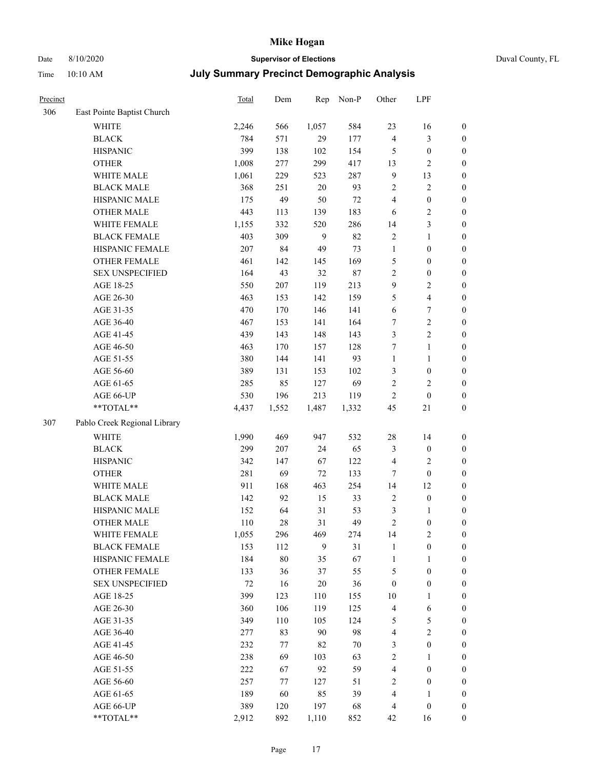# Date 8/10/2020 **Supervisor of Elections** Duval County, FL

| Precinct |                              | Total | Dem    | Rep    | Non-P  | Other            | LPF                     |                  |
|----------|------------------------------|-------|--------|--------|--------|------------------|-------------------------|------------------|
| 306      | East Pointe Baptist Church   |       |        |        |        |                  |                         |                  |
|          | <b>WHITE</b>                 | 2,246 | 566    | 1,057  | 584    | 23               | 16                      | $\boldsymbol{0}$ |
|          | <b>BLACK</b>                 | 784   | 571    | 29     | 177    | 4                | $\mathfrak{Z}$          | $\boldsymbol{0}$ |
|          | <b>HISPANIC</b>              | 399   | 138    | 102    | 154    | 5                | $\boldsymbol{0}$        | $\boldsymbol{0}$ |
|          | <b>OTHER</b>                 | 1,008 | 277    | 299    | 417    | 13               | $\sqrt{2}$              | $\boldsymbol{0}$ |
|          | WHITE MALE                   | 1,061 | 229    | 523    | 287    | $\overline{9}$   | 13                      | $\boldsymbol{0}$ |
|          | <b>BLACK MALE</b>            | 368   | 251    | $20\,$ | 93     | $\overline{c}$   | $\sqrt{2}$              | $\boldsymbol{0}$ |
|          | HISPANIC MALE                | 175   | 49     | 50     | $72\,$ | $\overline{4}$   | $\boldsymbol{0}$        | $\boldsymbol{0}$ |
|          | <b>OTHER MALE</b>            | 443   | 113    | 139    | 183    | 6                | $\sqrt{2}$              | $\boldsymbol{0}$ |
|          | WHITE FEMALE                 | 1,155 | 332    | 520    | 286    | 14               | $\mathfrak{Z}$          | $\boldsymbol{0}$ |
|          | <b>BLACK FEMALE</b>          | 403   | 309    | 9      | 82     | $\overline{c}$   | $\mathbf{1}$            | 0                |
|          | HISPANIC FEMALE              | 207   | 84     | 49     | 73     | $\mathbf{1}$     | $\boldsymbol{0}$        | $\boldsymbol{0}$ |
|          | OTHER FEMALE                 | 461   | 142    | 145    | 169    | 5                | $\boldsymbol{0}$        | $\boldsymbol{0}$ |
|          | <b>SEX UNSPECIFIED</b>       | 164   | 43     | 32     | 87     | $\sqrt{2}$       | $\boldsymbol{0}$        | $\boldsymbol{0}$ |
|          | AGE 18-25                    | 550   | 207    | 119    | 213    | 9                | $\sqrt{2}$              | $\boldsymbol{0}$ |
|          | AGE 26-30                    | 463   | 153    | 142    | 159    | 5                | $\overline{\mathbf{4}}$ | $\boldsymbol{0}$ |
|          | AGE 31-35                    | 470   | 170    | 146    | 141    | $\sqrt{6}$       | $\boldsymbol{7}$        | $\boldsymbol{0}$ |
|          | AGE 36-40                    | 467   | 153    | 141    | 164    | $\tau$           | $\sqrt{2}$              | $\boldsymbol{0}$ |
|          | AGE 41-45                    | 439   | 143    | 148    | 143    | $\mathfrak{Z}$   | $\sqrt{2}$              | $\boldsymbol{0}$ |
|          | AGE 46-50                    | 463   | 170    | 157    | 128    | 7                | $\mathbf{1}$            | $\boldsymbol{0}$ |
|          | AGE 51-55                    | 380   | 144    | 141    | 93     | $\mathbf{1}$     | $\mathbf{1}$            | 0                |
|          | AGE 56-60                    | 389   | 131    | 153    | 102    | 3                | $\boldsymbol{0}$        | $\boldsymbol{0}$ |
|          | AGE 61-65                    | 285   | 85     | 127    | 69     | $\sqrt{2}$       | $\mathbf{2}$            | $\boldsymbol{0}$ |
|          | AGE 66-UP                    | 530   | 196    | 213    | 119    | $\overline{c}$   | $\boldsymbol{0}$        | $\boldsymbol{0}$ |
|          | $**TOTAL**$                  | 4,437 | 1,552  | 1,487  | 1,332  | 45               | 21                      | $\boldsymbol{0}$ |
| 307      | Pablo Creek Regional Library |       |        |        |        |                  |                         |                  |
|          | <b>WHITE</b>                 | 1,990 | 469    | 947    | 532    | 28               | 14                      | $\boldsymbol{0}$ |
|          | <b>BLACK</b>                 | 299   | 207    | 24     | 65     | 3                | $\boldsymbol{0}$        | $\boldsymbol{0}$ |
|          | <b>HISPANIC</b>              | 342   | 147    | 67     | 122    | 4                | $\sqrt{2}$              | $\boldsymbol{0}$ |
|          | <b>OTHER</b>                 | 281   | 69     | 72     | 133    | $\tau$           | $\boldsymbol{0}$        | $\boldsymbol{0}$ |
|          | WHITE MALE                   | 911   | 168    | 463    | 254    | 14               | 12                      | $\boldsymbol{0}$ |
|          | <b>BLACK MALE</b>            | 142   | 92     | 15     | 33     | $\sqrt{2}$       | $\boldsymbol{0}$        | $\boldsymbol{0}$ |
|          | HISPANIC MALE                | 152   | 64     | 31     | 53     | 3                | $\mathbf{1}$            | 0                |
|          | <b>OTHER MALE</b>            | 110   | 28     | 31     | 49     | $\mathfrak{2}$   | $\boldsymbol{0}$        | $\boldsymbol{0}$ |
|          | WHITE FEMALE                 | 1,055 | 296    | 469    | 274    | 14               | $\sqrt{2}$              | 0                |
|          | <b>BLACK FEMALE</b>          | 153   | 112    | 9      | 31     | $\mathbf{1}$     | $\boldsymbol{0}$        | $\overline{0}$   |
|          | HISPANIC FEMALE              | 184   | $80\,$ | 35     | 67     | $\mathbf{1}$     | $\mathbf{1}$            | $\overline{0}$   |
|          | <b>OTHER FEMALE</b>          | 133   | 36     | 37     | 55     | 5                | $\boldsymbol{0}$        | 0                |
|          | <b>SEX UNSPECIFIED</b>       | 72    | 16     | $20\,$ | 36     | $\boldsymbol{0}$ | $\boldsymbol{0}$        | 0                |
|          | AGE 18-25                    | 399   | 123    | 110    | 155    | $10\,$           | $\mathbf{1}$            | 0                |
|          | AGE 26-30                    | 360   | 106    | 119    | 125    | $\overline{4}$   | 6                       | 0                |
|          | AGE 31-35                    | 349   | 110    | 105    | 124    | 5                | 5                       | 0                |
|          | AGE 36-40                    | 277   | 83     | 90     | 98     | $\overline{4}$   | $\sqrt{2}$              | 0                |
|          | AGE 41-45                    | 232   | 77     | 82     | 70     | 3                | $\boldsymbol{0}$        | 0                |
|          | AGE 46-50                    | 238   | 69     | 103    | 63     | $\sqrt{2}$       | $\mathbf{1}$            | $\boldsymbol{0}$ |
|          | AGE 51-55                    | 222   | 67     | 92     | 59     | 4                | $\boldsymbol{0}$        | $\boldsymbol{0}$ |
|          | AGE 56-60                    | 257   | 77     | 127    | 51     | $\overline{c}$   | $\boldsymbol{0}$        | $\overline{0}$   |
|          | AGE 61-65                    | 189   | 60     | 85     | 39     | 4                | $\mathbf{1}$            | $\boldsymbol{0}$ |
|          | AGE 66-UP                    | 389   | 120    | 197    | 68     | 4                | $\boldsymbol{0}$        | $\boldsymbol{0}$ |
|          | **TOTAL**                    | 2,912 | 892    | 1,110  | 852    | 42               | 16                      | $\boldsymbol{0}$ |
|          |                              |       |        |        |        |                  |                         |                  |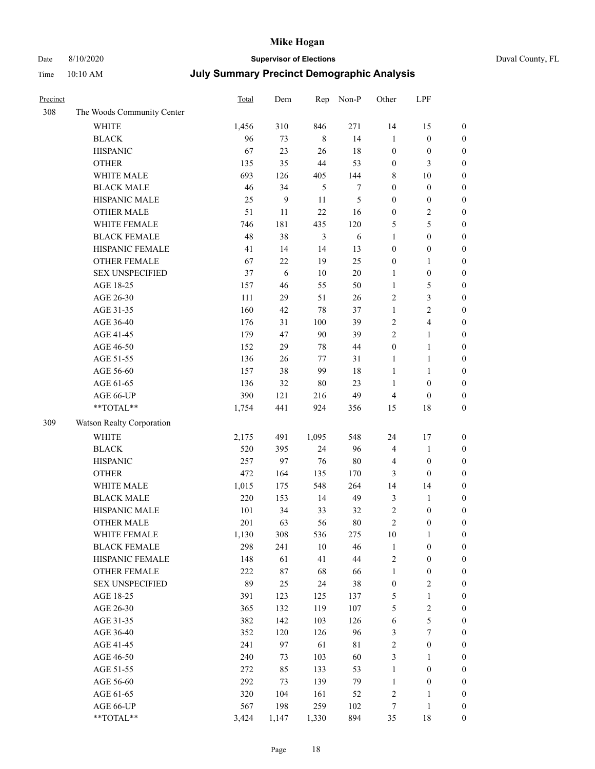## Date 8/10/2020 **Supervisor of Elections** Duval County, FL

| Precinct |                            | <b>Total</b> | Dem              | Rep            | Non-P          | Other            | LPF                     |                  |
|----------|----------------------------|--------------|------------------|----------------|----------------|------------------|-------------------------|------------------|
| 308      | The Woods Community Center |              |                  |                |                |                  |                         |                  |
|          | <b>WHITE</b>               | 1,456        | 310              | 846            | 271            | 14               | 15                      | $\boldsymbol{0}$ |
|          | <b>BLACK</b>               | 96           | 73               | $\,8\,$        | 14             | $\mathbf{1}$     | $\boldsymbol{0}$        | $\boldsymbol{0}$ |
|          | <b>HISPANIC</b>            | 67           | 23               | 26             | 18             | $\boldsymbol{0}$ | $\boldsymbol{0}$        | $\boldsymbol{0}$ |
|          | <b>OTHER</b>               | 135          | 35               | 44             | 53             | $\boldsymbol{0}$ | $\mathfrak{Z}$          | $\boldsymbol{0}$ |
|          | WHITE MALE                 | 693          | 126              | 405            | 144            | 8                | 10                      | $\boldsymbol{0}$ |
|          | <b>BLACK MALE</b>          | 46           | 34               | $\mathfrak{H}$ | 7              | $\boldsymbol{0}$ | $\boldsymbol{0}$        | $\boldsymbol{0}$ |
|          | HISPANIC MALE              | 25           | $\boldsymbol{9}$ | 11             | $\mathfrak{S}$ | $\boldsymbol{0}$ | $\boldsymbol{0}$        | $\boldsymbol{0}$ |
|          | OTHER MALE                 | 51           | 11               | 22             | 16             | $\boldsymbol{0}$ | $\sqrt{2}$              | $\boldsymbol{0}$ |
|          | WHITE FEMALE               | 746          | 181              | 435            | 120            | 5                | 5                       | $\boldsymbol{0}$ |
|          | <b>BLACK FEMALE</b>        | 48           | 38               | $\mathfrak{Z}$ | 6              | $\mathbf{1}$     | $\boldsymbol{0}$        | 0                |
|          | HISPANIC FEMALE            | 41           | 14               | 14             | 13             | $\boldsymbol{0}$ | $\boldsymbol{0}$        | $\boldsymbol{0}$ |
|          | OTHER FEMALE               | 67           | $22\,$           | 19             | 25             | $\boldsymbol{0}$ | $\mathbf{1}$            | $\boldsymbol{0}$ |
|          | <b>SEX UNSPECIFIED</b>     | 37           | 6                | 10             | $20\,$         | 1                | $\boldsymbol{0}$        | $\boldsymbol{0}$ |
|          | AGE 18-25                  | 157          | 46               | 55             | 50             | $\mathbf{1}$     | $\mathfrak{S}$          | $\boldsymbol{0}$ |
|          | AGE 26-30                  | 111          | 29               | 51             | 26             | 2                | $\mathfrak{Z}$          | $\boldsymbol{0}$ |
|          | AGE 31-35                  | 160          | 42               | 78             | 37             | $\mathbf{1}$     | $\sqrt{2}$              | $\boldsymbol{0}$ |
|          | AGE 36-40                  | 176          | 31               | 100            | 39             | $\sqrt{2}$       | $\overline{\mathbf{4}}$ | $\boldsymbol{0}$ |
|          | AGE 41-45                  | 179          | 47               | 90             | 39             | $\overline{c}$   | $\mathbf{1}$            | $\boldsymbol{0}$ |
|          | AGE 46-50                  | 152          | 29               | 78             | 44             | $\boldsymbol{0}$ | $\mathbf{1}$            | $\boldsymbol{0}$ |
|          | AGE 51-55                  | 136          | 26               | 77             | 31             | $\mathbf{1}$     | $\mathbf{1}$            | 0                |
|          | AGE 56-60                  | 157          | 38               | 99             | 18             | $\mathbf{1}$     | $\mathbf{1}$            | 0                |
|          | AGE 61-65                  | 136          | 32               | 80             | 23             | $\mathbf{1}$     | $\boldsymbol{0}$        | $\boldsymbol{0}$ |
|          | AGE 66-UP                  | 390          | 121              | 216            | 49             | 4                | $\boldsymbol{0}$        | $\boldsymbol{0}$ |
|          | **TOTAL**                  | 1,754        | 441              | 924            | 356            | 15               | $18\,$                  | $\boldsymbol{0}$ |
| 309      | Watson Realty Corporation  |              |                  |                |                |                  |                         |                  |
|          | <b>WHITE</b>               | 2,175        | 491              | 1,095          | 548            | 24               | 17                      | $\boldsymbol{0}$ |
|          | <b>BLACK</b>               | 520          | 395              | 24             | 96             | 4                | $\mathbf{1}$            | $\boldsymbol{0}$ |
|          | <b>HISPANIC</b>            | 257          | 97               | 76             | $80\,$         | 4                | $\boldsymbol{0}$        | $\boldsymbol{0}$ |
|          | <b>OTHER</b>               | 472          | 164              | 135            | 170            | 3                | $\boldsymbol{0}$        | $\boldsymbol{0}$ |
|          | WHITE MALE                 | 1,015        | 175              | 548            | 264            | 14               | 14                      | $\boldsymbol{0}$ |
|          | <b>BLACK MALE</b>          | 220          | 153              | 14             | 49             | 3                | $\mathbf{1}$            | $\boldsymbol{0}$ |
|          | HISPANIC MALE              | 101          | 34               | 33             | 32             | $\sqrt{2}$       | $\boldsymbol{0}$        | 0                |
|          | <b>OTHER MALE</b>          | 201          | 63               | 56             | $80\,$         | $\overline{c}$   | $\boldsymbol{0}$        | $\boldsymbol{0}$ |
|          | WHITE FEMALE               | 1,130        | 308              | 536            | 275            | 10               | $\mathbf{1}$            | $\overline{0}$   |
|          | <b>BLACK FEMALE</b>        | 298          | 241              | $10\,$         | 46             | $\mathbf{1}$     | $\boldsymbol{0}$        | $\boldsymbol{0}$ |
|          | HISPANIC FEMALE            | 148          | 61               | 41             | $44\,$         | $\overline{c}$   | $\boldsymbol{0}$        | $\overline{0}$   |
|          | <b>OTHER FEMALE</b>        | 222          | 87               | 68             | 66             | $\mathbf{1}$     | $\boldsymbol{0}$        | $\overline{0}$   |
|          | <b>SEX UNSPECIFIED</b>     | 89           | 25               | 24             | 38             | $\boldsymbol{0}$ | $\sqrt{2}$              | 0                |
|          | AGE 18-25                  | 391          | 123              | 125            | 137            | 5                | $\mathbf{1}$            | 0                |
|          | AGE 26-30                  | 365          | 132              | 119            | 107            | 5                | $\sqrt{2}$              | 0                |
|          | AGE 31-35                  | 382          | 142              | 103            | 126            | 6                | 5                       | 0                |
|          | AGE 36-40                  | 352          | 120              | 126            | 96             | 3                | $\boldsymbol{7}$        | 0                |
|          | AGE 41-45                  | 241          | 97               | 61             | $8\sqrt{1}$    | $\overline{c}$   | $\boldsymbol{0}$        | 0                |
|          | AGE 46-50                  | 240          | 73               | 103            | 60             | 3                | 1                       | 0                |
|          | AGE 51-55                  | 272          | 85               | 133            | 53             | $\mathbf{1}$     | $\boldsymbol{0}$        | $\boldsymbol{0}$ |
|          | AGE 56-60                  | 292          | 73               | 139            | 79             | $\mathbf{1}$     | $\boldsymbol{0}$        | $\boldsymbol{0}$ |
|          | AGE 61-65                  | 320          | 104              | 161            | 52             | 2                | $\mathbf{1}$            | $\boldsymbol{0}$ |
|          | AGE 66-UP                  | 567          | 198              | 259            | 102            | 7                | $\mathbf{1}$            | 0                |
|          | **TOTAL**                  | 3,424        | 1,147            | 1,330          | 894            | 35               | $18\,$                  | $\boldsymbol{0}$ |
|          |                            |              |                  |                |                |                  |                         |                  |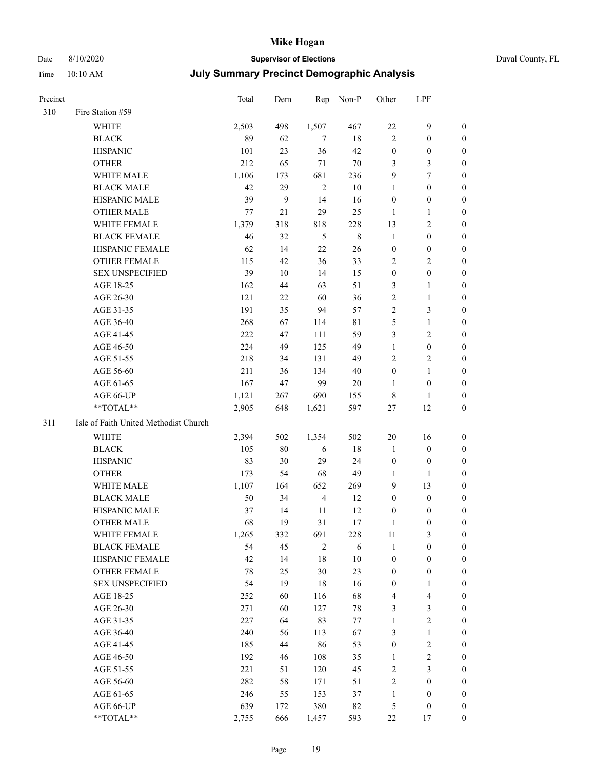## Date 8/10/2020 **Supervisor of Elections** Duval County, FL

| Precinct |                                       | Total | Dem            | Rep            | Non-P       | Other            | LPF              |                  |
|----------|---------------------------------------|-------|----------------|----------------|-------------|------------------|------------------|------------------|
| 310      | Fire Station #59                      |       |                |                |             |                  |                  |                  |
|          | <b>WHITE</b>                          | 2,503 | 498            | 1,507          | 467         | $22\,$           | $\mathbf{9}$     | 0                |
|          | <b>BLACK</b>                          | 89    | 62             | 7              | $18\,$      | $\overline{2}$   | $\boldsymbol{0}$ | 0                |
|          | <b>HISPANIC</b>                       | 101   | 23             | 36             | 42          | $\boldsymbol{0}$ | $\boldsymbol{0}$ | 0                |
|          | <b>OTHER</b>                          | 212   | 65             | 71             | $70\,$      | 3                | $\mathfrak{Z}$   | $\boldsymbol{0}$ |
|          | WHITE MALE                            | 1,106 | 173            | 681            | 236         | 9                | $\tau$           | $\boldsymbol{0}$ |
|          | <b>BLACK MALE</b>                     | 42    | 29             | $\mathbf{2}$   | $10\,$      | $\mathbf{1}$     | $\boldsymbol{0}$ | $\boldsymbol{0}$ |
|          | HISPANIC MALE                         | 39    | $\overline{9}$ | 14             | 16          | $\boldsymbol{0}$ | $\boldsymbol{0}$ | $\boldsymbol{0}$ |
|          | <b>OTHER MALE</b>                     | 77    | 21             | 29             | 25          | $\mathbf{1}$     | $\mathbf{1}$     | $\boldsymbol{0}$ |
|          | WHITE FEMALE                          | 1,379 | 318            | 818            | 228         | 13               | $\sqrt{2}$       | $\boldsymbol{0}$ |
|          | <b>BLACK FEMALE</b>                   | 46    | 32             | 5              | $\,$ 8 $\,$ | $\mathbf{1}$     | $\boldsymbol{0}$ | 0                |
|          | HISPANIC FEMALE                       | 62    | 14             | 22             | 26          | $\boldsymbol{0}$ | $\boldsymbol{0}$ | 0                |
|          | <b>OTHER FEMALE</b>                   | 115   | 42             | 36             | 33          | 2                | $\sqrt{2}$       | 0                |
|          | <b>SEX UNSPECIFIED</b>                | 39    | 10             | 14             | 15          | $\boldsymbol{0}$ | $\boldsymbol{0}$ | $\boldsymbol{0}$ |
|          | AGE 18-25                             | 162   | 44             | 63             | 51          | 3                | 1                | $\boldsymbol{0}$ |
|          | AGE 26-30                             | 121   | $22\,$         | 60             | 36          | 2                | $\mathbf{1}$     | $\boldsymbol{0}$ |
|          | AGE 31-35                             | 191   | 35             | 94             | 57          | $\overline{c}$   | $\mathfrak{Z}$   | $\boldsymbol{0}$ |
|          | AGE 36-40                             | 268   | 67             | 114            | $8\sqrt{1}$ | 5                | $\mathbf{1}$     | $\boldsymbol{0}$ |
|          | AGE 41-45                             | 222   | 47             | 111            | 59          | 3                | $\mathbf{2}$     | $\boldsymbol{0}$ |
|          | AGE 46-50                             | 224   | 49             | 125            | 49          | $\mathbf{1}$     | $\boldsymbol{0}$ | $\boldsymbol{0}$ |
|          | AGE 51-55                             | 218   | 34             | 131            | 49          | 2                | $\sqrt{2}$       | 0                |
|          | AGE 56-60                             | 211   | 36             | 134            | 40          | $\boldsymbol{0}$ | $\mathbf{1}$     | 0                |
|          | AGE 61-65                             | 167   | 47             | 99             | 20          | $\mathbf{1}$     | $\boldsymbol{0}$ | 0                |
|          | AGE 66-UP                             | 1,121 | 267            | 690            | 155         | 8                | 1                | 0                |
|          | **TOTAL**                             | 2,905 | 648            | 1,621          | 597         | $27\,$           | 12               | $\boldsymbol{0}$ |
| 311      | Isle of Faith United Methodist Church |       |                |                |             |                  |                  |                  |
|          | <b>WHITE</b>                          | 2,394 | 502            | 1,354          | 502         | $20\,$           | 16               | $\boldsymbol{0}$ |
|          | <b>BLACK</b>                          | 105   | $80\,$         | 6              | 18          | $\mathbf{1}$     | $\boldsymbol{0}$ | $\boldsymbol{0}$ |
|          | <b>HISPANIC</b>                       | 83    | 30             | 29             | 24          | $\boldsymbol{0}$ | $\boldsymbol{0}$ | 0                |
|          | <b>OTHER</b>                          | 173   | 54             | 68             | 49          | $\mathbf{1}$     | $\mathbf{1}$     | $\boldsymbol{0}$ |
|          | WHITE MALE                            | 1,107 | 164            | 652            | 269         | 9                | 13               | $\boldsymbol{0}$ |
|          | <b>BLACK MALE</b>                     | 50    | 34             | $\overline{4}$ | 12          | $\boldsymbol{0}$ | $\boldsymbol{0}$ | 0                |
|          | HISPANIC MALE                         | 37    | 14             | 11             | 12          | $\boldsymbol{0}$ | $\boldsymbol{0}$ | 0                |
|          | <b>OTHER MALE</b>                     | 68    | 19             | 31             | 17          | $\mathbf{1}$     | $\boldsymbol{0}$ | 0                |
|          | WHITE FEMALE                          | 1,265 | 332            | 691            | 228         | 11               | 3                | 0                |
|          | <b>BLACK FEMALE</b>                   | 54    | 45             | $\sqrt{2}$     | 6           | $\mathbf{1}$     | $\boldsymbol{0}$ | 0                |
|          | HISPANIC FEMALE                       | 42    | 14             | 18             | $10\,$      | $\boldsymbol{0}$ | $\boldsymbol{0}$ | 0                |
|          | OTHER FEMALE                          | 78    | 25             | 30             | 23          | $\boldsymbol{0}$ | $\boldsymbol{0}$ | 0                |
|          | <b>SEX UNSPECIFIED</b>                | 54    | 19             | 18             | 16          | $\boldsymbol{0}$ | $\mathbf{1}$     | 0                |
|          | AGE 18-25                             | 252   | 60             | 116            | 68          | 4                | $\overline{4}$   | 0                |
|          | AGE 26-30                             | 271   | 60             | 127            | $78\,$      | 3                | 3                | 0                |
|          | AGE 31-35                             | 227   | 64             | 83             | $77\,$      | $\mathbf{1}$     | $\sqrt{2}$       | 0                |
|          | AGE 36-40                             | 240   | 56             | 113            | 67          | 3                | $\mathbf{1}$     | 0                |
|          | AGE 41-45                             | 185   | 44             | 86             | 53          | $\boldsymbol{0}$ | $\sqrt{2}$       | 0                |
|          | AGE 46-50                             | 192   | 46             | 108            | 35          | $\mathbf{1}$     | $\sqrt{2}$       | 0                |
|          | AGE 51-55                             | 221   | 51             | 120            | 45          | 2                | 3                | 0                |
|          | AGE 56-60                             | 282   | 58             | 171            | 51          | 2                | $\boldsymbol{0}$ | 0                |
|          | AGE 61-65                             | 246   | 55             | 153            | 37          | $\mathbf{1}$     | $\boldsymbol{0}$ | 0                |
|          | AGE 66-UP                             | 639   | 172            | 380            | 82          | 5                | $\boldsymbol{0}$ | 0                |
|          | **TOTAL**                             | 2,755 | 666            | 1,457          | 593         | $22\,$           | 17               | $\boldsymbol{0}$ |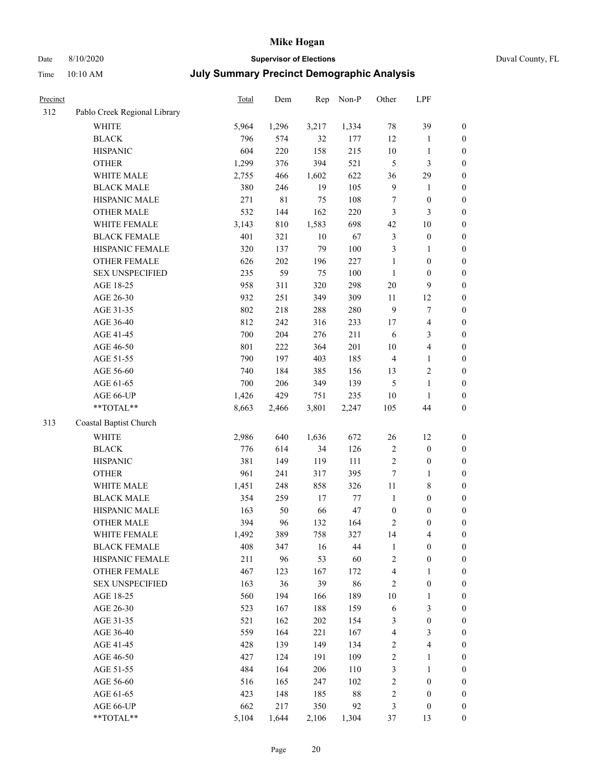## Date 8/10/2020 **Supervisor of Elections** Duval County, FL

| Precinct |                              | <b>Total</b> | Dem         | Rep    | Non-P  | Other                   | LPF                     |                  |
|----------|------------------------------|--------------|-------------|--------|--------|-------------------------|-------------------------|------------------|
| 312      | Pablo Creek Regional Library |              |             |        |        |                         |                         |                  |
|          | <b>WHITE</b>                 | 5,964        | 1,296       | 3,217  | 1,334  | 78                      | 39                      | $\boldsymbol{0}$ |
|          | <b>BLACK</b>                 | 796          | 574         | 32     | 177    | 12                      | $\mathbf{1}$            | $\boldsymbol{0}$ |
|          | <b>HISPANIC</b>              | 604          | 220         | 158    | 215    | $10\,$                  | 1                       | $\boldsymbol{0}$ |
|          | <b>OTHER</b>                 | 1,299        | 376         | 394    | 521    | 5                       | $\mathfrak{Z}$          | $\boldsymbol{0}$ |
|          | WHITE MALE                   | 2,755        | 466         | 1,602  | 622    | 36                      | 29                      | $\boldsymbol{0}$ |
|          | <b>BLACK MALE</b>            | 380          | 246         | 19     | 105    | 9                       | $\mathbf{1}$            | $\boldsymbol{0}$ |
|          | HISPANIC MALE                | 271          | $8\sqrt{1}$ | 75     | 108    | 7                       | $\boldsymbol{0}$        | $\boldsymbol{0}$ |
|          | <b>OTHER MALE</b>            | 532          | 144         | 162    | 220    | 3                       | 3                       | $\boldsymbol{0}$ |
|          | WHITE FEMALE                 | 3,143        | $810\,$     | 1,583  | 698    | 42                      | $10\,$                  | $\boldsymbol{0}$ |
|          | <b>BLACK FEMALE</b>          | 401          | 321         | $10\,$ | 67     | 3                       | $\boldsymbol{0}$        | 0                |
|          | HISPANIC FEMALE              | 320          | 137         | 79     | 100    | 3                       | $\mathbf{1}$            | $\boldsymbol{0}$ |
|          | OTHER FEMALE                 | 626          | 202         | 196    | 227    | $\mathbf{1}$            | $\boldsymbol{0}$        | $\boldsymbol{0}$ |
|          | <b>SEX UNSPECIFIED</b>       | 235          | 59          | 75     | 100    | $\mathbf{1}$            | $\boldsymbol{0}$        | $\boldsymbol{0}$ |
|          | AGE 18-25                    | 958          | 311         | 320    | 298    | $20\,$                  | $\mathbf{9}$            | $\boldsymbol{0}$ |
|          | AGE 26-30                    | 932          | 251         | 349    | 309    | 11                      | 12                      | $\boldsymbol{0}$ |
|          | AGE 31-35                    | 802          | 218         | 288    | 280    | 9                       | 7                       | $\boldsymbol{0}$ |
|          | AGE 36-40                    | 812          | 242         | 316    | 233    | 17                      | $\overline{\mathbf{4}}$ | $\boldsymbol{0}$ |
|          | AGE 41-45                    | 700          | 204         | 276    | 211    | $\sqrt{6}$              | $\mathfrak{Z}$          | $\boldsymbol{0}$ |
|          | AGE 46-50                    | 801          | 222         | 364    | 201    | $10\,$                  | $\overline{4}$          | $\boldsymbol{0}$ |
|          | AGE 51-55                    | 790          | 197         | 403    | 185    | $\overline{4}$          | $\mathbf{1}$            | 0                |
|          | AGE 56-60                    | 740          | 184         | 385    | 156    | 13                      | $\sqrt{2}$              | $\boldsymbol{0}$ |
|          | AGE 61-65                    | 700          | 206         | 349    | 139    | 5                       | $\mathbf{1}$            | $\boldsymbol{0}$ |
|          | AGE 66-UP                    | 1,426        | 429         | 751    | 235    | 10                      | 1                       | $\boldsymbol{0}$ |
|          | **TOTAL**                    | 8,663        | 2,466       | 3,801  | 2,247  | 105                     | 44                      | $\boldsymbol{0}$ |
| 313      | Coastal Baptist Church       |              |             |        |        |                         |                         |                  |
|          | WHITE                        | 2,986        | 640         | 1,636  | 672    | $26\,$                  | 12                      | $\boldsymbol{0}$ |
|          | <b>BLACK</b>                 | 776          | 614         | 34     | 126    | 2                       | $\boldsymbol{0}$        | $\boldsymbol{0}$ |
|          | <b>HISPANIC</b>              | 381          | 149         | 119    | 111    | $\sqrt{2}$              | $\boldsymbol{0}$        | $\boldsymbol{0}$ |
|          | <b>OTHER</b>                 | 961          | 241         | 317    | 395    | 7                       | $\mathbf{1}$            | $\boldsymbol{0}$ |
|          | WHITE MALE                   | 1,451        | 248         | 858    | 326    | $11\,$                  | $8\,$                   | $\boldsymbol{0}$ |
|          | <b>BLACK MALE</b>            | 354          | 259         | 17     | 77     | $\mathbf{1}$            | $\boldsymbol{0}$        | $\boldsymbol{0}$ |
|          | HISPANIC MALE                | 163          | 50          | 66     | 47     | $\boldsymbol{0}$        | $\boldsymbol{0}$        | 0                |
|          | <b>OTHER MALE</b>            | 394          | 96          | 132    | 164    | 2                       | $\boldsymbol{0}$        | $\boldsymbol{0}$ |
|          | WHITE FEMALE                 | 1,492        | 389         | 758    | 327    | 14                      | $\overline{\mathbf{4}}$ | $\boldsymbol{0}$ |
|          | <b>BLACK FEMALE</b>          | 408          | 347         | 16     | 44     | $\mathbf{1}$            | $\boldsymbol{0}$        | $\boldsymbol{0}$ |
|          | HISPANIC FEMALE              | 211          | 96          | 53     | 60     | $\overline{c}$          | $\boldsymbol{0}$        | $\overline{0}$   |
|          | OTHER FEMALE                 | 467          | 123         | 167    | 172    | 4                       | $\mathbf{1}$            | $\overline{0}$   |
|          | <b>SEX UNSPECIFIED</b>       | 163          | 36          | 39     | 86     | $\sqrt{2}$              | $\boldsymbol{0}$        | 0                |
|          | AGE 18-25                    | 560          | 194         | 166    | 189    | $10\,$                  | $\mathbf{1}$            | 0                |
|          | AGE 26-30                    | 523          | 167         | 188    | 159    | 6                       | $\mathfrak{Z}$          | 0                |
|          | AGE 31-35                    | 521          | 162         | 202    | 154    | 3                       | $\boldsymbol{0}$        | 0                |
|          | AGE 36-40                    | 559          | 164         | 221    | 167    | $\overline{\mathbf{4}}$ | $\mathfrak{Z}$          | 0                |
|          | AGE 41-45                    | 428          | 139         | 149    | 134    | $\overline{\mathbf{c}}$ | $\overline{\mathbf{4}}$ | 0                |
|          | AGE 46-50                    | 427          | 124         | 191    | 109    | $\overline{c}$          | $\mathbf{1}$            | 0                |
|          | AGE 51-55                    | 484          | 164         | 206    | 110    | 3                       | $\mathbf{1}$            | $\boldsymbol{0}$ |
|          | AGE 56-60                    | 516          | 165         | 247    | 102    | 2                       | $\boldsymbol{0}$        | $\boldsymbol{0}$ |
|          | AGE 61-65                    | 423          | 148         | 185    | $88\,$ | 2                       | $\boldsymbol{0}$        | 0                |
|          | AGE 66-UP                    | 662          | 217         | 350    | 92     | 3                       | $\boldsymbol{0}$        | 0                |
|          | **TOTAL**                    | 5,104        | 1,644       | 2,106  | 1,304  | 37                      | 13                      | $\boldsymbol{0}$ |
|          |                              |              |             |        |        |                         |                         |                  |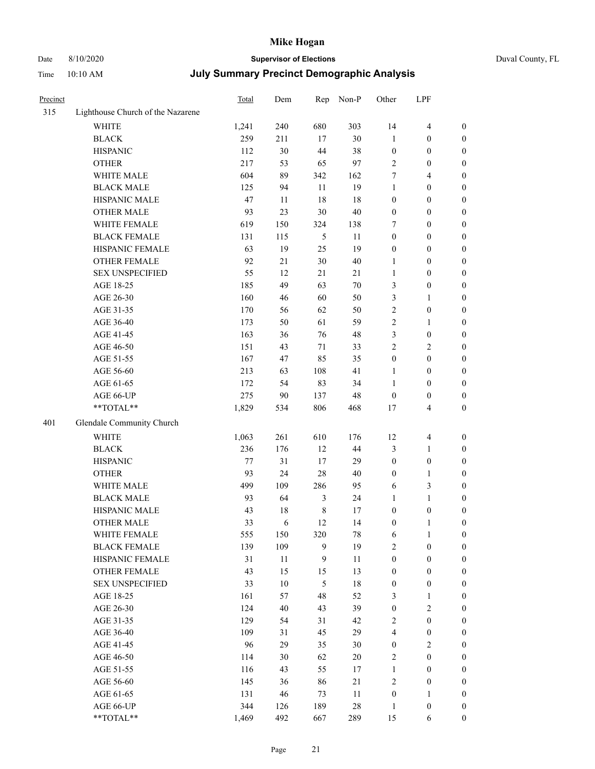## Date 8/10/2020 **Supervisor of Elections** Duval County, FL

| Precinct |                                   | Total | Dem       |               | Rep Non-P | Other            | LPF              |                                      |
|----------|-----------------------------------|-------|-----------|---------------|-----------|------------------|------------------|--------------------------------------|
| 315      | Lighthouse Church of the Nazarene |       |           |               |           |                  |                  |                                      |
|          | <b>WHITE</b>                      | 1,241 | 240       | 680           | 303       | 14               | $\overline{4}$   | $\boldsymbol{0}$                     |
|          | <b>BLACK</b>                      | 259   | 211       | 17            | $30\,$    | $\mathbf{1}$     | $\boldsymbol{0}$ | $\boldsymbol{0}$                     |
|          | <b>HISPANIC</b>                   | 112   | 30        | 44            | 38        | $\boldsymbol{0}$ | $\boldsymbol{0}$ | $\boldsymbol{0}$                     |
|          | <b>OTHER</b>                      | 217   | 53        | 65            | 97        | 2                | $\boldsymbol{0}$ | $\boldsymbol{0}$                     |
|          | WHITE MALE                        | 604   | 89        | 342           | 162       | 7                | $\overline{4}$   | $\boldsymbol{0}$                     |
|          | <b>BLACK MALE</b>                 | 125   | 94        | 11            | 19        | 1                | $\boldsymbol{0}$ | $\boldsymbol{0}$                     |
|          | HISPANIC MALE                     | 47    | 11        | 18            | 18        | $\boldsymbol{0}$ | $\boldsymbol{0}$ | $\boldsymbol{0}$                     |
|          | <b>OTHER MALE</b>                 | 93    | 23        | 30            | 40        | 0                | $\boldsymbol{0}$ | $\boldsymbol{0}$                     |
|          | WHITE FEMALE                      | 619   | 150       | 324           | 138       | 7                | $\boldsymbol{0}$ | $\boldsymbol{0}$                     |
|          | <b>BLACK FEMALE</b>               | 131   | 115       | 5             | 11        | $\boldsymbol{0}$ | $\boldsymbol{0}$ | $\boldsymbol{0}$                     |
|          | HISPANIC FEMALE                   | 63    | 19        | 25            | 19        | 0                | $\boldsymbol{0}$ | $\boldsymbol{0}$                     |
|          | OTHER FEMALE                      | 92    | 21        | 30            | 40        | $\mathbf{1}$     | $\boldsymbol{0}$ | $\boldsymbol{0}$                     |
|          | <b>SEX UNSPECIFIED</b>            | 55    | 12        | 21            | 21        | $\mathbf{1}$     | $\boldsymbol{0}$ | $\boldsymbol{0}$                     |
|          | AGE 18-25                         | 185   | 49        | 63            | 70        | 3                | $\boldsymbol{0}$ | $\boldsymbol{0}$                     |
|          | AGE 26-30                         | 160   | 46        | 60            | 50        | 3                | $\mathbf{1}$     | $\boldsymbol{0}$                     |
|          | AGE 31-35                         | 170   | 56        | 62            | 50        | $\overline{c}$   | $\boldsymbol{0}$ | $\boldsymbol{0}$                     |
|          | AGE 36-40                         | 173   | 50        | 61            | 59        | $\overline{c}$   | $\mathbf{1}$     | $\boldsymbol{0}$                     |
|          | AGE 41-45                         | 163   | 36        | 76            | 48        | 3                | $\boldsymbol{0}$ | $\boldsymbol{0}$                     |
|          | AGE 46-50                         | 151   | 43        | 71            | 33        | $\overline{c}$   | $\sqrt{2}$       | $\boldsymbol{0}$                     |
|          | AGE 51-55                         | 167   | 47        | 85            | 35        | $\boldsymbol{0}$ | $\boldsymbol{0}$ |                                      |
|          | AGE 56-60                         | 213   |           | 108           | 41        | $\mathbf{1}$     | $\boldsymbol{0}$ | 0                                    |
|          | AGE 61-65                         | 172   | 63<br>54  | 83            | 34        | $\mathbf{1}$     | $\boldsymbol{0}$ | $\boldsymbol{0}$<br>$\boldsymbol{0}$ |
|          |                                   | 275   |           | 137           | 48        | $\boldsymbol{0}$ | $\boldsymbol{0}$ |                                      |
|          | AGE 66-UP<br>$**TOTAL**$          | 1,829 | 90<br>534 | 806           | 468       | 17               | $\overline{4}$   | $\boldsymbol{0}$<br>$\boldsymbol{0}$ |
|          |                                   |       |           |               |           |                  |                  |                                      |
| 401      | Glendale Community Church         |       |           |               |           |                  |                  |                                      |
|          | <b>WHITE</b>                      | 1,063 | 261       | 610           | 176       | 12               | $\overline{4}$   | $\boldsymbol{0}$                     |
|          | <b>BLACK</b>                      | 236   | 176       | 12            | 44        | 3                | $\mathbf{1}$     | $\boldsymbol{0}$                     |
|          | <b>HISPANIC</b>                   | 77    | 31        | 17            | 29        | $\boldsymbol{0}$ | $\boldsymbol{0}$ | $\boldsymbol{0}$                     |
|          | <b>OTHER</b>                      | 93    | 24        | 28            | 40        | $\boldsymbol{0}$ | $\mathbf{1}$     | $\boldsymbol{0}$                     |
|          | WHITE MALE                        | 499   | 109       | 286           | 95        | 6                | $\mathfrak{Z}$   | $\boldsymbol{0}$                     |
|          | <b>BLACK MALE</b>                 | 93    | 64        | 3             | 24        | 1                | $\mathbf{1}$     | 0                                    |
|          | HISPANIC MALE                     | 43    | 18        | $\,$ 8 $\,$   | 17        | 0                | $\boldsymbol{0}$ | 0                                    |
|          | <b>OTHER MALE</b>                 | 33    | 6         | 12            | 14        | 0                | $\mathbf{1}$     | $\boldsymbol{0}$                     |
|          | WHITE FEMALE                      | 555   | 150       | 320           | $78\,$    | 6                | $\mathbf{1}$     | $\boldsymbol{0}$                     |
|          | <b>BLACK FEMALE</b>               | 139   | 109       | 9             | 19        | 2                | $\boldsymbol{0}$ | $\overline{0}$                       |
|          | HISPANIC FEMALE                   | 31    | $11\,$    | 9             | 11        | $\boldsymbol{0}$ | $\boldsymbol{0}$ | $\overline{0}$                       |
|          | <b>OTHER FEMALE</b>               | 43    | 15        | 15            | 13        | $\boldsymbol{0}$ | $\boldsymbol{0}$ | $\overline{0}$                       |
|          | <b>SEX UNSPECIFIED</b>            | 33    | 10        | $\mathfrak s$ | 18        | $\boldsymbol{0}$ | $\boldsymbol{0}$ | $\theta$                             |
|          | AGE 18-25                         | 161   | 57        | 48            | 52        | 3                | $\mathbf{1}$     | 0                                    |
|          | AGE 26-30                         | 124   | 40        | 43            | 39        | $\boldsymbol{0}$ | $\sqrt{2}$       | 0                                    |
|          | AGE 31-35                         | 129   | 54        | 31            | 42        | 2                | $\boldsymbol{0}$ | 0                                    |
|          | AGE 36-40                         | 109   | 31        | 45            | 29        | 4                | $\boldsymbol{0}$ | 0                                    |
|          | AGE 41-45                         | 96    | 29        | 35            | 30        | 0                | $\sqrt{2}$       | 0                                    |
|          | AGE 46-50                         | 114   | 30        | 62            | $20\,$    | 2                | $\boldsymbol{0}$ | $\overline{0}$                       |
|          | AGE 51-55                         | 116   | 43        | 55            | 17        | 1                | $\boldsymbol{0}$ | $\boldsymbol{0}$                     |
|          | AGE 56-60                         | 145   | 36        | 86            | 21        | 2                | $\boldsymbol{0}$ | $\overline{0}$                       |
|          | AGE 61-65                         | 131   | 46        | 73            | 11        | $\boldsymbol{0}$ | $\mathbf{1}$     | 0                                    |
|          | AGE 66-UP                         | 344   | 126       | 189           | 28        | $\mathbf{1}$     | $\boldsymbol{0}$ | 0                                    |
|          | **TOTAL**                         | 1,469 | 492       | 667           | 289       | 15               | 6                | $\boldsymbol{0}$                     |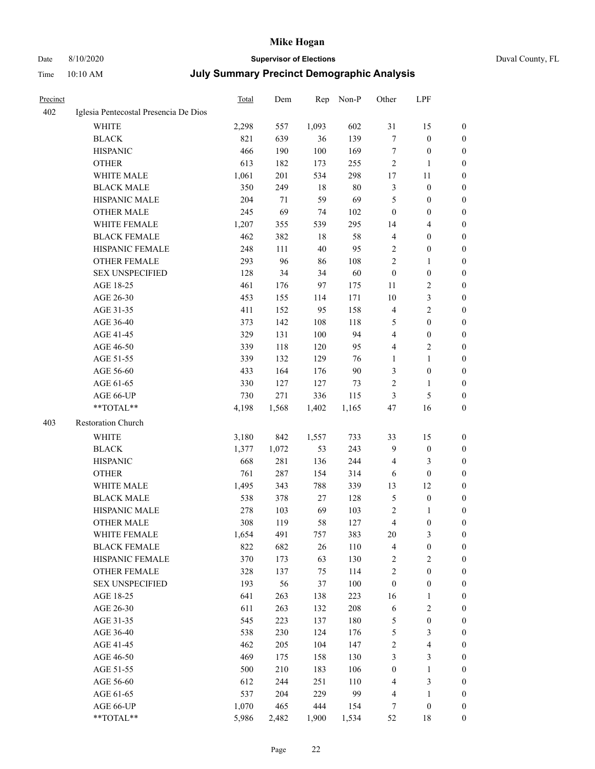Time 10:10 AM

# Date 8/10/2020 **Supervisor of Elections**

| Duval County, FL |  |
|------------------|--|
|------------------|--|

|  | <b>July Summary Precinct Demographic Analysis</b> |  |
|--|---------------------------------------------------|--|
|--|---------------------------------------------------|--|

| <b>Precinct</b> |                                       | Total | Dem   | Rep   | Non-P  | Other            | LPF                     |                  |
|-----------------|---------------------------------------|-------|-------|-------|--------|------------------|-------------------------|------------------|
| 402             | Iglesia Pentecostal Presencia De Dios |       |       |       |        |                  |                         |                  |
|                 | <b>WHITE</b>                          | 2,298 | 557   | 1,093 | 602    | 31               | 15                      | 0                |
|                 | <b>BLACK</b>                          | 821   | 639   | 36    | 139    | 7                | $\boldsymbol{0}$        | 0                |
|                 | <b>HISPANIC</b>                       | 466   | 190   | 100   | 169    | 7                | $\boldsymbol{0}$        | $\boldsymbol{0}$ |
|                 | <b>OTHER</b>                          | 613   | 182   | 173   | 255    | 2                | 1                       | $\boldsymbol{0}$ |
|                 | WHITE MALE                            | 1,061 | 201   | 534   | 298    | 17               | 11                      | $\boldsymbol{0}$ |
|                 | <b>BLACK MALE</b>                     | 350   | 249   | 18    | $80\,$ | 3                | $\boldsymbol{0}$        | $\boldsymbol{0}$ |
|                 | HISPANIC MALE                         | 204   | 71    | 59    | 69     | 5                | $\boldsymbol{0}$        | $\boldsymbol{0}$ |
|                 | <b>OTHER MALE</b>                     | 245   | 69    | 74    | 102    | $\boldsymbol{0}$ | $\boldsymbol{0}$        | $\boldsymbol{0}$ |
|                 | WHITE FEMALE                          | 1,207 | 355   | 539   | 295    | 14               | $\overline{\mathbf{4}}$ | $\boldsymbol{0}$ |
|                 | <b>BLACK FEMALE</b>                   | 462   | 382   | 18    | 58     | $\overline{4}$   | $\boldsymbol{0}$        | 0                |
|                 | HISPANIC FEMALE                       | 248   | 111   | 40    | 95     | 2                | $\boldsymbol{0}$        | 0                |
|                 | <b>OTHER FEMALE</b>                   | 293   | 96    | 86    | 108    | $\mathfrak{2}$   | $\mathbf{1}$            | 0                |
|                 | <b>SEX UNSPECIFIED</b>                | 128   | 34    | 34    | 60     | $\boldsymbol{0}$ | $\boldsymbol{0}$        | $\boldsymbol{0}$ |
|                 | AGE 18-25                             | 461   | 176   | 97    | 175    | 11               | $\sqrt{2}$              | $\boldsymbol{0}$ |
|                 | AGE 26-30                             | 453   | 155   | 114   | 171    | 10               | $\mathfrak{Z}$          | $\boldsymbol{0}$ |
|                 | AGE 31-35                             | 411   | 152   | 95    | 158    | 4                | $\sqrt{2}$              | $\boldsymbol{0}$ |
|                 | AGE 36-40                             | 373   | 142   | 108   | 118    | 5                | $\boldsymbol{0}$        | $\boldsymbol{0}$ |
|                 | AGE 41-45                             | 329   | 131   | 100   | 94     | 4                | $\boldsymbol{0}$        | $\boldsymbol{0}$ |
|                 | AGE 46-50                             | 339   | 118   | 120   | 95     | 4                | $\mathfrak{2}$          | 0                |
|                 | AGE 51-55                             | 339   | 132   | 129   | 76     | 1                | $\mathbf{1}$            | 0                |
|                 | AGE 56-60                             | 433   | 164   | 176   | 90     | 3                | $\boldsymbol{0}$        | 0                |
|                 | AGE 61-65                             | 330   | 127   | 127   | 73     | $\overline{c}$   | $\mathbf{1}$            | 0                |
|                 | AGE 66-UP                             | 730   | 271   | 336   | 115    | 3                | $\mathfrak{S}$          | 0                |
|                 | **TOTAL**                             | 4,198 | 1,568 | 1,402 | 1,165  | 47               | 16                      | $\boldsymbol{0}$ |
| 403             | Restoration Church                    |       |       |       |        |                  |                         |                  |
|                 | <b>WHITE</b>                          | 3,180 | 842   | 1,557 | 733    | 33               | 15                      | $\boldsymbol{0}$ |
|                 | <b>BLACK</b>                          | 1,377 | 1,072 | 53    | 243    | 9                | $\boldsymbol{0}$        | $\boldsymbol{0}$ |
|                 | <b>HISPANIC</b>                       | 668   | 281   | 136   | 244    | $\overline{4}$   | $\mathfrak{Z}$          | $\boldsymbol{0}$ |
|                 | <b>OTHER</b>                          | 761   | 287   | 154   | 314    | 6                | $\boldsymbol{0}$        | $\overline{0}$   |
|                 | WHITE MALE                            | 1,495 | 343   | 788   | 339    | 13               | 12                      | $\boldsymbol{0}$ |
|                 | <b>BLACK MALE</b>                     | 538   | 378   | 27    | 128    | 5                | $\boldsymbol{0}$        | 0                |
|                 | HISPANIC MALE                         | 278   | 103   | 69    | 103    | 2                | 1                       | 0                |
|                 | <b>OTHER MALE</b>                     | 308   | 119   | 58    | 127    | 4                | $\boldsymbol{0}$        | 0                |
|                 | WHITE FEMALE                          | 1,654 | 491   | 757   | 383    | 20               | 3                       | 0                |
|                 | <b>BLACK FEMALE</b>                   | 822   | 682   | 26    | 110    | 4                | $\boldsymbol{0}$        | $\boldsymbol{0}$ |
|                 | HISPANIC FEMALE                       | 370   | 173   | 63    | 130    | 2                | $\sqrt{2}$              | $\overline{0}$   |
|                 | OTHER FEMALE                          | 328   | 137   | 75    | 114    | $\sqrt{2}$       | $\boldsymbol{0}$        | $\overline{0}$   |
|                 | <b>SEX UNSPECIFIED</b>                | 193   | 56    | 37    | 100    | $\boldsymbol{0}$ | $\boldsymbol{0}$        | 0                |
|                 | AGE 18-25                             | 641   | 263   | 138   | 223    | 16               | $\mathbf{1}$            | 0                |
|                 | AGE 26-30                             | 611   | 263   | 132   | 208    | 6                | $\sqrt{2}$              | 0                |
|                 | AGE 31-35                             | 545   | 223   | 137   | 180    | 5                | $\boldsymbol{0}$        | 0                |
|                 | AGE 36-40                             | 538   | 230   | 124   | 176    | 5                | $\mathfrak{Z}$          | 0                |
|                 | AGE 41-45                             | 462   | 205   | 104   | 147    | 2                | $\overline{\mathbf{4}}$ | 0                |
|                 | AGE 46-50                             | 469   | 175   | 158   | 130    | 3                | $\mathfrak{Z}$          | 0                |
|                 | AGE 51-55                             | 500   | 210   | 183   | 106    | $\boldsymbol{0}$ | $\mathbf{1}$            | $\boldsymbol{0}$ |
|                 | AGE 56-60                             | 612   | 244   | 251   | 110    | 4                | $\mathfrak{Z}$          | $\boldsymbol{0}$ |
|                 | AGE 61-65                             | 537   | 204   | 229   | 99     | 4                | $\mathbf{1}$            | $\boldsymbol{0}$ |
|                 | AGE 66-UP                             | 1,070 | 465   | 444   | 154    | 7                | $\boldsymbol{0}$        | $\boldsymbol{0}$ |
|                 | **TOTAL**                             | 5,986 | 2,482 | 1,900 | 1,534  | 52               | 18                      | $\boldsymbol{0}$ |
|                 |                                       |       |       |       |        |                  |                         |                  |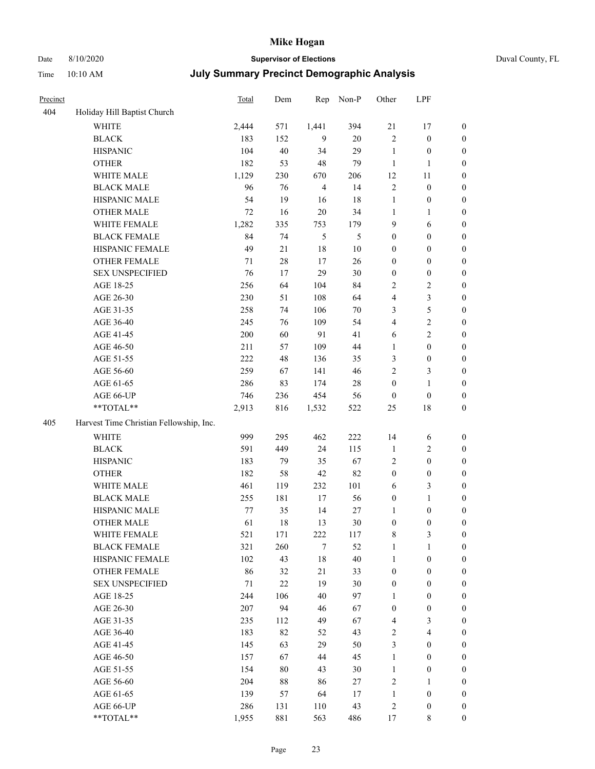# Date 8/10/2020 **Supervisor of Elections** Duval County, FL

| Precinct |                                         | Total   | Dem    | Rep            | Non-P  | Other            | LPF                     |                  |
|----------|-----------------------------------------|---------|--------|----------------|--------|------------------|-------------------------|------------------|
| 404      | Holiday Hill Baptist Church             |         |        |                |        |                  |                         |                  |
|          | <b>WHITE</b>                            | 2,444   | 571    | 1,441          | 394    | 21               | 17                      | $\boldsymbol{0}$ |
|          | <b>BLACK</b>                            | 183     | 152    | 9              | 20     | $\sqrt{2}$       | $\boldsymbol{0}$        | $\boldsymbol{0}$ |
|          | <b>HISPANIC</b>                         | 104     | 40     | 34             | 29     | $\mathbf{1}$     | $\boldsymbol{0}$        | $\boldsymbol{0}$ |
|          | <b>OTHER</b>                            | 182     | 53     | 48             | 79     | $\mathbf{1}$     | $\mathbf{1}$            | $\boldsymbol{0}$ |
|          | WHITE MALE                              | 1,129   | 230    | 670            | 206    | 12               | 11                      | $\boldsymbol{0}$ |
|          | <b>BLACK MALE</b>                       | 96      | 76     | $\overline{4}$ | 14     | $\sqrt{2}$       | $\boldsymbol{0}$        | $\boldsymbol{0}$ |
|          | HISPANIC MALE                           | 54      | 19     | 16             | 18     | $\mathbf{1}$     | $\boldsymbol{0}$        | $\boldsymbol{0}$ |
|          | OTHER MALE                              | 72      | 16     | 20             | 34     | $\mathbf{1}$     | $\mathbf{1}$            | $\boldsymbol{0}$ |
|          | WHITE FEMALE                            | 1,282   | 335    | 753            | 179    | $\mathbf{9}$     | 6                       | 0                |
|          | <b>BLACK FEMALE</b>                     | 84      | 74     | 5              | 5      | $\boldsymbol{0}$ | $\boldsymbol{0}$        | 0                |
|          | HISPANIC FEMALE                         | 49      | 21     | $18\,$         | $10\,$ | $\boldsymbol{0}$ | $\boldsymbol{0}$        | $\boldsymbol{0}$ |
|          | OTHER FEMALE                            | 71      | $28\,$ | 17             | 26     | $\boldsymbol{0}$ | $\boldsymbol{0}$        | $\boldsymbol{0}$ |
|          | <b>SEX UNSPECIFIED</b>                  | 76      | 17     | 29             | 30     | $\boldsymbol{0}$ | $\boldsymbol{0}$        | $\boldsymbol{0}$ |
|          | AGE 18-25                               | 256     | 64     | 104            | 84     | 2                | $\sqrt{2}$              | $\boldsymbol{0}$ |
|          | AGE 26-30                               | 230     | 51     | 108            | 64     | 4                | $\mathfrak{Z}$          | $\boldsymbol{0}$ |
|          | AGE 31-35                               | 258     | 74     | 106            | $70\,$ | 3                | 5                       | $\boldsymbol{0}$ |
|          | AGE 36-40                               | 245     | 76     | 109            | 54     | 4                | $\sqrt{2}$              | $\boldsymbol{0}$ |
|          | AGE 41-45                               | 200     | 60     | 91             | 41     | 6                | $\sqrt{2}$              | $\boldsymbol{0}$ |
|          | AGE 46-50                               | 211     | 57     | 109            | $44\,$ | 1                | $\boldsymbol{0}$        | $\boldsymbol{0}$ |
|          | AGE 51-55                               | 222     | 48     | 136            | 35     | 3                | $\boldsymbol{0}$        | 0                |
|          | AGE 56-60                               | 259     | 67     | 141            | 46     | 2                | 3                       | $\boldsymbol{0}$ |
|          | AGE 61-65                               | 286     | 83     | 174            | $28\,$ | $\boldsymbol{0}$ | $\mathbf{1}$            | $\boldsymbol{0}$ |
|          | AGE 66-UP                               | 746     | 236    | 454            | 56     | $\boldsymbol{0}$ | $\boldsymbol{0}$        | $\boldsymbol{0}$ |
|          | **TOTAL**                               | 2,913   | 816    | 1,532          | 522    | $25\,$           | $18\,$                  | $\boldsymbol{0}$ |
| 405      | Harvest Time Christian Fellowship, Inc. |         |        |                |        |                  |                         |                  |
|          | <b>WHITE</b>                            | 999     | 295    | 462            | 222    | 14               | 6                       | $\boldsymbol{0}$ |
|          | <b>BLACK</b>                            | 591     | 449    | 24             | 115    | $\mathbf{1}$     | $\sqrt{2}$              | $\boldsymbol{0}$ |
|          | <b>HISPANIC</b>                         | 183     | 79     | 35             | 67     | 2                | $\boldsymbol{0}$        | $\boldsymbol{0}$ |
|          | <b>OTHER</b>                            | 182     | 58     | 42             | 82     | $\boldsymbol{0}$ | $\boldsymbol{0}$        | $\boldsymbol{0}$ |
|          | WHITE MALE                              | 461     | 119    | 232            | 101    | 6                | $\mathfrak{Z}$          | $\boldsymbol{0}$ |
|          | <b>BLACK MALE</b>                       | 255     | 181    | 17             | 56     | $\boldsymbol{0}$ | $\mathbf{1}$            | $\boldsymbol{0}$ |
|          | HISPANIC MALE                           | $77 \,$ | 35     | 14             | $27\,$ | 1                | $\boldsymbol{0}$        | 0                |
|          | OTHER MALE                              | 61      | 18     | 13             | $30\,$ | $\boldsymbol{0}$ | $\boldsymbol{0}$        | $\boldsymbol{0}$ |
|          | WHITE FEMALE                            | 521     | 171    | 222            | 117    | 8                | 3                       | $\boldsymbol{0}$ |
|          | <b>BLACK FEMALE</b>                     | 321     | 260    | $\tau$         | 52     | $\mathbf{1}$     | $\mathbf{1}$            | $\overline{0}$   |
|          | HISPANIC FEMALE                         | 102     | 43     | 18             | $40\,$ | $\mathbf{1}$     | $\boldsymbol{0}$        | $\overline{0}$   |
|          | <b>OTHER FEMALE</b>                     | 86      | 32     | 21             | 33     | $\boldsymbol{0}$ | $\boldsymbol{0}$        | 0                |
|          | <b>SEX UNSPECIFIED</b>                  | 71      | 22     | 19             | $30\,$ | $\boldsymbol{0}$ | $\boldsymbol{0}$        | $\overline{0}$   |
|          | AGE 18-25                               | 244     | 106    | 40             | 97     | $\mathbf{1}$     | $\boldsymbol{0}$        | 0                |
|          | AGE 26-30                               | 207     | 94     | 46             | 67     | $\boldsymbol{0}$ | $\boldsymbol{0}$        | 0                |
|          | AGE 31-35                               | 235     | 112    | 49             | 67     | 4                | $\mathfrak{Z}$          | 0                |
|          | AGE 36-40                               | 183     | 82     | 52             | 43     | 2                | $\overline{\mathbf{4}}$ | 0                |
|          | AGE 41-45                               | 145     | 63     | 29             | 50     | 3                | $\boldsymbol{0}$        | 0                |
|          | AGE 46-50                               | 157     | 67     | 44             | 45     | $\mathbf{1}$     | $\boldsymbol{0}$        | $\boldsymbol{0}$ |
|          | AGE 51-55                               | 154     | $80\,$ | 43             | $30\,$ | $\mathbf{1}$     | $\boldsymbol{0}$        | $\boldsymbol{0}$ |
|          | AGE 56-60                               | 204     | $88\,$ | 86             | 27     | 2                | 1                       | $\overline{0}$   |
|          | AGE 61-65                               | 139     | 57     | 64             | 17     | $\mathbf{1}$     | $\boldsymbol{0}$        | 0                |
|          | AGE 66-UP                               | 286     | 131    | 110            | 43     | $\sqrt{2}$       | $\boldsymbol{0}$        | 0                |
|          | **TOTAL**                               | 1,955   | 881    | 563            | 486    | 17               | 8                       | $\boldsymbol{0}$ |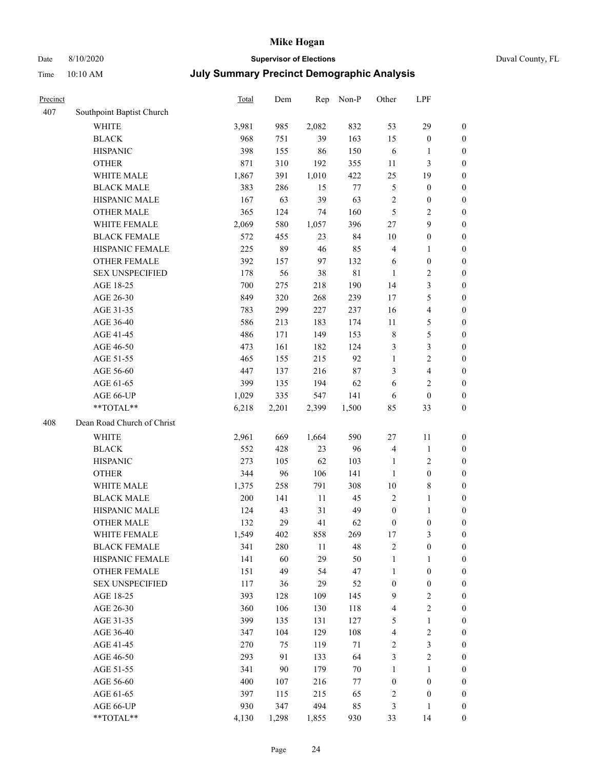# Date 8/10/2020 **Supervisor of Elections** Duval County, FL

| Precinct |                            | Total | Dem    | Rep    | Non-P  | Other            | LPF                     |                  |
|----------|----------------------------|-------|--------|--------|--------|------------------|-------------------------|------------------|
| 407      | Southpoint Baptist Church  |       |        |        |        |                  |                         |                  |
|          | <b>WHITE</b>               | 3,981 | 985    | 2,082  | 832    | 53               | 29                      | $\boldsymbol{0}$ |
|          | <b>BLACK</b>               | 968   | 751    | 39     | 163    | 15               | $\boldsymbol{0}$        | $\boldsymbol{0}$ |
|          | <b>HISPANIC</b>            | 398   | 155    | 86     | 150    | 6                | 1                       | $\boldsymbol{0}$ |
|          | <b>OTHER</b>               | 871   | 310    | 192    | 355    | 11               | $\mathfrak{Z}$          | $\boldsymbol{0}$ |
|          | WHITE MALE                 | 1,867 | 391    | 1,010  | 422    | 25               | 19                      | $\boldsymbol{0}$ |
|          | <b>BLACK MALE</b>          | 383   | 286    | 15     | 77     | $\mathfrak{S}$   | $\boldsymbol{0}$        | $\boldsymbol{0}$ |
|          | HISPANIC MALE              | 167   | 63     | 39     | 63     | $\overline{c}$   | $\boldsymbol{0}$        | $\boldsymbol{0}$ |
|          | <b>OTHER MALE</b>          | 365   | 124    | 74     | 160    | 5                | $\sqrt{2}$              | $\boldsymbol{0}$ |
|          | WHITE FEMALE               | 2,069 | 580    | 1,057  | 396    | $27\,$           | 9                       | 0                |
|          | <b>BLACK FEMALE</b>        | 572   | 455    | 23     | 84     | 10               | $\boldsymbol{0}$        | $\boldsymbol{0}$ |
|          | HISPANIC FEMALE            | 225   | 89     | 46     | 85     | 4                | $\mathbf{1}$            | $\boldsymbol{0}$ |
|          | OTHER FEMALE               | 392   | 157    | 97     | 132    | 6                | $\boldsymbol{0}$        | $\boldsymbol{0}$ |
|          | <b>SEX UNSPECIFIED</b>     | 178   | 56     | 38     | 81     | $\mathbf{1}$     | $\sqrt{2}$              | $\boldsymbol{0}$ |
|          | AGE 18-25                  | 700   | 275    | 218    | 190    | 14               | $\mathfrak{Z}$          | $\boldsymbol{0}$ |
|          | AGE 26-30                  | 849   | 320    | 268    | 239    | 17               | $\mathfrak{S}$          | $\boldsymbol{0}$ |
|          | AGE 31-35                  | 783   | 299    | 227    | 237    | 16               | $\overline{\mathbf{4}}$ | $\boldsymbol{0}$ |
|          | AGE 36-40                  | 586   | 213    | 183    | 174    | 11               | $\mathfrak{S}$          | $\boldsymbol{0}$ |
|          | AGE 41-45                  | 486   | 171    | 149    | 153    | 8                | 5                       | $\boldsymbol{0}$ |
|          | AGE 46-50                  | 473   | 161    | 182    | 124    | 3                | $\mathfrak{Z}$          | 0                |
|          | AGE 51-55                  | 465   | 155    | 215    | 92     | $\mathbf{1}$     | $\sqrt{2}$              | 0                |
|          | AGE 56-60                  | 447   | 137    | 216    | $87\,$ | 3                | $\overline{\mathbf{4}}$ | $\boldsymbol{0}$ |
|          | AGE 61-65                  | 399   | 135    | 194    | 62     | 6                | $\mathbf{2}$            | $\boldsymbol{0}$ |
|          | AGE 66-UP                  | 1,029 | 335    | 547    | 141    | 6                | $\boldsymbol{0}$        | $\boldsymbol{0}$ |
|          | **TOTAL**                  | 6,218 | 2,201  | 2,399  | 1,500  | 85               | 33                      | $\boldsymbol{0}$ |
| 408      | Dean Road Church of Christ |       |        |        |        |                  |                         |                  |
|          | <b>WHITE</b>               | 2,961 | 669    | 1,664  | 590    | 27               | 11                      | $\boldsymbol{0}$ |
|          | <b>BLACK</b>               | 552   | 428    | 23     | 96     | $\overline{4}$   | $\mathbf{1}$            | $\boldsymbol{0}$ |
|          | <b>HISPANIC</b>            | 273   | 105    | 62     | 103    | $\mathbf{1}$     | $\sqrt{2}$              | $\overline{0}$   |
|          | <b>OTHER</b>               | 344   | 96     | 106    | 141    | $\mathbf{1}$     | $\boldsymbol{0}$        | $\boldsymbol{0}$ |
|          | WHITE MALE                 | 1,375 | 258    | 791    | 308    | $10\,$           | $8\,$                   | 0                |
|          | <b>BLACK MALE</b>          | 200   | 141    | 11     | 45     | $\overline{2}$   | $\mathbf{1}$            | 0                |
|          | HISPANIC MALE              | 124   | 43     | 31     | 49     | $\boldsymbol{0}$ | $\mathbf{1}$            | 0                |
|          | <b>OTHER MALE</b>          | 132   | 29     | 41     | 62     | $\boldsymbol{0}$ | $\boldsymbol{0}$        | $\boldsymbol{0}$ |
|          | WHITE FEMALE               | 1,549 | 402    | 858    | 269    | $17\,$           | $\mathfrak{Z}$          | $\boldsymbol{0}$ |
|          | <b>BLACK FEMALE</b>        | 341   | 280    | $11\,$ | 48     | $\boldsymbol{2}$ | $\boldsymbol{0}$        | $\boldsymbol{0}$ |
|          | HISPANIC FEMALE            | 141   | 60     | 29     | 50     | $\mathbf{1}$     | $\mathbf{1}$            | $\boldsymbol{0}$ |
|          | <b>OTHER FEMALE</b>        | 151   | 49     | 54     | 47     | $\mathbf{1}$     | $\boldsymbol{0}$        | $\overline{0}$   |
|          | <b>SEX UNSPECIFIED</b>     | 117   | 36     | 29     | 52     | $\boldsymbol{0}$ | $\boldsymbol{0}$        | $\overline{0}$   |
|          | AGE 18-25                  | 393   | 128    | 109    | 145    | $\overline{9}$   | $\sqrt{2}$              | 0                |
|          | AGE 26-30                  | 360   | 106    | 130    | 118    | 4                | $\sqrt{2}$              | 0                |
|          | AGE 31-35                  | 399   | 135    | 131    | 127    | $\mathfrak{S}$   | $\,1\,$                 | 0                |
|          | AGE 36-40                  | 347   | 104    | 129    | 108    | 4                | $\sqrt{2}$              | 0                |
|          | AGE 41-45                  | 270   | 75     | 119    | $71\,$ | $\overline{c}$   | $\mathfrak{Z}$          | $\boldsymbol{0}$ |
|          | AGE 46-50                  | 293   | 91     | 133    | 64     | 3                | $\sqrt{2}$              | $\boldsymbol{0}$ |
|          | AGE 51-55                  | 341   | $90\,$ | 179    | $70\,$ | $\mathbf{1}$     | $\mathbf{1}$            | $\boldsymbol{0}$ |
|          | AGE 56-60                  | 400   | 107    | 216    | 77     | $\boldsymbol{0}$ | $\boldsymbol{0}$        | $\boldsymbol{0}$ |
|          | AGE 61-65                  | 397   | 115    | 215    | 65     | $\overline{c}$   | $\boldsymbol{0}$        | $\boldsymbol{0}$ |
|          | AGE 66-UP                  | 930   | 347    | 494    | 85     | 3                | $\mathbf{1}$            | $\boldsymbol{0}$ |
|          | **TOTAL**                  | 4,130 | 1,298  | 1,855  | 930    | 33               | 14                      | $\overline{0}$   |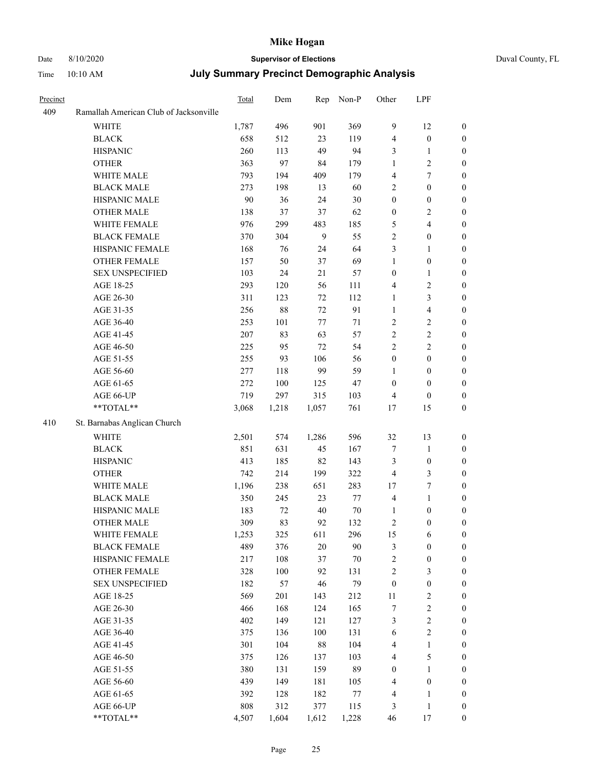# Date 8/10/2020 **Supervisor of Elections**

| Duval County, FL |  |
|------------------|--|
|------------------|--|

| Precinct |                                        | Total | Dem   | Rep    | Non-P  | Other            | LPF                     |                  |
|----------|----------------------------------------|-------|-------|--------|--------|------------------|-------------------------|------------------|
| 409      | Ramallah American Club of Jacksonville |       |       |        |        |                  |                         |                  |
|          | <b>WHITE</b>                           | 1,787 | 496   | 901    | 369    | 9                | 12                      | $\boldsymbol{0}$ |
|          | <b>BLACK</b>                           | 658   | 512   | 23     | 119    | 4                | $\boldsymbol{0}$        | $\boldsymbol{0}$ |
|          | <b>HISPANIC</b>                        | 260   | 113   | 49     | 94     | 3                | $\mathbf{1}$            | $\boldsymbol{0}$ |
|          | <b>OTHER</b>                           | 363   | 97    | 84     | 179    | $\mathbf{1}$     | $\mathfrak{2}$          | $\boldsymbol{0}$ |
|          | WHITE MALE                             | 793   | 194   | 409    | 179    | 4                | $\tau$                  | $\boldsymbol{0}$ |
|          | <b>BLACK MALE</b>                      | 273   | 198   | 13     | 60     | 2                | $\boldsymbol{0}$        | $\boldsymbol{0}$ |
|          | HISPANIC MALE                          | 90    | 36    | 24     | $30\,$ | $\boldsymbol{0}$ | $\boldsymbol{0}$        | 0                |
|          | <b>OTHER MALE</b>                      | 138   | 37    | 37     | 62     | $\boldsymbol{0}$ | $\sqrt{2}$              | 0                |
|          | WHITE FEMALE                           | 976   | 299   | 483    | 185    | 5                | $\overline{\mathbf{4}}$ | 0                |
|          | <b>BLACK FEMALE</b>                    | 370   | 304   | 9      | 55     | $\overline{c}$   | $\boldsymbol{0}$        | $\boldsymbol{0}$ |
|          | HISPANIC FEMALE                        | 168   | 76    | 24     | 64     | 3                | $\mathbf{1}$            | $\boldsymbol{0}$ |
|          | OTHER FEMALE                           | 157   | 50    | 37     | 69     | $\mathbf{1}$     | $\boldsymbol{0}$        | $\boldsymbol{0}$ |
|          | <b>SEX UNSPECIFIED</b>                 | 103   | 24    | 21     | 57     | $\boldsymbol{0}$ | $\mathbf{1}$            | $\boldsymbol{0}$ |
|          | AGE 18-25                              | 293   | 120   | 56     | 111    | 4                | $\sqrt{2}$              | $\boldsymbol{0}$ |
|          | AGE 26-30                              | 311   | 123   | 72     | 112    | $\mathbf{1}$     | $\mathfrak{Z}$          | $\boldsymbol{0}$ |
|          | AGE 31-35                              | 256   | 88    | 72     | 91     | $\mathbf{1}$     | $\overline{4}$          | $\boldsymbol{0}$ |
|          | AGE 36-40                              | 253   | 101   | 77     | $71\,$ | $\overline{c}$   | $\sqrt{2}$              | $\boldsymbol{0}$ |
|          | AGE 41-45                              | 207   | 83    | 63     | 57     | $\overline{c}$   | $\sqrt{2}$              | 0                |
|          | AGE 46-50                              | 225   | 95    | 72     | 54     | $\overline{2}$   | $\overline{2}$          | 0                |
|          | AGE 51-55                              | 255   | 93    | 106    | 56     | $\boldsymbol{0}$ | $\boldsymbol{0}$        | $\boldsymbol{0}$ |
|          | AGE 56-60                              | 277   | 118   | 99     | 59     | $\mathbf{1}$     | $\boldsymbol{0}$        | $\boldsymbol{0}$ |
|          | AGE 61-65                              | 272   | 100   | 125    | 47     | $\boldsymbol{0}$ | $\boldsymbol{0}$        | $\boldsymbol{0}$ |
|          | AGE 66-UP                              | 719   | 297   | 315    | 103    | 4                | $\boldsymbol{0}$        | 0                |
|          | **TOTAL**                              | 3,068 | 1,218 | 1,057  | 761    | 17               | 15                      | $\boldsymbol{0}$ |
| 410      | St. Barnabas Anglican Church           |       |       |        |        |                  |                         |                  |
|          | WHITE                                  | 2,501 | 574   | 1,286  | 596    | 32               | 13                      | $\boldsymbol{0}$ |
|          | <b>BLACK</b>                           | 851   | 631   | 45     | 167    | $\boldsymbol{7}$ | $\mathbf{1}$            | $\boldsymbol{0}$ |
|          | <b>HISPANIC</b>                        | 413   | 185   | 82     | 143    | 3                | $\boldsymbol{0}$        | $\boldsymbol{0}$ |
|          | <b>OTHER</b>                           | 742   | 214   | 199    | 322    | $\overline{4}$   | $\mathfrak{Z}$          | 0                |
|          | WHITE MALE                             | 1,196 | 238   | 651    | 283    | 17               | $\boldsymbol{7}$        | 0                |
|          | <b>BLACK MALE</b>                      | 350   | 245   | 23     | $77\,$ | 4                | $\mathbf{1}$            | 0                |
|          | HISPANIC MALE                          | 183   | 72    | $40\,$ | $70\,$ | 1                | $\boldsymbol{0}$        | $\boldsymbol{0}$ |
|          | <b>OTHER MALE</b>                      | 309   | 83    | 92     | 132    | 2                | $\boldsymbol{0}$        | $\boldsymbol{0}$ |
|          | WHITE FEMALE                           | 1,253 | 325   | 611    | 296    | 15               | 6                       | $\boldsymbol{0}$ |
|          | <b>BLACK FEMALE</b>                    | 489   | 376   | 20     | 90     | 3                | $\boldsymbol{0}$        | $\overline{0}$   |
|          | HISPANIC FEMALE                        | 217   | 108   | 37     | 70     | $\overline{c}$   | $\boldsymbol{0}$        | $\theta$         |
|          | <b>OTHER FEMALE</b>                    | 328   | 100   | 92     | 131    | 2                | $\mathfrak{Z}$          | $\overline{0}$   |
|          | <b>SEX UNSPECIFIED</b>                 | 182   | 57    | 46     | 79     | $\boldsymbol{0}$ | $\boldsymbol{0}$        | 0                |
|          | AGE 18-25                              | 569   | 201   | 143    | 212    | 11               | $\sqrt{2}$              | 0                |
|          | AGE 26-30                              | 466   | 168   | 124    | 165    | 7                | $\boldsymbol{2}$        | 0                |
|          | AGE 31-35                              | 402   | 149   | 121    | 127    | 3                | $\sqrt{2}$              | 0                |
|          | AGE 36-40                              | 375   | 136   | 100    | 131    | 6                | $\sqrt{2}$              | $\overline{0}$   |
|          | AGE 41-45                              | 301   | 104   | $88\,$ | 104    | 4                | $\mathbf{1}$            | $\boldsymbol{0}$ |
|          | AGE 46-50                              | 375   | 126   | 137    | 103    | 4                | $\mathfrak{S}$          | $\overline{0}$   |
|          | AGE 51-55                              | 380   | 131   | 159    | 89     | $\boldsymbol{0}$ | $\mathbf{1}$            | $\overline{0}$   |
|          | AGE 56-60                              | 439   | 149   | 181    | 105    | 4                | $\boldsymbol{0}$        | $\theta$         |
|          | AGE 61-65                              | 392   | 128   | 182    | 77     | 4                | $\mathbf{1}$            | $\overline{0}$   |
|          | AGE 66-UP                              | 808   | 312   | 377    | 115    | 3                | $\mathbf{1}$            | $\overline{0}$   |
|          | **TOTAL**                              | 4,507 | 1,604 | 1,612  | 1,228  | 46               | $17\,$                  | $\boldsymbol{0}$ |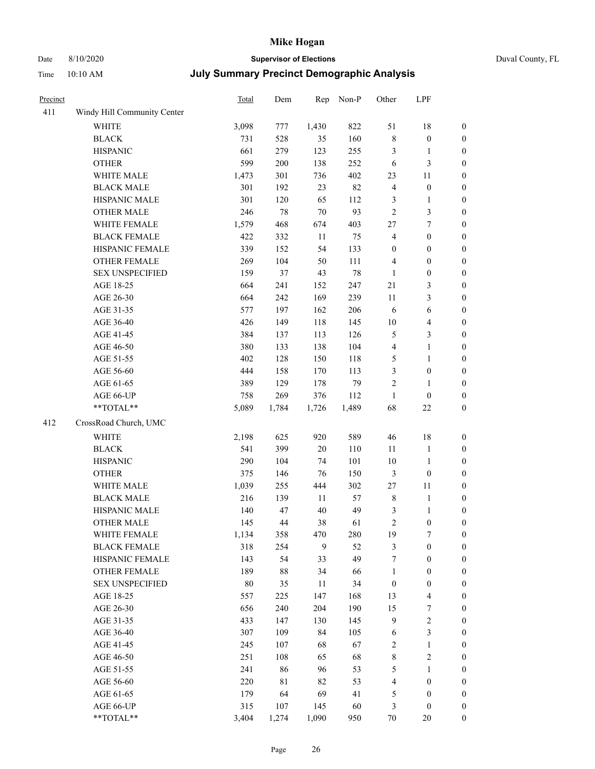# Date 8/10/2020 **Supervisor of Elections** Duval County, FL

| Precinct |                                                            | Total  | Dem         | Rep    | Non-P | Other            | LPF              |                  |
|----------|------------------------------------------------------------|--------|-------------|--------|-------|------------------|------------------|------------------|
| 411      | Windy Hill Community Center                                |        |             |        |       |                  |                  |                  |
|          | <b>WHITE</b>                                               | 3,098  | 777         | 1,430  | 822   | 51               | 18               | 0                |
|          | <b>BLACK</b>                                               | 731    | 528         | 35     | 160   | $\,$ 8 $\,$      | $\boldsymbol{0}$ | 0                |
|          | <b>HISPANIC</b>                                            | 661    | 279         | 123    | 255   | 3                | $\mathbf{1}$     | $\boldsymbol{0}$ |
|          | <b>OTHER</b>                                               | 599    | 200         | 138    | 252   | 6                | $\mathfrak{Z}$   | $\boldsymbol{0}$ |
|          | WHITE MALE                                                 | 1,473  | 301         | 736    | 402   | 23               | 11               | $\boldsymbol{0}$ |
|          | <b>BLACK MALE</b>                                          | 301    | 192         | 23     | 82    | 4                | $\boldsymbol{0}$ | $\boldsymbol{0}$ |
|          | HISPANIC MALE                                              | 301    | 120         | 65     | 112   | 3                | $\mathbf{1}$     | $\boldsymbol{0}$ |
|          | <b>OTHER MALE</b>                                          | 246    | 78          | $70\,$ | 93    | $\overline{c}$   | 3                | $\boldsymbol{0}$ |
|          | WHITE FEMALE                                               | 1,579  | 468         | 674    | 403   | $27\,$           | $\boldsymbol{7}$ | $\boldsymbol{0}$ |
|          | <b>BLACK FEMALE</b>                                        | 422    | 332         | 11     | 75    | 4                | $\boldsymbol{0}$ | $\boldsymbol{0}$ |
|          | HISPANIC FEMALE                                            | 339    | 152         | 54     | 133   | $\boldsymbol{0}$ | $\boldsymbol{0}$ | $\boldsymbol{0}$ |
|          | OTHER FEMALE                                               | 269    | 104         | 50     | 111   | 4                | $\boldsymbol{0}$ | $\boldsymbol{0}$ |
|          | <b>SEX UNSPECIFIED</b>                                     | 159    | 37          | 43     | 78    | $\mathbf{1}$     | $\boldsymbol{0}$ | $\boldsymbol{0}$ |
|          | AGE 18-25                                                  | 664    | 241         | 152    | 247   | 21               | $\mathfrak{Z}$   | $\boldsymbol{0}$ |
|          | AGE 26-30                                                  | 664    | 242         | 169    | 239   | 11               | 3                | $\boldsymbol{0}$ |
|          | AGE 31-35                                                  | 577    | 197         | 162    | 206   | 6                | 6                | $\boldsymbol{0}$ |
|          | AGE 36-40                                                  | 426    | 149         | 118    | 145   | $10\,$           | $\overline{4}$   | $\boldsymbol{0}$ |
|          | AGE 41-45                                                  | 384    | 137         | 113    | 126   | 5                | 3                | $\boldsymbol{0}$ |
|          | AGE 46-50                                                  | 380    | 133         | 138    | 104   | 4                | $\mathbf{1}$     | $\boldsymbol{0}$ |
|          | AGE 51-55                                                  | 402    | 128         | 150    | 118   | 5                | $\mathbf{1}$     | $\boldsymbol{0}$ |
|          | AGE 56-60                                                  | 444    | 158         | 170    | 113   | 3                | $\boldsymbol{0}$ | 0                |
|          | AGE 61-65                                                  | 389    | 129         | 178    | 79    | $\overline{c}$   | 1                | $\boldsymbol{0}$ |
|          | AGE 66-UP                                                  | 758    | 269         | 376    | 112   | $\mathbf{1}$     | $\boldsymbol{0}$ | $\boldsymbol{0}$ |
|          | $**TOTAL**$                                                | 5,089  | 1,784       | 1,726  | 1,489 | 68               | $22\,$           | $\boldsymbol{0}$ |
| 412      | CrossRoad Church, UMC                                      |        |             |        |       |                  |                  |                  |
|          | <b>WHITE</b>                                               | 2,198  | 625         | 920    | 589   | 46               | 18               | $\boldsymbol{0}$ |
|          | <b>BLACK</b>                                               | 541    | 399         | 20     | 110   | 11               | $\mathbf{1}$     | $\boldsymbol{0}$ |
|          | <b>HISPANIC</b>                                            | 290    | 104         | 74     | 101   | 10               | $\mathbf{1}$     | $\boldsymbol{0}$ |
|          | <b>OTHER</b>                                               | 375    | 146         | 76     | 150   | 3                | $\boldsymbol{0}$ | $\boldsymbol{0}$ |
|          | WHITE MALE                                                 | 1,039  | 255         | 444    | 302   | 27               | 11               | $\boldsymbol{0}$ |
|          | <b>BLACK MALE</b>                                          | 216    | 139         | 11     | 57    | $\,$ $\,$        | $\mathbf{1}$     | $\boldsymbol{0}$ |
|          | HISPANIC MALE                                              | 140    | 47          | 40     | 49    | 3                | $\mathbf{1}$     | 0                |
|          | <b>OTHER MALE</b>                                          | 145    | 44          | 38     | 61    | $\overline{c}$   | $\boldsymbol{0}$ | $\boldsymbol{0}$ |
|          | WHITE FEMALE                                               | 1,134  | 358         | 470    | 280   | 19               | 7                | 0                |
|          | <b>BLACK FEMALE</b>                                        | 318    | 254         | 9      | 52    | 3                | $\boldsymbol{0}$ | $\boldsymbol{0}$ |
|          | HISPANIC FEMALE                                            | 143    | 54          | 33     | 49    | 7                | $\boldsymbol{0}$ | $\overline{0}$   |
|          | <b>OTHER FEMALE</b>                                        | 189    | 88          | 34     | 66    | 1                | $\boldsymbol{0}$ | $\overline{0}$   |
|          | <b>SEX UNSPECIFIED</b>                                     | $80\,$ | 35          | 11     | 34    | $\boldsymbol{0}$ | $\boldsymbol{0}$ | 0                |
|          | AGE 18-25                                                  | 557    | 225         | 147    | 168   | 13               | $\overline{4}$   | 0                |
|          | AGE 26-30                                                  | 656    | 240         | 204    | 190   | 15               | $\boldsymbol{7}$ | 0                |
|          | AGE 31-35                                                  | 433    | 147         | 130    | 145   | 9                | $\sqrt{2}$       | 0                |
|          | AGE 36-40                                                  | 307    | 109         | 84     | 105   | 6                | $\mathfrak{Z}$   | 0                |
|          | AGE 41-45                                                  | 245    | 107         | 68     | 67    | 2                | $\mathbf{1}$     | 0                |
|          | AGE 46-50                                                  | 251    | 108         | 65     | 68    | 8                | $\sqrt{2}$       | 0                |
|          | AGE 51-55                                                  | 241    | 86          | 96     | 53    | 5                | $\mathbf{1}$     | 0                |
|          | AGE 56-60                                                  | 220    | $8\sqrt{1}$ | 82     | 53    | 4                | $\boldsymbol{0}$ | $\overline{0}$   |
|          | AGE 61-65                                                  | 179    | 64          | 69     | 41    | 5                | $\boldsymbol{0}$ | $\overline{0}$   |
|          | AGE 66-UP                                                  | 315    | 107         | 145    | 60    | 3                | $\boldsymbol{0}$ | 0                |
|          | $\mathrm{*}\mathrm{*} \mathrm{TOTAL} \mathrm{*}\mathrm{*}$ | 3,404  | 1,274       | 1,090  | 950   | 70               | 20               | $\boldsymbol{0}$ |
|          |                                                            |        |             |        |       |                  |                  |                  |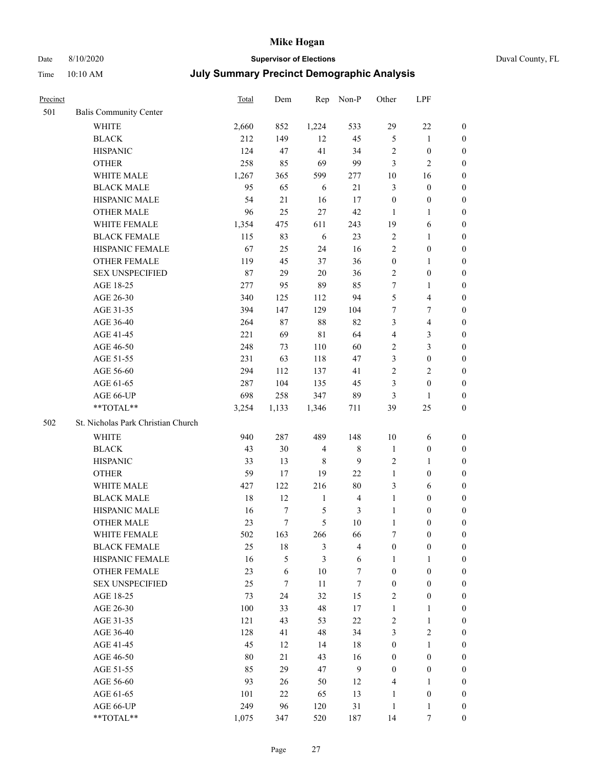# Date 8/10/2020 **Supervisor of Elections** Duval County, FL

| Precinct |                                    | <b>Total</b> | Dem    | Rep            | Non-P                   | Other            | LPF                     |                  |
|----------|------------------------------------|--------------|--------|----------------|-------------------------|------------------|-------------------------|------------------|
| 501      | <b>Balis Community Center</b>      |              |        |                |                         |                  |                         |                  |
|          | <b>WHITE</b>                       | 2,660        | 852    | 1,224          | 533                     | 29               | $22\,$                  | 0                |
|          | <b>BLACK</b>                       | 212          | 149    | 12             | 45                      | $\mathfrak{S}$   | $\mathbf{1}$            | 0                |
|          | <b>HISPANIC</b>                    | 124          | 47     | 41             | 34                      | $\sqrt{2}$       | $\boldsymbol{0}$        | $\boldsymbol{0}$ |
|          | <b>OTHER</b>                       | 258          | 85     | 69             | 99                      | 3                | $\mathbf{2}$            | $\boldsymbol{0}$ |
|          | WHITE MALE                         | 1,267        | 365    | 599            | 277                     | 10               | 16                      | $\boldsymbol{0}$ |
|          | <b>BLACK MALE</b>                  | 95           | 65     | 6              | 21                      | 3                | $\boldsymbol{0}$        | $\boldsymbol{0}$ |
|          | HISPANIC MALE                      | 54           | 21     | 16             | 17                      | $\boldsymbol{0}$ | $\boldsymbol{0}$        | $\boldsymbol{0}$ |
|          | <b>OTHER MALE</b>                  | 96           | 25     | 27             | $42\,$                  | $\mathbf{1}$     | $\mathbf{1}$            | $\boldsymbol{0}$ |
|          | WHITE FEMALE                       | 1,354        | 475    | 611            | 243                     | 19               | 6                       | $\boldsymbol{0}$ |
|          | <b>BLACK FEMALE</b>                | 115          | 83     | 6              | 23                      | $\sqrt{2}$       | $\mathbf{1}$            | 0                |
|          | HISPANIC FEMALE                    | 67           | 25     | 24             | 16                      | $\overline{2}$   | $\boldsymbol{0}$        | 0                |
|          | <b>OTHER FEMALE</b>                | 119          | 45     | 37             | 36                      | $\boldsymbol{0}$ | $\mathbf{1}$            | 0                |
|          | <b>SEX UNSPECIFIED</b>             | 87           | 29     | 20             | 36                      | $\overline{c}$   | $\boldsymbol{0}$        | $\boldsymbol{0}$ |
|          | AGE 18-25                          | 277          | 95     | 89             | 85                      | 7                | 1                       | $\boldsymbol{0}$ |
|          | AGE 26-30                          | 340          | 125    | 112            | 94                      | 5                | $\overline{\mathbf{4}}$ | $\boldsymbol{0}$ |
|          | AGE 31-35                          | 394          | 147    | 129            | 104                     | 7                | $\boldsymbol{7}$        | $\boldsymbol{0}$ |
|          | AGE 36-40                          | 264          | 87     | $88\,$         | 82                      | 3                | $\overline{\mathbf{4}}$ | $\boldsymbol{0}$ |
|          | AGE 41-45                          | 221          | 69     | 81             | 64                      | $\overline{4}$   | $\mathfrak{Z}$          | $\boldsymbol{0}$ |
|          | AGE 46-50                          | 248          | 73     | 110            | 60                      | 2                | $\mathfrak{Z}$          | $\boldsymbol{0}$ |
|          | AGE 51-55                          | 231          | 63     | 118            | 47                      | 3                | $\boldsymbol{0}$        | $\boldsymbol{0}$ |
|          | AGE 56-60                          | 294          | 112    | 137            | 41                      | $\overline{c}$   | $\overline{2}$          | 0                |
|          | AGE 61-65                          | 287          | 104    | 135            | 45                      | 3                | $\boldsymbol{0}$        | 0                |
|          | AGE 66-UP                          | 698          | 258    | 347            | 89                      | 3                | $\mathbf{1}$            | $\boldsymbol{0}$ |
|          | **TOTAL**                          | 3,254        | 1,133  | 1,346          | 711                     | 39               | 25                      | $\boldsymbol{0}$ |
| 502      | St. Nicholas Park Christian Church |              |        |                |                         |                  |                         |                  |
|          | <b>WHITE</b>                       | 940          | 287    | 489            | 148                     | $10\,$           | 6                       | $\boldsymbol{0}$ |
|          | <b>BLACK</b>                       | 43           | 30     | $\overline{4}$ | $8\,$                   | $\mathbf{1}$     | $\boldsymbol{0}$        | $\boldsymbol{0}$ |
|          | <b>HISPANIC</b>                    | 33           | 13     | 8              | 9                       | 2                | $\mathbf{1}$            | $\boldsymbol{0}$ |
|          | <b>OTHER</b>                       | 59           | 17     | 19             | 22                      | $\mathbf{1}$     | $\boldsymbol{0}$        | $\boldsymbol{0}$ |
|          | WHITE MALE                         | 427          | 122    | 216            | $80\,$                  | 3                | 6                       | $\boldsymbol{0}$ |
|          | <b>BLACK MALE</b>                  | 18           | 12     | $\mathbf{1}$   | $\overline{\mathbf{4}}$ | $\mathbf{1}$     | $\boldsymbol{0}$        | $\boldsymbol{0}$ |
|          | HISPANIC MALE                      | 16           | 7      | 5              | $\mathfrak{Z}$          | $\mathbf{1}$     | $\boldsymbol{0}$        | 0                |
|          | OTHER MALE                         | 23           | $\tau$ | 5              | $10\,$                  | $\mathbf{1}$     | $\boldsymbol{0}$        | $\boldsymbol{0}$ |
|          | WHITE FEMALE                       | 502          | 163    | 266            | 66                      | 7                | $\boldsymbol{0}$        | 0                |
|          | <b>BLACK FEMALE</b>                | 25           | $18\,$ | 3              | $\overline{\mathbf{4}}$ | $\boldsymbol{0}$ | $\boldsymbol{0}$        | $\overline{0}$   |
|          | HISPANIC FEMALE                    | 16           | 5      | 3              | 6                       | 1                | 1                       | $\overline{0}$   |
|          | OTHER FEMALE                       | 23           | 6      | 10             | $\boldsymbol{7}$        | $\boldsymbol{0}$ | $\boldsymbol{0}$        | $\overline{0}$   |
|          | <b>SEX UNSPECIFIED</b>             | 25           | $\tau$ | 11             | $\boldsymbol{7}$        | $\boldsymbol{0}$ | $\boldsymbol{0}$        | 0                |
|          | AGE 18-25                          | 73           | 24     | 32             | 15                      | 2                | $\boldsymbol{0}$        | 0                |
|          | AGE 26-30                          | 100          | 33     | 48             | 17                      | $\mathbf{1}$     | $\mathbf{1}$            | 0                |
|          | AGE 31-35                          | 121          | 43     | 53             | $22\,$                  | $\overline{c}$   | $\mathbf{1}$            | 0                |
|          | AGE 36-40                          | 128          | 41     | 48             | 34                      | 3                | $\sqrt{2}$              | 0                |
|          | AGE 41-45                          | 45           | 12     | 14             | 18                      | $\boldsymbol{0}$ | $\mathbf{1}$            | 0                |
|          | AGE 46-50                          | 80           | 21     | 43             | 16                      | $\boldsymbol{0}$ | $\boldsymbol{0}$        | 0                |
|          | AGE 51-55                          | 85           | 29     | 47             | 9                       | $\boldsymbol{0}$ | $\boldsymbol{0}$        | 0                |
|          | AGE 56-60                          | 93           | 26     | 50             | 12                      | 4                | 1                       | $\overline{0}$   |
|          | AGE 61-65                          | 101          | 22     | 65             | 13                      | $\mathbf{1}$     | $\boldsymbol{0}$        | 0                |
|          | AGE 66-UP                          | 249          | 96     | 120            | 31                      | $\mathbf{1}$     | $\mathbf{1}$            | 0                |
|          | **TOTAL**                          | 1,075        | 347    | 520            | 187                     | 14               | 7                       | $\boldsymbol{0}$ |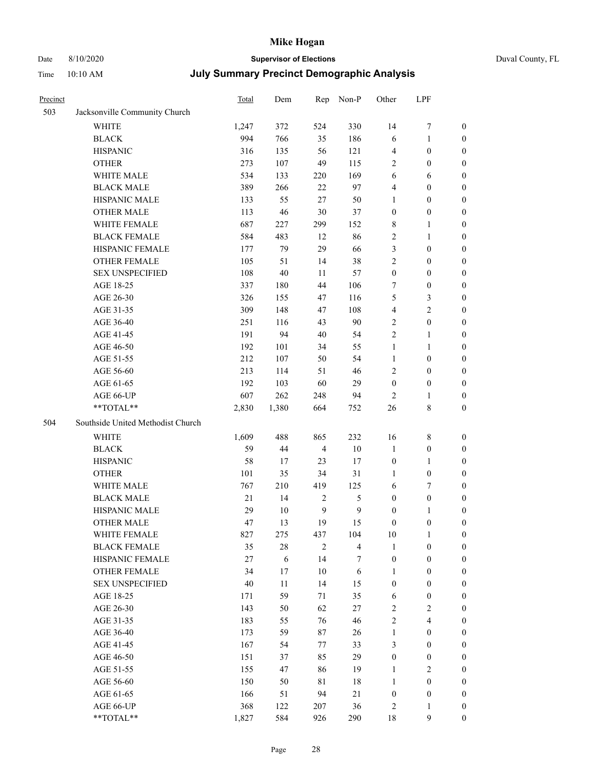# Date 8/10/2020 **Supervisor of Elections** Duval County, FL

| Precinct |                                   | <b>Total</b> | Dem      | Rep            | Non-P          | Other                            | LPF                                  |                  |
|----------|-----------------------------------|--------------|----------|----------------|----------------|----------------------------------|--------------------------------------|------------------|
| 503      | Jacksonville Community Church     |              |          |                |                |                                  |                                      |                  |
|          | <b>WHITE</b>                      | 1,247        | 372      | 524            | 330            | 14                               | $\boldsymbol{7}$                     | 0                |
|          | <b>BLACK</b>                      | 994          | 766      | 35             | 186            | 6                                | $\mathbf{1}$                         | 0                |
|          | <b>HISPANIC</b>                   | 316          | 135      | 56             | 121            | 4                                | $\boldsymbol{0}$                     | $\boldsymbol{0}$ |
|          | <b>OTHER</b>                      | 273          | 107      | 49             | 115            | 2                                | $\boldsymbol{0}$                     | $\boldsymbol{0}$ |
|          | WHITE MALE                        | 534          | 133      | 220            | 169            | 6                                | 6                                    | $\boldsymbol{0}$ |
|          | <b>BLACK MALE</b>                 | 389          | 266      | 22             | 97             | 4                                | $\boldsymbol{0}$                     | $\boldsymbol{0}$ |
|          | HISPANIC MALE                     | 133          | 55       | 27             | 50             | 1                                | $\boldsymbol{0}$                     | $\boldsymbol{0}$ |
|          | <b>OTHER MALE</b>                 | 113          | 46       | 30             | 37             | $\boldsymbol{0}$                 | $\boldsymbol{0}$                     | $\boldsymbol{0}$ |
|          | WHITE FEMALE                      | 687          | 227      | 299            | 152            | 8                                | $\mathbf{1}$                         | $\boldsymbol{0}$ |
|          | <b>BLACK FEMALE</b>               | 584          | 483      | 12             | 86             | 2                                | $\mathbf{1}$                         | 0                |
|          | HISPANIC FEMALE                   | 177          | 79       | 29             | 66             | 3                                | $\boldsymbol{0}$                     | 0                |
|          | OTHER FEMALE                      | 105          | 51       | 14             | 38             | 2                                | $\boldsymbol{0}$                     | $\boldsymbol{0}$ |
|          | <b>SEX UNSPECIFIED</b>            | 108          | 40       | 11             | 57             | $\boldsymbol{0}$                 | $\boldsymbol{0}$                     | $\boldsymbol{0}$ |
|          | AGE 18-25                         | 337          | 180      | 44             | 106            | 7                                | $\boldsymbol{0}$                     | $\boldsymbol{0}$ |
|          | AGE 26-30                         | 326          | 155      | 47             | 116            | 5                                | $\mathfrak{Z}$                       | $\boldsymbol{0}$ |
|          | AGE 31-35                         | 309          | 148      | 47             | 108            | 4                                | $\sqrt{2}$                           | $\boldsymbol{0}$ |
|          | AGE 36-40                         | 251          | 116      | 43             | 90             | 2                                | $\boldsymbol{0}$                     | $\boldsymbol{0}$ |
|          | AGE 41-45                         | 191          | 94       | $40\,$         | 54             | 2                                | $\mathbf{1}$                         | $\boldsymbol{0}$ |
|          | AGE 46-50                         | 192          | 101      | 34             | 55             | $\mathbf{1}$                     | 1                                    | $\boldsymbol{0}$ |
|          | AGE 51-55                         | 212          | 107      | 50             | 54             | $\mathbf{1}$                     | $\boldsymbol{0}$                     | 0                |
|          | AGE 56-60                         | 213          | 114      | 51             | 46             | $\overline{c}$                   | $\boldsymbol{0}$                     | 0                |
|          | AGE 61-65                         | 192          | 103      | 60             | 29             | $\boldsymbol{0}$                 | $\boldsymbol{0}$                     | 0                |
|          | AGE 66-UP                         | 607          | 262      | 248            | 94             | $\overline{2}$                   | 1                                    | $\boldsymbol{0}$ |
|          | **TOTAL**                         | 2,830        | 1,380    | 664            | 752            | 26                               | $8\,$                                | $\boldsymbol{0}$ |
| 504      | Southside United Methodist Church |              |          |                |                |                                  |                                      |                  |
|          |                                   |              |          |                |                |                                  |                                      |                  |
|          | <b>WHITE</b>                      | 1,609        | 488      | 865            | 232            | 16                               | $8\,$                                | $\boldsymbol{0}$ |
|          | <b>BLACK</b>                      | 59           | 44       | $\overline{4}$ | $10\,$         | $\mathbf{1}$                     | $\boldsymbol{0}$                     | $\boldsymbol{0}$ |
|          | <b>HISPANIC</b>                   | 58           | 17       | 23             | 17             | $\boldsymbol{0}$                 | $\mathbf{1}$                         | $\boldsymbol{0}$ |
|          | <b>OTHER</b>                      | 101          | 35       | 34             | 31             | 1                                | $\boldsymbol{0}$                     | $\boldsymbol{0}$ |
|          | WHITE MALE                        | 767          | 210      | 419            | 125            | 6                                | $\tau$                               | $\overline{0}$   |
|          | <b>BLACK MALE</b>                 | $21\,$       | 14       | $\sqrt{2}$     | $\mathfrak{S}$ | $\boldsymbol{0}$                 | $\boldsymbol{0}$                     | $\boldsymbol{0}$ |
|          | HISPANIC MALE                     | 29           | $10\,$   | $\overline{9}$ | $\mathbf{9}$   | $\boldsymbol{0}$                 | 1                                    | 0                |
|          | OTHER MALE                        | 47           | 13       | 19             | 15             | $\boldsymbol{0}$                 | $\boldsymbol{0}$                     | $\boldsymbol{0}$ |
|          | WHITE FEMALE                      | 827          | 275      | 437            | 104            | 10                               | 1                                    | 0                |
|          | <b>BLACK FEMALE</b>               | 35           | $28\,$   | $\mathbf{2}$   | $\overline{4}$ | $\mathbf{1}$                     | $\boldsymbol{0}$                     | $\overline{0}$   |
|          | HISPANIC FEMALE                   | 27           | 6        | 14             | 7              | $\boldsymbol{0}$                 | $\boldsymbol{0}$                     | $\overline{0}$   |
|          | OTHER FEMALE                      | 34           | 17       | 10             | 6              | 1                                | $\boldsymbol{0}$                     | $\overline{0}$   |
|          | <b>SEX UNSPECIFIED</b>            | 40           | 11       | 14             | 15             | $\boldsymbol{0}$                 | $\boldsymbol{0}$                     | 0                |
|          | AGE 18-25<br>AGE 26-30            | 171          | 59       | 71             | 35             | 6                                | $\boldsymbol{0}$                     | 0                |
|          |                                   | 143<br>183   | 50<br>55 | 62             | $27\,$<br>46   | $\overline{c}$<br>$\overline{c}$ | $\overline{2}$<br>$\overline{4}$     | 0                |
|          | AGE 31-35                         |              |          | 76             |                |                                  |                                      | 0                |
|          | AGE 36-40<br>AGE 41-45            | 173<br>167   | 59<br>54 | 87<br>77       | 26<br>33       | $\mathbf{1}$<br>3                | $\boldsymbol{0}$<br>$\boldsymbol{0}$ | 0<br>0           |
|          |                                   | 151          | 37       | 85             | 29             |                                  |                                      |                  |
|          | AGE 46-50                         |              |          |                |                | $\boldsymbol{0}$                 | $\boldsymbol{0}$                     | 0                |
|          | AGE 51-55                         | 155          | 47       | 86             | 19             | $\mathbf{1}$                     | $\overline{2}$                       | 0                |
|          | AGE 56-60                         | 150          | 50       | 81             | 18             | 1                                | $\boldsymbol{0}$                     | $\overline{0}$   |
|          | AGE 61-65                         | 166          | 51       | 94             | 21             | $\boldsymbol{0}$                 | $\boldsymbol{0}$                     | $\overline{0}$   |
|          | AGE 66-UP                         | 368          | 122      | 207            | 36             | 2                                | $\mathbf{1}$                         | 0                |
|          | **TOTAL**                         | 1,827        | 584      | 926            | 290            | 18                               | $\mathbf{9}$                         | $\boldsymbol{0}$ |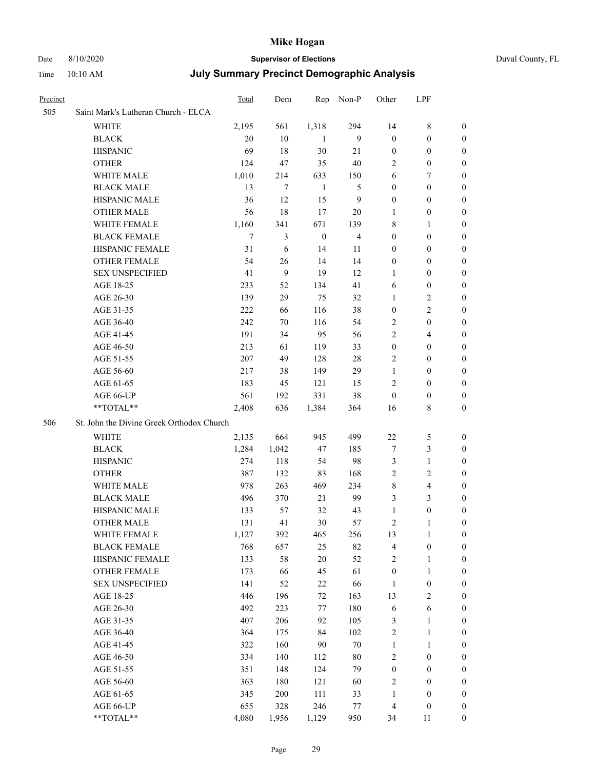## Date 8/10/2020 **Supervisor of Elections** Duval County, FL

| Precinct |                                           | <b>Total</b> | Dem   | Rep              | Non-P          | Other            | LPF                     |                  |
|----------|-------------------------------------------|--------------|-------|------------------|----------------|------------------|-------------------------|------------------|
| 505      | Saint Mark's Lutheran Church - ELCA       |              |       |                  |                |                  |                         |                  |
|          | <b>WHITE</b>                              | 2,195        | 561   | 1,318            | 294            | 14               | $8\,$                   | $\boldsymbol{0}$ |
|          | <b>BLACK</b>                              | 20           | 10    | 1                | 9              | $\boldsymbol{0}$ | $\boldsymbol{0}$        | $\boldsymbol{0}$ |
|          | <b>HISPANIC</b>                           | 69           | 18    | 30               | 21             | $\boldsymbol{0}$ | $\boldsymbol{0}$        | $\boldsymbol{0}$ |
|          | <b>OTHER</b>                              | 124          | 47    | 35               | 40             | $\overline{c}$   | $\boldsymbol{0}$        | $\boldsymbol{0}$ |
|          | WHITE MALE                                | 1,010        | 214   | 633              | 150            | 6                | 7                       | 0                |
|          | <b>BLACK MALE</b>                         | 13           | 7     | $\mathbf{1}$     | 5              | $\boldsymbol{0}$ | $\boldsymbol{0}$        | $\boldsymbol{0}$ |
|          | HISPANIC MALE                             | 36           | 12    | 15               | $\mathbf{9}$   | $\boldsymbol{0}$ | $\boldsymbol{0}$        | $\boldsymbol{0}$ |
|          | <b>OTHER MALE</b>                         | 56           | 18    | 17               | 20             | 1                | $\boldsymbol{0}$        | 0                |
|          | WHITE FEMALE                              | 1,160        | 341   | 671              | 139            | 8                | $\mathbf{1}$            | 0                |
|          | <b>BLACK FEMALE</b>                       | $\tau$       | 3     | $\boldsymbol{0}$ | $\overline{4}$ | $\boldsymbol{0}$ | $\boldsymbol{0}$        | 0                |
|          | HISPANIC FEMALE                           | 31           | 6     | 14               | 11             | $\boldsymbol{0}$ | $\boldsymbol{0}$        | 0                |
|          | OTHER FEMALE                              | 54           | 26    | 14               | 14             | $\boldsymbol{0}$ | $\boldsymbol{0}$        | 0                |
|          | <b>SEX UNSPECIFIED</b>                    | 41           | 9     | 19               | 12             | 1                | $\boldsymbol{0}$        | $\boldsymbol{0}$ |
|          | AGE 18-25                                 | 233          | 52    | 134              | 41             | 6                | $\boldsymbol{0}$        | $\boldsymbol{0}$ |
|          | AGE 26-30                                 | 139          | 29    | 75               | 32             | $\mathbf{1}$     | $\sqrt{2}$              | 0                |
|          | AGE 31-35                                 | 222          | 66    | 116              | 38             | $\boldsymbol{0}$ | $\sqrt{2}$              | $\boldsymbol{0}$ |
|          | AGE 36-40                                 | 242          | 70    | 116              | 54             | $\mathfrak{2}$   | $\boldsymbol{0}$        | $\boldsymbol{0}$ |
|          | AGE 41-45                                 | 191          | 34    | 95               | 56             | $\mathfrak{2}$   | $\overline{4}$          | 0                |
|          | AGE 46-50                                 | 213          | 61    | 119              | 33             | $\boldsymbol{0}$ | $\boldsymbol{0}$        | 0                |
|          | AGE 51-55                                 | 207          | 49    | 128              | $28\,$         | 2                | $\boldsymbol{0}$        | 0                |
|          | AGE 56-60                                 | 217          | 38    | 149              | 29             | $\mathbf{1}$     | $\boldsymbol{0}$        | 0                |
|          | AGE 61-65                                 | 183          | 45    | 121              | 15             | $\overline{2}$   | $\boldsymbol{0}$        | 0                |
|          | AGE 66-UP                                 | 561          | 192   | 331              | 38             | $\boldsymbol{0}$ | $\boldsymbol{0}$        | $\boldsymbol{0}$ |
|          | **TOTAL**                                 | 2,408        | 636   | 1,384            | 364            | 16               | $8\,$                   | $\boldsymbol{0}$ |
| 506      | St. John the Divine Greek Orthodox Church |              |       |                  |                |                  |                         |                  |
|          | WHITE                                     | 2,135        | 664   | 945              | 499            | $22\,$           | 5                       | $\boldsymbol{0}$ |
|          | <b>BLACK</b>                              | 1,284        | 1,042 | 47               | 185            | 7                | $\mathfrak{Z}$          | $\boldsymbol{0}$ |
|          | <b>HISPANIC</b>                           | 274          | 118   | 54               | 98             | 3                | $\mathbf{1}$            | 0                |
|          | <b>OTHER</b>                              | 387          | 132   | 83               | 168            | $\mathbf{2}$     | $\overline{2}$          | $\boldsymbol{0}$ |
|          | WHITE MALE                                | 978          | 263   | 469              | 234            | 8                | $\overline{\mathbf{4}}$ | 0                |
|          | <b>BLACK MALE</b>                         | 496          | 370   | 21               | 99             | 3                | 3                       | 0                |
|          | HISPANIC MALE                             | 133          | 57    | 32               | 43             | $\mathbf{1}$     | $\boldsymbol{0}$        | 0                |
|          | <b>OTHER MALE</b>                         | 131          | 41    | 30               | 57             | $\overline{c}$   | 1                       | 0                |
|          | WHITE FEMALE                              | 1,127        | 392   | 465              | 256            | 13               | $\mathbf{1}$            | 0                |
|          | <b>BLACK FEMALE</b>                       | 768          | 657   | 25               | 82             | 4                | $\boldsymbol{0}$        | $\overline{0}$   |
|          | HISPANIC FEMALE                           | 133          | 58    | $20\,$           | 52             | $\overline{c}$   | $\mathbf{1}$            | $\overline{0}$   |
|          | <b>OTHER FEMALE</b>                       | 173          | 66    | 45               | 61             | $\boldsymbol{0}$ | $\mathbf{1}$            | 0                |
|          | <b>SEX UNSPECIFIED</b>                    | 141          | 52    | $22\,$           | 66             | $\mathbf{1}$     | $\boldsymbol{0}$        | $\overline{0}$   |
|          | AGE 18-25                                 | 446          | 196   | $72\,$           | 163            | 13               | $\sqrt{2}$              | 0                |
|          | AGE 26-30                                 | 492          | 223   | 77               | 180            | 6                | $\sqrt{6}$              | 0                |
|          | AGE 31-35                                 | 407          | 206   | 92               | 105            | 3                | $\mathbf{1}$            | 0                |
|          | AGE 36-40                                 | 364          | 175   | 84               | 102            | $\sqrt{2}$       | $\mathbf{1}$            | 0                |
|          | AGE 41-45                                 | 322          | 160   | 90               | $70\,$         | $\mathbf{1}$     | $\mathbf{1}$            | 0                |
|          | AGE 46-50                                 | 334          | 140   | 112              | $80\,$         | $\sqrt{2}$       | $\boldsymbol{0}$        | 0                |
|          | AGE 51-55                                 | 351          | 148   | 124              | 79             | $\boldsymbol{0}$ | $\boldsymbol{0}$        | $\boldsymbol{0}$ |
|          | AGE 56-60                                 | 363          | 180   | 121              | 60             | $\overline{c}$   | $\boldsymbol{0}$        | $\overline{0}$   |
|          | AGE 61-65                                 | 345          | 200   | 111              | 33             | $\mathbf{1}$     | $\boldsymbol{0}$        | 0                |
|          | AGE 66-UP                                 | 655          | 328   | 246              | $77 \,$        | $\overline{4}$   | $\boldsymbol{0}$        | 0                |
|          | **TOTAL**                                 | 4,080        | 1,956 | 1,129            | 950            | 34               | 11                      | $\boldsymbol{0}$ |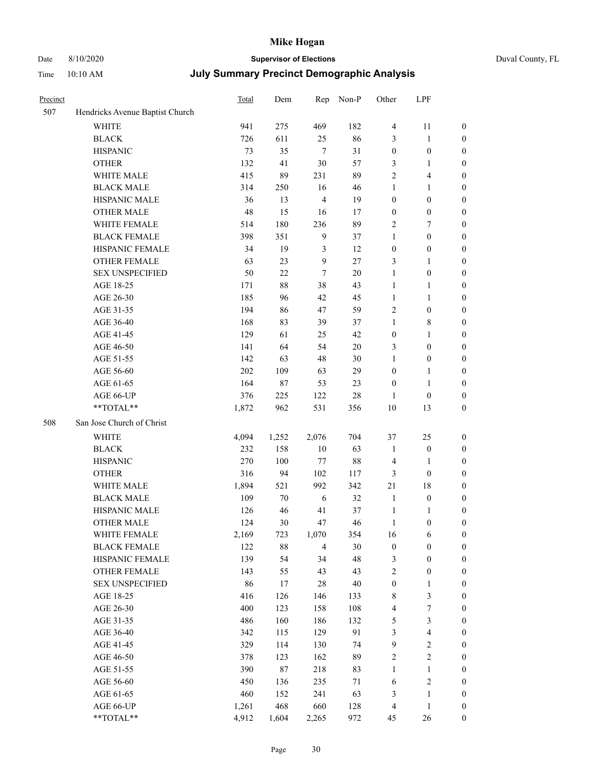# Date 8/10/2020 **Supervisor of Elections**

|  | Duval County, FL |  |
|--|------------------|--|
|--|------------------|--|

| Precinct |                                 | Total | Dem    | Rep            | Non-P  | Other            | LPF                     |                  |
|----------|---------------------------------|-------|--------|----------------|--------|------------------|-------------------------|------------------|
| 507      | Hendricks Avenue Baptist Church |       |        |                |        |                  |                         |                  |
|          | <b>WHITE</b>                    | 941   | 275    | 469            | 182    | $\overline{4}$   | 11                      | 0                |
|          | <b>BLACK</b>                    | 726   | 611    | 25             | 86     | 3                | $\mathbf{1}$            | 0                |
|          | <b>HISPANIC</b>                 | 73    | 35     | $\tau$         | 31     | $\boldsymbol{0}$ | $\boldsymbol{0}$        | $\boldsymbol{0}$ |
|          | <b>OTHER</b>                    | 132   | 41     | 30             | 57     | 3                | 1                       | $\boldsymbol{0}$ |
|          | WHITE MALE                      | 415   | 89     | 231            | 89     | 2                | $\overline{\mathbf{4}}$ | $\boldsymbol{0}$ |
|          | <b>BLACK MALE</b>               | 314   | 250    | 16             | 46     | $\mathbf{1}$     | $\mathbf{1}$            | $\boldsymbol{0}$ |
|          | HISPANIC MALE                   | 36    | 13     | $\overline{4}$ | 19     | $\boldsymbol{0}$ | $\boldsymbol{0}$        | $\boldsymbol{0}$ |
|          | <b>OTHER MALE</b>               | 48    | 15     | 16             | 17     | $\boldsymbol{0}$ | $\boldsymbol{0}$        | $\boldsymbol{0}$ |
|          | WHITE FEMALE                    | 514   | 180    | 236            | 89     | 2                | $\boldsymbol{7}$        | $\boldsymbol{0}$ |
|          | <b>BLACK FEMALE</b>             | 398   | 351    | $\overline{9}$ | 37     | $\mathbf{1}$     | $\boldsymbol{0}$        | $\boldsymbol{0}$ |
|          | HISPANIC FEMALE                 | 34    | 19     | 3              | 12     | $\boldsymbol{0}$ | $\boldsymbol{0}$        | $\boldsymbol{0}$ |
|          | <b>OTHER FEMALE</b>             | 63    | 23     | 9              | 27     | 3                | $\mathbf{1}$            | $\boldsymbol{0}$ |
|          | <b>SEX UNSPECIFIED</b>          | 50    | 22     | $\tau$         | 20     | $\mathbf{1}$     | $\boldsymbol{0}$        | $\boldsymbol{0}$ |
|          | AGE 18-25                       | 171   | $88\,$ | 38             | 43     | $\mathbf{1}$     | 1                       | $\boldsymbol{0}$ |
|          | AGE 26-30                       | 185   | 96     | 42             | 45     | $\mathbf{1}$     | $\mathbf{1}$            | $\boldsymbol{0}$ |
|          | AGE 31-35                       | 194   | 86     | 47             | 59     | $\overline{c}$   | $\boldsymbol{0}$        | $\boldsymbol{0}$ |
|          | AGE 36-40                       | 168   | 83     | 39             | 37     | $\mathbf{1}$     | $8\,$                   | $\boldsymbol{0}$ |
|          | AGE 41-45                       | 129   | 61     | 25             | 42     | $\boldsymbol{0}$ | $\mathbf{1}$            | $\boldsymbol{0}$ |
|          | AGE 46-50                       | 141   | 64     | 54             | $20\,$ | 3                | $\boldsymbol{0}$        | $\boldsymbol{0}$ |
|          | AGE 51-55                       | 142   | 63     | 48             | $30\,$ | $\mathbf{1}$     | $\boldsymbol{0}$        | $\boldsymbol{0}$ |
|          | AGE 56-60                       | 202   | 109    | 63             | 29     | $\boldsymbol{0}$ | $\mathbf{1}$            | 0                |
|          | AGE 61-65                       | 164   | $87\,$ | 53             | 23     | $\boldsymbol{0}$ | $\mathbf{1}$            | 0                |
|          | AGE 66-UP                       | 376   | 225    | 122            | $28\,$ | 1                | $\boldsymbol{0}$        | $\boldsymbol{0}$ |
|          | **TOTAL**                       | 1,872 | 962    | 531            | 356    | 10               | 13                      | $\boldsymbol{0}$ |
| 508      | San Jose Church of Christ       |       |        |                |        |                  |                         |                  |
|          | <b>WHITE</b>                    | 4,094 | 1,252  | 2,076          | 704    | 37               | 25                      | $\boldsymbol{0}$ |
|          | <b>BLACK</b>                    | 232   | 158    | $10\,$         | 63     | $\mathbf{1}$     | $\boldsymbol{0}$        | $\boldsymbol{0}$ |
|          | <b>HISPANIC</b>                 | 270   | 100    | 77             | $88\,$ | 4                | $\mathbf{1}$            | $\boldsymbol{0}$ |
|          | <b>OTHER</b>                    | 316   | 94     | 102            | 117    | 3                | $\boldsymbol{0}$        | $\boldsymbol{0}$ |
|          | WHITE MALE                      | 1,894 | 521    | 992            | 342    | 21               | $18\,$                  | $\boldsymbol{0}$ |
|          | <b>BLACK MALE</b>               | 109   | 70     | $\sqrt{6}$     | 32     | $\mathbf{1}$     | $\boldsymbol{0}$        | $\boldsymbol{0}$ |
|          | HISPANIC MALE                   | 126   | 46     | 41             | 37     | $\mathbf{1}$     | 1                       | 0                |
|          | OTHER MALE                      | 124   | 30     | 47             | 46     | $\mathbf{1}$     | $\boldsymbol{0}$        | $\boldsymbol{0}$ |
|          | WHITE FEMALE                    | 2,169 | 723    | 1,070          | 354    | 16               | 6                       | 0                |
|          | <b>BLACK FEMALE</b>             | 122   | 88     | $\overline{4}$ | $30\,$ | $\boldsymbol{0}$ | $\boldsymbol{0}$        | $\boldsymbol{0}$ |
|          | HISPANIC FEMALE                 | 139   | 54     | 34             | 48     | 3                | $\boldsymbol{0}$        | $\boldsymbol{0}$ |
|          | <b>OTHER FEMALE</b>             | 143   | 55     | 43             | 43     | 2                | $\boldsymbol{0}$        | $\overline{0}$   |
|          | <b>SEX UNSPECIFIED</b>          | 86    | 17     | 28             | $40\,$ | $\boldsymbol{0}$ | $\mathbf{1}$            | 0                |
|          | AGE 18-25                       | 416   | 126    | 146            | 133    | 8                | $\mathfrak{Z}$          | 0                |
|          | AGE 26-30                       | 400   | 123    | 158            | 108    | 4                | $\boldsymbol{7}$        | 0                |
|          | AGE 31-35                       | 486   | 160    | 186            | 132    | 5                | $\mathfrak{Z}$          | 0                |
|          | AGE 36-40                       | 342   | 115    | 129            | 91     | $\mathfrak{Z}$   | $\overline{\mathbf{4}}$ | 0                |
|          | AGE 41-45                       | 329   | 114    | 130            | 74     | 9                | $\sqrt{2}$              | 0                |
|          | AGE 46-50                       | 378   | 123    | 162            | 89     | 2                | $\sqrt{2}$              | 0                |
|          | AGE 51-55                       | 390   | 87     | 218            | 83     | $\mathbf{1}$     | $\mathbf{1}$            | 0                |
|          | AGE 56-60                       | 450   | 136    | 235            | 71     | 6                | $\sqrt{2}$              | 0                |
|          | AGE 61-65                       | 460   | 152    | 241            | 63     | 3                | $\mathbf{1}$            | $\boldsymbol{0}$ |
|          | AGE 66-UP                       | 1,261 | 468    | 660            | 128    | 4                | $\mathbf{1}$            | 0                |
|          | **TOTAL**                       | 4,912 | 1,604  | 2,265          | 972    | 45               | 26                      | $\boldsymbol{0}$ |
|          |                                 |       |        |                |        |                  |                         |                  |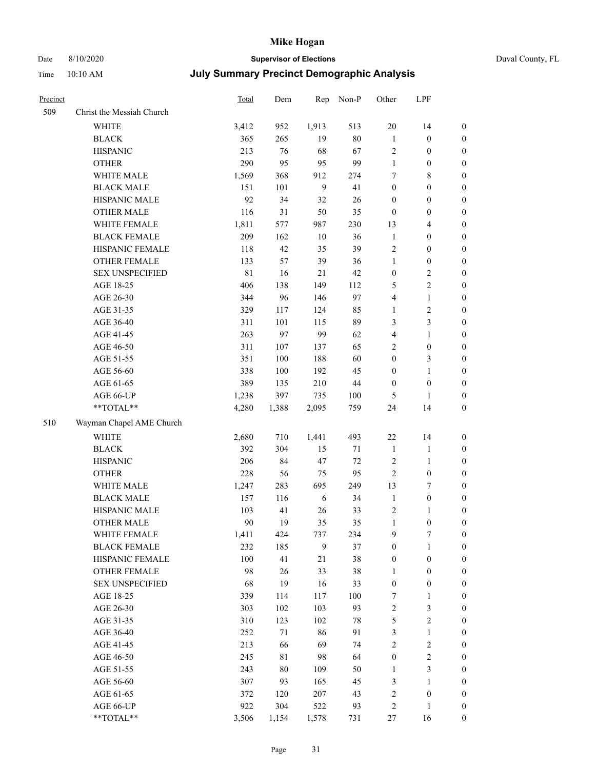# Date 8/10/2020 **Supervisor of Elections** Duval County, FL

| Precinct |                           | Total       | Dem         |        | Rep Non-P | Other            | LPF              |                  |
|----------|---------------------------|-------------|-------------|--------|-----------|------------------|------------------|------------------|
| 509      | Christ the Messiah Church |             |             |        |           |                  |                  |                  |
|          | <b>WHITE</b>              | 3,412       | 952         | 1,913  | 513       | $20\,$           | 14               | $\boldsymbol{0}$ |
|          | <b>BLACK</b>              | 365         | 265         | 19     | $80\,$    | $\mathbf{1}$     | $\boldsymbol{0}$ | $\boldsymbol{0}$ |
|          | <b>HISPANIC</b>           | 213         | 76          | 68     | 67        | $\sqrt{2}$       | $\boldsymbol{0}$ | $\boldsymbol{0}$ |
|          | <b>OTHER</b>              | 290         | 95          | 95     | 99        | $\mathbf{1}$     | $\boldsymbol{0}$ | $\boldsymbol{0}$ |
|          | WHITE MALE                | 1,569       | 368         | 912    | 274       | 7                | $\,$ 8 $\,$      | $\boldsymbol{0}$ |
|          | <b>BLACK MALE</b>         | 151         | 101         | 9      | 41        | $\boldsymbol{0}$ | $\boldsymbol{0}$ | $\boldsymbol{0}$ |
|          | HISPANIC MALE             | 92          | 34          | 32     | 26        | $\boldsymbol{0}$ | $\boldsymbol{0}$ | $\boldsymbol{0}$ |
|          | <b>OTHER MALE</b>         | 116         | 31          | 50     | 35        | $\boldsymbol{0}$ | $\boldsymbol{0}$ | $\boldsymbol{0}$ |
|          | WHITE FEMALE              | 1,811       | 577         | 987    | 230       | 13               | $\overline{4}$   | $\boldsymbol{0}$ |
|          | <b>BLACK FEMALE</b>       | 209         | 162         | $10\,$ | 36        | $\mathbf{1}$     | $\boldsymbol{0}$ | 0                |
|          | HISPANIC FEMALE           | 118         | 42          | 35     | 39        | 2                | $\boldsymbol{0}$ | $\boldsymbol{0}$ |
|          | OTHER FEMALE              | 133         | 57          | 39     | 36        | $\mathbf{1}$     | $\boldsymbol{0}$ | $\boldsymbol{0}$ |
|          | <b>SEX UNSPECIFIED</b>    | $8\sqrt{1}$ | 16          | 21     | 42        | $\boldsymbol{0}$ | $\sqrt{2}$       | $\boldsymbol{0}$ |
|          | AGE 18-25                 | 406         | 138         | 149    | 112       | 5                | $\sqrt{2}$       | $\boldsymbol{0}$ |
|          | AGE 26-30                 | 344         | 96          | 146    | 97        | 4                | $\mathbf{1}$     | $\boldsymbol{0}$ |
|          | AGE 31-35                 | 329         | 117         | 124    | 85        | $\mathbf{1}$     | $\sqrt{2}$       | $\boldsymbol{0}$ |
|          | AGE 36-40                 | 311         | 101         | 115    | 89        | 3                | 3                | $\boldsymbol{0}$ |
|          | AGE 41-45                 | 263         | 97          | 99     | 62        | 4                | $\mathbf{1}$     | $\boldsymbol{0}$ |
|          | AGE 46-50                 | 311         | 107         | 137    | 65        | $\overline{c}$   | $\boldsymbol{0}$ | $\boldsymbol{0}$ |
|          | AGE 51-55                 | 351         | 100         | 188    | 60        | $\boldsymbol{0}$ | 3                | 0                |
|          | AGE 56-60                 | 338         | 100         | 192    | 45        | $\boldsymbol{0}$ | $\mathbf{1}$     | $\boldsymbol{0}$ |
|          | AGE 61-65                 | 389         | 135         | 210    | $44\,$    | $\boldsymbol{0}$ | $\boldsymbol{0}$ | $\boldsymbol{0}$ |
|          | AGE 66-UP                 | 1,238       | 397         | 735    | $100\,$   | 5                | $\mathbf{1}$     | $\boldsymbol{0}$ |
|          | $**TOTAL**$               | 4,280       | 1,388       | 2,095  | 759       | 24               | 14               | $\boldsymbol{0}$ |
| 510      | Wayman Chapel AME Church  |             |             |        |           |                  |                  |                  |
|          | <b>WHITE</b>              | 2,680       | 710         | 1,441  | 493       | 22               | 14               | $\boldsymbol{0}$ |
|          | <b>BLACK</b>              | 392         | 304         | 15     | $71\,$    | $\mathbf{1}$     | $\mathbf{1}$     | $\boldsymbol{0}$ |
|          | <b>HISPANIC</b>           | 206         | 84          | 47     | $72\,$    | $\overline{c}$   | $\mathbf{1}$     | $\boldsymbol{0}$ |
|          | <b>OTHER</b>              | 228         | 56          | 75     | 95        | $\sqrt{2}$       | $\boldsymbol{0}$ | $\boldsymbol{0}$ |
|          | WHITE MALE                | 1,247       | 283         | 695    | 249       | 13               | $\boldsymbol{7}$ | $\boldsymbol{0}$ |
|          | <b>BLACK MALE</b>         | 157         | 116         | 6      | 34        | $\mathbf{1}$     | $\boldsymbol{0}$ | $\boldsymbol{0}$ |
|          | HISPANIC MALE             | 103         | 41          | 26     | 33        | 2                | 1                | 0                |
|          | <b>OTHER MALE</b>         | 90          | 19          | 35     | 35        | $\mathbf{1}$     | $\boldsymbol{0}$ | $\boldsymbol{0}$ |
|          | WHITE FEMALE              | 1,411       | 424         | 737    | 234       | 9                | 7                | $\boldsymbol{0}$ |
|          | <b>BLACK FEMALE</b>       | 232         | 185         | 9      | 37        | $\boldsymbol{0}$ | 1                | $\boldsymbol{0}$ |
|          | HISPANIC FEMALE           | 100         | 41          | 21     | 38        | $\boldsymbol{0}$ | $\boldsymbol{0}$ | $\overline{0}$   |
|          | OTHER FEMALE              | 98          | 26          | 33     | 38        | $\mathbf{1}$     | $\boldsymbol{0}$ | 0                |
|          | <b>SEX UNSPECIFIED</b>    | 68          | 19          | 16     | 33        | $\boldsymbol{0}$ | $\boldsymbol{0}$ | 0                |
|          | AGE 18-25                 | 339         | 114         | 117    | $100\,$   | 7                | $\mathbf{1}$     | 0                |
|          | AGE 26-30                 | 303         | 102         | 103    | 93        | $\overline{c}$   | $\mathfrak z$    | 0                |
|          | AGE 31-35                 | 310         | 123         | 102    | $78\,$    | 5                | $\sqrt{2}$       | 0                |
|          | AGE 36-40                 | 252         | 71          | 86     | 91        | $\mathfrak{Z}$   | $\mathbf{1}$     | 0                |
|          | AGE 41-45                 | 213         | 66          | 69     | 74        | $\overline{c}$   | $\sqrt{2}$       | 0                |
|          | AGE 46-50                 | 245         | $8\sqrt{1}$ | 98     | 64        | $\boldsymbol{0}$ | $\sqrt{2}$       | 0                |
|          | AGE 51-55                 | 243         | $80\,$      | 109    | 50        | 1                | $\mathfrak{Z}$   | $\boldsymbol{0}$ |
|          | AGE 56-60                 | 307         | 93          | 165    | 45        | 3                | $\mathbf{1}$     | $\boldsymbol{0}$ |
|          | AGE 61-65                 | 372         | 120         | 207    | 43        | 2                | $\boldsymbol{0}$ | 0                |
|          | AGE 66-UP                 | 922         | 304         | 522    | 93        | $\overline{c}$   | $\mathbf{1}$     | 0                |
|          | **TOTAL**                 | 3,506       | 1,154       | 1,578  | 731       | 27               | 16               | $\boldsymbol{0}$ |
|          |                           |             |             |        |           |                  |                  |                  |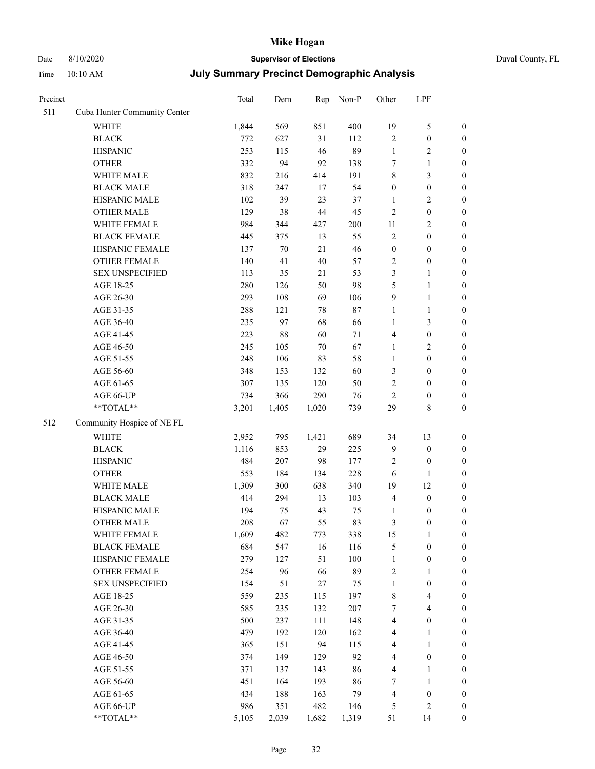## Date 8/10/2020 **Supervisor of Elections** Duval County, FL Time 10:10 AM **July Summary Precinct Demographic Analysis**

| Precinct |                              | Total | Dem     | Rep    | Non-P  | Other            | LPF                     |                  |
|----------|------------------------------|-------|---------|--------|--------|------------------|-------------------------|------------------|
| 511      | Cuba Hunter Community Center |       |         |        |        |                  |                         |                  |
|          | <b>WHITE</b>                 | 1,844 | 569     | 851    | 400    | 19               | 5                       | $\boldsymbol{0}$ |
|          | <b>BLACK</b>                 | 772   | 627     | 31     | 112    | $\overline{2}$   | $\boldsymbol{0}$        | $\boldsymbol{0}$ |
|          | <b>HISPANIC</b>              | 253   | 115     | 46     | 89     | $\mathbf{1}$     | $\overline{\mathbf{c}}$ | $\boldsymbol{0}$ |
|          | <b>OTHER</b>                 | 332   | 94      | 92     | 138    | $\tau$           | 1                       | $\boldsymbol{0}$ |
|          | WHITE MALE                   | 832   | 216     | 414    | 191    | $\,$ 8 $\,$      | 3                       | $\boldsymbol{0}$ |
|          | <b>BLACK MALE</b>            | 318   | 247     | 17     | 54     | $\boldsymbol{0}$ | $\boldsymbol{0}$        | $\boldsymbol{0}$ |
|          | HISPANIC MALE                | 102   | 39      | 23     | 37     | $\mathbf{1}$     | 2                       | $\boldsymbol{0}$ |
|          | <b>OTHER MALE</b>            | 129   | 38      | 44     | 45     | $\overline{2}$   | $\boldsymbol{0}$        | $\boldsymbol{0}$ |
|          | WHITE FEMALE                 | 984   | 344     | 427    | 200    | $11\,$           | 2                       | $\boldsymbol{0}$ |
|          | <b>BLACK FEMALE</b>          | 445   | 375     | 13     | 55     | $\sqrt{2}$       | $\boldsymbol{0}$        | $\boldsymbol{0}$ |
|          | HISPANIC FEMALE              | 137   | 70      | $21\,$ | 46     | $\boldsymbol{0}$ | $\boldsymbol{0}$        | $\boldsymbol{0}$ |
|          | <b>OTHER FEMALE</b>          | 140   | 41      | $40\,$ | 57     | $\sqrt{2}$       | $\boldsymbol{0}$        | $\boldsymbol{0}$ |
|          | <b>SEX UNSPECIFIED</b>       | 113   | 35      | 21     | 53     | $\mathfrak{Z}$   | 1                       | $\boldsymbol{0}$ |
|          | AGE 18-25                    | 280   | 126     | 50     | 98     | 5                | 1                       | $\boldsymbol{0}$ |
|          | AGE 26-30                    | 293   | 108     | 69     | 106    | 9                | 1                       | $\boldsymbol{0}$ |
|          | AGE 31-35                    | 288   | 121     | 78     | $87\,$ | $\mathbf{1}$     | $\mathbf{1}$            | $\boldsymbol{0}$ |
|          | AGE 36-40                    | 235   | 97      | 68     | 66     | $\mathbf{1}$     | 3                       | $\boldsymbol{0}$ |
|          | AGE 41-45                    | 223   | $88\,$  | 60     | 71     | $\overline{4}$   | $\boldsymbol{0}$        | $\boldsymbol{0}$ |
|          | AGE 46-50                    | 245   | 105     | 70     | 67     | $\mathbf{1}$     | 2                       | $\boldsymbol{0}$ |
|          | AGE 51-55                    | 248   | 106     | 83     | 58     | 1                | $\boldsymbol{0}$        | $\boldsymbol{0}$ |
|          | AGE 56-60                    | 348   | 153     | 132    | 60     | 3                | $\boldsymbol{0}$        | $\boldsymbol{0}$ |
|          | AGE 61-65                    | 307   | 135     | 120    | 50     | $\overline{2}$   | $\boldsymbol{0}$        | $\boldsymbol{0}$ |
|          | AGE 66-UP                    | 734   | 366     | 290    | 76     | $\overline{2}$   | $\boldsymbol{0}$        | $\boldsymbol{0}$ |
|          | **TOTAL**                    | 3,201 | 1,405   | 1,020  | 739    | 29               | 8                       | $\boldsymbol{0}$ |
| 512      | Community Hospice of NE FL   |       |         |        |        |                  |                         |                  |
|          | <b>WHITE</b>                 | 2,952 | 795     | 1,421  | 689    | 34               | 13                      | $\boldsymbol{0}$ |
|          | <b>BLACK</b>                 | 1,116 | 853     | 29     | 225    | $\overline{9}$   | $\boldsymbol{0}$        | $\boldsymbol{0}$ |
|          | <b>HISPANIC</b>              | 484   | $207\,$ | 98     | 177    | $\sqrt{2}$       | $\boldsymbol{0}$        | $\mathbf{0}$     |
|          | <b>OTHER</b>                 | 553   | 184     | 134    | 228    | 6                | 1                       | $\boldsymbol{0}$ |
|          | WHITE MALE                   | 1,309 | 300     | 638    | 340    | 19               | 12                      | $\boldsymbol{0}$ |
|          | <b>BLACK MALE</b>            | 414   | 294     | 13     | 103    | $\overline{4}$   | $\boldsymbol{0}$        | $\boldsymbol{0}$ |
|          | HISPANIC MALE                | 194   | 75      | 43     | 75     | $\mathbf{1}$     | $\boldsymbol{0}$        | $\boldsymbol{0}$ |
|          | <b>OTHER MALE</b>            | 208   | 67      | 55     | 83     | 3                | $\boldsymbol{0}$        | $\boldsymbol{0}$ |
|          | WHITE FEMALE                 | 1,609 | 482     | 773    | 338    | 15               | $\mathbf{1}$            | $\boldsymbol{0}$ |
|          | <b>BLACK FEMALE</b>          | 684   | 547     | 16     | 116    | $\mathfrak{S}$   | $\boldsymbol{0}$        | $\boldsymbol{0}$ |
|          | HISPANIC FEMALE              | 279   | 127     | 51     | 100    | $\mathbf{1}$     | $\boldsymbol{0}$        | $\boldsymbol{0}$ |
|          | <b>OTHER FEMALE</b>          | 254   | 96      | 66     | 89     | $\sqrt{2}$       | 1                       | $\boldsymbol{0}$ |
|          | <b>SEX UNSPECIFIED</b>       | 154   | 51      | $27\,$ | 75     | $\mathbf{1}$     | $\boldsymbol{0}$        | $\boldsymbol{0}$ |
|          | AGE 18-25                    | 559   | 235     | 115    | 197    | $\,$ 8 $\,$      | 4                       | $\boldsymbol{0}$ |
|          | AGE 26-30                    | 585   | 235     | 132    | 207    | 7                | 4                       | $\boldsymbol{0}$ |
|          | AGE 31-35                    | 500   | 237     | 111    | 148    | $\overline{4}$   | $\boldsymbol{0}$        | $\boldsymbol{0}$ |
|          | AGE 36-40                    | 479   | 192     | 120    | 162    | $\overline{4}$   | 1                       | $\boldsymbol{0}$ |
|          | AGE 41-45                    | 365   | 151     | 94     | 115    | $\overline{4}$   | 1                       | $\boldsymbol{0}$ |
|          | AGE 46-50                    | 374   | 149     | 129    | 92     | $\overline{4}$   | $\boldsymbol{0}$        | $\boldsymbol{0}$ |
|          | AGE 51-55                    | 371   | 137     | 143    | 86     | $\overline{4}$   | 1                       | $\boldsymbol{0}$ |
|          | AGE 56-60                    | 451   | 164     | 193    | 86     | 7                | 1                       | $\boldsymbol{0}$ |
|          | AGE 61-65                    | 434   | 188     | 163    | 79     | $\overline{4}$   | $\boldsymbol{0}$        | $\boldsymbol{0}$ |
|          | AGE 66-UP                    | 986   | 351     | 482    | 146    | 5                | $\mathbf{2}$            | $\mathbf{0}$     |
|          | **TOTAL**                    | 5,105 | 2,039   | 1,682  | 1,319  | 51               | 14                      | $\mathbf{0}$     |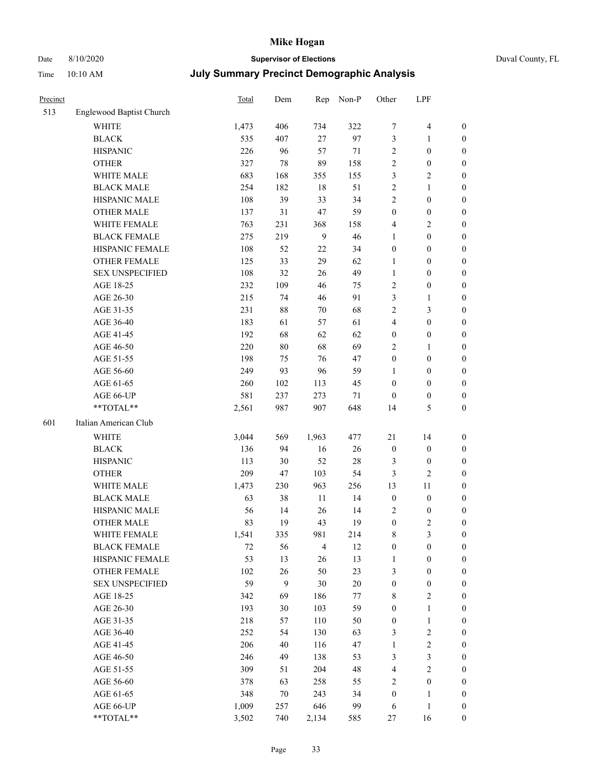## Date 8/10/2020 **Supervisor of Elections** Duval County, FL Time 10:10 AM **July Summary Precinct Demographic Analysis**

| Precinct |                          | Total | Dem | Rep            | Non-P  | Other                   | LPF                     |                  |
|----------|--------------------------|-------|-----|----------------|--------|-------------------------|-------------------------|------------------|
| 513      | Englewood Baptist Church |       |     |                |        |                         |                         |                  |
|          | WHITE                    | 1,473 | 406 | 734            | 322    | 7                       | $\overline{\mathbf{4}}$ | $\boldsymbol{0}$ |
|          | <b>BLACK</b>             | 535   | 407 | $27\,$         | 97     | 3                       | $\mathbf{1}$            | $\boldsymbol{0}$ |
|          | <b>HISPANIC</b>          | 226   | 96  | 57             | 71     | 2                       | $\boldsymbol{0}$        | $\boldsymbol{0}$ |
|          | <b>OTHER</b>             | 327   | 78  | 89             | 158    | 2                       | $\boldsymbol{0}$        | $\boldsymbol{0}$ |
|          | WHITE MALE               | 683   | 168 | 355            | 155    | 3                       | $\mathbf{2}$            | $\boldsymbol{0}$ |
|          | <b>BLACK MALE</b>        | 254   | 182 | 18             | 51     | $\sqrt{2}$              | $\mathbf{1}$            | $\boldsymbol{0}$ |
|          | HISPANIC MALE            | 108   | 39  | 33             | 34     | $\mathbf{2}$            | $\boldsymbol{0}$        | 0                |
|          | <b>OTHER MALE</b>        | 137   | 31  | 47             | 59     | $\boldsymbol{0}$        | $\boldsymbol{0}$        | 0                |
|          | WHITE FEMALE             | 763   | 231 | 368            | 158    | 4                       | $\sqrt{2}$              | $\boldsymbol{0}$ |
|          | <b>BLACK FEMALE</b>      | 275   | 219 | 9              | 46     | 1                       | $\boldsymbol{0}$        | $\boldsymbol{0}$ |
|          | HISPANIC FEMALE          | 108   | 52  | $22\,$         | 34     | $\boldsymbol{0}$        | $\boldsymbol{0}$        | $\boldsymbol{0}$ |
|          | OTHER FEMALE             | 125   | 33  | 29             | 62     | $\mathbf{1}$            | $\boldsymbol{0}$        | $\boldsymbol{0}$ |
|          | <b>SEX UNSPECIFIED</b>   | 108   | 32  | 26             | 49     | $\mathbf{1}$            | $\boldsymbol{0}$        | $\boldsymbol{0}$ |
|          | AGE 18-25                | 232   | 109 | 46             | 75     | 2                       | $\boldsymbol{0}$        | $\boldsymbol{0}$ |
|          | AGE 26-30                | 215   | 74  | 46             | 91     | 3                       | $\mathbf{1}$            | $\boldsymbol{0}$ |
|          | AGE 31-35                | 231   | 88  | 70             | 68     | $\sqrt{2}$              | $\mathfrak{Z}$          | $\boldsymbol{0}$ |
|          | AGE 36-40                | 183   | 61  | 57             | 61     | $\overline{\mathbf{4}}$ | $\boldsymbol{0}$        | 0                |
|          | AGE 41-45                | 192   | 68  | 62             | 62     | $\boldsymbol{0}$        | $\boldsymbol{0}$        | $\boldsymbol{0}$ |
|          | AGE 46-50                | 220   | 80  | 68             | 69     | 2                       | $\mathbf{1}$            | $\boldsymbol{0}$ |
|          | AGE 51-55                | 198   | 75  | 76             | 47     | $\boldsymbol{0}$        | $\boldsymbol{0}$        | $\boldsymbol{0}$ |
|          | AGE 56-60                | 249   | 93  | 96             | 59     | 1                       | $\boldsymbol{0}$        | $\boldsymbol{0}$ |
|          | AGE 61-65                | 260   | 102 | 113            | 45     | $\boldsymbol{0}$        | $\boldsymbol{0}$        | $\boldsymbol{0}$ |
|          | AGE 66-UP                | 581   | 237 | 273            | 71     | $\boldsymbol{0}$        | $\boldsymbol{0}$        | $\boldsymbol{0}$ |
|          | **TOTAL**                | 2,561 | 987 | 907            | 648    | 14                      | $\mathfrak{S}$          | $\boldsymbol{0}$ |
| 601      | Italian American Club    |       |     |                |        |                         |                         |                  |
|          | WHITE                    | 3,044 | 569 | 1,963          | 477    | $21\,$                  | 14                      | $\boldsymbol{0}$ |
|          | <b>BLACK</b>             | 136   | 94  | 16             | 26     | $\boldsymbol{0}$        | $\boldsymbol{0}$        | $\boldsymbol{0}$ |
|          | <b>HISPANIC</b>          | 113   | 30  | 52             | $28\,$ | 3                       | $\boldsymbol{0}$        | $\boldsymbol{0}$ |
|          | <b>OTHER</b>             | 209   | 47  | 103            | 54     | 3                       | $\mathbf{2}$            | 0                |
|          | WHITE MALE               | 1,473 | 230 | 963            | 256    | 13                      | 11                      | 0                |
|          | <b>BLACK MALE</b>        | 63    | 38  | $11\,$         | 14     | $\boldsymbol{0}$        | $\boldsymbol{0}$        | 0                |
|          | HISPANIC MALE            | 56    | 14  | 26             | 14     | 2                       | $\boldsymbol{0}$        | $\boldsymbol{0}$ |
|          | <b>OTHER MALE</b>        | 83    | 19  | 43             | 19     | $\boldsymbol{0}$        | $\overline{c}$          | $\boldsymbol{0}$ |
|          | WHITE FEMALE             | 1,541 | 335 | 981            | 214    | 8                       | $\mathfrak{Z}$          | $\boldsymbol{0}$ |
|          | <b>BLACK FEMALE</b>      | 72    | 56  | $\overline{4}$ | 12     | $\boldsymbol{0}$        | $\boldsymbol{0}$        | $\overline{0}$   |
|          | HISPANIC FEMALE          | 53    | 13  | 26             | 13     | $\mathbf{1}$            | $\boldsymbol{0}$        | $\overline{0}$   |
|          | <b>OTHER FEMALE</b>      | 102   | 26  | 50             | 23     | 3                       | $\boldsymbol{0}$        | 0                |
|          | <b>SEX UNSPECIFIED</b>   | 59    | 9   | $30\,$         | $20\,$ | $\boldsymbol{0}$        | $\boldsymbol{0}$        | 0                |
|          | AGE 18-25                | 342   | 69  | 186            | 77     | 8                       | $\sqrt{2}$              | 0                |
|          | AGE 26-30                | 193   | 30  | 103            | 59     | $\boldsymbol{0}$        | $\mathbf{1}$            | 0                |
|          | AGE 31-35                | 218   | 57  | 110            | 50     | $\boldsymbol{0}$        | $\mathbf{1}$            | 0                |
|          | AGE 36-40                | 252   | 54  | 130            | 63     | 3                       | $\sqrt{2}$              | $\boldsymbol{0}$ |
|          | AGE 41-45                | 206   | 40  | 116            | 47     | $\mathbf{1}$            | $\sqrt{2}$              | $\boldsymbol{0}$ |
|          | AGE 46-50                | 246   | 49  | 138            | 53     | 3                       | $\mathfrak{Z}$          | $\boldsymbol{0}$ |
|          | AGE 51-55                | 309   | 51  | 204            | 48     | 4                       | $\sqrt{2}$              | $\overline{0}$   |
|          | AGE 56-60                | 378   | 63  | 258            | 55     | $\overline{c}$          | $\boldsymbol{0}$        | $\overline{0}$   |
|          | AGE 61-65                | 348   | 70  | 243            | 34     | $\boldsymbol{0}$        | $\mathbf{1}$            | $\boldsymbol{0}$ |
|          | AGE 66-UP                | 1,009 | 257 | 646            | 99     | 6                       | $\mathbf{1}$            | $\boldsymbol{0}$ |
|          | **TOTAL**                | 3,502 | 740 | 2,134          | 585    | 27                      | 16                      | $\boldsymbol{0}$ |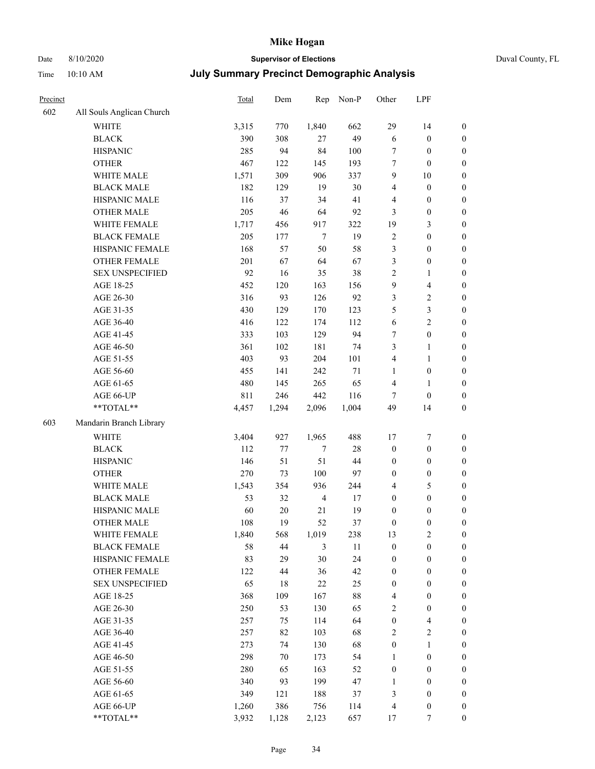# Date 8/10/2020 **Supervisor of Elections**

|  | Duval County, FL |
|--|------------------|
|--|------------------|

| Precinct |                           | Total | Dem     | Rep            | Non-P  | Other                   | LPF                     |                  |
|----------|---------------------------|-------|---------|----------------|--------|-------------------------|-------------------------|------------------|
| 602      | All Souls Anglican Church |       |         |                |        |                         |                         |                  |
|          | WHITE                     | 3,315 | 770     | 1,840          | 662    | 29                      | 14                      | 0                |
|          | <b>BLACK</b>              | 390   | 308     | 27             | 49     | 6                       | $\boldsymbol{0}$        | 0                |
|          | <b>HISPANIC</b>           | 285   | 94      | 84             | 100    | 7                       | $\boldsymbol{0}$        | $\boldsymbol{0}$ |
|          | <b>OTHER</b>              | 467   | 122     | 145            | 193    | 7                       | $\boldsymbol{0}$        | $\boldsymbol{0}$ |
|          | WHITE MALE                | 1,571 | 309     | 906            | 337    | 9                       | $10\,$                  | $\boldsymbol{0}$ |
|          | <b>BLACK MALE</b>         | 182   | 129     | 19             | 30     | 4                       | $\boldsymbol{0}$        | $\boldsymbol{0}$ |
|          | HISPANIC MALE             | 116   | 37      | 34             | 41     | 4                       | $\boldsymbol{0}$        | $\boldsymbol{0}$ |
|          | <b>OTHER MALE</b>         | 205   | 46      | 64             | 92     | 3                       | $\boldsymbol{0}$        | $\boldsymbol{0}$ |
|          | WHITE FEMALE              | 1,717 | 456     | 917            | 322    | 19                      | $\mathfrak{Z}$          | $\boldsymbol{0}$ |
|          | <b>BLACK FEMALE</b>       | 205   | 177     | $\tau$         | 19     | $\sqrt{2}$              | $\boldsymbol{0}$        | $\boldsymbol{0}$ |
|          | HISPANIC FEMALE           | 168   | 57      | 50             | 58     | 3                       | $\boldsymbol{0}$        | $\boldsymbol{0}$ |
|          | <b>OTHER FEMALE</b>       | 201   | 67      | 64             | 67     | 3                       | $\boldsymbol{0}$        | $\boldsymbol{0}$ |
|          | <b>SEX UNSPECIFIED</b>    | 92    | 16      | 35             | 38     | 2                       | $\mathbf{1}$            | $\boldsymbol{0}$ |
|          | AGE 18-25                 | 452   | 120     | 163            | 156    | 9                       | $\overline{\mathbf{4}}$ | $\boldsymbol{0}$ |
|          | AGE 26-30                 | 316   | 93      | 126            | 92     | 3                       | $\sqrt{2}$              | $\boldsymbol{0}$ |
|          | AGE 31-35                 | 430   | 129     | 170            | 123    | 5                       | $\mathfrak{Z}$          | $\boldsymbol{0}$ |
|          | AGE 36-40                 | 416   | 122     | 174            | 112    | 6                       | $\sqrt{2}$              | $\boldsymbol{0}$ |
|          | AGE 41-45                 | 333   | 103     | 129            | 94     | 7                       | $\boldsymbol{0}$        | $\boldsymbol{0}$ |
|          | AGE 46-50                 | 361   | 102     | 181            | 74     | 3                       | $\mathbf{1}$            | $\boldsymbol{0}$ |
|          | AGE 51-55                 | 403   | 93      | 204            | 101    | $\overline{\mathbf{4}}$ | $\mathbf{1}$            | 0                |
|          | AGE 56-60                 | 455   | 141     | 242            | 71     | $\mathbf{1}$            | $\boldsymbol{0}$        | 0                |
|          | AGE 61-65                 | 480   | 145     | 265            | 65     | 4                       | $\mathbf{1}$            | 0                |
|          | AGE 66-UP                 | 811   | 246     | 442            | 116    | 7                       | $\boldsymbol{0}$        | $\boldsymbol{0}$ |
|          | **TOTAL**                 | 4,457 | 1,294   | 2,096          | 1,004  | 49                      | 14                      | $\boldsymbol{0}$ |
| 603      | Mandarin Branch Library   |       |         |                |        |                         |                         |                  |
|          | WHITE                     | 3,404 | 927     | 1,965          | 488    | 17                      | $\boldsymbol{7}$        | $\boldsymbol{0}$ |
|          | <b>BLACK</b>              | 112   | $77 \,$ | 7              | $28\,$ | $\boldsymbol{0}$        | $\boldsymbol{0}$        | $\boldsymbol{0}$ |
|          | <b>HISPANIC</b>           | 146   | 51      | 51             | 44     | $\boldsymbol{0}$        | $\boldsymbol{0}$        | $\boldsymbol{0}$ |
|          | <b>OTHER</b>              | 270   | 73      | 100            | 97     | $\boldsymbol{0}$        | $\boldsymbol{0}$        | $\boldsymbol{0}$ |
|          | WHITE MALE                | 1,543 | 354     | 936            | 244    | $\overline{\mathbf{4}}$ | $\mathfrak{S}$          | $\boldsymbol{0}$ |
|          | <b>BLACK MALE</b>         | 53    | 32      | $\overline{4}$ | $17\,$ | $\boldsymbol{0}$        | $\boldsymbol{0}$        | $\boldsymbol{0}$ |
|          | HISPANIC MALE             | 60    | $20\,$  | $21\,$         | 19     | $\boldsymbol{0}$        | $\boldsymbol{0}$        | 0                |
|          | <b>OTHER MALE</b>         | 108   | 19      | 52             | 37     | $\boldsymbol{0}$        | $\boldsymbol{0}$        | $\boldsymbol{0}$ |
|          | WHITE FEMALE              | 1,840 | 568     | 1,019          | 238    | 13                      | 2                       | 0                |
|          | <b>BLACK FEMALE</b>       | 58    | $44\,$  | 3              | 11     | $\boldsymbol{0}$        | $\boldsymbol{0}$        | $\boldsymbol{0}$ |
|          | HISPANIC FEMALE           | 83    | 29      | 30             | 24     | $\boldsymbol{0}$        | $\boldsymbol{0}$        | $\overline{0}$   |
|          | OTHER FEMALE              | 122   | 44      | 36             | 42     | $\boldsymbol{0}$        | $\boldsymbol{0}$        | $\overline{0}$   |
|          | <b>SEX UNSPECIFIED</b>    | 65    | 18      | 22             | 25     | $\boldsymbol{0}$        | $\boldsymbol{0}$        | 0                |
|          | AGE 18-25                 | 368   | 109     | 167            | $88\,$ | 4                       | $\boldsymbol{0}$        | $\overline{0}$   |
|          | AGE 26-30                 | 250   | 53      | 130            | 65     | 2                       | $\boldsymbol{0}$        | 0                |
|          | AGE 31-35                 | 257   | 75      | 114            | 64     | $\boldsymbol{0}$        | $\overline{\mathbf{4}}$ | 0                |
|          | AGE 36-40                 | 257   | 82      | 103            | 68     | 2                       | $\sqrt{2}$              | 0                |
|          | AGE 41-45                 | 273   | 74      | 130            | 68     | $\boldsymbol{0}$        | $\mathbf{1}$            | 0                |
|          | AGE 46-50                 | 298   | 70      | 173            | 54     | $\mathbf{1}$            | $\boldsymbol{0}$        | 0                |
|          | AGE 51-55                 | 280   | 65      | 163            | 52     | $\boldsymbol{0}$        | $\boldsymbol{0}$        | 0                |
|          | AGE 56-60                 | 340   | 93      | 199            | 47     | 1                       | $\boldsymbol{0}$        | $\boldsymbol{0}$ |
|          | AGE 61-65                 | 349   | 121     | 188            | 37     | 3                       | $\boldsymbol{0}$        | $\overline{0}$   |
|          | AGE 66-UP                 | 1,260 | 386     | 756            | 114    | 4                       | $\boldsymbol{0}$        | 0                |
|          | **TOTAL**                 | 3,932 | 1,128   | 2,123          | 657    | 17                      | 7                       | $\boldsymbol{0}$ |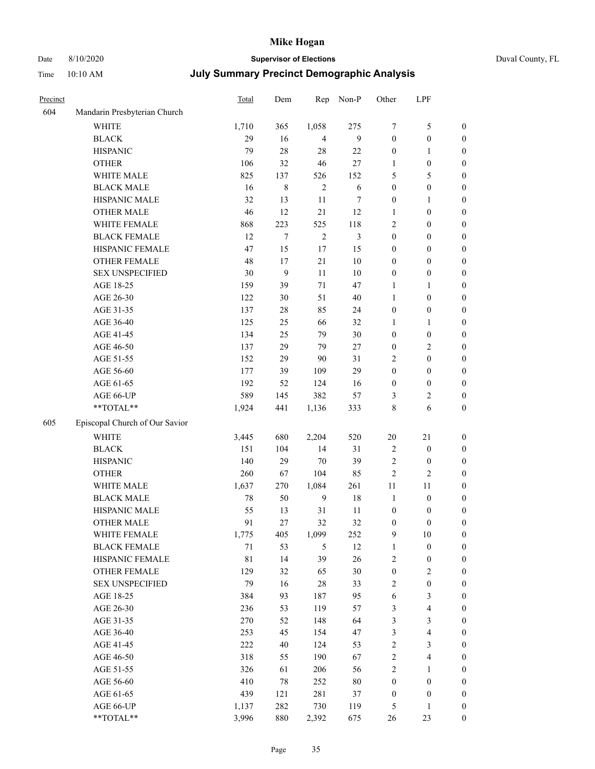# Date 8/10/2020 **Supervisor of Elections** Duval County, FL

| Precinct |                                  | Total | Dem              | Rep            | Non-P          | Other            | LPF              |                  |
|----------|----------------------------------|-------|------------------|----------------|----------------|------------------|------------------|------------------|
| 604      | Mandarin Presbyterian Church     |       |                  |                |                |                  |                  |                  |
|          | <b>WHITE</b>                     | 1,710 | 365              | 1,058          | 275            | 7                | $\mathfrak s$    | $\boldsymbol{0}$ |
|          | <b>BLACK</b>                     | 29    | 16               | $\overline{4}$ | 9              | $\boldsymbol{0}$ | $\boldsymbol{0}$ | $\boldsymbol{0}$ |
|          | <b>HISPANIC</b>                  | 79    | 28               | 28             | 22             | $\boldsymbol{0}$ | 1                | $\boldsymbol{0}$ |
|          | <b>OTHER</b>                     | 106   | 32               | 46             | $27\,$         | 1                | $\boldsymbol{0}$ | $\boldsymbol{0}$ |
|          | WHITE MALE                       | 825   | 137              | 526            | 152            | 5                | 5                | $\boldsymbol{0}$ |
|          | <b>BLACK MALE</b>                | 16    | $\,$ 8 $\,$      | $\mathbf{2}$   | 6              | $\boldsymbol{0}$ | $\boldsymbol{0}$ | $\boldsymbol{0}$ |
|          | HISPANIC MALE                    | 32    | 13               | $11\,$         | $\tau$         | $\boldsymbol{0}$ | $\mathbf{1}$     | $\boldsymbol{0}$ |
|          | <b>OTHER MALE</b>                | 46    | 12               | 21             | 12             | 1                | $\boldsymbol{0}$ | $\boldsymbol{0}$ |
|          | WHITE FEMALE                     | 868   | 223              | 525            | 118            | 2                | $\boldsymbol{0}$ | $\boldsymbol{0}$ |
|          | <b>BLACK FEMALE</b>              | 12    | $\boldsymbol{7}$ | $\sqrt{2}$     | $\mathfrak{Z}$ | $\boldsymbol{0}$ | $\boldsymbol{0}$ | 0                |
|          | HISPANIC FEMALE                  | 47    | 15               | 17             | 15             | 0                | $\boldsymbol{0}$ | $\boldsymbol{0}$ |
|          | OTHER FEMALE                     | 48    | 17               | 21             | 10             | 0                | $\boldsymbol{0}$ | $\boldsymbol{0}$ |
|          | <b>SEX UNSPECIFIED</b>           | 30    | 9                | 11             | 10             | 0                | $\boldsymbol{0}$ | $\boldsymbol{0}$ |
|          | AGE 18-25                        | 159   | 39               | 71             | 47             | 1                | $\mathbf{1}$     | $\boldsymbol{0}$ |
|          | AGE 26-30                        | 122   | 30               | 51             | 40             | $\mathbf{1}$     | $\boldsymbol{0}$ | $\boldsymbol{0}$ |
|          | AGE 31-35                        | 137   | 28               | 85             | 24             | $\boldsymbol{0}$ | $\boldsymbol{0}$ | $\boldsymbol{0}$ |
|          | AGE 36-40                        | 125   | 25               | 66             | 32             | 1                | $\mathbf{1}$     | $\boldsymbol{0}$ |
|          | AGE 41-45                        | 134   | 25               | 79             | $30\,$         | $\boldsymbol{0}$ | $\boldsymbol{0}$ | $\boldsymbol{0}$ |
|          | AGE 46-50                        | 137   | 29               | 79             | $27\,$         | $\boldsymbol{0}$ | $\sqrt{2}$       | $\boldsymbol{0}$ |
|          | AGE 51-55                        | 152   | 29               | 90             | 31             | $\overline{c}$   | $\boldsymbol{0}$ | 0                |
|          | AGE 56-60                        | 177   | 39               | 109            | 29             | $\boldsymbol{0}$ | $\boldsymbol{0}$ | $\boldsymbol{0}$ |
|          | AGE 61-65                        | 192   | 52               | 124            | 16             | $\boldsymbol{0}$ | $\boldsymbol{0}$ | $\boldsymbol{0}$ |
|          | AGE 66-UP                        | 589   | 145              | 382            | 57             | 3                | $\sqrt{2}$       | $\boldsymbol{0}$ |
|          | $\mathrm{``TOTAL}^{\mathrm{**}}$ | 1,924 | 441              | 1,136          | 333            | 8                | 6                | $\boldsymbol{0}$ |
| 605      | Episcopal Church of Our Savior   |       |                  |                |                |                  |                  |                  |
|          | <b>WHITE</b>                     | 3,445 | 680              | 2,204          | 520            | $20\,$           | $21\,$           | $\boldsymbol{0}$ |
|          | <b>BLACK</b>                     | 151   | 104              | 14             | 31             | $\overline{c}$   | $\boldsymbol{0}$ | $\boldsymbol{0}$ |
|          | <b>HISPANIC</b>                  | 140   | 29               | 70             | 39             | $\overline{c}$   | $\boldsymbol{0}$ | $\boldsymbol{0}$ |
|          | <b>OTHER</b>                     | 260   | 67               | 104            | 85             | $\overline{c}$   | $\mathfrak{2}$   | $\boldsymbol{0}$ |
|          | WHITE MALE                       | 1,637 | 270              | 1,084          | 261            | 11               | 11               | $\boldsymbol{0}$ |
|          | <b>BLACK MALE</b>                | 78    | 50               | 9              | 18             | $\mathbf{1}$     | $\boldsymbol{0}$ | $\boldsymbol{0}$ |
|          | HISPANIC MALE                    | 55    | 13               | 31             | 11             | $\boldsymbol{0}$ | $\boldsymbol{0}$ | 0                |
|          | <b>OTHER MALE</b>                | 91    | 27               | 32             | 32             | 0                | $\boldsymbol{0}$ | $\boldsymbol{0}$ |
|          | WHITE FEMALE                     | 1,775 | 405              | 1,099          | 252            | 9                | $10\,$           | $\boldsymbol{0}$ |
|          | <b>BLACK FEMALE</b>              | 71    | 53               | $\mathfrak s$  | 12             | 1                | $\boldsymbol{0}$ | $\boldsymbol{0}$ |
|          | HISPANIC FEMALE                  | 81    | 14               | 39             | 26             | $\overline{c}$   | $\boldsymbol{0}$ | $\overline{0}$   |
|          | <b>OTHER FEMALE</b>              | 129   | 32               | 65             | 30             | $\boldsymbol{0}$ | $\sqrt{2}$       | 0                |
|          | <b>SEX UNSPECIFIED</b>           | 79    | 16               | 28             | 33             | 2                | $\boldsymbol{0}$ | $\overline{0}$   |
|          | AGE 18-25                        | 384   | 93               | 187            | 95             | 6                | $\mathfrak z$    | 0                |
|          | AGE 26-30                        | 236   | 53               | 119            | 57             | 3                | $\overline{4}$   | 0                |
|          | AGE 31-35                        | 270   | 52               | 148            | 64             | 3                | $\mathfrak{Z}$   | 0                |
|          | AGE 36-40                        | 253   | 45               | 154            | 47             | 3                | $\overline{4}$   | 0                |
|          | AGE 41-45                        | 222   | 40               | 124            | 53             | $\overline{c}$   | $\mathfrak{Z}$   | 0                |
|          | AGE 46-50                        | 318   | 55               | 190            | 67             | $\mathbf{2}$     | $\overline{4}$   | $\boldsymbol{0}$ |
|          | AGE 51-55                        | 326   | 61               | 206            | 56             | 2                | 1                | $\boldsymbol{0}$ |
|          | AGE 56-60                        | 410   | 78               | 252            | 80             | $\boldsymbol{0}$ | $\boldsymbol{0}$ | $\overline{0}$   |
|          | AGE 61-65                        | 439   | 121              | 281            | 37             | $\boldsymbol{0}$ | $\boldsymbol{0}$ | 0                |
|          | AGE 66-UP                        | 1,137 | 282              | 730            | 119            | 5                | $\mathbf{1}$     | 0                |
|          | **TOTAL**                        | 3,996 | 880              | 2,392          | 675            | 26               | 23               | $\boldsymbol{0}$ |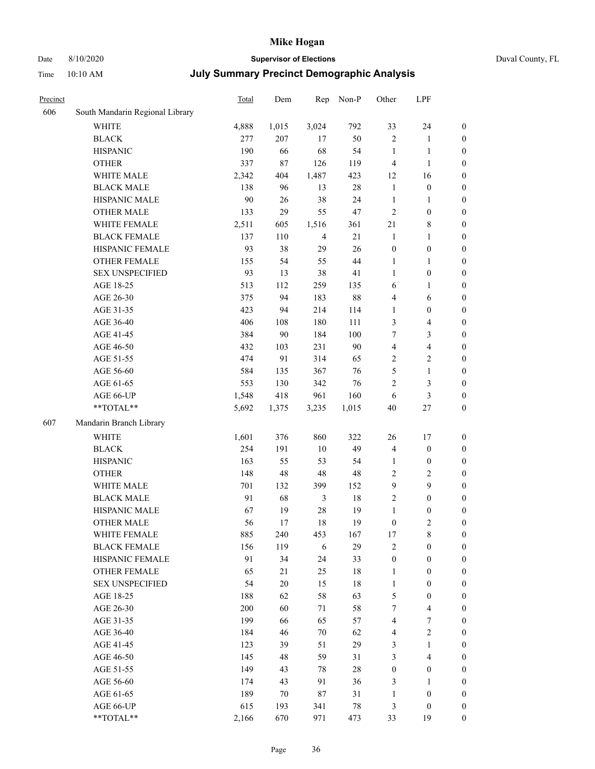# Date 8/10/2020 **Supervisor of Elections** Duval County, FL

| Precinct |                                 | <b>Total</b> | Dem    | Rep            | Non-P  | Other            | LPF                     |                  |
|----------|---------------------------------|--------------|--------|----------------|--------|------------------|-------------------------|------------------|
| 606      | South Mandarin Regional Library |              |        |                |        |                  |                         |                  |
|          | <b>WHITE</b>                    | 4,888        | 1,015  | 3,024          | 792    | 33               | 24                      | 0                |
|          | <b>BLACK</b>                    | 277          | 207    | 17             | 50     | $\overline{2}$   | $\mathbf{1}$            | 0                |
|          | <b>HISPANIC</b>                 | 190          | 66     | 68             | 54     | $\mathbf{1}$     | $\mathbf{1}$            | $\boldsymbol{0}$ |
|          | <b>OTHER</b>                    | 337          | 87     | 126            | 119    | 4                | $\mathbf{1}$            | $\boldsymbol{0}$ |
|          | WHITE MALE                      | 2,342        | 404    | 1,487          | 423    | 12               | 16                      | $\boldsymbol{0}$ |
|          | <b>BLACK MALE</b>               | 138          | 96     | 13             | $28\,$ | $\mathbf{1}$     | $\boldsymbol{0}$        | $\boldsymbol{0}$ |
|          | HISPANIC MALE                   | 90           | 26     | 38             | 24     | $\mathbf{1}$     | $\mathbf{1}$            | $\boldsymbol{0}$ |
|          | <b>OTHER MALE</b>               | 133          | 29     | 55             | 47     | $\mathbf{2}$     | $\boldsymbol{0}$        | $\boldsymbol{0}$ |
|          | WHITE FEMALE                    | 2,511        | 605    | 1,516          | 361    | 21               | $8\,$                   | $\boldsymbol{0}$ |
|          | <b>BLACK FEMALE</b>             | 137          | 110    | $\overline{4}$ | 21     | $\mathbf{1}$     | $\mathbf{1}$            | 0                |
|          | HISPANIC FEMALE                 | 93           | 38     | 29             | 26     | $\boldsymbol{0}$ | $\boldsymbol{0}$        | 0                |
|          | <b>OTHER FEMALE</b>             | 155          | 54     | 55             | 44     | 1                | $\mathbf{1}$            | $\boldsymbol{0}$ |
|          | <b>SEX UNSPECIFIED</b>          | 93           | 13     | 38             | 41     | $\mathbf{1}$     | $\boldsymbol{0}$        | $\boldsymbol{0}$ |
|          | AGE 18-25                       | 513          | 112    | 259            | 135    | 6                | 1                       | $\boldsymbol{0}$ |
|          | AGE 26-30                       | 375          | 94     | 183            | $88\,$ | 4                | 6                       | $\boldsymbol{0}$ |
|          | AGE 31-35                       | 423          | 94     | 214            | 114    | $\mathbf{1}$     | $\boldsymbol{0}$        | $\boldsymbol{0}$ |
|          | AGE 36-40                       | 406          | 108    | 180            | 111    | 3                | $\overline{\mathbf{4}}$ | $\boldsymbol{0}$ |
|          | AGE 41-45                       | 384          | 90     | 184            | 100    | 7                | 3                       | $\boldsymbol{0}$ |
|          | AGE 46-50                       | 432          | 103    | 231            | 90     | $\overline{4}$   | $\overline{\mathbf{4}}$ | $\boldsymbol{0}$ |
|          | AGE 51-55                       | 474          | 91     | 314            | 65     | $\overline{c}$   | $\sqrt{2}$              | $\boldsymbol{0}$ |
|          | AGE 56-60                       | 584          | 135    | 367            | 76     | 5                | $\mathbf{1}$            | 0                |
|          | AGE 61-65                       | 553          | 130    | 342            | 76     | 2                | $\mathfrak{Z}$          | $\boldsymbol{0}$ |
|          | AGE 66-UP                       | 1,548        | 418    | 961            | 160    | 6                | $\mathfrak{Z}$          | $\boldsymbol{0}$ |
|          | **TOTAL**                       | 5,692        | 1,375  | 3,235          | 1,015  | $40\,$           | $27\,$                  | $\boldsymbol{0}$ |
| 607      |                                 |              |        |                |        |                  |                         |                  |
|          | Mandarin Branch Library         |              |        |                |        |                  |                         |                  |
|          | WHITE                           | 1,601        | 376    | 860            | 322    | 26               | $17\,$                  | $\boldsymbol{0}$ |
|          | <b>BLACK</b>                    | 254          | 191    | 10             | 49     | 4                | $\boldsymbol{0}$        | $\boldsymbol{0}$ |
|          | <b>HISPANIC</b>                 | 163          | 55     | 53             | 54     | $\mathbf{1}$     | $\boldsymbol{0}$        | $\boldsymbol{0}$ |
|          | <b>OTHER</b>                    | 148          | 48     | 48             | $48\,$ | 2                | $\sqrt{2}$              | $\boldsymbol{0}$ |
|          | WHITE MALE                      | 701          | 132    | 399            | 152    | 9                | 9                       | $\boldsymbol{0}$ |
|          | <b>BLACK MALE</b>               | 91           | 68     | $\mathfrak{Z}$ | 18     | $\overline{2}$   | $\boldsymbol{0}$        | $\boldsymbol{0}$ |
|          | HISPANIC MALE                   | 67           | 19     | 28             | 19     | $\mathbf{1}$     | $\boldsymbol{0}$        | $\boldsymbol{0}$ |
|          | <b>OTHER MALE</b>               | 56           | 17     | 18             | 19     | $\boldsymbol{0}$ | $\mathfrak{2}$          | $\boldsymbol{0}$ |
|          | WHITE FEMALE                    | 885          | 240    | 453            | 167    | 17               | 8                       | 0                |
|          | <b>BLACK FEMALE</b>             | 156          | 119    | 6              | 29     | 2                | $\boldsymbol{0}$        | $\overline{0}$   |
|          | HISPANIC FEMALE                 | 91           | 34     | 24             | 33     | $\boldsymbol{0}$ | $\boldsymbol{0}$        | $\overline{0}$   |
|          | <b>OTHER FEMALE</b>             | 65           | 21     | 25             | 18     | $\mathbf{1}$     | $\boldsymbol{0}$        | $\overline{0}$   |
|          | <b>SEX UNSPECIFIED</b>          | 54           | $20\,$ | 15             | 18     | $\mathbf{1}$     | $\boldsymbol{0}$        | 0                |
|          | AGE 18-25                       | 188          | 62     | 58             | 63     | 5                | $\boldsymbol{0}$        | 0                |
|          | AGE 26-30                       | 200          | 60     | 71             | 58     | 7                | $\overline{\mathbf{4}}$ | 0                |
|          | AGE 31-35                       | 199          | 66     | 65             | 57     | 4                | $\boldsymbol{7}$        | 0                |
|          | AGE 36-40                       | 184          | 46     | 70             | 62     | 4                | $\sqrt{2}$              | 0                |
|          | AGE 41-45                       | 123          | 39     | 51             | 29     | 3                | $\mathbf{1}$            | 0                |
|          | AGE 46-50                       | 145          | 48     | 59             | 31     | 3                | $\overline{4}$          | 0                |
|          | AGE 51-55                       | 149          | 43     | 78             | $28\,$ | $\boldsymbol{0}$ | $\boldsymbol{0}$        | 0                |
|          | AGE 56-60                       | 174          | 43     | 91             | 36     | 3                | 1                       | 0                |
|          | AGE 61-65                       | 189          | 70     | 87             | 31     | $\mathbf{1}$     | $\boldsymbol{0}$        | 0                |
|          | AGE 66-UP                       | 615          | 193    | 341            | $78\,$ | 3                | $\boldsymbol{0}$        | 0                |
|          | $**TOTAL**$                     | 2,166        | 670    | 971            | 473    | 33               | 19                      | $\boldsymbol{0}$ |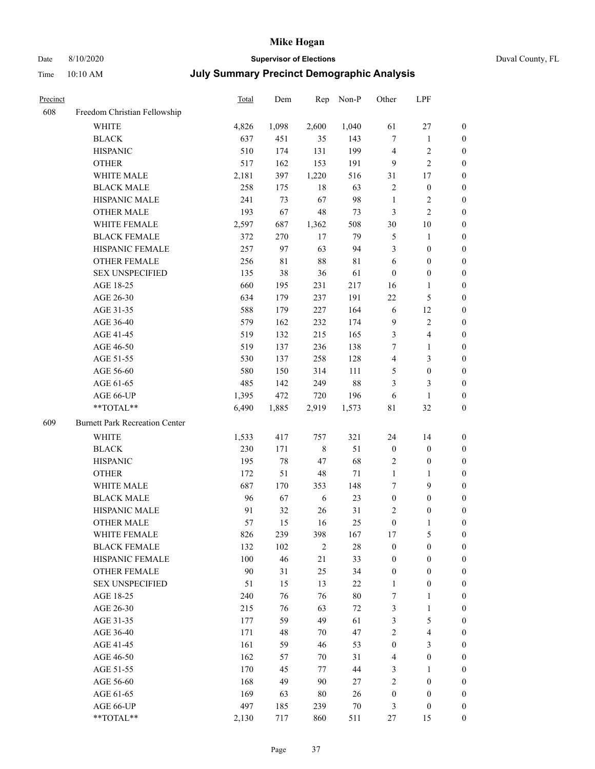### Date 8/10/2020 **Supervisor of Elections** Duval County, FL

| Precinct |                                       | Total | Dem         | Rep        | Non-P       | Other                   | LPF                     |                  |
|----------|---------------------------------------|-------|-------------|------------|-------------|-------------------------|-------------------------|------------------|
| 608      | Freedom Christian Fellowship          |       |             |            |             |                         |                         |                  |
|          | <b>WHITE</b>                          | 4,826 | 1,098       | 2,600      | 1,040       | 61                      | $27\,$                  | $\boldsymbol{0}$ |
|          | <b>BLACK</b>                          | 637   | 451         | 35         | 143         | $\tau$                  | $\mathbf{1}$            | $\boldsymbol{0}$ |
|          | <b>HISPANIC</b>                       | 510   | 174         | 131        | 199         | 4                       | $\sqrt{2}$              | $\boldsymbol{0}$ |
|          | <b>OTHER</b>                          | 517   | 162         | 153        | 191         | 9                       | $\overline{c}$          | $\boldsymbol{0}$ |
|          | WHITE MALE                            | 2,181 | 397         | 1,220      | 516         | 31                      | 17                      | $\boldsymbol{0}$ |
|          | <b>BLACK MALE</b>                     | 258   | 175         | $18\,$     | 63          | $\overline{c}$          | $\boldsymbol{0}$        | $\boldsymbol{0}$ |
|          | HISPANIC MALE                         | 241   | 73          | 67         | 98          | $\mathbf{1}$            | $\sqrt{2}$              | $\boldsymbol{0}$ |
|          | <b>OTHER MALE</b>                     | 193   | 67          | 48         | 73          | 3                       | $\overline{2}$          | $\boldsymbol{0}$ |
|          | WHITE FEMALE                          | 2,597 | 687         | 1,362      | 508         | 30                      | $10\,$                  | 0                |
|          | <b>BLACK FEMALE</b>                   | 372   | 270         | 17         | 79          | $\mathfrak{S}$          | $\mathbf{1}$            | 0                |
|          | HISPANIC FEMALE                       | 257   | 97          | 63         | 94          | 3                       | $\boldsymbol{0}$        | 0                |
|          | OTHER FEMALE                          | 256   | $8\sqrt{1}$ | 88         | $8\sqrt{1}$ | 6                       | $\boldsymbol{0}$        | $\boldsymbol{0}$ |
|          | <b>SEX UNSPECIFIED</b>                | 135   | 38          | 36         | 61          | $\boldsymbol{0}$        | $\boldsymbol{0}$        | $\boldsymbol{0}$ |
|          | AGE 18-25                             | 660   | 195         | 231        | 217         | 16                      | $\mathbf{1}$            | $\boldsymbol{0}$ |
|          | AGE 26-30                             | 634   | 179         | 237        | 191         | 22                      | $\mathfrak{S}$          | $\boldsymbol{0}$ |
|          | AGE 31-35                             | 588   | 179         | 227        | 164         | 6                       | 12                      | $\boldsymbol{0}$ |
|          | AGE 36-40                             | 579   | 162         | 232        | 174         | $\overline{9}$          | $\sqrt{2}$              | $\boldsymbol{0}$ |
|          | AGE 41-45                             | 519   | 132         | 215        | 165         | 3                       | $\overline{\mathbf{4}}$ | $\boldsymbol{0}$ |
|          | AGE 46-50                             | 519   | 137         | 236        | 138         | 7                       | $\mathbf{1}$            | $\boldsymbol{0}$ |
|          | AGE 51-55                             | 530   | 137         | 258        | 128         | $\overline{\mathbf{4}}$ | $\mathfrak{Z}$          | 0                |
|          | AGE 56-60                             | 580   | 150         | 314        | 111         | 5                       | $\boldsymbol{0}$        | 0                |
|          | AGE 61-65                             | 485   | 142         | 249        | $88\,$      | 3                       | 3                       | $\boldsymbol{0}$ |
|          | AGE 66-UP                             | 1,395 | 472         | 720        | 196         | 6                       | 1                       | $\boldsymbol{0}$ |
|          | **TOTAL**                             | 6,490 | 1,885       | 2,919      | 1,573       | 81                      | $32\,$                  | $\boldsymbol{0}$ |
| 609      | <b>Burnett Park Recreation Center</b> |       |             |            |             |                         |                         |                  |
|          | WHITE                                 | 1,533 | 417         | 757        | 321         | 24                      | 14                      | $\boldsymbol{0}$ |
|          | <b>BLACK</b>                          | 230   | 171         | $\,$ $\,$  | 51          | $\boldsymbol{0}$        | $\boldsymbol{0}$        | $\boldsymbol{0}$ |
|          | <b>HISPANIC</b>                       | 195   | $78\,$      | 47         | 68          | 2                       | $\boldsymbol{0}$        | $\boldsymbol{0}$ |
|          | <b>OTHER</b>                          | 172   | 51          | 48         | $71\,$      | $\mathbf{1}$            | $\mathbf{1}$            | $\boldsymbol{0}$ |
|          | WHITE MALE                            | 687   | 170         | 353        | 148         | 7                       | $\mathbf{9}$            | $\boldsymbol{0}$ |
|          | <b>BLACK MALE</b>                     | 96    | 67          | 6          | 23          | $\boldsymbol{0}$        | $\boldsymbol{0}$        | $\boldsymbol{0}$ |
|          | HISPANIC MALE                         | 91    | 32          | 26         | 31          | $\overline{c}$          | $\boldsymbol{0}$        | 0                |
|          | <b>OTHER MALE</b>                     | 57    | 15          | 16         | 25          | $\boldsymbol{0}$        | 1                       | $\boldsymbol{0}$ |
|          | WHITE FEMALE                          | 826   | 239         | 398        | 167         | 17                      | 5                       | $\overline{0}$   |
|          | <b>BLACK FEMALE</b>                   | 132   | 102         | $\sqrt{2}$ | $28\,$      | $\boldsymbol{0}$        | $\boldsymbol{0}$        | $\overline{0}$   |
|          | HISPANIC FEMALE                       | 100   | 46          | 21         | 33          | $\boldsymbol{0}$        | $\boldsymbol{0}$        | $\overline{0}$   |
|          | <b>OTHER FEMALE</b>                   | 90    | 31          | 25         | 34          | $\boldsymbol{0}$        | $\boldsymbol{0}$        | 0                |
|          | <b>SEX UNSPECIFIED</b>                | 51    | 15          | 13         | $22\,$      | $\mathbf{1}$            | $\boldsymbol{0}$        | 0                |
|          | AGE 18-25                             | 240   | 76          | 76         | $80\,$      | 7                       | $\mathbf{1}$            | 0                |
|          | AGE 26-30                             | 215   | 76          | 63         | $72\,$      | 3                       | $\mathbf{1}$            | 0                |
|          | AGE 31-35                             | 177   | 59          | 49         | 61          | 3                       | $\mathfrak s$           | 0                |
|          | AGE 36-40                             | 171   | 48          | 70         | 47          | 2                       | $\overline{\mathbf{4}}$ | 0                |
|          | AGE 41-45                             | 161   | 59          | 46         | 53          | $\boldsymbol{0}$        | $\mathfrak{Z}$          | 0                |
|          | AGE 46-50                             | 162   | 57          | 70         | 31          | 4                       | $\boldsymbol{0}$        | 0                |
|          | AGE 51-55                             | 170   | 45          | 77         | 44          | 3                       | $\mathbf{1}$            | $\boldsymbol{0}$ |
|          | AGE 56-60                             | 168   | 49          | 90         | 27          | 2                       | $\boldsymbol{0}$        | $\boldsymbol{0}$ |
|          | AGE 61-65                             | 169   | 63          | 80         | 26          | $\boldsymbol{0}$        | $\boldsymbol{0}$        | 0                |
|          | AGE 66-UP                             | 497   | 185         | 239        | $70\,$      | 3                       | $\boldsymbol{0}$        | 0                |
|          | **TOTAL**                             | 2,130 | 717         | 860        | 511         | 27                      | 15                      | $\overline{0}$   |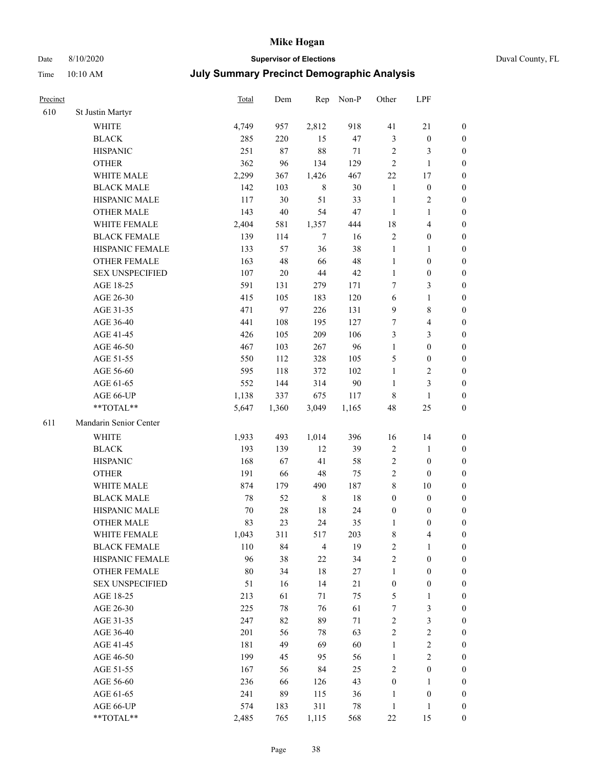### Date 8/10/2020 **Supervisor of Elections** Duval County, FL

| Precinct |                        | <b>Total</b> | Dem    | Rep            | Non-P  | Other            | LPF                     |                  |
|----------|------------------------|--------------|--------|----------------|--------|------------------|-------------------------|------------------|
| 610      | St Justin Martyr       |              |        |                |        |                  |                         |                  |
|          | <b>WHITE</b>           | 4,749        | 957    | 2,812          | 918    | 41               | 21                      | 0                |
|          | <b>BLACK</b>           | 285          | 220    | 15             | 47     | 3                | $\boldsymbol{0}$        | 0                |
|          | <b>HISPANIC</b>        | 251          | 87     | 88             | 71     | 2                | 3                       | $\boldsymbol{0}$ |
|          | <b>OTHER</b>           | 362          | 96     | 134            | 129    | $\overline{c}$   | $\mathbf{1}$            | $\boldsymbol{0}$ |
|          | WHITE MALE             | 2,299        | 367    | 1,426          | 467    | 22               | 17                      | $\boldsymbol{0}$ |
|          | <b>BLACK MALE</b>      | 142          | 103    | $\,8\,$        | 30     | $\mathbf{1}$     | $\boldsymbol{0}$        | $\boldsymbol{0}$ |
|          | HISPANIC MALE          | 117          | 30     | 51             | 33     | $\mathbf{1}$     | $\sqrt{2}$              | $\boldsymbol{0}$ |
|          | <b>OTHER MALE</b>      | 143          | $40\,$ | 54             | 47     | $\mathbf{1}$     | $\mathbf{1}$            | $\boldsymbol{0}$ |
|          | WHITE FEMALE           | 2,404        | 581    | 1,357          | 444    | 18               | $\overline{\mathbf{4}}$ | $\boldsymbol{0}$ |
|          | <b>BLACK FEMALE</b>    | 139          | 114    | $\tau$         | 16     | 2                | $\boldsymbol{0}$        | 0                |
|          | HISPANIC FEMALE        | 133          | 57     | 36             | 38     | $\mathbf{1}$     | $\mathbf{1}$            | 0                |
|          | <b>OTHER FEMALE</b>    | 163          | 48     | 66             | 48     | $\mathbf{1}$     | $\boldsymbol{0}$        | $\boldsymbol{0}$ |
|          | <b>SEX UNSPECIFIED</b> | 107          | $20\,$ | $44\,$         | 42     | $\mathbf{1}$     | $\boldsymbol{0}$        | $\boldsymbol{0}$ |
|          | AGE 18-25              | 591          | 131    | 279            | 171    | 7                | $\mathfrak{Z}$          | $\boldsymbol{0}$ |
|          | AGE 26-30              | 415          | 105    | 183            | 120    | 6                | $\mathbf{1}$            | $\boldsymbol{0}$ |
|          | AGE 31-35              | 471          | 97     | 226            | 131    | 9                | $\,8\,$                 | $\boldsymbol{0}$ |
|          | AGE 36-40              | 441          | 108    | 195            | 127    | 7                | $\overline{\mathbf{4}}$ | $\boldsymbol{0}$ |
|          | AGE 41-45              | 426          | 105    | 209            | 106    | 3                | $\mathfrak{Z}$          | $\boldsymbol{0}$ |
|          | AGE 46-50              | 467          | 103    | 267            | 96     | $\mathbf{1}$     | $\boldsymbol{0}$        | $\boldsymbol{0}$ |
|          | AGE 51-55              | 550          | 112    | 328            | 105    | 5                | $\boldsymbol{0}$        | $\boldsymbol{0}$ |
|          | AGE 56-60              | 595          | 118    | 372            | 102    | $\mathbf{1}$     | $\sqrt{2}$              | 0                |
|          | AGE 61-65              | 552          | 144    | 314            | $90\,$ | $\mathbf{1}$     | $\mathfrak{Z}$          | 0                |
|          | AGE 66-UP              | 1,138        | 337    | 675            | 117    | 8                | $\mathbf{1}$            | $\boldsymbol{0}$ |
|          | **TOTAL**              | 5,647        | 1,360  | 3,049          | 1,165  | 48               | 25                      | $\boldsymbol{0}$ |
| 611      | Mandarin Senior Center |              |        |                |        |                  |                         |                  |
|          | <b>WHITE</b>           | 1,933        | 493    | 1,014          | 396    | 16               | 14                      | $\boldsymbol{0}$ |
|          | <b>BLACK</b>           | 193          | 139    | 12             | 39     | $\boldsymbol{2}$ | $\mathbf{1}$            | $\boldsymbol{0}$ |
|          | <b>HISPANIC</b>        | 168          | 67     | 41             | 58     | 2                | $\boldsymbol{0}$        | $\boldsymbol{0}$ |
|          | <b>OTHER</b>           | 191          | 66     | $48\,$         | 75     | $\sqrt{2}$       | $\boldsymbol{0}$        | $\boldsymbol{0}$ |
|          | WHITE MALE             | 874          | 179    | 490            | 187    | 8                | $10\,$                  | $\boldsymbol{0}$ |
|          | <b>BLACK MALE</b>      | 78           | 52     | $\,$ 8 $\,$    | $18\,$ | $\boldsymbol{0}$ | $\boldsymbol{0}$        | $\boldsymbol{0}$ |
|          | HISPANIC MALE          | 70           | 28     | 18             | 24     | $\boldsymbol{0}$ | $\boldsymbol{0}$        | 0                |
|          | <b>OTHER MALE</b>      | 83           | 23     | 24             | 35     | 1                | $\boldsymbol{0}$        | $\boldsymbol{0}$ |
|          | WHITE FEMALE           | 1,043        | 311    | 517            | 203    | 8                | 4                       | 0                |
|          | <b>BLACK FEMALE</b>    | 110          | 84     | $\overline{4}$ | 19     | $\sqrt{2}$       | $\mathbf{1}$            | $\boldsymbol{0}$ |
|          | HISPANIC FEMALE        | 96           | 38     | $22\,$         | 34     | $\sqrt{2}$       | $\boldsymbol{0}$        | $\overline{0}$   |
|          | OTHER FEMALE           | 80           | 34     | $18\,$         | 27     | $\mathbf{1}$     | $\boldsymbol{0}$        | $\overline{0}$   |
|          | <b>SEX UNSPECIFIED</b> | 51           | 16     | 14             | 21     | $\boldsymbol{0}$ | $\boldsymbol{0}$        | 0                |
|          | AGE 18-25              | 213          | 61     | 71             | 75     | 5                | $\mathbf{1}$            | 0                |
|          | AGE 26-30              | 225          | 78     | 76             | 61     | 7                | $\mathfrak{Z}$          | 0                |
|          | AGE 31-35              | 247          | 82     | 89             | $71\,$ | $\sqrt{2}$       | $\mathfrak{Z}$          | 0                |
|          | AGE 36-40              | 201          | 56     | 78             | 63     | $\sqrt{2}$       | $\sqrt{2}$              | 0                |
|          | AGE 41-45              | 181          | 49     | 69             | 60     | $\mathbf{1}$     | $\sqrt{2}$              | 0                |
|          | AGE 46-50              | 199          | 45     | 95             | 56     | $\mathbf{1}$     | $\sqrt{2}$              | 0                |
|          | AGE 51-55              | 167          | 56     | 84             | 25     | $\sqrt{2}$       | $\boldsymbol{0}$        | 0                |
|          | AGE 56-60              | 236          | 66     | 126            | 43     | $\boldsymbol{0}$ | $\mathbf{1}$            | 0                |
|          | AGE 61-65              | 241          | 89     | 115            | 36     | 1                | $\boldsymbol{0}$        | 0                |
|          | AGE 66-UP              | 574          | 183    | 311            | 78     | $\mathbf{1}$     | $\mathbf{1}$            | 0                |
|          | **TOTAL**              | 2,485        | 765    | 1,115          | 568    | $22\,$           | 15                      | $\boldsymbol{0}$ |
|          |                        |              |        |                |        |                  |                         |                  |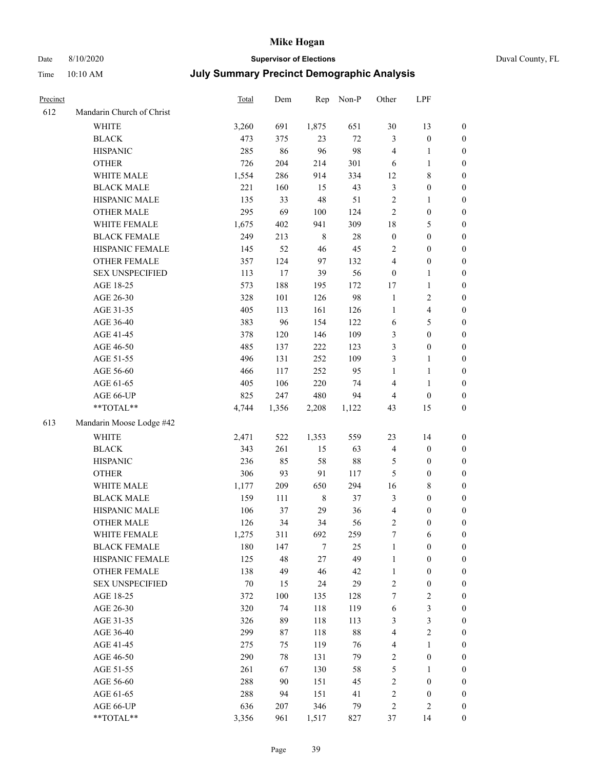## Date 8/10/2020 **Supervisor of Elections** Duval County, FL

| Precinct |                           | Total | Dem   | Rep     | Non-P  | Other            | LPF                     |                  |
|----------|---------------------------|-------|-------|---------|--------|------------------|-------------------------|------------------|
| 612      | Mandarin Church of Christ |       |       |         |        |                  |                         |                  |
|          | <b>WHITE</b>              | 3,260 | 691   | 1,875   | 651    | $30\,$           | 13                      | $\boldsymbol{0}$ |
|          | <b>BLACK</b>              | 473   | 375   | 23      | 72     | 3                | $\boldsymbol{0}$        | $\boldsymbol{0}$ |
|          | <b>HISPANIC</b>           | 285   | 86    | 96      | 98     | 4                | $\mathbf{1}$            | $\boldsymbol{0}$ |
|          | <b>OTHER</b>              | 726   | 204   | 214     | 301    | 6                | $\mathbf{1}$            | $\boldsymbol{0}$ |
|          | WHITE MALE                | 1,554 | 286   | 914     | 334    | 12               | $8\,$                   | $\boldsymbol{0}$ |
|          | <b>BLACK MALE</b>         | 221   | 160   | 15      | 43     | 3                | $\boldsymbol{0}$        | $\boldsymbol{0}$ |
|          | HISPANIC MALE             | 135   | 33    | 48      | 51     | $\sqrt{2}$       | $\mathbf{1}$            | $\boldsymbol{0}$ |
|          | <b>OTHER MALE</b>         | 295   | 69    | 100     | 124    | $\mathbf{2}$     | $\boldsymbol{0}$        | $\boldsymbol{0}$ |
|          | WHITE FEMALE              | 1,675 | 402   | 941     | 309    | 18               | 5                       | 0                |
|          | <b>BLACK FEMALE</b>       | 249   | 213   | $\,8\,$ | $28\,$ | $\boldsymbol{0}$ | $\boldsymbol{0}$        | 0                |
|          | HISPANIC FEMALE           | 145   | 52    | 46      | 45     | $\overline{c}$   | $\boldsymbol{0}$        | $\boldsymbol{0}$ |
|          | OTHER FEMALE              | 357   | 124   | 97      | 132    | $\overline{4}$   | $\boldsymbol{0}$        | $\boldsymbol{0}$ |
|          | <b>SEX UNSPECIFIED</b>    | 113   | 17    | 39      | 56     | $\boldsymbol{0}$ | $\mathbf{1}$            | $\boldsymbol{0}$ |
|          | AGE 18-25                 | 573   | 188   | 195     | 172    | 17               | $\mathbf{1}$            | $\boldsymbol{0}$ |
|          | AGE 26-30                 | 328   | 101   | 126     | 98     | $\mathbf{1}$     | $\sqrt{2}$              | $\boldsymbol{0}$ |
|          | AGE 31-35                 | 405   | 113   | 161     | 126    | $\mathbf{1}$     | $\overline{\mathbf{4}}$ | $\boldsymbol{0}$ |
|          | AGE 36-40                 | 383   | 96    | 154     | 122    | 6                | $\mathfrak{S}$          | $\boldsymbol{0}$ |
|          | AGE 41-45                 | 378   | 120   | 146     | 109    | 3                | $\boldsymbol{0}$        | $\boldsymbol{0}$ |
|          | AGE 46-50                 | 485   | 137   | 222     | 123    | 3                | $\boldsymbol{0}$        | $\boldsymbol{0}$ |
|          | AGE 51-55                 | 496   | 131   | 252     | 109    | 3                | $\mathbf{1}$            | 0                |
|          | AGE 56-60                 | 466   | 117   | 252     | 95     | $\mathbf{1}$     | $\mathbf{1}$            | $\boldsymbol{0}$ |
|          | AGE 61-65                 | 405   | 106   | 220     | 74     | 4                | $\mathbf{1}$            | $\boldsymbol{0}$ |
|          | AGE 66-UP                 | 825   | 247   | 480     | 94     | 4                | $\boldsymbol{0}$        | $\boldsymbol{0}$ |
|          | **TOTAL**                 | 4,744 | 1,356 | 2,208   | 1,122  | 43               | 15                      | $\boldsymbol{0}$ |
| 613      | Mandarin Moose Lodge #42  |       |       |         |        |                  |                         |                  |
|          | <b>WHITE</b>              | 2,471 | 522   | 1,353   | 559    | 23               | 14                      | $\boldsymbol{0}$ |
|          | <b>BLACK</b>              | 343   | 261   | 15      | 63     | 4                | $\boldsymbol{0}$        | $\boldsymbol{0}$ |
|          | <b>HISPANIC</b>           | 236   | 85    | 58      | $88\,$ | 5                | $\boldsymbol{0}$        | $\boldsymbol{0}$ |
|          | <b>OTHER</b>              | 306   | 93    | 91      | 117    | 5                | $\boldsymbol{0}$        | $\boldsymbol{0}$ |
|          | WHITE MALE                | 1,177 | 209   | 650     | 294    | 16               | $8\,$                   | $\boldsymbol{0}$ |
|          | <b>BLACK MALE</b>         | 159   | 111   | $\,8\,$ | 37     | $\mathfrak{Z}$   | $\boldsymbol{0}$        | $\boldsymbol{0}$ |
|          | HISPANIC MALE             | 106   | 37    | 29      | 36     | 4                | $\boldsymbol{0}$        | 0                |
|          | OTHER MALE                | 126   | 34    | 34      | 56     | 2                | $\boldsymbol{0}$        | $\boldsymbol{0}$ |
|          | WHITE FEMALE              | 1,275 | 311   | 692     | 259    | 7                | 6                       | 0                |
|          | <b>BLACK FEMALE</b>       | 180   | 147   | 7       | 25     | $\mathbf{1}$     | $\boldsymbol{0}$        | $\overline{0}$   |
|          | HISPANIC FEMALE           | 125   | 48    | 27      | 49     | $\mathbf{1}$     | $\boldsymbol{0}$        | $\overline{0}$   |
|          | <b>OTHER FEMALE</b>       | 138   | 49    | 46      | 42     | $\mathbf{1}$     | $\boldsymbol{0}$        | 0                |
|          | <b>SEX UNSPECIFIED</b>    | 70    | 15    | 24      | 29     | $\overline{c}$   | $\boldsymbol{0}$        | 0                |
|          | AGE 18-25                 | 372   | 100   | 135     | 128    | 7                | $\sqrt{2}$              | 0                |
|          | AGE 26-30                 | 320   | 74    | 118     | 119    | 6                | $\mathfrak{Z}$          | 0                |
|          | AGE 31-35                 | 326   | 89    | 118     | 113    | 3                | $\mathfrak{Z}$          | 0                |
|          | AGE 36-40                 | 299   | 87    | 118     | $88\,$ | 4                | $\sqrt{2}$              | 0                |
|          | AGE 41-45                 | 275   | 75    | 119     | 76     | 4                | $\mathbf{1}$            | 0                |
|          | AGE 46-50                 | 290   | 78    | 131     | 79     | 2                | $\boldsymbol{0}$        | 0                |
|          | AGE 51-55                 | 261   | 67    | 130     | 58     | 5                | $\mathbf{1}$            | $\boldsymbol{0}$ |
|          | AGE 56-60                 | 288   | 90    | 151     | 45     | 2                | $\boldsymbol{0}$        | 0                |
|          | AGE 61-65                 | 288   | 94    | 151     | 41     | $\overline{c}$   | $\boldsymbol{0}$        | 0                |
|          | AGE 66-UP                 | 636   | 207   | 346     | 79     | 2                | $\sqrt{2}$              | 0                |
|          | **TOTAL**                 | 3,356 | 961   | 1,517   | 827    | 37               | 14                      | $\boldsymbol{0}$ |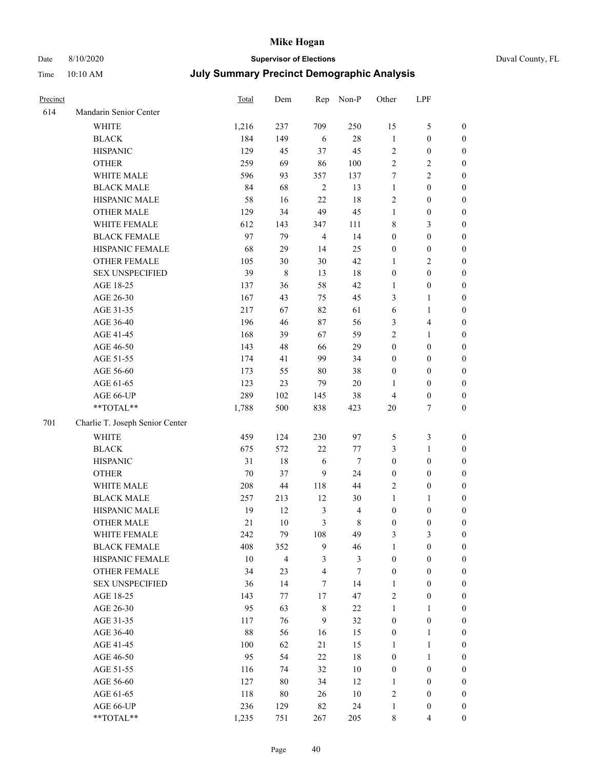# Date 8/10/2020 **Supervisor of Elections** Duval County, FL

| Precinct |                                 | Total | Dem         | Rep            | Non-P                   | Other            | LPF                     |                  |
|----------|---------------------------------|-------|-------------|----------------|-------------------------|------------------|-------------------------|------------------|
| 614      | Mandarin Senior Center          |       |             |                |                         |                  |                         |                  |
|          | <b>WHITE</b>                    | 1,216 | 237         | 709            | 250                     | 15               | $\mathfrak{S}$          | 0                |
|          | <b>BLACK</b>                    | 184   | 149         | 6              | $28\,$                  | $\mathbf{1}$     | $\boldsymbol{0}$        | $\boldsymbol{0}$ |
|          | <b>HISPANIC</b>                 | 129   | 45          | 37             | 45                      | $\sqrt{2}$       | $\boldsymbol{0}$        | $\boldsymbol{0}$ |
|          | <b>OTHER</b>                    | 259   | 69          | 86             | $100\,$                 | $\overline{2}$   | $\sqrt{2}$              | $\boldsymbol{0}$ |
|          | WHITE MALE                      | 596   | 93          | 357            | 137                     | 7                | $\sqrt{2}$              | $\boldsymbol{0}$ |
|          | <b>BLACK MALE</b>               | 84    | 68          | $\overline{2}$ | 13                      | $\mathbf{1}$     | $\boldsymbol{0}$        | $\boldsymbol{0}$ |
|          | HISPANIC MALE                   | 58    | 16          | 22             | 18                      | 2                | $\boldsymbol{0}$        | $\boldsymbol{0}$ |
|          | <b>OTHER MALE</b>               | 129   | 34          | 49             | 45                      | $\mathbf{1}$     | $\boldsymbol{0}$        | $\boldsymbol{0}$ |
|          | WHITE FEMALE                    | 612   | 143         | 347            | 111                     | 8                | $\mathfrak{Z}$          | $\boldsymbol{0}$ |
|          | <b>BLACK FEMALE</b>             | 97    | 79          | $\overline{4}$ | 14                      | $\boldsymbol{0}$ | $\boldsymbol{0}$        | $\boldsymbol{0}$ |
|          | HISPANIC FEMALE                 | 68    | 29          | 14             | 25                      | $\boldsymbol{0}$ | $\boldsymbol{0}$        | 0                |
|          | OTHER FEMALE                    | 105   | 30          | 30             | 42                      | $\mathbf{1}$     | $\sqrt{2}$              | $\boldsymbol{0}$ |
|          | <b>SEX UNSPECIFIED</b>          | 39    | $\,$ 8 $\,$ | 13             | 18                      | $\boldsymbol{0}$ | $\boldsymbol{0}$        | $\boldsymbol{0}$ |
|          | AGE 18-25                       | 137   | 36          | 58             | 42                      | 1                | $\boldsymbol{0}$        | $\boldsymbol{0}$ |
|          | AGE 26-30                       | 167   | 43          | 75             | 45                      | 3                | $\mathbf{1}$            | $\boldsymbol{0}$ |
|          | AGE 31-35                       | 217   | 67          | 82             | 61                      | 6                | $\mathbf{1}$            | $\boldsymbol{0}$ |
|          | AGE 36-40                       | 196   | 46          | 87             | 56                      | 3                | $\overline{\mathbf{4}}$ | $\boldsymbol{0}$ |
|          | AGE 41-45                       | 168   | 39          | 67             | 59                      | 2                | $\mathbf{1}$            | $\boldsymbol{0}$ |
|          | AGE 46-50                       | 143   | 48          | 66             | 29                      | $\boldsymbol{0}$ | $\boldsymbol{0}$        | $\boldsymbol{0}$ |
|          | AGE 51-55                       | 174   | 41          | 99             | 34                      | $\boldsymbol{0}$ | $\boldsymbol{0}$        | $\boldsymbol{0}$ |
|          | AGE 56-60                       | 173   | 55          | 80             | 38                      | $\boldsymbol{0}$ | $\boldsymbol{0}$        | 0                |
|          | AGE 61-65                       | 123   | 23          | 79             | $20\,$                  | 1                | $\boldsymbol{0}$        | 0                |
|          | AGE 66-UP                       | 289   | 102         | 145            | 38                      | $\overline{4}$   | $\boldsymbol{0}$        | $\boldsymbol{0}$ |
|          | **TOTAL**                       | 1,788 | 500         | 838            | 423                     | $20\,$           | $\boldsymbol{7}$        | $\boldsymbol{0}$ |
| 701      | Charlie T. Joseph Senior Center |       |             |                |                         |                  |                         |                  |
|          | <b>WHITE</b>                    | 459   | 124         | 230            | 97                      | 5                | $\mathfrak{Z}$          | $\boldsymbol{0}$ |
|          | <b>BLACK</b>                    | 675   | 572         | 22             | 77                      | 3                | $\mathbf{1}$            | $\boldsymbol{0}$ |
|          | <b>HISPANIC</b>                 | 31    | 18          | 6              | $\tau$                  | $\boldsymbol{0}$ | $\boldsymbol{0}$        | $\boldsymbol{0}$ |
|          | <b>OTHER</b>                    | 70    | 37          | 9              | 24                      | $\boldsymbol{0}$ | $\boldsymbol{0}$        | $\boldsymbol{0}$ |
|          | WHITE MALE                      | 208   | 44          | 118            | 44                      | 2                | $\boldsymbol{0}$        | $\boldsymbol{0}$ |
|          | <b>BLACK MALE</b>               | 257   | 213         | 12             | 30                      | $\mathbf{1}$     | $\mathbf{1}$            | $\boldsymbol{0}$ |
|          | HISPANIC MALE                   | 19    | 12          | $\mathfrak{Z}$ | $\overline{\mathbf{4}}$ | $\boldsymbol{0}$ | $\boldsymbol{0}$        | 0                |
|          | OTHER MALE                      | 21    | 10          | 3              | $8\,$                   | $\boldsymbol{0}$ | $\boldsymbol{0}$        | $\boldsymbol{0}$ |
|          | WHITE FEMALE                    | 242   | 79          | 108            | 49                      | 3                | 3                       | 0                |
|          | <b>BLACK FEMALE</b>             | 408   | 352         | 9              | 46                      | $\mathbf{1}$     | $\boldsymbol{0}$        | $\overline{0}$   |
|          | HISPANIC FEMALE                 | 10    | 4           | 3              | $\mathfrak{Z}$          | $\boldsymbol{0}$ | $\boldsymbol{0}$        | $\overline{0}$   |
|          | OTHER FEMALE                    | 34    | 23          | $\overline{4}$ | $\tau$                  | $\boldsymbol{0}$ | $\boldsymbol{0}$        | $\overline{0}$   |
|          | <b>SEX UNSPECIFIED</b>          | 36    | 14          | 7              | 14                      | $\mathbf{1}$     | $\boldsymbol{0}$        | 0                |
|          | AGE 18-25                       | 143   | 77          | 17             | 47                      | 2                | $\boldsymbol{0}$        | $\theta$         |
|          | AGE 26-30                       | 95    | 63          | $\,$ 8 $\,$    | $22\,$                  | $\mathbf{1}$     | $\mathbf{1}$            | 0                |
|          | AGE 31-35                       | 117   | 76          | $\overline{9}$ | 32                      | $\boldsymbol{0}$ | $\boldsymbol{0}$        | 0                |
|          | AGE 36-40                       | 88    | 56          | 16             | 15                      | $\boldsymbol{0}$ | $\mathbf{1}$            | 0                |
|          | AGE 41-45                       | 100   | 62          | 21             | 15                      | 1                | $\mathbf{1}$            | 0                |
|          | AGE 46-50                       | 95    | 54          | 22             | 18                      | $\boldsymbol{0}$ | $\mathbf{1}$            | 0                |
|          | AGE 51-55                       | 116   | 74          | 32             | $10\,$                  | $\boldsymbol{0}$ | $\boldsymbol{0}$        | 0                |
|          | AGE 56-60                       | 127   | $80\,$      | 34             | 12                      | 1                | $\boldsymbol{0}$        | $\overline{0}$   |
|          | AGE 61-65                       | 118   | $80\,$      | 26             | $10\,$                  | 2                | $\boldsymbol{0}$        | $\overline{0}$   |
|          | AGE 66-UP                       | 236   | 129         | 82             | 24                      | $\mathbf{1}$     | $\boldsymbol{0}$        | 0                |
|          | **TOTAL**                       | 1,235 | 751         | 267            | 205                     | 8                | $\overline{4}$          | $\boldsymbol{0}$ |
|          |                                 |       |             |                |                         |                  |                         |                  |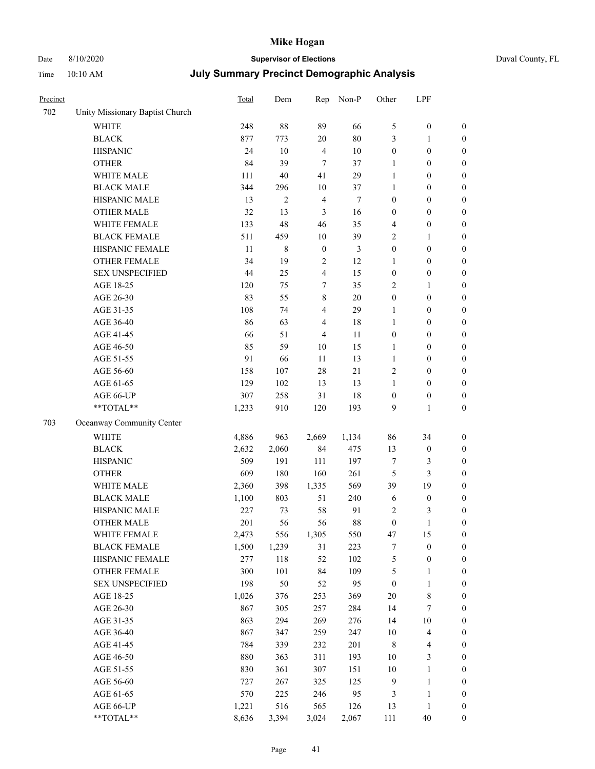## Date 8/10/2020 **Supervisor of Elections** Duval County, FL

| Precinct |                                 | <b>Total</b> | Dem            | Rep              | Non-P          | Other            | LPF                     |                  |
|----------|---------------------------------|--------------|----------------|------------------|----------------|------------------|-------------------------|------------------|
| 702      | Unity Missionary Baptist Church |              |                |                  |                |                  |                         |                  |
|          | <b>WHITE</b>                    | 248          | 88             | 89               | 66             | 5                | $\boldsymbol{0}$        | 0                |
|          | <b>BLACK</b>                    | 877          | 773            | $20\,$           | 80             | 3                | $\mathbf{1}$            | $\boldsymbol{0}$ |
|          | <b>HISPANIC</b>                 | 24           | 10             | $\overline{4}$   | 10             | $\boldsymbol{0}$ | $\boldsymbol{0}$        | $\boldsymbol{0}$ |
|          | <b>OTHER</b>                    | 84           | 39             | $\overline{7}$   | 37             | 1                | $\boldsymbol{0}$        | $\boldsymbol{0}$ |
|          | WHITE MALE                      | 111          | 40             | 41               | 29             | $\mathbf{1}$     | $\boldsymbol{0}$        | $\boldsymbol{0}$ |
|          | <b>BLACK MALE</b>               | 344          | 296            | 10               | 37             | 1                | $\boldsymbol{0}$        | $\boldsymbol{0}$ |
|          | HISPANIC MALE                   | 13           | $\overline{c}$ | $\overline{4}$   | $\tau$         | $\boldsymbol{0}$ | $\boldsymbol{0}$        | $\boldsymbol{0}$ |
|          | <b>OTHER MALE</b>               | 32           | 13             | $\mathfrak{Z}$   | 16             | $\boldsymbol{0}$ | $\boldsymbol{0}$        | $\boldsymbol{0}$ |
|          | WHITE FEMALE                    | 133          | 48             | 46               | 35             | 4                | $\boldsymbol{0}$        | $\boldsymbol{0}$ |
|          | <b>BLACK FEMALE</b>             | 511          | 459            | 10               | 39             | 2                | $\mathbf{1}$            | $\boldsymbol{0}$ |
|          | HISPANIC FEMALE                 | 11           | $\,8\,$        | $\boldsymbol{0}$ | $\mathfrak{Z}$ | $\boldsymbol{0}$ | $\boldsymbol{0}$        | $\boldsymbol{0}$ |
|          | <b>OTHER FEMALE</b>             | 34           | 19             | $\sqrt{2}$       | 12             | 1                | $\boldsymbol{0}$        | $\boldsymbol{0}$ |
|          | <b>SEX UNSPECIFIED</b>          | 44           | 25             | $\overline{4}$   | 15             | $\boldsymbol{0}$ | $\boldsymbol{0}$        | $\boldsymbol{0}$ |
|          | AGE 18-25                       | 120          | 75             | 7                | 35             | 2                | 1                       | $\boldsymbol{0}$ |
|          | AGE 26-30                       | 83           | 55             | 8                | $20\,$         | $\boldsymbol{0}$ | $\boldsymbol{0}$        | $\boldsymbol{0}$ |
|          | AGE 31-35                       | 108          | 74             | 4                | 29             | $\mathbf{1}$     | $\boldsymbol{0}$        | $\boldsymbol{0}$ |
|          | AGE 36-40                       | 86           | 63             | 4                | 18             | $\mathbf{1}$     | $\boldsymbol{0}$        | $\boldsymbol{0}$ |
|          | AGE 41-45                       | 66           | 51             | $\overline{4}$   | 11             | $\boldsymbol{0}$ | $\boldsymbol{0}$        | $\boldsymbol{0}$ |
|          | AGE 46-50                       | 85           | 59             | $10\,$           | 15             | $\mathbf{1}$     | $\boldsymbol{0}$        | $\boldsymbol{0}$ |
|          | AGE 51-55                       | 91           | 66             | 11               | 13             | $\mathbf{1}$     | $\boldsymbol{0}$        | $\boldsymbol{0}$ |
|          | AGE 56-60                       | 158          | 107            | 28               | 21             | $\mathbf{2}$     | $\boldsymbol{0}$        | 0                |
|          | AGE 61-65                       | 129          | 102            | 13               | 13             | 1                | $\boldsymbol{0}$        | $\boldsymbol{0}$ |
|          | AGE 66-UP                       | 307          | 258            | 31               | 18             | $\boldsymbol{0}$ | $\boldsymbol{0}$        | $\boldsymbol{0}$ |
|          | **TOTAL**                       | 1,233        | 910            | 120              | 193            | 9                | $\mathbf{1}$            | $\boldsymbol{0}$ |
| 703      | Oceanway Community Center       |              |                |                  |                |                  |                         |                  |
|          | WHITE                           | 4,886        | 963            | 2,669            | 1,134          | 86               | 34                      | $\boldsymbol{0}$ |
|          | <b>BLACK</b>                    | 2,632        | 2,060          | 84               | 475            | 13               | $\boldsymbol{0}$        | $\boldsymbol{0}$ |
|          | <b>HISPANIC</b>                 | 509          | 191            | 111              | 197            | 7                | $\mathfrak{Z}$          | $\boldsymbol{0}$ |
|          | <b>OTHER</b>                    | 609          | 180            | 160              | 261            | 5                | $\mathfrak{Z}$          | $\boldsymbol{0}$ |
|          | WHITE MALE                      | 2,360        | 398            | 1,335            | 569            | 39               | 19                      | $\boldsymbol{0}$ |
|          | <b>BLACK MALE</b>               | 1,100        | 803            | 51               | 240            | $\sqrt{6}$       | $\boldsymbol{0}$        | $\overline{0}$   |
|          | HISPANIC MALE                   | 227          | 73             | 58               | 91             | $\overline{c}$   | 3                       | $\boldsymbol{0}$ |
|          | OTHER MALE                      | 201          | 56             | 56               | $88\,$         | $\boldsymbol{0}$ | $\mathbf{1}$            | $\boldsymbol{0}$ |
|          | WHITE FEMALE                    | 2,473        | 556            | 1,305            | 550            | 47               | 15                      | 0                |
|          | <b>BLACK FEMALE</b>             | 1,500        | 1,239          | 31               | 223            | 7                | $\boldsymbol{0}$        | $\boldsymbol{0}$ |
|          | HISPANIC FEMALE                 | 277          | 118            | 52               | 102            | 5                | $\boldsymbol{0}$        | $\boldsymbol{0}$ |
|          | <b>OTHER FEMALE</b>             | 300          | 101            | 84               | 109            | 5                | $\mathbf{1}$            | $\overline{0}$   |
|          | <b>SEX UNSPECIFIED</b>          | 198          | 50             | 52               | 95             | $\boldsymbol{0}$ | $\mathbf{1}$            | 0                |
|          | AGE 18-25                       | 1,026        | 376            | 253              | 369            | $20\,$           | $8\,$                   | 0                |
|          | AGE 26-30                       | 867          | 305            | 257              | 284            | 14               | $\boldsymbol{7}$        | 0                |
|          | AGE 31-35                       | 863          | 294            | 269              | 276            | 14               | $10\,$                  | 0                |
|          | AGE 36-40                       | 867          | 347            | 259              | 247            | $10\,$           | $\overline{\mathbf{4}}$ | 0                |
|          | AGE 41-45                       | 784          | 339            | 232              | 201            | 8                | $\overline{\mathbf{4}}$ | 0                |
|          | AGE 46-50                       | 880          | 363            | 311              | 193            | 10               | 3                       | 0                |
|          | AGE 51-55                       | 830          | 361            | 307              | 151            | 10               | $\mathbf{1}$            | 0                |
|          | AGE 56-60                       | 727          | 267            | 325              | 125            | 9                | $\mathbf{1}$            | 0                |
|          | AGE 61-65                       | 570          | 225            | 246              | 95             | 3                | $\mathbf{1}$            | 0                |
|          | AGE 66-UP                       | 1,221        | 516            | 565              | 126            | 13               | $\mathbf{1}$            | 0                |
|          | **TOTAL**                       | 8,636        | 3,394          | 3,024            | 2,067          | 111              | 40                      | $\boldsymbol{0}$ |
|          |                                 |              |                |                  |                |                  |                         |                  |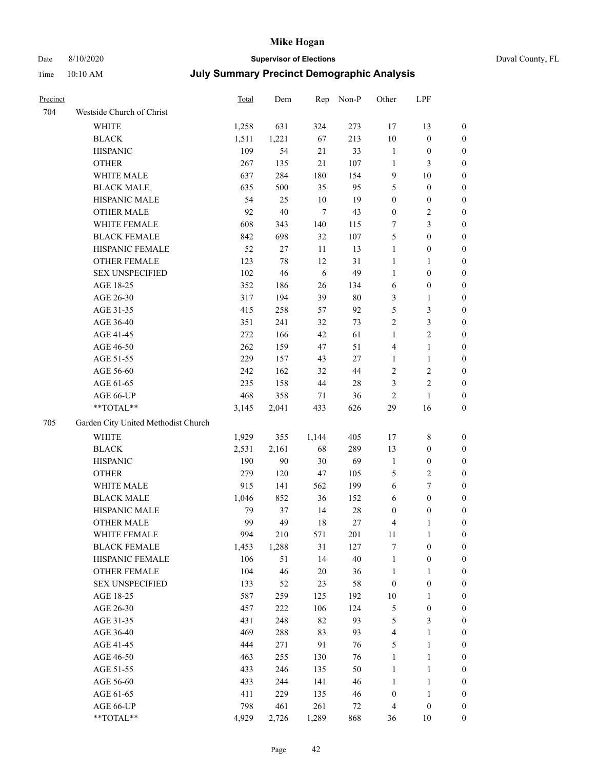## Date 8/10/2020 **Supervisor of Elections** Duval County, FL

| Precinct |                                     | Total | Dem    |            | Rep Non-P | Other                   | LPF              |                  |
|----------|-------------------------------------|-------|--------|------------|-----------|-------------------------|------------------|------------------|
| 704      | Westside Church of Christ           |       |        |            |           |                         |                  |                  |
|          | WHITE                               | 1,258 | 631    | 324        | 273       | 17                      | 13               | $\boldsymbol{0}$ |
|          | <b>BLACK</b>                        | 1,511 | 1,221  | 67         | 213       | $10\,$                  | $\boldsymbol{0}$ | $\boldsymbol{0}$ |
|          | <b>HISPANIC</b>                     | 109   | 54     | 21         | 33        | $\mathbf{1}$            | $\boldsymbol{0}$ | $\boldsymbol{0}$ |
|          | <b>OTHER</b>                        | 267   | 135    | 21         | 107       | $\mathbf{1}$            | 3                | $\boldsymbol{0}$ |
|          | WHITE MALE                          | 637   | 284    | 180        | 154       | 9                       | 10               | $\boldsymbol{0}$ |
|          | <b>BLACK MALE</b>                   | 635   | 500    | 35         | 95        | 5                       | $\boldsymbol{0}$ | $\boldsymbol{0}$ |
|          | HISPANIC MALE                       | 54    | 25     | $10\,$     | 19        | $\boldsymbol{0}$        | $\boldsymbol{0}$ | $\boldsymbol{0}$ |
|          | <b>OTHER MALE</b>                   | 92    | $40\,$ | $\tau$     | 43        | $\boldsymbol{0}$        | $\sqrt{2}$       | $\boldsymbol{0}$ |
|          | WHITE FEMALE                        | 608   | 343    | 140        | 115       | 7                       | $\mathfrak{Z}$   | $\boldsymbol{0}$ |
|          | <b>BLACK FEMALE</b>                 | 842   | 698    | 32         | 107       | 5                       | $\boldsymbol{0}$ | 0                |
|          | HISPANIC FEMALE                     | 52    | $27\,$ | $11\,$     | 13        | $\mathbf{1}$            | $\boldsymbol{0}$ | 0                |
|          | OTHER FEMALE                        | 123   | $78\,$ | 12         | 31        | $\mathbf{1}$            | 1                | $\boldsymbol{0}$ |
|          | <b>SEX UNSPECIFIED</b>              | 102   | 46     | $\sqrt{6}$ | 49        | $\mathbf{1}$            | $\boldsymbol{0}$ | $\boldsymbol{0}$ |
|          | AGE 18-25                           | 352   | 186    | 26         | 134       | 6                       | $\boldsymbol{0}$ | $\boldsymbol{0}$ |
|          | AGE 26-30                           | 317   | 194    | 39         | $80\,$    | 3                       | $\mathbf{1}$     | $\boldsymbol{0}$ |
|          | AGE 31-35                           | 415   | 258    | 57         | 92        | 5                       | $\mathfrak{Z}$   | $\boldsymbol{0}$ |
|          | AGE 36-40                           | 351   | 241    | 32         | 73        | $\overline{c}$          | 3                | $\overline{0}$   |
|          | AGE 41-45                           | 272   | 166    | 42         | 61        | $\mathbf{1}$            | $\sqrt{2}$       | $\boldsymbol{0}$ |
|          | AGE 46-50                           | 262   | 159    | 47         | 51        | 4                       | $\mathbf{1}$     | $\boldsymbol{0}$ |
|          | AGE 51-55                           | 229   | 157    | 43         | 27        | $\mathbf{1}$            | $\mathbf{1}$     | 0                |
|          | AGE 56-60                           | 242   | 162    | 32         | 44        | 2                       | $\sqrt{2}$       | 0                |
|          | AGE 61-65                           | 235   | 158    | $44\,$     | $28\,$    | 3                       | $\sqrt{2}$       | 0                |
|          | AGE 66-UP                           | 468   | 358    | 71         | 36        | $\mathbf{2}$            | $\mathbf{1}$     | $\boldsymbol{0}$ |
|          | $**TOTAL**$                         | 3,145 | 2,041  | 433        | 626       | 29                      | 16               | $\boldsymbol{0}$ |
| 705      | Garden City United Methodist Church |       |        |            |           |                         |                  |                  |
|          | WHITE                               | 1,929 | 355    | 1,144      | 405       | 17                      | $\,$ 8 $\,$      | $\boldsymbol{0}$ |
|          | <b>BLACK</b>                        | 2,531 | 2,161  | 68         | 289       | 13                      | $\boldsymbol{0}$ | $\boldsymbol{0}$ |
|          | <b>HISPANIC</b>                     | 190   | 90     | 30         | 69        | $\mathbf{1}$            | $\boldsymbol{0}$ | $\boldsymbol{0}$ |
|          | <b>OTHER</b>                        | 279   | 120    | 47         | 105       | 5                       | $\sqrt{2}$       | $\overline{0}$   |
|          | WHITE MALE                          | 915   | 141    | 562        | 199       | $\sqrt{6}$              | $\boldsymbol{7}$ | $\boldsymbol{0}$ |
|          | <b>BLACK MALE</b>                   | 1,046 | 852    | 36         | 152       | 6                       | $\boldsymbol{0}$ | $\boldsymbol{0}$ |
|          | HISPANIC MALE                       | 79    | 37     | 14         | $28\,$    | 0                       | $\boldsymbol{0}$ | 0                |
|          | <b>OTHER MALE</b>                   | 99    | 49     | 18         | $27\,$    | 4                       | 1                | $\boldsymbol{0}$ |
|          | WHITE FEMALE                        | 994   | 210    | 571        | 201       | 11                      | $\mathbf{1}$     | $\boldsymbol{0}$ |
|          | <b>BLACK FEMALE</b>                 | 1,453 | 1,288  | 31         | 127       | 7                       | $\boldsymbol{0}$ | $\boldsymbol{0}$ |
|          | HISPANIC FEMALE                     | 106   | 51     | 14         | $40\,$    | $\mathbf{1}$            | $\boldsymbol{0}$ | $\overline{0}$   |
|          | <b>OTHER FEMALE</b>                 | 104   | 46     | 20         | 36        | $\mathbf{1}$            | $\mathbf{1}$     | $\overline{0}$   |
|          | <b>SEX UNSPECIFIED</b>              | 133   | 52     | 23         | 58        | $\boldsymbol{0}$        | $\boldsymbol{0}$ | 0                |
|          | AGE 18-25                           | 587   | 259    | 125        | 192       | $10\,$                  | $\mathbf{1}$     | $\overline{0}$   |
|          | AGE 26-30                           | 457   | 222    | 106        | 124       | 5                       | $\boldsymbol{0}$ | 0                |
|          | AGE 31-35                           | 431   | 248    | 82         | 93        | 5                       | $\mathfrak{Z}$   | 0                |
|          | AGE 36-40                           | 469   | 288    | 83         | 93        | $\overline{\mathbf{4}}$ | $\mathbf{1}$     | 0                |
|          | AGE 41-45                           | 444   | 271    | 91         | 76        | 5                       | $\mathbf{1}$     | 0                |
|          | AGE 46-50                           | 463   | 255    | 130        | 76        | $\mathbf{1}$            | $\mathbf{1}$     | 0                |
|          | AGE 51-55                           | 433   | 246    | 135        | 50        | $\mathbf{1}$            | $\mathbf{1}$     | $\boldsymbol{0}$ |
|          | AGE 56-60                           | 433   | 244    | 141        | 46        | $\mathbf{1}$            | $\mathbf{1}$     | $\boldsymbol{0}$ |
|          | AGE 61-65                           | 411   | 229    | 135        | 46        | $\boldsymbol{0}$        | $\mathbf{1}$     | $\boldsymbol{0}$ |
|          | AGE 66-UP                           | 798   | 461    | 261        | $72\,$    | 4                       | $\boldsymbol{0}$ | 0                |
|          | **TOTAL**                           | 4,929 | 2,726  | 1,289      | 868       | 36                      | 10               | $\boldsymbol{0}$ |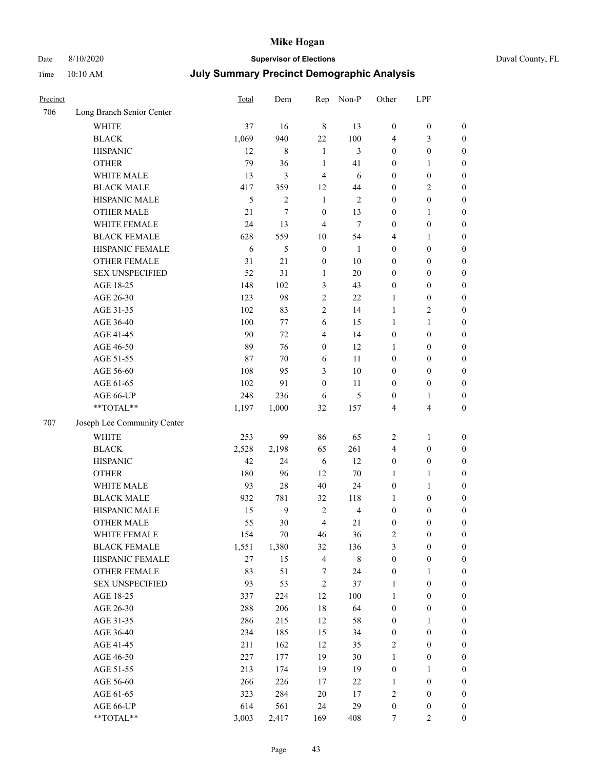# Date 8/10/2020 **Supervisor of Elections** Duval County, FL

| Precinct |                             | Total  | Dem            | Rep                     | Non-P          | Other            | LPF                     |                  |
|----------|-----------------------------|--------|----------------|-------------------------|----------------|------------------|-------------------------|------------------|
| 706      | Long Branch Senior Center   |        |                |                         |                |                  |                         |                  |
|          | <b>WHITE</b>                | 37     | 16             | $\,$ 8 $\,$             | 13             | $\boldsymbol{0}$ | $\boldsymbol{0}$        | $\boldsymbol{0}$ |
|          | <b>BLACK</b>                | 1,069  | 940            | 22                      | 100            | 4                | 3                       | $\boldsymbol{0}$ |
|          | <b>HISPANIC</b>             | 12     | $\,$ 8 $\,$    | $\mathbf{1}$            | 3              | $\boldsymbol{0}$ | $\boldsymbol{0}$        | $\boldsymbol{0}$ |
|          | <b>OTHER</b>                | 79     | 36             | $\mathbf{1}$            | 41             | $\boldsymbol{0}$ | 1                       | $\boldsymbol{0}$ |
|          | WHITE MALE                  | 13     | 3              | $\overline{4}$          | 6              | $\boldsymbol{0}$ | $\boldsymbol{0}$        | $\boldsymbol{0}$ |
|          | <b>BLACK MALE</b>           | 417    | 359            | 12                      | 44             | $\boldsymbol{0}$ | $\sqrt{2}$              | $\boldsymbol{0}$ |
|          | HISPANIC MALE               | 5      | $\overline{c}$ | $\mathbf{1}$            | $\mathbf{2}$   | $\boldsymbol{0}$ | $\boldsymbol{0}$        | $\boldsymbol{0}$ |
|          | OTHER MALE                  | 21     | 7              | $\boldsymbol{0}$        | 13             | $\boldsymbol{0}$ | 1                       | $\boldsymbol{0}$ |
|          | WHITE FEMALE                | 24     | 13             | 4                       | $\tau$         | $\boldsymbol{0}$ | $\boldsymbol{0}$        | 0                |
|          | <b>BLACK FEMALE</b>         | 628    | 559            | 10                      | 54             | 4                | $\mathbf{1}$            | 0                |
|          | HISPANIC FEMALE             | 6      | 5              | $\boldsymbol{0}$        | $\mathbf{1}$   | $\boldsymbol{0}$ | $\boldsymbol{0}$        | $\boldsymbol{0}$ |
|          | <b>OTHER FEMALE</b>         | 31     | 21             | $\boldsymbol{0}$        | $10\,$         | $\boldsymbol{0}$ | $\boldsymbol{0}$        | $\boldsymbol{0}$ |
|          | <b>SEX UNSPECIFIED</b>      | 52     | 31             | $\mathbf{1}$            | $20\,$         | $\boldsymbol{0}$ | $\boldsymbol{0}$        | $\boldsymbol{0}$ |
|          | AGE 18-25                   | 148    | 102            | 3                       | 43             | $\boldsymbol{0}$ | $\boldsymbol{0}$        | $\boldsymbol{0}$ |
|          | AGE 26-30                   | 123    | 98             | $\sqrt{2}$              | 22             | $\mathbf{1}$     | $\boldsymbol{0}$        | $\boldsymbol{0}$ |
|          | AGE 31-35                   | 102    | 83             | $\sqrt{2}$              | 14             | $\mathbf{1}$     | $\sqrt{2}$              | $\boldsymbol{0}$ |
|          | AGE 36-40                   | 100    | 77             | 6                       | 15             | $\mathbf{1}$     | $\mathbf{1}$            | $\boldsymbol{0}$ |
|          | AGE 41-45                   | 90     | 72             | $\overline{4}$          | 14             | $\boldsymbol{0}$ | $\boldsymbol{0}$        | $\boldsymbol{0}$ |
|          | AGE 46-50                   | 89     | 76             | $\boldsymbol{0}$        | 12             | 1                | $\boldsymbol{0}$        | $\boldsymbol{0}$ |
|          | AGE 51-55                   | 87     | 70             | 6                       | 11             | $\boldsymbol{0}$ | $\boldsymbol{0}$        | 0                |
|          | AGE 56-60                   | 108    | 95             | 3                       | $10\,$         | $\boldsymbol{0}$ | $\boldsymbol{0}$        | $\boldsymbol{0}$ |
|          | AGE 61-65                   | 102    | 91             | $\boldsymbol{0}$        | 11             | $\boldsymbol{0}$ | $\boldsymbol{0}$        | $\boldsymbol{0}$ |
|          | AGE 66-UP                   | 248    | 236            | 6                       | $\mathfrak{S}$ | $\boldsymbol{0}$ | $\mathbf{1}$            | $\boldsymbol{0}$ |
|          | **TOTAL**                   | 1,197  | 1,000          | 32                      | 157            | 4                | $\overline{\mathbf{4}}$ | $\boldsymbol{0}$ |
| 707      | Joseph Lee Community Center |        |                |                         |                |                  |                         |                  |
|          | <b>WHITE</b>                | 253    | 99             | 86                      | 65             | $\overline{c}$   | $\mathbf{1}$            | $\boldsymbol{0}$ |
|          | <b>BLACK</b>                | 2,528  | 2,198          | 65                      | 261            | 4                | $\boldsymbol{0}$        | $\boldsymbol{0}$ |
|          | <b>HISPANIC</b>             | 42     | 24             | 6                       | 12             | $\boldsymbol{0}$ | $\boldsymbol{0}$        | $\boldsymbol{0}$ |
|          | <b>OTHER</b>                | 180    | 96             | 12                      | $70\,$         | $\mathbf{1}$     | $\mathbf{1}$            | $\boldsymbol{0}$ |
|          | WHITE MALE                  | 93     | 28             | 40                      | 24             | $\boldsymbol{0}$ | $\mathbf{1}$            | $\boldsymbol{0}$ |
|          | <b>BLACK MALE</b>           | 932    | 781            | 32                      | 118            | 1                | $\boldsymbol{0}$        | $\boldsymbol{0}$ |
|          | HISPANIC MALE               | 15     | $\mathbf{9}$   | $\overline{2}$          | $\overline{4}$ | $\boldsymbol{0}$ | $\boldsymbol{0}$        | 0                |
|          | OTHER MALE                  | 55     | 30             | $\overline{4}$          | 21             | $\boldsymbol{0}$ | $\boldsymbol{0}$        | $\boldsymbol{0}$ |
|          | WHITE FEMALE                | 154    | $70\,$         | 46                      | 36             | 2                | $\boldsymbol{0}$        | $\boldsymbol{0}$ |
|          | <b>BLACK FEMALE</b>         | 1,551  | 1,380          | 32                      | 136            | 3                | $\boldsymbol{0}$        | $\overline{0}$   |
|          | HISPANIC FEMALE             | $27\,$ | 15             | $\overline{\mathbf{4}}$ | $\,$ 8 $\,$    | $\boldsymbol{0}$ | $\boldsymbol{0}$        | $\overline{0}$   |
|          | <b>OTHER FEMALE</b>         | 83     | 51             | 7                       | 24             | $\boldsymbol{0}$ | $\mathbf{1}$            | $\overline{0}$   |
|          | <b>SEX UNSPECIFIED</b>      | 93     | 53             | $\sqrt{2}$              | 37             | $\mathbf{1}$     | $\boldsymbol{0}$        | $\overline{0}$   |
|          | AGE 18-25                   | 337    | 224            | 12                      | 100            | $\mathbf{1}$     | $\boldsymbol{0}$        | 0                |
|          | AGE 26-30                   | 288    | 206            | 18                      | 64             | $\boldsymbol{0}$ | $\boldsymbol{0}$        | 0                |
|          | AGE 31-35                   | 286    | 215            | 12                      | 58             | $\boldsymbol{0}$ | $\mathbf{1}$            | 0                |
|          | AGE 36-40                   | 234    | 185            | 15                      | 34             | $\boldsymbol{0}$ | $\boldsymbol{0}$        | 0                |
|          | AGE 41-45                   | 211    | 162            | 12                      | 35             | 2                | $\boldsymbol{0}$        | 0                |
|          | AGE 46-50                   | 227    | 177            | 19                      | $30\,$         | $\mathbf{1}$     | $\boldsymbol{0}$        | $\boldsymbol{0}$ |
|          | AGE 51-55                   | 213    | 174            | 19                      | 19             | $\boldsymbol{0}$ | $\mathbf{1}$            | $\boldsymbol{0}$ |
|          | AGE 56-60                   | 266    | 226            | 17                      | 22             | 1                | $\boldsymbol{0}$        | $\overline{0}$   |
|          | AGE 61-65                   | 323    | 284            | 20                      | 17             | $\sqrt{2}$       | $\boldsymbol{0}$        | $\boldsymbol{0}$ |
|          | AGE 66-UP                   | 614    | 561            | 24                      | 29             | $\boldsymbol{0}$ | $\boldsymbol{0}$        | $\boldsymbol{0}$ |
|          | **TOTAL**                   | 3,003  | 2,417          | 169                     | 408            | 7                | $\overline{2}$          | $\boldsymbol{0}$ |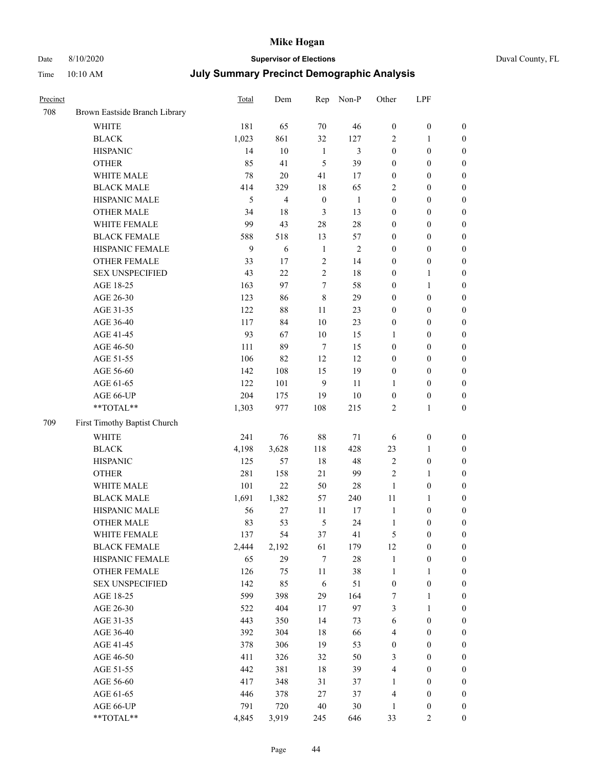#### Date 8/10/2020 **Supervisor of Elections** Duval County, FL Time 10:10 AM **July Summary Precinct Demographic Analysis**

| Precinct |                               | Total | Dem            | Rep              | Non-P          | Other            | LPF              |                  |
|----------|-------------------------------|-------|----------------|------------------|----------------|------------------|------------------|------------------|
| 708      | Brown Eastside Branch Library |       |                |                  |                |                  |                  |                  |
|          | <b>WHITE</b>                  | 181   | 65             | 70               | 46             | $\boldsymbol{0}$ | $\boldsymbol{0}$ | $\boldsymbol{0}$ |
|          | <b>BLACK</b>                  | 1,023 | 861            | 32               | 127            | $\sqrt{2}$       | 1                | $\boldsymbol{0}$ |
|          | <b>HISPANIC</b>               | 14    | 10             | 1                | 3              | $\boldsymbol{0}$ | $\boldsymbol{0}$ | $\boldsymbol{0}$ |
|          | <b>OTHER</b>                  | 85    | 41             | 5                | 39             | $\boldsymbol{0}$ | $\boldsymbol{0}$ | $\boldsymbol{0}$ |
|          | WHITE MALE                    | 78    | 20             | 41               | 17             | $\boldsymbol{0}$ | $\boldsymbol{0}$ | $\boldsymbol{0}$ |
|          | <b>BLACK MALE</b>             | 414   | 329            | $18\,$           | 65             | $\overline{2}$   | $\boldsymbol{0}$ | $\boldsymbol{0}$ |
|          | HISPANIC MALE                 | 5     | $\overline{4}$ | $\boldsymbol{0}$ | $\mathbf{1}$   | $\boldsymbol{0}$ | $\boldsymbol{0}$ | $\boldsymbol{0}$ |
|          | <b>OTHER MALE</b>             | 34    | 18             | $\mathfrak{Z}$   | 13             | $\boldsymbol{0}$ | $\boldsymbol{0}$ | $\boldsymbol{0}$ |
|          | WHITE FEMALE                  | 99    | 43             | 28               | 28             | $\boldsymbol{0}$ | $\boldsymbol{0}$ | $\boldsymbol{0}$ |
|          | <b>BLACK FEMALE</b>           | 588   | 518            | 13               | 57             | $\boldsymbol{0}$ | $\boldsymbol{0}$ | $\boldsymbol{0}$ |
|          | HISPANIC FEMALE               | 9     | 6              | $\mathbf{1}$     | $\overline{2}$ | $\boldsymbol{0}$ | $\boldsymbol{0}$ | $\boldsymbol{0}$ |
|          | <b>OTHER FEMALE</b>           | 33    | 17             | 2                | 14             | $\boldsymbol{0}$ | $\boldsymbol{0}$ | $\boldsymbol{0}$ |
|          | <b>SEX UNSPECIFIED</b>        | 43    | 22             | $\overline{c}$   | 18             | $\boldsymbol{0}$ | 1                | $\boldsymbol{0}$ |
|          | AGE 18-25                     | 163   | 97             | $\overline{7}$   | 58             | $\boldsymbol{0}$ | 1                | $\boldsymbol{0}$ |
|          | AGE 26-30                     | 123   | 86             | $\,8\,$          | 29             | $\boldsymbol{0}$ | $\boldsymbol{0}$ | $\boldsymbol{0}$ |
|          | AGE 31-35                     | 122   | $88\,$         | 11               | 23             | $\boldsymbol{0}$ | $\boldsymbol{0}$ | $\boldsymbol{0}$ |
|          | AGE 36-40                     | 117   | 84             | 10               | 23             | $\boldsymbol{0}$ | $\boldsymbol{0}$ | $\boldsymbol{0}$ |
|          | AGE 41-45                     | 93    | 67             | 10               | 15             | 1                | $\boldsymbol{0}$ | $\boldsymbol{0}$ |
|          | AGE 46-50                     | 111   | 89             | $7\phantom{.0}$  | 15             | $\boldsymbol{0}$ | $\boldsymbol{0}$ | $\boldsymbol{0}$ |
|          | AGE 51-55                     | 106   | 82             | 12               | 12             | $\boldsymbol{0}$ | $\boldsymbol{0}$ | $\boldsymbol{0}$ |
|          | AGE 56-60                     | 142   | 108            | 15               | 19             | $\boldsymbol{0}$ | $\boldsymbol{0}$ | $\boldsymbol{0}$ |
|          | AGE 61-65                     | 122   | 101            | 9                | 11             | 1                | $\boldsymbol{0}$ | $\boldsymbol{0}$ |
|          | AGE 66-UP                     | 204   | 175            | 19               | 10             | $\boldsymbol{0}$ | $\boldsymbol{0}$ | $\boldsymbol{0}$ |
|          | **TOTAL**                     | 1,303 | 977            | 108              | 215            | $\overline{2}$   | 1                | $\boldsymbol{0}$ |
| 709      | First Timothy Baptist Church  |       |                |                  |                |                  |                  |                  |
|          | <b>WHITE</b>                  | 241   | 76             | $88\,$           | 71             | 6                | $\boldsymbol{0}$ | $\boldsymbol{0}$ |
|          | <b>BLACK</b>                  | 4,198 | 3,628          | 118              | 428            | 23               | 1                | $\boldsymbol{0}$ |
|          | <b>HISPANIC</b>               | 125   | 57             | 18               | 48             | $\sqrt{2}$       | $\boldsymbol{0}$ | $\boldsymbol{0}$ |
|          | <b>OTHER</b>                  | 281   | 158            | 21               | 99             | $\sqrt{2}$       | 1                | $\boldsymbol{0}$ |
|          | WHITE MALE                    | 101   | 22             | 50               | 28             | $\mathbf{1}$     | $\boldsymbol{0}$ | $\boldsymbol{0}$ |
|          | <b>BLACK MALE</b>             | 1,691 | 1,382          | 57               | 240            | 11               | 1                | $\boldsymbol{0}$ |
|          | HISPANIC MALE                 | 56    | 27             | 11               | 17             | $\mathbf{1}$     | $\boldsymbol{0}$ | $\boldsymbol{0}$ |
|          | <b>OTHER MALE</b>             | 83    | 53             | 5                | 24             | $\mathbf{1}$     | $\boldsymbol{0}$ | $\boldsymbol{0}$ |
|          | WHITE FEMALE                  | 137   | 54             | 37               | 41             | $\mathfrak s$    | $\boldsymbol{0}$ | $\boldsymbol{0}$ |
|          | <b>BLACK FEMALE</b>           | 2,444 | 2,192          | 61               | 179            | $12\,$           | $\boldsymbol{0}$ | $\boldsymbol{0}$ |
|          | HISPANIC FEMALE               | 65    | 29             | $\tau$           | $28\,$         | $\mathbf{1}$     | $\boldsymbol{0}$ | $\boldsymbol{0}$ |
|          | OTHER FEMALE                  | 126   | 75             | 11               | 38             | $\mathbf{1}$     | 1                | $\boldsymbol{0}$ |
|          | <b>SEX UNSPECIFIED</b>        | 142   | 85             | $\sqrt{6}$       | 51             | $\boldsymbol{0}$ | $\boldsymbol{0}$ | $\boldsymbol{0}$ |
|          | AGE 18-25                     | 599   | 398            | 29               | 164            | $\tau$           | 1                | $\boldsymbol{0}$ |
|          | AGE 26-30                     | 522   | 404            | 17               | 97             | $\mathfrak{Z}$   | 1                | $\boldsymbol{0}$ |
|          | AGE 31-35                     | 443   | 350            | 14               | 73             | 6                | $\boldsymbol{0}$ | $\boldsymbol{0}$ |
|          | AGE 36-40                     | 392   | 304            | 18               | 66             | $\overline{4}$   | $\boldsymbol{0}$ | $\boldsymbol{0}$ |
|          | AGE 41-45                     | 378   | 306            | 19               | 53             | $\boldsymbol{0}$ | $\boldsymbol{0}$ | $\boldsymbol{0}$ |
|          | AGE 46-50                     | 411   | 326            | 32               | 50             | 3                | $\boldsymbol{0}$ | $\boldsymbol{0}$ |
|          | AGE 51-55                     | 442   | 381            | 18               | 39             | $\overline{4}$   | $\boldsymbol{0}$ | $\boldsymbol{0}$ |
|          | AGE 56-60                     | 417   | 348            | 31               | 37             | $\mathbf{1}$     | $\boldsymbol{0}$ | $\boldsymbol{0}$ |
|          | AGE 61-65                     | 446   | 378            | $27\,$           | 37             | $\overline{4}$   | $\boldsymbol{0}$ | $\boldsymbol{0}$ |
|          | AGE 66-UP                     | 791   | 720            | $40\,$           | 30             | 1                | $\boldsymbol{0}$ | $\boldsymbol{0}$ |
|          | **TOTAL**                     | 4,845 | 3,919          | 245              | 646            | 33               | 2                | $\mathbf{0}$     |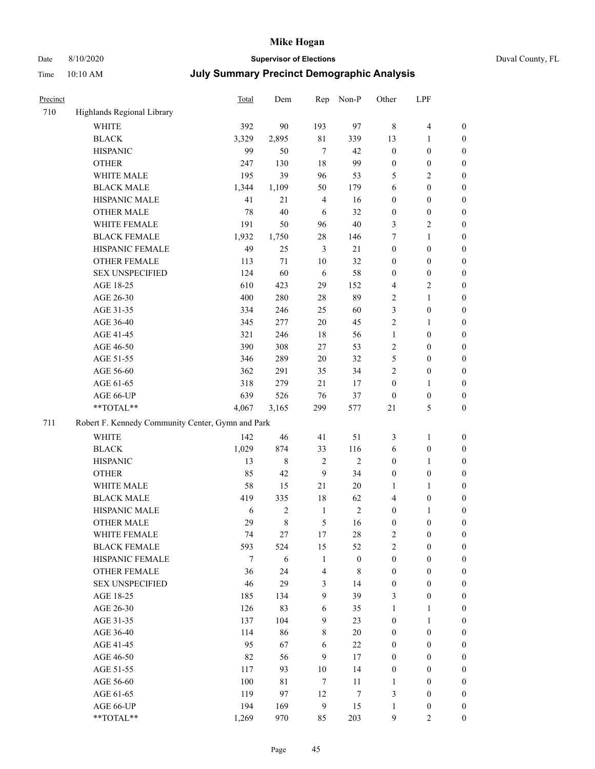# Date 8/10/2020 **Supervisor of Elections** Duval County, FL

| Precinct |                                                   | Total | Dem          | Rep              | Non-P            | Other            | LPF                     |                  |
|----------|---------------------------------------------------|-------|--------------|------------------|------------------|------------------|-------------------------|------------------|
| 710      | Highlands Regional Library                        |       |              |                  |                  |                  |                         |                  |
|          | <b>WHITE</b>                                      | 392   | 90           | 193              | 97               | 8                | $\overline{\mathbf{4}}$ | 0                |
|          | <b>BLACK</b>                                      | 3,329 | 2,895        | $8\sqrt{1}$      | 339              | 13               | $\mathbf{1}$            | $\boldsymbol{0}$ |
|          | <b>HISPANIC</b>                                   | 99    | 50           | $\overline{7}$   | 42               | $\boldsymbol{0}$ | $\boldsymbol{0}$        | $\boldsymbol{0}$ |
|          | <b>OTHER</b>                                      | 247   | 130          | 18               | 99               | $\boldsymbol{0}$ | $\boldsymbol{0}$        | $\boldsymbol{0}$ |
|          | WHITE MALE                                        | 195   | 39           | 96               | 53               | 5                | $\mathbf{2}$            | $\boldsymbol{0}$ |
|          | <b>BLACK MALE</b>                                 | 1,344 | 1,109        | 50               | 179              | 6                | $\boldsymbol{0}$        | $\boldsymbol{0}$ |
|          | HISPANIC MALE                                     | 41    | 21           | $\overline{4}$   | 16               | $\boldsymbol{0}$ | $\boldsymbol{0}$        | $\boldsymbol{0}$ |
|          | <b>OTHER MALE</b>                                 | 78    | 40           | 6                | 32               | $\boldsymbol{0}$ | $\boldsymbol{0}$        | $\boldsymbol{0}$ |
|          | WHITE FEMALE                                      | 191   | 50           | 96               | 40               | 3                | $\sqrt{2}$              | $\boldsymbol{0}$ |
|          | <b>BLACK FEMALE</b>                               | 1,932 | 1,750        | 28               | 146              | 7                | $\mathbf{1}$            | 0                |
|          | HISPANIC FEMALE                                   | 49    | 25           | 3                | 21               | $\boldsymbol{0}$ | $\boldsymbol{0}$        | $\boldsymbol{0}$ |
|          | OTHER FEMALE                                      | 113   | 71           | 10               | 32               | $\boldsymbol{0}$ | $\boldsymbol{0}$        | $\boldsymbol{0}$ |
|          | <b>SEX UNSPECIFIED</b>                            | 124   | 60           | 6                | 58               | $\boldsymbol{0}$ | $\boldsymbol{0}$        | $\boldsymbol{0}$ |
|          | AGE 18-25                                         | 610   | 423          | 29               | 152              | 4                | $\sqrt{2}$              | $\boldsymbol{0}$ |
|          | AGE 26-30                                         | 400   | 280          | 28               | 89               | 2                | $\mathbf{1}$            | $\boldsymbol{0}$ |
|          | AGE 31-35                                         | 334   | 246          | 25               | 60               | 3                | $\boldsymbol{0}$        | $\boldsymbol{0}$ |
|          | AGE 36-40                                         | 345   | 277          | 20               | 45               | $\mathfrak{2}$   | $\mathbf{1}$            | $\boldsymbol{0}$ |
|          | AGE 41-45                                         | 321   | 246          | 18               | 56               | $\mathbf{1}$     | $\boldsymbol{0}$        | $\boldsymbol{0}$ |
|          | AGE 46-50                                         | 390   | 308          | 27               | 53               | 2                | $\boldsymbol{0}$        | $\boldsymbol{0}$ |
|          | AGE 51-55                                         | 346   | 289          | 20               | 32               | 5                | $\boldsymbol{0}$        | 0                |
|          | AGE 56-60                                         | 362   | 291          | 35               | 34               | 2                | $\boldsymbol{0}$        | $\boldsymbol{0}$ |
|          | AGE 61-65                                         | 318   | 279          | 21               | 17               | $\boldsymbol{0}$ | $\mathbf{1}$            | $\boldsymbol{0}$ |
|          | AGE 66-UP                                         | 639   | 526          | 76               | 37               | $\boldsymbol{0}$ | $\boldsymbol{0}$        | $\boldsymbol{0}$ |
|          | **TOTAL**                                         | 4,067 | 3,165        | 299              | 577              | $21\,$           | $\mathfrak{S}$          | $\boldsymbol{0}$ |
| 711      | Robert F. Kennedy Community Center, Gymn and Park |       |              |                  |                  |                  |                         |                  |
|          | <b>WHITE</b>                                      | 142   | 46           | 41               | 51               | 3                | $\mathbf{1}$            | $\boldsymbol{0}$ |
|          | <b>BLACK</b>                                      | 1,029 | 874          | 33               | 116              | 6                | $\boldsymbol{0}$        | $\boldsymbol{0}$ |
|          | <b>HISPANIC</b>                                   | 13    | $\,8\,$      | $\sqrt{2}$       | $\mathbf{2}$     | $\boldsymbol{0}$ | $\mathbf{1}$            | $\boldsymbol{0}$ |
|          | <b>OTHER</b>                                      | 85    | 42           | 9                | 34               | $\boldsymbol{0}$ | $\boldsymbol{0}$        | $\boldsymbol{0}$ |
|          | WHITE MALE                                        | 58    | 15           | 21               | $20\,$           | 1                | $\mathbf{1}$            | $\boldsymbol{0}$ |
|          | <b>BLACK MALE</b>                                 | 419   | 335          | 18               | 62               | 4                | $\boldsymbol{0}$        | $\boldsymbol{0}$ |
|          | HISPANIC MALE                                     | 6     | $\mathbf{2}$ | $\mathbf{1}$     | $\sqrt{2}$       | $\boldsymbol{0}$ | 1                       | 0                |
|          | <b>OTHER MALE</b>                                 | 29    | $\,$ 8 $\,$  | 5                | 16               | $\boldsymbol{0}$ | $\boldsymbol{0}$        | $\boldsymbol{0}$ |
|          | WHITE FEMALE                                      | 74    | 27           | 17               | 28               | 2                | $\boldsymbol{0}$        | $\boldsymbol{0}$ |
|          | <b>BLACK FEMALE</b>                               | 593   | 524          | 15               | 52               | $\sqrt{2}$       | $\boldsymbol{0}$        | $\overline{0}$   |
|          | HISPANIC FEMALE                                   | 7     | $\sqrt{6}$   | $\mathbf{1}$     | $\boldsymbol{0}$ | $\boldsymbol{0}$ | $\boldsymbol{0}$        | $\overline{0}$   |
|          | <b>OTHER FEMALE</b>                               | 36    | 24           | $\overline{4}$   | 8                | $\boldsymbol{0}$ | $\boldsymbol{0}$        | $\overline{0}$   |
|          | <b>SEX UNSPECIFIED</b>                            | 46    | 29           | 3                | 14               | $\boldsymbol{0}$ | $\boldsymbol{0}$        | $\overline{0}$   |
|          | AGE 18-25                                         | 185   | 134          | $\boldsymbol{9}$ | 39               | 3                | $\boldsymbol{0}$        | $\theta$         |
|          | AGE 26-30                                         | 126   | 83           | 6                | 35               | $\mathbf{1}$     | $\mathbf{1}$            | 0                |
|          | AGE 31-35                                         | 137   | 104          | 9                | 23               | $\boldsymbol{0}$ | $\mathbf{1}$            | 0                |
|          | AGE 36-40                                         | 114   | 86           | $\,$ 8 $\,$      | 20               | $\boldsymbol{0}$ | $\boldsymbol{0}$        | 0                |
|          | AGE 41-45                                         | 95    | 67           | 6                | 22               | $\boldsymbol{0}$ | $\boldsymbol{0}$        | 0                |
|          | AGE 46-50                                         | 82    | 56           | 9                | 17               | $\boldsymbol{0}$ | $\boldsymbol{0}$        | $\boldsymbol{0}$ |
|          | AGE 51-55                                         | 117   | 93           | 10               | 14               | $\boldsymbol{0}$ | $\boldsymbol{0}$        | $\boldsymbol{0}$ |
|          | AGE 56-60                                         | 100   | 81           | $\tau$           | 11               | $\mathbf{1}$     | $\boldsymbol{0}$        | $\boldsymbol{0}$ |
|          | AGE 61-65                                         | 119   | 97           | 12               | $\boldsymbol{7}$ | 3                | $\boldsymbol{0}$        | $\boldsymbol{0}$ |
|          | AGE 66-UP                                         | 194   | 169          | $\boldsymbol{9}$ | 15               | $\mathbf{1}$     | $\boldsymbol{0}$        | $\boldsymbol{0}$ |
|          | **TOTAL**                                         | 1,269 | 970          | 85               | 203              | 9                | $\overline{2}$          | $\boldsymbol{0}$ |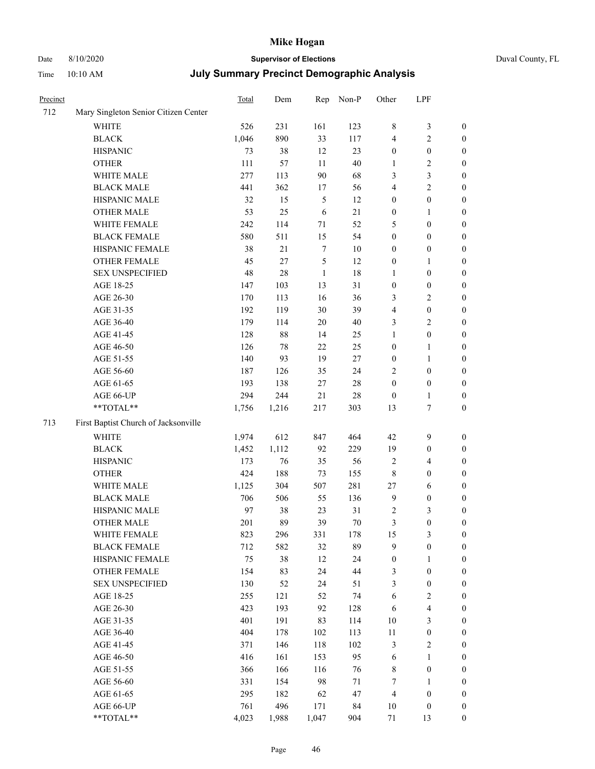#### Date 8/10/2020 **Supervisor of Elections** Duval County, FL Time 10:10 AM **July Summary Precinct Demographic Analysis**

| Precinct |                                      | Total | Dem    | Rep            | Non-P  | Other            | LPF                     |                  |
|----------|--------------------------------------|-------|--------|----------------|--------|------------------|-------------------------|------------------|
| 712      | Mary Singleton Senior Citizen Center |       |        |                |        |                  |                         |                  |
|          | WHITE                                | 526   | 231    | 161            | 123    | $\,$ 8 $\,$      | 3                       | $\boldsymbol{0}$ |
|          | <b>BLACK</b>                         | 1,046 | 890    | 33             | 117    | $\overline{4}$   | $\overline{c}$          | $\boldsymbol{0}$ |
|          | <b>HISPANIC</b>                      | 73    | 38     | 12             | 23     | $\boldsymbol{0}$ | $\boldsymbol{0}$        | $\boldsymbol{0}$ |
|          | <b>OTHER</b>                         | 111   | 57     | 11             | $40\,$ | $\mathbf{1}$     | $\overline{\mathbf{c}}$ | $\boldsymbol{0}$ |
|          | WHITE MALE                           | 277   | 113    | 90             | 68     | 3                | 3                       | $\boldsymbol{0}$ |
|          | <b>BLACK MALE</b>                    | 441   | 362    | 17             | 56     | $\overline{4}$   | 2                       | $\boldsymbol{0}$ |
|          | HISPANIC MALE                        | 32    | 15     | $\mathfrak{H}$ | 12     | $\boldsymbol{0}$ | $\boldsymbol{0}$        | $\boldsymbol{0}$ |
|          | <b>OTHER MALE</b>                    | 53    | 25     | 6              | 21     | $\boldsymbol{0}$ | 1                       | $\boldsymbol{0}$ |
|          | WHITE FEMALE                         | 242   | 114    | 71             | 52     | 5                | $\boldsymbol{0}$        | $\boldsymbol{0}$ |
|          | <b>BLACK FEMALE</b>                  | 580   | 511    | 15             | 54     | $\boldsymbol{0}$ | $\boldsymbol{0}$        | $\boldsymbol{0}$ |
|          | HISPANIC FEMALE                      | 38    | $21\,$ | $\tau$         | $10\,$ | $\boldsymbol{0}$ | $\boldsymbol{0}$        | $\boldsymbol{0}$ |
|          | <b>OTHER FEMALE</b>                  | 45    | 27     | 5              | 12     | $\boldsymbol{0}$ | 1                       | $\boldsymbol{0}$ |
|          | <b>SEX UNSPECIFIED</b>               | 48    | 28     | 1              | 18     | $\mathbf{1}$     | $\boldsymbol{0}$        | $\boldsymbol{0}$ |
|          | AGE 18-25                            | 147   | 103    | 13             | 31     | $\boldsymbol{0}$ | $\boldsymbol{0}$        | $\boldsymbol{0}$ |
|          | AGE 26-30                            | 170   | 113    | 16             | 36     | 3                | 2                       | $\boldsymbol{0}$ |
|          | AGE 31-35                            | 192   | 119    | $30\,$         | 39     | $\overline{4}$   | $\boldsymbol{0}$        | $\boldsymbol{0}$ |
|          | AGE 36-40                            | 179   | 114    | 20             | 40     | 3                | 2                       | $\boldsymbol{0}$ |
|          | AGE 41-45                            | 128   | $88\,$ | 14             | 25     | $\mathbf{1}$     | $\boldsymbol{0}$        | $\boldsymbol{0}$ |
|          | AGE 46-50                            | 126   | 78     | 22             | 25     | $\boldsymbol{0}$ | 1                       | $\boldsymbol{0}$ |
|          | AGE 51-55                            | 140   | 93     | 19             | $27\,$ | $\boldsymbol{0}$ | 1                       | $\boldsymbol{0}$ |
|          | AGE 56-60                            | 187   | 126    | 35             | 24     | $\sqrt{2}$       | $\boldsymbol{0}$        | $\boldsymbol{0}$ |
|          | AGE 61-65                            | 193   | 138    | $27\,$         | 28     | $\boldsymbol{0}$ | $\boldsymbol{0}$        | $\boldsymbol{0}$ |
|          | AGE 66-UP                            | 294   | 244    | 21             | 28     | $\mathbf{0}$     | 1                       | $\boldsymbol{0}$ |
|          | **TOTAL**                            | 1,756 | 1,216  | 217            | 303    | 13               | 7                       | $\boldsymbol{0}$ |
| 713      | First Baptist Church of Jacksonville |       |        |                |        |                  |                         |                  |
|          | WHITE                                | 1,974 | 612    | 847            | 464    | 42               | 9                       | $\boldsymbol{0}$ |
|          | <b>BLACK</b>                         | 1,452 | 1,112  | 92             | 229    | 19               | $\boldsymbol{0}$        | $\boldsymbol{0}$ |
|          | <b>HISPANIC</b>                      | 173   | 76     | 35             | 56     | $\overline{2}$   | 4                       | $\boldsymbol{0}$ |
|          | <b>OTHER</b>                         | 424   | 188    | 73             | 155    | $\,8\,$          | $\boldsymbol{0}$        | $\boldsymbol{0}$ |
|          | WHITE MALE                           | 1,125 | 304    | 507            | 281    | 27               | 6                       | $\boldsymbol{0}$ |
|          | <b>BLACK MALE</b>                    | 706   | 506    | 55             | 136    | 9                | $\boldsymbol{0}$        | $\boldsymbol{0}$ |
|          | HISPANIC MALE                        | 97    | 38     | 23             | 31     | $\overline{2}$   | 3                       | $\boldsymbol{0}$ |
|          | <b>OTHER MALE</b>                    | 201   | 89     | 39             | $70\,$ | 3                | $\boldsymbol{0}$        | $\boldsymbol{0}$ |
|          | WHITE FEMALE                         | 823   | 296    | 331            | 178    | 15               | $\mathfrak{Z}$          | $\boldsymbol{0}$ |
|          | <b>BLACK FEMALE</b>                  | 712   | 582    | 32             | 89     | 9                | $\boldsymbol{0}$        | $\boldsymbol{0}$ |
|          | HISPANIC FEMALE                      | 75    | 38     | 12             | 24     | $\boldsymbol{0}$ | 1                       | $\boldsymbol{0}$ |
|          | <b>OTHER FEMALE</b>                  | 154   | 83     | 24             | 44     | $\mathfrak z$    | $\boldsymbol{0}$        | $\boldsymbol{0}$ |
|          | <b>SEX UNSPECIFIED</b>               | 130   | 52     | 24             | 51     | $\mathfrak{Z}$   | $\boldsymbol{0}$        | $\boldsymbol{0}$ |
|          | AGE 18-25                            | 255   | 121    | 52             | 74     | $\sqrt{6}$       | 2                       | $\boldsymbol{0}$ |
|          | AGE 26-30                            | 423   | 193    | 92             | 128    | 6                | 4                       | $\boldsymbol{0}$ |
|          | AGE 31-35                            | 401   | 191    | 83             | 114    | 10               | 3                       | $\boldsymbol{0}$ |
|          | AGE 36-40                            | 404   | 178    | 102            | 113    | $11\,$           | $\boldsymbol{0}$        | $\boldsymbol{0}$ |
|          | AGE 41-45                            | 371   | 146    | 118            | 102    | $\mathfrak{Z}$   | $\mathbf{2}$            | $\boldsymbol{0}$ |
|          | AGE 46-50                            | 416   | 161    | 153            | 95     | 6                | $\mathbf{1}$            | $\boldsymbol{0}$ |
|          | AGE 51-55                            | 366   | 166    | 116            | 76     | $\,$ 8 $\,$      | $\boldsymbol{0}$        | $\boldsymbol{0}$ |
|          | AGE 56-60                            | 331   | 154    | 98             | 71     | $\tau$           | 1                       | $\boldsymbol{0}$ |
|          | AGE 61-65                            | 295   | 182    | 62             | 47     | $\overline{4}$   | $\boldsymbol{0}$        | $\boldsymbol{0}$ |
|          | AGE 66-UP                            | 761   | 496    | 171            | 84     | $10\,$           | $\boldsymbol{0}$        | $\boldsymbol{0}$ |
|          | **TOTAL**                            | 4,023 | 1,988  | 1,047          | 904    | $71\,$           | 13                      | $\boldsymbol{0}$ |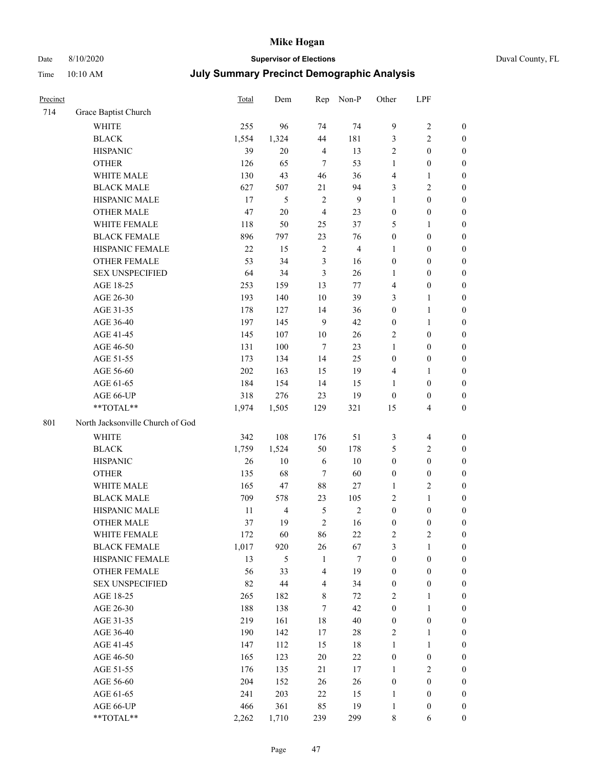# Date 8/10/2020 **Supervisor of Elections** Duval County, FL

| Precinct |                                  | <b>Total</b> | Dem            | Rep                     | Non-P          | Other            | LPF                     |                  |
|----------|----------------------------------|--------------|----------------|-------------------------|----------------|------------------|-------------------------|------------------|
| 714      | Grace Baptist Church             |              |                |                         |                |                  |                         |                  |
|          | <b>WHITE</b>                     | 255          | 96             | 74                      | 74             | $\overline{9}$   | $\sqrt{2}$              | $\boldsymbol{0}$ |
|          | <b>BLACK</b>                     | 1,554        | 1,324          | 44                      | 181            | 3                | $\mathfrak{2}$          | $\boldsymbol{0}$ |
|          | <b>HISPANIC</b>                  | 39           | 20             | $\overline{4}$          | 13             | $\mathfrak{2}$   | $\boldsymbol{0}$        | $\boldsymbol{0}$ |
|          | <b>OTHER</b>                     | 126          | 65             | $\overline{7}$          | 53             | 1                | $\boldsymbol{0}$        | $\boldsymbol{0}$ |
|          | WHITE MALE                       | 130          | 43             | 46                      | 36             | 4                | $\mathbf{1}$            | $\boldsymbol{0}$ |
|          | <b>BLACK MALE</b>                | 627          | 507            | 21                      | 94             | 3                | $\sqrt{2}$              | $\boldsymbol{0}$ |
|          | HISPANIC MALE                    | 17           | 5              | $\sqrt{2}$              | $\overline{9}$ | $\mathbf{1}$     | $\boldsymbol{0}$        | $\boldsymbol{0}$ |
|          | <b>OTHER MALE</b>                | 47           | $20\,$         | $\overline{4}$          | 23             | $\boldsymbol{0}$ | $\boldsymbol{0}$        | $\boldsymbol{0}$ |
|          | WHITE FEMALE                     | 118          | 50             | 25                      | 37             | 5                | $\mathbf{1}$            | $\boldsymbol{0}$ |
|          | <b>BLACK FEMALE</b>              | 896          | 797            | 23                      | 76             | $\boldsymbol{0}$ | $\boldsymbol{0}$        | 0                |
|          | HISPANIC FEMALE                  | 22           | 15             | $\sqrt{2}$              | $\overline{4}$ | $\mathbf{1}$     | $\boldsymbol{0}$        | 0                |
|          | <b>OTHER FEMALE</b>              | 53           | 34             | $\mathfrak{Z}$          | 16             | $\boldsymbol{0}$ | $\boldsymbol{0}$        | $\boldsymbol{0}$ |
|          | <b>SEX UNSPECIFIED</b>           | 64           | 34             | $\mathfrak{Z}$          | 26             | $\mathbf{1}$     | $\boldsymbol{0}$        | $\boldsymbol{0}$ |
|          | AGE 18-25                        | 253          | 159            | 13                      | 77             | 4                | $\boldsymbol{0}$        | $\boldsymbol{0}$ |
|          | AGE 26-30                        | 193          | 140            | 10                      | 39             | 3                | $\mathbf{1}$            | $\boldsymbol{0}$ |
|          | AGE 31-35                        | 178          | 127            | 14                      | 36             | $\boldsymbol{0}$ | $\mathbf{1}$            | $\boldsymbol{0}$ |
|          | AGE 36-40                        | 197          | 145            | 9                       | 42             | $\boldsymbol{0}$ | $\mathbf{1}$            | $\boldsymbol{0}$ |
|          | AGE 41-45                        | 145          | 107            | $10\,$                  | 26             | 2                | $\boldsymbol{0}$        | $\boldsymbol{0}$ |
|          | AGE 46-50                        | 131          | 100            | $\tau$                  | 23             | $\mathbf{1}$     | $\boldsymbol{0}$        | $\boldsymbol{0}$ |
|          | AGE 51-55                        | 173          | 134            | 14                      | 25             | $\boldsymbol{0}$ | $\boldsymbol{0}$        | $\boldsymbol{0}$ |
|          | AGE 56-60                        | 202          | 163            | 15                      | 19             | 4                | $\mathbf{1}$            | 0                |
|          | AGE 61-65                        | 184          | 154            | 14                      | 15             | $\mathbf{1}$     | $\boldsymbol{0}$        | 0                |
|          | AGE 66-UP                        | 318          | 276            | 23                      | 19             | $\boldsymbol{0}$ | $\boldsymbol{0}$        | $\boldsymbol{0}$ |
|          | **TOTAL**                        | 1,974        | 1,505          | 129                     | 321            | 15               | $\overline{\mathbf{4}}$ | $\boldsymbol{0}$ |
| 801      | North Jacksonville Church of God |              |                |                         |                |                  |                         |                  |
|          | <b>WHITE</b>                     | 342          | 108            | 176                     | 51             | 3                | $\overline{4}$          | $\boldsymbol{0}$ |
|          | <b>BLACK</b>                     | 1,759        | 1,524          | 50                      | 178            | 5                | $\sqrt{2}$              | $\boldsymbol{0}$ |
|          | <b>HISPANIC</b>                  | 26           | 10             | 6                       | 10             | $\boldsymbol{0}$ | $\boldsymbol{0}$        | $\boldsymbol{0}$ |
|          | <b>OTHER</b>                     | 135          | 68             | $\tau$                  | 60             | $\boldsymbol{0}$ | $\boldsymbol{0}$        | $\boldsymbol{0}$ |
|          | WHITE MALE                       | 165          | 47             | 88                      | $27\,$         | $\mathbf{1}$     | $\overline{2}$          | $\boldsymbol{0}$ |
|          | <b>BLACK MALE</b>                | 709          | 578            | 23                      | 105            | 2                | $\mathbf{1}$            | $\boldsymbol{0}$ |
|          | HISPANIC MALE                    | 11           | $\overline{4}$ | 5                       | $\sqrt{2}$     | $\boldsymbol{0}$ | $\boldsymbol{0}$        | $\boldsymbol{0}$ |
|          | OTHER MALE                       | 37           | 19             | $\overline{2}$          | 16             | $\boldsymbol{0}$ | $\boldsymbol{0}$        | $\boldsymbol{0}$ |
|          | WHITE FEMALE                     | 172          | 60             | 86                      | 22             | 2                | 2                       | 0                |
|          | <b>BLACK FEMALE</b>              | 1,017        | 920            | 26                      | 67             | 3                | $\mathbf{1}$            | $\boldsymbol{0}$ |
|          | HISPANIC FEMALE                  | 13           | 5              | $\mathbf{1}$            | $\tau$         | $\boldsymbol{0}$ | $\boldsymbol{0}$        | $\overline{0}$   |
|          | OTHER FEMALE                     | 56           | 33             | $\overline{4}$          | 19             | $\boldsymbol{0}$ | $\boldsymbol{0}$        | $\overline{0}$   |
|          | <b>SEX UNSPECIFIED</b>           | 82           | 44             | $\overline{\mathbf{4}}$ | 34             | $\boldsymbol{0}$ | $\boldsymbol{0}$        | 0                |
|          | AGE 18-25                        | 265          | 182            | $\,$ 8 $\,$             | 72             | 2                | $\mathbf{1}$            | $\theta$         |
|          | AGE 26-30                        | 188          | 138            | $\tau$                  | 42             | $\boldsymbol{0}$ | $\mathbf{1}$            | 0                |
|          | AGE 31-35                        | 219          | 161            | 18                      | $40\,$         | $\boldsymbol{0}$ | $\boldsymbol{0}$        | 0                |
|          | AGE 36-40                        | 190          | 142            | 17                      | $28\,$         | 2                | $\mathbf{1}$            | 0                |
|          | AGE 41-45                        | 147          | 112            | 15                      | 18             | $\mathbf{1}$     | $\mathbf{1}$            | 0                |
|          | AGE 46-50                        | 165          | 123            | 20                      | 22             | $\boldsymbol{0}$ | $\boldsymbol{0}$        | 0                |
|          | AGE 51-55                        | 176          | 135            | 21                      | 17             | $\mathbf{1}$     | $\overline{2}$          | 0                |
|          | AGE 56-60                        | 204          | 152            | 26                      | 26             | $\boldsymbol{0}$ | $\boldsymbol{0}$        | $\overline{0}$   |
|          | AGE 61-65                        | 241          | 203            | 22                      | 15             | 1                | $\boldsymbol{0}$        | $\overline{0}$   |
|          | AGE 66-UP                        | 466          | 361            | 85                      | 19             | $\mathbf{1}$     | $\boldsymbol{0}$        | 0                |
|          | **TOTAL**                        | 2,262        | 1,710          | 239                     | 299            | 8                | 6                       | $\boldsymbol{0}$ |
|          |                                  |              |                |                         |                |                  |                         |                  |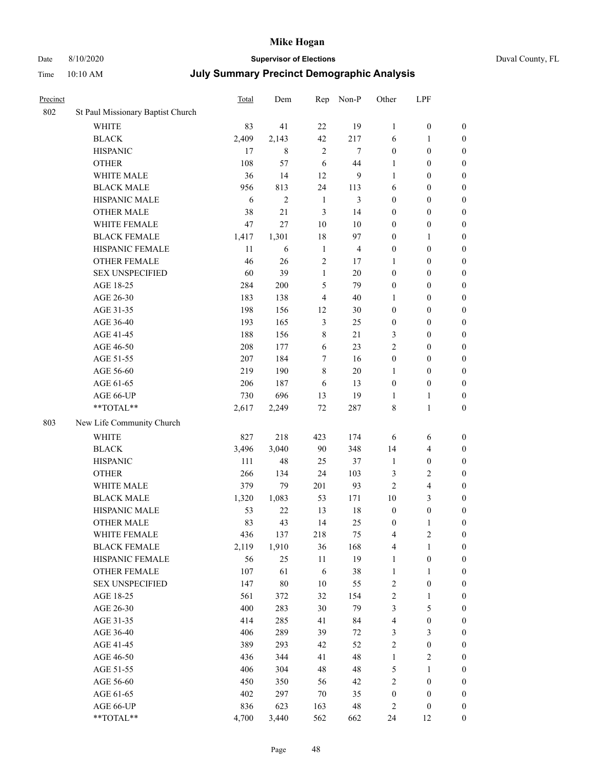### Date 8/10/2020 **Supervisor of Elections** Duval County, FL

| Precinct |                                     | Total       | Dem            | Rep            | Non-P          | Other               | LPF                                         |                                      |
|----------|-------------------------------------|-------------|----------------|----------------|----------------|---------------------|---------------------------------------------|--------------------------------------|
| 802      | St Paul Missionary Baptist Church   |             |                |                |                |                     |                                             |                                      |
|          | <b>WHITE</b>                        | 83          | 41             | 22             | 19             | 1                   | $\boldsymbol{0}$                            | 0                                    |
|          | $\operatorname{BLACK}$              | 2,409       | 2,143          | 42             | 217            | 6                   | $\mathbf{1}$                                | $\boldsymbol{0}$                     |
|          | <b>HISPANIC</b>                     | 17          | $\,$ 8 $\,$    | $\overline{2}$ | $\tau$         | $\boldsymbol{0}$    | $\boldsymbol{0}$                            | $\boldsymbol{0}$                     |
|          | <b>OTHER</b>                        | 108         | 57             | 6              | 44             | 1                   | $\boldsymbol{0}$                            | $\boldsymbol{0}$                     |
|          | WHITE MALE                          | 36          | 14             | 12             | 9              | 1                   | $\boldsymbol{0}$                            | $\boldsymbol{0}$                     |
|          | <b>BLACK MALE</b>                   | 956         | 813            | 24             | 113            | 6                   | $\boldsymbol{0}$                            | $\boldsymbol{0}$                     |
|          | HISPANIC MALE                       | 6           | $\overline{c}$ | $\mathbf{1}$   | 3              | $\boldsymbol{0}$    | $\boldsymbol{0}$                            | $\boldsymbol{0}$                     |
|          | <b>OTHER MALE</b>                   | 38          | 21             | $\mathfrak{Z}$ | 14             | $\boldsymbol{0}$    | $\boldsymbol{0}$                            | $\boldsymbol{0}$                     |
|          | WHITE FEMALE                        | 47          | 27             | 10             | $10\,$         | $\boldsymbol{0}$    | $\boldsymbol{0}$                            | $\boldsymbol{0}$                     |
|          | <b>BLACK FEMALE</b>                 | 1,417       | 1,301          | 18             | 97             | $\boldsymbol{0}$    | $\mathbf{1}$                                | $\boldsymbol{0}$                     |
|          | HISPANIC FEMALE                     | 11          | 6              | $\mathbf{1}$   | $\overline{4}$ | $\boldsymbol{0}$    | $\boldsymbol{0}$                            | $\boldsymbol{0}$                     |
|          | <b>OTHER FEMALE</b>                 | 46          | 26             | $\sqrt{2}$     | 17             | 1                   | $\boldsymbol{0}$                            | $\boldsymbol{0}$                     |
|          | <b>SEX UNSPECIFIED</b>              | 60          | 39             | $\mathbf{1}$   | 20             | $\boldsymbol{0}$    | $\boldsymbol{0}$                            | $\boldsymbol{0}$                     |
|          | AGE 18-25                           | 284         | 200            | 5              | 79             | $\boldsymbol{0}$    | $\boldsymbol{0}$                            | $\boldsymbol{0}$                     |
|          | AGE 26-30                           | 183         | 138            | 4              | 40             | $\mathbf{1}$        | $\boldsymbol{0}$                            | $\boldsymbol{0}$                     |
|          | AGE 31-35                           | 198         | 156            | 12             | 30             | $\boldsymbol{0}$    | $\boldsymbol{0}$                            | $\boldsymbol{0}$                     |
|          | AGE 36-40                           | 193         | 165            | $\mathfrak{Z}$ | 25             | $\boldsymbol{0}$    | $\boldsymbol{0}$                            | $\boldsymbol{0}$                     |
|          | AGE 41-45                           | 188         | 156            | 8              | 21             | 3                   | $\boldsymbol{0}$                            | $\boldsymbol{0}$                     |
|          | AGE 46-50                           | 208         | 177            | 6              | 23             | $\overline{c}$      | $\boldsymbol{0}$                            | $\boldsymbol{0}$                     |
|          | AGE 51-55                           | 207         | 184            | 7              | 16             | $\boldsymbol{0}$    | $\boldsymbol{0}$                            | $\boldsymbol{0}$                     |
|          | AGE 56-60                           | 219         | 190            | 8              | 20             | 1                   | $\boldsymbol{0}$                            | 0                                    |
|          | AGE 61-65                           | 206         | 187            | 6              | 13             | $\boldsymbol{0}$    | $\boldsymbol{0}$                            | $\boldsymbol{0}$                     |
|          | AGE 66-UP                           | 730         | 696            | 13             | 19             | 1                   | $\mathbf{1}$                                | $\boldsymbol{0}$                     |
|          | **TOTAL**                           | 2,617       | 2,249          | $72\,$         | 287            | 8                   | $\mathbf{1}$                                | $\boldsymbol{0}$                     |
| 803      | New Life Community Church           |             |                |                |                |                     |                                             |                                      |
|          | <b>WHITE</b>                        | 827         | 218            | 423            | 174            |                     |                                             |                                      |
|          | <b>BLACK</b>                        | 3,496       | 3,040          | 90             | 348            | 6<br>14             | 6                                           | $\boldsymbol{0}$                     |
|          | <b>HISPANIC</b>                     | 111         | 48             | 25             | 37             | $\mathbf{1}$        | $\overline{\mathbf{4}}$<br>$\boldsymbol{0}$ | $\boldsymbol{0}$<br>$\boldsymbol{0}$ |
|          | <b>OTHER</b>                        | 266         | 134            | 24             | 103            |                     | $\sqrt{2}$                                  |                                      |
|          |                                     |             |                |                |                | 3                   |                                             | $\boldsymbol{0}$                     |
|          | WHITE MALE                          | 379         | 79             | 201            | 93             | $\mathfrak{2}$      | $\overline{\mathbf{4}}$                     | $\boldsymbol{0}$                     |
|          | <b>BLACK MALE</b>                   | 1,320       | 1,083          | 53             | 171            | $10\,$              | 3                                           | $\boldsymbol{0}$                     |
|          | HISPANIC MALE<br><b>OTHER MALE</b>  | 53<br>83    | 22<br>43       | 13<br>14       | 18<br>25       | $\boldsymbol{0}$    | $\boldsymbol{0}$                            | $\boldsymbol{0}$                     |
|          |                                     |             |                |                |                | $\boldsymbol{0}$    | $\mathbf{1}$                                | $\boldsymbol{0}$                     |
|          | WHITE FEMALE<br><b>BLACK FEMALE</b> | 436         | 137            | 218            | 75             | 4                   | 2                                           | 0                                    |
|          | HISPANIC FEMALE                     | 2,119<br>56 | 1,910          | 36<br>$11\,$   | 168<br>19      | 4                   | $\mathbf{1}$<br>$\boldsymbol{0}$            | $\boldsymbol{0}$<br>$\overline{0}$   |
|          | OTHER FEMALE                        | 107         | 25<br>61       |                | 38             | $\mathbf{1}$        |                                             | $\overline{0}$                       |
|          | <b>SEX UNSPECIFIED</b>              |             | $80\,$         | 6<br>10        |                | $\mathbf{1}$        | $\mathbf{1}$<br>$\boldsymbol{0}$            | 0                                    |
|          |                                     | 147         |                |                | 55             | 2                   |                                             |                                      |
|          | AGE 18-25                           | 561         | 372            | 32             | 154            | $\overline{c}$      | $\mathbf{1}$                                | 0                                    |
|          | AGE 26-30                           | 400<br>414  | 283<br>285     | 30<br>41       | 79             | 3                   | $\mathfrak{S}$<br>$\boldsymbol{0}$          | 0                                    |
|          | AGE 31-35                           |             |                |                | 84             | 4                   |                                             | 0                                    |
|          | AGE 36-40                           | 406<br>389  | 289            | 39             | 72<br>52       | 3<br>$\overline{c}$ | $\mathfrak{Z}$<br>$\boldsymbol{0}$          | 0                                    |
|          | AGE 41-45                           |             | 293            | 42             |                |                     |                                             | 0                                    |
|          | AGE 46-50                           | 436         | 344            | 41             | 48             | $\mathbf{1}$        | $\sqrt{2}$                                  | 0                                    |
|          | AGE 51-55                           | 406         | 304            | 48             | 48             | 5                   | $\mathbf{1}$                                | 0                                    |
|          | AGE 56-60                           | 450         | 350            | 56             | 42             | 2                   | $\boldsymbol{0}$                            | $\overline{0}$                       |
|          | AGE 61-65                           | 402         | 297            | 70             | 35             | $\boldsymbol{0}$    | $\boldsymbol{0}$                            | $\overline{0}$                       |
|          | AGE 66-UP                           | 836         | 623            | 163            | $\sqrt{48}$    | 2                   | $\boldsymbol{0}$                            | 0                                    |
|          | **TOTAL**                           | 4,700       | 3,440          | 562            | 662            | 24                  | 12                                          | $\boldsymbol{0}$                     |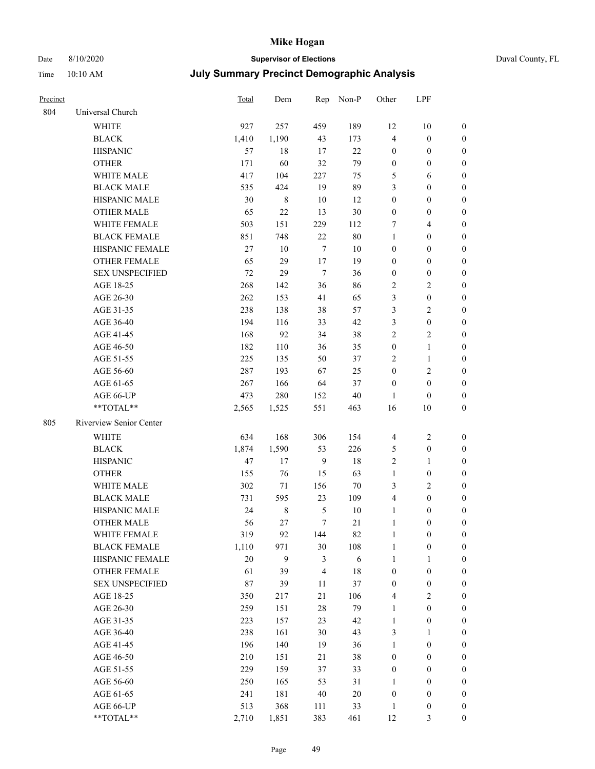## Date 8/10/2020 **Supervisor of Elections** Duval County, FL

| Precinct |                         | Total  | Dem         |                  | Rep Non-P | Other            | LPF              |                  |
|----------|-------------------------|--------|-------------|------------------|-----------|------------------|------------------|------------------|
| 804      | Universal Church        |        |             |                  |           |                  |                  |                  |
|          | <b>WHITE</b>            | 927    | 257         | 459              | 189       | 12               | 10               | $\boldsymbol{0}$ |
|          | <b>BLACK</b>            | 1,410  | 1,190       | 43               | 173       | 4                | $\boldsymbol{0}$ | $\boldsymbol{0}$ |
|          | <b>HISPANIC</b>         | 57     | 18          | 17               | 22        | $\boldsymbol{0}$ | $\boldsymbol{0}$ | $\boldsymbol{0}$ |
|          | <b>OTHER</b>            | 171    | 60          | 32               | 79        | $\boldsymbol{0}$ | $\boldsymbol{0}$ | $\boldsymbol{0}$ |
|          | WHITE MALE              | 417    | 104         | 227              | 75        | 5                | 6                | $\boldsymbol{0}$ |
|          | <b>BLACK MALE</b>       | 535    | 424         | 19               | 89        | 3                | $\boldsymbol{0}$ | $\boldsymbol{0}$ |
|          | HISPANIC MALE           | 30     | $\,$ 8 $\,$ | 10               | 12        | $\boldsymbol{0}$ | $\boldsymbol{0}$ | $\boldsymbol{0}$ |
|          | <b>OTHER MALE</b>       | 65     | $22\,$      | 13               | 30        | $\boldsymbol{0}$ | $\boldsymbol{0}$ | $\boldsymbol{0}$ |
|          | WHITE FEMALE            | 503    | 151         | 229              | 112       | 7                | $\overline{4}$   | $\boldsymbol{0}$ |
|          | <b>BLACK FEMALE</b>     | 851    | 748         | 22               | 80        | $\mathbf{1}$     | $\boldsymbol{0}$ | 0                |
|          | HISPANIC FEMALE         | 27     | 10          | $\boldsymbol{7}$ | 10        | 0                | $\boldsymbol{0}$ | $\boldsymbol{0}$ |
|          | OTHER FEMALE            | 65     | 29          | $17\,$           | 19        | $\boldsymbol{0}$ | $\boldsymbol{0}$ | $\boldsymbol{0}$ |
|          | <b>SEX UNSPECIFIED</b>  | 72     | 29          | $\tau$           | 36        | $\boldsymbol{0}$ | $\boldsymbol{0}$ | $\boldsymbol{0}$ |
|          | AGE 18-25               | 268    | 142         | 36               | 86        | 2                | $\sqrt{2}$       | $\boldsymbol{0}$ |
|          | AGE 26-30               | 262    | 153         | 41               | 65        | 3                | $\boldsymbol{0}$ | $\boldsymbol{0}$ |
|          | AGE 31-35               | 238    | 138         | 38               | 57        | 3                | $\sqrt{2}$       | $\boldsymbol{0}$ |
|          | AGE 36-40               | 194    | 116         | 33               | 42        | 3                | $\boldsymbol{0}$ | $\overline{0}$   |
|          | AGE 41-45               | 168    | 92          | 34               | 38        | $\overline{c}$   | $\sqrt{2}$       | $\boldsymbol{0}$ |
|          | AGE 46-50               | 182    | 110         | 36               | 35        | $\boldsymbol{0}$ | $\mathbf{1}$     | $\boldsymbol{0}$ |
|          | AGE 51-55               | 225    | 135         | 50               | 37        | $\overline{c}$   | $\mathbf{1}$     | 0                |
|          | AGE 56-60               | 287    | 193         | 67               | 25        | $\boldsymbol{0}$ | $\sqrt{2}$       | 0                |
|          | AGE 61-65               | 267    | 166         | 64               | 37        | $\boldsymbol{0}$ | $\boldsymbol{0}$ | 0                |
|          | AGE 66-UP               | 473    | 280         | 152              | 40        | 1                | $\boldsymbol{0}$ | $\boldsymbol{0}$ |
|          | **TOTAL**               | 2,565  | 1,525       | 551              | 463       | 16               | 10               | $\boldsymbol{0}$ |
| 805      | Riverview Senior Center |        |             |                  |           |                  |                  |                  |
|          | WHITE                   | 634    | 168         | 306              | 154       | 4                | $\sqrt{2}$       | $\boldsymbol{0}$ |
|          | <b>BLACK</b>            | 1,874  | 1,590       | 53               | 226       | 5                | $\boldsymbol{0}$ | $\boldsymbol{0}$ |
|          | <b>HISPANIC</b>         | 47     | 17          | $\boldsymbol{9}$ | 18        | $\overline{c}$   | $\mathbf{1}$     | $\boldsymbol{0}$ |
|          | <b>OTHER</b>            | 155    | 76          | 15               | 63        | $\mathbf{1}$     | $\boldsymbol{0}$ | $\overline{0}$   |
|          | WHITE MALE              | 302    | 71          | 156              | 70        | 3                | $\sqrt{2}$       | $\boldsymbol{0}$ |
|          | <b>BLACK MALE</b>       | 731    | 595         | 23               | 109       | 4                | $\boldsymbol{0}$ | $\boldsymbol{0}$ |
|          | HISPANIC MALE           | 24     | $\,$ 8 $\,$ | 5                | 10        | $\mathbf{1}$     | $\boldsymbol{0}$ | 0                |
|          | <b>OTHER MALE</b>       | 56     | 27          | 7                | 21        | $\mathbf{1}$     | $\boldsymbol{0}$ | $\boldsymbol{0}$ |
|          | WHITE FEMALE            | 319    | 92          | 144              | 82        | 1                | $\boldsymbol{0}$ | $\boldsymbol{0}$ |
|          | <b>BLACK FEMALE</b>     | 1,110  | 971         | 30               | 108       | 1                | $\boldsymbol{0}$ | $\overline{0}$   |
|          | HISPANIC FEMALE         | $20\,$ | 9           | 3                | 6         | $\mathbf{1}$     | $\mathbf{1}$     | $\overline{0}$   |
|          | OTHER FEMALE            | 61     | 39          | 4                | 18        | $\boldsymbol{0}$ | $\boldsymbol{0}$ | 0                |
|          | <b>SEX UNSPECIFIED</b>  | 87     | 39          | 11               | $37\,$    | $\boldsymbol{0}$ | $\boldsymbol{0}$ | 0                |
|          | AGE 18-25               | 350    | 217         | 21               | 106       | 4                | $\sqrt{2}$       | 0                |
|          | AGE 26-30               | 259    | 151         | 28               | 79        | 1                | $\boldsymbol{0}$ | 0                |
|          | AGE 31-35               | 223    | 157         | 23               | 42        | 1                | $\boldsymbol{0}$ | 0                |
|          | AGE 36-40               | 238    | 161         | 30               | 43        | 3                | 1                | 0                |
|          | AGE 41-45               | 196    | 140         | 19               | 36        | 1                | $\boldsymbol{0}$ | 0                |
|          | AGE 46-50               | 210    | 151         | 21               | 38        | $\boldsymbol{0}$ | $\boldsymbol{0}$ | 0                |
|          | AGE 51-55               | 229    | 159         | 37               | 33        | $\boldsymbol{0}$ | $\boldsymbol{0}$ | $\boldsymbol{0}$ |
|          | AGE 56-60               | 250    | 165         | 53               | 31        | 1                | $\boldsymbol{0}$ | $\boldsymbol{0}$ |
|          | AGE 61-65               | 241    | 181         | 40               | 20        | $\boldsymbol{0}$ | $\boldsymbol{0}$ | 0                |
|          | AGE 66-UP               | 513    | 368         | 111              | 33        | $\mathbf{1}$     | $\boldsymbol{0}$ | 0                |
|          | **TOTAL**               | 2,710  | 1,851       | 383              | 461       | 12               | 3                | $\boldsymbol{0}$ |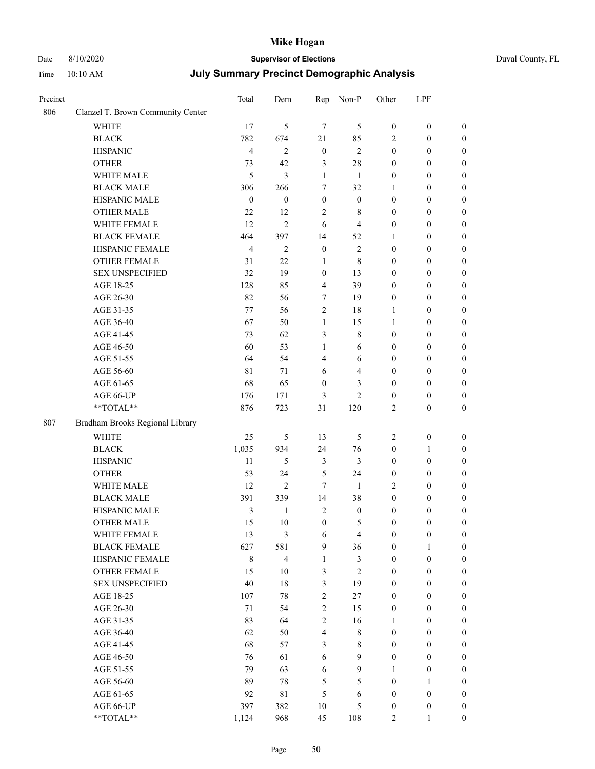Date 8/10/2020 **Supervisor of Elections** 

| Duval County, FL |  |
|------------------|--|
|                  |  |

| Precinct |                                   | Total            | Dem              | Rep              | Non-P            | Other            | LPF              |                  |
|----------|-----------------------------------|------------------|------------------|------------------|------------------|------------------|------------------|------------------|
| 806      | Clanzel T. Brown Community Center |                  |                  |                  |                  |                  |                  |                  |
|          | <b>WHITE</b>                      | 17               | 5                | $\tau$           | 5                | $\boldsymbol{0}$ | $\boldsymbol{0}$ | $\boldsymbol{0}$ |
|          | <b>BLACK</b>                      | 782              | 674              | 21               | 85               | $\overline{2}$   | $\boldsymbol{0}$ | $\boldsymbol{0}$ |
|          | <b>HISPANIC</b>                   | $\overline{4}$   | $\mathfrak{2}$   | $\boldsymbol{0}$ | $\sqrt{2}$       | $\boldsymbol{0}$ | $\boldsymbol{0}$ | $\boldsymbol{0}$ |
|          | <b>OTHER</b>                      | 73               | 42               | $\mathfrak{Z}$   | $28\,$           | $\boldsymbol{0}$ | $\boldsymbol{0}$ | $\boldsymbol{0}$ |
|          | WHITE MALE                        | 5                | 3                | $\mathbf{1}$     | $\mathbf{1}$     | $\boldsymbol{0}$ | $\boldsymbol{0}$ | $\boldsymbol{0}$ |
|          | <b>BLACK MALE</b>                 | 306              | 266              | 7                | 32               | $\mathbf{1}$     | $\boldsymbol{0}$ | $\boldsymbol{0}$ |
|          | HISPANIC MALE                     | $\boldsymbol{0}$ | $\boldsymbol{0}$ | $\boldsymbol{0}$ | $\boldsymbol{0}$ | $\boldsymbol{0}$ | $\boldsymbol{0}$ | $\boldsymbol{0}$ |
|          | <b>OTHER MALE</b>                 | 22               | 12               | $\overline{2}$   | $8\,$            | $\boldsymbol{0}$ | $\boldsymbol{0}$ | $\boldsymbol{0}$ |
|          | WHITE FEMALE                      | 12               | $\mathbf{2}$     | 6                | $\overline{4}$   | $\boldsymbol{0}$ | $\boldsymbol{0}$ | $\boldsymbol{0}$ |
|          | <b>BLACK FEMALE</b>               | 464              | 397              | 14               | 52               | 1                | $\boldsymbol{0}$ | 0                |
|          | HISPANIC FEMALE                   | $\overline{4}$   | $\overline{2}$   | $\boldsymbol{0}$ | $\sqrt{2}$       | $\boldsymbol{0}$ | $\boldsymbol{0}$ | $\boldsymbol{0}$ |
|          | OTHER FEMALE                      | 31               | 22               | $\mathbf{1}$     | $\,$ 8 $\,$      | $\boldsymbol{0}$ | $\boldsymbol{0}$ | $\boldsymbol{0}$ |
|          | <b>SEX UNSPECIFIED</b>            | 32               | 19               | $\boldsymbol{0}$ | 13               | $\boldsymbol{0}$ | $\boldsymbol{0}$ | $\boldsymbol{0}$ |
|          | AGE 18-25                         | 128              | 85               | $\overline{4}$   | 39               | $\boldsymbol{0}$ | $\boldsymbol{0}$ | $\boldsymbol{0}$ |
|          | AGE 26-30                         | 82               | 56               | 7                | 19               | $\boldsymbol{0}$ | $\boldsymbol{0}$ | $\boldsymbol{0}$ |
|          | AGE 31-35                         | 77               | 56               | $\sqrt{2}$       | 18               | $\mathbf{1}$     | $\boldsymbol{0}$ | $\boldsymbol{0}$ |
|          | AGE 36-40                         | 67               | 50               | $\mathbf{1}$     | 15               | $\mathbf{1}$     | $\boldsymbol{0}$ | $\boldsymbol{0}$ |
|          | AGE 41-45                         | 73               | 62               | 3                | $8\,$            | $\boldsymbol{0}$ | $\boldsymbol{0}$ | $\boldsymbol{0}$ |
|          | AGE 46-50                         | 60               | 53               | $\mathbf{1}$     | 6                | $\boldsymbol{0}$ | $\boldsymbol{0}$ | $\boldsymbol{0}$ |
|          | AGE 51-55                         | 64               | 54               | $\overline{4}$   | 6                | $\boldsymbol{0}$ | $\boldsymbol{0}$ | 0                |
|          | AGE 56-60                         | 81               | 71               | 6                | $\overline{4}$   | $\boldsymbol{0}$ | $\boldsymbol{0}$ | $\boldsymbol{0}$ |
|          | AGE 61-65                         | 68               | 65               | $\boldsymbol{0}$ | 3                | $\boldsymbol{0}$ | $\boldsymbol{0}$ | $\boldsymbol{0}$ |
|          | AGE 66-UP                         | 176              | 171              | 3                | $\mathbf{2}$     | $\boldsymbol{0}$ | $\boldsymbol{0}$ | $\boldsymbol{0}$ |
|          | $**TOTAL**$                       | 876              | 723              | 31               | 120              | $\mathbf{2}$     | $\boldsymbol{0}$ | $\boldsymbol{0}$ |
| 807      | Bradham Brooks Regional Library   |                  |                  |                  |                  |                  |                  |                  |
|          | <b>WHITE</b>                      | 25               | 5                | 13               | 5                | 2                | $\boldsymbol{0}$ | $\boldsymbol{0}$ |
|          | <b>BLACK</b>                      | 1,035            | 934              | 24               | 76               | $\boldsymbol{0}$ | $\mathbf{1}$     | $\boldsymbol{0}$ |
|          | <b>HISPANIC</b>                   | 11               | 5                | 3                | 3                | $\boldsymbol{0}$ | $\boldsymbol{0}$ | $\boldsymbol{0}$ |
|          | <b>OTHER</b>                      | 53               | 24               | $\mathfrak s$    | 24               | $\boldsymbol{0}$ | $\boldsymbol{0}$ | $\boldsymbol{0}$ |
|          | WHITE MALE                        | 12               | $\mathbf{2}$     | 7                | $\mathbf{1}$     | 2                | $\boldsymbol{0}$ | $\boldsymbol{0}$ |
|          | <b>BLACK MALE</b>                 | 391              | 339              | 14               | 38               | $\boldsymbol{0}$ | $\boldsymbol{0}$ | $\boldsymbol{0}$ |
|          | HISPANIC MALE                     | 3                | $\mathbf{1}$     | $\sqrt{2}$       | $\boldsymbol{0}$ | 0                | 0                | 0                |
|          | <b>OTHER MALE</b>                 | 15               | 10               | $\boldsymbol{0}$ | 5                | $\boldsymbol{0}$ | $\boldsymbol{0}$ | $\boldsymbol{0}$ |
|          | WHITE FEMALE                      | 13               | 3                | 6                | $\overline{4}$   | $\boldsymbol{0}$ | $\boldsymbol{0}$ | $\boldsymbol{0}$ |
|          | <b>BLACK FEMALE</b>               | 627              | 581              | $\boldsymbol{9}$ | 36               | $\boldsymbol{0}$ | $\mathbf{1}$     | $\boldsymbol{0}$ |
|          | HISPANIC FEMALE                   | $\,$ 8 $\,$      | $\overline{4}$   | $\mathbf{1}$     | $\mathfrak{Z}$   | $\boldsymbol{0}$ | $\boldsymbol{0}$ | $\overline{0}$   |
|          | <b>OTHER FEMALE</b>               | 15               | 10               | 3                | $\sqrt{2}$       | $\boldsymbol{0}$ | $\boldsymbol{0}$ | $\overline{0}$   |
|          | <b>SEX UNSPECIFIED</b>            | 40               | $18\,$           | $\mathfrak{Z}$   | 19               | $\boldsymbol{0}$ | $\boldsymbol{0}$ | $\overline{0}$   |
|          | AGE 18-25                         | 107              | 78               | $\sqrt{2}$       | 27               | $\boldsymbol{0}$ | $\boldsymbol{0}$ | $\overline{0}$   |
|          | AGE 26-30                         | 71               | 54               | $\sqrt{2}$       | 15               | $\boldsymbol{0}$ | $\boldsymbol{0}$ | $\boldsymbol{0}$ |
|          | AGE 31-35                         | 83               | 64               | $\sqrt{2}$       | 16               | $\mathbf{1}$     | $\boldsymbol{0}$ | $\boldsymbol{0}$ |
|          | AGE 36-40                         | 62               | 50               | $\overline{4}$   | $\,$ 8 $\,$      | $\boldsymbol{0}$ | $\boldsymbol{0}$ | $\boldsymbol{0}$ |
|          | AGE 41-45                         | 68               | 57               | $\mathfrak{Z}$   | $8\,$            | $\boldsymbol{0}$ | $\boldsymbol{0}$ | $\boldsymbol{0}$ |
|          | AGE 46-50                         | 76               | 61               | 6                | 9                | $\boldsymbol{0}$ | $\boldsymbol{0}$ | $\boldsymbol{0}$ |
|          | AGE 51-55                         | 79               | 63               | 6                | $\mathbf{9}$     | $\mathbf{1}$     | $\boldsymbol{0}$ | $\boldsymbol{0}$ |
|          | AGE 56-60                         | 89               | 78               | 5                | $\mathfrak{S}$   | $\boldsymbol{0}$ | $\mathbf{1}$     | $\overline{0}$   |
|          | AGE 61-65                         | 92               | $8\sqrt{1}$      | 5                | $\sqrt{6}$       | $\boldsymbol{0}$ | $\boldsymbol{0}$ | $\overline{0}$   |
|          | AGE 66-UP                         | 397              | 382              | 10               | $\mathfrak s$    | $\boldsymbol{0}$ | $\boldsymbol{0}$ | $\boldsymbol{0}$ |
|          | $**TOTAL**$                       | 1,124            | 968              | 45               | 108              | $\mathbf{2}$     | 1                | $\overline{0}$   |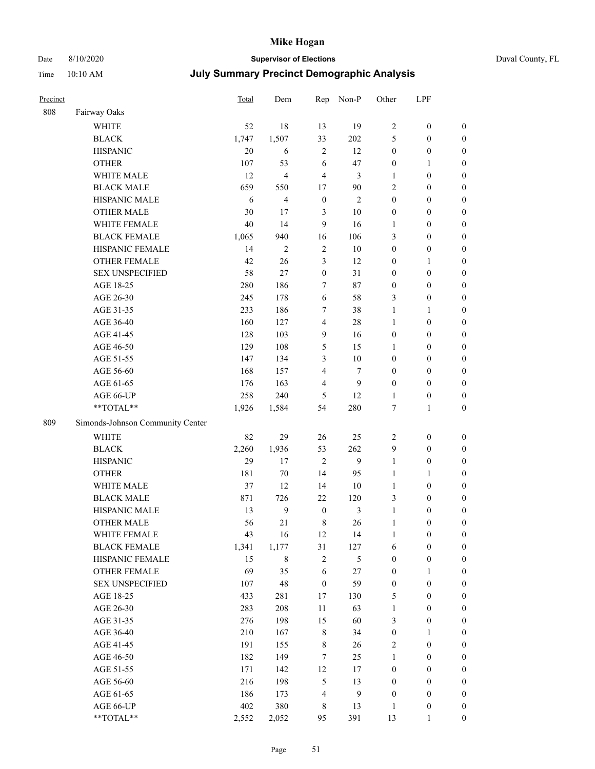### Date 8/10/2020 **Supervisor of Elections** Duval County, FL

| Precinct |                                  | Total | Dem              | Rep              | Non-P          | Other            | LPF              |                  |
|----------|----------------------------------|-------|------------------|------------------|----------------|------------------|------------------|------------------|
| 808      | Fairway Oaks                     |       |                  |                  |                |                  |                  |                  |
|          | <b>WHITE</b>                     | 52    | 18               | 13               | 19             | $\mathbf{2}$     | $\boldsymbol{0}$ | 0                |
|          | <b>BLACK</b>                     | 1,747 | 1,507            | 33               | 202            | 5                | $\boldsymbol{0}$ | 0                |
|          | <b>HISPANIC</b>                  | 20    | 6                | $\mathbf{2}$     | 12             | $\boldsymbol{0}$ | $\boldsymbol{0}$ | $\boldsymbol{0}$ |
|          | <b>OTHER</b>                     | 107   | 53               | 6                | 47             | $\boldsymbol{0}$ | 1                | $\boldsymbol{0}$ |
|          | WHITE MALE                       | 12    | $\overline{4}$   | 4                | 3              | $\mathbf{1}$     | $\boldsymbol{0}$ | $\boldsymbol{0}$ |
|          | <b>BLACK MALE</b>                | 659   | 550              | 17               | 90             | $\overline{c}$   | $\boldsymbol{0}$ | $\boldsymbol{0}$ |
|          | HISPANIC MALE                    | 6     | $\overline{4}$   | $\boldsymbol{0}$ | $\mathfrak{2}$ | $\boldsymbol{0}$ | $\boldsymbol{0}$ | $\boldsymbol{0}$ |
|          | <b>OTHER MALE</b>                | 30    | 17               | 3                | 10             | $\boldsymbol{0}$ | $\boldsymbol{0}$ | $\boldsymbol{0}$ |
|          | WHITE FEMALE                     | 40    | 14               | 9                | 16             | 1                | $\boldsymbol{0}$ | $\boldsymbol{0}$ |
|          | <b>BLACK FEMALE</b>              | 1,065 | 940              | 16               | 106            | 3                | $\boldsymbol{0}$ | $\boldsymbol{0}$ |
|          | HISPANIC FEMALE                  | 14    | $\mathfrak{2}$   | $\sqrt{2}$       | 10             | $\boldsymbol{0}$ | $\boldsymbol{0}$ | $\boldsymbol{0}$ |
|          | OTHER FEMALE                     | 42    | 26               | 3                | 12             | 0                | 1                | $\boldsymbol{0}$ |
|          | <b>SEX UNSPECIFIED</b>           | 58    | 27               | $\boldsymbol{0}$ | 31             | $\boldsymbol{0}$ | $\boldsymbol{0}$ | $\boldsymbol{0}$ |
|          | AGE 18-25                        | 280   | 186              | 7                | 87             | $\boldsymbol{0}$ | $\boldsymbol{0}$ | $\boldsymbol{0}$ |
|          | AGE 26-30                        | 245   | 178              | 6                | 58             | 3                | $\boldsymbol{0}$ | $\boldsymbol{0}$ |
|          | AGE 31-35                        | 233   | 186              | 7                | 38             | 1                | $\mathbf{1}$     | $\boldsymbol{0}$ |
|          | AGE 36-40                        | 160   | 127              | 4                | 28             | $\mathbf{1}$     | $\boldsymbol{0}$ | $\boldsymbol{0}$ |
|          | AGE 41-45                        | 128   | 103              | 9                | 16             | $\boldsymbol{0}$ | $\boldsymbol{0}$ | $\boldsymbol{0}$ |
|          | AGE 46-50                        | 129   | 108              | 5                | 15             | 1                | $\boldsymbol{0}$ | $\boldsymbol{0}$ |
|          | AGE 51-55                        | 147   | 134              | 3                | 10             | $\boldsymbol{0}$ | $\boldsymbol{0}$ | $\boldsymbol{0}$ |
|          | AGE 56-60                        | 168   | 157              | $\overline{4}$   | $\tau$         | $\boldsymbol{0}$ | $\boldsymbol{0}$ | $\boldsymbol{0}$ |
|          | AGE 61-65                        | 176   | 163              | 4                | 9              | $\boldsymbol{0}$ | $\boldsymbol{0}$ | $\boldsymbol{0}$ |
|          | AGE 66-UP                        | 258   | 240              | 5                | 12             | $\mathbf{1}$     | $\boldsymbol{0}$ | $\boldsymbol{0}$ |
|          | $**TOTAL**$                      | 1,926 | 1,584            | 54               | 280            | $\boldsymbol{7}$ | $\mathbf{1}$     | $\boldsymbol{0}$ |
|          |                                  |       |                  |                  |                |                  |                  |                  |
| 809      | Simonds-Johnson Community Center |       |                  |                  |                |                  |                  |                  |
|          | WHITE                            | 82    | 29               | 26               | 25             | $\mathbf{2}$     | $\boldsymbol{0}$ | $\boldsymbol{0}$ |
|          | <b>BLACK</b>                     | 2,260 | 1,936            | 53               | 262            | 9                | $\boldsymbol{0}$ | $\boldsymbol{0}$ |
|          | <b>HISPANIC</b>                  | 29    | 17               | $\mathfrak{2}$   | 9              | $\mathbf{1}$     | $\boldsymbol{0}$ | $\boldsymbol{0}$ |
|          | <b>OTHER</b>                     | 181   | $70\,$           | 14               | 95             | $\mathbf{1}$     | $\mathbf{1}$     | $\boldsymbol{0}$ |
|          | WHITE MALE                       | 37    | 12               | 14               | 10             | $\mathbf{1}$     | $\boldsymbol{0}$ | $\boldsymbol{0}$ |
|          | <b>BLACK MALE</b>                | 871   | 726              | 22               | 120            | 3                | $\boldsymbol{0}$ | $\boldsymbol{0}$ |
|          | HISPANIC MALE                    | 13    | $\boldsymbol{9}$ | $\boldsymbol{0}$ | $\mathfrak{Z}$ | $\mathbf{1}$     | $\boldsymbol{0}$ | $\boldsymbol{0}$ |
|          | <b>OTHER MALE</b>                | 56    | 21               | 8                | 26             | $\mathbf{1}$     | $\boldsymbol{0}$ | $\boldsymbol{0}$ |
|          | WHITE FEMALE                     | 43    | 16               | 12               | 14             | 1                | 0                | 0                |
|          | <b>BLACK FEMALE</b>              | 1,341 | 1,177            | 31               | 127            | 6                | $\boldsymbol{0}$ | $\overline{0}$   |
|          | HISPANIC FEMALE                  | 15    | $\,$ 8 $\,$      | $\mathbf{2}$     | 5              | $\boldsymbol{0}$ | $\boldsymbol{0}$ | $\overline{0}$   |
|          | OTHER FEMALE                     | 69    | 35               | 6                | $27\,$         | $\boldsymbol{0}$ | $\mathbf{1}$     | $\overline{0}$   |
|          | <b>SEX UNSPECIFIED</b>           | 107   | 48               | $\boldsymbol{0}$ | 59             | $\boldsymbol{0}$ | $\boldsymbol{0}$ | $\overline{0}$   |
|          | AGE 18-25                        | 433   | 281              | 17               | 130            | 5                | $\boldsymbol{0}$ | $\overline{0}$   |
|          | AGE 26-30                        | 283   | 208              | 11               | 63             | $\mathbf{1}$     | $\boldsymbol{0}$ | $\overline{0}$   |
|          | AGE 31-35                        | 276   | 198              | 15               | 60             | 3                | $\boldsymbol{0}$ | 0                |
|          | AGE 36-40                        | 210   | 167              | $\,$ 8 $\,$      | 34             | $\boldsymbol{0}$ | $\mathbf{1}$     | 0                |
|          | AGE 41-45                        | 191   | 155              | 8                | 26             | 2                | $\boldsymbol{0}$ | 0                |
|          | AGE 46-50                        | 182   | 149              | $\tau$           | 25             | $\mathbf{1}$     | $\boldsymbol{0}$ | 0                |
|          | AGE 51-55                        | 171   | 142              | 12               | 17             | $\boldsymbol{0}$ | $\boldsymbol{0}$ | $\boldsymbol{0}$ |
|          | AGE 56-60                        | 216   | 198              | 5                | 13             | $\boldsymbol{0}$ | $\boldsymbol{0}$ | $\overline{0}$   |
|          | AGE 61-65                        | 186   | 173              | 4                | $\mathbf{9}$   | $\boldsymbol{0}$ | $\boldsymbol{0}$ | $\overline{0}$   |
|          | AGE 66-UP                        | 402   | 380              | 8                | 13             | $\mathbf{1}$     | $\boldsymbol{0}$ | 0                |
|          | **TOTAL**                        | 2,552 | 2,052            | 95               | 391            | 13               | $\mathbf{1}$     | $\boldsymbol{0}$ |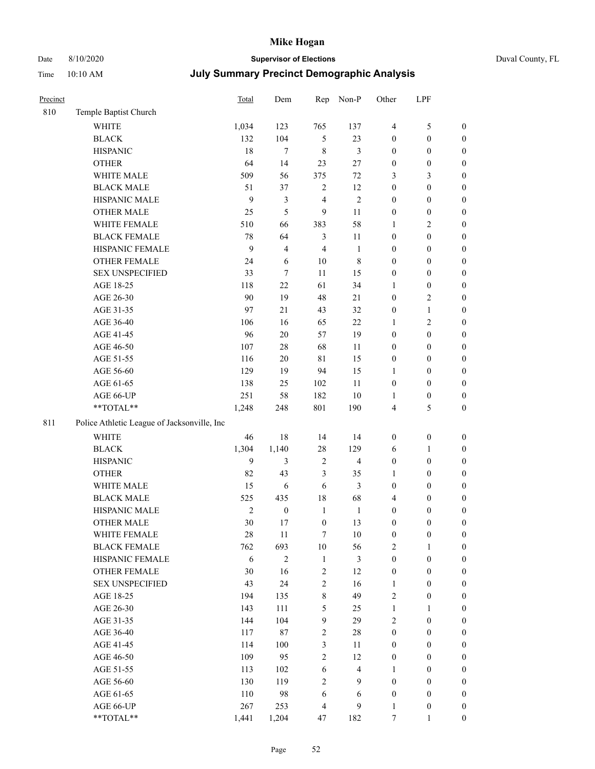# Date 8/10/2020 **Supervisor of Elections** Duval County, FL

| Precinct |                                             | <b>Total</b>   | Dem              | Rep              | Non-P                   | Other            | LPF              |                  |
|----------|---------------------------------------------|----------------|------------------|------------------|-------------------------|------------------|------------------|------------------|
| 810      | Temple Baptist Church                       |                |                  |                  |                         |                  |                  |                  |
|          | <b>WHITE</b>                                | 1,034          | 123              | 765              | 137                     | $\overline{4}$   | $\mathfrak s$    | 0                |
|          | <b>BLACK</b>                                | 132            | 104              | $\mathfrak{S}$   | 23                      | $\boldsymbol{0}$ | $\boldsymbol{0}$ | $\boldsymbol{0}$ |
|          | <b>HISPANIC</b>                             | 18             | $\tau$           | $\,8\,$          | 3                       | $\boldsymbol{0}$ | $\boldsymbol{0}$ | $\boldsymbol{0}$ |
|          | <b>OTHER</b>                                | 64             | 14               | 23               | $27\,$                  | $\boldsymbol{0}$ | $\boldsymbol{0}$ | $\boldsymbol{0}$ |
|          | WHITE MALE                                  | 509            | 56               | 375              | $72\,$                  | 3                | $\mathfrak{Z}$   | $\boldsymbol{0}$ |
|          | <b>BLACK MALE</b>                           | 51             | 37               | $\overline{c}$   | 12                      | 0                | $\boldsymbol{0}$ | $\boldsymbol{0}$ |
|          | HISPANIC MALE                               | 9              | $\mathfrak{Z}$   | 4                | $\sqrt{2}$              | $\boldsymbol{0}$ | $\boldsymbol{0}$ | $\boldsymbol{0}$ |
|          | <b>OTHER MALE</b>                           | 25             | 5                | 9                | 11                      | $\boldsymbol{0}$ | $\boldsymbol{0}$ | $\boldsymbol{0}$ |
|          | WHITE FEMALE                                | 510            | 66               | 383              | 58                      | $\mathbf{1}$     | $\mathbf{2}$     | $\boldsymbol{0}$ |
|          | <b>BLACK FEMALE</b>                         | 78             | 64               | $\mathfrak{Z}$   | 11                      | $\boldsymbol{0}$ | $\boldsymbol{0}$ | $\boldsymbol{0}$ |
|          | HISPANIC FEMALE                             | 9              | $\overline{4}$   | $\overline{4}$   | $\mathbf{1}$            | $\boldsymbol{0}$ | $\boldsymbol{0}$ | $\boldsymbol{0}$ |
|          | <b>OTHER FEMALE</b>                         | 24             | 6                | $10\,$           | $\,$ 8 $\,$             | $\boldsymbol{0}$ | $\boldsymbol{0}$ | $\boldsymbol{0}$ |
|          | <b>SEX UNSPECIFIED</b>                      | 33             | $\tau$           | 11               | 15                      | $\boldsymbol{0}$ | $\boldsymbol{0}$ | $\boldsymbol{0}$ |
|          | AGE 18-25                                   | 118            | 22               | 61               | 34                      | 1                | $\boldsymbol{0}$ | $\boldsymbol{0}$ |
|          | AGE 26-30                                   | 90             | 19               | 48               | $21\,$                  | $\boldsymbol{0}$ | $\sqrt{2}$       | $\boldsymbol{0}$ |
|          | AGE 31-35                                   | 97             | 21               | 43               | 32                      | $\boldsymbol{0}$ | $\mathbf{1}$     | $\boldsymbol{0}$ |
|          | AGE 36-40                                   | 106            | 16               | 65               | 22                      | 1                | $\sqrt{2}$       | $\boldsymbol{0}$ |
|          | AGE 41-45                                   | 96             | $20\,$           | 57               | 19                      | $\boldsymbol{0}$ | $\boldsymbol{0}$ | $\boldsymbol{0}$ |
|          | AGE 46-50                                   | 107            | $28\,$           | 68               | 11                      | $\boldsymbol{0}$ | $\boldsymbol{0}$ | $\boldsymbol{0}$ |
|          | AGE 51-55                                   | 116            | $20\,$           | $8\sqrt{1}$      | 15                      | $\boldsymbol{0}$ | $\boldsymbol{0}$ | $\boldsymbol{0}$ |
|          | AGE 56-60                                   | 129            | 19               | 94               | 15                      | 1                | $\boldsymbol{0}$ | 0                |
|          | AGE 61-65                                   | 138            | 25               | 102              | 11                      | $\boldsymbol{0}$ | $\boldsymbol{0}$ | $\boldsymbol{0}$ |
|          | AGE 66-UP                                   | 251            | 58               | 182              | $10\,$                  | 1                | $\boldsymbol{0}$ | $\boldsymbol{0}$ |
|          | **TOTAL**                                   | 1,248          | 248              | 801              | 190                     | 4                | $\mathfrak s$    | $\boldsymbol{0}$ |
| 811      | Police Athletic League of Jacksonville, Inc |                |                  |                  |                         |                  |                  |                  |
|          | <b>WHITE</b>                                | 46             | 18               | 14               | 14                      | $\boldsymbol{0}$ | $\boldsymbol{0}$ | $\boldsymbol{0}$ |
|          | <b>BLACK</b>                                | 1,304          | 1,140            | 28               | 129                     | 6                | $\mathbf{1}$     | $\boldsymbol{0}$ |
|          | <b>HISPANIC</b>                             | 9              | 3                | $\sqrt{2}$       | $\overline{\mathbf{4}}$ | $\boldsymbol{0}$ | $\boldsymbol{0}$ | $\boldsymbol{0}$ |
|          | <b>OTHER</b>                                | 82             | 43               | 3                | 35                      | 1                | $\boldsymbol{0}$ | $\boldsymbol{0}$ |
|          | WHITE MALE                                  | 15             | 6                | 6                | 3                       | $\boldsymbol{0}$ | $\boldsymbol{0}$ | $\boldsymbol{0}$ |
|          | <b>BLACK MALE</b>                           | 525            | 435              | 18               | 68                      | 4                | $\boldsymbol{0}$ | $\boldsymbol{0}$ |
|          | HISPANIC MALE                               | $\overline{2}$ | $\boldsymbol{0}$ | $\mathbf{1}$     | $\mathbf{1}$            | $\boldsymbol{0}$ | $\boldsymbol{0}$ | $\boldsymbol{0}$ |
|          | <b>OTHER MALE</b>                           | 30             | 17               | $\boldsymbol{0}$ | 13                      | $\boldsymbol{0}$ | $\boldsymbol{0}$ | $\boldsymbol{0}$ |
|          | WHITE FEMALE                                | 28             | 11               | 7                | 10                      | 0                | 0                | 0                |
|          | <b>BLACK FEMALE</b>                         | 762            | 693              | $10\,$           | 56                      | 2                | $\mathbf{1}$     | $\boldsymbol{0}$ |
|          | HISPANIC FEMALE                             | 6              | $\sqrt{2}$       | $\mathbf{1}$     | $\mathfrak{Z}$          | $\boldsymbol{0}$ | $\boldsymbol{0}$ | $\overline{0}$   |
|          | <b>OTHER FEMALE</b>                         | 30             | 16               | $\sqrt{2}$       | 12                      | $\boldsymbol{0}$ | $\boldsymbol{0}$ | $\overline{0}$   |
|          | <b>SEX UNSPECIFIED</b>                      | 43             | 24               | $\overline{c}$   | 16                      | $\mathbf{1}$     | $\boldsymbol{0}$ | $\overline{0}$   |
|          | AGE 18-25                                   | 194            | 135              | $\,$ $\,$        | 49                      | $\overline{c}$   | $\boldsymbol{0}$ | $\overline{0}$   |
|          | AGE 26-30                                   | 143            | 111              | 5                | 25                      | $\mathbf{1}$     | $\mathbf{1}$     | $\overline{0}$   |
|          | AGE 31-35                                   | 144            | 104              | $\mathbf{9}$     | 29                      | $\overline{c}$   | $\boldsymbol{0}$ | $\overline{0}$   |
|          | AGE 36-40                                   | 117            | 87               | $\overline{c}$   | $28\,$                  | $\boldsymbol{0}$ | $\boldsymbol{0}$ | 0                |
|          | AGE 41-45                                   | 114            | 100              | $\mathfrak{Z}$   | 11                      | $\boldsymbol{0}$ | $\boldsymbol{0}$ | 0                |
|          | AGE 46-50                                   | 109            | 95               | $\overline{c}$   | 12                      | $\boldsymbol{0}$ | $\boldsymbol{0}$ | $\boldsymbol{0}$ |
|          | AGE 51-55                                   | 113            | 102              | $\sqrt{6}$       | $\overline{\mathbf{4}}$ | $\mathbf{1}$     | $\boldsymbol{0}$ | $\boldsymbol{0}$ |
|          | AGE 56-60                                   | 130            | 119              | $\sqrt{2}$       | 9                       | $\boldsymbol{0}$ | $\boldsymbol{0}$ | $\boldsymbol{0}$ |
|          | AGE 61-65                                   | 110            | 98               | 6                | 6                       | $\boldsymbol{0}$ | $\boldsymbol{0}$ | $\overline{0}$   |
|          | AGE 66-UP                                   | 267            | 253              | 4                | 9                       | $\mathbf{1}$     | $\boldsymbol{0}$ | $\boldsymbol{0}$ |
|          | **TOTAL**                                   | 1,441          | 1,204            | 47               | 182                     | $\boldsymbol{7}$ | $\mathbf{1}$     | $\boldsymbol{0}$ |
|          |                                             |                |                  |                  |                         |                  |                  |                  |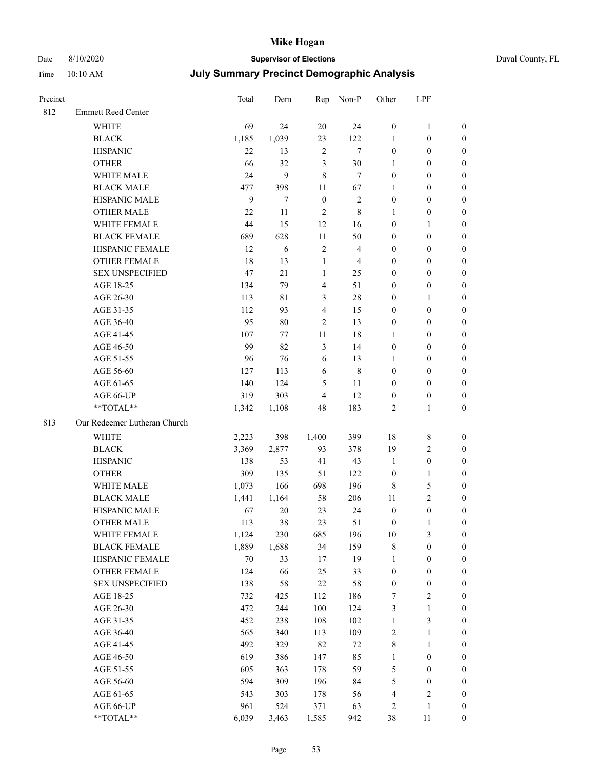## Date 8/10/2020 **Supervisor of Elections** Duval County, FL

| Precinct |                              | <b>Total</b> | Dem    |                | Rep Non-P      | Other            | LPF              |                  |
|----------|------------------------------|--------------|--------|----------------|----------------|------------------|------------------|------------------|
| 812      | <b>Emmett Reed Center</b>    |              |        |                |                |                  |                  |                  |
|          | <b>WHITE</b>                 | 69           | 24     | 20             | 24             | $\boldsymbol{0}$ | $\mathbf{1}$     | 0                |
|          | <b>BLACK</b>                 | 1,185        | 1,039  | 23             | 122            | 1                | $\boldsymbol{0}$ | 0                |
|          | <b>HISPANIC</b>              | 22           | 13     | $\sqrt{2}$     | $\tau$         | $\boldsymbol{0}$ | $\boldsymbol{0}$ | $\boldsymbol{0}$ |
|          | <b>OTHER</b>                 | 66           | 32     | $\mathfrak{Z}$ | $30\,$         | 1                | $\boldsymbol{0}$ | $\boldsymbol{0}$ |
|          | WHITE MALE                   | 24           | 9      | 8              | $\tau$         | $\boldsymbol{0}$ | $\boldsymbol{0}$ | $\boldsymbol{0}$ |
|          | <b>BLACK MALE</b>            | 477          | 398    | 11             | 67             | 1                | $\boldsymbol{0}$ | $\boldsymbol{0}$ |
|          | HISPANIC MALE                | 9            | 7      | $\mathbf{0}$   | $\sqrt{2}$     | $\boldsymbol{0}$ | $\boldsymbol{0}$ | $\boldsymbol{0}$ |
|          | <b>OTHER MALE</b>            | 22           | 11     | $\overline{2}$ | $\,$ 8 $\,$    | $\mathbf{1}$     | $\boldsymbol{0}$ | $\boldsymbol{0}$ |
|          | WHITE FEMALE                 | 44           | 15     | 12             | 16             | $\boldsymbol{0}$ | $\mathbf{1}$     | $\boldsymbol{0}$ |
|          | <b>BLACK FEMALE</b>          | 689          | 628    | $11\,$         | 50             | $\boldsymbol{0}$ | $\boldsymbol{0}$ | 0                |
|          | HISPANIC FEMALE              | 12           | 6      | $\sqrt{2}$     | $\overline{4}$ | 0                | $\boldsymbol{0}$ | 0                |
|          | <b>OTHER FEMALE</b>          | 18           | 13     | $\mathbf{1}$   | $\overline{4}$ | $\boldsymbol{0}$ | $\boldsymbol{0}$ | $\boldsymbol{0}$ |
|          | <b>SEX UNSPECIFIED</b>       | 47           | 21     | $\mathbf{1}$   | 25             | $\boldsymbol{0}$ | $\boldsymbol{0}$ | $\boldsymbol{0}$ |
|          | AGE 18-25                    | 134          | 79     | $\overline{4}$ | 51             | $\boldsymbol{0}$ | $\boldsymbol{0}$ | $\boldsymbol{0}$ |
|          | AGE 26-30                    | 113          | 81     | 3              | $28\,$         | $\boldsymbol{0}$ | $\mathbf{1}$     | $\boldsymbol{0}$ |
|          | AGE 31-35                    | 112          | 93     | $\overline{4}$ | 15             | $\boldsymbol{0}$ | $\boldsymbol{0}$ | $\boldsymbol{0}$ |
|          | AGE 36-40                    | 95           | $80\,$ | $\overline{2}$ | 13             | $\boldsymbol{0}$ | $\boldsymbol{0}$ | $\boldsymbol{0}$ |
|          | AGE 41-45                    | 107          | 77     | $11\,$         | 18             | $\mathbf{1}$     | $\boldsymbol{0}$ | $\boldsymbol{0}$ |
|          | AGE 46-50                    | 99           | 82     | $\mathfrak{Z}$ | 14             | $\boldsymbol{0}$ | $\boldsymbol{0}$ | $\boldsymbol{0}$ |
|          | AGE 51-55                    | 96           | 76     | 6              | 13             | 1                | $\boldsymbol{0}$ | $\boldsymbol{0}$ |
|          | AGE 56-60                    | 127          | 113    | 6              | $\,$ 8 $\,$    | $\boldsymbol{0}$ | $\boldsymbol{0}$ | 0                |
|          | AGE 61-65                    | 140          | 124    | 5              | 11             | $\boldsymbol{0}$ | $\boldsymbol{0}$ | 0                |
|          | AGE 66-UP                    | 319          | 303    | $\overline{4}$ | 12             | $\boldsymbol{0}$ | $\boldsymbol{0}$ | $\boldsymbol{0}$ |
|          | **TOTAL**                    | 1,342        | 1,108  | 48             | 183            | $\sqrt{2}$       | $\mathbf{1}$     | $\boldsymbol{0}$ |
| 813      | Our Redeemer Lutheran Church |              |        |                |                |                  |                  |                  |
|          | <b>WHITE</b>                 | 2,223        | 398    | 1,400          | 399            | 18               | $\,$ 8 $\,$      | $\boldsymbol{0}$ |
|          | <b>BLACK</b>                 | 3,369        | 2,877  | 93             | 378            | 19               | $\sqrt{2}$       | $\boldsymbol{0}$ |
|          | <b>HISPANIC</b>              | 138          | 53     | 41             | 43             | $\mathbf{1}$     | $\boldsymbol{0}$ | $\boldsymbol{0}$ |
|          | <b>OTHER</b>                 | 309          | 135    | 51             | 122            | $\boldsymbol{0}$ | $\mathbf{1}$     | $\boldsymbol{0}$ |
|          | WHITE MALE                   | 1,073        | 166    | 698            | 196            | 8                | $\mathfrak{S}$   | $\overline{0}$   |
|          | <b>BLACK MALE</b>            | 1,441        | 1,164  | 58             | 206            | 11               | $\overline{2}$   | $\boldsymbol{0}$ |
|          | HISPANIC MALE                | 67           | $20\,$ | 23             | 24             | $\boldsymbol{0}$ | $\boldsymbol{0}$ | 0                |
|          | <b>OTHER MALE</b>            | 113          | 38     | 23             | 51             | $\boldsymbol{0}$ | $\mathbf{1}$     | 0                |
|          | WHITE FEMALE                 | 1,124        | 230    | 685            | 196            | 10               | 3                | 0                |
|          | <b>BLACK FEMALE</b>          | 1,889        | 1,688  | 34             | 159            | 8                | $\boldsymbol{0}$ | $\boldsymbol{0}$ |
|          | HISPANIC FEMALE              | 70           | 33     | 17             | 19             | $\mathbf{1}$     | $\boldsymbol{0}$ | $\overline{0}$   |
|          | OTHER FEMALE                 | 124          | 66     | 25             | 33             | $\boldsymbol{0}$ | $\boldsymbol{0}$ | $\overline{0}$   |
|          | <b>SEX UNSPECIFIED</b>       | 138          | 58     | 22             | 58             | $\boldsymbol{0}$ | $\boldsymbol{0}$ | 0                |
|          | AGE 18-25                    | 732          | 425    | 112            | 186            | 7                | $\sqrt{2}$       | 0                |
|          | AGE 26-30                    | 472          | 244    | 100            | 124            | 3                | $\mathbf{1}$     | 0                |
|          | AGE 31-35                    | 452          | 238    | 108            | 102            | $\mathbf{1}$     | $\mathfrak{Z}$   | 0                |
|          | AGE 36-40                    | 565          | 340    | 113            | 109            | 2                | $\mathbf{1}$     | 0                |
|          | AGE 41-45                    | 492          | 329    | 82             | $72\,$         | 8                | $\mathbf{1}$     | 0                |
|          | AGE 46-50                    | 619          | 386    | 147            | 85             | $\mathbf{1}$     | $\boldsymbol{0}$ | 0                |
|          | AGE 51-55                    | 605          | 363    | 178            | 59             | 5                | $\boldsymbol{0}$ | 0                |
|          | AGE 56-60                    | 594          | 309    | 196            | 84             | 5                | $\boldsymbol{0}$ | $\overline{0}$   |
|          | AGE 61-65                    | 543          | 303    | 178            | 56             | 4                | $\sqrt{2}$       | $\overline{0}$   |
|          | AGE 66-UP                    | 961          | 524    | 371            | 63             | 2                | $\mathbf{1}$     | $\boldsymbol{0}$ |
|          | **TOTAL**                    | 6,039        | 3,463  | 1,585          | 942            | 38               | 11               | $\boldsymbol{0}$ |
|          |                              |              |        |                |                |                  |                  |                  |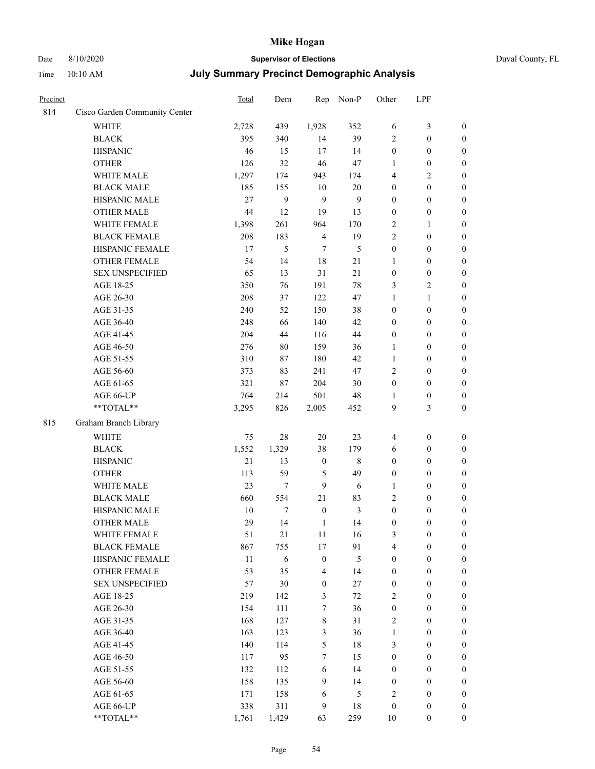## Date 8/10/2020 **Supervisor of Elections**

|  | Duval County, FL |
|--|------------------|
|--|------------------|

| Precinct |                               | Total  | Dem        | Rep              | Non-P        | Other            | LPF              |                  |
|----------|-------------------------------|--------|------------|------------------|--------------|------------------|------------------|------------------|
| 814      | Cisco Garden Community Center |        |            |                  |              |                  |                  |                  |
|          | <b>WHITE</b>                  | 2,728  | 439        | 1,928            | 352          | 6                | 3                | $\boldsymbol{0}$ |
|          | <b>BLACK</b>                  | 395    | 340        | 14               | 39           | $\mathbf{2}$     | $\boldsymbol{0}$ | $\boldsymbol{0}$ |
|          | <b>HISPANIC</b>               | 46     | 15         | 17               | 14           | $\boldsymbol{0}$ | $\boldsymbol{0}$ | $\boldsymbol{0}$ |
|          | <b>OTHER</b>                  | 126    | 32         | 46               | 47           | 1                | $\boldsymbol{0}$ | $\boldsymbol{0}$ |
|          | WHITE MALE                    | 1,297  | 174        | 943              | 174          | 4                | $\mathfrak{2}$   | $\boldsymbol{0}$ |
|          | <b>BLACK MALE</b>             | 185    | 155        | 10               | $20\,$       | $\boldsymbol{0}$ | $\boldsymbol{0}$ | $\boldsymbol{0}$ |
|          | HISPANIC MALE                 | 27     | 9          | 9                | $\mathbf{9}$ | $\boldsymbol{0}$ | $\boldsymbol{0}$ | $\boldsymbol{0}$ |
|          | <b>OTHER MALE</b>             | 44     | 12         | 19               | 13           | $\boldsymbol{0}$ | $\boldsymbol{0}$ | $\boldsymbol{0}$ |
|          | WHITE FEMALE                  | 1,398  | 261        | 964              | 170          | $\sqrt{2}$       | $\mathbf{1}$     | $\boldsymbol{0}$ |
|          | <b>BLACK FEMALE</b>           | 208    | 183        | $\overline{4}$   | 19           | $\overline{c}$   | $\boldsymbol{0}$ | 0                |
|          | HISPANIC FEMALE               | 17     | 5          | $\tau$           | 5            | $\boldsymbol{0}$ | $\boldsymbol{0}$ | $\boldsymbol{0}$ |
|          | OTHER FEMALE                  | 54     | 14         | 18               | 21           | $\mathbf{1}$     | $\boldsymbol{0}$ | $\boldsymbol{0}$ |
|          | <b>SEX UNSPECIFIED</b>        | 65     | 13         | 31               | 21           | $\boldsymbol{0}$ | $\boldsymbol{0}$ | $\boldsymbol{0}$ |
|          | AGE 18-25                     | 350    | 76         | 191              | $78\,$       | 3                | $\sqrt{2}$       | $\boldsymbol{0}$ |
|          | AGE 26-30                     | 208    | 37         | 122              | 47           | $\mathbf{1}$     | $\mathbf{1}$     | $\boldsymbol{0}$ |
|          | AGE 31-35                     | 240    | 52         | 150              | 38           | $\boldsymbol{0}$ | $\boldsymbol{0}$ | $\boldsymbol{0}$ |
|          | AGE 36-40                     | 248    | 66         | 140              | 42           | $\boldsymbol{0}$ | $\boldsymbol{0}$ | $\boldsymbol{0}$ |
|          | AGE 41-45                     | 204    | 44         | 116              | 44           | $\boldsymbol{0}$ | $\boldsymbol{0}$ | $\boldsymbol{0}$ |
|          | AGE 46-50                     | 276    | 80         | 159              | 36           | 1                | $\boldsymbol{0}$ | $\boldsymbol{0}$ |
|          | AGE 51-55                     | 310    | 87         | 180              | 42           | $\mathbf{1}$     | $\boldsymbol{0}$ | 0                |
|          | AGE 56-60                     | 373    | 83         | 241              | 47           | $\mathfrak{2}$   | $\boldsymbol{0}$ | $\boldsymbol{0}$ |
|          | AGE 61-65                     | 321    | 87         | 204              | 30           | $\boldsymbol{0}$ | $\boldsymbol{0}$ | $\boldsymbol{0}$ |
|          | AGE 66-UP                     | 764    | 214        | 501              | 48           | 1                | $\boldsymbol{0}$ | $\boldsymbol{0}$ |
|          | **TOTAL**                     | 3,295  | 826        | 2,005            | 452          | 9                | 3                | $\boldsymbol{0}$ |
| 815      | Graham Branch Library         |        |            |                  |              |                  |                  |                  |
|          | <b>WHITE</b>                  | 75     | $28\,$     | 20               | 23           | $\overline{4}$   | $\boldsymbol{0}$ | $\boldsymbol{0}$ |
|          | <b>BLACK</b>                  | 1,552  | 1,329      | 38               | 179          | 6                | $\boldsymbol{0}$ | $\boldsymbol{0}$ |
|          | <b>HISPANIC</b>               | 21     | 13         | $\boldsymbol{0}$ | $\,$ 8 $\,$  | $\boldsymbol{0}$ | $\boldsymbol{0}$ | $\boldsymbol{0}$ |
|          | <b>OTHER</b>                  | 113    | 59         | $\mathfrak s$    | 49           | $\boldsymbol{0}$ | $\boldsymbol{0}$ | $\boldsymbol{0}$ |
|          | WHITE MALE                    | 23     | 7          | 9                | 6            | $\mathbf{1}$     | $\boldsymbol{0}$ | $\boldsymbol{0}$ |
|          | <b>BLACK MALE</b>             | 660    | 554        | 21               | 83           | $\mathbf{2}$     | $\boldsymbol{0}$ | $\boldsymbol{0}$ |
|          | HISPANIC MALE                 | 10     | 7          | $\boldsymbol{0}$ | 3            | $\boldsymbol{0}$ | $\boldsymbol{0}$ | 0                |
|          | <b>OTHER MALE</b>             | 29     | 14         | $\mathbf{1}$     | 14           | $\boldsymbol{0}$ | $\boldsymbol{0}$ | $\boldsymbol{0}$ |
|          | WHITE FEMALE                  | 51     | 21         | $11\,$           | 16           | 3                | $\boldsymbol{0}$ | $\boldsymbol{0}$ |
|          | <b>BLACK FEMALE</b>           | 867    | 755        | $17$             | 91           | 4                | $\boldsymbol{0}$ | $\overline{0}$   |
|          | HISPANIC FEMALE               | $11\,$ | $\sqrt{6}$ | $\boldsymbol{0}$ | 5            | $\boldsymbol{0}$ | $\boldsymbol{0}$ | $\overline{0}$   |
|          | <b>OTHER FEMALE</b>           | 53     | 35         | $\overline{4}$   | 14           | $\boldsymbol{0}$ | $\boldsymbol{0}$ | $\overline{0}$   |
|          | <b>SEX UNSPECIFIED</b>        | 57     | 30         | $\boldsymbol{0}$ | 27           | $\boldsymbol{0}$ | $\boldsymbol{0}$ | $\overline{0}$   |
|          | AGE 18-25                     | 219    | 142        | 3                | $72\,$       | 2                | $\boldsymbol{0}$ | $\overline{0}$   |
|          | AGE 26-30                     | 154    | 111        | $\boldsymbol{7}$ | 36           | $\boldsymbol{0}$ | $\boldsymbol{0}$ | 0                |
|          | AGE 31-35                     | 168    | 127        | $\,$ 8 $\,$      | 31           | $\sqrt{2}$       | $\boldsymbol{0}$ | 0                |
|          | AGE 36-40                     | 163    | 123        | $\mathfrak{Z}$   | 36           | $\mathbf{1}$     | $\boldsymbol{0}$ | 0                |
|          | AGE 41-45                     | 140    | 114        | $\mathfrak s$    | $18\,$       | 3                | $\boldsymbol{0}$ | $\boldsymbol{0}$ |
|          | AGE 46-50                     | 117    | 95         | $\tau$           | 15           | $\boldsymbol{0}$ | $\boldsymbol{0}$ | $\boldsymbol{0}$ |
|          | AGE 51-55                     | 132    | 112        | 6                | 14           | $\boldsymbol{0}$ | $\boldsymbol{0}$ | $\boldsymbol{0}$ |
|          | AGE 56-60                     | 158    | 135        | $\boldsymbol{9}$ | 14           | $\boldsymbol{0}$ | $\boldsymbol{0}$ | $\boldsymbol{0}$ |
|          | AGE 61-65                     | 171    | 158        | 6                | 5            | $\overline{c}$   | $\boldsymbol{0}$ | $\boldsymbol{0}$ |
|          | AGE 66-UP                     | 338    | 311        | 9                | $18\,$       | $\boldsymbol{0}$ | $\boldsymbol{0}$ | $\boldsymbol{0}$ |
|          | **TOTAL**                     | 1,761  | 1,429      | 63               | 259          | 10               | $\boldsymbol{0}$ | $\boldsymbol{0}$ |
|          |                               |        |            |                  |              |                  |                  |                  |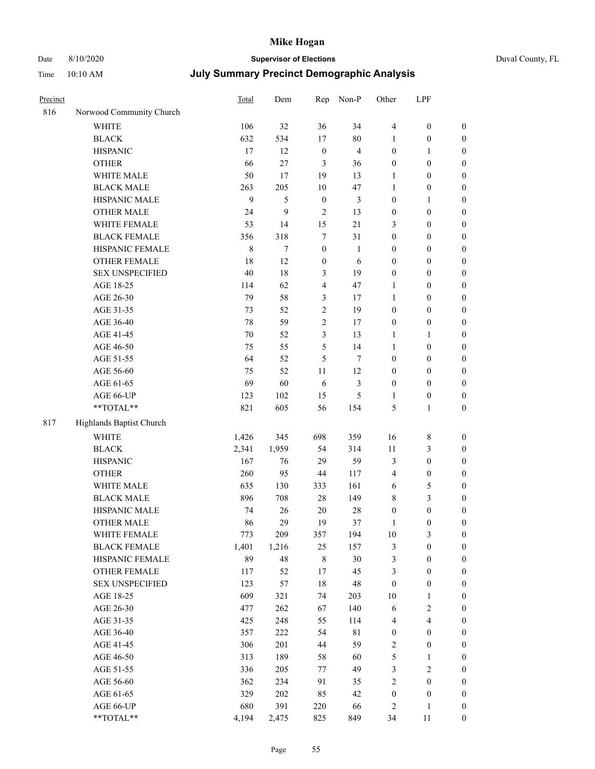# Date 8/10/2020 **Supervisor of Elections** Duval County, FL

| Precinct |                                     | <b>Total</b>   | Dem         | Rep               | Non-P          | Other                            | LPF                                  |                                      |
|----------|-------------------------------------|----------------|-------------|-------------------|----------------|----------------------------------|--------------------------------------|--------------------------------------|
| 816      | Norwood Community Church            |                |             |                   |                |                                  |                                      |                                      |
|          | <b>WHITE</b>                        | 106            | 32          | 36                | 34             | $\overline{4}$                   | $\boldsymbol{0}$                     | 0                                    |
|          | <b>BLACK</b>                        | 632            | 534         | 17                | $80\,$         | $\mathbf{1}$                     | $\boldsymbol{0}$                     | $\boldsymbol{0}$                     |
|          | <b>HISPANIC</b>                     | 17             | 12          | $\boldsymbol{0}$  | $\overline{4}$ | $\boldsymbol{0}$                 | $\mathbf{1}$                         | $\boldsymbol{0}$                     |
|          | <b>OTHER</b>                        | 66             | 27          | 3                 | 36             | $\boldsymbol{0}$                 | $\boldsymbol{0}$                     | $\boldsymbol{0}$                     |
|          | WHITE MALE                          | 50             | 17          | 19                | 13             | 1                                | $\boldsymbol{0}$                     | $\boldsymbol{0}$                     |
|          | <b>BLACK MALE</b>                   | 263            | 205         | 10                | 47             | 1                                | $\boldsymbol{0}$                     | $\boldsymbol{0}$                     |
|          | HISPANIC MALE                       | 9              | 5           | $\boldsymbol{0}$  | 3              | $\boldsymbol{0}$                 | $\mathbf{1}$                         | $\boldsymbol{0}$                     |
|          | OTHER MALE                          | 24             | 9           | $\overline{c}$    | 13             | $\boldsymbol{0}$                 | $\boldsymbol{0}$                     | $\boldsymbol{0}$                     |
|          | WHITE FEMALE                        | 53             | 14          | 15                | $21\,$         | 3                                | $\boldsymbol{0}$                     | $\boldsymbol{0}$                     |
|          | <b>BLACK FEMALE</b>                 | 356            | 318         | $\tau$            | 31             | $\boldsymbol{0}$                 | $\boldsymbol{0}$                     | $\boldsymbol{0}$                     |
|          | HISPANIC FEMALE                     | $\,$ 8 $\,$    | $\tau$      | $\mathbf{0}$      | $\mathbf{1}$   | $\boldsymbol{0}$                 | $\boldsymbol{0}$                     | $\boldsymbol{0}$                     |
|          | <b>OTHER FEMALE</b>                 | 18             | 12          | $\boldsymbol{0}$  | 6              | $\boldsymbol{0}$                 | $\boldsymbol{0}$                     | $\boldsymbol{0}$                     |
|          | <b>SEX UNSPECIFIED</b>              | 40             | 18          | 3                 | 19             | $\boldsymbol{0}$                 | $\boldsymbol{0}$                     | $\boldsymbol{0}$                     |
|          | AGE 18-25                           | 114            | 62          | $\overline{4}$    | 47             | 1                                | $\boldsymbol{0}$                     | $\boldsymbol{0}$                     |
|          | AGE 26-30                           | 79             | 58          | 3                 | 17             | $\mathbf{1}$                     | $\boldsymbol{0}$                     | $\boldsymbol{0}$                     |
|          | AGE 31-35                           | 73             | 52          | $\boldsymbol{2}$  | 19             | $\boldsymbol{0}$                 | $\boldsymbol{0}$                     | $\boldsymbol{0}$                     |
|          | AGE 36-40                           | 78             | 59          | $\sqrt{2}$        | 17             | $\boldsymbol{0}$                 | $\boldsymbol{0}$                     | $\boldsymbol{0}$                     |
|          | AGE 41-45                           | 70             | 52          | 3                 | 13             | $\mathbf{1}$                     | $\mathbf{1}$                         | $\boldsymbol{0}$                     |
|          | AGE 46-50                           | 75             | 55          | 5                 | 14             | $\mathbf{1}$                     | $\boldsymbol{0}$                     | $\boldsymbol{0}$                     |
|          | AGE 51-55                           | 64             | 52          | 5                 | 7              | $\boldsymbol{0}$                 | $\boldsymbol{0}$                     | $\boldsymbol{0}$                     |
|          | AGE 56-60                           | 75             | 52          | 11                | 12             | $\boldsymbol{0}$                 | $\boldsymbol{0}$                     | 0                                    |
|          | AGE 61-65                           | 69             | 60          | 6                 | $\mathfrak{Z}$ | $\boldsymbol{0}$                 | $\boldsymbol{0}$                     | 0                                    |
|          | AGE 66-UP                           | 123            | 102         | 15                | $\mathfrak{S}$ | 1                                | $\boldsymbol{0}$                     | $\boldsymbol{0}$                     |
|          | **TOTAL**                           | 821            | 605         | 56                | 154            | 5                                | $\mathbf{1}$                         | $\boldsymbol{0}$                     |
| 817      | Highlands Baptist Church            |                |             |                   |                |                                  |                                      |                                      |
|          | <b>WHITE</b>                        |                | 345         | 698               | 359            | 16                               | $\,$ 8 $\,$                          |                                      |
|          | <b>BLACK</b>                        | 1,426<br>2,341 | 1,959       | 54                | 314            | 11                               | $\mathfrak{Z}$                       | $\boldsymbol{0}$                     |
|          | <b>HISPANIC</b>                     | 167            | 76          | 29                | 59             |                                  | $\boldsymbol{0}$                     | $\boldsymbol{0}$<br>$\boldsymbol{0}$ |
|          |                                     |                |             |                   |                | 3                                |                                      |                                      |
|          | <b>OTHER</b><br>WHITE MALE          | 260            | 95          | 44                | 117            | 4                                | $\boldsymbol{0}$                     | $\boldsymbol{0}$                     |
|          | <b>BLACK MALE</b>                   | 635<br>896     | 130<br>708  | 333<br>$28\,$     | 161<br>149     | $\sqrt{6}$                       | $\mathfrak{S}$<br>$\mathfrak{Z}$     | $\boldsymbol{0}$<br>$\boldsymbol{0}$ |
|          | HISPANIC MALE                       | 74             | 26          | $20\,$            | $28\,$         | 8                                | $\boldsymbol{0}$                     |                                      |
|          | OTHER MALE                          | 86             | 29          | 19                | 37             | $\boldsymbol{0}$<br>$\mathbf{1}$ | $\boldsymbol{0}$                     | $\boldsymbol{0}$<br>$\boldsymbol{0}$ |
|          |                                     |                |             |                   |                |                                  |                                      |                                      |
|          | WHITE FEMALE<br><b>BLACK FEMALE</b> | 773<br>1,401   | 209         | 357               | 194            | 10                               | 3                                    | 0<br>$\boldsymbol{0}$                |
|          | HISPANIC FEMALE                     | 89             | 1,216<br>48 | 25<br>$\,$ 8 $\,$ | 157<br>$30\,$  | 3<br>3                           | $\boldsymbol{0}$<br>$\boldsymbol{0}$ | $\overline{0}$                       |
|          | OTHER FEMALE                        | 117            | 52          | $17$              | 45             | 3                                | $\boldsymbol{0}$                     | $\overline{0}$                       |
|          | <b>SEX UNSPECIFIED</b>              | 123            | 57          | 18                | $\sqrt{48}$    | $\boldsymbol{0}$                 | $\boldsymbol{0}$                     | 0                                    |
|          | AGE 18-25                           | 609            | 321         | 74                | 203            | $10\,$                           | $\mathbf{1}$                         | $\overline{0}$                       |
|          | AGE 26-30                           | 477            | 262         | 67                | 140            | 6                                | $\sqrt{2}$                           | 0                                    |
|          | AGE 31-35                           | 425            | 248         | 55                | 114            | 4                                | $\overline{\mathbf{4}}$              | 0                                    |
|          | AGE 36-40                           | 357            | 222         | 54                | $8\sqrt{1}$    | $\boldsymbol{0}$                 | $\boldsymbol{0}$                     | 0                                    |
|          | AGE 41-45                           | 306            | 201         | 44                | 59             | 2                                | $\boldsymbol{0}$                     | 0                                    |
|          | AGE 46-50                           | 313            | 189         | 58                | 60             | 5                                | $\mathbf{1}$                         | 0                                    |
|          | AGE 51-55                           | 336            | 205         | 77                | 49             | 3                                | $\sqrt{2}$                           | $\overline{0}$                       |
|          | AGE 56-60                           | 362            | 234         | 91                | 35             | 2                                | $\boldsymbol{0}$                     | $\overline{0}$                       |
|          | AGE 61-65                           | 329            | 202         | 85                | 42             | $\boldsymbol{0}$                 | $\boldsymbol{0}$                     | $\boldsymbol{0}$                     |
|          | AGE 66-UP                           | 680            | 391         | 220               | 66             | 2                                | $\mathbf{1}$                         | 0                                    |
|          | **TOTAL**                           | 4,194          | 2,475       | 825               | 849            | 34                               | 11                                   | $\boldsymbol{0}$                     |
|          |                                     |                |             |                   |                |                                  |                                      |                                      |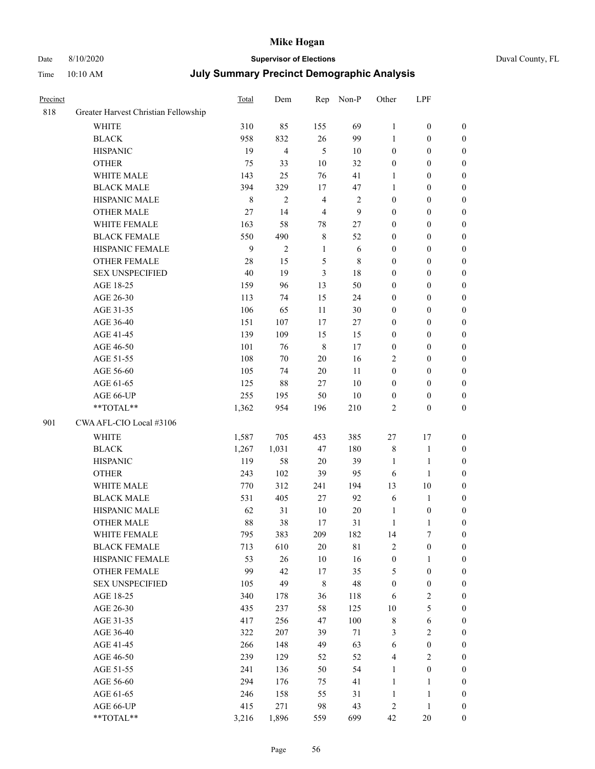### Date 8/10/2020 **Supervisor of Elections** Duval County, FL

| Precinct |                                      | Total   | Dem                     | Rep            | Non-P            | Other            | LPF              |                  |
|----------|--------------------------------------|---------|-------------------------|----------------|------------------|------------------|------------------|------------------|
| 818      | Greater Harvest Christian Fellowship |         |                         |                |                  |                  |                  |                  |
|          | <b>WHITE</b>                         | 310     | 85                      | 155            | 69               | $\mathbf{1}$     | $\boldsymbol{0}$ | 0                |
|          | <b>BLACK</b>                         | 958     | 832                     | 26             | 99               | 1                | $\boldsymbol{0}$ | $\boldsymbol{0}$ |
|          | <b>HISPANIC</b>                      | 19      | $\overline{\mathbf{4}}$ | $\mathfrak{H}$ | $10\,$           | $\boldsymbol{0}$ | $\boldsymbol{0}$ | $\boldsymbol{0}$ |
|          | <b>OTHER</b>                         | 75      | 33                      | $10\,$         | 32               | $\boldsymbol{0}$ | $\boldsymbol{0}$ | $\boldsymbol{0}$ |
|          | WHITE MALE                           | 143     | 25                      | 76             | 41               | $\mathbf{1}$     | $\boldsymbol{0}$ | $\boldsymbol{0}$ |
|          | <b>BLACK MALE</b>                    | 394     | 329                     | 17             | 47               | $\mathbf{1}$     | $\boldsymbol{0}$ | $\boldsymbol{0}$ |
|          | HISPANIC MALE                        | $\,8\,$ | $\mathfrak{2}$          | $\overline{4}$ | $\sqrt{2}$       | $\boldsymbol{0}$ | $\boldsymbol{0}$ | $\boldsymbol{0}$ |
|          | <b>OTHER MALE</b>                    | 27      | 14                      | $\overline{4}$ | $\boldsymbol{9}$ | $\boldsymbol{0}$ | $\boldsymbol{0}$ | $\boldsymbol{0}$ |
|          | WHITE FEMALE                         | 163     | 58                      | $78\,$         | $27\,$           | $\boldsymbol{0}$ | $\boldsymbol{0}$ | $\boldsymbol{0}$ |
|          | <b>BLACK FEMALE</b>                  | 550     | 490                     | $\,$ 8 $\,$    | 52               | $\boldsymbol{0}$ | $\boldsymbol{0}$ | $\boldsymbol{0}$ |
|          | HISPANIC FEMALE                      | 9       | $\overline{2}$          | $\mathbf{1}$   | 6                | $\boldsymbol{0}$ | $\boldsymbol{0}$ | $\boldsymbol{0}$ |
|          | <b>OTHER FEMALE</b>                  | 28      | 15                      | $\mathfrak s$  | $\,$ 8 $\,$      | $\boldsymbol{0}$ | $\boldsymbol{0}$ | $\boldsymbol{0}$ |
|          | <b>SEX UNSPECIFIED</b>               | 40      | 19                      | 3              | 18               | $\boldsymbol{0}$ | $\boldsymbol{0}$ | $\boldsymbol{0}$ |
|          | AGE 18-25                            | 159     | 96                      | 13             | 50               | $\boldsymbol{0}$ | $\boldsymbol{0}$ | $\boldsymbol{0}$ |
|          | AGE 26-30                            | 113     | 74                      | 15             | 24               | $\boldsymbol{0}$ | $\boldsymbol{0}$ | $\boldsymbol{0}$ |
|          | AGE 31-35                            | 106     | 65                      | 11             | 30               | 0                | $\boldsymbol{0}$ | $\boldsymbol{0}$ |
|          | AGE 36-40                            | 151     | 107                     | 17             | 27               | 0                | $\boldsymbol{0}$ | $\boldsymbol{0}$ |
|          | AGE 41-45                            | 139     | 109                     | 15             | 15               | $\boldsymbol{0}$ | $\boldsymbol{0}$ | $\boldsymbol{0}$ |
|          | AGE 46-50                            | 101     | 76                      | $\,8\,$        | 17               | $\boldsymbol{0}$ | $\boldsymbol{0}$ | $\boldsymbol{0}$ |
|          | AGE 51-55                            | 108     | $70\,$                  | $20\,$         | 16               | 2                | $\boldsymbol{0}$ | $\boldsymbol{0}$ |
|          | AGE 56-60                            | 105     | 74                      | 20             | 11               | $\boldsymbol{0}$ | $\boldsymbol{0}$ | 0                |
|          | AGE 61-65                            | 125     | $88\,$                  | 27             | $10\,$           | $\boldsymbol{0}$ | $\boldsymbol{0}$ | $\boldsymbol{0}$ |
|          | AGE 66-UP                            | 255     | 195                     | 50             | $10\,$           | $\boldsymbol{0}$ | $\boldsymbol{0}$ | $\boldsymbol{0}$ |
|          | $**TOTAL**$                          | 1,362   | 954                     | 196            | 210              | 2                | $\boldsymbol{0}$ | $\boldsymbol{0}$ |
| 901      | CWA AFL-CIO Local #3106              |         |                         |                |                  |                  |                  |                  |
|          | <b>WHITE</b>                         | 1,587   | 705                     | 453            | 385              | $27\,$           | 17               | $\boldsymbol{0}$ |
|          | <b>BLACK</b>                         | 1,267   | 1,031                   | 47             | 180              | 8                | $\mathbf{1}$     | $\boldsymbol{0}$ |
|          | <b>HISPANIC</b>                      | 119     | 58                      | 20             | 39               | $\mathbf{1}$     | $\mathbf{1}$     | $\boldsymbol{0}$ |
|          | <b>OTHER</b>                         | 243     | 102                     | 39             | 95               | 6                | $\mathbf{1}$     | $\boldsymbol{0}$ |
|          | WHITE MALE                           | 770     | 312                     | 241            | 194              | 13               | 10               | $\boldsymbol{0}$ |
|          | <b>BLACK MALE</b>                    | 531     | 405                     | 27             | 92               | 6                | $\mathbf{1}$     | $\boldsymbol{0}$ |
|          | HISPANIC MALE                        | 62      | 31                      | $10\,$         | $20\,$           | $\mathbf{1}$     | $\boldsymbol{0}$ | 0                |
|          | <b>OTHER MALE</b>                    | 88      | 38                      | 17             | 31               | $\mathbf{1}$     | $\mathbf{1}$     | $\boldsymbol{0}$ |
|          | WHITE FEMALE                         | 795     | 383                     | 209            | 182              | 14               | 7                | 0                |
|          | <b>BLACK FEMALE</b>                  | 713     | 610                     | $20\,$         | $8\sqrt{1}$      | 2                | $\boldsymbol{0}$ | $\boldsymbol{0}$ |
|          | HISPANIC FEMALE                      | 53      | 26                      | $10\,$         | 16               | $\boldsymbol{0}$ | $\mathbf{1}$     | $\overline{0}$   |
|          | <b>OTHER FEMALE</b>                  | 99      | 42                      | 17             | 35               | 5                | $\boldsymbol{0}$ | $\overline{0}$   |
|          | <b>SEX UNSPECIFIED</b>               | 105     | 49                      | 8              | 48               | $\boldsymbol{0}$ | $\boldsymbol{0}$ | 0                |
|          | AGE 18-25                            | 340     | 178                     | 36             | 118              | 6                | $\sqrt{2}$       | 0                |
|          | AGE 26-30                            | 435     | 237                     | 58             | 125              | $10\,$           | 5                | 0                |
|          | AGE 31-35                            | 417     | 256                     | 47             | 100              | $\,$ $\,$        | 6                | 0                |
|          | AGE 36-40                            | 322     | 207                     | 39             | 71               | 3                | $\sqrt{2}$       | 0                |
|          | AGE 41-45                            | 266     | 148                     | 49             | 63               | 6                | $\boldsymbol{0}$ | 0                |
|          | AGE 46-50                            | 239     | 129                     | 52             | 52               | 4                | $\sqrt{2}$       | 0                |
|          | AGE 51-55                            | 241     | 136                     | 50             | 54               | $\mathbf{1}$     | $\boldsymbol{0}$ | $\overline{0}$   |
|          | AGE 56-60                            | 294     | 176                     | 75             | 41               | $\mathbf{1}$     | $\mathbf{1}$     | $\boldsymbol{0}$ |
|          | AGE 61-65                            | 246     | 158                     | 55             | 31               | $\mathbf{1}$     | $\mathbf{1}$     | $\overline{0}$   |
|          | AGE 66-UP                            | 415     | 271                     | 98             | 43               | 2                | $\mathbf{1}$     | 0                |
|          | **TOTAL**                            | 3,216   | 1,896                   | 559            | 699              | 42               | 20               | $\boldsymbol{0}$ |
|          |                                      |         |                         |                |                  |                  |                  |                  |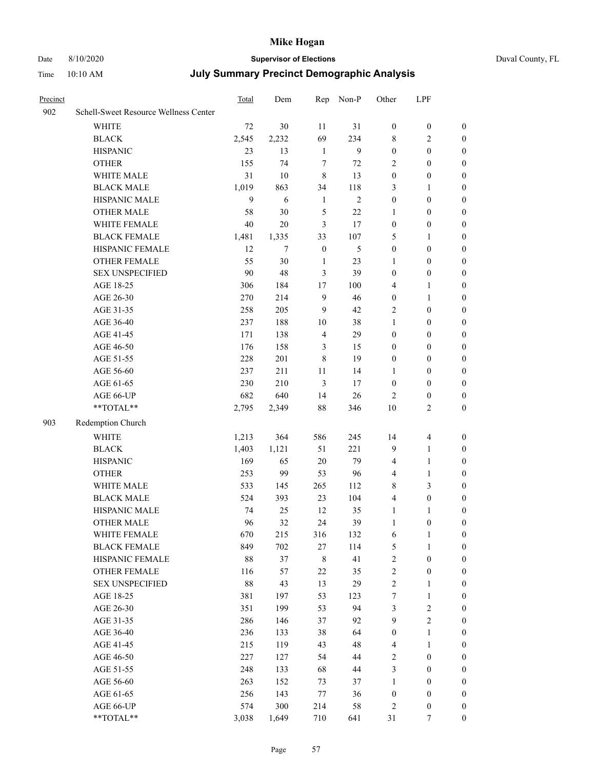# Date 8/10/2020 **Supervisor of Elections** Duval County, FL

| Precinct |                                       | Total  | Dem    | Rep              | Non-P          | Other            | LPF              |                  |
|----------|---------------------------------------|--------|--------|------------------|----------------|------------------|------------------|------------------|
| 902      | Schell-Sweet Resource Wellness Center |        |        |                  |                |                  |                  |                  |
|          | <b>WHITE</b>                          | 72     | 30     | 11               | 31             | $\boldsymbol{0}$ | $\boldsymbol{0}$ | $\boldsymbol{0}$ |
|          | <b>BLACK</b>                          | 2,545  | 2,232  | 69               | 234            | 8                | $\sqrt{2}$       | $\boldsymbol{0}$ |
|          | <b>HISPANIC</b>                       | 23     | 13     | $\mathbf{1}$     | $\overline{9}$ | $\boldsymbol{0}$ | $\boldsymbol{0}$ | $\boldsymbol{0}$ |
|          | <b>OTHER</b>                          | 155    | 74     | $\tau$           | 72             | 2                | $\boldsymbol{0}$ | $\boldsymbol{0}$ |
|          | WHITE MALE                            | 31     | 10     | $\,$ 8 $\,$      | 13             | $\boldsymbol{0}$ | $\boldsymbol{0}$ | $\boldsymbol{0}$ |
|          | <b>BLACK MALE</b>                     | 1,019  | 863    | 34               | 118            | 3                | $\mathbf{1}$     | 0                |
|          | HISPANIC MALE                         | 9      | 6      | $\mathbf{1}$     | $\overline{2}$ | $\boldsymbol{0}$ | $\boldsymbol{0}$ | 0                |
|          | <b>OTHER MALE</b>                     | 58     | 30     | $\mathfrak s$    | $22\,$         | 1                | $\boldsymbol{0}$ | $\boldsymbol{0}$ |
|          | WHITE FEMALE                          | 40     | $20\,$ | 3                | 17             | $\boldsymbol{0}$ | $\boldsymbol{0}$ | $\boldsymbol{0}$ |
|          | <b>BLACK FEMALE</b>                   | 1,481  | 1,335  | 33               | 107            | 5                | $\mathbf{1}$     | $\boldsymbol{0}$ |
|          | HISPANIC FEMALE                       | 12     | $\tau$ | $\boldsymbol{0}$ | 5              | $\boldsymbol{0}$ | $\boldsymbol{0}$ | $\boldsymbol{0}$ |
|          | OTHER FEMALE                          | 55     | 30     | $\mathbf{1}$     | 23             | $\mathbf{1}$     | $\boldsymbol{0}$ | $\boldsymbol{0}$ |
|          | <b>SEX UNSPECIFIED</b>                | 90     | 48     | 3                | 39             | $\boldsymbol{0}$ | $\boldsymbol{0}$ | $\boldsymbol{0}$ |
|          | AGE 18-25                             | 306    | 184    | $17$             | 100            | 4                | $\mathbf{1}$     | $\boldsymbol{0}$ |
|          | AGE 26-30                             | 270    | 214    | $\mathbf{9}$     | 46             | $\boldsymbol{0}$ | $\mathbf{1}$     | $\boldsymbol{0}$ |
|          | AGE 31-35                             | 258    | 205    | 9                | 42             | 2                | $\boldsymbol{0}$ | 0                |
|          | AGE 36-40                             | 237    | 188    | 10               | 38             | $\mathbf{1}$     | $\boldsymbol{0}$ | 0                |
|          | AGE 41-45                             | 171    | 138    | $\overline{4}$   | 29             | $\boldsymbol{0}$ | $\boldsymbol{0}$ | $\boldsymbol{0}$ |
|          | AGE 46-50                             | 176    | 158    | 3                | 15             | $\boldsymbol{0}$ | $\boldsymbol{0}$ | $\boldsymbol{0}$ |
|          | AGE 51-55                             | 228    | 201    | 8                | 19             | $\boldsymbol{0}$ | $\boldsymbol{0}$ | $\boldsymbol{0}$ |
|          | AGE 56-60                             | 237    | 211    | 11               | 14             | $\mathbf{1}$     | $\boldsymbol{0}$ | $\boldsymbol{0}$ |
|          | AGE 61-65                             | 230    | 210    | 3                | 17             | $\boldsymbol{0}$ | $\boldsymbol{0}$ | $\boldsymbol{0}$ |
|          | AGE 66-UP                             | 682    | 640    | 14               | 26             | $\overline{c}$   | $\boldsymbol{0}$ | $\boldsymbol{0}$ |
|          | **TOTAL**                             | 2,795  | 2,349  | 88               | 346            | $10\,$           | $\overline{2}$   | $\boldsymbol{0}$ |
| 903      | Redemption Church                     |        |        |                  |                |                  |                  |                  |
|          | <b>WHITE</b>                          | 1,213  | 364    | 586              | 245            | 14               | $\overline{4}$   | $\boldsymbol{0}$ |
|          | <b>BLACK</b>                          | 1,403  | 1,121  | 51               | 221            | 9                | $\mathbf{1}$     | $\boldsymbol{0}$ |
|          | <b>HISPANIC</b>                       | 169    | 65     | 20               | 79             | 4                | $\mathbf{1}$     | 0                |
|          | <b>OTHER</b>                          | 253    | 99     | 53               | 96             | $\overline{4}$   | $\mathbf{1}$     | 0                |
|          | WHITE MALE                            | 533    | 145    | 265              | 112            | 8                | $\mathfrak{Z}$   | $\boldsymbol{0}$ |
|          | <b>BLACK MALE</b>                     | 524    | 393    | 23               | 104            | 4                | $\boldsymbol{0}$ | $\boldsymbol{0}$ |
|          | HISPANIC MALE                         | 74     | 25     | 12               | 35             | $\mathbf{1}$     | 1                | $\boldsymbol{0}$ |
|          | <b>OTHER MALE</b>                     | 96     | 32     | 24               | 39             | 1                | $\boldsymbol{0}$ | $\boldsymbol{0}$ |
|          | WHITE FEMALE                          | 670    | 215    | 316              | 132            | $\sqrt{6}$       | $\mathbf{1}$     | $\boldsymbol{0}$ |
|          | <b>BLACK FEMALE</b>                   | 849    | 702    | $27\,$           | 114            | 5                | $\mathbf{1}$     | $\overline{0}$   |
|          | HISPANIC FEMALE                       | $88\,$ | 37     | $\,$ 8 $\,$      | 41             | $\overline{c}$   | $\boldsymbol{0}$ | 0                |
|          | <b>OTHER FEMALE</b>                   | 116    | 57     | 22               | 35             | $\sqrt{2}$       | $\boldsymbol{0}$ | 0                |
|          | <b>SEX UNSPECIFIED</b>                | $88\,$ | 43     | 13               | 29             | $\sqrt{2}$       | $\mathbf{1}$     | 0                |
|          | AGE 18-25                             | 381    | 197    | 53               | 123            | 7                | $\mathbf{1}$     | 0                |
|          | AGE 26-30                             | 351    | 199    | 53               | 94             | 3                | $\sqrt{2}$       | 0                |
|          | AGE 31-35                             | 286    | 146    | 37               | 92             | 9                | $\sqrt{2}$       | $\overline{0}$   |
|          | AGE 36-40                             | 236    | 133    | 38               | 64             | $\boldsymbol{0}$ | $\mathbf{1}$     | $\boldsymbol{0}$ |
|          | AGE 41-45                             | 215    | 119    | 43               | 48             | 4                | $\mathbf{1}$     | $\boldsymbol{0}$ |
|          | AGE 46-50                             | 227    | 127    | 54               | 44             | 2                | $\boldsymbol{0}$ | 0                |
|          | AGE 51-55                             | 248    | 133    | 68               | 44             | 3                | $\boldsymbol{0}$ | $\overline{0}$   |
|          | AGE 56-60                             | 263    | 152    | 73               | 37             | $\mathbf{1}$     | $\boldsymbol{0}$ | $\overline{0}$   |
|          | AGE 61-65                             | 256    | 143    | 77               | 36             | $\boldsymbol{0}$ | $\boldsymbol{0}$ | 0                |
|          | AGE 66-UP                             | 574    | 300    | 214              | 58             | $\sqrt{2}$       | $\boldsymbol{0}$ | 0                |
|          | **TOTAL**                             | 3,038  | 1,649  | 710              | 641            | 31               | $\boldsymbol{7}$ | $\boldsymbol{0}$ |
|          |                                       |        |        |                  |                |                  |                  |                  |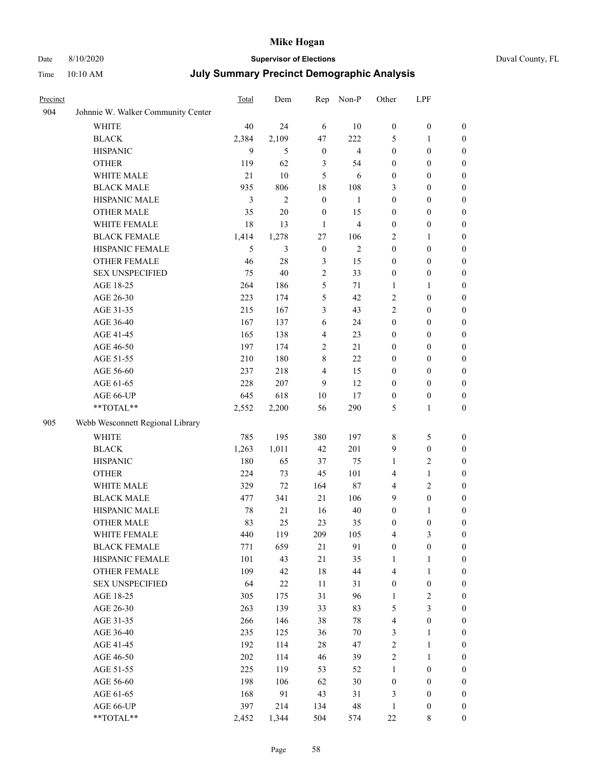# Date 8/10/2020 **Supervisor of Elections** Duval County, FL

| Precinct |                                    | <b>Total</b> | Dem            | Rep              | Non-P                   | Other            | LPF              |                  |
|----------|------------------------------------|--------------|----------------|------------------|-------------------------|------------------|------------------|------------------|
| 904      | Johnnie W. Walker Community Center |              |                |                  |                         |                  |                  |                  |
|          | <b>WHITE</b>                       | 40           | 24             | 6                | 10                      | $\boldsymbol{0}$ | $\boldsymbol{0}$ | 0                |
|          | <b>BLACK</b>                       | 2,384        | 2,109          | 47               | 222                     | 5                | $\mathbf{1}$     | 0                |
|          | <b>HISPANIC</b>                    | 9            | 5              | $\boldsymbol{0}$ | $\overline{4}$          | $\boldsymbol{0}$ | $\boldsymbol{0}$ | $\boldsymbol{0}$ |
|          | <b>OTHER</b>                       | 119          | 62             | 3                | 54                      | $\boldsymbol{0}$ | $\boldsymbol{0}$ | $\boldsymbol{0}$ |
|          | WHITE MALE                         | 21           | 10             | 5                | 6                       | $\boldsymbol{0}$ | $\boldsymbol{0}$ | $\boldsymbol{0}$ |
|          | <b>BLACK MALE</b>                  | 935          | 806            | 18               | 108                     | 3                | $\boldsymbol{0}$ | $\boldsymbol{0}$ |
|          | HISPANIC MALE                      | 3            | $\overline{c}$ | $\mathbf{0}$     | $\mathbf{1}$            | $\boldsymbol{0}$ | $\boldsymbol{0}$ | $\boldsymbol{0}$ |
|          | <b>OTHER MALE</b>                  | 35           | $20\,$         | $\boldsymbol{0}$ | 15                      | $\boldsymbol{0}$ | $\boldsymbol{0}$ | $\boldsymbol{0}$ |
|          | WHITE FEMALE                       | 18           | 13             | $\mathbf{1}$     | $\overline{\mathbf{4}}$ | $\boldsymbol{0}$ | $\boldsymbol{0}$ | $\boldsymbol{0}$ |
|          | <b>BLACK FEMALE</b>                | 1,414        | 1,278          | 27               | 106                     | 2                | $\mathbf{1}$     | $\boldsymbol{0}$ |
|          | HISPANIC FEMALE                    | 5            | 3              | $\boldsymbol{0}$ | $\mathbf{2}$            | $\boldsymbol{0}$ | $\boldsymbol{0}$ | 0                |
|          | <b>OTHER FEMALE</b>                | 46           | 28             | $\mathfrak{Z}$   | 15                      | $\boldsymbol{0}$ | $\boldsymbol{0}$ | 0                |
|          | <b>SEX UNSPECIFIED</b>             | 75           | 40             | $\sqrt{2}$       | 33                      | $\boldsymbol{0}$ | $\boldsymbol{0}$ | $\boldsymbol{0}$ |
|          | AGE 18-25                          | 264          | 186            | 5                | 71                      | 1                | 1                | $\boldsymbol{0}$ |
|          | AGE 26-30                          | 223          | 174            | 5                | 42                      | 2                | $\boldsymbol{0}$ | $\boldsymbol{0}$ |
|          | AGE 31-35                          | 215          | 167            | 3                | 43                      | $\overline{c}$   | $\boldsymbol{0}$ | $\boldsymbol{0}$ |
|          | AGE 36-40                          | 167          | 137            | 6                | 24                      | $\boldsymbol{0}$ | $\boldsymbol{0}$ | $\boldsymbol{0}$ |
|          | AGE 41-45                          | 165          | 138            | $\overline{4}$   | 23                      | $\boldsymbol{0}$ | $\boldsymbol{0}$ | $\boldsymbol{0}$ |
|          | AGE 46-50                          | 197          | 174            | $\sqrt{2}$       | 21                      | $\boldsymbol{0}$ | $\boldsymbol{0}$ | $\boldsymbol{0}$ |
|          | AGE 51-55                          | 210          | 180            | $\,$ 8 $\,$      | 22                      | $\boldsymbol{0}$ | $\boldsymbol{0}$ | $\boldsymbol{0}$ |
|          | AGE 56-60                          | 237          | 218            | $\overline{4}$   | 15                      | 0                | $\boldsymbol{0}$ | 0                |
|          | AGE 61-65                          | 228          | 207            | 9                | 12                      | $\boldsymbol{0}$ | $\boldsymbol{0}$ | 0                |
|          | AGE 66-UP                          | 645          | 618            | 10               | 17                      | $\boldsymbol{0}$ | $\boldsymbol{0}$ | $\boldsymbol{0}$ |
|          | **TOTAL**                          | 2,552        | 2,200          | 56               | 290                     | 5                | $\mathbf{1}$     | $\boldsymbol{0}$ |
| 905      | Webb Wesconnett Regional Library   |              |                |                  |                         |                  |                  |                  |
|          | WHITE                              | 785          | 195            | 380              | 197                     | 8                | 5                | $\boldsymbol{0}$ |
|          | <b>BLACK</b>                       | 1,263        | 1,011          | 42               | 201                     | 9                | $\boldsymbol{0}$ | $\boldsymbol{0}$ |
|          | <b>HISPANIC</b>                    | 180          | 65             | 37               | 75                      | 1                | $\mathbf{2}$     | $\boldsymbol{0}$ |
|          | <b>OTHER</b>                       | 224          | 73             | 45               | 101                     | 4                | $\mathbf{1}$     | $\boldsymbol{0}$ |
|          | WHITE MALE                         | 329          | 72             | 164              | 87                      | $\overline{4}$   | $\mathbf{2}$     | $\boldsymbol{0}$ |
|          | <b>BLACK MALE</b>                  | 477          | 341            | 21               | 106                     | 9                | $\boldsymbol{0}$ | $\boldsymbol{0}$ |
|          | HISPANIC MALE                      | 78           | 21             | 16               | $40\,$                  | $\boldsymbol{0}$ | 1                | $\boldsymbol{0}$ |
|          | <b>OTHER MALE</b>                  | 83           | 25             | 23               | 35                      | $\boldsymbol{0}$ | $\boldsymbol{0}$ | $\boldsymbol{0}$ |
|          | WHITE FEMALE                       | 440          | 119            | 209              | 105                     | 4                | 3                | 0                |
|          | <b>BLACK FEMALE</b>                | 771          | 659            | 21               | 91                      | $\boldsymbol{0}$ | $\boldsymbol{0}$ | $\boldsymbol{0}$ |
|          | HISPANIC FEMALE                    | 101          | 43             | 21               | 35                      | 1                | $\mathbf{1}$     | $\overline{0}$   |
|          | OTHER FEMALE                       | 109          | 42             | 18               | $44\,$                  | 4                | $\mathbf{1}$     | $\overline{0}$   |
|          | <b>SEX UNSPECIFIED</b>             | 64           | $22\,$         | 11               | 31                      | $\boldsymbol{0}$ | $\boldsymbol{0}$ | 0                |
|          | AGE 18-25                          | 305          | 175            | 31               | 96                      | $\mathbf{1}$     | $\sqrt{2}$       | 0                |
|          | AGE 26-30                          | 263          | 139            | 33               | 83                      | 5                | $\mathfrak{Z}$   | 0                |
|          | AGE 31-35                          | 266          | 146            | 38               | $78\,$                  | 4                | $\boldsymbol{0}$ | 0                |
|          | AGE 36-40                          | 235          | 125            | 36               | $70\,$                  | 3                | $\mathbf{1}$     | 0                |
|          | AGE 41-45                          | 192          | 114            | 28               | 47                      | $\overline{c}$   | $\mathbf{1}$     | 0                |
|          | AGE 46-50                          | 202          | 114            | 46               | 39                      | 2                | $\mathbf{1}$     | 0                |
|          | AGE 51-55                          | 225          | 119            | 53               | 52                      | $\mathbf{1}$     | $\boldsymbol{0}$ | 0                |
|          | AGE 56-60                          | 198          | 106            | 62               | $30\,$                  | $\boldsymbol{0}$ | $\boldsymbol{0}$ | $\overline{0}$   |
|          | AGE 61-65                          | 168          | 91             | 43               | 31                      | 3                | $\boldsymbol{0}$ | $\overline{0}$   |
|          | AGE 66-UP                          | 397          | 214            | 134              | $\sqrt{48}$             | $\mathbf{1}$     | $\boldsymbol{0}$ | 0                |
|          | **TOTAL**                          | 2,452        | 1,344          | 504              | 574                     | $22\,$           | 8                | $\boldsymbol{0}$ |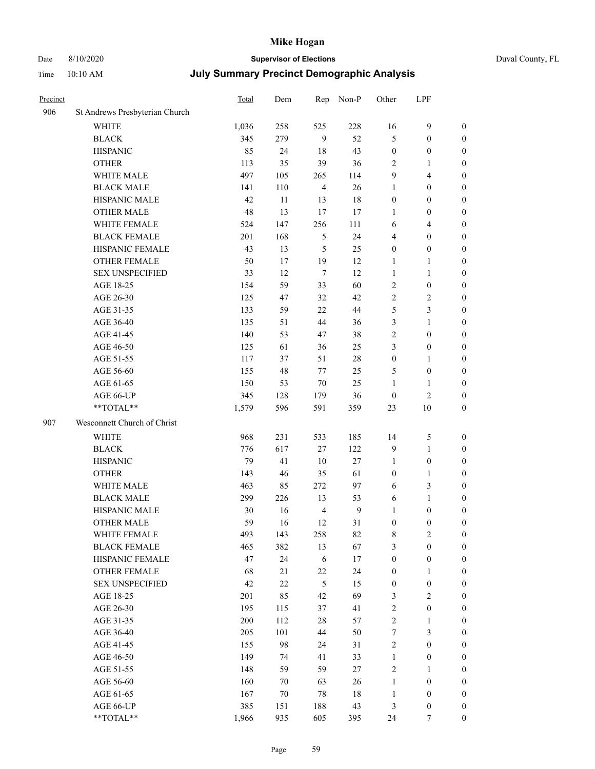## Date 8/10/2020 **Supervisor of Elections** Duval County, FL

| Precinct |                                | <b>Total</b> | Dem    | Rep            | Non-P            | Other            | LPF              |                  |
|----------|--------------------------------|--------------|--------|----------------|------------------|------------------|------------------|------------------|
| 906      | St Andrews Presbyterian Church |              |        |                |                  |                  |                  |                  |
|          | <b>WHITE</b>                   | 1,036        | 258    | 525            | 228              | 16               | $\mathbf{9}$     | 0                |
|          | <b>BLACK</b>                   | 345          | 279    | 9              | 52               | 5                | $\boldsymbol{0}$ | 0                |
|          | <b>HISPANIC</b>                | 85           | 24     | 18             | 43               | $\boldsymbol{0}$ | $\boldsymbol{0}$ | $\boldsymbol{0}$ |
|          | <b>OTHER</b>                   | 113          | 35     | 39             | 36               | 2                | 1                | $\boldsymbol{0}$ |
|          | WHITE MALE                     | 497          | 105    | 265            | 114              | 9                | $\overline{4}$   | $\boldsymbol{0}$ |
|          | <b>BLACK MALE</b>              | 141          | 110    | $\overline{4}$ | 26               | $\mathbf{1}$     | $\boldsymbol{0}$ | $\boldsymbol{0}$ |
|          | HISPANIC MALE                  | 42           | 11     | 13             | 18               | $\boldsymbol{0}$ | $\boldsymbol{0}$ | $\boldsymbol{0}$ |
|          | <b>OTHER MALE</b>              | 48           | 13     | 17             | 17               | $\mathbf{1}$     | $\boldsymbol{0}$ | $\boldsymbol{0}$ |
|          | WHITE FEMALE                   | 524          | 147    | 256            | 111              | 6                | $\overline{4}$   | $\boldsymbol{0}$ |
|          | <b>BLACK FEMALE</b>            | 201          | 168    | 5              | 24               | 4                | $\boldsymbol{0}$ | $\boldsymbol{0}$ |
|          | HISPANIC FEMALE                | 43           | 13     | 5              | 25               | $\boldsymbol{0}$ | $\boldsymbol{0}$ | 0                |
|          | <b>OTHER FEMALE</b>            | 50           | 17     | 19             | 12               | 1                | $\mathbf{1}$     | $\boldsymbol{0}$ |
|          | <b>SEX UNSPECIFIED</b>         | 33           | 12     | $\tau$         | 12               | $\mathbf{1}$     | $\mathbf{1}$     | $\boldsymbol{0}$ |
|          | AGE 18-25                      | 154          | 59     | 33             | 60               | 2                | $\boldsymbol{0}$ | $\boldsymbol{0}$ |
|          | AGE 26-30                      | 125          | 47     | 32             | 42               | 2                | $\sqrt{2}$       | $\boldsymbol{0}$ |
|          | AGE 31-35                      | 133          | 59     | 22             | 44               | 5                | 3                | $\boldsymbol{0}$ |
|          | AGE 36-40                      | 135          | 51     | 44             | 36               | 3                | $\mathbf{1}$     | $\boldsymbol{0}$ |
|          | AGE 41-45                      | 140          | 53     | 47             | 38               | 2                | $\boldsymbol{0}$ | $\boldsymbol{0}$ |
|          | AGE 46-50                      | 125          | 61     | 36             | 25               | 3                | $\boldsymbol{0}$ | $\boldsymbol{0}$ |
|          | AGE 51-55                      | 117          | 37     | 51             | $28\,$           | $\boldsymbol{0}$ | 1                | $\boldsymbol{0}$ |
|          | AGE 56-60                      | 155          | 48     | 77             | 25               | 5                | $\boldsymbol{0}$ | 0                |
|          | AGE 61-65                      | 150          | 53     | $70\,$         | 25               | $\mathbf{1}$     | $\mathbf{1}$     | 0                |
|          | AGE 66-UP                      | 345          | 128    | 179            | 36               | $\boldsymbol{0}$ | $\mathfrak{2}$   | $\boldsymbol{0}$ |
|          | **TOTAL**                      | 1,579        | 596    | 591            | 359              | 23               | 10               | $\boldsymbol{0}$ |
| 907      | Wesconnett Church of Christ    |              |        |                |                  |                  |                  |                  |
|          | <b>WHITE</b>                   | 968          | 231    | 533            | 185              | 14               | 5                | $\boldsymbol{0}$ |
|          | <b>BLACK</b>                   | 776          | 617    | 27             | 122              | 9                | $\mathbf{1}$     | $\boldsymbol{0}$ |
|          | <b>HISPANIC</b>                | 79           | 41     | 10             | $27\,$           | $\mathbf{1}$     | $\boldsymbol{0}$ | $\boldsymbol{0}$ |
|          | <b>OTHER</b>                   | 143          | 46     | 35             | 61               | $\boldsymbol{0}$ | $\mathbf{1}$     | $\boldsymbol{0}$ |
|          | WHITE MALE                     | 463          | 85     | 272            | 97               | $\sqrt{6}$       | 3                | $\boldsymbol{0}$ |
|          | <b>BLACK MALE</b>              | 299          | 226    | 13             | 53               | 6                | $\mathbf{1}$     | $\boldsymbol{0}$ |
|          | HISPANIC MALE                  | 30           | 16     | $\overline{4}$ | $\boldsymbol{9}$ | 1                | $\boldsymbol{0}$ | 0                |
|          | <b>OTHER MALE</b>              | 59           | 16     | 12             | 31               | $\boldsymbol{0}$ | $\boldsymbol{0}$ | $\boldsymbol{0}$ |
|          | WHITE FEMALE                   | 493          | 143    | 258            | 82               | 8                | $\overline{c}$   | 0                |
|          | <b>BLACK FEMALE</b>            | 465          | 382    | 13             | 67               | 3                | $\boldsymbol{0}$ | $\overline{0}$   |
|          | HISPANIC FEMALE                | 47           | 24     | 6              | 17               | $\boldsymbol{0}$ | $\boldsymbol{0}$ | $\overline{0}$   |
|          | OTHER FEMALE                   | 68           | 21     | 22             | 24               | $\boldsymbol{0}$ | $\mathbf{1}$     | 0                |
|          | <b>SEX UNSPECIFIED</b>         | 42           | $22\,$ | $\mathfrak{S}$ | 15               | $\boldsymbol{0}$ | $\boldsymbol{0}$ | 0                |
|          | AGE 18-25                      | 201          | 85     | 42             | 69               | 3                | $\sqrt{2}$       | 0                |
|          | AGE 26-30                      | 195          | 115    | 37             | 41               | 2                | $\boldsymbol{0}$ | 0                |
|          | AGE 31-35                      | $200\,$      | 112    | 28             | 57               | $\overline{c}$   | $\mathbf{1}$     | 0                |
|          | AGE 36-40                      | 205          | 101    | 44             | 50               | 7                | $\mathfrak{Z}$   | 0                |
|          | AGE 41-45                      | 155          | 98     | 24             | 31               | 2                | $\boldsymbol{0}$ | 0                |
|          | AGE 46-50                      | 149          | 74     | 41             | 33               | $\mathbf{1}$     | $\boldsymbol{0}$ | 0                |
|          | AGE 51-55                      | 148          | 59     | 59             | 27               | 2                | 1                | 0                |
|          | AGE 56-60                      | 160          | 70     | 63             | 26               | $\mathbf{1}$     | $\boldsymbol{0}$ | 0                |
|          | AGE 61-65                      | 167          | 70     | 78             | 18               | $\mathbf{1}$     | $\boldsymbol{0}$ | 0                |
|          | AGE 66-UP                      | 385          | 151    | 188            | 43               | 3                | $\boldsymbol{0}$ | 0                |
|          | **TOTAL**                      | 1,966        | 935    | 605            | 395              | 24               | 7                | $\boldsymbol{0}$ |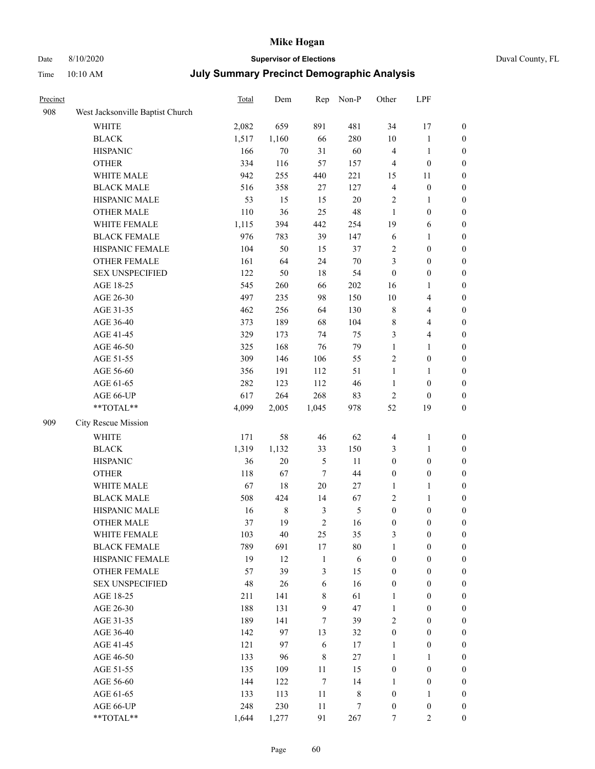## Date 8/10/2020 **Supervisor of Elections**

| Duval County, FL |
|------------------|
|------------------|

| Precinct |                                                           | <b>Total</b> | Dem         | Rep              | Non-P          | Other            | LPF              |                  |
|----------|-----------------------------------------------------------|--------------|-------------|------------------|----------------|------------------|------------------|------------------|
| 908      | West Jacksonville Baptist Church                          |              |             |                  |                |                  |                  |                  |
|          | <b>WHITE</b>                                              | 2,082        | 659         | 891              | 481            | 34               | 17               | 0                |
|          | <b>BLACK</b>                                              | 1,517        | 1,160       | 66               | 280            | $10\,$           | $\mathbf{1}$     | 0                |
|          | <b>HISPANIC</b>                                           | 166          | 70          | 31               | 60             | 4                | $\mathbf{1}$     | $\boldsymbol{0}$ |
|          | <b>OTHER</b>                                              | 334          | 116         | 57               | 157            | 4                | $\boldsymbol{0}$ | $\boldsymbol{0}$ |
|          | WHITE MALE                                                | 942          | 255         | 440              | 221            | 15               | 11               | $\boldsymbol{0}$ |
|          | <b>BLACK MALE</b>                                         | 516          | 358         | 27               | 127            | 4                | $\boldsymbol{0}$ | $\boldsymbol{0}$ |
|          | HISPANIC MALE                                             | 53           | 15          | 15               | $20\,$         | 2                | $\mathbf{1}$     | $\boldsymbol{0}$ |
|          | <b>OTHER MALE</b>                                         | 110          | 36          | 25               | 48             | $\mathbf{1}$     | $\boldsymbol{0}$ | $\boldsymbol{0}$ |
|          | WHITE FEMALE                                              | 1,115        | 394         | 442              | 254            | 19               | 6                | $\boldsymbol{0}$ |
|          | <b>BLACK FEMALE</b>                                       | 976          | 783         | 39               | 147            | 6                | $\mathbf{1}$     | $\boldsymbol{0}$ |
|          | HISPANIC FEMALE                                           | 104          | 50          | 15               | 37             | 2                | $\boldsymbol{0}$ | 0                |
|          | <b>OTHER FEMALE</b>                                       | 161          | 64          | 24               | $70\,$         | 3                | $\boldsymbol{0}$ | $\boldsymbol{0}$ |
|          | <b>SEX UNSPECIFIED</b>                                    | 122          | 50          | $18\,$           | 54             | $\boldsymbol{0}$ | $\boldsymbol{0}$ | $\boldsymbol{0}$ |
|          | AGE 18-25                                                 | 545          | 260         | 66               | $202\,$        | 16               | 1                | $\boldsymbol{0}$ |
|          | AGE 26-30                                                 | 497          | 235         | 98               | 150            | 10               | $\overline{4}$   | $\boldsymbol{0}$ |
|          | AGE 31-35                                                 | 462          | 256         | 64               | 130            | $\,$ $\,$        | $\overline{4}$   | $\boldsymbol{0}$ |
|          | AGE 36-40                                                 | 373          | 189         | 68               | 104            | $\,$ 8 $\,$      | $\overline{4}$   | $\boldsymbol{0}$ |
|          | AGE 41-45                                                 | 329          | 173         | 74               | 75             | 3                | $\overline{4}$   | $\boldsymbol{0}$ |
|          | AGE 46-50                                                 | 325          | 168         | 76               | 79             | $\mathbf{1}$     | $\mathbf{1}$     | $\boldsymbol{0}$ |
|          | AGE 51-55                                                 | 309          | 146         | 106              | 55             | 2                | $\boldsymbol{0}$ | 0                |
|          | AGE 56-60                                                 | 356          | 191         | 112              | 51             | $\mathbf{1}$     | 1                | 0                |
|          | AGE 61-65                                                 | 282          | 123         | 112              | 46             | $\mathbf{1}$     | $\boldsymbol{0}$ | 0                |
|          | AGE 66-UP                                                 | 617          | 264         | 268              | 83             | $\sqrt{2}$       | $\boldsymbol{0}$ | $\boldsymbol{0}$ |
|          | $\mathrm{*}\mathrm{*}\mathrm{TOTAL} \mathrm{*}\mathrm{*}$ | 4,099        | 2,005       | 1,045            | 978            | 52               | 19               | $\boldsymbol{0}$ |
| 909      | City Rescue Mission                                       |              |             |                  |                |                  |                  |                  |
|          | <b>WHITE</b>                                              | 171          | 58          | 46               | 62             | 4                | $\mathbf{1}$     | $\boldsymbol{0}$ |
|          | <b>BLACK</b>                                              | 1,319        | 1,132       | 33               | 150            | 3                | $\mathbf{1}$     | $\boldsymbol{0}$ |
|          | <b>HISPANIC</b>                                           | 36           | $20\,$      | 5                | 11             | $\boldsymbol{0}$ | $\boldsymbol{0}$ | $\boldsymbol{0}$ |
|          | <b>OTHER</b>                                              | 118          | 67          | $\tau$           | 44             | $\boldsymbol{0}$ | $\boldsymbol{0}$ | $\boldsymbol{0}$ |
|          | WHITE MALE                                                | 67           | 18          | $20\,$           | $27\,$         | $\mathbf{1}$     | $\mathbf{1}$     | $\boldsymbol{0}$ |
|          | <b>BLACK MALE</b>                                         | 508          | 424         | 14               | 67             | 2                | $\mathbf{1}$     | $\boldsymbol{0}$ |
|          | HISPANIC MALE                                             | 16           | $\,$ 8 $\,$ | $\mathfrak{Z}$   | $\mathfrak{S}$ | $\boldsymbol{0}$ | $\boldsymbol{0}$ | 0                |
|          | <b>OTHER MALE</b>                                         | 37           | 19          | $\mathfrak{2}$   | 16             | $\boldsymbol{0}$ | $\boldsymbol{0}$ | $\boldsymbol{0}$ |
|          | WHITE FEMALE                                              | 103          | 40          | 25               | 35             | 3                | 0                | 0                |
|          | <b>BLACK FEMALE</b>                                       | 789          | 691         | 17               | $80\,$         | $\mathbf{1}$     | $\boldsymbol{0}$ | $\overline{0}$   |
|          | HISPANIC FEMALE                                           | 19           | 12          | $\mathbf{1}$     | $\sqrt{6}$     | $\boldsymbol{0}$ | $\boldsymbol{0}$ | $\overline{0}$   |
|          | <b>OTHER FEMALE</b>                                       | 57           | 39          | 3                | 15             | $\boldsymbol{0}$ | $\boldsymbol{0}$ | $\overline{0}$   |
|          | <b>SEX UNSPECIFIED</b>                                    | 48           | 26          | $\sqrt{6}$       | 16             | $\boldsymbol{0}$ | $\boldsymbol{0}$ | $\overline{0}$   |
|          | AGE 18-25                                                 | 211          | 141         | $\,$ 8 $\,$      | 61             | $\mathbf{1}$     | $\boldsymbol{0}$ | $\overline{0}$   |
|          | AGE 26-30                                                 | 188          | 131         | 9                | 47             | $\mathbf{1}$     | $\boldsymbol{0}$ | $\overline{0}$   |
|          | AGE 31-35                                                 | 189          | 141         | $\tau$           | 39             | $\overline{c}$   | $\boldsymbol{0}$ | 0                |
|          | AGE 36-40                                                 | 142          | 97          | 13               | 32             | $\boldsymbol{0}$ | $\boldsymbol{0}$ | 0                |
|          | AGE 41-45                                                 | 121          | 97          | $\sqrt{6}$       | 17             | $\mathbf{1}$     | $\boldsymbol{0}$ | 0                |
|          | AGE 46-50                                                 | 133          | 96          | $\,$ 8 $\,$      | $27\,$         | $\mathbf{1}$     | 1                | 0                |
|          | AGE 51-55                                                 | 135          | 109         | $11\,$           | 15             | $\boldsymbol{0}$ | $\boldsymbol{0}$ | $\overline{0}$   |
|          | AGE 56-60                                                 | 144          | 122         | $\boldsymbol{7}$ | 14             | 1                | $\boldsymbol{0}$ | $\boldsymbol{0}$ |
|          | AGE 61-65                                                 | 133          | 113         | 11               | $\,$ 8 $\,$    | $\boldsymbol{0}$ | $\mathbf{1}$     | $\boldsymbol{0}$ |
|          | AGE 66-UP                                                 | 248          | 230         | $11\,$           | 7              | $\boldsymbol{0}$ | $\boldsymbol{0}$ | $\boldsymbol{0}$ |
|          | **TOTAL**                                                 | 1,644        | 1,277       | 91               | 267            | $\boldsymbol{7}$ | $\mathfrak{2}$   | $\boldsymbol{0}$ |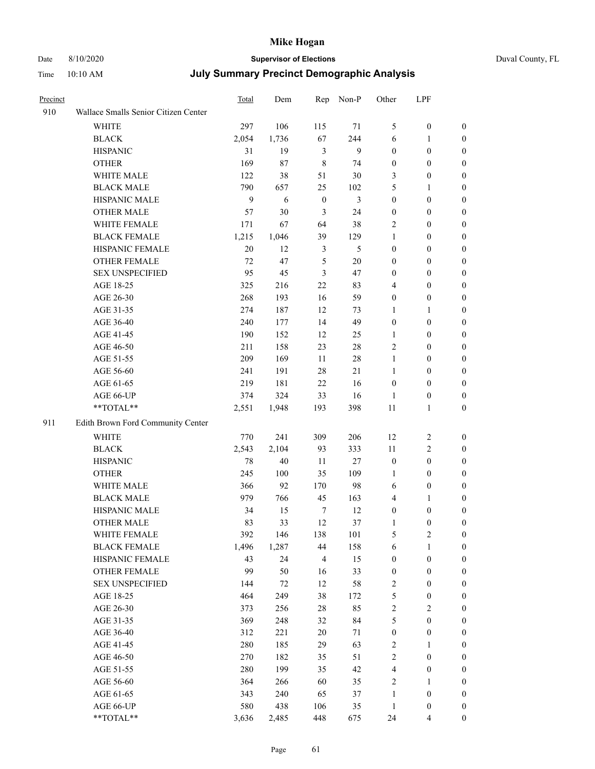# Date 8/10/2020 **Supervisor of Elections** Duval County, FL

| Precinct |                                      | Total | Dem    | Rep              | Non-P  | Other            | LPF              |                  |
|----------|--------------------------------------|-------|--------|------------------|--------|------------------|------------------|------------------|
| 910      | Wallace Smalls Senior Citizen Center |       |        |                  |        |                  |                  |                  |
|          | <b>WHITE</b>                         | 297   | 106    | 115              | 71     | 5                | $\boldsymbol{0}$ | 0                |
|          | <b>BLACK</b>                         | 2,054 | 1,736  | 67               | 244    | 6                | 1                | 0                |
|          | <b>HISPANIC</b>                      | 31    | 19     | $\mathfrak{Z}$   | 9      | $\boldsymbol{0}$ | $\boldsymbol{0}$ | $\boldsymbol{0}$ |
|          | <b>OTHER</b>                         | 169   | 87     | $\,8\,$          | 74     | $\boldsymbol{0}$ | $\boldsymbol{0}$ | $\boldsymbol{0}$ |
|          | WHITE MALE                           | 122   | 38     | 51               | 30     | 3                | $\boldsymbol{0}$ | $\boldsymbol{0}$ |
|          | <b>BLACK MALE</b>                    | 790   | 657    | 25               | 102    | 5                | 1                | $\boldsymbol{0}$ |
|          | HISPANIC MALE                        | 9     | 6      | $\boldsymbol{0}$ | 3      | $\boldsymbol{0}$ | $\boldsymbol{0}$ | $\boldsymbol{0}$ |
|          | <b>OTHER MALE</b>                    | 57    | 30     | 3                | 24     | $\boldsymbol{0}$ | $\boldsymbol{0}$ | $\boldsymbol{0}$ |
|          | WHITE FEMALE                         | 171   | 67     | 64               | 38     | 2                | $\boldsymbol{0}$ | $\boldsymbol{0}$ |
|          | <b>BLACK FEMALE</b>                  | 1,215 | 1,046  | 39               | 129    | $\mathbf{1}$     | $\boldsymbol{0}$ | 0                |
|          | HISPANIC FEMALE                      | 20    | 12     | 3                | 5      | $\boldsymbol{0}$ | $\boldsymbol{0}$ | 0                |
|          | <b>OTHER FEMALE</b>                  | 72    | 47     | 5                | $20\,$ | $\boldsymbol{0}$ | $\boldsymbol{0}$ | $\boldsymbol{0}$ |
|          | <b>SEX UNSPECIFIED</b>               | 95    | 45     | 3                | 47     | $\boldsymbol{0}$ | $\boldsymbol{0}$ | $\boldsymbol{0}$ |
|          | AGE 18-25                            | 325   | 216    | 22               | 83     | 4                | $\boldsymbol{0}$ | $\boldsymbol{0}$ |
|          | AGE 26-30                            | 268   | 193    | 16               | 59     | $\boldsymbol{0}$ | $\boldsymbol{0}$ | $\boldsymbol{0}$ |
|          | AGE 31-35                            | 274   | 187    | 12               | 73     | $\mathbf{1}$     | 1                | $\boldsymbol{0}$ |
|          | AGE 36-40                            | 240   | 177    | 14               | 49     | $\boldsymbol{0}$ | $\boldsymbol{0}$ | $\boldsymbol{0}$ |
|          | AGE 41-45                            | 190   | 152    | 12               | 25     | $\mathbf{1}$     | $\boldsymbol{0}$ | $\boldsymbol{0}$ |
|          | AGE 46-50                            | 211   | 158    | 23               | $28\,$ | 2                | $\boldsymbol{0}$ | $\boldsymbol{0}$ |
|          | AGE 51-55                            | 209   | 169    | 11               | $28\,$ | $\mathbf{1}$     | $\boldsymbol{0}$ | $\boldsymbol{0}$ |
|          | AGE 56-60                            | 241   | 191    | 28               | 21     | $\mathbf{1}$     | $\boldsymbol{0}$ | 0                |
|          | AGE 61-65                            | 219   | 181    | 22               | 16     | $\boldsymbol{0}$ | $\boldsymbol{0}$ | 0                |
|          | AGE 66-UP                            | 374   | 324    | 33               | 16     | 1                | $\boldsymbol{0}$ | $\boldsymbol{0}$ |
|          | **TOTAL**                            | 2,551 | 1,948  | 193              | 398    | $11\,$           | $\mathbf{1}$     | $\boldsymbol{0}$ |
| 911      | Edith Brown Ford Community Center    |       |        |                  |        |                  |                  |                  |
|          | <b>WHITE</b>                         | 770   | 241    | 309              | 206    | 12               | $\sqrt{2}$       | $\boldsymbol{0}$ |
|          | <b>BLACK</b>                         | 2,543 | 2,104  | 93               | 333    | 11               | $\sqrt{2}$       | $\boldsymbol{0}$ |
|          | <b>HISPANIC</b>                      | 78    | $40\,$ | 11               | 27     | $\boldsymbol{0}$ | $\boldsymbol{0}$ | $\boldsymbol{0}$ |
|          | <b>OTHER</b>                         | 245   | 100    | 35               | 109    | $\mathbf{1}$     | $\boldsymbol{0}$ | $\boldsymbol{0}$ |
|          | WHITE MALE                           | 366   | 92     | 170              | 98     | 6                | $\boldsymbol{0}$ | $\boldsymbol{0}$ |
|          | <b>BLACK MALE</b>                    | 979   | 766    | 45               | 163    | 4                | 1                | $\boldsymbol{0}$ |
|          | HISPANIC MALE                        | 34    | 15     | $\tau$           | 12     | $\boldsymbol{0}$ | $\boldsymbol{0}$ | 0                |
|          | <b>OTHER MALE</b>                    | 83    | 33     | 12               | 37     | 1                | $\boldsymbol{0}$ | 0                |
|          | WHITE FEMALE                         | 392   | 146    | 138              | 101    | 5                | $\overline{c}$   | 0                |
|          | <b>BLACK FEMALE</b>                  | 1,496 | 1,287  | 44               | 158    | 6                | $\mathbf{1}$     | $\boldsymbol{0}$ |
|          | HISPANIC FEMALE                      | 43    | 24     | 4                | 15     | $\boldsymbol{0}$ | $\boldsymbol{0}$ | $\overline{0}$   |
|          | OTHER FEMALE                         | 99    | 50     | 16               | 33     | $\boldsymbol{0}$ | $\boldsymbol{0}$ | $\overline{0}$   |
|          | <b>SEX UNSPECIFIED</b>               | 144   | $72\,$ | 12               | 58     | 2                | $\boldsymbol{0}$ | 0                |
|          | AGE 18-25                            | 464   | 249    | 38               | 172    | 5                | $\boldsymbol{0}$ | 0                |
|          | AGE 26-30                            | 373   | 256    | 28               | 85     | 2                | $\sqrt{2}$       | 0                |
|          | AGE 31-35                            | 369   | 248    | 32               | 84     | 5                | $\boldsymbol{0}$ | 0                |
|          | AGE 36-40                            | 312   | 221    | $20\,$           | 71     | $\boldsymbol{0}$ | $\boldsymbol{0}$ | 0                |
|          | AGE 41-45                            | 280   | 185    | 29               | 63     | 2                | 1                | 0                |
|          | AGE 46-50                            | 270   | 182    | 35               | 51     | 2                | $\boldsymbol{0}$ | 0                |
|          | AGE 51-55                            | 280   | 199    | 35               | 42     | 4                | $\boldsymbol{0}$ | 0                |
|          | AGE 56-60                            | 364   | 266    | 60               | 35     | 2                | 1                | 0                |
|          | AGE 61-65                            | 343   | 240    | 65               | 37     | $\mathbf{1}$     | $\boldsymbol{0}$ | 0                |
|          | AGE 66-UP                            | 580   | 438    | 106              | 35     | $\mathbf{1}$     | $\boldsymbol{0}$ | 0                |
|          | **TOTAL**                            | 3,636 | 2,485  | 448              | 675    | 24               | $\overline{4}$   | $\boldsymbol{0}$ |
|          |                                      |       |        |                  |        |                  |                  |                  |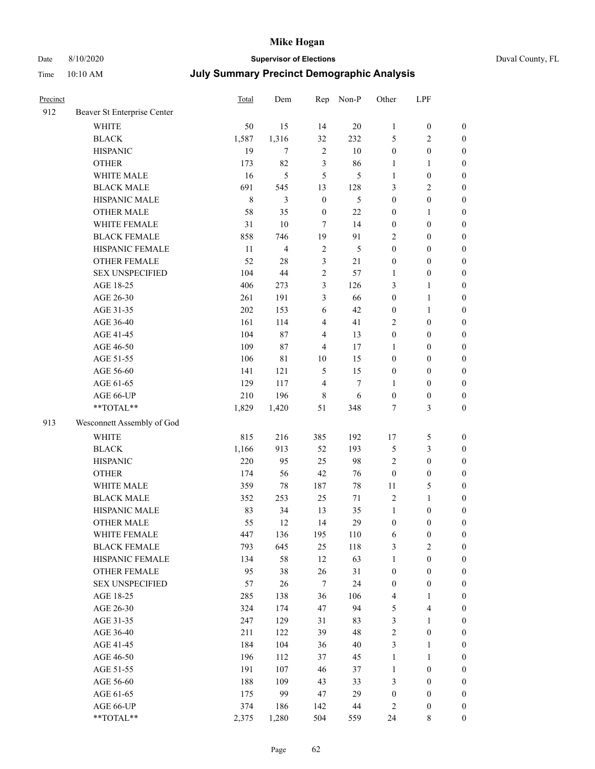# Date 8/10/2020 **Supervisor of Elections** Duval County, FL

| Precinct |                             | Total       | Dem            |                         | Rep Non-P      | Other            | LPF              |                  |
|----------|-----------------------------|-------------|----------------|-------------------------|----------------|------------------|------------------|------------------|
| 912      | Beaver St Enterprise Center |             |                |                         |                |                  |                  |                  |
|          | <b>WHITE</b>                | 50          | 15             | 14                      | 20             | $\mathbf{1}$     | $\boldsymbol{0}$ | $\boldsymbol{0}$ |
|          | <b>BLACK</b>                | 1,587       | 1,316          | 32                      | 232            | 5                | $\sqrt{2}$       | $\boldsymbol{0}$ |
|          | <b>HISPANIC</b>             | 19          | $\tau$         | $\sqrt{2}$              | $10\,$         | $\boldsymbol{0}$ | $\boldsymbol{0}$ | $\boldsymbol{0}$ |
|          | <b>OTHER</b>                | 173         | 82             | 3                       | 86             | $\mathbf{1}$     | $\mathbf{1}$     | $\boldsymbol{0}$ |
|          | WHITE MALE                  | 16          | 5              | 5                       | 5              | $\mathbf{1}$     | $\boldsymbol{0}$ | $\boldsymbol{0}$ |
|          | <b>BLACK MALE</b>           | 691         | 545            | 13                      | 128            | 3                | $\sqrt{2}$       | $\boldsymbol{0}$ |
|          | HISPANIC MALE               | $\,$ 8 $\,$ | 3              | $\boldsymbol{0}$        | $\mathfrak{S}$ | $\boldsymbol{0}$ | $\boldsymbol{0}$ | $\boldsymbol{0}$ |
|          | <b>OTHER MALE</b>           | 58          | 35             | $\boldsymbol{0}$        | 22             | $\boldsymbol{0}$ | 1                | $\boldsymbol{0}$ |
|          | WHITE FEMALE                | 31          | $10\,$         | $\tau$                  | 14             | $\boldsymbol{0}$ | $\boldsymbol{0}$ | $\boldsymbol{0}$ |
|          | <b>BLACK FEMALE</b>         | 858         | 746            | 19                      | 91             | $\overline{2}$   | $\boldsymbol{0}$ | 0                |
|          | HISPANIC FEMALE             | 11          | $\overline{4}$ | $\sqrt{2}$              | 5              | $\boldsymbol{0}$ | $\boldsymbol{0}$ | $\boldsymbol{0}$ |
|          | <b>OTHER FEMALE</b>         | 52          | $28\,$         | $\mathfrak{Z}$          | 21             | $\boldsymbol{0}$ | $\boldsymbol{0}$ | $\boldsymbol{0}$ |
|          | <b>SEX UNSPECIFIED</b>      | 104         | 44             | $\sqrt{2}$              | 57             | 1                | $\boldsymbol{0}$ | $\boldsymbol{0}$ |
|          | AGE 18-25                   | 406         | 273            | 3                       | 126            | 3                | $\mathbf{1}$     | $\boldsymbol{0}$ |
|          | AGE 26-30                   | 261         | 191            | 3                       | 66             | $\boldsymbol{0}$ | $\mathbf{1}$     | $\boldsymbol{0}$ |
|          | AGE 31-35                   | 202         | 153            | $\sqrt{6}$              | 42             | $\boldsymbol{0}$ | $\mathbf{1}$     | $\boldsymbol{0}$ |
|          | AGE 36-40                   | 161         | 114            | $\overline{4}$          | 41             | 2                | $\boldsymbol{0}$ | $\boldsymbol{0}$ |
|          | AGE 41-45                   | 104         | 87             | $\overline{\mathbf{4}}$ | 13             | $\boldsymbol{0}$ | $\boldsymbol{0}$ | $\boldsymbol{0}$ |
|          | AGE 46-50                   | 109         | 87             | $\overline{4}$          | 17             | $\mathbf{1}$     | $\boldsymbol{0}$ | $\boldsymbol{0}$ |
|          | AGE 51-55                   | 106         | 81             | 10                      | 15             | $\boldsymbol{0}$ | $\boldsymbol{0}$ | $\boldsymbol{0}$ |
|          | AGE 56-60                   | 141         | 121            | $\sqrt{5}$              | 15             | $\boldsymbol{0}$ | $\boldsymbol{0}$ | $\boldsymbol{0}$ |
|          | AGE 61-65                   | 129         | 117            | $\overline{\mathbf{4}}$ | $\tau$         | 1                | $\boldsymbol{0}$ | $\boldsymbol{0}$ |
|          | AGE 66-UP                   | 210         | 196            | $\,8\,$                 | 6              | $\boldsymbol{0}$ | $\boldsymbol{0}$ | $\boldsymbol{0}$ |
|          | **TOTAL**                   | 1,829       | 1,420          | 51                      | 348            | 7                | $\mathfrak{Z}$   | $\boldsymbol{0}$ |
| 913      | Wesconnett Assembly of God  |             |                |                         |                |                  |                  |                  |
|          | <b>WHITE</b>                | 815         | 216            | 385                     | 192            | 17               | $\mathfrak s$    | $\boldsymbol{0}$ |
|          | <b>BLACK</b>                | 1,166       | 913            | 52                      | 193            | 5                | $\mathfrak{Z}$   | $\boldsymbol{0}$ |
|          | <b>HISPANIC</b>             | 220         | 95             | 25                      | 98             | $\overline{c}$   | $\boldsymbol{0}$ | $\boldsymbol{0}$ |
|          | <b>OTHER</b>                | 174         | 56             | 42                      | 76             | $\boldsymbol{0}$ | $\boldsymbol{0}$ | $\boldsymbol{0}$ |
|          | WHITE MALE                  | 359         | $78\,$         | 187                     | $78\,$         | $11\,$           | $\mathfrak s$    | $\boldsymbol{0}$ |
|          | <b>BLACK MALE</b>           | 352         | 253            | 25                      | 71             | $\mathfrak{2}$   | $\mathbf{1}$     | $\boldsymbol{0}$ |
|          | HISPANIC MALE               | 83          | 34             | 13                      | 35             | $\mathbf{1}$     | $\boldsymbol{0}$ | 0                |
|          | <b>OTHER MALE</b>           | 55          | 12             | 14                      | 29             | $\boldsymbol{0}$ | $\boldsymbol{0}$ | $\boldsymbol{0}$ |
|          | WHITE FEMALE                | 447         | 136            | 195                     | 110            | 6                | $\boldsymbol{0}$ | $\boldsymbol{0}$ |
|          | <b>BLACK FEMALE</b>         | 793         | 645            | 25                      | 118            | 3                | $\sqrt{2}$       | $\overline{0}$   |
|          | HISPANIC FEMALE             | 134         | 58             | 12                      | 63             | $\mathbf{1}$     | $\boldsymbol{0}$ | $\overline{0}$   |
|          | <b>OTHER FEMALE</b>         | 95          | 38             | 26                      | 31             | $\boldsymbol{0}$ | $\boldsymbol{0}$ | $\overline{0}$   |
|          | <b>SEX UNSPECIFIED</b>      | 57          | 26             | 7                       | 24             | $\boldsymbol{0}$ | $\boldsymbol{0}$ | 0                |
|          | AGE 18-25                   | 285         | 138            | 36                      | 106            | 4                | $\mathbf{1}$     | $\theta$         |
|          | AGE 26-30                   | 324         | 174            | 47                      | 94             | 5                | $\overline{4}$   | 0                |
|          | AGE 31-35                   | 247         | 129            | 31                      | 83             | 3                | $\mathbf{1}$     | 0                |
|          | AGE 36-40                   | 211         | 122            | 39                      | 48             | $\overline{c}$   | $\boldsymbol{0}$ | 0                |
|          | AGE 41-45                   | 184         | 104            | 36                      | $40\,$         | 3                | 1                | 0                |
|          | AGE 46-50                   | 196         | 112            | 37                      | 45             | $\mathbf{1}$     | $\mathbf{1}$     | 0                |
|          | AGE 51-55                   | 191         | 107            | 46                      | 37             | $\mathbf{1}$     | $\boldsymbol{0}$ | $\boldsymbol{0}$ |
|          | AGE 56-60                   | 188         | 109            | 43                      | 33             | 3                | $\boldsymbol{0}$ | $\boldsymbol{0}$ |
|          | AGE 61-65                   | 175         | 99             | 47                      | 29             | $\boldsymbol{0}$ | $\boldsymbol{0}$ | $\overline{0}$   |
|          | AGE 66-UP                   | 374         | 186            | 142                     | 44             | 2                | $\boldsymbol{0}$ | 0                |
|          | **TOTAL**                   | 2,375       | 1,280          | 504                     | 559            | 24               | 8                | $\boldsymbol{0}$ |
|          |                             |             |                |                         |                |                  |                  |                  |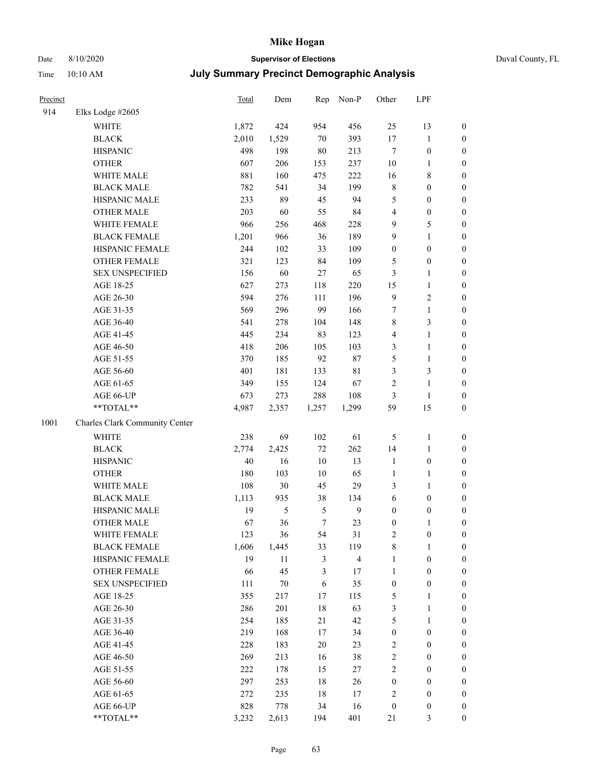#### Date 8/10/2020 **Supervisor of Elections** Duval County, FL Time 10:10 AM **July Summary Precinct Demographic Analysis**

| .        | 10.10 THM           |       |                     |              |           |                   |                |
|----------|---------------------|-------|---------------------|--------------|-----------|-------------------|----------------|
| Precinct |                     | Total | Dem                 |              | Rep Non-P | Other             | <b>LPF</b>     |
| 914      | Elks Lodge $\#2605$ |       |                     |              |           |                   |                |
|          | 11711TD             | 1.072 | $\Lambda$ $\Lambda$ | $\Omega F A$ | 10C       | $\sim$ $\epsilon$ | 1 <sub>2</sub> |

|      | WHITE                                                     | 1,872 | 424    | 954        | 456          | 25               | 13               | $\boldsymbol{0}$ |
|------|-----------------------------------------------------------|-------|--------|------------|--------------|------------------|------------------|------------------|
|      | <b>BLACK</b>                                              | 2,010 | 1,529  | $70\,$     | 393          | $17\,$           | $\mathbf{1}$     | $\boldsymbol{0}$ |
|      | <b>HISPANIC</b>                                           | 498   | 198    | $80\,$     | 213          | $\boldsymbol{7}$ | $\boldsymbol{0}$ | $\boldsymbol{0}$ |
|      | <b>OTHER</b>                                              | 607   | 206    | 153        | 237          | 10               | $\mathbf{1}$     | 0                |
|      | WHITE MALE                                                | 881   | 160    | 475        | 222          | 16               | $8\,$            | 0                |
|      | <b>BLACK MALE</b>                                         | 782   | 541    | 34         | 199          | 8                | $\boldsymbol{0}$ | $\boldsymbol{0}$ |
|      | HISPANIC MALE                                             | 233   | 89     | 45         | 94           | 5                | $\boldsymbol{0}$ | $\boldsymbol{0}$ |
|      | <b>OTHER MALE</b>                                         | 203   | 60     | 55         | 84           | 4                | $\boldsymbol{0}$ | $\boldsymbol{0}$ |
|      | WHITE FEMALE                                              | 966   | 256    | 468        | 228          | 9                | $\mathfrak{S}$   | $\boldsymbol{0}$ |
|      | <b>BLACK FEMALE</b>                                       | 1,201 | 966    | 36         | 189          | 9                | $\mathbf{1}$     | $\boldsymbol{0}$ |
|      | HISPANIC FEMALE                                           | 244   | 102    | 33         | 109          | $\boldsymbol{0}$ | $\boldsymbol{0}$ | $\boldsymbol{0}$ |
|      | <b>OTHER FEMALE</b>                                       | 321   | 123    | 84         | 109          | 5                | $\boldsymbol{0}$ | $\boldsymbol{0}$ |
|      | <b>SEX UNSPECIFIED</b>                                    | 156   | 60     | $27\,$     | 65           | 3                | $\mathbf{1}$     | 0                |
|      | AGE 18-25                                                 | 627   | 273    | 118        | 220          | 15               | $\mathbf{1}$     | 0                |
|      | AGE 26-30                                                 | 594   | 276    | 111        | 196          | 9                | $\sqrt{2}$       | 0                |
|      | AGE 31-35                                                 | 569   | 296    | 99         | 166          | 7                | $\mathbf{1}$     | $\boldsymbol{0}$ |
|      | AGE 36-40                                                 | 541   | 278    | 104        | 148          | 8                | $\mathfrak{Z}$   | $\boldsymbol{0}$ |
|      | AGE 41-45                                                 | 445   | 234    | 83         | 123          | 4                | $\mathbf{1}$     | $\boldsymbol{0}$ |
|      | AGE 46-50                                                 | 418   | 206    | 105        | 103          | 3                | $\mathbf{1}$     | $\boldsymbol{0}$ |
|      | AGE 51-55                                                 | 370   | 185    | 92         | 87           | 5                | $\mathbf{1}$     | $\boldsymbol{0}$ |
|      | AGE 56-60                                                 | 401   | 181    | 133        | 81           | $\mathfrak{Z}$   | $\mathfrak{Z}$   | $\boldsymbol{0}$ |
|      | AGE 61-65                                                 | 349   | 155    | 124        | 67           | $\sqrt{2}$       | $\mathbf{1}$     | $\boldsymbol{0}$ |
|      | AGE 66-UP                                                 | 673   | 273    | 288        | 108          | $\mathfrak{Z}$   | $\mathbf{1}$     | 0                |
|      | **TOTAL**                                                 | 4,987 | 2,357  | 1,257      | 1,299        | 59               | 15               | 0                |
| 1001 | Charles Clark Community Center                            |       |        |            |              |                  |                  |                  |
|      | <b>WHITE</b>                                              | 238   | 69     | 102        | 61           | 5                | $\mathbf{1}$     | 0                |
|      | <b>BLACK</b>                                              | 2,774 | 2,425  | $72\,$     | 262          | 14               | $\mathbf{1}$     | 0                |
|      | <b>HISPANIC</b>                                           | 40    | 16     | $10\,$     | 13           | $\mathbf{1}$     | $\boldsymbol{0}$ | 0                |
|      | <b>OTHER</b>                                              | 180   | 103    | $10\,$     | 65           | $\mathbf{1}$     | $\mathbf{1}$     | $\boldsymbol{0}$ |
|      | WHITE MALE                                                | 108   | 30     | 45         | 29           | 3                | $\mathbf{1}$     | $\boldsymbol{0}$ |
|      | <b>BLACK MALE</b>                                         | 1,113 | 935    | 38         | 134          | 6                | $\boldsymbol{0}$ | $\boldsymbol{0}$ |
|      | HISPANIC MALE                                             | 19    | 5      | $\sqrt{5}$ | $\mathbf{9}$ | $\boldsymbol{0}$ | $\boldsymbol{0}$ | $\boldsymbol{0}$ |
|      | <b>OTHER MALE</b>                                         | 67    | 36     | $\tau$     | 23           | $\boldsymbol{0}$ | $\mathbf{1}$     | $\boldsymbol{0}$ |
|      | WHITE FEMALE                                              | 123   | 36     | 54         | 31           | $\overline{c}$   | $\boldsymbol{0}$ | 0                |
|      | <b>BLACK FEMALE</b>                                       | 1,606 | 1,445  | 33         | 119          | $\,$ $\,$        | 1                | 0                |
|      | HISPANIC FEMALE                                           | 19    | 11     | 3          | 4            | 1                | $\bf{0}$         | 0                |
|      | OTHER FEMALE                                              | 66    | 45     | 3          | 17           | $\mathbf{1}$     | $\boldsymbol{0}$ | $\boldsymbol{0}$ |
|      | <b>SEX UNSPECIFIED</b>                                    | 111   | $70\,$ | 6          | 35           | $\boldsymbol{0}$ | $\boldsymbol{0}$ | $\overline{0}$   |
|      | AGE 18-25                                                 | 355   | 217    | 17         | 115          | 5                | $\mathbf{1}$     | $\boldsymbol{0}$ |
|      | AGE 26-30                                                 | 286   | 201    | 18         | 63           | 3                | $\mathbf{1}$     | $\overline{0}$   |
|      | AGE 31-35                                                 | 254   | 185    | 21         | 42           | 5                | $\mathbf{1}$     | 0                |
|      | AGE 36-40                                                 | 219   | 168    | 17         | 34           | $\boldsymbol{0}$ | $\boldsymbol{0}$ | $\theta$         |
|      | AGE 41-45                                                 | 228   | 183    | $20\,$     | 23           | 2                | $\boldsymbol{0}$ | 0                |
|      | AGE 46-50                                                 | 269   | 213    | 16         | 38           | $\sqrt{2}$       | $\boldsymbol{0}$ | 0                |
|      | AGE 51-55                                                 | 222   | 178    | 15         | 27           | $\sqrt{2}$       | $\boldsymbol{0}$ | 0                |
|      | AGE 56-60                                                 | 297   | 253    | $18\,$     | 26           | $\boldsymbol{0}$ | $\boldsymbol{0}$ | 0                |
|      | AGE 61-65                                                 | 272   | 235    | 18         | 17           | 2                | $\boldsymbol{0}$ | 0                |
|      | AGE 66-UP                                                 | 828   | 778    | 34         | 16           | $\boldsymbol{0}$ | $\boldsymbol{0}$ | 0                |
|      | $\mathrm{*}\mathrm{*}\mathrm{TOTAL} \mathrm{*}\mathrm{*}$ | 3,232 | 2,613  | 194        | 401          | 21               | 3                | $\boldsymbol{0}$ |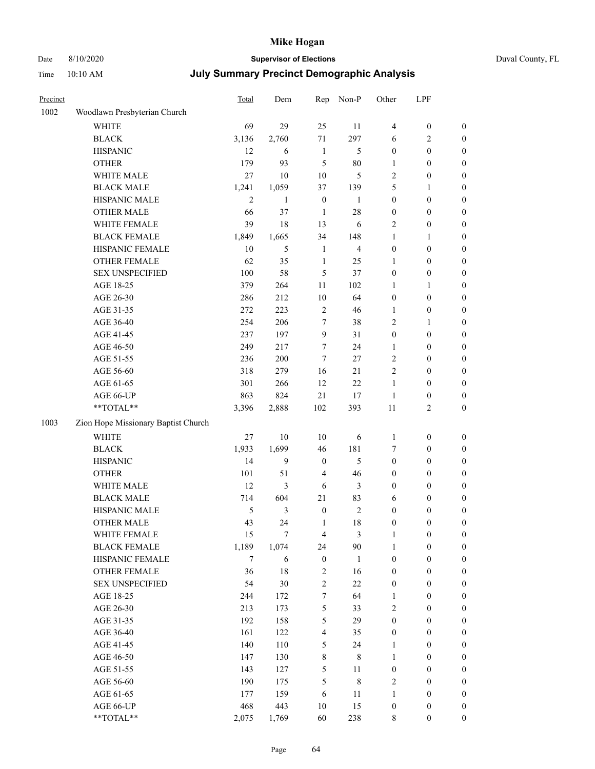# Date 8/10/2020 **Supervisor of Elections** Duval County, FL

| Precinct |                                                             | Total          | Dem              | Rep                     | Non-P          | Other            | LPF              |                  |
|----------|-------------------------------------------------------------|----------------|------------------|-------------------------|----------------|------------------|------------------|------------------|
| 1002     | Woodlawn Presbyterian Church                                |                |                  |                         |                |                  |                  |                  |
|          | <b>WHITE</b>                                                | 69             | 29               | 25                      | 11             | 4                | $\boldsymbol{0}$ | $\boldsymbol{0}$ |
|          | <b>BLACK</b>                                                | 3,136          | 2,760            | 71                      | 297            | 6                | $\sqrt{2}$       | $\boldsymbol{0}$ |
|          | <b>HISPANIC</b>                                             | 12             | 6                | $\mathbf{1}$            | 5              | $\boldsymbol{0}$ | $\boldsymbol{0}$ | $\boldsymbol{0}$ |
|          | <b>OTHER</b>                                                | 179            | 93               | 5                       | 80             | 1                | $\boldsymbol{0}$ | $\boldsymbol{0}$ |
|          | WHITE MALE                                                  | 27             | 10               | 10                      | $\mathfrak s$  | 2                | $\boldsymbol{0}$ | $\boldsymbol{0}$ |
|          | <b>BLACK MALE</b>                                           | 1,241          | 1,059            | 37                      | 139            | 5                | 1                | $\boldsymbol{0}$ |
|          | HISPANIC MALE                                               | $\overline{2}$ | $\mathbf{1}$     | $\boldsymbol{0}$        | $\mathbf{1}$   | $\boldsymbol{0}$ | $\boldsymbol{0}$ | $\boldsymbol{0}$ |
|          | <b>OTHER MALE</b>                                           | 66             | 37               | $\mathbf{1}$            | 28             | $\boldsymbol{0}$ | $\boldsymbol{0}$ | 0                |
|          | WHITE FEMALE                                                | 39             | 18               | 13                      | 6              | $\mathbf{2}$     | $\boldsymbol{0}$ | 0                |
|          | <b>BLACK FEMALE</b>                                         | 1,849          | 1,665            | 34                      | 148            | $\mathbf{1}$     | 1                | $\boldsymbol{0}$ |
|          | HISPANIC FEMALE                                             | $10\,$         | 5                | $\mathbf{1}$            | $\overline{4}$ | $\boldsymbol{0}$ | $\boldsymbol{0}$ | $\boldsymbol{0}$ |
|          | OTHER FEMALE                                                | 62             | 35               | $\mathbf{1}$            | 25             | 1                | $\boldsymbol{0}$ | $\boldsymbol{0}$ |
|          | <b>SEX UNSPECIFIED</b>                                      | 100            | 58               | 5                       | 37             | $\boldsymbol{0}$ | $\boldsymbol{0}$ | $\boldsymbol{0}$ |
|          | AGE 18-25                                                   | 379            | 264              | 11                      | 102            | 1                | 1                | $\boldsymbol{0}$ |
|          | AGE 26-30                                                   | 286            | 212              | $10\,$                  | 64             | $\boldsymbol{0}$ | $\boldsymbol{0}$ | $\boldsymbol{0}$ |
|          | AGE 31-35                                                   | 272            | 223              | $\sqrt{2}$              | 46             | 1                | $\boldsymbol{0}$ | $\boldsymbol{0}$ |
|          | AGE 36-40                                                   | 254            | 206              | 7                       | 38             | 2                | 1                | $\boldsymbol{0}$ |
|          | AGE 41-45                                                   | 237            | 197              | 9                       | 31             | $\boldsymbol{0}$ | $\boldsymbol{0}$ | 0                |
|          | AGE 46-50                                                   | 249            | 217              | 7                       | 24             | 1                | $\boldsymbol{0}$ | 0                |
|          | AGE 51-55                                                   | 236            | 200              | 7                       | $27\,$         | 2                | $\boldsymbol{0}$ | $\boldsymbol{0}$ |
|          | AGE 56-60                                                   | 318            | 279              | 16                      | 21             | $\overline{c}$   | $\boldsymbol{0}$ | $\boldsymbol{0}$ |
|          | AGE 61-65                                                   | 301            | 266              | 12                      | $22\,$         | 1                | $\boldsymbol{0}$ | $\boldsymbol{0}$ |
|          | AGE 66-UP                                                   | 863            | 824              | 21                      | 17             | $\mathbf{1}$     | $\boldsymbol{0}$ | $\boldsymbol{0}$ |
|          | $\mathrm{*}\mathrm{*} \mathrm{TOTAL} \mathrm{*} \mathrm{*}$ | 3,396          | 2,888            | 102                     | 393            | $11\,$           | $\overline{2}$   | $\boldsymbol{0}$ |
| 1003     | Zion Hope Missionary Baptist Church                         |                |                  |                         |                |                  |                  |                  |
|          | <b>WHITE</b>                                                | 27             | 10               | 10                      | 6              | $\mathbf{1}$     | $\boldsymbol{0}$ | $\boldsymbol{0}$ |
|          | <b>BLACK</b>                                                | 1,933          | 1,699            | 46                      | 181            | 7                | $\boldsymbol{0}$ | $\boldsymbol{0}$ |
|          | <b>HISPANIC</b>                                             | 14             | $\boldsymbol{9}$ | $\boldsymbol{0}$        | 5              | $\boldsymbol{0}$ | $\boldsymbol{0}$ | $\boldsymbol{0}$ |
|          | <b>OTHER</b>                                                | 101            | 51               | 4                       | 46             | $\boldsymbol{0}$ | $\boldsymbol{0}$ | $\boldsymbol{0}$ |
|          | WHITE MALE                                                  | 12             | 3                | 6                       | 3              | $\boldsymbol{0}$ | $\boldsymbol{0}$ | 0                |
|          | <b>BLACK MALE</b>                                           | 714            | 604              | 21                      | 83             | 6                | $\boldsymbol{0}$ | 0                |
|          | HISPANIC MALE                                               | 5              | $\mathfrak{Z}$   | $\boldsymbol{0}$        | $\sqrt{2}$     | $\boldsymbol{0}$ | $\boldsymbol{0}$ | 0                |
|          | <b>OTHER MALE</b>                                           | 43             | 24               | $\mathbf{1}$            | 18             | 0                | $\boldsymbol{0}$ | $\boldsymbol{0}$ |
|          | WHITE FEMALE                                                | 15             | $\boldsymbol{7}$ | 4                       | 3              | 1                | $\boldsymbol{0}$ | $\boldsymbol{0}$ |
|          | <b>BLACK FEMALE</b>                                         | 1,189          | 1,074            | 24                      | 90             | $\mathbf{1}$     | $\boldsymbol{0}$ | $\overline{0}$   |
|          | HISPANIC FEMALE                                             | $\tau$         | 6                | $\boldsymbol{0}$        | 1              | $\boldsymbol{0}$ | $\boldsymbol{0}$ | $\overline{0}$   |
|          | <b>OTHER FEMALE</b>                                         | 36             | 18               | $\sqrt{2}$              | 16             | $\boldsymbol{0}$ | $\boldsymbol{0}$ | $\overline{0}$   |
|          | <b>SEX UNSPECIFIED</b>                                      | 54             | 30               | $\overline{c}$          | 22             | $\boldsymbol{0}$ | $\boldsymbol{0}$ | $\overline{0}$   |
|          | AGE 18-25                                                   | 244            | 172              | $\tau$                  | 64             | 1                | $\boldsymbol{0}$ | $\overline{0}$   |
|          | AGE 26-30                                                   | 213            | 173              | 5                       | 33             | 2                | $\boldsymbol{0}$ | 0                |
|          | AGE 31-35                                                   | 192            | 158              | 5                       | 29             | $\boldsymbol{0}$ | $\boldsymbol{0}$ | 0                |
|          | AGE 36-40                                                   | 161            | 122              | $\overline{\mathbf{4}}$ | 35             | $\boldsymbol{0}$ | $\boldsymbol{0}$ | $\boldsymbol{0}$ |
|          | AGE 41-45                                                   | 140            | 110              | 5                       | 24             | $\mathbf{1}$     | $\boldsymbol{0}$ | $\boldsymbol{0}$ |
|          | AGE 46-50                                                   | 147            | 130              | 8                       | $\,$ 8 $\,$    | $\mathbf{1}$     | $\boldsymbol{0}$ | $\boldsymbol{0}$ |
|          | AGE 51-55                                                   | 143            | 127              | 5                       | 11             | $\boldsymbol{0}$ | $\boldsymbol{0}$ | $\boldsymbol{0}$ |
|          | AGE 56-60                                                   | 190            | 175              | 5                       | $\,$ $\,$      | 2                | $\boldsymbol{0}$ | $\boldsymbol{0}$ |
|          | AGE 61-65                                                   | 177            | 159              | 6                       | 11             | 1                | $\boldsymbol{0}$ | $\overline{0}$   |
|          | AGE 66-UP                                                   | 468            | 443              | $10\,$                  | 15             | $\boldsymbol{0}$ | $\boldsymbol{0}$ | $\overline{0}$   |
|          | **TOTAL**                                                   | 2,075          | 1,769            | 60                      | 238            | 8                | $\boldsymbol{0}$ | $\boldsymbol{0}$ |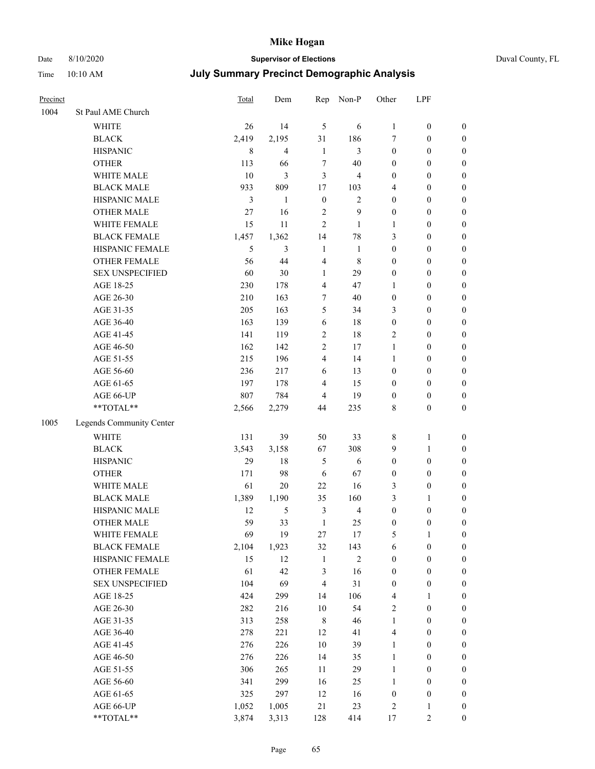## Date 8/10/2020 **Supervisor of Elections** Duval County, FL

| Precinct |                          | Total  | Dem            | Rep                     | Non-P          | Other            | LPF              |                  |
|----------|--------------------------|--------|----------------|-------------------------|----------------|------------------|------------------|------------------|
| 1004     | St Paul AME Church       |        |                |                         |                |                  |                  |                  |
|          | <b>WHITE</b>             | 26     | 14             | 5                       | 6              | $\mathbf{1}$     | $\boldsymbol{0}$ | 0                |
|          | <b>BLACK</b>             | 2,419  | 2,195          | 31                      | 186            | 7                | $\boldsymbol{0}$ | $\boldsymbol{0}$ |
|          | <b>HISPANIC</b>          | 8      | $\overline{4}$ | $\mathbf{1}$            | 3              | $\boldsymbol{0}$ | $\boldsymbol{0}$ | $\boldsymbol{0}$ |
|          | <b>OTHER</b>             | 113    | 66             | $\boldsymbol{7}$        | 40             | $\boldsymbol{0}$ | $\boldsymbol{0}$ | $\boldsymbol{0}$ |
|          | WHITE MALE               | $10\,$ | $\mathfrak{Z}$ | 3                       | 4              | $\boldsymbol{0}$ | $\boldsymbol{0}$ | $\boldsymbol{0}$ |
|          | <b>BLACK MALE</b>        | 933    | 809            | 17                      | 103            | 4                | $\boldsymbol{0}$ | $\boldsymbol{0}$ |
|          | HISPANIC MALE            | 3      | $\mathbf{1}$   | $\boldsymbol{0}$        | $\mathfrak{2}$ | $\boldsymbol{0}$ | $\boldsymbol{0}$ | $\boldsymbol{0}$ |
|          | <b>OTHER MALE</b>        | 27     | 16             | $\overline{2}$          | $\overline{9}$ | $\boldsymbol{0}$ | $\boldsymbol{0}$ | $\boldsymbol{0}$ |
|          | WHITE FEMALE             | 15     | 11             | $\overline{2}$          | $\mathbf{1}$   | $\mathbf{1}$     | $\boldsymbol{0}$ | $\boldsymbol{0}$ |
|          | <b>BLACK FEMALE</b>      | 1,457  | 1,362          | 14                      | 78             | 3                | $\boldsymbol{0}$ | $\boldsymbol{0}$ |
|          | HISPANIC FEMALE          | 5      | 3              | $\mathbf{1}$            | 1              | $\boldsymbol{0}$ | $\boldsymbol{0}$ | $\boldsymbol{0}$ |
|          | <b>OTHER FEMALE</b>      | 56     | 44             | $\overline{4}$          | $\,$ 8 $\,$    | $\boldsymbol{0}$ | $\boldsymbol{0}$ | $\boldsymbol{0}$ |
|          | <b>SEX UNSPECIFIED</b>   | 60     | 30             | $\mathbf{1}$            | 29             | $\boldsymbol{0}$ | $\boldsymbol{0}$ | $\boldsymbol{0}$ |
|          | AGE 18-25                | 230    | 178            | $\overline{4}$          | 47             | $\mathbf{1}$     | $\boldsymbol{0}$ | $\boldsymbol{0}$ |
|          | AGE 26-30                | 210    | 163            | 7                       | 40             | $\boldsymbol{0}$ | $\boldsymbol{0}$ | $\boldsymbol{0}$ |
|          | AGE 31-35                | 205    | 163            | 5                       | 34             | 3                | $\boldsymbol{0}$ | $\boldsymbol{0}$ |
|          | AGE 36-40                | 163    | 139            | $\sqrt{6}$              | 18             | $\boldsymbol{0}$ | $\boldsymbol{0}$ | $\boldsymbol{0}$ |
|          | AGE 41-45                | 141    | 119            | $\overline{c}$          | 18             | $\mathfrak{2}$   | $\boldsymbol{0}$ | $\boldsymbol{0}$ |
|          | AGE 46-50                | 162    | 142            | $\overline{c}$          | 17             | $\mathbf{1}$     | $\boldsymbol{0}$ | $\boldsymbol{0}$ |
|          | AGE 51-55                | 215    | 196            | $\overline{4}$          | 14             | $\mathbf{1}$     | $\boldsymbol{0}$ | $\boldsymbol{0}$ |
|          | AGE 56-60                | 236    | 217            | 6                       | 13             | $\boldsymbol{0}$ | $\boldsymbol{0}$ | 0                |
|          | AGE 61-65                | 197    | 178            | $\overline{4}$          | 15             | $\boldsymbol{0}$ | $\boldsymbol{0}$ | $\boldsymbol{0}$ |
|          | AGE 66-UP                | 807    | 784            | $\overline{4}$          | 19             | $\boldsymbol{0}$ | $\boldsymbol{0}$ | $\boldsymbol{0}$ |
|          | **TOTAL**                | 2,566  | 2,279          | 44                      | 235            | 8                | $\boldsymbol{0}$ | $\boldsymbol{0}$ |
| 1005     | Legends Community Center |        |                |                         |                |                  |                  |                  |
|          | <b>WHITE</b>             | 131    | 39             | 50                      | 33             | $\,$ 8 $\,$      | $\mathbf{1}$     | $\boldsymbol{0}$ |
|          | <b>BLACK</b>             | 3,543  | 3,158          | 67                      | 308            | 9                | $\mathbf{1}$     | $\boldsymbol{0}$ |
|          | <b>HISPANIC</b>          | 29     | 18             | 5                       | 6              | $\boldsymbol{0}$ | $\boldsymbol{0}$ | $\boldsymbol{0}$ |
|          | <b>OTHER</b>             | 171    | 98             | 6                       | 67             | $\boldsymbol{0}$ | $\boldsymbol{0}$ | $\boldsymbol{0}$ |
|          | WHITE MALE               | 61     | 20             | 22                      | 16             | 3                | $\boldsymbol{0}$ | $\boldsymbol{0}$ |
|          | <b>BLACK MALE</b>        | 1,389  | 1,190          | 35                      | 160            | 3                | $\mathbf{1}$     | $\boldsymbol{0}$ |
|          | HISPANIC MALE            | 12     | $\mathfrak{S}$ | $\mathfrak{Z}$          | $\overline{4}$ | $\boldsymbol{0}$ | $\boldsymbol{0}$ | $\boldsymbol{0}$ |
|          | <b>OTHER MALE</b>        | 59     | 33             | $\mathbf{1}$            | 25             | $\boldsymbol{0}$ | $\boldsymbol{0}$ | $\boldsymbol{0}$ |
|          | WHITE FEMALE             | 69     | 19             | 27                      | 17             | 5                | 1                | 0                |
|          | <b>BLACK FEMALE</b>      | 2,104  | 1,923          | 32                      | 143            | 6                | $\boldsymbol{0}$ | $\boldsymbol{0}$ |
|          | HISPANIC FEMALE          | 15     | 12             | $\mathbf{1}$            | $\sqrt{2}$     | $\boldsymbol{0}$ | $\boldsymbol{0}$ | $\overline{0}$   |
|          | <b>OTHER FEMALE</b>      | 61     | 42             | 3                       | 16             | $\boldsymbol{0}$ | $\boldsymbol{0}$ | $\overline{0}$   |
|          | <b>SEX UNSPECIFIED</b>   | 104    | 69             | $\overline{\mathbf{4}}$ | 31             | $\boldsymbol{0}$ | $\boldsymbol{0}$ | 0                |
|          | AGE 18-25                | 424    | 299            | 14                      | 106            | 4                | $\mathbf{1}$     | $\overline{0}$   |
|          | AGE 26-30                | 282    | 216            | $10\,$                  | 54             | 2                | $\boldsymbol{0}$ | 0                |
|          | AGE 31-35                | 313    | 258            | $\,$ 8 $\,$             | 46             | $\mathbf{1}$     | $\boldsymbol{0}$ | 0                |
|          | AGE 36-40                | 278    | 221            | 12                      | 41             | 4                | $\boldsymbol{0}$ | 0                |
|          | AGE 41-45                | 276    | 226            | $10\,$                  | 39             | $\mathbf{1}$     | $\boldsymbol{0}$ | 0                |
|          | AGE 46-50                | 276    | 226            | 14                      | 35             | $\mathbf{1}$     | $\boldsymbol{0}$ | 0                |
|          | AGE 51-55                | 306    | 265            | 11                      | 29             | $\mathbf{1}$     | $\boldsymbol{0}$ | $\boldsymbol{0}$ |
|          | AGE 56-60                | 341    | 299            | 16                      | 25             | $\mathbf{1}$     | $\boldsymbol{0}$ | $\boldsymbol{0}$ |
|          | AGE 61-65                | 325    | 297            | 12                      | 16             | $\boldsymbol{0}$ | $\boldsymbol{0}$ | $\overline{0}$   |
|          | AGE 66-UP                | 1,052  | 1,005          | $21\,$                  | 23             | 2                | $\mathbf{1}$     | 0                |
|          | **TOTAL**                | 3,874  | 3,313          | 128                     | 414            | 17               | $\sqrt{2}$       | $\boldsymbol{0}$ |
|          |                          |        |                |                         |                |                  |                  |                  |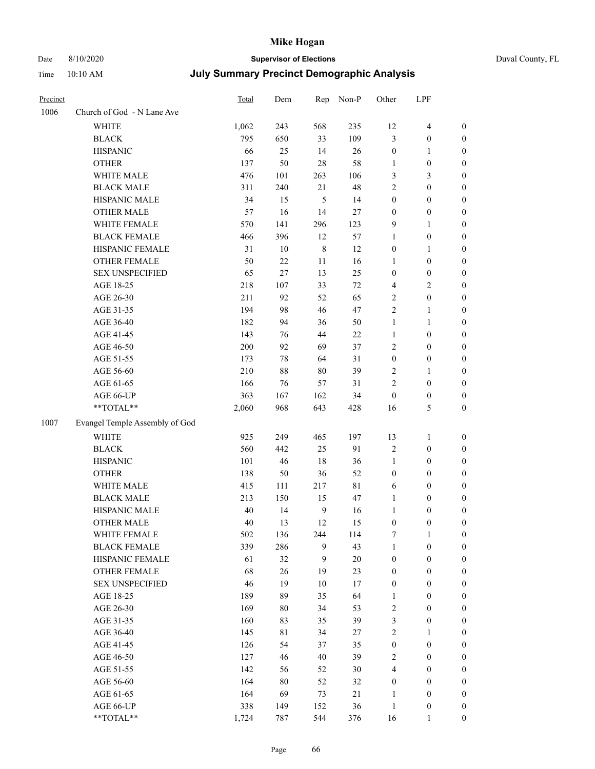#### Date 8/10/2020 **Supervisor of Elections** Time 10:10 AM **July Summary Precinct Demographic Analysis**

|  | Duval County, FL |  |
|--|------------------|--|
|--|------------------|--|

| 1 11 1 1 <b>1</b> | $10.10 \mu M$              | <u>vary Sammary i Toomot Bonivyraphio Andrysis</u> |     |     |         |          |                |          |  |  |
|-------------------|----------------------------|----------------------------------------------------|-----|-----|---------|----------|----------------|----------|--|--|
| Precinct          |                            | Total                                              | Dem | Rep | $Non-P$ | Other    | <b>LPF</b>     |          |  |  |
| 1006              | Church of God - N Lane Ave |                                                    |     |     |         |          |                |          |  |  |
|                   | WHITE                      | 1,062                                              | 243 | 568 | 235     | 12       | 4              | $\theta$ |  |  |
|                   | <b>BLACK</b>               | 795                                                | 650 | 33  | 109     | 3        | $\overline{0}$ | 0        |  |  |
|                   | <b>HISPANIC</b>            | 66                                                 | 25  | 14  | 26      | $\theta$ |                | 0        |  |  |
|                   | <b>OTHER</b>               | 137                                                | 50  | 28  | 58      |          | $\overline{0}$ | 0        |  |  |
|                   | <b>WHITE MALE</b>          | 476                                                | 101 | 263 | 106     | 3        | 3              | 0        |  |  |
|                   | <b>BLACK MALE</b>          | 311                                                | 240 | 21  | 48      | 2        | $\overline{0}$ | 0        |  |  |
|                   | <b>HISPANIC MALE</b>       | 34                                                 | 15  | 5   | 14      | 0        | $\theta$       | 0        |  |  |
|                   |                            |                                                    |     |     |         |          |                |          |  |  |

|      | <b>OTHER</b>                   | 137   | 50     | 28               | 58          | $\mathbf{1}$     | $\boldsymbol{0}$ | $\boldsymbol{0}$ |
|------|--------------------------------|-------|--------|------------------|-------------|------------------|------------------|------------------|
|      | WHITE MALE                     | 476   | 101    | 263              | 106         | 3                | 3                | $\boldsymbol{0}$ |
|      | <b>BLACK MALE</b>              | 311   | 240    | $21\,$           | 48          | $\sqrt{2}$       | $\boldsymbol{0}$ | $\boldsymbol{0}$ |
|      | HISPANIC MALE                  | 34    | 15     | 5                | 14          | $\boldsymbol{0}$ | $\boldsymbol{0}$ | $\boldsymbol{0}$ |
|      | <b>OTHER MALE</b>              | 57    | 16     | 14               | 27          | $\boldsymbol{0}$ | $\boldsymbol{0}$ | $\boldsymbol{0}$ |
|      | WHITE FEMALE                   | 570   | 141    | 296              | 123         | 9                | 1                | $\boldsymbol{0}$ |
|      | <b>BLACK FEMALE</b>            | 466   | 396    | 12               | 57          | 1                | $\boldsymbol{0}$ | $\boldsymbol{0}$ |
|      | HISPANIC FEMALE                | 31    | $10\,$ | $\,8\,$          | 12          | $\boldsymbol{0}$ | 1                | $\boldsymbol{0}$ |
|      | <b>OTHER FEMALE</b>            | 50    | 22     | 11               | 16          | 1                | $\boldsymbol{0}$ | $\boldsymbol{0}$ |
|      | <b>SEX UNSPECIFIED</b>         | 65    | 27     | 13               | 25          | $\boldsymbol{0}$ | $\boldsymbol{0}$ | $\boldsymbol{0}$ |
|      | AGE 18-25                      | 218   | 107    | 33               | $72\,$      | $\overline{4}$   | 2                | $\boldsymbol{0}$ |
|      | AGE 26-30                      | 211   | 92     | 52               | 65          | $\sqrt{2}$       | $\boldsymbol{0}$ | $\boldsymbol{0}$ |
|      | AGE 31-35                      | 194   | 98     | 46               | 47          | $\overline{2}$   | 1                | $\boldsymbol{0}$ |
|      | AGE 36-40                      | 182   | 94     | 36               | 50          | $\mathbf{1}$     | $\mathbf{1}$     | $\boldsymbol{0}$ |
|      | AGE 41-45                      | 143   | 76     | 44               | 22          | $\mathbf{1}$     | $\boldsymbol{0}$ | $\boldsymbol{0}$ |
|      | AGE 46-50                      | 200   | 92     | 69               | 37          | $\sqrt{2}$       | $\boldsymbol{0}$ | $\boldsymbol{0}$ |
|      | AGE 51-55                      | 173   | $78\,$ | 64               | 31          | $\boldsymbol{0}$ | $\boldsymbol{0}$ | $\boldsymbol{0}$ |
|      | AGE 56-60                      | 210   | $88\,$ | 80               | 39          | $\sqrt{2}$       | 1                | $\boldsymbol{0}$ |
|      | AGE 61-65                      | 166   | 76     | 57               | 31          | $\sqrt{2}$       | $\boldsymbol{0}$ | $\boldsymbol{0}$ |
|      | AGE 66-UP                      | 363   | 167    | 162              | 34          | $\boldsymbol{0}$ | $\boldsymbol{0}$ | $\boldsymbol{0}$ |
|      | $**TOTAL**$                    | 2,060 | 968    | 643              | 428         | 16               | 5                | $\boldsymbol{0}$ |
| 1007 | Evangel Temple Assembly of God |       |        |                  |             |                  |                  |                  |
|      | <b>WHITE</b>                   | 925   | 249    | 465              | 197         | 13               | $\mathbf{1}$     | $\boldsymbol{0}$ |
|      | <b>BLACK</b>                   | 560   | 442    | 25               | 91          | $\sqrt{2}$       | $\boldsymbol{0}$ | $\boldsymbol{0}$ |
|      | <b>HISPANIC</b>                | 101   | 46     | 18               | 36          | $\mathbf{1}$     | $\boldsymbol{0}$ | $\boldsymbol{0}$ |
|      | <b>OTHER</b>                   | 138   | 50     | 36               | 52          | $\boldsymbol{0}$ | $\boldsymbol{0}$ | $\boldsymbol{0}$ |
|      | WHITE MALE                     | 415   | 111    | 217              | $8\sqrt{1}$ | 6                | $\boldsymbol{0}$ | $\boldsymbol{0}$ |
|      | <b>BLACK MALE</b>              | 213   | 150    | 15               | 47          | 1                | $\boldsymbol{0}$ | $\boldsymbol{0}$ |
|      | HISPANIC MALE                  | 40    | 14     | 9                | 16          | $\mathbf{1}$     | $\boldsymbol{0}$ | $\boldsymbol{0}$ |
|      | <b>OTHER MALE</b>              | 40    | 13     | 12               | 15          | $\boldsymbol{0}$ | $\boldsymbol{0}$ | $\boldsymbol{0}$ |
|      | WHITE FEMALE                   | 502   | 136    | 244              | 114         | 7                | $\mathbf{1}$     | $\boldsymbol{0}$ |
|      | <b>BLACK FEMALE</b>            | 339   | 286    | $\boldsymbol{9}$ | 43          | $\mathbf{1}$     | $\boldsymbol{0}$ | $\boldsymbol{0}$ |
|      | HISPANIC FEMALE                | 61    | 32     | 9                | $20\,$      | $\boldsymbol{0}$ | $\boldsymbol{0}$ | $\boldsymbol{0}$ |
|      | <b>OTHER FEMALE</b>            | 68    | 26     | 19               | 23          | $\boldsymbol{0}$ | $\boldsymbol{0}$ | $\boldsymbol{0}$ |
|      | <b>SEX UNSPECIFIED</b>         | 46    | 19     | 10               | 17          | $\boldsymbol{0}$ | $\boldsymbol{0}$ | $\boldsymbol{0}$ |
|      | AGE 18-25                      | 189   | 89     | 35               | 64          | $\mathbf{I}$     | $\boldsymbol{0}$ | $\boldsymbol{0}$ |
|      | AGE 26-30                      | 169   | 80     | 34               | 53          | $\sqrt{2}$       | $\boldsymbol{0}$ | $\boldsymbol{0}$ |
|      | AGE 31-35                      | 160   | 83     | 35               | 39          | $\sqrt{3}$       | $\boldsymbol{0}$ | $\boldsymbol{0}$ |
|      | AGE 36-40                      | 145   | 81     | 34               | $27\,$      | $\sqrt{2}$       | $\mathbf{1}$     | $\boldsymbol{0}$ |
|      | AGE 41-45                      | 126   | 54     | 37               | 35          | $\boldsymbol{0}$ | $\boldsymbol{0}$ | $\boldsymbol{0}$ |
|      | AGE 46-50                      | 127   | 46     | 40               | 39          | $\sqrt{2}$       | $\boldsymbol{0}$ | $\boldsymbol{0}$ |
|      | AGE 51-55                      | 142   | 56     | 52               | 30          | $\overline{4}$   | $\boldsymbol{0}$ | $\boldsymbol{0}$ |
|      | AGE 56-60                      | 164   | $80\,$ | 52               | 32          | $\boldsymbol{0}$ | $\boldsymbol{0}$ | $\boldsymbol{0}$ |
|      | AGE 61-65                      | 164   | 69     | 73               | 21          | $\mathbf{1}$     | $\boldsymbol{0}$ | $\boldsymbol{0}$ |
|      | AGE 66-UP                      | 338   | 149    | 152              | 36          | $\mathbf{1}$     | $\boldsymbol{0}$ | $\boldsymbol{0}$ |
|      | **TOTAL**                      | 1,724 | 787    | 544              | 376         | 16               | $\mathbf{1}$     | $\boldsymbol{0}$ |
|      |                                |       |        |                  |             |                  |                  |                  |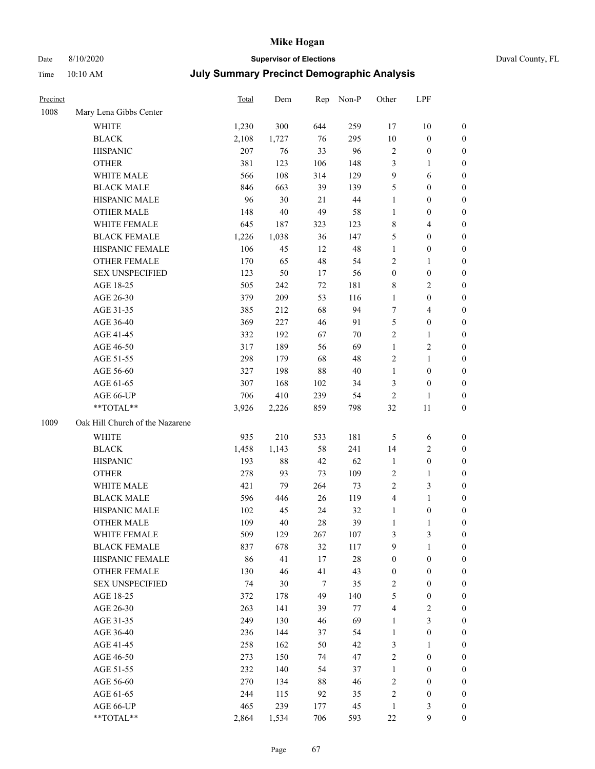# Date 8/10/2020 **Supervisor of Elections** Duval County, FL

| Precinct |                                 | Total | Dem    | Rep    | Non-P  | Other            | LPF                     |                  |
|----------|---------------------------------|-------|--------|--------|--------|------------------|-------------------------|------------------|
| 1008     | Mary Lena Gibbs Center          |       |        |        |        |                  |                         |                  |
|          | <b>WHITE</b>                    | 1,230 | 300    | 644    | 259    | 17               | $10\,$                  | 0                |
|          | <b>BLACK</b>                    | 2,108 | 1,727  | 76     | 295    | $10\,$           | $\boldsymbol{0}$        | 0                |
|          | <b>HISPANIC</b>                 | 207   | 76     | 33     | 96     | $\sqrt{2}$       | $\boldsymbol{0}$        | $\boldsymbol{0}$ |
|          | <b>OTHER</b>                    | 381   | 123    | 106    | 148    | 3                | 1                       | $\boldsymbol{0}$ |
|          | WHITE MALE                      | 566   | 108    | 314    | 129    | 9                | 6                       | $\boldsymbol{0}$ |
|          | <b>BLACK MALE</b>               | 846   | 663    | 39     | 139    | 5                | $\boldsymbol{0}$        | $\boldsymbol{0}$ |
|          | HISPANIC MALE                   | 96    | 30     | 21     | 44     | $\mathbf{1}$     | $\boldsymbol{0}$        | $\boldsymbol{0}$ |
|          | <b>OTHER MALE</b>               | 148   | 40     | 49     | 58     | $\mathbf{1}$     | $\boldsymbol{0}$        | $\boldsymbol{0}$ |
|          | WHITE FEMALE                    | 645   | 187    | 323    | 123    | 8                | $\overline{4}$          | $\boldsymbol{0}$ |
|          | <b>BLACK FEMALE</b>             | 1,226 | 1,038  | 36     | 147    | 5                | $\boldsymbol{0}$        | 0                |
|          | HISPANIC FEMALE                 | 106   | 45     | 12     | 48     | $\mathbf{1}$     | $\boldsymbol{0}$        | 0                |
|          | <b>OTHER FEMALE</b>             | 170   | 65     | 48     | 54     | 2                | $\mathbf{1}$            | 0                |
|          | <b>SEX UNSPECIFIED</b>          | 123   | 50     | 17     | 56     | $\boldsymbol{0}$ | $\boldsymbol{0}$        | $\boldsymbol{0}$ |
|          | AGE 18-25                       | 505   | 242    | $72\,$ | 181    | 8                | $\sqrt{2}$              | $\boldsymbol{0}$ |
|          | AGE 26-30                       | 379   | 209    | 53     | 116    | $\mathbf{1}$     | $\boldsymbol{0}$        | $\boldsymbol{0}$ |
|          | AGE 31-35                       | 385   | 212    | 68     | 94     | 7                | $\overline{\mathbf{4}}$ | $\boldsymbol{0}$ |
|          | AGE 36-40                       | 369   | 227    | 46     | 91     | 5                | $\boldsymbol{0}$        | $\boldsymbol{0}$ |
|          | AGE 41-45                       | 332   | 192    | 67     | $70\,$ | 2                | $\mathbf{1}$            | $\boldsymbol{0}$ |
|          | AGE 46-50                       | 317   | 189    | 56     | 69     | $\mathbf{1}$     | $\sqrt{2}$              | $\boldsymbol{0}$ |
|          | AGE 51-55                       | 298   | 179    | 68     | 48     | 2                | $\mathbf{1}$            | 0                |
|          | AGE 56-60                       | 327   | 198    | 88     | 40     | $\mathbf{1}$     | $\boldsymbol{0}$        | 0                |
|          | AGE 61-65                       | 307   | 168    | 102    | 34     | 3                | $\boldsymbol{0}$        | 0                |
|          | AGE 66-UP                       | 706   | 410    | 239    | 54     | $\mathbf{2}$     | $\mathbf{1}$            | $\boldsymbol{0}$ |
|          | **TOTAL**                       | 3,926 | 2,226  | 859    | 798    | 32               | 11                      | $\boldsymbol{0}$ |
| 1009     | Oak Hill Church of the Nazarene |       |        |        |        |                  |                         |                  |
|          | <b>WHITE</b>                    | 935   | 210    | 533    | 181    | 5                | 6                       | $\boldsymbol{0}$ |
|          | <b>BLACK</b>                    | 1,458 | 1,143  | 58     | 241    | 14               | $\sqrt{2}$              | $\boldsymbol{0}$ |
|          | <b>HISPANIC</b>                 | 193   | $88\,$ | 42     | 62     | $\mathbf{1}$     | $\boldsymbol{0}$        | $\boldsymbol{0}$ |
|          | <b>OTHER</b>                    | 278   | 93     | 73     | 109    | 2                | $\mathbf{1}$            | $\boldsymbol{0}$ |
|          | WHITE MALE                      | 421   | 79     | 264    | 73     | 2                | 3                       | $\boldsymbol{0}$ |
|          | <b>BLACK MALE</b>               | 596   | 446    | 26     | 119    | 4                | $\mathbf{1}$            | $\boldsymbol{0}$ |
|          | HISPANIC MALE                   | 102   | 45     | 24     | 32     | $\mathbf{1}$     | $\boldsymbol{0}$        | 0                |
|          | <b>OTHER MALE</b>               | 109   | 40     | 28     | 39     | $\mathbf{1}$     | $\mathbf{1}$            | 0                |
|          | WHITE FEMALE                    | 509   | 129    | 267    | 107    | 3                | 3                       | 0                |
|          | <b>BLACK FEMALE</b>             | 837   | 678    | 32     | 117    | 9                | $\mathbf{1}$            | $\boldsymbol{0}$ |
|          | HISPANIC FEMALE                 | 86    | 41     | 17     | $28\,$ | $\boldsymbol{0}$ | $\boldsymbol{0}$        | $\overline{0}$   |
|          | OTHER FEMALE                    | 130   | 46     | 41     | 43     | $\boldsymbol{0}$ | $\boldsymbol{0}$        | $\overline{0}$   |
|          | <b>SEX UNSPECIFIED</b>          | 74    | 30     | $\tau$ | 35     | 2                | $\boldsymbol{0}$        | 0                |
|          | AGE 18-25                       | 372   | 178    | 49     | 140    | 5                | $\boldsymbol{0}$        | 0                |
|          | AGE 26-30                       | 263   | 141    | 39     | 77     | 4                | $\sqrt{2}$              | 0                |
|          | AGE 31-35                       | 249   | 130    | 46     | 69     | $\mathbf{1}$     | $\mathfrak{Z}$          | 0                |
|          | AGE 36-40                       | 236   | 144    | 37     | 54     | $\mathbf{1}$     | $\boldsymbol{0}$        | 0                |
|          | AGE 41-45                       | 258   | 162    | 50     | 42     | 3                | 1                       | 0                |
|          | AGE 46-50                       | 273   | 150    | 74     | 47     | 2                | $\boldsymbol{0}$        | 0                |
|          | AGE 51-55                       | 232   | 140    | 54     | 37     | $\mathbf{1}$     | $\boldsymbol{0}$        | 0                |
|          | AGE 56-60                       | 270   | 134    | 88     | 46     | 2                | $\boldsymbol{0}$        | 0                |
|          | AGE 61-65                       | 244   | 115    | 92     | 35     | 2                | $\boldsymbol{0}$        | 0                |
|          | AGE 66-UP                       | 465   | 239    | 177    | 45     | $\mathbf{1}$     | 3                       | 0                |
|          | **TOTAL**                       | 2,864 | 1,534  | 706    | 593    | $22\,$           | $\mathbf{9}$            | $\boldsymbol{0}$ |
|          |                                 |       |        |        |        |                  |                         |                  |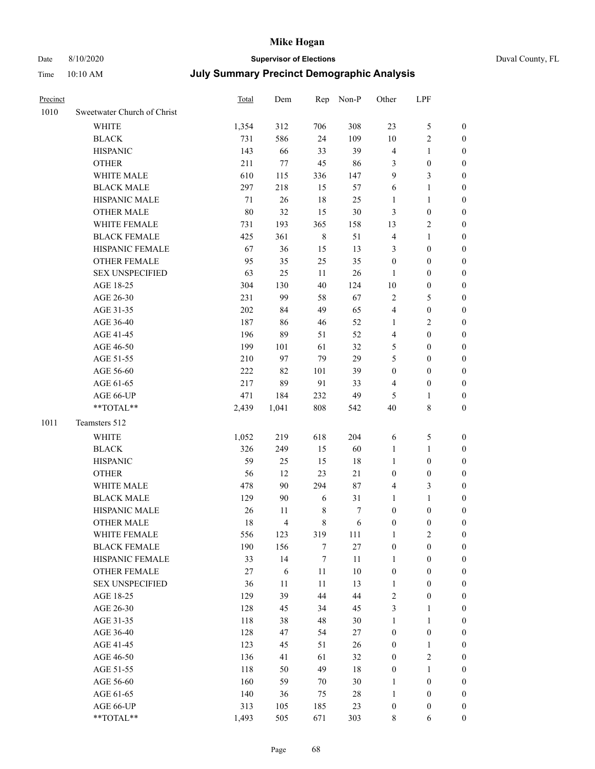# Date 8/10/2020 **Supervisor of Elections** Duval County, FL

| Precinct |                             | Total  | Dem            | Rep              | Non-P  | Other                   | LPF              |                  |
|----------|-----------------------------|--------|----------------|------------------|--------|-------------------------|------------------|------------------|
| 1010     | Sweetwater Church of Christ |        |                |                  |        |                         |                  |                  |
|          | WHITE                       | 1,354  | 312            | 706              | 308    | 23                      | $\mathfrak{S}$   | $\boldsymbol{0}$ |
|          | <b>BLACK</b>                | 731    | 586            | 24               | 109    | $10\,$                  | $\mathfrak{2}$   | $\boldsymbol{0}$ |
|          | <b>HISPANIC</b>             | 143    | 66             | 33               | 39     | 4                       | $\mathbf{1}$     | $\boldsymbol{0}$ |
|          | <b>OTHER</b>                | 211    | 77             | 45               | 86     | 3                       | $\boldsymbol{0}$ | 0                |
|          | WHITE MALE                  | 610    | 115            | 336              | 147    | 9                       | $\mathfrak{Z}$   | 0                |
|          | <b>BLACK MALE</b>           | 297    | 218            | 15               | 57     | 6                       | $\mathbf{1}$     | $\boldsymbol{0}$ |
|          | HISPANIC MALE               | $71\,$ | 26             | 18               | 25     | $\mathbf{1}$            | $\mathbf{1}$     | $\boldsymbol{0}$ |
|          | <b>OTHER MALE</b>           | $80\,$ | 32             | 15               | 30     | $\mathfrak{Z}$          | $\boldsymbol{0}$ | $\boldsymbol{0}$ |
|          | WHITE FEMALE                | 731    | 193            | 365              | 158    | 13                      | $\sqrt{2}$       | $\boldsymbol{0}$ |
|          | <b>BLACK FEMALE</b>         | 425    | 361            | $8\,$            | 51     | 4                       | $\mathbf{1}$     | $\boldsymbol{0}$ |
|          | HISPANIC FEMALE             | 67     | 36             | 15               | 13     | 3                       | $\boldsymbol{0}$ | $\boldsymbol{0}$ |
|          | OTHER FEMALE                | 95     | 35             | 25               | 35     | $\boldsymbol{0}$        | $\boldsymbol{0}$ | $\boldsymbol{0}$ |
|          | <b>SEX UNSPECIFIED</b>      | 63     | 25             | 11               | $26\,$ | $\mathbf{1}$            | $\boldsymbol{0}$ | $\boldsymbol{0}$ |
|          | AGE 18-25                   | 304    | 130            | 40               | 124    | $10\,$                  | $\boldsymbol{0}$ | 0                |
|          | AGE 26-30                   | 231    | 99             | 58               | 67     | $\sqrt{2}$              | 5                | 0                |
|          | AGE 31-35                   | 202    | 84             | 49               | 65     | 4                       | $\boldsymbol{0}$ | $\boldsymbol{0}$ |
|          | AGE 36-40                   | 187    | 86             | 46               | 52     | $\mathbf{1}$            | $\mathfrak{2}$   | $\boldsymbol{0}$ |
|          | AGE 41-45                   | 196    | 89             | 51               | 52     | 4                       | $\boldsymbol{0}$ | $\boldsymbol{0}$ |
|          | AGE 46-50                   | 199    | 101            | 61               | 32     | 5                       | $\boldsymbol{0}$ | $\boldsymbol{0}$ |
|          | AGE 51-55                   | 210    | 97             | 79               | 29     | 5                       | $\boldsymbol{0}$ | $\boldsymbol{0}$ |
|          | AGE 56-60                   | 222    | 82             | 101              | 39     | $\boldsymbol{0}$        | $\boldsymbol{0}$ | $\boldsymbol{0}$ |
|          | AGE 61-65                   | 217    | 89             | 91               | 33     | $\overline{\mathbf{4}}$ | $\boldsymbol{0}$ | $\boldsymbol{0}$ |
|          | AGE 66-UP                   | 471    | 184            | 232              | 49     | 5                       | $\mathbf{1}$     | 0                |
|          | **TOTAL**                   | 2,439  | 1,041          | $808\,$          | 542    | 40                      | $\,$ 8 $\,$      | $\boldsymbol{0}$ |
| 1011     | Teamsters 512               |        |                |                  |        |                         |                  |                  |
|          | WHITE                       | 1,052  | 219            | 618              | 204    | 6                       | 5                | 0                |
|          | <b>BLACK</b>                | 326    | 249            | 15               | 60     | $\mathbf{1}$            | $\mathbf{1}$     | 0                |
|          | <b>HISPANIC</b>             | 59     | 25             | 15               | 18     | $\mathbf{1}$            | $\boldsymbol{0}$ | 0                |
|          | <b>OTHER</b>                | 56     | 12             | 23               | 21     | $\boldsymbol{0}$        | $\boldsymbol{0}$ | $\boldsymbol{0}$ |
|          | WHITE MALE                  | 478    | 90             | 294              | $87\,$ | 4                       | $\mathfrak{Z}$   | $\boldsymbol{0}$ |
|          | <b>BLACK MALE</b>           | 129    | 90             | 6                | 31     | $\mathbf{1}$            | $\mathbf{1}$     | $\boldsymbol{0}$ |
|          | HISPANIC MALE               | 26     | 11             | $\,$ 8 $\,$      | 7      | $\boldsymbol{0}$        | $\boldsymbol{0}$ | $\boldsymbol{0}$ |
|          | <b>OTHER MALE</b>           | 18     | $\overline{4}$ | 8                | 6      | $\boldsymbol{0}$        | $\boldsymbol{0}$ | $\boldsymbol{0}$ |
|          | WHITE FEMALE                | 556    | 123            | 319              | 111    | $\,1$                   | $\mathfrak{2}$   | 0                |
|          | <b>BLACK FEMALE</b>         | 190    | 156            | $\boldsymbol{7}$ | $27\,$ | $\boldsymbol{0}$        | $\boldsymbol{0}$ | 0                |
|          | HISPANIC FEMALE             | 33     | 14             | $\boldsymbol{7}$ | $11\,$ | $\mathbf{1}$            | $\boldsymbol{0}$ | 0                |
|          | OTHER FEMALE                | 27     | $\sqrt{6}$     | 11               | $10\,$ | $\boldsymbol{0}$        | $\boldsymbol{0}$ | 0                |
|          | <b>SEX UNSPECIFIED</b>      | 36     | 11             | 11               | 13     | $\mathbf{1}$            | $\boldsymbol{0}$ | 0                |
|          | AGE 18-25                   | 129    | 39             | 44               | 44     | $\sqrt{2}$              | $\boldsymbol{0}$ | 0                |
|          | AGE 26-30                   | 128    | 45             | 34               | 45     | 3                       | $\mathbf{1}$     | $\overline{0}$   |
|          | AGE 31-35                   | 118    | 38             | 48               | $30\,$ | $\mathbf{1}$            | $\mathbf{1}$     | $\overline{0}$   |
|          | AGE 36-40                   | 128    | 47             | 54               | $27\,$ | $\boldsymbol{0}$        | $\boldsymbol{0}$ | 0                |
|          | AGE 41-45                   | 123    | 45             | 51               | 26     | $\boldsymbol{0}$        | $\mathbf{1}$     | 0                |
|          | AGE 46-50                   | 136    | 41             | 61               | 32     | $\boldsymbol{0}$        | $\mathfrak{2}$   | 0                |
|          | AGE 51-55                   | 118    | 50             | 49               | 18     | $\boldsymbol{0}$        | $\mathbf{1}$     | 0                |
|          | AGE 56-60                   | 160    | 59             | 70               | $30\,$ | $\mathbf{1}$            | $\boldsymbol{0}$ | 0                |
|          | AGE 61-65                   | 140    | 36             | 75               | $28\,$ | $\mathbf{1}$            | $\boldsymbol{0}$ | 0                |
|          | AGE 66-UP                   | 313    | 105            | 185              | 23     | $\boldsymbol{0}$        | $\boldsymbol{0}$ | 0                |
|          | **TOTAL**                   | 1,493  | 505            | 671              | 303    | $\,8\,$                 | 6                | $\boldsymbol{0}$ |
|          |                             |        |                |                  |        |                         |                  |                  |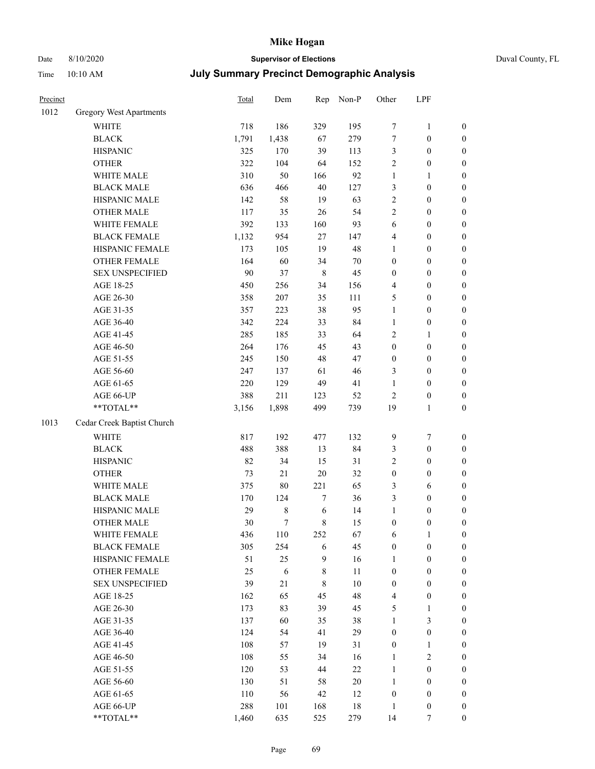# Date 8/10/2020 **Supervisor of Elections** Duval County, FL

| Precinct |                                                             | Total  | Dem            |         | Rep Non-P | Other            | LPF              |                  |
|----------|-------------------------------------------------------------|--------|----------------|---------|-----------|------------------|------------------|------------------|
| 1012     | Gregory West Apartments                                     |        |                |         |           |                  |                  |                  |
|          | <b>WHITE</b>                                                | 718    | 186            | 329     | 195       | 7                | $\mathbf{1}$     | 0                |
|          | <b>BLACK</b>                                                | 1,791  | 1,438          | 67      | 279       | $\boldsymbol{7}$ | $\boldsymbol{0}$ | 0                |
|          | <b>HISPANIC</b>                                             | 325    | 170            | 39      | 113       | 3                | $\boldsymbol{0}$ | $\boldsymbol{0}$ |
|          | <b>OTHER</b>                                                | 322    | 104            | 64      | 152       | $\overline{c}$   | $\boldsymbol{0}$ | $\boldsymbol{0}$ |
|          | WHITE MALE                                                  | 310    | 50             | 166     | 92        | $\mathbf{1}$     | $\mathbf{1}$     | $\boldsymbol{0}$ |
|          | <b>BLACK MALE</b>                                           | 636    | 466            | 40      | 127       | 3                | $\boldsymbol{0}$ | $\boldsymbol{0}$ |
|          | HISPANIC MALE                                               | 142    | 58             | 19      | 63        | $\overline{c}$   | $\boldsymbol{0}$ | $\boldsymbol{0}$ |
|          | <b>OTHER MALE</b>                                           | 117    | 35             | 26      | 54        | $\overline{c}$   | $\boldsymbol{0}$ | $\boldsymbol{0}$ |
|          | WHITE FEMALE                                                | 392    | 133            | 160     | 93        | 6                | $\boldsymbol{0}$ | $\boldsymbol{0}$ |
|          | <b>BLACK FEMALE</b>                                         | 1,132  | 954            | 27      | 147       | 4                | $\boldsymbol{0}$ | $\boldsymbol{0}$ |
|          | HISPANIC FEMALE                                             | 173    | 105            | 19      | 48        | 1                | $\boldsymbol{0}$ | 0                |
|          | OTHER FEMALE                                                | 164    | 60             | 34      | $70\,$    | $\boldsymbol{0}$ | $\boldsymbol{0}$ | 0                |
|          | <b>SEX UNSPECIFIED</b>                                      | $90\,$ | 37             | $\,8\,$ | 45        | $\boldsymbol{0}$ | $\boldsymbol{0}$ | $\boldsymbol{0}$ |
|          | AGE 18-25                                                   | 450    | 256            | 34      | 156       | 4                | $\boldsymbol{0}$ | $\boldsymbol{0}$ |
|          | AGE 26-30                                                   | 358    | 207            | 35      | 111       | 5                | $\boldsymbol{0}$ | $\boldsymbol{0}$ |
|          | AGE 31-35                                                   | 357    | 223            | 38      | 95        | $\mathbf{1}$     | $\boldsymbol{0}$ | $\boldsymbol{0}$ |
|          | AGE 36-40                                                   | 342    | 224            | 33      | 84        | $\mathbf{1}$     | $\boldsymbol{0}$ | $\boldsymbol{0}$ |
|          | AGE 41-45                                                   | 285    | 185            | 33      | 64        | 2                | $\mathbf{1}$     | $\boldsymbol{0}$ |
|          | AGE 46-50                                                   | 264    | 176            | 45      | 43        | $\boldsymbol{0}$ | $\boldsymbol{0}$ | $\boldsymbol{0}$ |
|          | AGE 51-55                                                   | 245    | 150            | 48      | 47        | $\boldsymbol{0}$ | $\boldsymbol{0}$ | 0                |
|          | AGE 56-60                                                   | 247    | 137            | 61      | 46        | 3                | $\boldsymbol{0}$ | 0                |
|          | AGE 61-65                                                   | 220    | 129            | 49      | 41        | $\mathbf{1}$     | $\boldsymbol{0}$ | $\boldsymbol{0}$ |
|          | AGE 66-UP                                                   | 388    | 211            | 123     | 52        | 2                | $\boldsymbol{0}$ | $\boldsymbol{0}$ |
|          | $\mathrm{*}\mathrm{*} \mathrm{TOTAL} \mathrm{*} \mathrm{*}$ | 3,156  | 1,898          | 499     | 739       | 19               | $\mathbf{1}$     | $\boldsymbol{0}$ |
| 1013     | Cedar Creek Baptist Church                                  |        |                |         |           |                  |                  |                  |
|          | <b>WHITE</b>                                                | 817    | 192            | 477     | 132       | 9                | $\boldsymbol{7}$ | $\boldsymbol{0}$ |
|          | <b>BLACK</b>                                                | 488    | 388            | 13      | 84        | 3                | $\boldsymbol{0}$ | $\boldsymbol{0}$ |
|          | <b>HISPANIC</b>                                             | 82     | 34             | 15      | 31        | $\overline{c}$   | $\boldsymbol{0}$ | $\boldsymbol{0}$ |
|          | <b>OTHER</b>                                                | 73     | $21\,$         | 20      | 32        | $\boldsymbol{0}$ | $\boldsymbol{0}$ | $\boldsymbol{0}$ |
|          | WHITE MALE                                                  | 375    | 80             | 221     | 65        | 3                | 6                | $\boldsymbol{0}$ |
|          | <b>BLACK MALE</b>                                           | 170    | 124            | 7       | 36        | 3                | $\boldsymbol{0}$ | $\boldsymbol{0}$ |
|          | HISPANIC MALE                                               | 29     | $\,$ 8 $\,$    | 6       | 14        | 1                | $\boldsymbol{0}$ | $\boldsymbol{0}$ |
|          | <b>OTHER MALE</b>                                           | $30\,$ | $\overline{7}$ | 8       | 15        | 0                | $\boldsymbol{0}$ | $\boldsymbol{0}$ |
|          | WHITE FEMALE                                                | 436    | 110            | 252     | 67        | 6                | $\mathbf{1}$     | 0                |
|          | <b>BLACK FEMALE</b>                                         | 305    | 254            | 6       | 45        | $\boldsymbol{0}$ | $\boldsymbol{0}$ | 0                |
|          | HISPANIC FEMALE                                             | 51     | 25             | 9       | 16        | 1                | $\boldsymbol{0}$ | $\overline{0}$   |
|          | <b>OTHER FEMALE</b>                                         | 25     | 6              | 8       | 11        | $\boldsymbol{0}$ | $\boldsymbol{0}$ | $\overline{0}$   |
|          | <b>SEX UNSPECIFIED</b>                                      | 39     | $21\,$         | 8       | 10        | $\boldsymbol{0}$ | $\boldsymbol{0}$ | 0                |
|          | AGE 18-25                                                   | 162    | 65             | 45      | 48        | 4                | $\boldsymbol{0}$ | 0                |
|          | AGE 26-30                                                   | 173    | 83             | 39      | 45        | 5                | $\mathbf{1}$     | 0                |
|          | AGE 31-35                                                   | 137    | 60             | 35      | 38        | $\mathbf{1}$     | $\mathfrak{Z}$   | 0                |
|          | AGE 36-40                                                   | 124    | 54             | 41      | 29        | $\boldsymbol{0}$ | $\boldsymbol{0}$ | 0                |
|          | AGE 41-45                                                   | 108    | 57             | 19      | 31        | $\boldsymbol{0}$ | $\mathbf{1}$     | 0                |
|          | AGE 46-50                                                   | 108    | 55             | 34      | 16        | $\mathbf{1}$     | $\sqrt{2}$       | 0                |
|          | AGE 51-55                                                   | 120    | 53             | 44      | $22\,$    | $\mathbf{1}$     | $\boldsymbol{0}$ | $\overline{0}$   |
|          | AGE 56-60                                                   | 130    | 51             | 58      | 20        | $\mathbf{1}$     | $\boldsymbol{0}$ | $\overline{0}$   |
|          | AGE 61-65                                                   | 110    | 56             | 42      | 12        | $\boldsymbol{0}$ | $\boldsymbol{0}$ | $\overline{0}$   |
|          | AGE 66-UP                                                   | 288    | 101            | 168     | 18        | $\mathbf{1}$     | $\boldsymbol{0}$ | 0                |
|          | **TOTAL**                                                   | 1,460  | 635            | 525     | 279       | 14               | 7                | $\boldsymbol{0}$ |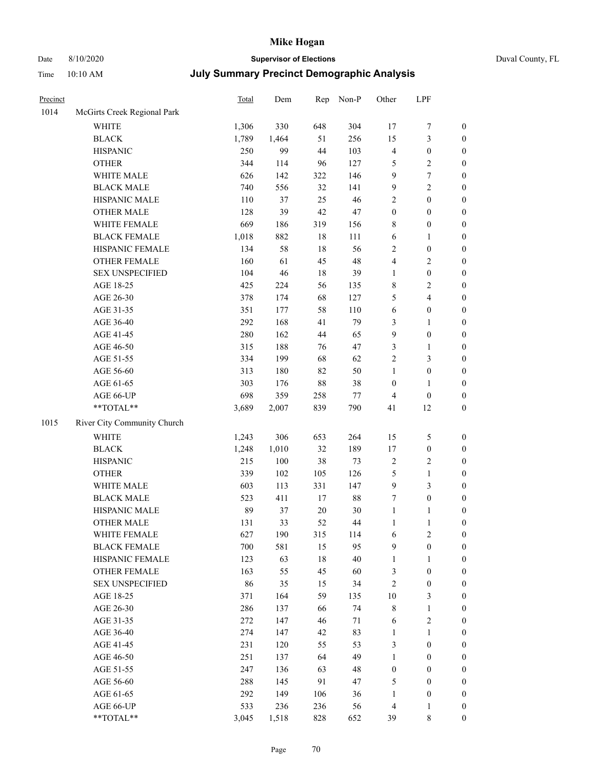# Date 8/10/2020 **Supervisor of Elections** Duval County, FL

| Precinct |                             | Total | Dem   | Rep    | Non-P  | Other            | LPF              |                  |
|----------|-----------------------------|-------|-------|--------|--------|------------------|------------------|------------------|
| 1014     | McGirts Creek Regional Park |       |       |        |        |                  |                  |                  |
|          | <b>WHITE</b>                | 1,306 | 330   | 648    | 304    | 17               | $\boldsymbol{7}$ | 0                |
|          | <b>BLACK</b>                | 1,789 | 1,464 | 51     | 256    | 15               | $\mathfrak{Z}$   | $\boldsymbol{0}$ |
|          | <b>HISPANIC</b>             | 250   | 99    | 44     | 103    | 4                | $\boldsymbol{0}$ | $\boldsymbol{0}$ |
|          | <b>OTHER</b>                | 344   | 114   | 96     | 127    | 5                | $\sqrt{2}$       | $\boldsymbol{0}$ |
|          | WHITE MALE                  | 626   | 142   | 322    | 146    | 9                | $\boldsymbol{7}$ | $\boldsymbol{0}$ |
|          | <b>BLACK MALE</b>           | 740   | 556   | 32     | 141    | 9                | $\sqrt{2}$       | $\boldsymbol{0}$ |
|          | HISPANIC MALE               | 110   | 37    | 25     | 46     | 2                | $\boldsymbol{0}$ | $\boldsymbol{0}$ |
|          | <b>OTHER MALE</b>           | 128   | 39    | 42     | 47     | $\boldsymbol{0}$ | $\boldsymbol{0}$ | $\boldsymbol{0}$ |
|          | WHITE FEMALE                | 669   | 186   | 319    | 156    | 8                | $\boldsymbol{0}$ | $\boldsymbol{0}$ |
|          | <b>BLACK FEMALE</b>         | 1,018 | 882   | 18     | 111    | 6                | 1                | $\boldsymbol{0}$ |
|          | HISPANIC FEMALE             | 134   | 58    | 18     | 56     | $\mathbf{2}$     | $\boldsymbol{0}$ | $\boldsymbol{0}$ |
|          | OTHER FEMALE                | 160   | 61    | 45     | 48     | 4                | $\sqrt{2}$       | $\boldsymbol{0}$ |
|          | <b>SEX UNSPECIFIED</b>      | 104   | 46    | 18     | 39     | $\mathbf{1}$     | $\boldsymbol{0}$ | $\boldsymbol{0}$ |
|          | AGE 18-25                   | 425   | 224   | 56     | 135    | 8                | $\sqrt{2}$       | $\boldsymbol{0}$ |
|          | AGE 26-30                   | 378   | 174   | 68     | 127    | 5                | $\overline{4}$   | $\boldsymbol{0}$ |
|          | AGE 31-35                   | 351   | 177   | 58     | 110    | 6                | $\boldsymbol{0}$ | $\boldsymbol{0}$ |
|          | AGE 36-40                   | 292   | 168   | 41     | 79     | 3                | $\mathbf{1}$     | $\boldsymbol{0}$ |
|          | AGE 41-45                   | 280   | 162   | 44     | 65     | 9                | $\boldsymbol{0}$ | $\boldsymbol{0}$ |
|          | AGE 46-50                   | 315   | 188   | 76     | 47     | 3                | $\mathbf{1}$     | $\boldsymbol{0}$ |
|          | AGE 51-55                   | 334   | 199   | 68     | 62     | $\overline{c}$   | $\mathfrak{Z}$   | $\boldsymbol{0}$ |
|          | AGE 56-60                   | 313   | 180   | 82     | 50     | $\mathbf{1}$     | $\boldsymbol{0}$ | $\boldsymbol{0}$ |
|          | AGE 61-65                   | 303   | 176   | $88\,$ | 38     | $\boldsymbol{0}$ | 1                | $\boldsymbol{0}$ |
|          | AGE 66-UP                   | 698   | 359   | 258    | $77\,$ | 4                | $\boldsymbol{0}$ | $\boldsymbol{0}$ |
|          | $**TOTAL**$                 | 3,689 | 2,007 | 839    | 790    | 41               | 12               | $\boldsymbol{0}$ |
| 1015     | River City Community Church |       |       |        |        |                  |                  |                  |
|          | <b>WHITE</b>                | 1,243 | 306   | 653    | 264    | 15               | 5                | $\boldsymbol{0}$ |
|          | <b>BLACK</b>                | 1,248 | 1,010 | 32     | 189    | 17               | $\boldsymbol{0}$ | $\boldsymbol{0}$ |
|          | <b>HISPANIC</b>             | 215   | 100   | 38     | 73     | 2                | $\sqrt{2}$       | $\boldsymbol{0}$ |
|          | <b>OTHER</b>                | 339   | 102   | 105    | 126    | 5                | $\mathbf{1}$     | $\boldsymbol{0}$ |
|          | WHITE MALE                  | 603   | 113   | 331    | 147    | 9                | 3                | $\boldsymbol{0}$ |
|          | <b>BLACK MALE</b>           | 523   | 411   | $17\,$ | 88     | 7                | $\boldsymbol{0}$ | $\boldsymbol{0}$ |
|          | HISPANIC MALE               | 89    | 37    | $20\,$ | 30     | $\mathbf{1}$     | 1                | 0                |
|          | <b>OTHER MALE</b>           | 131   | 33    | 52     | 44     | $\mathbf{1}$     | $\mathbf{1}$     | $\boldsymbol{0}$ |
|          | WHITE FEMALE                | 627   | 190   | 315    | 114    | 6                | $\overline{c}$   | 0                |
|          | <b>BLACK FEMALE</b>         | 700   | 581   | 15     | 95     | 9                | $\boldsymbol{0}$ | $\overline{0}$   |
|          | HISPANIC FEMALE             | 123   | 63    | 18     | 40     | 1                | 1                | $\overline{0}$   |
|          | OTHER FEMALE                | 163   | 55    | 45     | 60     | 3                | $\boldsymbol{0}$ | $\overline{0}$   |
|          | <b>SEX UNSPECIFIED</b>      | 86    | 35    | 15     | 34     | $\overline{c}$   | $\boldsymbol{0}$ | 0                |
|          | AGE 18-25                   | 371   | 164   | 59     | 135    | 10               | 3                | $\theta$         |
|          | AGE 26-30                   | 286   | 137   | 66     | 74     | 8                | $\mathbf{1}$     | 0                |
|          | AGE 31-35                   | 272   | 147   | 46     | 71     | 6                | $\sqrt{2}$       | 0                |
|          | AGE 36-40                   | 274   | 147   | 42     | 83     | 1                | $\mathbf{1}$     | 0                |
|          | AGE 41-45                   | 231   | 120   | 55     | 53     | 3                | $\boldsymbol{0}$ | 0                |
|          | AGE 46-50                   | 251   | 137   | 64     | 49     | 1                | $\boldsymbol{0}$ | 0                |
|          | AGE 51-55                   | 247   | 136   | 63     | 48     | $\boldsymbol{0}$ | $\boldsymbol{0}$ | 0                |
|          | AGE 56-60                   | 288   | 145   | 91     | 47     | 5                | $\boldsymbol{0}$ | $\overline{0}$   |
|          | AGE 61-65                   | 292   | 149   | 106    | 36     | 1                | $\boldsymbol{0}$ | $\overline{0}$   |
|          | AGE 66-UP                   | 533   | 236   | 236    | 56     | 4                | $\mathbf{1}$     | 0                |
|          | **TOTAL**                   | 3,045 | 1,518 | 828    | 652    | 39               | 8                | $\boldsymbol{0}$ |
|          |                             |       |       |        |        |                  |                  |                  |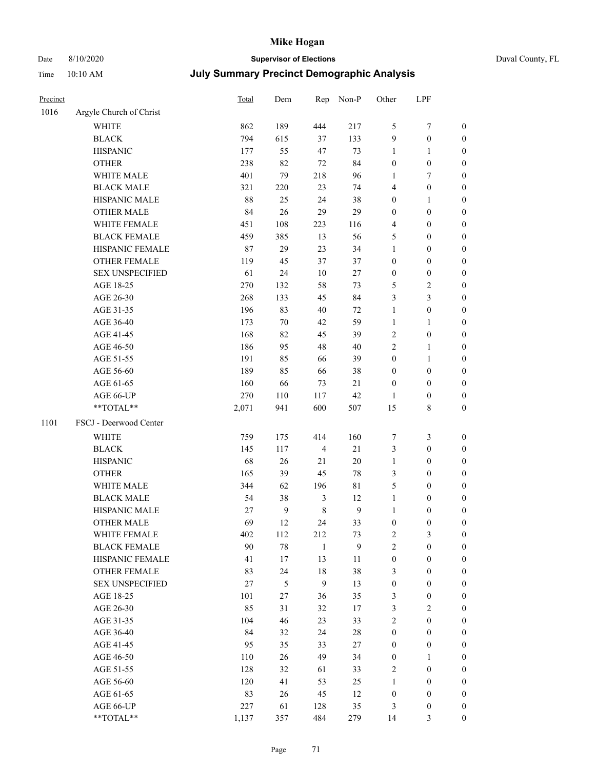## Date 8/10/2020 **Supervisor of Elections** Duval County, FL

| Precinct |                         | Total | Dem              |                       | Rep Non-P    | Other             | LPF                                  |                                      |
|----------|-------------------------|-------|------------------|-----------------------|--------------|-------------------|--------------------------------------|--------------------------------------|
| 1016     | Argyle Church of Christ |       |                  |                       |              |                   |                                      |                                      |
|          | <b>WHITE</b>            | 862   | 189              | 444                   | 217          | 5                 | $\tau$                               | $\boldsymbol{0}$                     |
|          | <b>BLACK</b>            | 794   | 615              | 37                    | 133          | 9                 | $\boldsymbol{0}$                     | $\boldsymbol{0}$                     |
|          | <b>HISPANIC</b>         | 177   | 55               | 47                    | 73           | 1                 | 1                                    | $\boldsymbol{0}$                     |
|          | <b>OTHER</b>            | 238   | 82               | 72                    | 84           | $\boldsymbol{0}$  | $\boldsymbol{0}$                     | $\boldsymbol{0}$                     |
|          | <b>WHITE MALE</b>       | 401   | 79               | 218                   | 96           | $\mathbf{1}$      | $\tau$                               | $\boldsymbol{0}$                     |
|          | <b>BLACK MALE</b>       | 321   | 220              | 23                    | 74           | 4                 | $\boldsymbol{0}$                     | $\boldsymbol{0}$                     |
|          | HISPANIC MALE           | 88    | 25               | 24                    | 38           | $\boldsymbol{0}$  | $\mathbf{1}$                         | $\boldsymbol{0}$                     |
|          | <b>OTHER MALE</b>       | 84    | 26               | 29                    | 29           | $\boldsymbol{0}$  | $\boldsymbol{0}$                     | $\boldsymbol{0}$                     |
|          | WHITE FEMALE            | 451   | 108              | 223                   | 116          | 4                 | $\boldsymbol{0}$                     | $\boldsymbol{0}$                     |
|          | <b>BLACK FEMALE</b>     | 459   | 385              | 13                    | 56           | 5                 | $\boldsymbol{0}$                     | 0                                    |
|          | HISPANIC FEMALE         | 87    | 29               | 23                    | 34           | $\mathbf{1}$      | $\boldsymbol{0}$                     | $\boldsymbol{0}$                     |
|          | <b>OTHER FEMALE</b>     | 119   | 45               | 37                    | 37           | $\boldsymbol{0}$  | $\boldsymbol{0}$                     | $\boldsymbol{0}$                     |
|          | <b>SEX UNSPECIFIED</b>  | 61    | 24               | $10\,$                | $27\,$       | $\boldsymbol{0}$  | $\boldsymbol{0}$                     | $\boldsymbol{0}$                     |
|          | AGE 18-25               | 270   | 132              | 58                    | 73           | 5                 | $\sqrt{2}$                           | $\boldsymbol{0}$                     |
|          | AGE 26-30               | 268   | 133              | 45                    | 84           | 3                 | 3                                    | $\boldsymbol{0}$                     |
|          | AGE 31-35               | 196   | 83               | $40\,$                | $72\,$       | $\mathbf{1}$      | $\boldsymbol{0}$                     | $\boldsymbol{0}$                     |
|          | AGE 36-40               | 173   | $70\,$           | 42                    | 59           | $\mathbf{1}$      | $\mathbf{1}$                         | $\boldsymbol{0}$                     |
|          | AGE 41-45               | 168   | 82               | 45                    | 39           | 2                 | $\boldsymbol{0}$                     | $\boldsymbol{0}$                     |
|          | AGE 46-50               | 186   | 95               | 48                    | 40           | $\overline{c}$    | $\mathbf{1}$                         | $\boldsymbol{0}$                     |
|          | AGE 51-55               | 191   | 85               | 66                    | 39           | $\boldsymbol{0}$  | $\mathbf{1}$                         | 0                                    |
|          | AGE 56-60               | 189   | 85               | 66                    | 38           | $\boldsymbol{0}$  | $\boldsymbol{0}$                     | 0                                    |
|          | AGE 61-65               | 160   | 66               | 73                    | 21           | $\boldsymbol{0}$  | $\boldsymbol{0}$                     | $\boldsymbol{0}$                     |
|          | AGE 66-UP               | 270   | 110              | 117                   | 42           | 1                 | $\boldsymbol{0}$                     | $\boldsymbol{0}$                     |
|          | **TOTAL**               | 2,071 | 941              | 600                   | 507          | 15                | $\,$ 8 $\,$                          | $\boldsymbol{0}$                     |
| 1101     | FSCJ - Deerwood Center  |       |                  |                       |              |                   |                                      |                                      |
|          | WHITE                   | 759   | 175              | 414                   | 160          | 7                 | $\mathfrak{Z}$                       | $\boldsymbol{0}$                     |
|          | <b>BLACK</b>            | 145   |                  | $\overline{4}$        | 21           |                   | $\boldsymbol{0}$                     |                                      |
|          | <b>HISPANIC</b>         | 68    | 117<br>26        | 21                    | $20\,$       | 3<br>$\mathbf{1}$ | $\boldsymbol{0}$                     | $\boldsymbol{0}$<br>$\boldsymbol{0}$ |
|          | <b>OTHER</b>            | 165   | 39               | 45                    | $78\,$       |                   | $\boldsymbol{0}$                     |                                      |
|          | WHITE MALE              | 344   | 62               |                       | $8\sqrt{1}$  | 3<br>5            |                                      | $\boldsymbol{0}$                     |
|          | <b>BLACK MALE</b>       | 54    | 38               | 196<br>$\mathfrak{Z}$ | 12           | $\mathbf{1}$      | $\boldsymbol{0}$                     | $\boldsymbol{0}$                     |
|          | HISPANIC MALE           | 27    | $\boldsymbol{9}$ | $\,$ 8 $\,$           | $\mathbf{9}$ | $\mathbf{1}$      | $\boldsymbol{0}$                     | $\boldsymbol{0}$                     |
|          | <b>OTHER MALE</b>       | 69    | 12               | 24                    | 33           | $\boldsymbol{0}$  | $\boldsymbol{0}$<br>$\boldsymbol{0}$ | 0<br>$\boldsymbol{0}$                |
|          | WHITE FEMALE            | 402   | 112              | 212                   | 73           | 2                 | 3                                    | $\overline{0}$                       |
|          | <b>BLACK FEMALE</b>     | 90    | $78\,$           | $\mathbf{1}$          | 9            | $\overline{c}$    | $\boldsymbol{0}$                     | $\overline{0}$                       |
|          | HISPANIC FEMALE         | 41    | 17               | 13                    | 11           | $\boldsymbol{0}$  | $\boldsymbol{0}$                     | $\overline{0}$                       |
|          | <b>OTHER FEMALE</b>     | 83    | 24               | 18                    | 38           | 3                 | $\boldsymbol{0}$                     | $\overline{0}$                       |
|          | <b>SEX UNSPECIFIED</b>  | 27    | $\mathfrak s$    | $\mathbf{9}$          | 13           | $\boldsymbol{0}$  | $\boldsymbol{0}$                     | 0                                    |
|          | AGE 18-25               | 101   | $27\,$           | 36                    | 35           | 3                 | $\boldsymbol{0}$                     | 0                                    |
|          | AGE 26-30               | 85    | 31               | 32                    | 17           | 3                 | $\sqrt{2}$                           | 0                                    |
|          | AGE 31-35               | 104   | 46               | 23                    | 33           | $\overline{2}$    | $\boldsymbol{0}$                     | 0                                    |
|          | AGE 36-40               | 84    | 32               | 24                    | $28\,$       | $\boldsymbol{0}$  | $\boldsymbol{0}$                     | 0                                    |
|          | AGE 41-45               | 95    | 35               | 33                    | 27           | $\boldsymbol{0}$  | $\boldsymbol{0}$                     | 0                                    |
|          | AGE 46-50               | 110   | 26               | 49                    | 34           | $\boldsymbol{0}$  | 1                                    | 0                                    |
|          | AGE 51-55               | 128   | 32               | 61                    | 33           | 2                 | $\boldsymbol{0}$                     | $\boldsymbol{0}$                     |
|          | AGE 56-60               | 120   | 41               | 53                    | 25           | $\mathbf{1}$      | $\boldsymbol{0}$                     | $\overline{0}$                       |
|          | AGE 61-65               | 83    | 26               | 45                    | 12           | $\boldsymbol{0}$  | $\boldsymbol{0}$                     | 0                                    |
|          | AGE 66-UP               | 227   | 61               | 128                   | 35           | 3                 | $\boldsymbol{0}$                     | 0                                    |
|          | **TOTAL**               | 1,137 | 357              | 484                   | 279          | 14                | 3                                    | $\overline{0}$                       |
|          |                         |       |                  |                       |              |                   |                                      |                                      |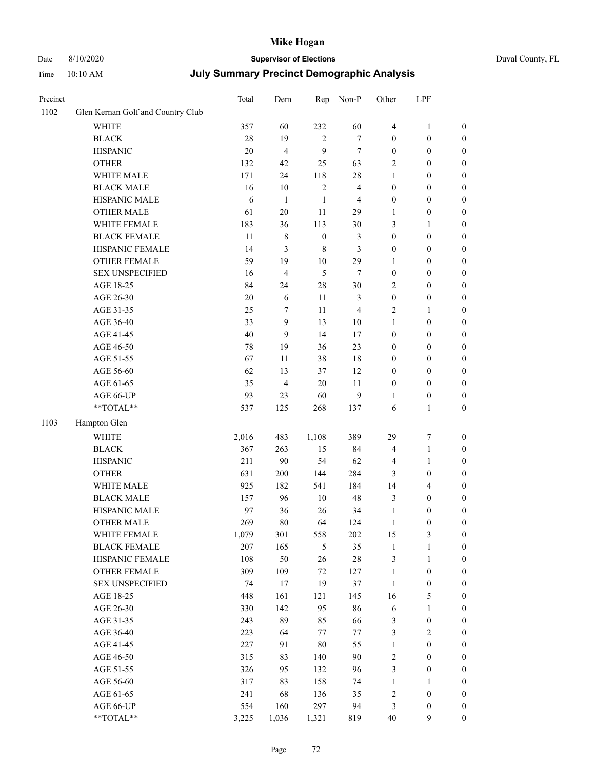Date 8/10/2020 **Supervisor of Elections** 

Time 10:10 AM

| Duval County, FL |  |
|------------------|--|
|------------------|--|

| <b>July Summary Precinct Demographic Analysis</b> |  |  |  |
|---------------------------------------------------|--|--|--|
|---------------------------------------------------|--|--|--|

| Precinct |                                   | Total | Dem            | Rep              | Non-P                   | Other            | LPF              |                  |
|----------|-----------------------------------|-------|----------------|------------------|-------------------------|------------------|------------------|------------------|
| 1102     | Glen Kernan Golf and Country Club |       |                |                  |                         |                  |                  |                  |
|          | <b>WHITE</b>                      | 357   | 60             | 232              | 60                      | $\overline{4}$   | $\mathbf{1}$     | 0                |
|          | <b>BLACK</b>                      | 28    | 19             | $\mathbf{2}$     | $\tau$                  | $\boldsymbol{0}$ | $\boldsymbol{0}$ | 0                |
|          | <b>HISPANIC</b>                   | 20    | $\overline{4}$ | 9                | $\tau$                  | $\boldsymbol{0}$ | $\boldsymbol{0}$ | $\boldsymbol{0}$ |
|          | <b>OTHER</b>                      | 132   | 42             | 25               | 63                      | 2                | $\boldsymbol{0}$ | $\boldsymbol{0}$ |
|          | WHITE MALE                        | 171   | 24             | 118              | $28\,$                  | $\mathbf{1}$     | $\boldsymbol{0}$ | $\boldsymbol{0}$ |
|          | <b>BLACK MALE</b>                 | 16    | 10             | $\sqrt{2}$       | $\overline{\mathbf{4}}$ | $\boldsymbol{0}$ | $\boldsymbol{0}$ | $\boldsymbol{0}$ |
|          | HISPANIC MALE                     | 6     | $\mathbf{1}$   | $\mathbf{1}$     | $\overline{4}$          | $\boldsymbol{0}$ | $\boldsymbol{0}$ | $\boldsymbol{0}$ |
|          | <b>OTHER MALE</b>                 | 61    | $20\,$         | 11               | 29                      | $\mathbf{1}$     | $\boldsymbol{0}$ | $\boldsymbol{0}$ |
|          | WHITE FEMALE                      | 183   | 36             | 113              | $30\,$                  | 3                | 1                | $\boldsymbol{0}$ |
|          | <b>BLACK FEMALE</b>               | 11    | $\,$ 8 $\,$    | $\boldsymbol{0}$ | 3                       | $\boldsymbol{0}$ | $\boldsymbol{0}$ | 0                |
|          | HISPANIC FEMALE                   | 14    | 3              | $\,8\,$          | 3                       | $\boldsymbol{0}$ | $\boldsymbol{0}$ | 0                |
|          | OTHER FEMALE                      | 59    | 19             | $10\,$           | 29                      | 1                | $\boldsymbol{0}$ | $\boldsymbol{0}$ |
|          | <b>SEX UNSPECIFIED</b>            | 16    | $\overline{4}$ | 5                | $\tau$                  | $\boldsymbol{0}$ | $\boldsymbol{0}$ | $\boldsymbol{0}$ |
|          | AGE 18-25                         | 84    | 24             | 28               | $30\,$                  | 2                | $\boldsymbol{0}$ | $\boldsymbol{0}$ |
|          | AGE 26-30                         | 20    | 6              | 11               | 3                       | $\boldsymbol{0}$ | $\boldsymbol{0}$ | $\boldsymbol{0}$ |
|          | AGE 31-35                         | 25    | 7              | 11               | $\overline{\mathbf{4}}$ | $\overline{c}$   | $\mathbf{1}$     | $\boldsymbol{0}$ |
|          | AGE 36-40                         | 33    | 9              | 13               | $10\,$                  | $\mathbf{1}$     | $\boldsymbol{0}$ | $\boldsymbol{0}$ |
|          | AGE 41-45                         | 40    | 9              | 14               | 17                      | $\boldsymbol{0}$ | $\boldsymbol{0}$ | $\boldsymbol{0}$ |
|          | AGE 46-50                         | 78    | 19             | 36               | 23                      | $\boldsymbol{0}$ | $\boldsymbol{0}$ | $\boldsymbol{0}$ |
|          | AGE 51-55                         | 67    | 11             | 38               | 18                      | $\boldsymbol{0}$ | $\boldsymbol{0}$ | $\boldsymbol{0}$ |
|          | AGE 56-60                         | 62    | 13             | 37               | 12                      | $\boldsymbol{0}$ | $\boldsymbol{0}$ | 0                |
|          | AGE 61-65                         | 35    | $\overline{4}$ | 20               | 11                      | $\boldsymbol{0}$ | $\boldsymbol{0}$ | 0                |
|          | AGE 66-UP                         | 93    | 23             | 60               | 9                       | 1                | $\boldsymbol{0}$ | $\boldsymbol{0}$ |
|          | **TOTAL**                         | 537   | 125            | 268              | 137                     | 6                | $\mathbf{1}$     | $\boldsymbol{0}$ |
| 1103     | Hampton Glen                      |       |                |                  |                         |                  |                  |                  |
|          | <b>WHITE</b>                      | 2,016 | 483            | 1,108            | 389                     | 29               | $\boldsymbol{7}$ | $\boldsymbol{0}$ |
|          | <b>BLACK</b>                      | 367   | 263            | 15               | 84                      | 4                | $\mathbf{1}$     | $\boldsymbol{0}$ |
|          | <b>HISPANIC</b>                   | 211   | 90             | 54               | 62                      | 4                | $\mathbf{1}$     | $\boldsymbol{0}$ |
|          | <b>OTHER</b>                      | 631   | 200            | 144              | 284                     | 3                | $\boldsymbol{0}$ | $\boldsymbol{0}$ |
|          | WHITE MALE                        | 925   | 182            | 541              | 184                     | 14               | $\overline{4}$   | $\boldsymbol{0}$ |
|          | <b>BLACK MALE</b>                 | 157   | 96             | $10\,$           | 48                      | 3                | $\boldsymbol{0}$ | $\boldsymbol{0}$ |
|          | HISPANIC MALE                     | 97    | 36             | 26               | 34                      | $\mathbf{1}$     | $\boldsymbol{0}$ | $\boldsymbol{0}$ |
|          | OTHER MALE                        | 269   | 80             | 64               | 124                     | $\mathbf{1}$     | $\boldsymbol{0}$ | $\boldsymbol{0}$ |
|          | WHITE FEMALE                      | 1,079 | 301            | 558              | 202                     | 15               | 3                | 0                |
|          | <b>BLACK FEMALE</b>               | 207   | 165            | 5                | 35                      | $\mathbf{1}$     | $\mathbf{1}$     | $\boldsymbol{0}$ |
|          | HISPANIC FEMALE                   | 108   | 50             | 26               | $28\,$                  | 3                | $\mathbf{1}$     | $\boldsymbol{0}$ |
|          | <b>OTHER FEMALE</b>               | 309   | 109            | 72               | 127                     | $\mathbf{1}$     | $\boldsymbol{0}$ | $\overline{0}$   |
|          | <b>SEX UNSPECIFIED</b>            | 74    | 17             | 19               | 37                      | $\mathbf{1}$     | $\boldsymbol{0}$ | 0                |
|          | AGE 18-25                         | 448   | 161            | 121              | 145                     | 16               | $\mathfrak{S}$   | 0                |
|          | AGE 26-30                         | 330   | 142            | 95               | 86                      | 6                | $\mathbf{1}$     | 0                |
|          | AGE 31-35                         | 243   | 89             | 85               | 66                      | 3                | $\boldsymbol{0}$ | 0                |
|          | AGE 36-40                         | 223   | 64             | 77               | 77                      | 3                | $\sqrt{2}$       | 0                |
|          | AGE 41-45                         | 227   | 91             | 80               | 55                      | $\mathbf{1}$     | $\boldsymbol{0}$ | 0                |
|          | AGE 46-50                         | 315   | 83             | 140              | 90                      | 2                | $\boldsymbol{0}$ | 0                |
|          | AGE 51-55                         | 326   | 95             | 132              | 96                      | 3                | $\boldsymbol{0}$ | $\boldsymbol{0}$ |
|          | AGE 56-60                         | 317   | 83             | 158              | 74                      | $\mathbf{1}$     | 1                | $\boldsymbol{0}$ |
|          | AGE 61-65                         | 241   | 68             | 136              | 35                      | 2                | $\boldsymbol{0}$ | $\boldsymbol{0}$ |
|          | AGE 66-UP                         | 554   | 160            | 297              | 94                      | 3                | $\boldsymbol{0}$ | 0                |
|          | **TOTAL**                         | 3,225 | 1,036          | 1,321            | 819                     | 40               | 9                | $\boldsymbol{0}$ |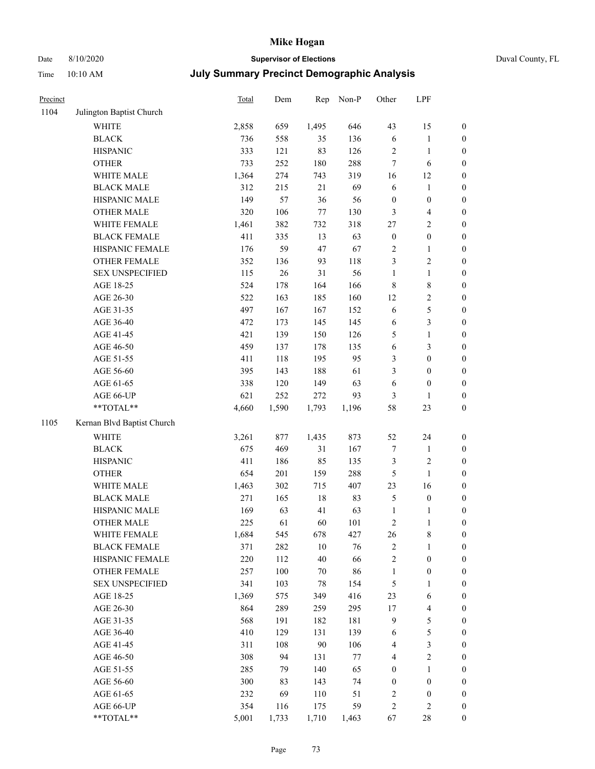### Date 8/10/2020 **Supervisor of Elections** Duval County, FL

| Precinct |                            | Total | Dem   | Rep    | Non-P | Other            | LPF                     |                  |
|----------|----------------------------|-------|-------|--------|-------|------------------|-------------------------|------------------|
| 1104     | Julington Baptist Church   |       |       |        |       |                  |                         |                  |
|          | <b>WHITE</b>               | 2,858 | 659   | 1,495  | 646   | 43               | 15                      | $\boldsymbol{0}$ |
|          | <b>BLACK</b>               | 736   | 558   | 35     | 136   | 6                | $\mathbf{1}$            | $\boldsymbol{0}$ |
|          | <b>HISPANIC</b>            | 333   | 121   | 83     | 126   | 2                | $\mathbf{1}$            | $\boldsymbol{0}$ |
|          | <b>OTHER</b>               | 733   | 252   | 180    | 288   | $\boldsymbol{7}$ | 6                       | $\boldsymbol{0}$ |
|          | WHITE MALE                 | 1,364 | 274   | 743    | 319   | 16               | 12                      | $\boldsymbol{0}$ |
|          | <b>BLACK MALE</b>          | 312   | 215   | 21     | 69    | 6                | $\mathbf{1}$            | $\boldsymbol{0}$ |
|          | HISPANIC MALE              | 149   | 57    | 36     | 56    | $\boldsymbol{0}$ | $\boldsymbol{0}$        | $\boldsymbol{0}$ |
|          | <b>OTHER MALE</b>          | 320   | 106   | 77     | 130   | 3                | $\overline{\mathbf{4}}$ | 0                |
|          | WHITE FEMALE               | 1,461 | 382   | 732    | 318   | $27\,$           | $\sqrt{2}$              | 0                |
|          | <b>BLACK FEMALE</b>        | 411   | 335   | 13     | 63    | $\boldsymbol{0}$ | $\boldsymbol{0}$        | $\boldsymbol{0}$ |
|          | HISPANIC FEMALE            | 176   | 59    | 47     | 67    | $\sqrt{2}$       | $\mathbf{1}$            | $\boldsymbol{0}$ |
|          | OTHER FEMALE               | 352   | 136   | 93     | 118   | 3                | $\sqrt{2}$              | $\boldsymbol{0}$ |
|          | <b>SEX UNSPECIFIED</b>     | 115   | 26    | 31     | 56    | $\mathbf{1}$     | $\mathbf{1}$            | $\boldsymbol{0}$ |
|          | AGE 18-25                  | 524   | 178   | 164    | 166   | $\,$ $\,$        | $\,8\,$                 | $\boldsymbol{0}$ |
|          | AGE 26-30                  | 522   | 163   | 185    | 160   | 12               | $\sqrt{2}$              | $\boldsymbol{0}$ |
|          | AGE 31-35                  | 497   | 167   | 167    | 152   | $\sqrt{6}$       | $\mathfrak s$           | $\boldsymbol{0}$ |
|          | AGE 36-40                  | 472   | 173   | 145    | 145   | 6                | $\mathfrak{Z}$          | $\boldsymbol{0}$ |
|          | AGE 41-45                  | 421   | 139   | 150    | 126   | 5                | $\mathbf{1}$            | 0                |
|          | AGE 46-50                  | 459   | 137   | 178    | 135   | $\sqrt{6}$       | $\mathfrak{Z}$          | 0                |
|          | AGE 51-55                  | 411   | 118   | 195    | 95    | 3                | $\boldsymbol{0}$        | $\boldsymbol{0}$ |
|          | AGE 56-60                  | 395   | 143   | 188    | 61    | 3                | $\boldsymbol{0}$        | $\boldsymbol{0}$ |
|          | AGE 61-65                  | 338   | 120   | 149    | 63    | 6                | $\boldsymbol{0}$        | $\boldsymbol{0}$ |
|          | AGE 66-UP                  | 621   | 252   | 272    | 93    | 3                | $\mathbf{1}$            | $\boldsymbol{0}$ |
|          | **TOTAL**                  | 4,660 | 1,590 | 1,793  | 1,196 | 58               | 23                      | $\boldsymbol{0}$ |
| 1105     | Kernan Blvd Baptist Church |       |       |        |       |                  |                         |                  |
|          | <b>WHITE</b>               | 3,261 | 877   | 1,435  | 873   | 52               | 24                      | $\boldsymbol{0}$ |
|          | <b>BLACK</b>               | 675   | 469   | 31     | 167   | $\boldsymbol{7}$ | $\mathbf{1}$            | $\boldsymbol{0}$ |
|          | <b>HISPANIC</b>            | 411   | 186   | 85     | 135   | 3                | $\sqrt{2}$              | $\boldsymbol{0}$ |
|          | <b>OTHER</b>               | 654   | 201   | 159    | 288   | $\mathfrak s$    | $\mathbf{1}$            | $\boldsymbol{0}$ |
|          | WHITE MALE                 | 1,463 | 302   | 715    | 407   | 23               | 16                      | 0                |
|          | <b>BLACK MALE</b>          | 271   | 165   | $18\,$ | 83    | 5                | $\boldsymbol{0}$        | 0                |
|          | HISPANIC MALE              | 169   | 63    | 41     | 63    | $\mathbf{1}$     | 1                       | $\boldsymbol{0}$ |
|          | OTHER MALE                 | 225   | 61    | 60     | 101   | 2                | $\,1$                   | $\boldsymbol{0}$ |
|          | WHITE FEMALE               | 1,684 | 545   | 678    | 427   | 26               | 8                       | $\boldsymbol{0}$ |
|          | <b>BLACK FEMALE</b>        | 371   | 282   | $10\,$ | 76    | 2                | $\mathbf{1}$            | $\boldsymbol{0}$ |
|          | HISPANIC FEMALE            | 220   | 112   | $40\,$ | 66    | $\overline{c}$   | $\boldsymbol{0}$        | $\overline{0}$   |
|          | <b>OTHER FEMALE</b>        | 257   | 100   | 70     | 86    | $\mathbf{1}$     | $\boldsymbol{0}$        | $\theta$         |
|          | <b>SEX UNSPECIFIED</b>     | 341   | 103   | $78\,$ | 154   | 5                | $\mathbf{1}$            | $\overline{0}$   |
|          | AGE 18-25                  | 1,369 | 575   | 349    | 416   | 23               | 6                       | 0                |
|          | AGE 26-30                  | 864   | 289   | 259    | 295   | 17               | $\overline{\mathbf{4}}$ | 0                |
|          | AGE 31-35                  | 568   | 191   | 182    | 181   | 9                | $\mathfrak s$           | 0                |
|          | AGE 36-40                  | 410   | 129   | 131    | 139   | 6                | $\mathfrak s$           | $\boldsymbol{0}$ |
|          | AGE 41-45                  | 311   | 108   | 90     | 106   | 4                | $\mathfrak{Z}$          | $\boldsymbol{0}$ |
|          | AGE 46-50                  | 308   | 94    | 131    | 77    | 4                | $\sqrt{2}$              | $\boldsymbol{0}$ |
|          | AGE 51-55                  | 285   | 79    | 140    | 65    | $\boldsymbol{0}$ | $\mathbf{1}$            | $\boldsymbol{0}$ |
|          | AGE 56-60                  | 300   | 83    | 143    | 74    | $\boldsymbol{0}$ | $\boldsymbol{0}$        | $\boldsymbol{0}$ |
|          | AGE 61-65                  | 232   | 69    | 110    | 51    | 2                | $\boldsymbol{0}$        | $\overline{0}$   |
|          | AGE 66-UP                  | 354   | 116   | 175    | 59    | $\sqrt{2}$       | $\sqrt{2}$              | $\boldsymbol{0}$ |
|          | **TOTAL**                  | 5,001 | 1,733 | 1,710  | 1,463 | 67               | $28\,$                  | $\boldsymbol{0}$ |
|          |                            |       |       |        |       |                  |                         |                  |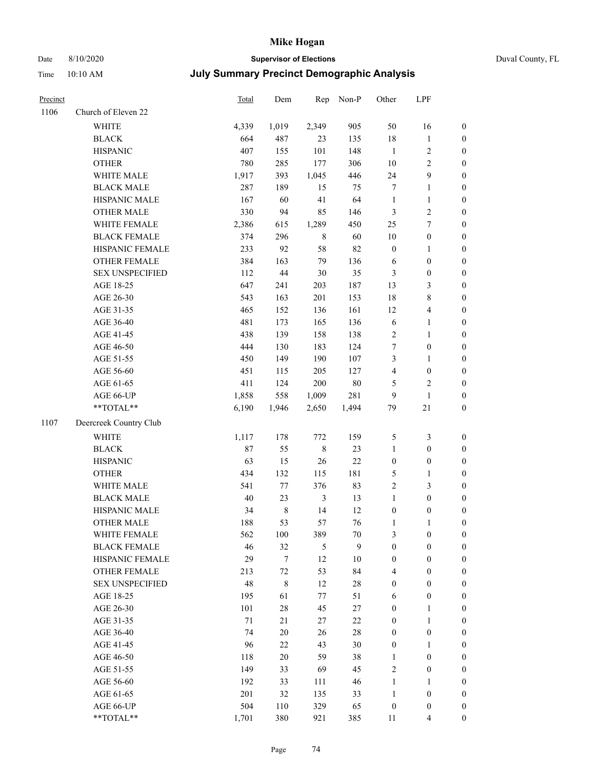## Date 8/10/2020 **Supervisor of Elections** Duval County, FL

| Precinct |                        | Total  | Dem         | Rep            | Non-P  | Other            | LPF                     |                  |
|----------|------------------------|--------|-------------|----------------|--------|------------------|-------------------------|------------------|
| 1106     | Church of Eleven 22    |        |             |                |        |                  |                         |                  |
|          | <b>WHITE</b>           | 4,339  | 1,019       | 2,349          | 905    | 50               | 16                      | $\boldsymbol{0}$ |
|          | <b>BLACK</b>           | 664    | 487         | 23             | 135    | 18               | $\mathbf{1}$            | $\boldsymbol{0}$ |
|          | <b>HISPANIC</b>        | 407    | 155         | 101            | 148    | $\mathbf{1}$     | $\sqrt{2}$              | $\boldsymbol{0}$ |
|          | <b>OTHER</b>           | 780    | 285         | 177            | 306    | $10\,$           | $\sqrt{2}$              | $\boldsymbol{0}$ |
|          | WHITE MALE             | 1,917  | 393         | 1,045          | 446    | 24               | $\boldsymbol{9}$        | $\boldsymbol{0}$ |
|          | <b>BLACK MALE</b>      | 287    | 189         | 15             | 75     | 7                | $\mathbf{1}$            | $\boldsymbol{0}$ |
|          | HISPANIC MALE          | 167    | 60          | 41             | 64     | $\mathbf{1}$     | $\mathbf{1}$            | $\boldsymbol{0}$ |
|          | <b>OTHER MALE</b>      | 330    | 94          | 85             | 146    | 3                | $\sqrt{2}$              | $\boldsymbol{0}$ |
|          | WHITE FEMALE           | 2,386  | 615         | 1,289          | 450    | 25               | $\boldsymbol{7}$        | $\boldsymbol{0}$ |
|          | <b>BLACK FEMALE</b>    | 374    | 296         | 8              | 60     | $10\,$           | $\boldsymbol{0}$        | 0                |
|          | HISPANIC FEMALE        | 233    | 92          | 58             | 82     | $\boldsymbol{0}$ | $\mathbf{1}$            | $\boldsymbol{0}$ |
|          | OTHER FEMALE           | 384    | 163         | 79             | 136    | 6                | $\boldsymbol{0}$        | $\boldsymbol{0}$ |
|          | <b>SEX UNSPECIFIED</b> | 112    | $44\,$      | 30             | 35     | 3                | $\boldsymbol{0}$        | $\boldsymbol{0}$ |
|          | AGE 18-25              | 647    | 241         | 203            | 187    | 13               | $\mathfrak{Z}$          | $\boldsymbol{0}$ |
|          | AGE 26-30              | 543    | 163         | 201            | 153    | 18               | $8\,$                   | $\boldsymbol{0}$ |
|          | AGE 31-35              | 465    | 152         | 136            | 161    | 12               | $\overline{\mathbf{4}}$ | $\boldsymbol{0}$ |
|          | AGE 36-40              | 481    | 173         | 165            | 136    | $\sqrt{6}$       | $\mathbf{1}$            | $\boldsymbol{0}$ |
|          | AGE 41-45              | 438    | 139         | 158            | 138    | $\sqrt{2}$       | $\mathbf{1}$            | $\boldsymbol{0}$ |
|          | AGE 46-50              | 444    | 130         | 183            | 124    | 7                | $\boldsymbol{0}$        | $\boldsymbol{0}$ |
|          | AGE 51-55              | 450    | 149         | 190            | 107    | 3                | $\mathbf{1}$            | 0                |
|          | AGE 56-60              | 451    | 115         | 205            | 127    | 4                | $\boldsymbol{0}$        | $\boldsymbol{0}$ |
|          | AGE 61-65              | 411    | 124         | 200            | $80\,$ | 5                | $\sqrt{2}$              | $\boldsymbol{0}$ |
|          | AGE 66-UP              | 1,858  | 558         | 1,009          | 281    | 9                | $\mathbf{1}$            | $\boldsymbol{0}$ |
|          | **TOTAL**              | 6,190  | 1,946       | 2,650          | 1,494  | 79               | $21\,$                  | $\boldsymbol{0}$ |
| 1107     | Deercreek Country Club |        |             |                |        |                  |                         |                  |
|          | <b>WHITE</b>           | 1,117  | 178         | 772            | 159    | 5                | $\mathfrak{Z}$          | $\boldsymbol{0}$ |
|          | <b>BLACK</b>           | 87     | 55          | $\,$ $\,$      | 23     | $\mathbf{1}$     | $\boldsymbol{0}$        | $\boldsymbol{0}$ |
|          | <b>HISPANIC</b>        | 63     | 15          | 26             | $22\,$ | $\boldsymbol{0}$ | $\boldsymbol{0}$        | $\boldsymbol{0}$ |
|          | <b>OTHER</b>           | 434    | 132         | 115            | 181    | 5                | $\mathbf{1}$            | $\boldsymbol{0}$ |
|          | WHITE MALE             | 541    | 77          | 376            | 83     | $\overline{c}$   | $\mathfrak{Z}$          | $\boldsymbol{0}$ |
|          | <b>BLACK MALE</b>      | 40     | 23          | $\mathfrak{Z}$ | 13     | $\mathbf{1}$     | $\boldsymbol{0}$        | $\boldsymbol{0}$ |
|          | HISPANIC MALE          | 34     | $\,$ 8 $\,$ | 14             | 12     | $\boldsymbol{0}$ | $\boldsymbol{0}$        | 0                |
|          | <b>OTHER MALE</b>      | 188    | 53          | 57             | 76     | $\mathbf{1}$     | 1                       | $\boldsymbol{0}$ |
|          | WHITE FEMALE           | 562    | 100         | 389            | $70\,$ | 3                | $\boldsymbol{0}$        | $\overline{0}$   |
|          | <b>BLACK FEMALE</b>    | 46     | 32          | 5              | 9      | $\boldsymbol{0}$ | $\boldsymbol{0}$        | $\overline{0}$   |
|          | HISPANIC FEMALE        | 29     | $\tau$      | 12             | $10\,$ | $\boldsymbol{0}$ | $\boldsymbol{0}$        | $\overline{0}$   |
|          | OTHER FEMALE           | 213    | $72\,$      | 53             | 84     | 4                | $\boldsymbol{0}$        | 0                |
|          | <b>SEX UNSPECIFIED</b> | 48     | $\,$ $\,$   | 12             | $28\,$ | $\boldsymbol{0}$ | $\boldsymbol{0}$        | 0                |
|          | AGE 18-25              | 195    | 61          | 77             | 51     | 6                | $\boldsymbol{0}$        | 0                |
|          | AGE 26-30              | 101    | $28\,$      | 45             | $27\,$ | $\boldsymbol{0}$ | $\mathbf{1}$            | 0                |
|          | AGE 31-35              | $71\,$ | 21          | 27             | 22     | $\boldsymbol{0}$ | $\mathbf{1}$            | 0                |
|          | AGE 36-40              | 74     | $20\,$      | 26             | $28\,$ | $\boldsymbol{0}$ | $\boldsymbol{0}$        | 0                |
|          | AGE 41-45              | 96     | $22\,$      | 43             | 30     | $\boldsymbol{0}$ | 1                       | 0                |
|          | AGE 46-50              | 118    | $20\,$      | 59             | 38     | 1                | $\boldsymbol{0}$        | 0                |
|          | AGE 51-55              | 149    | 33          | 69             | 45     | 2                | $\boldsymbol{0}$        | 0                |
|          | AGE 56-60              | 192    | 33          | 111            | 46     | $\mathbf{1}$     | 1                       | $\boldsymbol{0}$ |
|          | AGE 61-65              | 201    | 32          | 135            | 33     | $\mathbf{1}$     | $\boldsymbol{0}$        | 0                |
|          | AGE 66-UP              | 504    | 110         | 329            | 65     | $\boldsymbol{0}$ | $\boldsymbol{0}$        | 0                |
|          | **TOTAL**              | 1,701  | 380         | 921            | 385    | 11               | $\overline{4}$          | $\boldsymbol{0}$ |
|          |                        |        |             |                |        |                  |                         |                  |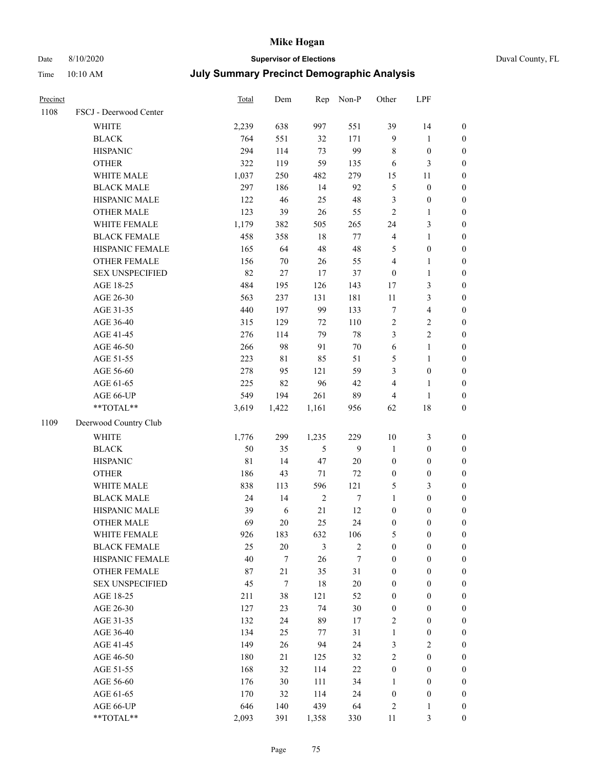# Date 8/10/2020 **Supervisor of Elections** Duval County, FL

| Precinct |                        | Total       | Dem              |            | Rep Non-P        | Other            | LPF              |                  |
|----------|------------------------|-------------|------------------|------------|------------------|------------------|------------------|------------------|
| 1108     | FSCJ - Deerwood Center |             |                  |            |                  |                  |                  |                  |
|          | WHITE                  | 2,239       | 638              | 997        | 551              | 39               | 14               | $\boldsymbol{0}$ |
|          | <b>BLACK</b>           | 764         | 551              | 32         | 171              | 9                | $\mathbf{1}$     | $\boldsymbol{0}$ |
|          | <b>HISPANIC</b>        | 294         | 114              | 73         | 99               | 8                | $\boldsymbol{0}$ | $\boldsymbol{0}$ |
|          | <b>OTHER</b>           | 322         | 119              | 59         | 135              | 6                | $\mathfrak{Z}$   | $\boldsymbol{0}$ |
|          | WHITE MALE             | 1,037       | 250              | 482        | 279              | 15               | 11               | $\boldsymbol{0}$ |
|          | <b>BLACK MALE</b>      | 297         | 186              | 14         | 92               | 5                | $\boldsymbol{0}$ | $\boldsymbol{0}$ |
|          | HISPANIC MALE          | 122         | 46               | 25         | 48               | 3                | $\boldsymbol{0}$ | $\boldsymbol{0}$ |
|          | <b>OTHER MALE</b>      | 123         | 39               | 26         | 55               | $\overline{c}$   | $\mathbf{1}$     | $\boldsymbol{0}$ |
|          | WHITE FEMALE           | 1,179       | 382              | 505        | 265              | 24               | $\mathfrak{Z}$   | $\boldsymbol{0}$ |
|          | <b>BLACK FEMALE</b>    | 458         | 358              | 18         | 77               | 4                | $\mathbf{1}$     | 0                |
|          | HISPANIC FEMALE        | 165         | 64               | 48         | 48               | 5                | $\boldsymbol{0}$ | $\boldsymbol{0}$ |
|          | <b>OTHER FEMALE</b>    | 156         | $70\,$           | $26\,$     | 55               | 4                | $\mathbf{1}$     | $\boldsymbol{0}$ |
|          | <b>SEX UNSPECIFIED</b> | 82          | $27\,$           | 17         | 37               | $\boldsymbol{0}$ | $\mathbf{1}$     | $\boldsymbol{0}$ |
|          | AGE 18-25              | 484         | 195              | 126        | 143              | 17               | $\mathfrak{Z}$   | $\boldsymbol{0}$ |
|          | AGE 26-30              | 563         | 237              | 131        | 181              | 11               | $\mathfrak{Z}$   | $\boldsymbol{0}$ |
|          | AGE 31-35              | 440         | 197              | 99         | 133              | 7                | $\overline{4}$   | $\boldsymbol{0}$ |
|          | AGE 36-40              | 315         | 129              | 72         | 110              | $\sqrt{2}$       | $\sqrt{2}$       | $\boldsymbol{0}$ |
|          | AGE 41-45              | 276         | 114              | 79         | $78\,$           | 3                | $\overline{c}$   | $\boldsymbol{0}$ |
|          | AGE 46-50              | 266         | 98               | 91         | $70\,$           | 6                | $\mathbf{1}$     | $\boldsymbol{0}$ |
|          | AGE 51-55              | 223         | $8\sqrt{1}$      | 85         | 51               | 5                | $\mathbf{1}$     | 0                |
|          | AGE 56-60              | 278         | 95               | 121        | 59               | 3                | $\boldsymbol{0}$ | $\boldsymbol{0}$ |
|          | AGE 61-65              | 225         | 82               | 96         | 42               | 4                | $\mathbf{1}$     | $\boldsymbol{0}$ |
|          | AGE 66-UP              | 549         | 194              | 261        | 89               | 4                | $\mathbf{1}$     | $\boldsymbol{0}$ |
|          | **TOTAL**              | 3,619       | 1,422            | 1,161      | 956              | 62               | 18               | $\boldsymbol{0}$ |
| 1109     | Deerwood Country Club  |             |                  |            |                  |                  |                  |                  |
|          | <b>WHITE</b>           | 1,776       | 299              | 1,235      | 229              | $10\,$           | $\mathfrak{Z}$   | $\boldsymbol{0}$ |
|          | <b>BLACK</b>           | 50          | 35               | 5          | 9                | $\mathbf{1}$     | $\boldsymbol{0}$ | $\boldsymbol{0}$ |
|          | <b>HISPANIC</b>        | $8\sqrt{1}$ | 14               | 47         | 20               | $\boldsymbol{0}$ | $\boldsymbol{0}$ | $\boldsymbol{0}$ |
|          | <b>OTHER</b>           | 186         | 43               | $71\,$     | $72\,$           | $\boldsymbol{0}$ | $\boldsymbol{0}$ | $\boldsymbol{0}$ |
|          | WHITE MALE             | 838         | 113              | 596        | 121              | 5                | $\mathfrak{Z}$   | $\boldsymbol{0}$ |
|          | <b>BLACK MALE</b>      | 24          | 14               | $\sqrt{2}$ | $\boldsymbol{7}$ | $\mathbf{1}$     | $\boldsymbol{0}$ | $\boldsymbol{0}$ |
|          | HISPANIC MALE          | 39          | $\sqrt{6}$       | 21         | 12               | $\boldsymbol{0}$ | $\boldsymbol{0}$ | 0                |
|          | <b>OTHER MALE</b>      | 69          | 20               | 25         | 24               | $\boldsymbol{0}$ | $\boldsymbol{0}$ | $\boldsymbol{0}$ |
|          | WHITE FEMALE           | 926         | 183              | 632        | 106              | 5                | $\boldsymbol{0}$ | $\boldsymbol{0}$ |
|          | <b>BLACK FEMALE</b>    | 25          | $20\,$           | 3          | $\sqrt{2}$       | $\boldsymbol{0}$ | $\boldsymbol{0}$ | $\overline{0}$   |
|          | HISPANIC FEMALE        | 40          | $\tau$           | 26         | 7                | $\boldsymbol{0}$ | $\boldsymbol{0}$ | $\overline{0}$   |
|          | <b>OTHER FEMALE</b>    | 87          | 21               | 35         | 31               | $\boldsymbol{0}$ | $\boldsymbol{0}$ | $\overline{0}$   |
|          | <b>SEX UNSPECIFIED</b> | 45          | $\boldsymbol{7}$ | 18         | $20\,$           | 0                | $\boldsymbol{0}$ | $\overline{0}$   |
|          | AGE 18-25              | 211         | $38\,$           | 121        | 52               | $\boldsymbol{0}$ | $\boldsymbol{0}$ | $\theta$         |
|          | AGE 26-30              | 127         | 23               | 74         | $30\,$           | $\boldsymbol{0}$ | $\boldsymbol{0}$ | 0                |
|          | AGE 31-35              | 132         | 24               | 89         | 17               | 2                | $\boldsymbol{0}$ | 0                |
|          | AGE 36-40              | 134         | 25               | 77         | 31               | $\mathbf{1}$     | $\boldsymbol{0}$ | 0                |
|          | AGE 41-45              | 149         | 26               | 94         | 24               | 3                | $\sqrt{2}$       | 0                |
|          | AGE 46-50              | 180         | 21               | 125        | 32               | 2                | $\boldsymbol{0}$ | $\overline{0}$   |
|          | AGE 51-55              | 168         | 32               | 114        | $22\,$           | $\boldsymbol{0}$ | $\boldsymbol{0}$ | $\boldsymbol{0}$ |
|          | AGE 56-60              | 176         | 30               | 111        | 34               | $\mathbf{1}$     | $\boldsymbol{0}$ | $\boldsymbol{0}$ |
|          | AGE 61-65              | 170         | 32               | 114        | 24               | $\boldsymbol{0}$ | $\boldsymbol{0}$ | 0                |
|          | AGE 66-UP              | 646         | 140              | 439        | 64               | 2                | 1                | 0                |
|          | **TOTAL**              | 2,093       | 391              | 1,358      | 330              | 11               | 3                | $\boldsymbol{0}$ |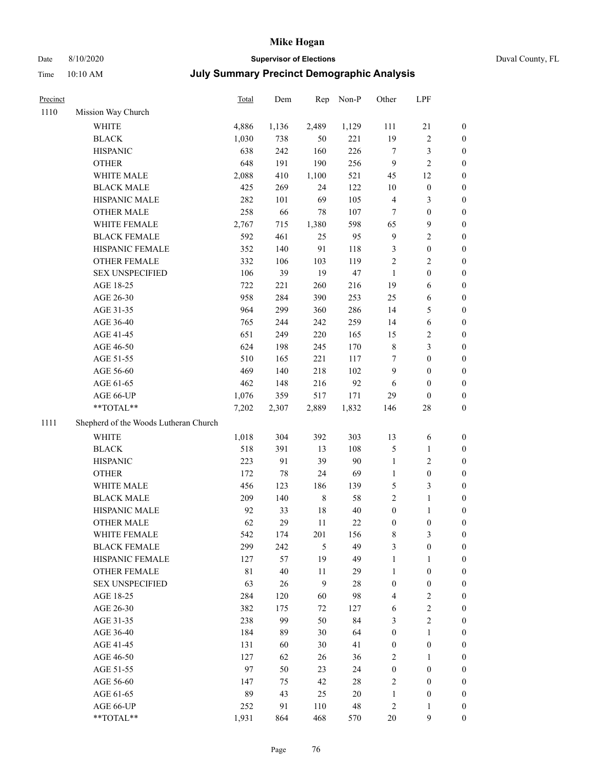## Date 8/10/2020 **Supervisor of Elections** Duval County, FL

| Precinct |                                       | <b>Total</b> | Dem    | Rep     | Non-P  | Other            | LPF              |                  |
|----------|---------------------------------------|--------------|--------|---------|--------|------------------|------------------|------------------|
| 1110     | Mission Way Church                    |              |        |         |        |                  |                  |                  |
|          | WHITE                                 | 4,886        | 1,136  | 2,489   | 1,129  | 111              | $21\,$           | 0                |
|          | <b>BLACK</b>                          | 1,030        | 738    | 50      | 221    | 19               | $\sqrt{2}$       | 0                |
|          | <b>HISPANIC</b>                       | 638          | 242    | 160     | 226    | 7                | 3                | $\boldsymbol{0}$ |
|          | <b>OTHER</b>                          | 648          | 191    | 190     | 256    | 9                | $\sqrt{2}$       | $\boldsymbol{0}$ |
|          | WHITE MALE                            | 2,088        | 410    | 1,100   | 521    | 45               | 12               | $\boldsymbol{0}$ |
|          | <b>BLACK MALE</b>                     | 425          | 269    | 24      | 122    | $10\,$           | $\boldsymbol{0}$ | $\boldsymbol{0}$ |
|          | HISPANIC MALE                         | 282          | 101    | 69      | 105    | 4                | 3                | $\boldsymbol{0}$ |
|          | <b>OTHER MALE</b>                     | 258          | 66     | 78      | 107    | $\tau$           | $\boldsymbol{0}$ | $\boldsymbol{0}$ |
|          | WHITE FEMALE                          | 2,767        | 715    | 1,380   | 598    | 65               | $\boldsymbol{9}$ | $\boldsymbol{0}$ |
|          | <b>BLACK FEMALE</b>                   | 592          | 461    | 25      | 95     | 9                | $\sqrt{2}$       | 0                |
|          | HISPANIC FEMALE                       | 352          | 140    | 91      | 118    | 3                | $\boldsymbol{0}$ | 0                |
|          | OTHER FEMALE                          | 332          | 106    | 103     | 119    | $\overline{c}$   | $\sqrt{2}$       | $\boldsymbol{0}$ |
|          | <b>SEX UNSPECIFIED</b>                | 106          | 39     | 19      | 47     | $\mathbf{1}$     | $\boldsymbol{0}$ | $\boldsymbol{0}$ |
|          | AGE 18-25                             | 722          | 221    | 260     | 216    | 19               | 6                | $\boldsymbol{0}$ |
|          | AGE 26-30                             | 958          | 284    | 390     | 253    | 25               | 6                | $\boldsymbol{0}$ |
|          | AGE 31-35                             | 964          | 299    | 360     | 286    | 14               | $\mathfrak s$    | $\boldsymbol{0}$ |
|          | AGE 36-40                             | 765          | 244    | 242     | 259    | 14               | 6                | $\boldsymbol{0}$ |
|          | AGE 41-45                             | 651          | 249    | 220     | 165    | 15               | $\sqrt{2}$       | $\boldsymbol{0}$ |
|          | AGE 46-50                             | 624          | 198    | 245     | 170    | 8                | $\mathfrak{Z}$   | $\boldsymbol{0}$ |
|          | AGE 51-55                             | 510          | 165    | 221     | 117    | 7                | $\boldsymbol{0}$ | $\boldsymbol{0}$ |
|          | AGE 56-60                             | 469          | 140    | 218     | 102    | 9                | $\boldsymbol{0}$ | 0                |
|          | AGE 61-65                             | 462          | 148    | 216     | 92     | 6                | $\boldsymbol{0}$ | 0                |
|          | AGE 66-UP                             | 1,076        | 359    | 517     | 171    | 29               | $\boldsymbol{0}$ | $\boldsymbol{0}$ |
|          | $**TOTAL**$                           | 7,202        | 2,307  | 2,889   | 1,832  | 146              | $28\,$           | $\boldsymbol{0}$ |
| 1111     | Shepherd of the Woods Lutheran Church |              |        |         |        |                  |                  |                  |
|          | <b>WHITE</b>                          | 1,018        | 304    | 392     | 303    | 13               | 6                | $\boldsymbol{0}$ |
|          | <b>BLACK</b>                          | 518          | 391    | 13      | 108    | 5                | $\mathbf{1}$     | $\boldsymbol{0}$ |
|          | <b>HISPANIC</b>                       | 223          | 91     | 39      | $90\,$ | $\mathbf{1}$     | $\mathfrak{2}$   | $\boldsymbol{0}$ |
|          | <b>OTHER</b>                          | 172          | $78\,$ | 24      | 69     | $\mathbf{1}$     | $\boldsymbol{0}$ | $\boldsymbol{0}$ |
|          | WHITE MALE                            | 456          | 123    | 186     | 139    | 5                | 3                | $\boldsymbol{0}$ |
|          | <b>BLACK MALE</b>                     | 209          | 140    | $\,8\,$ | 58     | $\overline{c}$   | $\mathbf{1}$     | $\boldsymbol{0}$ |
|          | HISPANIC MALE                         | 92           | 33     | $18\,$  | $40\,$ | $\boldsymbol{0}$ | 1                | 0                |
|          | <b>OTHER MALE</b>                     | 62           | 29     | 11      | $22\,$ | $\boldsymbol{0}$ | $\boldsymbol{0}$ | $\boldsymbol{0}$ |
|          | WHITE FEMALE                          | 542          | 174    | 201     | 156    | 8                | 3                | 0                |
|          | <b>BLACK FEMALE</b>                   | 299          | 242    | 5       | 49     | 3                | $\boldsymbol{0}$ | $\overline{0}$   |
|          | HISPANIC FEMALE                       | 127          | 57     | 19      | 49     | 1                | $\mathbf{1}$     | $\overline{0}$   |
|          | OTHER FEMALE                          | $8\sqrt{1}$  | 40     | 11      | 29     | 1                | $\boldsymbol{0}$ | $\overline{0}$   |
|          | <b>SEX UNSPECIFIED</b>                | 63           | 26     | 9       | 28     | $\boldsymbol{0}$ | $\boldsymbol{0}$ | 0                |
|          | AGE 18-25                             | 284          | 120    | 60      | 98     | 4                | $\sqrt{2}$       | 0                |
|          | AGE 26-30                             | 382          | 175    | 72      | 127    | 6                | $\sqrt{2}$       | 0                |
|          | AGE 31-35                             | 238          | 99     | 50      | 84     | 3                | $\overline{c}$   | 0                |
|          | AGE 36-40                             | 184          | 89     | 30      | 64     | $\boldsymbol{0}$ | $\mathbf{1}$     | 0                |
|          | AGE 41-45                             | 131          | 60     | 30      | 41     | 0                | $\boldsymbol{0}$ | 0                |
|          | AGE 46-50                             | 127          | 62     | 26      | 36     | $\overline{c}$   | 1                | 0                |
|          | AGE 51-55                             | 97           | 50     | 23      | 24     | $\boldsymbol{0}$ | $\boldsymbol{0}$ | 0                |
|          | AGE 56-60                             | 147          | 75     | 42      | 28     | 2                | $\boldsymbol{0}$ | $\overline{0}$   |
|          | AGE 61-65                             | 89           | 43     | 25      | 20     | 1                | $\boldsymbol{0}$ | 0                |
|          | AGE 66-UP                             | 252          | 91     | 110     | 48     | 2                | $\mathbf{1}$     | 0                |
|          | **TOTAL**                             | 1,931        | 864    | 468     | 570    | $20\,$           | $\boldsymbol{9}$ | $\boldsymbol{0}$ |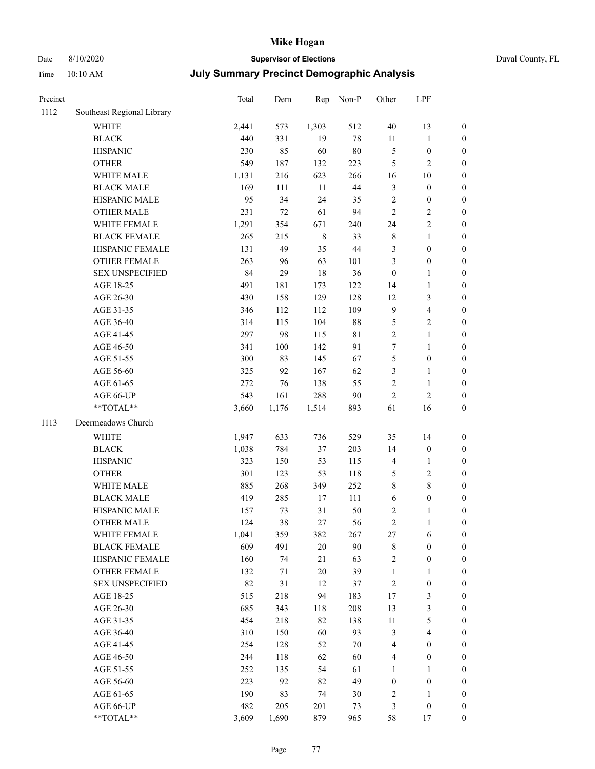# Date 8/10/2020 **Supervisor of Elections** Duval County, FL

| Precinct |                            | <b>Total</b> | Dem     | Rep         | Non-P       | Other                   | LPF              |                  |
|----------|----------------------------|--------------|---------|-------------|-------------|-------------------------|------------------|------------------|
| 1112     | Southeast Regional Library |              |         |             |             |                         |                  |                  |
|          | <b>WHITE</b>               | 2,441        | 573     | 1,303       | 512         | 40                      | 13               | 0                |
|          | <b>BLACK</b>               | 440          | 331     | 19          | $78\,$      | 11                      | $\mathbf{1}$     | 0                |
|          | <b>HISPANIC</b>            | 230          | 85      | 60          | $80\,$      | 5                       | $\boldsymbol{0}$ | $\boldsymbol{0}$ |
|          | <b>OTHER</b>               | 549          | 187     | 132         | 223         | 5                       | $\sqrt{2}$       | $\boldsymbol{0}$ |
|          | WHITE MALE                 | 1,131        | 216     | 623         | 266         | 16                      | 10               | $\boldsymbol{0}$ |
|          | <b>BLACK MALE</b>          | 169          | 111     | 11          | $44\,$      | 3                       | $\boldsymbol{0}$ | $\boldsymbol{0}$ |
|          | HISPANIC MALE              | 95           | 34      | 24          | 35          | $\overline{c}$          | $\boldsymbol{0}$ | $\boldsymbol{0}$ |
|          | <b>OTHER MALE</b>          | 231          | 72      | 61          | 94          | $\overline{c}$          | $\sqrt{2}$       | $\boldsymbol{0}$ |
|          | WHITE FEMALE               | 1,291        | 354     | 671         | 240         | 24                      | $\sqrt{2}$       | $\boldsymbol{0}$ |
|          | <b>BLACK FEMALE</b>        | 265          | 215     | $\,$ 8 $\,$ | 33          | 8                       | $\mathbf{1}$     | $\boldsymbol{0}$ |
|          | HISPANIC FEMALE            | 131          | 49      | 35          | 44          | 3                       | $\boldsymbol{0}$ | $\boldsymbol{0}$ |
|          | <b>OTHER FEMALE</b>        | 263          | 96      | 63          | 101         | 3                       | $\boldsymbol{0}$ | $\boldsymbol{0}$ |
|          | <b>SEX UNSPECIFIED</b>     | 84           | 29      | 18          | 36          | $\boldsymbol{0}$        | $\mathbf{1}$     | $\boldsymbol{0}$ |
|          | AGE 18-25                  | 491          | 181     | 173         | 122         | 14                      | $\mathbf{1}$     | $\boldsymbol{0}$ |
|          | AGE 26-30                  | 430          | 158     | 129         | 128         | 12                      | $\mathfrak{Z}$   | $\boldsymbol{0}$ |
|          | AGE 31-35                  | 346          | 112     | 112         | 109         | 9                       | $\overline{4}$   | $\boldsymbol{0}$ |
|          | AGE 36-40                  | 314          | 115     | 104         | 88          | 5                       | $\sqrt{2}$       | $\boldsymbol{0}$ |
|          | AGE 41-45                  | 297          | 98      | 115         | $8\sqrt{1}$ | $\overline{c}$          | $\mathbf{1}$     | $\boldsymbol{0}$ |
|          | AGE 46-50                  | 341          | $100\,$ | 142         | 91          | 7                       | $\mathbf{1}$     | $\boldsymbol{0}$ |
|          | AGE 51-55                  | 300          | 83      | 145         | 67          | 5                       | $\boldsymbol{0}$ | $\boldsymbol{0}$ |
|          | AGE 56-60                  | 325          | 92      | 167         | 62          | 3                       | $\mathbf{1}$     | $\boldsymbol{0}$ |
|          | AGE 61-65                  | 272          | 76      | 138         | 55          | $\overline{c}$          | $\mathbf{1}$     | $\boldsymbol{0}$ |
|          | AGE 66-UP                  | 543          | 161     | 288         | $90\,$      | $\mathbf{2}$            | $\sqrt{2}$       | $\boldsymbol{0}$ |
|          | $**TOTAL**$                | 3,660        | 1,176   | 1,514       | 893         | 61                      | 16               | $\boldsymbol{0}$ |
| 1113     | Deermeadows Church         |              |         |             |             |                         |                  |                  |
|          | <b>WHITE</b>               | 1,947        | 633     | 736         | 529         | 35                      | 14               | $\boldsymbol{0}$ |
|          | <b>BLACK</b>               | 1,038        | 784     | 37          | 203         | 14                      | $\boldsymbol{0}$ | $\boldsymbol{0}$ |
|          | <b>HISPANIC</b>            | 323          | 150     | 53          | 115         | 4                       | $\mathbf{1}$     | $\boldsymbol{0}$ |
|          | <b>OTHER</b>               | 301          | 123     | 53          | 118         | 5                       | $\sqrt{2}$       | $\boldsymbol{0}$ |
|          | WHITE MALE                 | 885          | 268     | 349         | 252         | 8                       | $\,$ 8 $\,$      | $\boldsymbol{0}$ |
|          | <b>BLACK MALE</b>          | 419          | 285     | 17          | 111         | 6                       | $\boldsymbol{0}$ | $\boldsymbol{0}$ |
|          | HISPANIC MALE              | 157          | 73      | 31          | 50          | $\overline{\mathbf{c}}$ | 1                | $\boldsymbol{0}$ |
|          | <b>OTHER MALE</b>          | 124          | 38      | 27          | 56          | $\overline{c}$          | $\mathbf{1}$     | $\boldsymbol{0}$ |
|          | WHITE FEMALE               | 1,041        | 359     | 382         | 267         | 27                      | 6                | 0                |
|          | <b>BLACK FEMALE</b>        | 609          | 491     | $20\,$      | 90          | 8                       | $\boldsymbol{0}$ | $\overline{0}$   |
|          | HISPANIC FEMALE            | 160          | 74      | 21          | 63          | $\overline{c}$          | $\boldsymbol{0}$ | $\overline{0}$   |
|          | OTHER FEMALE               | 132          | 71      | $20\,$      | 39          | 1                       | $\mathbf{1}$     | $\overline{0}$   |
|          | <b>SEX UNSPECIFIED</b>     | 82           | 31      | 12          | 37          | $\overline{c}$          | $\boldsymbol{0}$ | 0                |
|          | AGE 18-25                  | 515          | 218     | 94          | 183         | 17                      | 3                | 0                |
|          | AGE 26-30                  | 685          | 343     | 118         | 208         | 13                      | 3                | 0                |
|          | AGE 31-35                  | 454          | 218     | 82          | 138         | $11\,$                  | 5                | 0                |
|          | AGE 36-40                  | 310          | 150     | 60          | 93          | 3                       | $\overline{4}$   | 0                |
|          | AGE 41-45                  | 254          | 128     | 52          | $70\,$      | 4                       | $\boldsymbol{0}$ | 0                |
|          | AGE 46-50                  | 244          | 118     | 62          | 60          | 4                       | $\boldsymbol{0}$ | 0                |
|          | AGE 51-55                  | 252          | 135     | 54          | 61          | 1                       | $\mathbf{1}$     | 0                |
|          | AGE 56-60                  | 223          | 92      | 82          | 49          | $\boldsymbol{0}$        | $\boldsymbol{0}$ | 0                |
|          | AGE 61-65                  | 190          | 83      | 74          | 30          | $\overline{\mathbf{c}}$ | 1                | 0                |
|          | AGE 66-UP                  | 482          | 205     | 201         | 73          | 3                       | $\boldsymbol{0}$ | 0                |
|          | **TOTAL**                  | 3,609        | 1,690   | 879         | 965         | 58                      | 17               | $\boldsymbol{0}$ |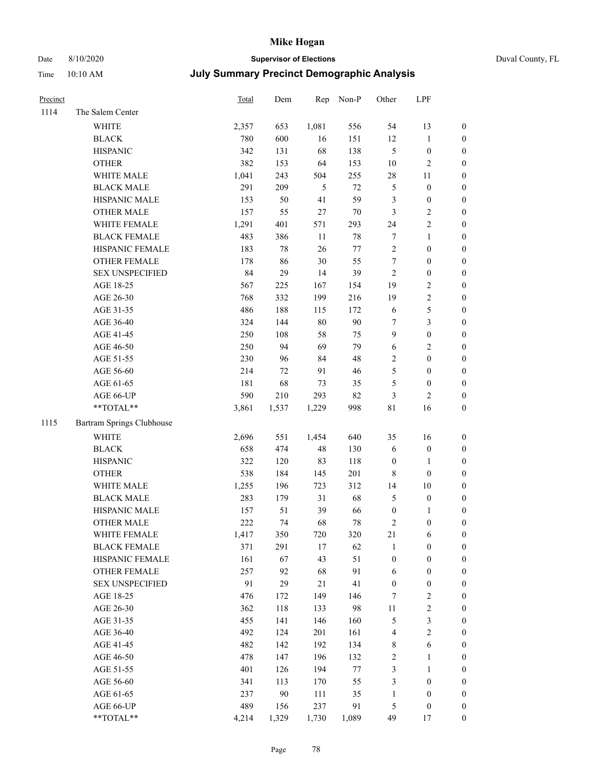### Date 8/10/2020 **Supervisor of Elections** Duval County, FL

| Precinct |                           | Total | Dem    | Rep    | Non-P  | Other            | LPF              |                  |
|----------|---------------------------|-------|--------|--------|--------|------------------|------------------|------------------|
| 1114     | The Salem Center          |       |        |        |        |                  |                  |                  |
|          | WHITE                     | 2,357 | 653    | 1,081  | 556    | 54               | 13               | 0                |
|          | <b>BLACK</b>              | 780   | 600    | 16     | 151    | 12               | $\mathbf{1}$     | 0                |
|          | <b>HISPANIC</b>           | 342   | 131    | 68     | 138    | $\mathfrak{S}$   | $\boldsymbol{0}$ | $\boldsymbol{0}$ |
|          | <b>OTHER</b>              | 382   | 153    | 64     | 153    | $10\,$           | $\sqrt{2}$       | $\boldsymbol{0}$ |
|          | WHITE MALE                | 1,041 | 243    | 504    | 255    | $28\,$           | 11               | $\boldsymbol{0}$ |
|          | <b>BLACK MALE</b>         | 291   | 209    | 5      | $72\,$ | 5                | $\boldsymbol{0}$ | $\boldsymbol{0}$ |
|          | HISPANIC MALE             | 153   | 50     | 41     | 59     | 3                | $\boldsymbol{0}$ | $\boldsymbol{0}$ |
|          | <b>OTHER MALE</b>         | 157   | 55     | $27\,$ | $70\,$ | 3                | $\sqrt{2}$       | $\boldsymbol{0}$ |
|          | WHITE FEMALE              | 1,291 | 401    | 571    | 293    | 24               | $\sqrt{2}$       | $\boldsymbol{0}$ |
|          | <b>BLACK FEMALE</b>       | 483   | 386    | 11     | $78\,$ | 7                | $\mathbf{1}$     | $\boldsymbol{0}$ |
|          | HISPANIC FEMALE           | 183   | 78     | 26     | $77\,$ | $\sqrt{2}$       | $\boldsymbol{0}$ | 0                |
|          | OTHER FEMALE              | 178   | 86     | 30     | 55     | $\tau$           | $\boldsymbol{0}$ | 0                |
|          | <b>SEX UNSPECIFIED</b>    | 84    | 29     | 14     | 39     | $\sqrt{2}$       | $\boldsymbol{0}$ | $\boldsymbol{0}$ |
|          | AGE 18-25                 | 567   | 225    | 167    | 154    | 19               | $\sqrt{2}$       | $\boldsymbol{0}$ |
|          | AGE 26-30                 | 768   | 332    | 199    | 216    | 19               | $\sqrt{2}$       | $\boldsymbol{0}$ |
|          | AGE 31-35                 | 486   | 188    | 115    | 172    | $\sqrt{6}$       | $\mathfrak s$    | $\boldsymbol{0}$ |
|          | AGE 36-40                 | 324   | 144    | 80     | 90     | 7                | $\mathfrak{Z}$   | $\boldsymbol{0}$ |
|          | AGE 41-45                 | 250   | 108    | 58     | 75     | $\boldsymbol{9}$ | $\boldsymbol{0}$ | $\boldsymbol{0}$ |
|          | AGE 46-50                 | 250   | 94     | 69     | 79     | $\sqrt{6}$       | $\sqrt{2}$       | $\boldsymbol{0}$ |
|          | AGE 51-55                 | 230   | 96     | 84     | 48     | $\sqrt{2}$       | $\boldsymbol{0}$ | $\boldsymbol{0}$ |
|          | AGE 56-60                 | 214   | 72     | 91     | 46     | 5                | $\boldsymbol{0}$ | 0                |
|          | AGE 61-65                 | 181   | 68     | 73     | 35     | 5                | $\boldsymbol{0}$ | 0                |
|          | AGE 66-UP                 | 590   | 210    | 293    | 82     | 3                | $\overline{2}$   | $\boldsymbol{0}$ |
|          | **TOTAL**                 | 3,861 | 1,537  | 1,229  | 998    | $8\sqrt{1}$      | 16               | $\boldsymbol{0}$ |
| 1115     | Bartram Springs Clubhouse |       |        |        |        |                  |                  |                  |
|          | <b>WHITE</b>              | 2,696 | 551    | 1,454  | 640    | 35               | 16               | $\boldsymbol{0}$ |
|          | <b>BLACK</b>              | 658   | 474    | 48     | 130    | 6                | $\boldsymbol{0}$ | $\boldsymbol{0}$ |
|          | <b>HISPANIC</b>           | 322   | 120    | 83     | 118    | $\boldsymbol{0}$ | $\mathbf{1}$     | $\boldsymbol{0}$ |
|          | <b>OTHER</b>              | 538   | 184    | 145    | 201    | $\,$ 8 $\,$      | $\boldsymbol{0}$ | $\boldsymbol{0}$ |
|          | WHITE MALE                | 1,255 | 196    | 723    | 312    | 14               | $10\,$           | $\boldsymbol{0}$ |
|          | <b>BLACK MALE</b>         | 283   | 179    | 31     | 68     | 5                | $\boldsymbol{0}$ | $\boldsymbol{0}$ |
|          | HISPANIC MALE             | 157   | 51     | 39     | 66     | $\boldsymbol{0}$ | 1                | 0                |
|          | <b>OTHER MALE</b>         | 222   | 74     | 68     | 78     | 2                | $\boldsymbol{0}$ | $\boldsymbol{0}$ |
|          | WHITE FEMALE              | 1,417 | 350    | 720    | 320    | 21               | 6                | 0                |
|          | <b>BLACK FEMALE</b>       | 371   | 291    | 17     | 62     | $\mathbf{1}$     | $\boldsymbol{0}$ | $\boldsymbol{0}$ |
|          | HISPANIC FEMALE           | 161   | 67     | 43     | 51     | $\boldsymbol{0}$ | $\boldsymbol{0}$ | $\overline{0}$   |
|          | OTHER FEMALE              | 257   | 92     | 68     | 91     | 6                | $\boldsymbol{0}$ | $\overline{0}$   |
|          | <b>SEX UNSPECIFIED</b>    | 91    | 29     | $21\,$ | 41     | $\boldsymbol{0}$ | $\boldsymbol{0}$ | 0                |
|          | AGE 18-25                 | 476   | 172    | 149    | 146    | 7                | $\sqrt{2}$       | 0                |
|          | AGE 26-30                 | 362   | 118    | 133    | 98     | $11\,$           | $\sqrt{2}$       | 0                |
|          | AGE 31-35                 | 455   | 141    | 146    | 160    | 5                | $\mathfrak{Z}$   | 0                |
|          | AGE 36-40                 | 492   | 124    | 201    | 161    | 4                | $\sqrt{2}$       | 0                |
|          | AGE 41-45                 | 482   | 142    | 192    | 134    | 8                | $\sqrt{6}$       | 0                |
|          | AGE 46-50                 | 478   | 147    | 196    | 132    | 2                | $\mathbf{1}$     | 0                |
|          | AGE 51-55                 | 401   | 126    | 194    | $77\,$ | 3                | $\mathbf{1}$     | 0                |
|          | AGE 56-60                 | 341   | 113    | 170    | 55     | 3                | $\boldsymbol{0}$ | $\overline{0}$   |
|          | AGE 61-65                 | 237   | $90\,$ | 111    | 35     | $\mathbf{1}$     | $\boldsymbol{0}$ | $\overline{0}$   |
|          | AGE 66-UP                 | 489   | 156    | 237    | 91     | 5                | $\boldsymbol{0}$ | 0                |
|          | **TOTAL**                 | 4,214 | 1,329  | 1,730  | 1,089  | 49               | 17               | $\boldsymbol{0}$ |
|          |                           |       |        |        |        |                  |                  |                  |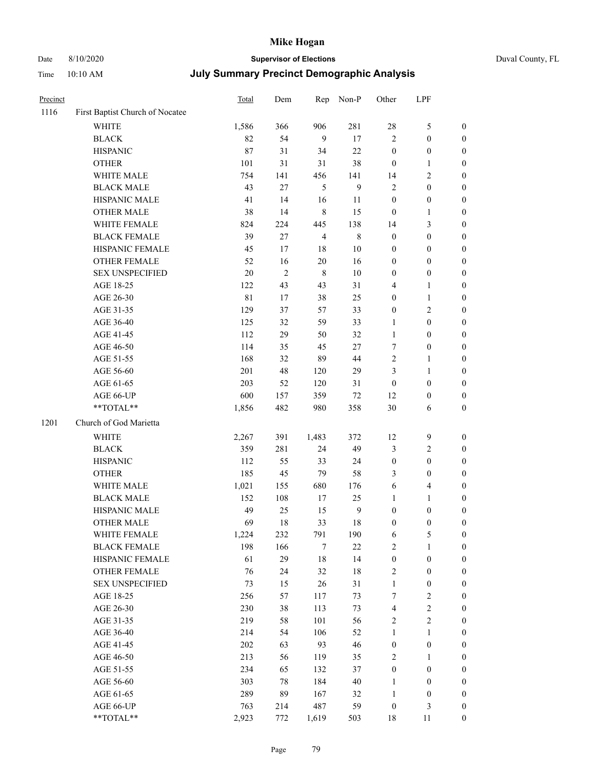# Date 8/10/2020 **Supervisor of Elections** Duval County, FL

| Precinct |                                 | Total | Dem            | Rep                     | Non-P            | Other            | LPF              |                  |
|----------|---------------------------------|-------|----------------|-------------------------|------------------|------------------|------------------|------------------|
| 1116     | First Baptist Church of Nocatee |       |                |                         |                  |                  |                  |                  |
|          | <b>WHITE</b>                    | 1,586 | 366            | 906                     | 281              | 28               | $\mathfrak s$    | 0                |
|          | <b>BLACK</b>                    | 82    | 54             | 9                       | 17               | $\overline{c}$   | $\boldsymbol{0}$ | 0                |
|          | <b>HISPANIC</b>                 | 87    | 31             | 34                      | 22               | $\boldsymbol{0}$ | $\boldsymbol{0}$ | $\boldsymbol{0}$ |
|          | <b>OTHER</b>                    | 101   | 31             | 31                      | 38               | $\boldsymbol{0}$ | 1                | $\boldsymbol{0}$ |
|          | WHITE MALE                      | 754   | 141            | 456                     | 141              | 14               | $\sqrt{2}$       | $\boldsymbol{0}$ |
|          | <b>BLACK MALE</b>               | 43    | $27\,$         | 5                       | $\boldsymbol{9}$ | $\overline{c}$   | $\boldsymbol{0}$ | $\boldsymbol{0}$ |
|          | HISPANIC MALE                   | 41    | 14             | 16                      | 11               | $\boldsymbol{0}$ | $\boldsymbol{0}$ | $\boldsymbol{0}$ |
|          | <b>OTHER MALE</b>               | 38    | 14             | $\,$ 8 $\,$             | 15               | $\boldsymbol{0}$ | $\mathbf{1}$     | $\boldsymbol{0}$ |
|          | WHITE FEMALE                    | 824   | 224            | 445                     | 138              | 14               | $\mathfrak{Z}$   | $\boldsymbol{0}$ |
|          | <b>BLACK FEMALE</b>             | 39    | 27             | $\overline{\mathbf{4}}$ | $\,$ 8 $\,$      | $\boldsymbol{0}$ | $\boldsymbol{0}$ | 0                |
|          | HISPANIC FEMALE                 | 45    | 17             | 18                      | 10               | $\boldsymbol{0}$ | $\boldsymbol{0}$ | 0                |
|          | OTHER FEMALE                    | 52    | 16             | $20\,$                  | 16               | 0                | $\boldsymbol{0}$ | $\boldsymbol{0}$ |
|          | <b>SEX UNSPECIFIED</b>          | 20    | $\overline{2}$ | $\,$ 8 $\,$             | 10               | $\boldsymbol{0}$ | $\boldsymbol{0}$ | $\boldsymbol{0}$ |
|          | AGE 18-25                       | 122   | 43             | 43                      | 31               | 4                | $\mathbf{1}$     | $\boldsymbol{0}$ |
|          | AGE 26-30                       | 81    | 17             | 38                      | 25               | $\boldsymbol{0}$ | $\mathbf{1}$     | $\boldsymbol{0}$ |
|          | AGE 31-35                       | 129   | 37             | 57                      | 33               | 0                | $\sqrt{2}$       | $\boldsymbol{0}$ |
|          | AGE 36-40                       | 125   | 32             | 59                      | 33               | 1                | $\boldsymbol{0}$ | $\boldsymbol{0}$ |
|          | AGE 41-45                       | 112   | 29             | 50                      | 32               | $\mathbf{1}$     | $\boldsymbol{0}$ | $\boldsymbol{0}$ |
|          | AGE 46-50                       | 114   | 35             | 45                      | $27\,$           | 7                | $\boldsymbol{0}$ | $\boldsymbol{0}$ |
|          | AGE 51-55                       | 168   | 32             | 89                      | 44               | 2                | 1                | 0                |
|          | AGE 56-60                       | 201   | 48             | 120                     | 29               | 3                | $\mathbf{1}$     | 0                |
|          | AGE 61-65                       | 203   | 52             | 120                     | 31               | $\boldsymbol{0}$ | $\boldsymbol{0}$ | 0                |
|          | AGE 66-UP                       | 600   | 157            | 359                     | $72\,$           | 12               | $\boldsymbol{0}$ | $\boldsymbol{0}$ |
|          | $**TOTAL**$                     | 1,856 | 482            | 980                     | 358              | 30               | 6                | $\boldsymbol{0}$ |
| 1201     | Church of God Marietta          |       |                |                         |                  |                  |                  |                  |
|          | <b>WHITE</b>                    | 2,267 | 391            | 1,483                   | 372              | 12               | $\boldsymbol{9}$ | $\boldsymbol{0}$ |
|          | <b>BLACK</b>                    | 359   | 281            | 24                      | 49               | 3                | $\sqrt{2}$       | $\boldsymbol{0}$ |
|          | <b>HISPANIC</b>                 | 112   | 55             | 33                      | 24               | $\boldsymbol{0}$ | $\boldsymbol{0}$ | $\boldsymbol{0}$ |
|          | <b>OTHER</b>                    | 185   | 45             | 79                      | 58               | 3                | $\boldsymbol{0}$ | $\boldsymbol{0}$ |
|          | WHITE MALE                      | 1,021 | 155            | 680                     | 176              | 6                | $\overline{4}$   | $\boldsymbol{0}$ |
|          | <b>BLACK MALE</b>               | 152   | 108            | $17\,$                  | 25               | $\mathbf{1}$     | $\mathbf{1}$     | $\boldsymbol{0}$ |
|          | HISPANIC MALE                   | 49    | 25             | 15                      | $\boldsymbol{9}$ | $\boldsymbol{0}$ | $\boldsymbol{0}$ | 0                |
|          | <b>OTHER MALE</b>               | 69    | 18             | 33                      | 18               | 0                | $\boldsymbol{0}$ | $\boldsymbol{0}$ |
|          | WHITE FEMALE                    | 1,224 | 232            | 791                     | 190              | 6                | 5                | 0                |
|          | <b>BLACK FEMALE</b>             | 198   | 166            | 7                       | 22               | 2                | $\mathbf{1}$     | $\overline{0}$   |
|          | HISPANIC FEMALE                 | 61    | 29             | 18                      | 14               | $\boldsymbol{0}$ | $\boldsymbol{0}$ | $\overline{0}$   |
|          | OTHER FEMALE                    | 76    | 24             | 32                      | 18               | 2                | $\boldsymbol{0}$ | 0                |
|          | <b>SEX UNSPECIFIED</b>          | 73    | 15             | 26                      | 31               | $\mathbf{1}$     | $\boldsymbol{0}$ | 0                |
|          | AGE 18-25                       | 256   | 57             | 117                     | 73               | 7                | $\sqrt{2}$       | 0                |
|          | AGE 26-30                       | 230   | 38             | 113                     | 73               | 4                | $\sqrt{2}$       | 0                |
|          | AGE 31-35                       | 219   | 58             | 101                     | 56               | $\mathbf{2}$     | $\sqrt{2}$       | 0                |
|          | AGE 36-40                       | 214   | 54             | 106                     | 52               | $\mathbf{1}$     | $\mathbf{1}$     | 0                |
|          | AGE 41-45                       | 202   | 63             | 93                      | 46               | $\boldsymbol{0}$ | $\boldsymbol{0}$ | 0                |
|          | AGE 46-50                       | 213   | 56             | 119                     | 35               | 2                | 1                | 0                |
|          | AGE 51-55                       | 234   | 65             | 132                     | 37               | $\boldsymbol{0}$ | $\boldsymbol{0}$ | 0                |
|          | AGE 56-60                       | 303   | 78             | 184                     | 40               | 1                | $\boldsymbol{0}$ | 0                |
|          | AGE 61-65                       | 289   | 89             | 167                     | 32               | 1                | $\boldsymbol{0}$ | 0                |
|          | AGE 66-UP                       | 763   | 214            | 487                     | 59               | $\boldsymbol{0}$ | $\mathfrak{Z}$   | 0                |
|          | **TOTAL**                       | 2,923 | 772            | 1,619                   | 503              | 18               | 11               | $\boldsymbol{0}$ |
|          |                                 |       |                |                         |                  |                  |                  |                  |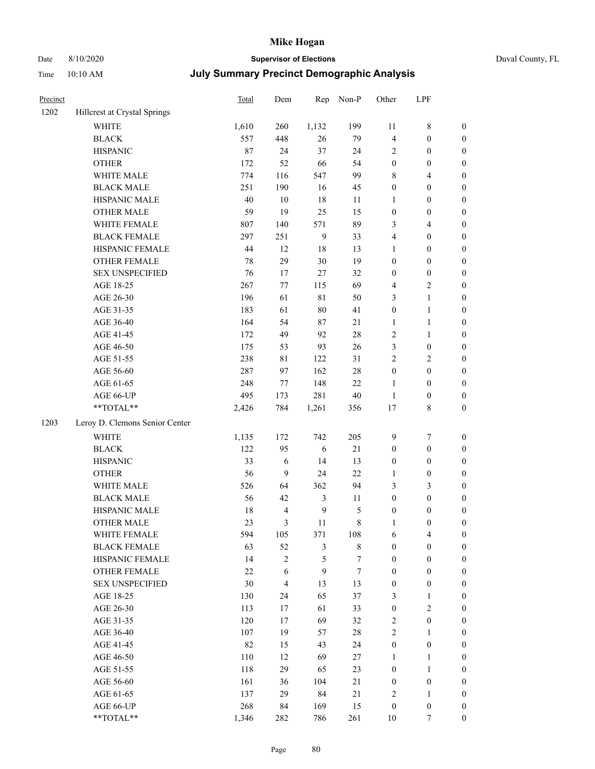## Date 8/10/2020 **Supervisor of Elections**

|  | Duval County, FL |  |
|--|------------------|--|
|--|------------------|--|

| Precinct |                                  | Total   | Dem            | Rep              | Non-P         | Other                   | LPF              |                  |
|----------|----------------------------------|---------|----------------|------------------|---------------|-------------------------|------------------|------------------|
| 1202     | Hillcrest at Crystal Springs     |         |                |                  |               |                         |                  |                  |
|          | <b>WHITE</b>                     | 1,610   | 260            | 1,132            | 199           | 11                      | $\,$ 8 $\,$      | 0                |
|          | <b>BLACK</b>                     | 557     | 448            | 26               | 79            | $\overline{\mathbf{4}}$ | $\boldsymbol{0}$ | $\boldsymbol{0}$ |
|          | <b>HISPANIC</b>                  | 87      | 24             | 37               | 24            | 2                       | $\boldsymbol{0}$ | $\boldsymbol{0}$ |
|          | <b>OTHER</b>                     | 172     | 52             | 66               | 54            | $\boldsymbol{0}$        | $\boldsymbol{0}$ | $\boldsymbol{0}$ |
|          | WHITE MALE                       | 774     | 116            | 547              | 99            | 8                       | $\overline{4}$   | $\boldsymbol{0}$ |
|          | <b>BLACK MALE</b>                | 251     | 190            | 16               | 45            | $\boldsymbol{0}$        | $\boldsymbol{0}$ | $\boldsymbol{0}$ |
|          | HISPANIC MALE                    | 40      | $10\,$         | 18               | 11            | 1                       | $\boldsymbol{0}$ | $\boldsymbol{0}$ |
|          | <b>OTHER MALE</b>                | 59      | 19             | 25               | 15            | $\boldsymbol{0}$        | $\boldsymbol{0}$ | $\boldsymbol{0}$ |
|          | WHITE FEMALE                     | $807\,$ | 140            | 571              | 89            | 3                       | $\overline{4}$   | $\boldsymbol{0}$ |
|          | <b>BLACK FEMALE</b>              | 297     | 251            | 9                | 33            | 4                       | $\boldsymbol{0}$ | $\boldsymbol{0}$ |
|          | HISPANIC FEMALE                  | 44      | 12             | 18               | 13            | 1                       | $\boldsymbol{0}$ | 0                |
|          | OTHER FEMALE                     | 78      | 29             | 30               | 19            | 0                       | $\boldsymbol{0}$ | $\boldsymbol{0}$ |
|          | <b>SEX UNSPECIFIED</b>           | 76      | 17             | $27\,$           | 32            | $\boldsymbol{0}$        | $\boldsymbol{0}$ | $\boldsymbol{0}$ |
|          | AGE 18-25                        | 267     | $77 \,$        | 115              | 69            | 4                       | $\sqrt{2}$       | $\boldsymbol{0}$ |
|          | AGE 26-30                        | 196     | 61             | 81               | 50            | 3                       | $\mathbf{1}$     | $\boldsymbol{0}$ |
|          | AGE 31-35                        | 183     | 61             | 80               | 41            | $\boldsymbol{0}$        | $\mathbf{1}$     | $\boldsymbol{0}$ |
|          | AGE 36-40                        | 164     | 54             | 87               | 21            | $\mathbf{1}$            | $\mathbf{1}$     | $\boldsymbol{0}$ |
|          | AGE 41-45                        | 172     | 49             | 92               | $28\,$        | 2                       | $\mathbf{1}$     | $\boldsymbol{0}$ |
|          | AGE 46-50                        | 175     | 53             | 93               | 26            | 3                       | $\boldsymbol{0}$ | $\boldsymbol{0}$ |
|          | AGE 51-55                        | 238     | $8\sqrt{1}$    | 122              | 31            | 2                       | $\sqrt{2}$       | $\boldsymbol{0}$ |
|          | AGE 56-60                        | 287     | 97             | 162              | 28            | $\boldsymbol{0}$        | $\boldsymbol{0}$ | 0                |
|          | AGE 61-65                        | 248     | 77             | 148              | 22            | $\mathbf{1}$            | $\boldsymbol{0}$ | 0                |
|          | AGE 66-UP                        | 495     | 173            | 281              | 40            | $\mathbf{1}$            | $\boldsymbol{0}$ | $\boldsymbol{0}$ |
|          | $\mathrm{``TOTAL}^{\mathrm{**}}$ | 2,426   | 784            | 1,261            | 356           | 17                      | $\,$ 8 $\,$      | $\boldsymbol{0}$ |
| 1203     | Leroy D. Clemons Senior Center   |         |                |                  |               |                         |                  |                  |
|          |                                  |         |                |                  |               |                         |                  |                  |
|          | <b>WHITE</b>                     | 1,135   | 172            | 742              | 205           | 9                       | $\boldsymbol{7}$ | $\boldsymbol{0}$ |
|          | <b>BLACK</b>                     | 122     | 95             | $\sqrt{6}$       | $21\,$        | $\boldsymbol{0}$        | $\boldsymbol{0}$ | $\boldsymbol{0}$ |
|          | <b>HISPANIC</b>                  | 33      | 6              | 14               | 13            | $\boldsymbol{0}$        | $\boldsymbol{0}$ | $\boldsymbol{0}$ |
|          | <b>OTHER</b>                     | 56      | 9              | 24               | 22            | 1                       | $\boldsymbol{0}$ | $\boldsymbol{0}$ |
|          | WHITE MALE                       | 526     | 64             | 362              | 94            | 3                       | 3                | $\boldsymbol{0}$ |
|          | <b>BLACK MALE</b>                | 56      | 42             | 3                | 11            | $\boldsymbol{0}$        | $\boldsymbol{0}$ | $\boldsymbol{0}$ |
|          | HISPANIC MALE                    | 18      | $\overline{4}$ | $\boldsymbol{9}$ | $\mathfrak s$ | $\boldsymbol{0}$        | $\boldsymbol{0}$ | $\boldsymbol{0}$ |
|          | <b>OTHER MALE</b>                | 23      | 3              | 11               | $\,$ 8 $\,$   | 1                       | $\boldsymbol{0}$ | $\boldsymbol{0}$ |
|          | WHITE FEMALE                     | 594     | 105            | 371              | 108           | 6                       | 4                | 0                |
|          | <b>BLACK FEMALE</b>              | 63      | 52             | 3                | $\,$ 8 $\,$   | 0                       | $\boldsymbol{0}$ | $\overline{0}$   |
|          | HISPANIC FEMALE                  | 14      | $\overline{c}$ | 5                | 7             | $\boldsymbol{0}$        | $\boldsymbol{0}$ | $\overline{0}$   |
|          | OTHER FEMALE                     | 22      | 6              | 9                | $\tau$        | 0                       | $\boldsymbol{0}$ | $\overline{0}$   |
|          | <b>SEX UNSPECIFIED</b>           | 30      | $\overline{4}$ | 13               | 13            | $\boldsymbol{0}$        | $\boldsymbol{0}$ | 0                |
|          | AGE 18-25                        | 130     | 24             | 65               | 37            | 3                       | $\mathbf{1}$     | 0                |
|          | AGE 26-30                        | 113     | 17             | 61               | 33            | $\boldsymbol{0}$        | $\mathfrak{2}$   | 0                |
|          | AGE 31-35                        | 120     | 17             | 69               | 32            | 2                       | $\boldsymbol{0}$ | 0                |
|          | AGE 36-40                        | 107     | 19             | 57               | 28            | 2                       | $\mathbf{1}$     | 0                |
|          | AGE 41-45                        | 82      | 15             | 43               | 24            | $\boldsymbol{0}$        | $\boldsymbol{0}$ | 0                |
|          | AGE 46-50                        | 110     | 12             | 69               | $27\,$        | 1                       | 1                | 0                |
|          | AGE 51-55                        | 118     | 29             | 65               | 23            | $\boldsymbol{0}$        | $\mathbf{1}$     | 0                |
|          | AGE 56-60                        | 161     | 36             | 104              | 21            | $\boldsymbol{0}$        | $\boldsymbol{0}$ | $\overline{0}$   |
|          | AGE 61-65                        | 137     | 29             | 84               | 21            | 2                       | $\mathbf{1}$     | $\overline{0}$   |
|          | AGE 66-UP                        | 268     | 84             | 169              | 15            | $\boldsymbol{0}$        | $\boldsymbol{0}$ | 0                |
|          | **TOTAL**                        | 1,346   | 282            | 786              | 261           | 10                      | 7                | $\boldsymbol{0}$ |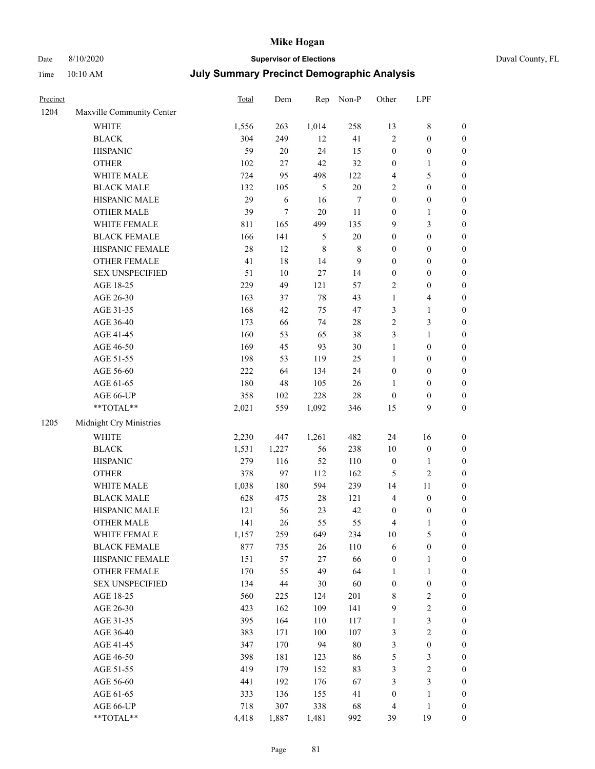# Date 8/10/2020 **Supervisor of Elections** Duval County, FL

| Precinct |                                                           | Total | Dem    | Rep         | Non-P       | Other            | LPF              |                  |
|----------|-----------------------------------------------------------|-------|--------|-------------|-------------|------------------|------------------|------------------|
| 1204     | Maxville Community Center                                 |       |        |             |             |                  |                  |                  |
|          | <b>WHITE</b>                                              | 1,556 | 263    | 1,014       | 258         | 13               | $\,$ 8 $\,$      | 0                |
|          | <b>BLACK</b>                                              | 304   | 249    | 12          | 41          | $\overline{2}$   | $\boldsymbol{0}$ | $\boldsymbol{0}$ |
|          | <b>HISPANIC</b>                                           | 59    | $20\,$ | 24          | 15          | $\boldsymbol{0}$ | $\boldsymbol{0}$ | $\boldsymbol{0}$ |
|          | <b>OTHER</b>                                              | 102   | 27     | 42          | 32          | $\boldsymbol{0}$ | 1                | $\boldsymbol{0}$ |
|          | WHITE MALE                                                | 724   | 95     | 498         | 122         | 4                | $\mathfrak s$    | $\boldsymbol{0}$ |
|          | <b>BLACK MALE</b>                                         | 132   | 105    | 5           | $20\,$      | 2                | $\boldsymbol{0}$ | $\boldsymbol{0}$ |
|          | HISPANIC MALE                                             | 29    | 6      | 16          | 7           | $\boldsymbol{0}$ | $\boldsymbol{0}$ | $\boldsymbol{0}$ |
|          | <b>OTHER MALE</b>                                         | 39    | $\tau$ | $20\,$      | 11          | $\boldsymbol{0}$ | $\mathbf{1}$     | $\boldsymbol{0}$ |
|          | WHITE FEMALE                                              | 811   | 165    | 499         | 135         | 9                | $\mathfrak{Z}$   | $\boldsymbol{0}$ |
|          | <b>BLACK FEMALE</b>                                       | 166   | 141    | 5           | $20\,$      | $\boldsymbol{0}$ | $\boldsymbol{0}$ | $\boldsymbol{0}$ |
|          | HISPANIC FEMALE                                           | 28    | 12     | $\,$ 8 $\,$ | $\,$ 8 $\,$ | $\boldsymbol{0}$ | $\boldsymbol{0}$ | $\boldsymbol{0}$ |
|          | <b>OTHER FEMALE</b>                                       | 41    | 18     | 14          | 9           | $\boldsymbol{0}$ | $\boldsymbol{0}$ | $\boldsymbol{0}$ |
|          | <b>SEX UNSPECIFIED</b>                                    | 51    | 10     | $27\,$      | 14          | $\boldsymbol{0}$ | $\boldsymbol{0}$ | $\boldsymbol{0}$ |
|          | AGE 18-25                                                 | 229   | 49     | 121         | 57          | 2                | $\boldsymbol{0}$ | $\boldsymbol{0}$ |
|          | AGE 26-30                                                 | 163   | 37     | 78          | 43          | $\mathbf{1}$     | $\overline{4}$   | $\boldsymbol{0}$ |
|          | AGE 31-35                                                 | 168   | 42     | 75          | 47          | 3                | $\mathbf{1}$     | $\boldsymbol{0}$ |
|          | AGE 36-40                                                 | 173   | 66     | 74          | $28\,$      | $\overline{c}$   | 3                | $\boldsymbol{0}$ |
|          | AGE 41-45                                                 | 160   | 53     | 65          | 38          | 3                | $\mathbf{1}$     | $\boldsymbol{0}$ |
|          | AGE 46-50                                                 | 169   | 45     | 93          | 30          | $\mathbf{1}$     | $\boldsymbol{0}$ | $\boldsymbol{0}$ |
|          | AGE 51-55                                                 | 198   | 53     | 119         | 25          | $\mathbf{1}$     | $\boldsymbol{0}$ | $\boldsymbol{0}$ |
|          | AGE 56-60                                                 | 222   | 64     | 134         | 24          | $\boldsymbol{0}$ | $\boldsymbol{0}$ | 0                |
|          | AGE 61-65                                                 | 180   | 48     | 105         | $26\,$      | 1                | $\boldsymbol{0}$ | $\boldsymbol{0}$ |
|          | AGE 66-UP                                                 | 358   | 102    | 228         | $28\,$      | $\boldsymbol{0}$ | $\boldsymbol{0}$ | $\boldsymbol{0}$ |
|          | $\mathrm{*}\mathrm{*}\mathrm{TOTAL} \mathrm{*}\mathrm{*}$ | 2,021 | 559    | 1,092       | 346         | 15               | 9                | $\boldsymbol{0}$ |
| 1205     | Midnight Cry Ministries                                   |       |        |             |             |                  |                  |                  |
|          | <b>WHITE</b>                                              | 2,230 | 447    | 1,261       | 482         | 24               | 16               | $\boldsymbol{0}$ |
|          | <b>BLACK</b>                                              | 1,531 | 1,227  | 56          | 238         | 10               | $\boldsymbol{0}$ | $\boldsymbol{0}$ |
|          | <b>HISPANIC</b>                                           | 279   | 116    | 52          | 110         | $\boldsymbol{0}$ | $\mathbf{1}$     | $\boldsymbol{0}$ |
|          | <b>OTHER</b>                                              | 378   | 97     | 112         | 162         | 5                | $\sqrt{2}$       | $\boldsymbol{0}$ |
|          | WHITE MALE                                                | 1,038 | 180    | 594         | 239         | 14               | $11\,$           | $\boldsymbol{0}$ |
|          | <b>BLACK MALE</b>                                         | 628   | 475    | $28\,$      | 121         | 4                | $\boldsymbol{0}$ | $\boldsymbol{0}$ |
|          | HISPANIC MALE                                             | 121   | 56     | 23          | 42          | $\boldsymbol{0}$ | $\boldsymbol{0}$ | 0                |
|          | <b>OTHER MALE</b>                                         | 141   | 26     | 55          | 55          | 4                | $\mathbf{1}$     | $\boldsymbol{0}$ |
|          | WHITE FEMALE                                              | 1,157 | 259    | 649         | 234         | 10               | 5                | 0                |
|          | <b>BLACK FEMALE</b>                                       | 877   | 735    | 26          | 110         | 6                | $\boldsymbol{0}$ | $\overline{0}$   |
|          | HISPANIC FEMALE                                           | 151   | 57     | 27          | 66          | $\boldsymbol{0}$ | $\mathbf{1}$     | $\overline{0}$   |
|          | <b>OTHER FEMALE</b>                                       | 170   | 55     | 49          | 64          | $\mathbf{1}$     | $\mathbf{1}$     | $\overline{0}$   |
|          | <b>SEX UNSPECIFIED</b>                                    | 134   | 44     | 30          | 60          | $\boldsymbol{0}$ | $\boldsymbol{0}$ | 0                |
|          | AGE 18-25                                                 | 560   | 225    | 124         | 201         | 8                | $\sqrt{2}$       | 0                |
|          | AGE 26-30                                                 | 423   | 162    | 109         | 141         | 9                | $\sqrt{2}$       | 0                |
|          | AGE 31-35                                                 | 395   | 164    | 110         | 117         | $\mathbf{1}$     | $\sqrt{3}$       | 0                |
|          | AGE 36-40                                                 | 383   | 171    | 100         | 107         | 3                | $\sqrt{2}$       | 0                |
|          | AGE 41-45                                                 | 347   | 170    | 94          | $80\,$      | 3                | $\boldsymbol{0}$ | 0                |
|          | AGE 46-50                                                 | 398   | 181    | 123         | 86          | 5                | $\mathfrak z$    | 0                |
|          | AGE 51-55                                                 | 419   | 179    | 152         | 83          | 3                | $\sqrt{2}$       | 0                |
|          | AGE 56-60                                                 | 441   | 192    | 176         | 67          | 3                | $\mathfrak{Z}$   | $\boldsymbol{0}$ |
|          | AGE 61-65                                                 | 333   | 136    | 155         | 41          | $\boldsymbol{0}$ | $\mathbf{1}$     | $\boldsymbol{0}$ |
|          | AGE 66-UP                                                 | 718   | 307    | 338         | 68          | 4                | $\mathbf{1}$     | 0                |
|          | **TOTAL**                                                 | 4,418 | 1,887  | 1,481       | 992         | 39               | 19               | $\boldsymbol{0}$ |
|          |                                                           |       |        |             |             |                  |                  |                  |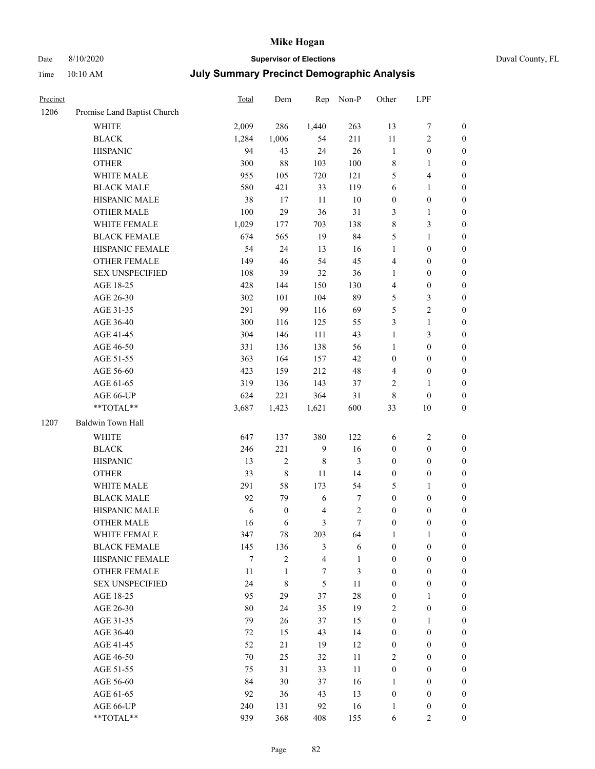# Date 8/10/2020 **Supervisor of Elections** Duval County, FL

| Precinct |                             | <b>Total</b> | Dem              | Rep                     | Non-P            | Other            | LPF                     |                  |
|----------|-----------------------------|--------------|------------------|-------------------------|------------------|------------------|-------------------------|------------------|
| 1206     | Promise Land Baptist Church |              |                  |                         |                  |                  |                         |                  |
|          | <b>WHITE</b>                | 2,009        | 286              | 1,440                   | 263              | 13               | $\boldsymbol{7}$        | 0                |
|          | <b>BLACK</b>                | 1,284        | 1,006            | 54                      | 211              | 11               | $\sqrt{2}$              | 0                |
|          | <b>HISPANIC</b>             | 94           | 43               | 24                      | 26               | $\mathbf{1}$     | $\boldsymbol{0}$        | $\boldsymbol{0}$ |
|          | <b>OTHER</b>                | 300          | $88\,$           | 103                     | 100              | 8                | 1                       | $\boldsymbol{0}$ |
|          | WHITE MALE                  | 955          | 105              | 720                     | 121              | 5                | $\overline{\mathbf{4}}$ | $\boldsymbol{0}$ |
|          | <b>BLACK MALE</b>           | 580          | 421              | 33                      | 119              | 6                | $\mathbf{1}$            | $\boldsymbol{0}$ |
|          | HISPANIC MALE               | 38           | 17               | 11                      | $10\,$           | $\boldsymbol{0}$ | $\boldsymbol{0}$        | $\boldsymbol{0}$ |
|          | <b>OTHER MALE</b>           | 100          | 29               | 36                      | 31               | 3                | $\mathbf{1}$            | $\boldsymbol{0}$ |
|          | WHITE FEMALE                | 1,029        | 177              | 703                     | 138              | $\,$ $\,$        | $\mathfrak{Z}$          | $\boldsymbol{0}$ |
|          | <b>BLACK FEMALE</b>         | 674          | 565              | 19                      | 84               | 5                | $\mathbf{1}$            | $\boldsymbol{0}$ |
|          | HISPANIC FEMALE             | 54           | 24               | 13                      | 16               | $\mathbf{1}$     | $\boldsymbol{0}$        | $\boldsymbol{0}$ |
|          | <b>OTHER FEMALE</b>         | 149          | 46               | 54                      | 45               | 4                | $\boldsymbol{0}$        | $\boldsymbol{0}$ |
|          | <b>SEX UNSPECIFIED</b>      | 108          | 39               | 32                      | 36               | $\mathbf{1}$     | $\boldsymbol{0}$        | $\boldsymbol{0}$ |
|          | AGE 18-25                   | 428          | 144              | 150                     | 130              | 4                | $\boldsymbol{0}$        | $\boldsymbol{0}$ |
|          | AGE 26-30                   | 302          | 101              | 104                     | 89               | 5                | $\mathfrak{Z}$          | $\boldsymbol{0}$ |
|          | AGE 31-35                   | 291          | 99               | 116                     | 69               | 5                | $\sqrt{2}$              | $\boldsymbol{0}$ |
|          | AGE 36-40                   | 300          | 116              | 125                     | 55               | 3                | $\mathbf{1}$            | $\boldsymbol{0}$ |
|          | AGE 41-45                   | 304          | 146              | 111                     | 43               | $\mathbf{1}$     | 3                       | $\boldsymbol{0}$ |
|          | AGE 46-50                   | 331          | 136              | 138                     | 56               | $\mathbf{1}$     | $\boldsymbol{0}$        | $\boldsymbol{0}$ |
|          | AGE 51-55                   | 363          | 164              | 157                     | 42               | $\boldsymbol{0}$ | $\boldsymbol{0}$        | $\boldsymbol{0}$ |
|          | AGE 56-60                   | 423          | 159              | 212                     | 48               | 4                | $\boldsymbol{0}$        | 0                |
|          | AGE 61-65                   | 319          | 136              | 143                     | 37               | 2                | $\mathbf{1}$            | 0                |
|          | AGE 66-UP                   | 624          | 221              | 364                     | 31               | 8                | $\boldsymbol{0}$        | $\boldsymbol{0}$ |
|          | **TOTAL**                   | 3,687        | 1,423            | 1,621                   | 600              | 33               | $10\,$                  | $\boldsymbol{0}$ |
| 1207     | Baldwin Town Hall           |              |                  |                         |                  |                  |                         |                  |
|          | <b>WHITE</b>                | 647          | 137              | 380                     | 122              | 6                | $\sqrt{2}$              | $\boldsymbol{0}$ |
|          | <b>BLACK</b>                | 246          | 221              | $\boldsymbol{9}$        | 16               | $\boldsymbol{0}$ | $\boldsymbol{0}$        | $\boldsymbol{0}$ |
|          | <b>HISPANIC</b>             | 13           | $\mathbf{2}$     | $\,$ 8 $\,$             | 3                | $\boldsymbol{0}$ | $\boldsymbol{0}$        | $\boldsymbol{0}$ |
|          | <b>OTHER</b>                | 33           | $\,$ $\,$        | 11                      | 14               | $\boldsymbol{0}$ | $\boldsymbol{0}$        | $\boldsymbol{0}$ |
|          | WHITE MALE                  | 291          | 58               | 173                     | 54               | 5                | $\mathbf{1}$            | $\boldsymbol{0}$ |
|          | <b>BLACK MALE</b>           | 92           | 79               | 6                       | 7                | $\boldsymbol{0}$ | $\boldsymbol{0}$        | $\boldsymbol{0}$ |
|          | HISPANIC MALE               | 6            | $\boldsymbol{0}$ | $\overline{4}$          | $\boldsymbol{2}$ | $\boldsymbol{0}$ | $\boldsymbol{0}$        | $\boldsymbol{0}$ |
|          | OTHER MALE                  | 16           | 6                | 3                       | $\tau$           | $\boldsymbol{0}$ | $\boldsymbol{0}$        | $\boldsymbol{0}$ |
|          | WHITE FEMALE                | 347          | 78               | 203                     | 64               | 1                | 1                       | 0                |
|          | <b>BLACK FEMALE</b>         | 145          | 136              | 3                       | 6                | $\boldsymbol{0}$ | $\boldsymbol{0}$        | $\overline{0}$   |
|          | HISPANIC FEMALE             | 7            | $\overline{c}$   | $\overline{\mathbf{4}}$ | $\mathbf{1}$     | $\boldsymbol{0}$ | $\boldsymbol{0}$        | $\overline{0}$   |
|          | <b>OTHER FEMALE</b>         | 11           | 1                | 7                       | 3                | $\boldsymbol{0}$ | $\boldsymbol{0}$        | $\overline{0}$   |
|          | <b>SEX UNSPECIFIED</b>      | 24           | 8                | 5                       | 11               | $\boldsymbol{0}$ | $\boldsymbol{0}$        | $\overline{0}$   |
|          | AGE 18-25                   | 95           | 29               | 37                      | $28\,$           | $\boldsymbol{0}$ | 1                       | $\theta$         |
|          | AGE 26-30                   | $80\,$       | 24               | 35                      | 19               | 2                | $\boldsymbol{0}$        | 0                |
|          | AGE 31-35                   | 79           | 26               | 37                      | 15               | $\boldsymbol{0}$ | $\mathbf{1}$            | 0                |
|          | AGE 36-40                   | 72           | 15               | 43                      | 14               | $\boldsymbol{0}$ | $\boldsymbol{0}$        | 0                |
|          | AGE 41-45                   | 52           | 21               | 19                      | 12               | $\boldsymbol{0}$ | $\boldsymbol{0}$        | 0                |
|          | AGE 46-50                   | 70           | 25               | 32                      | 11               | 2                | $\boldsymbol{0}$        | 0                |
|          | AGE 51-55                   | 75           | 31               | 33                      | 11               | $\boldsymbol{0}$ | $\boldsymbol{0}$        | $\overline{0}$   |
|          | AGE 56-60                   | 84           | 30               | 37                      | 16               | 1                | $\boldsymbol{0}$        | $\overline{0}$   |
|          | AGE 61-65                   | 92           | 36               | 43                      | 13               | $\boldsymbol{0}$ | $\boldsymbol{0}$        | $\overline{0}$   |
|          | AGE 66-UP                   | 240          | 131              | 92                      | 16               | $\mathbf{1}$     | $\boldsymbol{0}$        | 0                |
|          | **TOTAL**                   | 939          | 368              | 408                     | 155              | 6                | $\overline{2}$          | $\boldsymbol{0}$ |
|          |                             |              |                  |                         |                  |                  |                         |                  |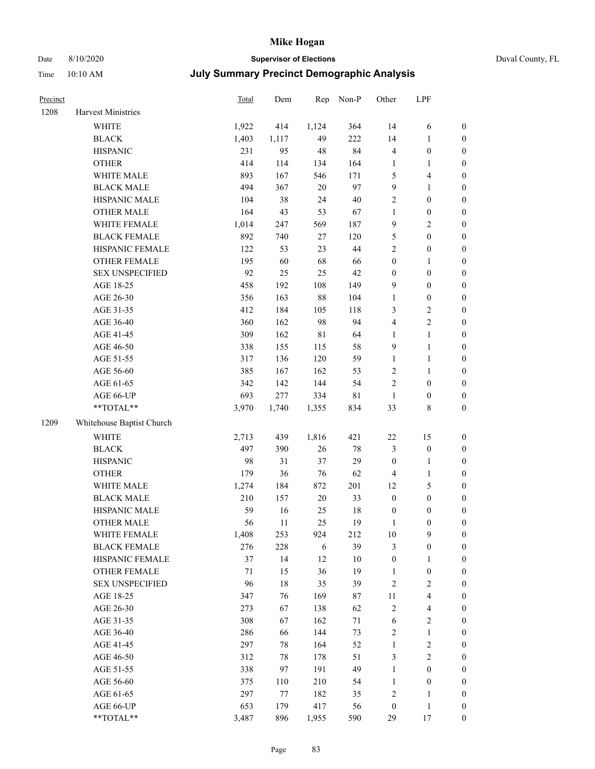## Date 8/10/2020 **Supervisor of Elections** Duval County, FL

### Time 10:10 AM **July Summary Precinct Demographic Analysis**

| Precinct |                           | Total | Dem   | Rep         | Non-P       | Other            | LPF                     |                  |
|----------|---------------------------|-------|-------|-------------|-------------|------------------|-------------------------|------------------|
| 1208     | <b>Harvest Ministries</b> |       |       |             |             |                  |                         |                  |
|          | <b>WHITE</b>              | 1,922 | 414   | 1,124       | 364         | 14               | 6                       | $\boldsymbol{0}$ |
|          | <b>BLACK</b>              | 1,403 | 1,117 | 49          | 222         | 14               | $\mathbf{1}$            | $\boldsymbol{0}$ |
|          | <b>HISPANIC</b>           | 231   | 95    | $48\,$      | 84          | 4                | $\boldsymbol{0}$        | $\boldsymbol{0}$ |
|          | <b>OTHER</b>              | 414   | 114   | 134         | 164         | $\mathbf{1}$     | $\mathbf{1}$            | $\boldsymbol{0}$ |
|          | WHITE MALE                | 893   | 167   | 546         | 171         | 5                | $\overline{\mathbf{4}}$ | $\boldsymbol{0}$ |
|          | <b>BLACK MALE</b>         | 494   | 367   | $20\,$      | 97          | 9                | $\mathbf{1}$            | $\boldsymbol{0}$ |
|          | HISPANIC MALE             | 104   | 38    | 24          | $40\,$      | 2                | $\boldsymbol{0}$        | 0                |
|          | <b>OTHER MALE</b>         | 164   | 43    | 53          | 67          | $\mathbf{1}$     | $\boldsymbol{0}$        | 0                |
|          | WHITE FEMALE              | 1,014 | 247   | 569         | 187         | 9                | $\sqrt{2}$              | 0                |
|          | <b>BLACK FEMALE</b>       | 892   | 740   | $27\,$      | 120         | 5                | $\boldsymbol{0}$        | $\boldsymbol{0}$ |
|          | HISPANIC FEMALE           | 122   | 53    | 23          | 44          | $\overline{c}$   | $\boldsymbol{0}$        | $\boldsymbol{0}$ |
|          | OTHER FEMALE              | 195   | 60    | 68          | 66          | $\boldsymbol{0}$ | $\mathbf{1}$            | $\boldsymbol{0}$ |
|          | <b>SEX UNSPECIFIED</b>    | 92    | 25    | 25          | 42          | $\boldsymbol{0}$ | $\boldsymbol{0}$        | $\boldsymbol{0}$ |
|          | AGE 18-25                 | 458   | 192   | 108         | 149         | 9                | $\boldsymbol{0}$        | $\boldsymbol{0}$ |
|          | AGE 26-30                 | 356   | 163   | $88\,$      | 104         | $\mathbf{1}$     | $\boldsymbol{0}$        | $\boldsymbol{0}$ |
|          | AGE 31-35                 | 412   | 184   | 105         | 118         | 3                | $\sqrt{2}$              | $\boldsymbol{0}$ |
|          | AGE 36-40                 | 360   | 162   | 98          | 94          | 4                | $\sqrt{2}$              | $\boldsymbol{0}$ |
|          | AGE 41-45                 | 309   | 162   | $8\sqrt{1}$ | 64          | 1                | $\mathbf{1}$            | 0                |
|          | AGE 46-50                 | 338   | 155   | 115         | 58          | $\overline{9}$   | $\mathbf{1}$            | 0                |
|          | AGE 51-55                 | 317   | 136   | 120         | 59          | 1                | $\mathbf{1}$            | $\boldsymbol{0}$ |
|          | AGE 56-60                 | 385   | 167   | 162         | 53          | $\overline{c}$   | $\mathbf{1}$            | $\boldsymbol{0}$ |
|          | AGE 61-65                 | 342   | 142   | 144         | 54          | $\overline{c}$   | $\boldsymbol{0}$        | $\boldsymbol{0}$ |
|          | AGE 66-UP                 | 693   | 277   | 334         | $8\sqrt{1}$ | $\mathbf{1}$     | $\boldsymbol{0}$        | $\boldsymbol{0}$ |
|          | $**TOTAL**$               | 3,970 | 1,740 | 1,355       | 834         | 33               | $\,$ 8 $\,$             | $\boldsymbol{0}$ |
| 1209     | Whitehouse Baptist Church |       |       |             |             |                  |                         |                  |
|          | <b>WHITE</b>              | 2,713 | 439   | 1,816       | 421         | $22\,$           | 15                      | $\boldsymbol{0}$ |
|          | <b>BLACK</b>              | 497   | 390   | 26          | $78\,$      | $\mathfrak{Z}$   | $\boldsymbol{0}$        | $\boldsymbol{0}$ |
|          | <b>HISPANIC</b>           | 98    | 31    | 37          | 29          | $\boldsymbol{0}$ | $\mathbf{1}$            | $\boldsymbol{0}$ |
|          | <b>OTHER</b>              | 179   | 36    | 76          | 62          | $\overline{4}$   | $\mathbf{1}$            | $\boldsymbol{0}$ |
|          | WHITE MALE                | 1,274 | 184   | 872         | 201         | 12               | $\mathfrak{S}$          | 0                |
|          | <b>BLACK MALE</b>         | 210   | 157   | $20\,$      | 33          | $\boldsymbol{0}$ | $\boldsymbol{0}$        | 0                |
|          | HISPANIC MALE             | 59    | 16    | 25          | 18          | $\boldsymbol{0}$ | $\boldsymbol{0}$        | $\boldsymbol{0}$ |
|          | <b>OTHER MALE</b>         | 56    | 11    | 25          | 19          | 1                | $\boldsymbol{0}$        | $\boldsymbol{0}$ |
|          | WHITE FEMALE              | 1,408 | 253   | 924         | 212         | $10\,$           | 9                       | $\boldsymbol{0}$ |
|          | <b>BLACK FEMALE</b>       | 276   | 228   | 6           | 39          | 3                | $\boldsymbol{0}$        | $\overline{0}$   |
|          | HISPANIC FEMALE           | 37    | 14    | 12          | $10\,$      | $\boldsymbol{0}$ | $\mathbf{1}$            | $\overline{0}$   |
|          | <b>OTHER FEMALE</b>       | 71    | 15    | 36          | 19          | $\mathbf{1}$     | $\boldsymbol{0}$        | 0                |
|          | <b>SEX UNSPECIFIED</b>    | 96    | 18    | 35          | 39          | $\sqrt{2}$       | $\sqrt{2}$              | 0                |
|          | AGE 18-25                 | 347   | 76    | 169         | 87          | $11\,$           | $\overline{\mathbf{4}}$ | 0                |
|          | AGE 26-30                 | 273   | 67    | 138         | 62          | $\sqrt{2}$       | $\overline{\mathbf{4}}$ | 0                |
|          | AGE 31-35                 | 308   | 67    | 162         | 71          | $\sqrt{6}$       | $\sqrt{2}$              | 0                |
|          | AGE 36-40                 | 286   | 66    | 144         | 73          | $\sqrt{2}$       | $\mathbf{1}$            | $\boldsymbol{0}$ |
|          | AGE 41-45                 | 297   | 78    | 164         | 52          | $\mathbf{1}$     | $\sqrt{2}$              | $\boldsymbol{0}$ |
|          | AGE 46-50                 | 312   | 78    | 178         | 51          | 3                | $\sqrt{2}$              | $\boldsymbol{0}$ |
|          | AGE 51-55                 | 338   | 97    | 191         | 49          | $\mathbf{1}$     | $\boldsymbol{0}$        | $\boldsymbol{0}$ |
|          | AGE 56-60                 | 375   | 110   | 210         | 54          | $\mathbf{1}$     | $\boldsymbol{0}$        | $\overline{0}$   |
|          | AGE 61-65                 | 297   | 77    | 182         | 35          | $\sqrt{2}$       | $\mathbf{1}$            | $\overline{0}$   |
|          | AGE 66-UP                 | 653   | 179   | 417         | 56          | $\boldsymbol{0}$ | $\mathbf{1}$            | $\boldsymbol{0}$ |
|          | $**TOTAL**$               | 3,487 | 896   | 1,955       | 590         | 29               | 17                      | $\boldsymbol{0}$ |

Page 83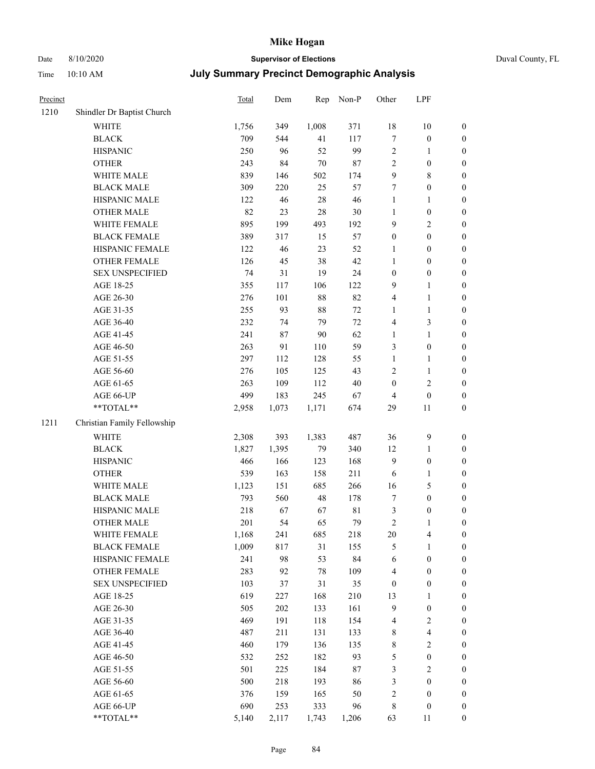### Date 8/10/2020 **Supervisor of Elections** Duval County, FL Time 10:10 AM **July Summary Precinct Demographic Analysis**

| Precinct |                             | Total | Dem    | Rep    | Non-P       | Other            | LPF              |                  |
|----------|-----------------------------|-------|--------|--------|-------------|------------------|------------------|------------------|
| 1210     | Shindler Dr Baptist Church  |       |        |        |             |                  |                  |                  |
|          | <b>WHITE</b>                | 1,756 | 349    | 1,008  | 371         | 18               | $10\,$           | $\boldsymbol{0}$ |
|          | <b>BLACK</b>                | 709   | 544    | 41     | 117         | $\boldsymbol{7}$ | $\boldsymbol{0}$ | $\boldsymbol{0}$ |
|          | <b>HISPANIC</b>             | 250   | 96     | 52     | 99          | $\boldsymbol{2}$ | $\mathbf{1}$     | $\boldsymbol{0}$ |
|          | <b>OTHER</b>                | 243   | 84     | $70\,$ | 87          | $\sqrt{2}$       | $\boldsymbol{0}$ | $\boldsymbol{0}$ |
|          | WHITE MALE                  | 839   | 146    | 502    | 174         | 9                | $\,$ 8 $\,$      | $\boldsymbol{0}$ |
|          | <b>BLACK MALE</b>           | 309   | 220    | 25     | 57          | $\tau$           | $\boldsymbol{0}$ | $\boldsymbol{0}$ |
|          | HISPANIC MALE               | 122   | $46\,$ | 28     | 46          | $\mathbf{1}$     | $\mathbf{1}$     | $\boldsymbol{0}$ |
|          | OTHER MALE                  | 82    | 23     | 28     | 30          | $\mathbf{1}$     | $\boldsymbol{0}$ | $\boldsymbol{0}$ |
|          | WHITE FEMALE                | 895   | 199    | 493    | 192         | 9                | $\sqrt{2}$       | $\boldsymbol{0}$ |
|          | <b>BLACK FEMALE</b>         | 389   | 317    | 15     | 57          | $\boldsymbol{0}$ | $\boldsymbol{0}$ | $\boldsymbol{0}$ |
|          | HISPANIC FEMALE             | 122   | 46     | 23     | 52          | $\mathbf{1}$     | $\boldsymbol{0}$ | $\boldsymbol{0}$ |
|          | OTHER FEMALE                | 126   | 45     | 38     | 42          | $\mathbf{1}$     | $\boldsymbol{0}$ | $\boldsymbol{0}$ |
|          | <b>SEX UNSPECIFIED</b>      | 74    | 31     | 19     | 24          | $\boldsymbol{0}$ | $\boldsymbol{0}$ | $\boldsymbol{0}$ |
|          | AGE 18-25                   | 355   | 117    | 106    | 122         | 9                | $\mathbf{1}$     | $\boldsymbol{0}$ |
|          | AGE 26-30                   | 276   | 101    | 88     | 82          | 4                | $\mathbf{1}$     | $\boldsymbol{0}$ |
|          | AGE 31-35                   | 255   | 93     | 88     | $72\,$      | 1                | $\mathbf{1}$     | $\boldsymbol{0}$ |
|          | AGE 36-40                   | 232   | 74     | 79     | $72\,$      | 4                | 3                | $\boldsymbol{0}$ |
|          | AGE 41-45                   | 241   | 87     | $90\,$ | 62          | $\mathbf{1}$     | $\mathbf{1}$     | $\boldsymbol{0}$ |
|          | AGE 46-50                   | 263   | 91     | 110    | 59          | 3                | $\boldsymbol{0}$ | $\boldsymbol{0}$ |
|          | AGE 51-55                   | 297   | 112    | 128    | 55          | $\mathbf{1}$     | $\mathbf{1}$     | $\boldsymbol{0}$ |
|          | AGE 56-60                   | 276   | 105    | 125    | 43          | 2                | $\mathbf{1}$     | $\boldsymbol{0}$ |
|          | AGE 61-65                   | 263   | 109    | 112    | 40          | $\boldsymbol{0}$ | 2                | $\boldsymbol{0}$ |
|          | AGE 66-UP                   | 499   | 183    | 245    | 67          | 4                | $\boldsymbol{0}$ | $\boldsymbol{0}$ |
|          | $**TOTAL**$                 | 2,958 | 1,073  | 1,171  | 674         | 29               | 11               | $\boldsymbol{0}$ |
| 1211     | Christian Family Fellowship |       |        |        |             |                  |                  |                  |
|          | <b>WHITE</b>                | 2,308 | 393    | 1,383  | 487         | 36               | $\boldsymbol{9}$ | $\boldsymbol{0}$ |
|          | <b>BLACK</b>                | 1,827 | 1,395  | 79     | 340         | 12               | $\mathbf{1}$     | $\boldsymbol{0}$ |
|          | <b>HISPANIC</b>             | 466   | 166    | 123    | 168         | 9                | $\boldsymbol{0}$ | $\boldsymbol{0}$ |
|          | <b>OTHER</b>                | 539   | 163    | 158    | 211         | 6                | $\mathbf{1}$     | $\boldsymbol{0}$ |
|          | WHITE MALE                  | 1,123 | 151    | 685    | 266         | 16               | 5                | $\boldsymbol{0}$ |
|          | <b>BLACK MALE</b>           | 793   | 560    | 48     | 178         | 7                | $\boldsymbol{0}$ | $\boldsymbol{0}$ |
|          | HISPANIC MALE               | 218   | 67     | 67     | $8\sqrt{1}$ | $\mathfrak{Z}$   | $\boldsymbol{0}$ | $\boldsymbol{0}$ |
|          | <b>OTHER MALE</b>           | 201   | 54     | 65     | 79          | $\overline{c}$   | $\mathbf{1}$     | $\boldsymbol{0}$ |
|          | WHITE FEMALE                | 1,168 | 241    | 685    | 218         | 20               | 4                | $\boldsymbol{0}$ |
|          | <b>BLACK FEMALE</b>         | 1,009 | 817    | 31     | 155         | 5                | 1                | $\theta$         |
|          | HISPANIC FEMALE             | 241   | 98     | 53     | 84          | 6                | $\boldsymbol{0}$ | $\theta$         |
|          | OTHER FEMALE                | 283   | 92     | 78     | 109         | 4                | $\boldsymbol{0}$ | 0                |
|          | <b>SEX UNSPECIFIED</b>      | 103   | 37     | 31     | 35          | $\boldsymbol{0}$ | $\boldsymbol{0}$ | 0                |
|          | AGE 18-25                   | 619   | 227    | 168    | 210         | 13               | 1                | 0                |
|          | AGE 26-30                   | 505   | 202    | 133    | 161         | 9                | $\boldsymbol{0}$ | 0                |
|          | AGE 31-35                   | 469   | 191    | 118    | 154         | 4                | 2                | 0                |
|          | AGE 36-40                   | 487   | 211    | 131    | 133         | 8                | 4                | 0                |
|          | AGE 41-45                   | 460   | 179    | 136    | 135         | 8                | 2                | 0                |
|          | AGE 46-50                   | 532   | 252    | 182    | 93          | 5                | $\boldsymbol{0}$ | 0                |
|          | AGE 51-55                   | 501   | 225    | 184    | 87          | 3                | $\sqrt{2}$       | $\boldsymbol{0}$ |
|          | AGE 56-60                   | 500   | 218    | 193    | 86          | 3                | $\boldsymbol{0}$ | $\boldsymbol{0}$ |
|          | AGE 61-65                   | 376   | 159    | 165    | 50          | $\overline{c}$   | $\boldsymbol{0}$ | $\theta$         |

AGE 66-UP 690 253 333 96 8 0 0 \*\*TOTAL\*\* 5,140 2,117 1,743 1,206 63 11 0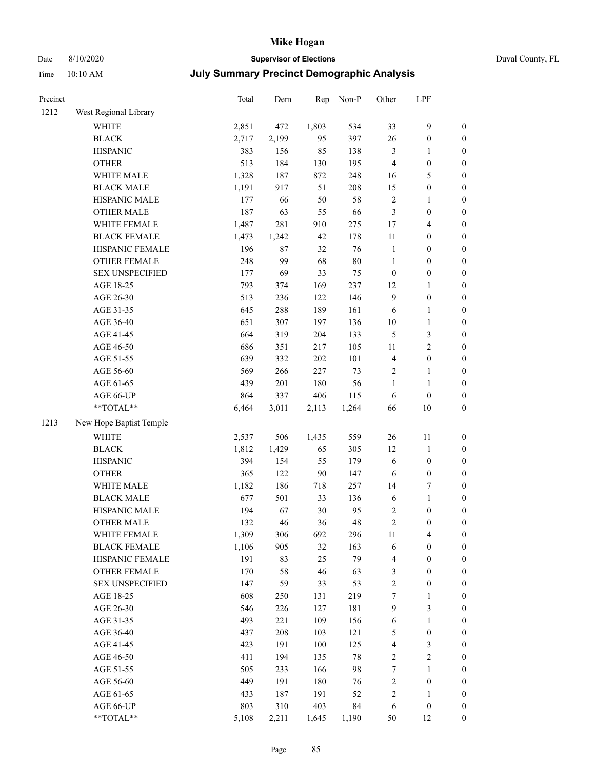## Date 8/10/2020 **Supervisor of Elections** Duval County, FL

| Precinct |                         | Total | Dem   | Rep    | Non-P  | Other            | LPF                     |                  |
|----------|-------------------------|-------|-------|--------|--------|------------------|-------------------------|------------------|
| 1212     | West Regional Library   |       |       |        |        |                  |                         |                  |
|          | <b>WHITE</b>            | 2,851 | 472   | 1,803  | 534    | 33               | 9                       | $\boldsymbol{0}$ |
|          | <b>BLACK</b>            | 2,717 | 2,199 | 95     | 397    | 26               | $\boldsymbol{0}$        | $\boldsymbol{0}$ |
|          | <b>HISPANIC</b>         | 383   | 156   | 85     | 138    | 3                | 1                       | $\boldsymbol{0}$ |
|          | <b>OTHER</b>            | 513   | 184   | 130    | 195    | $\overline{4}$   | $\boldsymbol{0}$        | $\boldsymbol{0}$ |
|          | WHITE MALE              | 1,328 | 187   | 872    | 248    | 16               | $\mathfrak{S}$          | $\boldsymbol{0}$ |
|          | <b>BLACK MALE</b>       | 1,191 | 917   | 51     | 208    | 15               | $\boldsymbol{0}$        | $\boldsymbol{0}$ |
|          | HISPANIC MALE           | 177   | 66    | 50     | 58     | $\sqrt{2}$       | $\mathbf{1}$            | $\boldsymbol{0}$ |
|          | <b>OTHER MALE</b>       | 187   | 63    | 55     | 66     | 3                | $\boldsymbol{0}$        | $\boldsymbol{0}$ |
|          | WHITE FEMALE            | 1,487 | 281   | 910    | 275    | $17$             | $\overline{\mathbf{4}}$ | 0                |
|          | <b>BLACK FEMALE</b>     | 1,473 | 1,242 | 42     | 178    | 11               | $\boldsymbol{0}$        | $\boldsymbol{0}$ |
|          | HISPANIC FEMALE         | 196   | 87    | 32     | 76     | $\mathbf{1}$     | $\boldsymbol{0}$        | $\boldsymbol{0}$ |
|          | OTHER FEMALE            | 248   | 99    | 68     | $80\,$ | $\mathbf{1}$     | $\boldsymbol{0}$        | $\boldsymbol{0}$ |
|          | <b>SEX UNSPECIFIED</b>  | 177   | 69    | 33     | 75     | $\boldsymbol{0}$ | $\boldsymbol{0}$        | $\boldsymbol{0}$ |
|          | AGE 18-25               | 793   | 374   | 169    | 237    | 12               | $\mathbf{1}$            | $\boldsymbol{0}$ |
|          | AGE 26-30               | 513   | 236   | 122    | 146    | $\mathbf{9}$     | $\boldsymbol{0}$        | $\boldsymbol{0}$ |
|          | AGE 31-35               | 645   | 288   | 189    | 161    | 6                | $\mathbf{1}$            | $\boldsymbol{0}$ |
|          | AGE 36-40               | 651   | 307   | 197    | 136    | $10\,$           | $\mathbf{1}$            | $\boldsymbol{0}$ |
|          | AGE 41-45               | 664   | 319   | 204    | 133    | 5                | $\mathfrak{Z}$          | $\boldsymbol{0}$ |
|          | AGE 46-50               | 686   | 351   | 217    | 105    | 11               | $\mathbf{2}$            | 0                |
|          | AGE 51-55               | 639   | 332   | 202    | 101    | $\overline{4}$   | $\boldsymbol{0}$        | $\boldsymbol{0}$ |
|          | AGE 56-60               | 569   | 266   | 227    | 73     | $\overline{c}$   | $\mathbf{1}$            | $\boldsymbol{0}$ |
|          | AGE 61-65               | 439   | 201   | 180    | 56     | $\mathbf{1}$     | 1                       | $\boldsymbol{0}$ |
|          | AGE 66-UP               | 864   | 337   | 406    | 115    | 6                | $\boldsymbol{0}$        | $\boldsymbol{0}$ |
|          | $**TOTAL**$             | 6,464 | 3,011 | 2,113  | 1,264  | 66               | $10\,$                  | $\boldsymbol{0}$ |
| 1213     | New Hope Baptist Temple |       |       |        |        |                  |                         |                  |
|          | <b>WHITE</b>            | 2,537 | 506   | 1,435  | 559    | 26               | 11                      | $\boldsymbol{0}$ |
|          | <b>BLACK</b>            | 1,812 | 1,429 | 65     | 305    | 12               | $\mathbf{1}$            | $\boldsymbol{0}$ |
|          | <b>HISPANIC</b>         | 394   | 154   | 55     | 179    | 6                | $\boldsymbol{0}$        | $\boldsymbol{0}$ |
|          | <b>OTHER</b>            | 365   | 122   | $90\,$ | 147    | 6                | $\boldsymbol{0}$        | $\boldsymbol{0}$ |
|          | WHITE MALE              | 1,182 | 186   | 718    | 257    | 14               | 7                       | $\boldsymbol{0}$ |
|          | <b>BLACK MALE</b>       | 677   | 501   | 33     | 136    | 6                | $\mathbf{1}$            | 0                |
|          | HISPANIC MALE           | 194   | 67    | $30\,$ | 95     | 2                | $\boldsymbol{0}$        | 0                |
|          | <b>OTHER MALE</b>       | 132   | 46    | 36     | 48     | $\sqrt{2}$       | $\boldsymbol{0}$        | $\boldsymbol{0}$ |
|          | WHITE FEMALE            | 1,309 | 306   | 692    | 296    | 11               | $\overline{\mathbf{4}}$ | $\boldsymbol{0}$ |
|          | <b>BLACK FEMALE</b>     | 1,106 | 905   | 32     | 163    | 6                | $\boldsymbol{0}$        | $\boldsymbol{0}$ |
|          | HISPANIC FEMALE         | 191   | 83    | 25     | 79     | 4                | $\boldsymbol{0}$        | $\boldsymbol{0}$ |
|          | <b>OTHER FEMALE</b>     | 170   | 58    | 46     | 63     | $\mathfrak{Z}$   | $\boldsymbol{0}$        | $\overline{0}$   |
|          | <b>SEX UNSPECIFIED</b>  | 147   | 59    | 33     | 53     | $\sqrt{2}$       | $\boldsymbol{0}$        | $\overline{0}$   |
|          | AGE 18-25               | 608   | 250   | 131    | 219    | 7                | $\mathbf{1}$            | 0                |
|          | AGE 26-30               | 546   | 226   | 127    | 181    | $\mathbf{9}$     | $\mathfrak{Z}$          | 0                |
|          | AGE 31-35               | 493   | 221   | 109    | 156    | 6                | $\mathbf{1}$            | 0                |
|          | AGE 36-40               | 437   | 208   | 103    | 121    | 5                | $\boldsymbol{0}$        | 0                |
|          | AGE 41-45               | 423   | 191   | 100    | 125    | 4                | $\mathfrak{Z}$          | $\boldsymbol{0}$ |
|          | AGE 46-50               | 411   | 194   | 135    | $78\,$ | $\sqrt{2}$       | $\sqrt{2}$              | $\boldsymbol{0}$ |
|          | AGE 51-55               | 505   | 233   | 166    | 98     | 7                | $\mathbf{1}$            | $\boldsymbol{0}$ |
|          | AGE 56-60               | 449   | 191   | 180    | 76     | 2                | $\boldsymbol{0}$        | $\boldsymbol{0}$ |
|          | AGE 61-65               | 433   | 187   | 191    | 52     | 2                | $\mathbf{1}$            | $\boldsymbol{0}$ |
|          | AGE 66-UP               | 803   | 310   | 403    | 84     | 6                | $\boldsymbol{0}$        | $\boldsymbol{0}$ |
|          | **TOTAL**               | 5,108 | 2,211 | 1,645  | 1,190  | 50               | 12                      | $\overline{0}$   |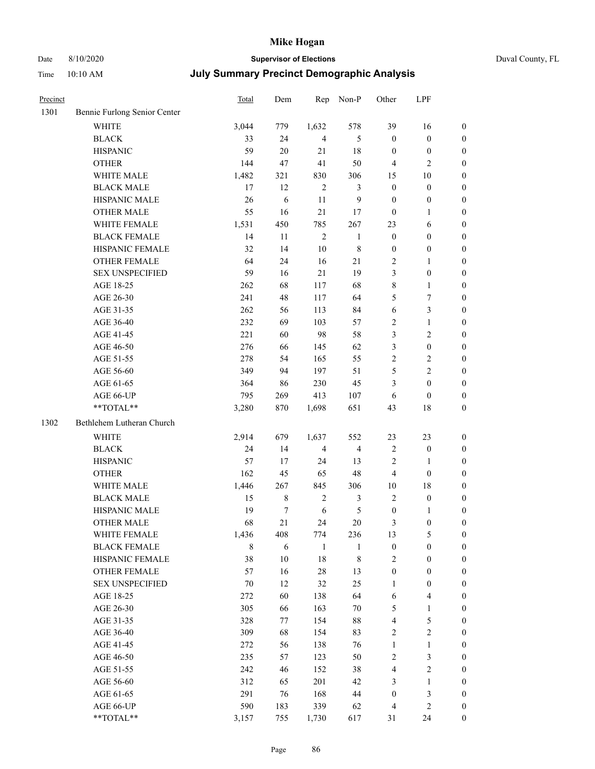Time 10:10 AM

## Date 8/10/2020 **Supervisor of Elections**

|  | Duval County, FL |
|--|------------------|
|--|------------------|

|  | <b>July Summary Precinct Demographic Analysis</b> |
|--|---------------------------------------------------|
|--|---------------------------------------------------|

| Precinct |                              | Total | Dem    | Rep            | Non-P                   | Other            | LPF                     |                  |
|----------|------------------------------|-------|--------|----------------|-------------------------|------------------|-------------------------|------------------|
| 1301     | Bennie Furlong Senior Center |       |        |                |                         |                  |                         |                  |
|          | <b>WHITE</b>                 | 3,044 | 779    | 1,632          | 578                     | 39               | 16                      | 0                |
|          | <b>BLACK</b>                 | 33    | 24     | $\overline{4}$ | 5                       | $\boldsymbol{0}$ | $\boldsymbol{0}$        | 0                |
|          | <b>HISPANIC</b>              | 59    | 20     | 21             | 18                      | $\boldsymbol{0}$ | $\boldsymbol{0}$        | $\boldsymbol{0}$ |
|          | <b>OTHER</b>                 | 144   | 47     | 41             | 50                      | $\overline{4}$   | $\mathbf{2}$            | $\boldsymbol{0}$ |
|          | WHITE MALE                   | 1,482 | 321    | 830            | 306                     | 15               | 10                      | $\boldsymbol{0}$ |
|          | <b>BLACK MALE</b>            | 17    | 12     | $\overline{2}$ | $\mathfrak{Z}$          | $\boldsymbol{0}$ | $\boldsymbol{0}$        | $\boldsymbol{0}$ |
|          | HISPANIC MALE                | 26    | 6      | 11             | 9                       | $\boldsymbol{0}$ | $\boldsymbol{0}$        | $\boldsymbol{0}$ |
|          | <b>OTHER MALE</b>            | 55    | 16     | 21             | 17                      | $\boldsymbol{0}$ | $\mathbf{1}$            | $\boldsymbol{0}$ |
|          | WHITE FEMALE                 | 1,531 | 450    | 785            | 267                     | 23               | 6                       | $\boldsymbol{0}$ |
|          | <b>BLACK FEMALE</b>          | 14    | 11     | $\sqrt{2}$     | $\mathbf{1}$            | $\boldsymbol{0}$ | $\boldsymbol{0}$        | 0                |
|          | HISPANIC FEMALE              | 32    | 14     | 10             | $\,$ $\,$               | $\boldsymbol{0}$ | $\boldsymbol{0}$        | 0                |
|          | <b>OTHER FEMALE</b>          | 64    | 24     | 16             | 21                      | $\overline{2}$   | $\mathbf{1}$            | $\boldsymbol{0}$ |
|          | <b>SEX UNSPECIFIED</b>       | 59    | 16     | 21             | 19                      | 3                | $\boldsymbol{0}$        | $\boldsymbol{0}$ |
|          | AGE 18-25                    | 262   | 68     | 117            | 68                      | 8                | $\mathbf{1}$            | $\boldsymbol{0}$ |
|          | AGE 26-30                    | 241   | 48     | 117            | 64                      | 5                | $\boldsymbol{7}$        | $\boldsymbol{0}$ |
|          | AGE 31-35                    | 262   | 56     | 113            | 84                      | 6                | $\mathfrak{Z}$          | $\boldsymbol{0}$ |
|          | AGE 36-40                    | 232   | 69     | 103            | 57                      | 2                | $\mathbf{1}$            | $\boldsymbol{0}$ |
|          | AGE 41-45                    | 221   | 60     | 98             | 58                      | 3                | $\overline{2}$          | $\boldsymbol{0}$ |
|          | AGE 46-50                    | 276   | 66     | 145            | 62                      | 3                | $\boldsymbol{0}$        | $\boldsymbol{0}$ |
|          | AGE 51-55                    | 278   | 54     | 165            | 55                      | $\sqrt{2}$       | $\sqrt{2}$              | $\boldsymbol{0}$ |
|          | AGE 56-60                    | 349   | 94     | 197            | 51                      | 5                | $\overline{2}$          | 0                |
|          | AGE 61-65                    | 364   | 86     | 230            | 45                      | 3                | $\boldsymbol{0}$        | 0                |
|          | AGE 66-UP                    | 795   | 269    | 413            | 107                     | 6                | $\boldsymbol{0}$        | $\boldsymbol{0}$ |
|          | **TOTAL**                    | 3,280 | 870    | 1,698          | 651                     | 43               | 18                      | $\boldsymbol{0}$ |
| 1302     | Bethlehem Lutheran Church    |       |        |                |                         |                  |                         |                  |
|          | <b>WHITE</b>                 | 2,914 | 679    | 1,637          | 552                     | 23               | 23                      | $\boldsymbol{0}$ |
|          | <b>BLACK</b>                 | 24    | 14     | $\overline{4}$ | $\overline{\mathbf{4}}$ | 2                | $\boldsymbol{0}$        | $\boldsymbol{0}$ |
|          | <b>HISPANIC</b>              | 57    | 17     | 24             | 13                      | $\overline{c}$   | $\mathbf{1}$            | $\boldsymbol{0}$ |
|          | <b>OTHER</b>                 | 162   | 45     | 65             | 48                      | 4                | $\boldsymbol{0}$        | $\boldsymbol{0}$ |
|          | WHITE MALE                   | 1,446 | 267    | 845            | 306                     | 10               | $18\,$                  | $\boldsymbol{0}$ |
|          | <b>BLACK MALE</b>            | 15    | 8      | $\sqrt{2}$     | 3                       | $\overline{2}$   | $\boldsymbol{0}$        | $\boldsymbol{0}$ |
|          | HISPANIC MALE                | 19    | 7      | 6              | 5                       | $\boldsymbol{0}$ | 1                       | 0                |
|          | <b>OTHER MALE</b>            | 68    | 21     | 24             | 20                      | 3                | $\boldsymbol{0}$        | $\boldsymbol{0}$ |
|          | WHITE FEMALE                 | 1,436 | 408    | 774            | 236                     | 13               | 5                       | 0                |
|          | <b>BLACK FEMALE</b>          | 8     | 6      | $\mathbf{1}$   | $\mathbf{1}$            | $\boldsymbol{0}$ | $\boldsymbol{0}$        | $\boldsymbol{0}$ |
|          | HISPANIC FEMALE              | 38    | $10\,$ | 18             | $\,$ $\,$               | $\overline{c}$   | $\boldsymbol{0}$        | $\overline{0}$   |
|          | <b>OTHER FEMALE</b>          | 57    | 16     | $28\,$         | 13                      | $\boldsymbol{0}$ | $\boldsymbol{0}$        | $\overline{0}$   |
|          | <b>SEX UNSPECIFIED</b>       | 70    | 12     | 32             | 25                      | $\mathbf{1}$     | $\boldsymbol{0}$        | 0                |
|          | AGE 18-25                    | 272   | 60     | 138            | 64                      | 6                | $\overline{\mathbf{4}}$ | 0                |
|          | AGE 26-30                    | 305   | 66     | 163            | $70\,$                  | 5                | $\mathbf{1}$            | 0                |
|          | AGE 31-35                    | 328   | 77     | 154            | $88\,$                  | 4                | $\mathfrak s$           | 0                |
|          | AGE 36-40                    | 309   | 68     | 154            | 83                      | $\overline{c}$   | $\sqrt{2}$              | 0                |
|          | AGE 41-45                    | 272   | 56     | 138            | 76                      | $\mathbf{1}$     | $\mathbf{1}$            | 0                |
|          | AGE 46-50                    | 235   | 57     | 123            | 50                      | $\overline{c}$   | $\mathfrak{Z}$          | 0                |
|          | AGE 51-55                    | 242   | 46     | 152            | 38                      | 4                | $\overline{2}$          | $\overline{0}$   |
|          | AGE 56-60                    | 312   | 65     | 201            | 42                      | 3                | 1                       | $\boldsymbol{0}$ |
|          | AGE 61-65                    | 291   | 76     | 168            | 44                      | $\boldsymbol{0}$ | $\mathfrak{Z}$          | $\boldsymbol{0}$ |
|          | AGE 66-UP                    | 590   | 183    | 339            | 62                      | $\overline{4}$   | $\mathfrak{2}$          | $\boldsymbol{0}$ |
|          | **TOTAL**                    | 3,157 | 755    | 1,730          | 617                     | 31               | 24                      | $\boldsymbol{0}$ |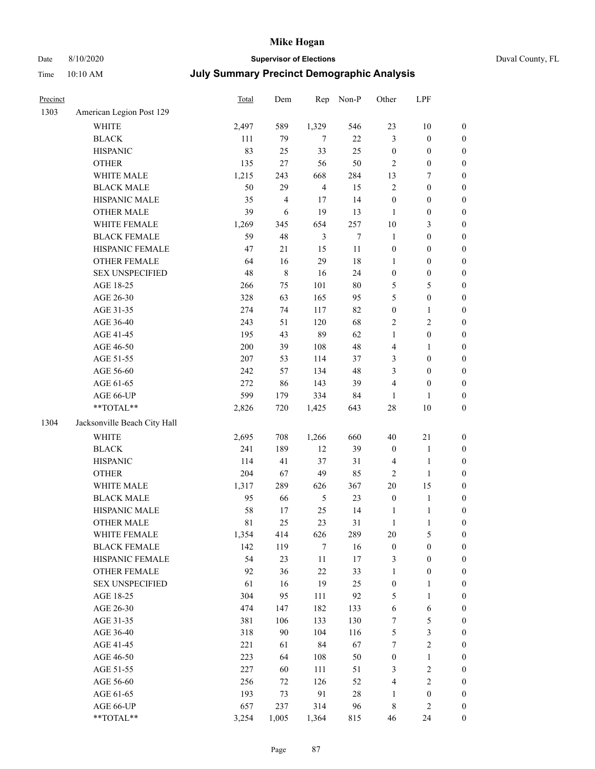### Date 8/10/2020 **Supervisor of Elections** Duval County, FL

| Precinct |                              | Total   | Dem            | Rep            | Non-P  | Other            | LPF              |                  |
|----------|------------------------------|---------|----------------|----------------|--------|------------------|------------------|------------------|
| 1303     | American Legion Post 129     |         |                |                |        |                  |                  |                  |
|          | <b>WHITE</b>                 | 2,497   | 589            | 1,329          | 546    | 23               | 10               | 0                |
|          | <b>BLACK</b>                 | 111     | 79             | $\tau$         | 22     | 3                | $\boldsymbol{0}$ | 0                |
|          | <b>HISPANIC</b>              | 83      | 25             | 33             | 25     | $\boldsymbol{0}$ | $\boldsymbol{0}$ | $\boldsymbol{0}$ |
|          | <b>OTHER</b>                 | 135     | $27\,$         | 56             | 50     | 2                | $\boldsymbol{0}$ | $\boldsymbol{0}$ |
|          | WHITE MALE                   | 1,215   | 243            | 668            | 284    | 13               | 7                | $\boldsymbol{0}$ |
|          | <b>BLACK MALE</b>            | 50      | 29             | $\overline{4}$ | 15     | $\overline{c}$   | $\boldsymbol{0}$ | $\boldsymbol{0}$ |
|          | HISPANIC MALE                | 35      | $\overline{4}$ | 17             | 14     | $\boldsymbol{0}$ | $\boldsymbol{0}$ | $\boldsymbol{0}$ |
|          | <b>OTHER MALE</b>            | 39      | 6              | 19             | 13     | $\mathbf{1}$     | $\boldsymbol{0}$ | $\boldsymbol{0}$ |
|          | WHITE FEMALE                 | 1,269   | 345            | 654            | 257    | $10\,$           | $\mathfrak{Z}$   | $\boldsymbol{0}$ |
|          | <b>BLACK FEMALE</b>          | 59      | 48             | $\mathfrak{Z}$ | $\tau$ | $\mathbf{1}$     | $\boldsymbol{0}$ | $\boldsymbol{0}$ |
|          | HISPANIC FEMALE              | 47      | 21             | 15             | 11     | $\boldsymbol{0}$ | $\boldsymbol{0}$ | $\boldsymbol{0}$ |
|          | OTHER FEMALE                 | 64      | 16             | 29             | 18     | $\mathbf{1}$     | $\boldsymbol{0}$ | $\boldsymbol{0}$ |
|          | <b>SEX UNSPECIFIED</b>       | 48      | $\,$ 8 $\,$    | 16             | 24     | $\boldsymbol{0}$ | $\boldsymbol{0}$ | $\boldsymbol{0}$ |
|          | AGE 18-25                    | 266     | 75             | 101            | 80     | 5                | $\mathfrak s$    | $\boldsymbol{0}$ |
|          | AGE 26-30                    | 328     | 63             | 165            | 95     | 5                | $\boldsymbol{0}$ | $\boldsymbol{0}$ |
|          | AGE 31-35                    | 274     | 74             | 117            | 82     | $\boldsymbol{0}$ | $\mathbf{1}$     | $\boldsymbol{0}$ |
|          | AGE 36-40                    | 243     | 51             | 120            | 68     | 2                | $\sqrt{2}$       | $\boldsymbol{0}$ |
|          | AGE 41-45                    | 195     | 43             | 89             | 62     | $\mathbf{1}$     | $\boldsymbol{0}$ | $\boldsymbol{0}$ |
|          | AGE 46-50                    | $200\,$ | 39             | 108            | 48     | 4                | $\mathbf{1}$     | $\boldsymbol{0}$ |
|          | AGE 51-55                    | 207     | 53             | 114            | 37     | 3                | $\boldsymbol{0}$ | $\boldsymbol{0}$ |
|          | AGE 56-60                    | 242     | 57             | 134            | 48     | 3                | $\boldsymbol{0}$ | 0                |
|          | AGE 61-65                    | 272     | 86             | 143            | 39     | 4                | $\boldsymbol{0}$ | $\boldsymbol{0}$ |
|          | AGE 66-UP                    | 599     | 179            | 334            | 84     | $\mathbf{1}$     | 1                | $\boldsymbol{0}$ |
|          | $**TOTAL**$                  | 2,826   | 720            | 1,425          | 643    | 28               | 10               | $\boldsymbol{0}$ |
| 1304     | Jacksonville Beach City Hall |         |                |                |        |                  |                  |                  |
|          | WHITE                        | 2,695   | 708            | 1,266          | 660    | 40               | 21               | $\boldsymbol{0}$ |
|          | <b>BLACK</b>                 | 241     | 189            | 12             | 39     | $\boldsymbol{0}$ | $\mathbf{1}$     | $\boldsymbol{0}$ |
|          | <b>HISPANIC</b>              | 114     | 41             | 37             | 31     | 4                | $\mathbf{1}$     | $\boldsymbol{0}$ |
|          | <b>OTHER</b>                 | 204     | 67             | 49             | 85     | 2                | $\mathbf{1}$     | $\boldsymbol{0}$ |
|          | WHITE MALE                   | 1,317   | 289            | 626            | 367    | 20               | 15               | $\boldsymbol{0}$ |
|          | <b>BLACK MALE</b>            | 95      | 66             | $\sqrt{5}$     | 23     | $\boldsymbol{0}$ | $\mathbf{1}$     | $\boldsymbol{0}$ |
|          | HISPANIC MALE                | 58      | 17             | 25             | 14     | 1                | $\mathbf{1}$     | 0                |
|          | <b>OTHER MALE</b>            | 81      | 25             | 23             | 31     | $\mathbf{1}$     | 1                | $\boldsymbol{0}$ |
|          | WHITE FEMALE                 | 1,354   | 414            | 626            | 289    | 20               | 5                | 0                |
|          | <b>BLACK FEMALE</b>          | 142     | 119            | 7              | 16     | $\boldsymbol{0}$ | $\boldsymbol{0}$ | $\overline{0}$   |
|          | HISPANIC FEMALE              | 54      | 23             | $11\,$         | 17     | 3                | $\boldsymbol{0}$ | $\overline{0}$   |
|          | <b>OTHER FEMALE</b>          | 92      | 36             | 22             | 33     | 1                | $\boldsymbol{0}$ | $\overline{0}$   |
|          | <b>SEX UNSPECIFIED</b>       | 61      | 16             | 19             | 25     | $\boldsymbol{0}$ | $\mathbf{1}$     | 0                |
|          | AGE 18-25                    | 304     | 95             | 111            | 92     | 5                | $\mathbf{1}$     | 0                |
|          | AGE 26-30                    | 474     | 147            | 182            | 133    | 6                | 6                | 0                |
|          | AGE 31-35                    | 381     | 106            | 133            | 130    | 7                | 5                | 0                |
|          | AGE 36-40                    | 318     | 90             | 104            | 116    | 5                | $\mathfrak{Z}$   | 0                |
|          | AGE 41-45                    | 221     | 61             | 84             | 67     | $\tau$           | $\sqrt{2}$       | 0                |
|          | AGE 46-50                    | 223     | 64             | 108            | 50     | $\boldsymbol{0}$ | $\mathbf{1}$     | 0                |
|          | AGE 51-55                    | 227     | 60             | 111            | 51     | 3                | $\sqrt{2}$       | 0                |
|          | AGE 56-60                    | 256     | 72             | 126            | 52     | 4                | $\sqrt{2}$       | $\overline{0}$   |
|          | AGE 61-65                    | 193     | 73             | 91             | 28     | 1                | $\boldsymbol{0}$ | $\overline{0}$   |
|          | AGE 66-UP                    | 657     | 237            | 314            | 96     | 8                | $\mathfrak{2}$   | 0                |
|          | **TOTAL**                    | 3,254   | 1,005          | 1,364          | 815    | 46               | 24               | $\boldsymbol{0}$ |
|          |                              |         |                |                |        |                  |                  |                  |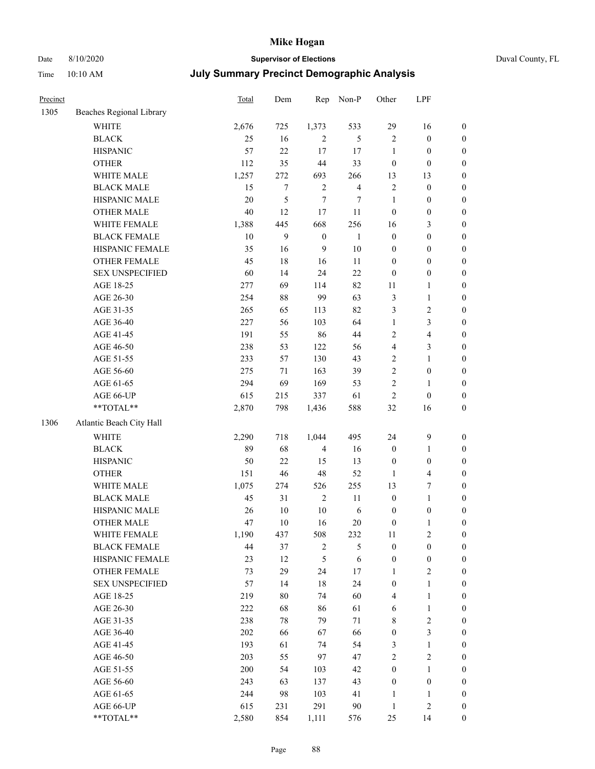### Date 8/10/2020 **Supervisor of Elections** Duval County, FL

| Precinct |                                                           | Total  | Dem              | Rep              | Non-P          | Other            | LPF              |                  |
|----------|-----------------------------------------------------------|--------|------------------|------------------|----------------|------------------|------------------|------------------|
| 1305     | Beaches Regional Library                                  |        |                  |                  |                |                  |                  |                  |
|          | <b>WHITE</b>                                              | 2,676  | 725              | 1,373            | 533            | 29               | 16               | $\boldsymbol{0}$ |
|          | <b>BLACK</b>                                              | 25     | 16               | $\overline{2}$   | 5              | $\mathbf{2}$     | $\boldsymbol{0}$ | $\boldsymbol{0}$ |
|          | <b>HISPANIC</b>                                           | 57     | 22               | 17               | 17             | $\mathbf{1}$     | $\boldsymbol{0}$ | $\boldsymbol{0}$ |
|          | <b>OTHER</b>                                              | 112    | 35               | 44               | 33             | $\boldsymbol{0}$ | $\boldsymbol{0}$ | $\boldsymbol{0}$ |
|          | WHITE MALE                                                | 1,257  | 272              | 693              | 266            | 13               | 13               | $\boldsymbol{0}$ |
|          | <b>BLACK MALE</b>                                         | 15     | $\tau$           | $\mathbf{2}$     | $\overline{4}$ | 2                | $\boldsymbol{0}$ | $\boldsymbol{0}$ |
|          | HISPANIC MALE                                             | $20\,$ | 5                | $\tau$           | $\tau$         | $\mathbf{1}$     | $\boldsymbol{0}$ | $\boldsymbol{0}$ |
|          | <b>OTHER MALE</b>                                         | 40     | 12               | 17               | $11\,$         | $\boldsymbol{0}$ | $\boldsymbol{0}$ | $\boldsymbol{0}$ |
|          | WHITE FEMALE                                              | 1,388  | 445              | 668              | 256            | 16               | $\mathfrak{Z}$   | 0                |
|          | <b>BLACK FEMALE</b>                                       | 10     | $\boldsymbol{9}$ | $\boldsymbol{0}$ | $\mathbf{1}$   | $\boldsymbol{0}$ | $\boldsymbol{0}$ | 0                |
|          | HISPANIC FEMALE                                           | 35     | 16               | 9                | 10             | $\boldsymbol{0}$ | $\boldsymbol{0}$ | $\boldsymbol{0}$ |
|          | OTHER FEMALE                                              | 45     | 18               | 16               | $11\,$         | $\boldsymbol{0}$ | $\boldsymbol{0}$ | $\boldsymbol{0}$ |
|          | <b>SEX UNSPECIFIED</b>                                    | 60     | 14               | 24               | 22             | $\boldsymbol{0}$ | $\boldsymbol{0}$ | $\boldsymbol{0}$ |
|          | AGE 18-25                                                 | 277    | 69               | 114              | 82             | 11               | $\mathbf{1}$     | $\boldsymbol{0}$ |
|          | AGE 26-30                                                 | 254    | $88\,$           | 99               | 63             | 3                | $\mathbf{1}$     | $\boldsymbol{0}$ |
|          | AGE 31-35                                                 | 265    | 65               | 113              | 82             | 3                | $\sqrt{2}$       | $\boldsymbol{0}$ |
|          | AGE 36-40                                                 | 227    | 56               | 103              | 64             | $\mathbf{1}$     | 3                | $\boldsymbol{0}$ |
|          | AGE 41-45                                                 | 191    | 55               | 86               | 44             | 2                | $\overline{4}$   | $\boldsymbol{0}$ |
|          | AGE 46-50                                                 | 238    | 53               | 122              | 56             | 4                | $\mathfrak{Z}$   | $\boldsymbol{0}$ |
|          | AGE 51-55                                                 | 233    | 57               | 130              | 43             | $\mathbf{2}$     | $\mathbf{1}$     | 0                |
|          | AGE 56-60                                                 | 275    | 71               | 163              | 39             | $\overline{c}$   | $\boldsymbol{0}$ | $\boldsymbol{0}$ |
|          | AGE 61-65                                                 | 294    | 69               | 169              | 53             | $\mathbf{2}$     | $\mathbf{1}$     | $\boldsymbol{0}$ |
|          | AGE 66-UP                                                 | 615    | 215              | 337              | 61             | 2                | $\boldsymbol{0}$ | $\boldsymbol{0}$ |
|          | $\mathrm{*}\mathrm{*}\mathrm{TOTAL} \mathrm{*}\mathrm{*}$ | 2,870  | 798              | 1,436            | 588            | 32               | 16               | $\boldsymbol{0}$ |
| 1306     | Atlantic Beach City Hall                                  |        |                  |                  |                |                  |                  |                  |
|          | <b>WHITE</b>                                              | 2,290  | 718              | 1,044            | 495            | 24               | $\boldsymbol{9}$ | $\boldsymbol{0}$ |
|          | <b>BLACK</b>                                              | 89     | 68               | $\overline{4}$   | 16             | $\boldsymbol{0}$ | $\mathbf{1}$     | $\boldsymbol{0}$ |
|          | <b>HISPANIC</b>                                           | 50     | 22               | 15               | 13             | $\boldsymbol{0}$ | $\boldsymbol{0}$ | $\boldsymbol{0}$ |
|          | <b>OTHER</b>                                              | 151    | 46               | 48               | 52             | $\mathbf{1}$     | $\overline{4}$   | $\boldsymbol{0}$ |
|          | WHITE MALE                                                | 1,075  | 274              | 526              | 255            | 13               | $\boldsymbol{7}$ | $\boldsymbol{0}$ |
|          | <b>BLACK MALE</b>                                         | 45     | 31               | $\overline{c}$   | $11\,$         | $\boldsymbol{0}$ | $\mathbf{1}$     | $\boldsymbol{0}$ |
|          | HISPANIC MALE                                             | 26     | 10               | $10\,$           | 6              | $\boldsymbol{0}$ | $\boldsymbol{0}$ | 0                |
|          | <b>OTHER MALE</b>                                         | 47     | 10               | 16               | 20             | 0                | $\mathbf{1}$     | $\boldsymbol{0}$ |
|          | WHITE FEMALE                                              | 1,190  | 437              | 508              | 232            | 11               | $\sqrt{2}$       | 0                |
|          | <b>BLACK FEMALE</b>                                       | 44     | 37               | $\sqrt{2}$       | 5              | $\boldsymbol{0}$ | $\boldsymbol{0}$ | $\overline{0}$   |
|          | HISPANIC FEMALE                                           | 23     | 12               | 5                | 6              | $\boldsymbol{0}$ | $\boldsymbol{0}$ | 0                |
|          | <b>OTHER FEMALE</b>                                       | 73     | 29               | 24               | 17             | 1                | $\sqrt{2}$       | 0                |
|          | <b>SEX UNSPECIFIED</b>                                    | 57     | 14               | 18               | 24             | $\boldsymbol{0}$ | $\mathbf{1}$     | 0                |
|          | AGE 18-25                                                 | 219    | 80               | 74               | 60             | 4                | $\mathbf{1}$     | 0                |
|          | AGE 26-30                                                 | 222    | 68               | 86               | 61             | 6                | $\mathbf{1}$     | 0                |
|          | AGE 31-35                                                 | 238    | 78               | 79               | $71\,$         | 8                | $\sqrt{2}$       | 0                |
|          | AGE 36-40                                                 | 202    | 66               | 67               | 66             | 0                | $\mathfrak{Z}$   | 0                |
|          | AGE 41-45                                                 | 193    | 61               | 74               | 54             | 3                | $\mathbf{1}$     | 0                |
|          | AGE 46-50                                                 | 203    | 55               | 97               | 47             | $\overline{c}$   | $\sqrt{2}$       | 0                |
|          | AGE 51-55                                                 | 200    | 54               | 103              | 42             | $\boldsymbol{0}$ | $\mathbf{1}$     | $\boldsymbol{0}$ |
|          | AGE 56-60                                                 | 243    | 63               | 137              | 43             | $\boldsymbol{0}$ | $\boldsymbol{0}$ | $\overline{0}$   |
|          | AGE 61-65                                                 | 244    | 98               | 103              | 41             | $\mathbf{1}$     | 1                | 0                |
|          | AGE 66-UP                                                 | 615    | 231              | 291              | 90             | $\mathbf{1}$     | $\sqrt{2}$       | 0                |
|          | **TOTAL**                                                 | 2,580  | 854              | 1,111            | 576            | 25               | 14               | $\boldsymbol{0}$ |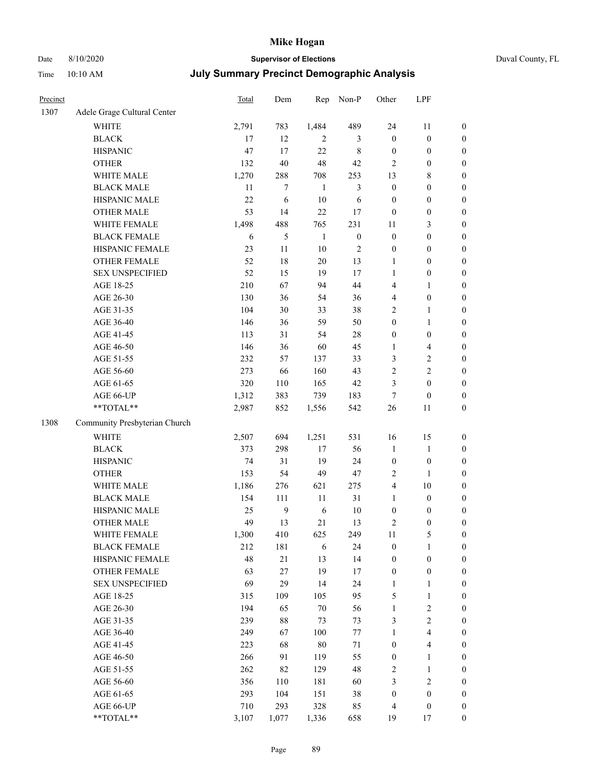## Date 8/10/2020 **Supervisor of Elections** Duval County, FL

| Precinct |                               | Total        | Dem              | Rep            | Non-P            | Other            | LPF              |                       |
|----------|-------------------------------|--------------|------------------|----------------|------------------|------------------|------------------|-----------------------|
| 1307     | Adele Grage Cultural Center   |              |                  |                |                  |                  |                  |                       |
|          | <b>WHITE</b>                  | 2,791        | 783              | 1,484          | 489              | 24               | 11               | $\boldsymbol{0}$      |
|          | <b>BLACK</b>                  | 17           | 12               | $\overline{c}$ | 3                | $\boldsymbol{0}$ | $\boldsymbol{0}$ | $\boldsymbol{0}$      |
|          | <b>HISPANIC</b>               | 47           | 17               | 22             | $\,$ 8 $\,$      | $\boldsymbol{0}$ | $\boldsymbol{0}$ | $\boldsymbol{0}$      |
|          | <b>OTHER</b>                  | 132          | 40               | 48             | 42               | 2                | $\boldsymbol{0}$ | $\boldsymbol{0}$      |
|          | WHITE MALE                    | 1,270        | 288              | 708            | 253              | 13               | 8                | $\boldsymbol{0}$      |
|          | <b>BLACK MALE</b>             | 11           | 7                | 1              | $\mathfrak{Z}$   | $\boldsymbol{0}$ | $\boldsymbol{0}$ | $\boldsymbol{0}$      |
|          | HISPANIC MALE                 | 22           | 6                | 10             | 6                | $\boldsymbol{0}$ | $\boldsymbol{0}$ | $\boldsymbol{0}$      |
|          | <b>OTHER MALE</b>             | 53           | 14               | 22             | 17               | $\boldsymbol{0}$ | $\boldsymbol{0}$ | $\boldsymbol{0}$      |
|          | WHITE FEMALE                  | 1,498        | 488              | 765            | 231              | 11               | $\mathfrak{Z}$   | $\boldsymbol{0}$      |
|          | <b>BLACK FEMALE</b>           | 6            | 5                | $\mathbf{1}$   | $\boldsymbol{0}$ | $\boldsymbol{0}$ | $\boldsymbol{0}$ | 0                     |
|          | HISPANIC FEMALE               | 23           | 11               | 10             | $\sqrt{2}$       | $\boldsymbol{0}$ | $\boldsymbol{0}$ | $\boldsymbol{0}$      |
|          | OTHER FEMALE                  | 52           | 18               | $20\,$         | 13               | $\mathbf{1}$     | $\boldsymbol{0}$ | $\boldsymbol{0}$      |
|          | <b>SEX UNSPECIFIED</b>        | 52           | 15               | 19             | 17               | $\mathbf{1}$     | $\boldsymbol{0}$ | $\boldsymbol{0}$      |
|          | AGE 18-25                     | 210          | 67               | 94             | 44               | 4                | $\mathbf{1}$     | $\boldsymbol{0}$      |
|          | AGE 26-30                     | 130          | 36               | 54             | 36               | 4                | $\boldsymbol{0}$ | $\boldsymbol{0}$      |
|          | AGE 31-35                     | 104          | 30               | 33             | 38               | 2                | $\mathbf{1}$     | $\boldsymbol{0}$      |
|          | AGE 36-40                     | 146          | 36               | 59             | 50               | $\boldsymbol{0}$ | $\mathbf{1}$     | $\boldsymbol{0}$      |
|          | AGE 41-45                     | 113          | 31               | 54             | 28               | $\boldsymbol{0}$ | $\boldsymbol{0}$ | $\boldsymbol{0}$      |
|          | AGE 46-50                     | 146          | 36               | 60             | 45               | 1                | $\overline{4}$   | $\boldsymbol{0}$      |
|          | AGE 51-55                     | 232          | 57               | 137            | 33               | 3                | $\sqrt{2}$       | 0                     |
|          | AGE 56-60                     | 273          | 66               | 160            | 43               | 2                | $\sqrt{2}$       | $\boldsymbol{0}$      |
|          | AGE 61-65                     | 320          | 110              | 165            | 42               | 3                | $\boldsymbol{0}$ | $\boldsymbol{0}$      |
|          | AGE 66-UP                     | 1,312        | 383              | 739            | 183              | 7                | $\boldsymbol{0}$ | $\boldsymbol{0}$      |
|          | $**TOTAL**$                   | 2,987        | 852              | 1,556          | 542              | 26               | 11               | $\boldsymbol{0}$      |
| 1308     | Community Presbyterian Church |              |                  |                |                  |                  |                  |                       |
|          | <b>WHITE</b>                  | 2,507        | 694              | 1,251          | 531              | 16               | 15               | $\boldsymbol{0}$      |
|          | <b>BLACK</b>                  | 373          | 298              | 17             | 56               | $\mathbf{1}$     | $\mathbf{1}$     | $\boldsymbol{0}$      |
|          | <b>HISPANIC</b>               | 74           | 31               | 19             | 24               | $\boldsymbol{0}$ | $\boldsymbol{0}$ | $\boldsymbol{0}$      |
|          | <b>OTHER</b>                  | 153          | 54               | 49             | 47               | $\mathbf{2}$     | $\mathbf{1}$     | $\boldsymbol{0}$      |
|          | WHITE MALE                    |              | 276              | 621            | 275              | 4                | 10               | $\boldsymbol{0}$      |
|          | <b>BLACK MALE</b>             | 1,186<br>154 | 111              | 11             | 31               | $\mathbf{1}$     | $\boldsymbol{0}$ | $\boldsymbol{0}$      |
|          | HISPANIC MALE                 | 25           | $\boldsymbol{9}$ | 6              | 10               | $\boldsymbol{0}$ | $\boldsymbol{0}$ |                       |
|          | <b>OTHER MALE</b>             | 49           | 13               | 21             | 13               | 2                | $\boldsymbol{0}$ | 0<br>$\boldsymbol{0}$ |
|          | WHITE FEMALE                  | 1,300        | 410              | 625            | 249              | 11               | 5                | $\overline{0}$        |
|          | <b>BLACK FEMALE</b>           | 212          | 181              | 6              | 24               | $\boldsymbol{0}$ | $\mathbf{1}$     | $\overline{0}$        |
|          | HISPANIC FEMALE               | 48           | $21\,$           | 13             | 14               | $\boldsymbol{0}$ | $\boldsymbol{0}$ | $\overline{0}$        |
|          | <b>OTHER FEMALE</b>           | 63           | $27\,$           | 19             | 17               | $\boldsymbol{0}$ | $\boldsymbol{0}$ | 0                     |
|          | <b>SEX UNSPECIFIED</b>        | 69           | 29               | 14             | 24               | 1                | $\mathbf{1}$     | 0                     |
|          | AGE 18-25                     | 315          | 109              | 105            | 95               | 5                | $\mathbf{1}$     | 0                     |
|          | AGE 26-30                     | 194          | 65               | $70\,$         | 56               | $\mathbf{1}$     | $\sqrt{2}$       | 0                     |
|          | AGE 31-35                     | 239          | $88\,$           | 73             | 73               | 3                | $\sqrt{2}$       | 0                     |
|          | AGE 36-40                     | 249          | 67               | 100            | $77 \,$          | 1                | $\overline{4}$   | 0                     |
|          | AGE 41-45                     | 223          | 68               | $80\,$         | $71\,$           | $\boldsymbol{0}$ | $\overline{4}$   | 0                     |
|          | AGE 46-50                     | 266          | 91               | 119            | 55               | $\boldsymbol{0}$ | $\mathbf{1}$     | 0                     |
|          | AGE 51-55                     | 262          | 82               | 129            | 48               | 2                | $\mathbf{1}$     | $\boldsymbol{0}$      |
|          | AGE 56-60                     | 356          | 110              | 181            | 60               | 3                | $\sqrt{2}$       | $\overline{0}$        |
|          | AGE 61-65                     | 293          | 104              | 151            | 38               | $\boldsymbol{0}$ | $\boldsymbol{0}$ | 0                     |
|          | AGE 66-UP                     | 710          | 293              | 328            | 85               | 4                | $\boldsymbol{0}$ | 0                     |
|          | **TOTAL**                     | 3,107        | 1,077            | 1,336          | 658              | 19               | 17               | $\boldsymbol{0}$      |
|          |                               |              |                  |                |                  |                  |                  |                       |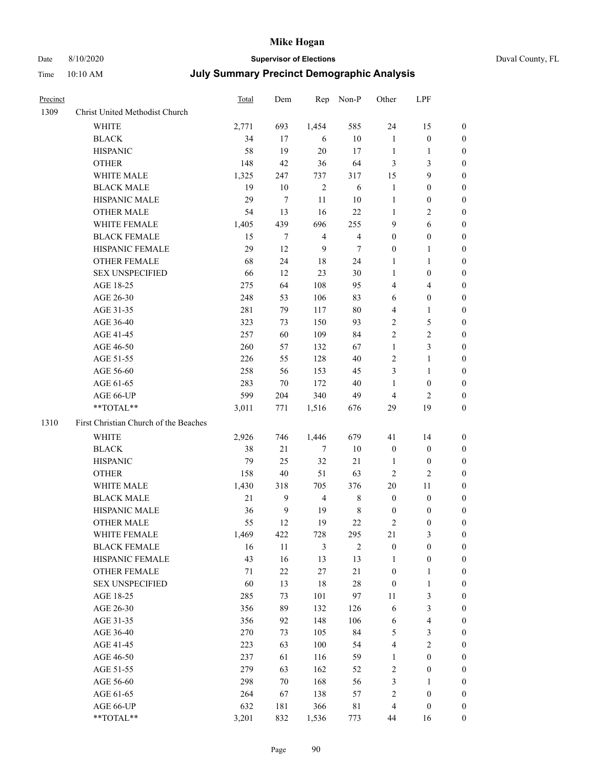# Date 8/10/2020 **Supervisor of Elections** Duval County, FL

| Precinct |                                       | Total | Dem              |                | Rep Non-P      | Other            | LPF              |                  |
|----------|---------------------------------------|-------|------------------|----------------|----------------|------------------|------------------|------------------|
| 1309     | Christ United Methodist Church        |       |                  |                |                |                  |                  |                  |
|          | <b>WHITE</b>                          | 2,771 | 693              | 1,454          | 585            | 24               | 15               | $\boldsymbol{0}$ |
|          | <b>BLACK</b>                          | 34    | 17               | 6              | $10\,$         | $\mathbf{1}$     | $\boldsymbol{0}$ | $\boldsymbol{0}$ |
|          | <b>HISPANIC</b>                       | 58    | 19               | 20             | 17             | $\mathbf{1}$     | 1                | $\boldsymbol{0}$ |
|          | <b>OTHER</b>                          | 148   | 42               | 36             | 64             | 3                | $\mathfrak{Z}$   | $\boldsymbol{0}$ |
|          | WHITE MALE                            | 1,325 | 247              | 737            | 317            | 15               | $\boldsymbol{9}$ | $\boldsymbol{0}$ |
|          | <b>BLACK MALE</b>                     | 19    | 10               | $\sqrt{2}$     | $\sqrt{6}$     | $\mathbf{1}$     | $\boldsymbol{0}$ | $\boldsymbol{0}$ |
|          | HISPANIC MALE                         | 29    | $\tau$           | $11\,$         | 10             | $\mathbf{1}$     | $\boldsymbol{0}$ | $\boldsymbol{0}$ |
|          | <b>OTHER MALE</b>                     | 54    | 13               | 16             | 22             | $\mathbf{1}$     | $\mathbf{2}$     | 0                |
|          | WHITE FEMALE                          | 1,405 | 439              | 696            | 255            | 9                | 6                | 0                |
|          | <b>BLACK FEMALE</b>                   | 15    | 7                | $\overline{4}$ | $\overline{4}$ | 0                | $\boldsymbol{0}$ | 0                |
|          | HISPANIC FEMALE                       | 29    | 12               | 9              | 7              | $\boldsymbol{0}$ | $\mathbf{1}$     | 0                |
|          | OTHER FEMALE                          | 68    | 24               | 18             | 24             | $\mathbf{1}$     | $\mathbf{1}$     | $\boldsymbol{0}$ |
|          | <b>SEX UNSPECIFIED</b>                | 66    | 12               | 23             | 30             | $\mathbf{1}$     | $\boldsymbol{0}$ | $\boldsymbol{0}$ |
|          | AGE 18-25                             | 275   | 64               | 108            | 95             | 4                | $\overline{4}$   | $\boldsymbol{0}$ |
|          | AGE 26-30                             | 248   | 53               | 106            | 83             | 6                | $\boldsymbol{0}$ | $\boldsymbol{0}$ |
|          | AGE 31-35                             | 281   | 79               | 117            | 80             | 4                | $\mathbf{1}$     | $\boldsymbol{0}$ |
|          | AGE 36-40                             | 323   | 73               | 150            | 93             | $\overline{c}$   | 5                | $\overline{0}$   |
|          | AGE 41-45                             | 257   | 60               | 109            | 84             | $\overline{c}$   | $\sqrt{2}$       | 0                |
|          | AGE 46-50                             | 260   | 57               | 132            | 67             | $\mathbf{1}$     | $\mathfrak{Z}$   | 0                |
|          |                                       | 226   | 55               | 128            | 40             | $\mathbf{2}$     |                  |                  |
|          | AGE 51-55                             |       |                  |                |                |                  | $\mathbf{1}$     | 0                |
|          | AGE 56-60                             | 258   | 56               | 153            | 45             | 3                | $\mathbf{1}$     | 0                |
|          | AGE 61-65                             | 283   | 70               | 172            | 40             | $\mathbf{1}$     | $\boldsymbol{0}$ | 0                |
|          | AGE 66-UP<br>$**TOTAL**$              | 599   | 204              | 340            | 49             | 4                | $\overline{2}$   | $\boldsymbol{0}$ |
|          |                                       | 3,011 | 771              | 1,516          | 676            | 29               | 19               | $\boldsymbol{0}$ |
| 1310     | First Christian Church of the Beaches |       |                  |                |                |                  |                  |                  |
|          | WHITE                                 | 2,926 | 746              | 1,446          | 679            | 41               | 14               | $\boldsymbol{0}$ |
|          | <b>BLACK</b>                          | 38    | 21               | 7              | 10             | $\boldsymbol{0}$ | $\boldsymbol{0}$ | $\boldsymbol{0}$ |
|          | <b>HISPANIC</b>                       | 79    | 25               | 32             | 21             | $\mathbf{1}$     | $\boldsymbol{0}$ | $\overline{0}$   |
|          | <b>OTHER</b>                          | 158   | 40               | 51             | 63             | $\overline{c}$   | $\mathbf{2}$     | $\overline{0}$   |
|          | WHITE MALE                            | 1,430 | 318              | 705            | 376            | 20               | 11               | 0                |
|          | <b>BLACK MALE</b>                     | 21    | 9                | $\overline{4}$ | 8              | $\boldsymbol{0}$ | $\boldsymbol{0}$ | 0                |
|          | HISPANIC MALE                         | 36    | $\boldsymbol{9}$ | 19             | $\,$ 8 $\,$    | $\boldsymbol{0}$ | $\boldsymbol{0}$ | 0                |
|          | <b>OTHER MALE</b>                     | 55    | 12               | 19             | 22             | 2                | $\boldsymbol{0}$ | $\boldsymbol{0}$ |
|          | WHITE FEMALE                          | 1,469 | 422              | 728            | 295            | 21               | 3                | $\boldsymbol{0}$ |
|          | <b>BLACK FEMALE</b>                   | 16    | 11               | 3              | $\mathbf{2}$   | $\boldsymbol{0}$ | $\boldsymbol{0}$ | $\overline{0}$   |
|          | HISPANIC FEMALE                       | 43    | 16               | 13             | 13             | 1                | $\boldsymbol{0}$ | 0                |
|          | <b>OTHER FEMALE</b>                   | 71    | $22\,$           | 27             | $21\,$         | $\boldsymbol{0}$ | $\mathbf{1}$     | 0                |
|          | <b>SEX UNSPECIFIED</b>                | 60    | 13               | 18             | 28             | $\boldsymbol{0}$ | $\mathbf{1}$     | 0                |
|          | AGE 18-25                             | 285   | 73               | 101            | 97             | $11\,$           | 3                | 0                |
|          | AGE 26-30                             | 356   | 89               | 132            | 126            | 6                | $\mathfrak{Z}$   | 0                |
|          | AGE 31-35                             | 356   | 92               | 148            | 106            | 6                | $\overline{4}$   | 0                |
|          | AGE 36-40                             | 270   | 73               | 105            | 84             | 5                | $\mathfrak{Z}$   | 0                |
|          | AGE 41-45                             | 223   | 63               | 100            | 54             | 4                | $\sqrt{2}$       | 0                |
|          | AGE 46-50                             | 237   | 61               | 116            | 59             | $\mathbf{1}$     | $\boldsymbol{0}$ | $\overline{0}$   |
|          | AGE 51-55                             | 279   | 63               | 162            | 52             | 2                | $\boldsymbol{0}$ | $\boldsymbol{0}$ |
|          | AGE 56-60                             | 298   | $70\,$           | 168            | 56             | 3                | 1                | $\overline{0}$   |
|          | AGE 61-65                             | 264   | 67               | 138            | 57             | $\overline{c}$   | $\boldsymbol{0}$ | 0                |
|          | AGE 66-UP                             | 632   | 181              | 366            | $8\sqrt{1}$    | 4                | $\boldsymbol{0}$ | 0                |
|          | **TOTAL**                             | 3,201 | 832              | 1,536          | 773            | 44               | 16               | $\boldsymbol{0}$ |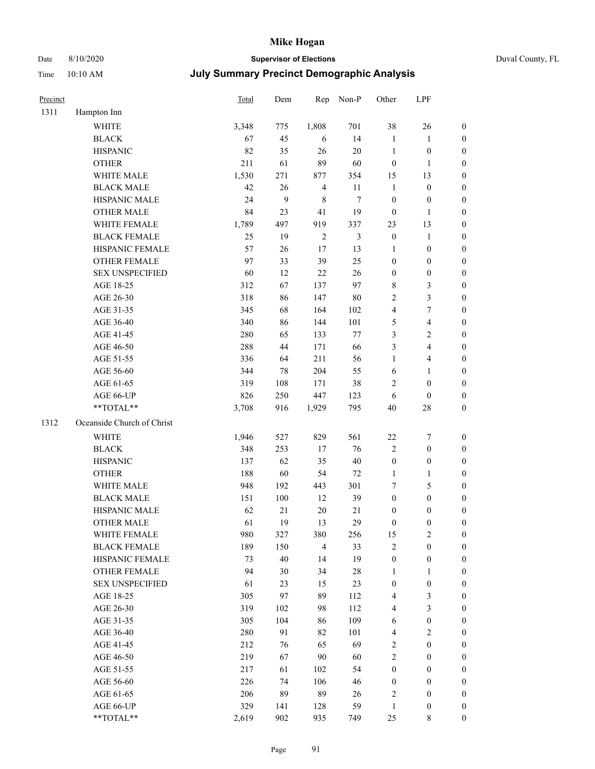### Date 8/10/2020 **Supervisor of Elections** Duval County, FL

| Precinct |                            | Total | Dem              | Rep            | Non-P  | Other                   | LPF                     |                  |
|----------|----------------------------|-------|------------------|----------------|--------|-------------------------|-------------------------|------------------|
| 1311     | Hampton Inn                |       |                  |                |        |                         |                         |                  |
|          | <b>WHITE</b>               | 3,348 | 775              | 1,808          | 701    | 38                      | 26                      | $\boldsymbol{0}$ |
|          | <b>BLACK</b>               | 67    | 45               | 6              | 14     | $\mathbf{1}$            | $\mathbf{1}$            | $\boldsymbol{0}$ |
|          | <b>HISPANIC</b>            | 82    | 35               | 26             | 20     | $\mathbf{1}$            | $\boldsymbol{0}$        | $\boldsymbol{0}$ |
|          | <b>OTHER</b>               | 211   | 61               | 89             | 60     | $\boldsymbol{0}$        | $\mathbf{1}$            | $\boldsymbol{0}$ |
|          | WHITE MALE                 | 1,530 | 271              | 877            | 354    | 15                      | 13                      | $\boldsymbol{0}$ |
|          | <b>BLACK MALE</b>          | 42    | 26               | $\overline{4}$ | 11     | $\mathbf{1}$            | $\boldsymbol{0}$        | $\boldsymbol{0}$ |
|          | HISPANIC MALE              | 24    | $\boldsymbol{9}$ | $\,$ 8 $\,$    | $\tau$ | $\boldsymbol{0}$        | $\boldsymbol{0}$        | $\boldsymbol{0}$ |
|          | <b>OTHER MALE</b>          | 84    | 23               | 41             | 19     | $\boldsymbol{0}$        | $\mathbf{1}$            | $\boldsymbol{0}$ |
|          | WHITE FEMALE               | 1,789 | 497              | 919            | 337    | 23                      | 13                      | $\boldsymbol{0}$ |
|          | <b>BLACK FEMALE</b>        | 25    | 19               | $\overline{2}$ | 3      | $\boldsymbol{0}$        | $\mathbf{1}$            | 0                |
|          | HISPANIC FEMALE            | 57    | 26               | 17             | 13     | $\mathbf{1}$            | $\boldsymbol{0}$        | $\boldsymbol{0}$ |
|          | OTHER FEMALE               | 97    | 33               | 39             | 25     | $\boldsymbol{0}$        | $\boldsymbol{0}$        | $\boldsymbol{0}$ |
|          | <b>SEX UNSPECIFIED</b>     | 60    | 12               | $22\,$         | 26     | $\boldsymbol{0}$        | $\boldsymbol{0}$        | $\boldsymbol{0}$ |
|          | AGE 18-25                  | 312   | 67               | 137            | 97     | 8                       | $\mathfrak{Z}$          | $\boldsymbol{0}$ |
|          | AGE 26-30                  | 318   | 86               | 147            | $80\,$ | 2                       | 3                       | $\boldsymbol{0}$ |
|          | AGE 31-35                  | 345   | 68               | 164            | 102    | 4                       | 7                       | $\boldsymbol{0}$ |
|          | AGE 36-40                  | 340   | 86               | 144            | 101    | 5                       | $\overline{\mathbf{4}}$ | $\boldsymbol{0}$ |
|          | AGE 41-45                  | 280   | 65               | 133            | $77\,$ | 3                       | $\sqrt{2}$              | $\boldsymbol{0}$ |
|          | AGE 46-50                  | 288   | 44               | 171            | 66     | 3                       | $\overline{4}$          | $\boldsymbol{0}$ |
|          | AGE 51-55                  | 336   | 64               | 211            | 56     | $\mathbf{1}$            | $\overline{\mathbf{4}}$ | 0                |
|          | AGE 56-60                  | 344   | 78               | 204            | 55     | 6                       | 1                       | 0                |
|          | AGE 61-65                  | 319   | 108              | 171            | 38     | 2                       | $\boldsymbol{0}$        | $\boldsymbol{0}$ |
|          | AGE 66-UP                  | 826   | 250              | 447            | 123    | 6                       | $\boldsymbol{0}$        | $\boldsymbol{0}$ |
|          | **TOTAL**                  | 3,708 | 916              | 1,929          | 795    | 40                      | $28\,$                  | $\boldsymbol{0}$ |
| 1312     | Oceanside Church of Christ |       |                  |                |        |                         |                         |                  |
|          | WHITE                      | 1,946 | 527              | 829            | 561    | $22\,$                  | 7                       | $\boldsymbol{0}$ |
|          | <b>BLACK</b>               | 348   | 253              | 17             | 76     | 2                       | $\boldsymbol{0}$        | $\boldsymbol{0}$ |
|          | <b>HISPANIC</b>            | 137   | 62               | 35             | $40\,$ | $\boldsymbol{0}$        | $\boldsymbol{0}$        | $\boldsymbol{0}$ |
|          | <b>OTHER</b>               | 188   | 60               | 54             | $72\,$ | $\mathbf{1}$            | $\mathbf{1}$            | $\boldsymbol{0}$ |
|          | WHITE MALE                 | 948   | 192              | 443            | 301    | 7                       | $\mathfrak{S}$          | $\boldsymbol{0}$ |
|          | <b>BLACK MALE</b>          | 151   | $100\,$          | 12             | 39     | $\boldsymbol{0}$        | $\boldsymbol{0}$        | $\boldsymbol{0}$ |
|          | HISPANIC MALE              | 62    | 21               | 20             | 21     | 0                       | $\boldsymbol{0}$        | 0                |
|          | <b>OTHER MALE</b>          | 61    | 19               | 13             | 29     | $\boldsymbol{0}$        | $\boldsymbol{0}$        | $\boldsymbol{0}$ |
|          | WHITE FEMALE               | 980   | 327              | 380            | 256    | 15                      | $\overline{c}$          | $\overline{0}$   |
|          | <b>BLACK FEMALE</b>        | 189   | 150              | $\overline{4}$ | 33     | 2                       | $\boldsymbol{0}$        | $\overline{0}$   |
|          | HISPANIC FEMALE            | 73    | 40               | 14             | 19     | $\boldsymbol{0}$        | $\boldsymbol{0}$        | $\overline{0}$   |
|          | <b>OTHER FEMALE</b>        | 94    | 30               | 34             | $28\,$ | $\mathbf{1}$            | $\mathbf{1}$            | $\overline{0}$   |
|          | <b>SEX UNSPECIFIED</b>     | 61    | 23               | 15             | 23     | $\boldsymbol{0}$        | $\boldsymbol{0}$        | 0                |
|          | AGE 18-25                  | 305   | 97               | 89             | 112    | 4                       | $\mathfrak{Z}$          | $\theta$         |
|          | AGE 26-30                  | 319   | 102              | 98             | 112    | 4                       | $\mathfrak{Z}$          | 0                |
|          | AGE 31-35                  | 305   | 104              | 86             | 109    | 6                       | $\boldsymbol{0}$        | 0                |
|          | AGE 36-40                  | 280   | 91               | 82             | 101    | $\overline{\mathbf{4}}$ | $\mathbf{2}$            | 0                |
|          | AGE 41-45                  | 212   | 76               | 65             | 69     | $\overline{c}$          | $\boldsymbol{0}$        | 0                |
|          | AGE 46-50                  | 219   | 67               | 90             | 60     | 2                       | $\boldsymbol{0}$        | 0                |
|          | AGE 51-55                  | 217   | 61               | 102            | 54     | $\boldsymbol{0}$        | $\boldsymbol{0}$        | $\overline{0}$   |
|          | AGE 56-60                  | 226   | 74               | 106            | 46     | $\boldsymbol{0}$        | $\boldsymbol{0}$        | $\boldsymbol{0}$ |
|          | AGE 61-65                  | 206   | 89               | 89             | 26     | 2                       | $\boldsymbol{0}$        | $\overline{0}$   |
|          | AGE 66-UP                  | 329   | 141              | 128            | 59     | $\mathbf{1}$            | $\boldsymbol{0}$        | 0                |
|          | **TOTAL**                  | 2,619 | 902              | 935            | 749    | 25                      | 8                       | $\boldsymbol{0}$ |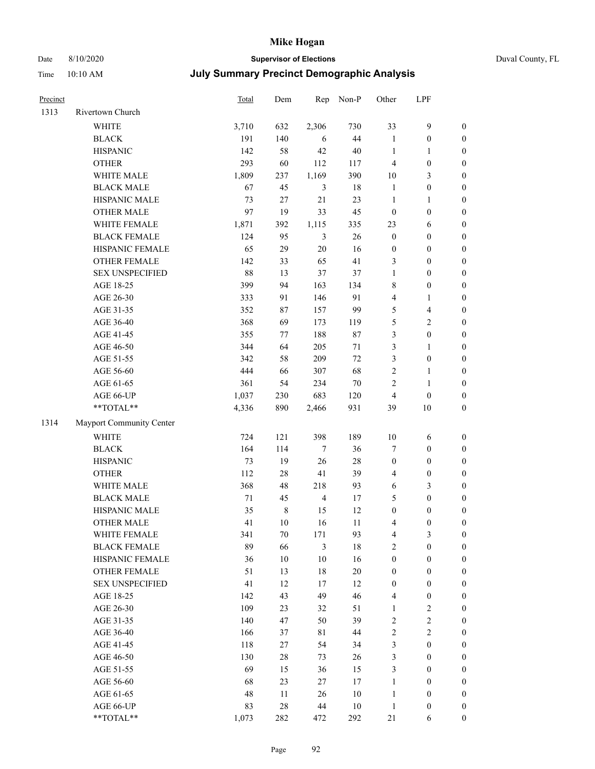### Date 8/10/2020 **Supervisor of Elections** Duval County, FL

| Precinct |                          | <b>Total</b> | Dem     | Rep            | Non-P  | Other            | LPF                     |                  |
|----------|--------------------------|--------------|---------|----------------|--------|------------------|-------------------------|------------------|
| 1313     | Rivertown Church         |              |         |                |        |                  |                         |                  |
|          | <b>WHITE</b>             | 3,710        | 632     | 2,306          | 730    | 33               | $\mathbf{9}$            | $\boldsymbol{0}$ |
|          | <b>BLACK</b>             | 191          | 140     | 6              | 44     | $\mathbf{1}$     | $\boldsymbol{0}$        | $\boldsymbol{0}$ |
|          | <b>HISPANIC</b>          | 142          | 58      | 42             | $40\,$ | $\mathbf{1}$     | $\mathbf{1}$            | $\boldsymbol{0}$ |
|          | <b>OTHER</b>             | 293          | 60      | 112            | 117    | 4                | $\boldsymbol{0}$        | $\boldsymbol{0}$ |
|          | WHITE MALE               | 1,809        | 237     | 1,169          | 390    | $10\,$           | $\mathfrak{Z}$          | $\boldsymbol{0}$ |
|          | <b>BLACK MALE</b>        | 67           | 45      | 3              | 18     | $\mathbf{1}$     | $\boldsymbol{0}$        | $\boldsymbol{0}$ |
|          | HISPANIC MALE            | 73           | 27      | 21             | 23     | $\mathbf{1}$     | $\mathbf{1}$            | $\boldsymbol{0}$ |
|          | <b>OTHER MALE</b>        | 97           | 19      | 33             | 45     | $\boldsymbol{0}$ | $\boldsymbol{0}$        | $\boldsymbol{0}$ |
|          | WHITE FEMALE             | 1,871        | 392     | 1,115          | 335    | 23               | 6                       | $\boldsymbol{0}$ |
|          | <b>BLACK FEMALE</b>      | 124          | 95      | 3              | 26     | $\boldsymbol{0}$ | $\boldsymbol{0}$        | $\boldsymbol{0}$ |
|          | HISPANIC FEMALE          | 65           | 29      | $20\,$         | 16     | $\boldsymbol{0}$ | $\boldsymbol{0}$        | 0                |
|          | <b>OTHER FEMALE</b>      | 142          | 33      | 65             | 41     | 3                | $\boldsymbol{0}$        | $\boldsymbol{0}$ |
|          | <b>SEX UNSPECIFIED</b>   | 88           | 13      | 37             | 37     | $\mathbf{1}$     | $\boldsymbol{0}$        | $\boldsymbol{0}$ |
|          | AGE 18-25                | 399          | 94      | 163            | 134    | 8                | $\boldsymbol{0}$        | $\boldsymbol{0}$ |
|          | AGE 26-30                | 333          | 91      | 146            | 91     | 4                | $\mathbf{1}$            | $\boldsymbol{0}$ |
|          | AGE 31-35                | 352          | 87      | 157            | 99     | 5                | $\overline{\mathbf{4}}$ | $\boldsymbol{0}$ |
|          | AGE 36-40                | 368          | 69      | 173            | 119    | 5                | $\sqrt{2}$              | $\boldsymbol{0}$ |
|          | AGE 41-45                | 355          | 77      | 188            | $87\,$ | 3                | $\boldsymbol{0}$        | $\boldsymbol{0}$ |
|          | AGE 46-50                | 344          | 64      | 205            | $71\,$ | 3                | $\mathbf{1}$            | $\boldsymbol{0}$ |
|          | AGE 51-55                | 342          | 58      | 209            | $72\,$ | 3                | $\boldsymbol{0}$        | $\boldsymbol{0}$ |
|          | AGE 56-60                | 444          | 66      | 307            | 68     | $\sqrt{2}$       | $\mathbf{1}$            | 0                |
|          | AGE 61-65                | 361          | 54      | 234            | $70\,$ | $\overline{c}$   | $\mathbf{1}$            | 0                |
|          | AGE 66-UP                | 1,037        | 230     | 683            | 120    | $\overline{4}$   | $\boldsymbol{0}$        | $\boldsymbol{0}$ |
|          | **TOTAL**                | 4,336        | 890     | 2,466          | 931    | 39               | $10\,$                  | $\boldsymbol{0}$ |
| 1314     | Mayport Community Center |              |         |                |        |                  |                         |                  |
|          | WHITE                    | 724          | 121     | 398            | 189    | $10\,$           | 6                       | $\boldsymbol{0}$ |
|          | <b>BLACK</b>             | 164          | 114     | $\tau$         | 36     | 7                | $\boldsymbol{0}$        | $\boldsymbol{0}$ |
|          | <b>HISPANIC</b>          | 73           | 19      | 26             | $28\,$ | $\boldsymbol{0}$ | $\boldsymbol{0}$        | $\boldsymbol{0}$ |
|          | <b>OTHER</b>             | 112          | $28\,$  | 41             | 39     | 4                | $\boldsymbol{0}$        | $\boldsymbol{0}$ |
|          | WHITE MALE               | 368          | 48      | 218            | 93     | $\sqrt{6}$       | $\mathfrak{Z}$          | $\boldsymbol{0}$ |
|          | <b>BLACK MALE</b>        | $71\,$       | 45      | $\overline{4}$ | 17     | 5                | $\boldsymbol{0}$        | $\boldsymbol{0}$ |
|          | HISPANIC MALE            | 35           | $\,8\,$ | 15             | 12     | $\boldsymbol{0}$ | $\boldsymbol{0}$        | $\boldsymbol{0}$ |
|          | OTHER MALE               | 41           | 10      | 16             | 11     | 4                | $\boldsymbol{0}$        | $\boldsymbol{0}$ |
|          | WHITE FEMALE             | 341          | 70      | 171            | 93     | 4                | 3                       | 0                |
|          | <b>BLACK FEMALE</b>      | 89           | 66      | 3              | 18     | $\overline{2}$   | $\boldsymbol{0}$        | $\overline{0}$   |
|          | HISPANIC FEMALE          | 36           | $10\,$  | $10\,$         | 16     | $\boldsymbol{0}$ | $\boldsymbol{0}$        | $\overline{0}$   |
|          | <b>OTHER FEMALE</b>      | 51           | 13      | $18\,$         | $20\,$ | $\boldsymbol{0}$ | $\boldsymbol{0}$        | $\overline{0}$   |
|          | <b>SEX UNSPECIFIED</b>   | 41           | 12      | 17             | 12     | $\boldsymbol{0}$ | $\boldsymbol{0}$        | 0                |
|          | AGE 18-25                | 142          | 43      | 49             | 46     | 4                | $\boldsymbol{0}$        | 0                |
|          | AGE 26-30                | 109          | 23      | 32             | 51     | $\mathbf{1}$     | $\sqrt{2}$              | 0                |
|          | AGE 31-35                | 140          | 47      | 50             | 39     | 2                | $\sqrt{2}$              | 0                |
|          | AGE 36-40                | 166          | 37      | 81             | 44     | 2                | $\sqrt{2}$              | 0                |
|          | AGE 41-45                | 118          | 27      | 54             | 34     | 3                | $\boldsymbol{0}$        | 0                |
|          | AGE 46-50                | 130          | 28      | 73             | 26     | 3                | $\boldsymbol{0}$        | 0                |
|          | AGE 51-55                | 69           | 15      | 36             | 15     | 3                | $\boldsymbol{0}$        | 0                |
|          | AGE 56-60                | 68           | 23      | 27             | 17     | $\mathbf{1}$     | $\boldsymbol{0}$        | 0                |
|          | AGE 61-65                | 48           | 11      | 26             | $10\,$ | $\mathbf{1}$     | $\boldsymbol{0}$        | 0                |
|          | AGE 66-UP                | 83           | $28\,$  | 44             | $10\,$ | $\mathbf{1}$     | $\boldsymbol{0}$        | 0                |
|          | **TOTAL**                | 1,073        | 282     | 472            | 292    | 21               | 6                       | $\boldsymbol{0}$ |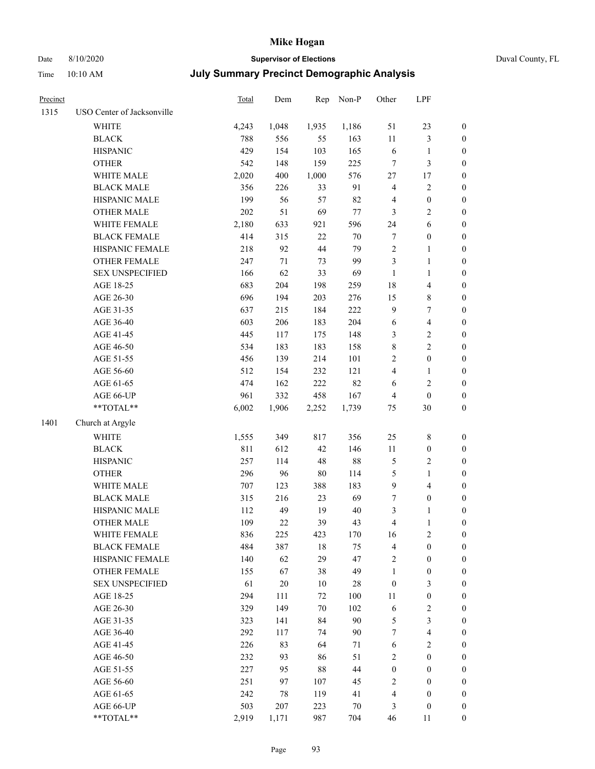# Date 8/10/2020 **Supervisor of Elections**

|  | Duval County, FL |
|--|------------------|
|--|------------------|

| Time     | 10:10 AM                   | <b>July Summary Precinct Demographic Analysis</b> |       |       |          |                |                |                  |  |
|----------|----------------------------|---------------------------------------------------|-------|-------|----------|----------------|----------------|------------------|--|
| Precinct |                            | Total                                             | Dem   | Rep   | $Non-P$  | Other          | LPF            |                  |  |
| 1315     | USO Center of Jacksonville |                                                   |       |       |          |                |                |                  |  |
|          | WHITE                      | 4,243                                             | 1,048 | 1,935 | 1,186    | 51             | 23             | $\boldsymbol{0}$ |  |
|          | <b>BLACK</b>               | 788                                               | 556   | 55    | 163      | 11             | 3              | 0                |  |
|          | <b>HISPANIC</b>            | 429                                               | 154   | 103   | 165      | 6              | 1              | $\boldsymbol{0}$ |  |
|          | <b>OTHER</b>               | 542                                               | 148   | 159   | 225      | 7              | 3              | 0                |  |
|          | <b>WHITE MALE</b>          | 2,020                                             | 400   | 1,000 | 576      | 27             | 17             | 0                |  |
|          | <b>BLACK MALE</b>          | 356                                               | 226   | 33    | 91       | 4              | $\overline{2}$ | $\boldsymbol{0}$ |  |
|          | <b>HISPANIC MALE</b>       | 199                                               | 56    | 57    | 82       | 4              | $\mathbf{0}$   | $\boldsymbol{0}$ |  |
|          | <b>OTHER MALE</b>          | 202                                               | 51    | 69    | 77       | 3              | 2              | $\boldsymbol{0}$ |  |
|          | <b>WHITE FEMALE</b>        | 2,180                                             | 633   | 921   | 596      | 24             | 6              | $\theta$         |  |
|          | <b>BLACK FEMALE</b>        | 414                                               | 315   | 22    | 70       | 7              | $\mathbf{0}$   | $\boldsymbol{0}$ |  |
|          | <b>HISPANIC FEMALE</b>     | 218                                               | 92    | 44    | 79       | $\overline{c}$ | 1              | $\theta$         |  |
|          | OTHED EEMALE               | 217                                               | 71    | 72    | $\Omega$ | $\mathbf{r}$   |                | ∩                |  |

|      | HIDI AINIU MALE        | 177   | υU     | ا ر    | ٥4     |                         | v                       |                  |
|------|------------------------|-------|--------|--------|--------|-------------------------|-------------------------|------------------|
|      | <b>OTHER MALE</b>      | 202   | 51     | 69     | 77     | 3                       | $\mathbf{2}$            | $\boldsymbol{0}$ |
|      | WHITE FEMALE           | 2,180 | 633    | 921    | 596    | 24                      | 6                       | $\boldsymbol{0}$ |
|      | <b>BLACK FEMALE</b>    | 414   | 315    | $22\,$ | $70\,$ | $\tau$                  | $\boldsymbol{0}$        | $\boldsymbol{0}$ |
|      | HISPANIC FEMALE        | 218   | 92     | 44     | 79     | $\sqrt{2}$              | 1                       | 0                |
|      | OTHER FEMALE           | 247   | 71     | 73     | 99     | $\mathfrak{Z}$          | $\mathbf{1}$            | 0                |
|      | <b>SEX UNSPECIFIED</b> | 166   | 62     | 33     | 69     | $\mathbf{1}$            | $\mathbf{1}$            | $\boldsymbol{0}$ |
|      | AGE 18-25              | 683   | 204    | 198    | 259    | $18\,$                  | $\overline{\mathbf{4}}$ | $\boldsymbol{0}$ |
|      | AGE 26-30              | 696   | 194    | 203    | 276    | 15                      | $\,$ 8 $\,$             | $\boldsymbol{0}$ |
|      | AGE 31-35              | 637   | 215    | 184    | 222    | 9                       | $\boldsymbol{7}$        | $\boldsymbol{0}$ |
|      | AGE 36-40              | 603   | 206    | 183    | 204    | $\sqrt{6}$              | $\overline{\mathbf{4}}$ | $\boldsymbol{0}$ |
|      | AGE 41-45              | 445   | 117    | 175    | 148    | $\mathfrak{Z}$          | $\overline{c}$          | $\boldsymbol{0}$ |
|      | AGE 46-50              | 534   | 183    | 183    | 158    | $\,8\,$                 | $\overline{c}$          | $\boldsymbol{0}$ |
|      | AGE 51-55              | 456   | 139    | 214    | 101    | $\sqrt{2}$              | $\boldsymbol{0}$        | $\boldsymbol{0}$ |
|      | AGE 56-60              | 512   | 154    | 232    | 121    | $\overline{4}$          | 1                       | 0                |
|      | AGE 61-65              | 474   | 162    | 222    | 82     | 6                       | $\mathbf{2}$            | 0                |
|      | AGE 66-UP              | 961   | 332    | 458    | 167    | $\overline{4}$          | $\boldsymbol{0}$        | $\boldsymbol{0}$ |
|      | **TOTAL**              | 6,002 | 1,906  | 2,252  | 1,739  | 75                      | $30\,$                  | $\boldsymbol{0}$ |
| 1401 | Church at Argyle       |       |        |        |        |                         |                         |                  |
|      | <b>WHITE</b>           | 1,555 | 349    | 817    | 356    | $25\,$                  | $8\,$                   | $\boldsymbol{0}$ |
|      | <b>BLACK</b>           | 811   | 612    | 42     | 146    | $11\,$                  | $\boldsymbol{0}$        | $\boldsymbol{0}$ |
|      | <b>HISPANIC</b>        | 257   | 114    | 48     | $88\,$ | $\mathfrak{S}$          | $\mathbf{2}$            | $\boldsymbol{0}$ |
|      | <b>OTHER</b>           | 296   | 96     | $80\,$ | 114    | $\mathfrak s$           | $\mathbf{1}$            | $\boldsymbol{0}$ |
|      | WHITE MALE             | 707   | 123    | 388    | 183    | $\boldsymbol{9}$        | $\overline{\mathbf{4}}$ | $\boldsymbol{0}$ |
|      | <b>BLACK MALE</b>      | 315   | 216    | 23     | 69     | $\boldsymbol{7}$        | $\boldsymbol{0}$        | $\boldsymbol{0}$ |
|      | HISPANIC MALE          | 112   | 49     | 19     | $40\,$ | $\mathfrak{Z}$          | 1                       | $\boldsymbol{0}$ |
|      | <b>OTHER MALE</b>      | 109   | $22\,$ | 39     | 43     | $\overline{4}$          | $\mathbf{1}$            | 0                |
|      | WHITE FEMALE           | 836   | 225    | 423    | 170    | 16                      | $\mathbf{2}$            | 0                |
|      | <b>BLACK FEMALE</b>    | 484   | 387    | $18\,$ | 75     | $\overline{\mathbf{4}}$ | $\boldsymbol{0}$        | $\boldsymbol{0}$ |
|      | HISPANIC FEMALE        | 140   | 62     | 29     | 47     | $\sqrt{2}$              | $\boldsymbol{0}$        | $\boldsymbol{0}$ |
|      | OTHER FEMALE           | 155   | 67     | 38     | 49     | $\mathbf{1}$            | $\boldsymbol{0}$        | $\boldsymbol{0}$ |
|      | <b>SEX UNSPECIFIED</b> | 61    | $20\,$ | $10\,$ | 28     | $\boldsymbol{0}$        | $\mathfrak{Z}$          | $\boldsymbol{0}$ |
|      | AGE 18-25              | 294   | 111    | 72     | 100    | 11                      | $\boldsymbol{0}$        | $\boldsymbol{0}$ |
|      | AGE 26-30              | 329   | 149    | 70     | 102    | $\sqrt{6}$              | $\mathbf{2}$            | $\boldsymbol{0}$ |
|      | AGE 31-35              | 323   | 141    | 84     | $90\,$ | 5                       | 3                       | $\boldsymbol{0}$ |
|      | AGE 36-40              | 292   | 117    | 74     | 90     | 7                       | $\overline{\mathbf{4}}$ | $\boldsymbol{0}$ |
|      | AGE 41-45              | 226   | 83     | 64     | 71     | 6                       | $\mathbf{2}$            | 0                |
|      | AGE 46-50              | 232   | 93     | 86     | 51     | $\overline{c}$          | $\boldsymbol{0}$        | 0                |
|      | AGE 51-55              | 227   | 95     | $88\,$ | 44     | $\boldsymbol{0}$        | $\boldsymbol{0}$        | 0                |
|      | AGE 56-60              | 251   | 97     | 107    | 45     | $\sqrt{2}$              | $\boldsymbol{0}$        | 0                |
|      | AGE 61-65              | 242   | 78     | 119    | 41     | $\overline{4}$          | $\boldsymbol{0}$        | 0                |
|      | AGE 66-UP              | 503   | 207    | 223    | 70     | 3                       | $\boldsymbol{0}$        | 0                |
|      | $**TOTAL**$            | 2,919 | 1,171  | 987    | 704    | 46                      | 11                      | $\boldsymbol{0}$ |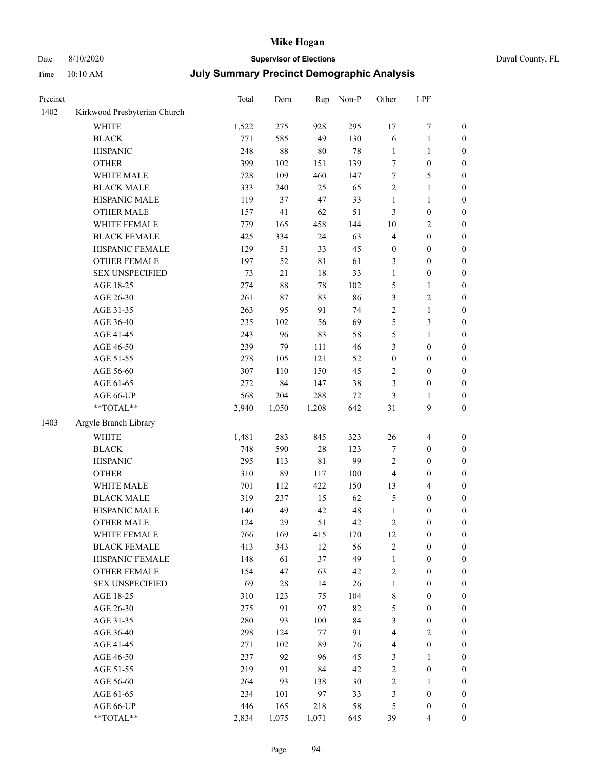### Date 8/10/2020 **Supervisor of Elections** Time 10:10 AM **July Summary Precinct Demographic Analysis**

| Duval County, FL |  |
|------------------|--|

| Precinct |                              | <b>Total</b> | Dem   | Rep         | Non-P  | Other            | LPF                     |                  |
|----------|------------------------------|--------------|-------|-------------|--------|------------------|-------------------------|------------------|
| 1402     | Kirkwood Presbyterian Church |              |       |             |        |                  |                         |                  |
|          | WHITE                        | 1,522        | 275   | 928         | 295    | 17               | $\boldsymbol{7}$        | $\boldsymbol{0}$ |
|          | <b>BLACK</b>                 | 771          | 585   | 49          | 130    | 6                | $\mathbf{1}$            | $\boldsymbol{0}$ |
|          | <b>HISPANIC</b>              | 248          | 88    | 80          | 78     | $\mathbf{1}$     | $\mathbf{1}$            | 0                |
|          | <b>OTHER</b>                 | 399          | 102   | 151         | 139    | 7                | $\boldsymbol{0}$        | 0                |
|          | WHITE MALE                   | 728          | 109   | 460         | 147    | 7                | 5                       | $\boldsymbol{0}$ |
|          | <b>BLACK MALE</b>            | 333          | 240   | 25          | 65     | 2                | $\mathbf{1}$            | $\boldsymbol{0}$ |
|          | HISPANIC MALE                | 119          | 37    | 47          | 33     | $\mathbf{1}$     | $\mathbf{1}$            | $\boldsymbol{0}$ |
|          | <b>OTHER MALE</b>            | 157          | 41    | 62          | 51     | 3                | $\boldsymbol{0}$        | $\boldsymbol{0}$ |
|          | WHITE FEMALE                 | 779          | 165   | 458         | 144    | 10               | $\sqrt{2}$              | $\boldsymbol{0}$ |
|          | <b>BLACK FEMALE</b>          | 425          | 334   | 24          | 63     | 4                | $\boldsymbol{0}$        | $\boldsymbol{0}$ |
|          | HISPANIC FEMALE              | 129          | 51    | 33          | 45     | $\boldsymbol{0}$ | $\boldsymbol{0}$        | $\boldsymbol{0}$ |
|          | OTHER FEMALE                 | 197          | 52    | $8\sqrt{1}$ | 61     | 3                | $\boldsymbol{0}$        | 0                |
|          | <b>SEX UNSPECIFIED</b>       | 73           | 21    | $18\,$      | 33     | $\mathbf{1}$     | $\boldsymbol{0}$        | 0                |
|          | AGE 18-25                    | 274          | 88    | $78\,$      | 102    | 5                | $\mathbf{1}$            | 0                |
|          | AGE 26-30                    | 261          | 87    | 83          | 86     | 3                | $\sqrt{2}$              | 0                |
|          | AGE 31-35                    | 263          | 95    | 91          | 74     | 2                | $\mathbf{1}$            | $\boldsymbol{0}$ |
|          | AGE 36-40                    | 235          | 102   | 56          | 69     | 5                | 3                       | $\boldsymbol{0}$ |
|          | AGE 41-45                    | 243          | 96    | 83          | 58     | 5                | $\mathbf{1}$            | $\boldsymbol{0}$ |
|          | AGE 46-50                    | 239          | 79    | 111         | 46     | 3                | $\boldsymbol{0}$        | $\boldsymbol{0}$ |
|          | AGE 51-55                    | 278          | 105   | 121         | 52     | $\boldsymbol{0}$ | $\boldsymbol{0}$        | $\boldsymbol{0}$ |
|          | AGE 56-60                    | 307          | 110   | 150         | 45     | $\overline{c}$   | $\boldsymbol{0}$        | $\boldsymbol{0}$ |
|          | AGE 61-65                    | 272          | 84    | 147         | 38     | $\mathfrak{Z}$   | $\boldsymbol{0}$        | 0                |
|          | AGE 66-UP                    | 568          | 204   | 288         | $72\,$ | 3                | $\mathbf{1}$            | 0                |
|          | $**TOTAL**$                  | 2,940        | 1,050 | 1,208       | 642    | 31               | $\mathbf{9}$            | $\boldsymbol{0}$ |
| 1403     | Argyle Branch Library        |              |       |             |        |                  |                         |                  |
|          | <b>WHITE</b>                 | 1,481        | 283   | 845         | 323    | 26               | 4                       | 0                |
|          | <b>BLACK</b>                 | 748          | 590   | $28\,$      | 123    | 7                | $\boldsymbol{0}$        | $\boldsymbol{0}$ |
|          | <b>HISPANIC</b>              | 295          | 113   | $8\sqrt{1}$ | 99     | 2                | $\boldsymbol{0}$        | 0                |
|          | <b>OTHER</b>                 | 310          | 89    | 117         | 100    | 4                | $\boldsymbol{0}$        | $\boldsymbol{0}$ |
|          | WHITE MALE                   | 701          | 112   | 422         | 150    | 13               | $\overline{\mathbf{4}}$ | $\boldsymbol{0}$ |
|          | <b>BLACK MALE</b>            | 319          | 237   | 15          | 62     | 5                | $\boldsymbol{0}$        | $\boldsymbol{0}$ |
|          | HISPANIC MALE                | 140          | 49    | 42          | 48     | $\mathbf{1}$     | $\boldsymbol{0}$        | $\boldsymbol{0}$ |
|          | <b>OTHER MALE</b>            | 124          | 29    | 51          | 42     | 2                | $\boldsymbol{0}$        | $\boldsymbol{0}$ |
|          | WHITE FEMALE                 | 766          | 169   | 415         | 170    | 12               | $\boldsymbol{0}$        | 0                |
|          | <b>BLACK FEMALE</b>          | 413          | 343   | 12          | 56     | $\sqrt{2}$       | $\boldsymbol{0}$        | 0                |
|          | HISPANIC FEMALE              | 148          | 61    | 37          | 49     | $\mathbf{1}$     | $\boldsymbol{0}$        | 0                |
|          | OTHER FEMALE                 | 154          | 47    | 63          | 42     | 2                | $\boldsymbol{0}$        | 0                |
|          | <b>SEX UNSPECIFIED</b>       | 69           | 28    | 14          | 26     | $\mathbf{1}$     | $\boldsymbol{0}$        | 0                |
|          | AGE 18-25                    | 310          | 123   | 75          | 104    | $\,$ 8 $\,$      | $\boldsymbol{0}$        | $\boldsymbol{0}$ |
|          | AGE 26-30                    | 275          | 91    | 97          | 82     | 5                | $\boldsymbol{0}$        | 0                |
|          | AGE 31-35                    | 280          | 93    | 100         | 84     | 3                | $\boldsymbol{0}$        | 0                |
|          | AGE 36-40                    | 298          | 124   | 77          | 91     | 4                | $\sqrt{2}$              | $\overline{0}$   |
|          | AGE 41-45                    | 271          | 102   | 89          | 76     | 4                | $\boldsymbol{0}$        | $\overline{0}$   |
|          | AGE 46-50                    | 237          | 92    | 96          | 45     | 3                | $\mathbf{1}$            | $\boldsymbol{0}$ |
|          | AGE 51-55                    | 219          | 91    | 84          | 42     | $\sqrt{2}$       | $\boldsymbol{0}$        | 0                |
|          | AGE 56-60                    | 264          | 93    | 138         | 30     | $\sqrt{2}$       | $\mathbf{1}$            | 0                |
|          | AGE 61-65                    | 234          | 101   | 97          | 33     | 3                | $\boldsymbol{0}$        | $\boldsymbol{0}$ |
|          | AGE 66-UP                    | 446          | 165   | 218         | 58     | 5                | $\boldsymbol{0}$        | 0                |
|          | **TOTAL**                    | 2,834        | 1,075 | 1,071       | 645    | 39               | $\overline{4}$          | $\boldsymbol{0}$ |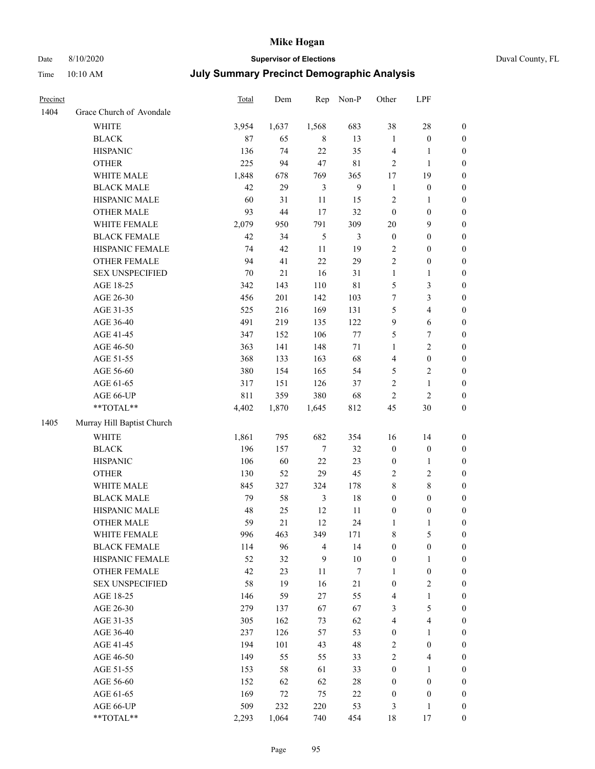### Date 8/10/2020 **Supervisor of Elections** Duval County, FL

| Precinct |                            | Total  | Dem    | Rep            | Non-P            | Other            | LPF                     |                  |
|----------|----------------------------|--------|--------|----------------|------------------|------------------|-------------------------|------------------|
| 1404     | Grace Church of Avondale   |        |        |                |                  |                  |                         |                  |
|          | <b>WHITE</b>               | 3,954  | 1,637  | 1,568          | 683              | 38               | $28\,$                  | $\boldsymbol{0}$ |
|          | <b>BLACK</b>               | 87     | 65     | $\,8\,$        | 13               | $\mathbf{1}$     | $\boldsymbol{0}$        | $\boldsymbol{0}$ |
|          | <b>HISPANIC</b>            | 136    | 74     | $22\,$         | 35               | 4                | 1                       | $\boldsymbol{0}$ |
|          | <b>OTHER</b>               | 225    | 94     | 47             | $8\sqrt{1}$      | $\sqrt{2}$       | $\mathbf{1}$            | $\boldsymbol{0}$ |
|          | WHITE MALE                 | 1,848  | 678    | 769            | 365              | 17               | 19                      | $\boldsymbol{0}$ |
|          | <b>BLACK MALE</b>          | 42     | 29     | 3              | $\overline{9}$   | $\mathbf{1}$     | $\boldsymbol{0}$        | $\boldsymbol{0}$ |
|          | HISPANIC MALE              | 60     | 31     | 11             | 15               | $\sqrt{2}$       | $\mathbf{1}$            | $\boldsymbol{0}$ |
|          | <b>OTHER MALE</b>          | 93     | 44     | 17             | 32               | $\boldsymbol{0}$ | $\boldsymbol{0}$        | $\boldsymbol{0}$ |
|          | WHITE FEMALE               | 2,079  | 950    | 791            | 309              | $20\,$           | $\mathbf{9}$            | 0                |
|          | <b>BLACK FEMALE</b>        | 42     | 34     | 5              | 3                | $\boldsymbol{0}$ | $\boldsymbol{0}$        | $\boldsymbol{0}$ |
|          | HISPANIC FEMALE            | 74     | 42     | 11             | 19               | $\overline{c}$   | $\boldsymbol{0}$        | $\boldsymbol{0}$ |
|          | OTHER FEMALE               | 94     | 41     | 22             | 29               | $\sqrt{2}$       | $\boldsymbol{0}$        | $\boldsymbol{0}$ |
|          | <b>SEX UNSPECIFIED</b>     | $70\,$ | $21\,$ | 16             | 31               | $\mathbf{1}$     | $\mathbf{1}$            | $\boldsymbol{0}$ |
|          | AGE 18-25                  | 342    | 143    | 110            | 81               | 5                | $\mathfrak{Z}$          | $\boldsymbol{0}$ |
|          | AGE 26-30                  | 456    | 201    | 142            | 103              | 7                | $\mathfrak{Z}$          | $\boldsymbol{0}$ |
|          | AGE 31-35                  | 525    | 216    | 169            | 131              | 5                | $\overline{4}$          | $\boldsymbol{0}$ |
|          | AGE 36-40                  | 491    | 219    | 135            | 122              | $\mathbf{9}$     | 6                       | $\boldsymbol{0}$ |
|          | AGE 41-45                  | 347    | 152    | 106            | $77 \,$          | 5                | 7                       | $\boldsymbol{0}$ |
|          | AGE 46-50                  | 363    | 141    | 148            | 71               | $\mathbf{1}$     | $\overline{2}$          | 0                |
|          | AGE 51-55                  | 368    | 133    | 163            | 68               | 4                | $\boldsymbol{0}$        | 0                |
|          | AGE 56-60                  | 380    | 154    | 165            | 54               | 5                | $\overline{2}$          | $\boldsymbol{0}$ |
|          | AGE 61-65                  | 317    | 151    | 126            | 37               | $\sqrt{2}$       | 1                       | $\boldsymbol{0}$ |
|          | AGE 66-UP                  | 811    | 359    | 380            | 68               | $\overline{c}$   | $\sqrt{2}$              | $\boldsymbol{0}$ |
|          | **TOTAL**                  | 4,402  | 1,870  | 1,645          | 812              | 45               | $30\,$                  | $\boldsymbol{0}$ |
| 1405     | Murray Hill Baptist Church |        |        |                |                  |                  |                         |                  |
|          | <b>WHITE</b>               | 1,861  | 795    | 682            | 354              | 16               | 14                      | $\boldsymbol{0}$ |
|          | <b>BLACK</b>               | 196    | 157    | 7              | 32               | $\boldsymbol{0}$ | $\boldsymbol{0}$        | $\boldsymbol{0}$ |
|          | <b>HISPANIC</b>            | 106    | 60     | $22\,$         | 23               | $\boldsymbol{0}$ | $\mathbf{1}$            | $\boldsymbol{0}$ |
|          | <b>OTHER</b>               | 130    | 52     | 29             | 45               | $\mathbf{2}$     | $\sqrt{2}$              | $\boldsymbol{0}$ |
|          | WHITE MALE                 | 845    | 327    | 324            | 178              | 8                | $\,8\,$                 | $\boldsymbol{0}$ |
|          | <b>BLACK MALE</b>          | 79     | 58     | 3              | $18\,$           | $\boldsymbol{0}$ | $\boldsymbol{0}$        | 0                |
|          | HISPANIC MALE              | 48     | 25     | 12             | 11               | $\boldsymbol{0}$ | $\boldsymbol{0}$        | 0                |
|          | <b>OTHER MALE</b>          | 59     | 21     | 12             | 24               | $\mathbf{1}$     | $\mathbf{1}$            | $\boldsymbol{0}$ |
|          | WHITE FEMALE               | 996    | 463    | 349            | 171              | $\,$ $\,$        | $\mathfrak s$           | $\boldsymbol{0}$ |
|          | <b>BLACK FEMALE</b>        | 114    | 96     | $\overline{4}$ | 14               | $\boldsymbol{0}$ | $\boldsymbol{0}$        | $\boldsymbol{0}$ |
|          | HISPANIC FEMALE            | 52     | 32     | $\mathbf{9}$   | $10\,$           | $\boldsymbol{0}$ | $\mathbf{1}$            | $\overline{0}$   |
|          | <b>OTHER FEMALE</b>        | 42     | 23     | 11             | $\boldsymbol{7}$ | $\mathbf{1}$     | $\boldsymbol{0}$        | $\overline{0}$   |
|          | <b>SEX UNSPECIFIED</b>     | 58     | 19     | 16             | 21               | $\boldsymbol{0}$ | $\sqrt{2}$              | 0                |
|          | AGE 18-25                  | 146    | 59     | $27\,$         | 55               | 4                | $\mathbf{1}$            | 0                |
|          | AGE 26-30                  | 279    | 137    | 67             | 67               | 3                | $\mathfrak{S}$          | 0                |
|          | AGE 31-35                  | 305    | 162    | 73             | 62               | $\overline{4}$   | $\overline{\mathbf{4}}$ | 0                |
|          | AGE 36-40                  | 237    | 126    | 57             | 53               | $\boldsymbol{0}$ | $\mathbf{1}$            | 0                |
|          | AGE 41-45                  | 194    | 101    | 43             | 48               | $\overline{c}$   | $\boldsymbol{0}$        | $\overline{0}$   |
|          | AGE 46-50                  | 149    | 55     | 55             | 33               | $\mathbf{2}$     | $\overline{\mathbf{4}}$ | $\boldsymbol{0}$ |
|          | AGE 51-55                  | 153    | 58     | 61             | 33               | $\boldsymbol{0}$ | $\mathbf{1}$            | $\boldsymbol{0}$ |
|          | AGE 56-60                  | 152    | 62     | 62             | 28               | $\boldsymbol{0}$ | $\boldsymbol{0}$        | $\overline{0}$   |
|          | AGE 61-65                  | 169    | 72     | 75             | 22               | $\boldsymbol{0}$ | $\boldsymbol{0}$        | $\overline{0}$   |
|          | AGE 66-UP                  | 509    | 232    | 220            | 53               | 3                | $\mathbf{1}$            | $\boldsymbol{0}$ |
|          | **TOTAL**                  | 2,293  | 1,064  | 740            | 454              | 18               | 17                      | $\boldsymbol{0}$ |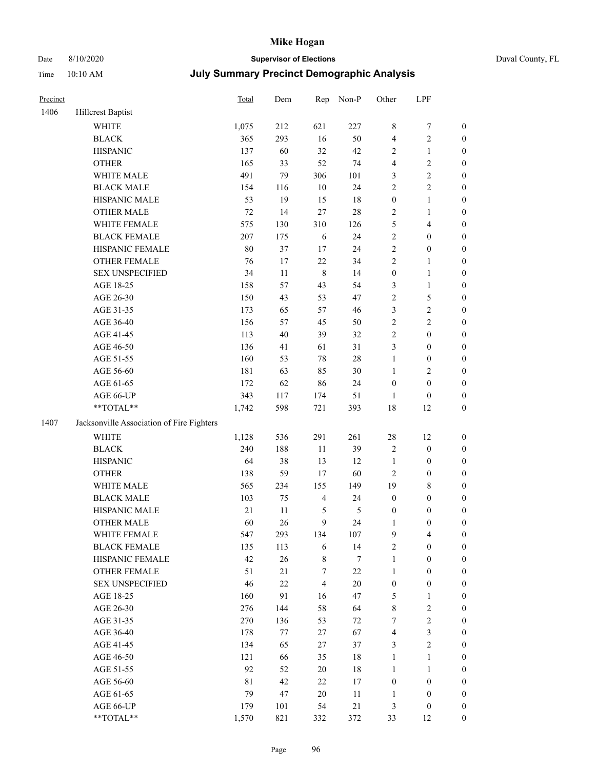# Date 8/10/2020 **Supervisor of Elections** Duval County, FL

| Precinct |                                           | <b>Total</b> | Dem | Rep                     | Non-P          | Other            | LPF              |                  |
|----------|-------------------------------------------|--------------|-----|-------------------------|----------------|------------------|------------------|------------------|
| 1406     | <b>Hillcrest Baptist</b>                  |              |     |                         |                |                  |                  |                  |
|          | <b>WHITE</b>                              | 1,075        | 212 | 621                     | 227            | 8                | $\boldsymbol{7}$ | 0                |
|          | <b>BLACK</b>                              | 365          | 293 | 16                      | 50             | 4                | $\sqrt{2}$       | $\boldsymbol{0}$ |
|          | <b>HISPANIC</b>                           | 137          | 60  | 32                      | 42             | $\overline{c}$   | $\mathbf{1}$     | $\boldsymbol{0}$ |
|          | <b>OTHER</b>                              | 165          | 33  | 52                      | 74             | 4                | $\sqrt{2}$       | $\boldsymbol{0}$ |
|          | WHITE MALE                                | 491          | 79  | 306                     | 101            | 3                | $\sqrt{2}$       | $\boldsymbol{0}$ |
|          | <b>BLACK MALE</b>                         | 154          | 116 | 10                      | 24             | $\overline{c}$   | $\sqrt{2}$       | $\boldsymbol{0}$ |
|          | HISPANIC MALE                             | 53           | 19  | 15                      | 18             | $\boldsymbol{0}$ | $\mathbf{1}$     | $\boldsymbol{0}$ |
|          | <b>OTHER MALE</b>                         | 72           | 14  | 27                      | 28             | $\overline{c}$   | $\mathbf{1}$     | $\boldsymbol{0}$ |
|          | WHITE FEMALE                              | 575          | 130 | 310                     | 126            | 5                | $\overline{4}$   | $\boldsymbol{0}$ |
|          | <b>BLACK FEMALE</b>                       | 207          | 175 | 6                       | 24             | $\overline{c}$   | $\boldsymbol{0}$ | $\boldsymbol{0}$ |
|          | HISPANIC FEMALE                           | $80\,$       | 37  | $17\,$                  | 24             | $\overline{c}$   | $\boldsymbol{0}$ | $\boldsymbol{0}$ |
|          | <b>OTHER FEMALE</b>                       | 76           | 17  | $22\,$                  | 34             | $\overline{c}$   | $\mathbf{1}$     | $\boldsymbol{0}$ |
|          | <b>SEX UNSPECIFIED</b>                    | 34           | 11  | $\,8\,$                 | 14             | $\boldsymbol{0}$ | $\mathbf{1}$     | $\boldsymbol{0}$ |
|          | AGE 18-25                                 | 158          | 57  | 43                      | 54             | 3                | $\mathbf{1}$     | $\boldsymbol{0}$ |
|          | AGE 26-30                                 | 150          | 43  | 53                      | 47             | $\overline{c}$   | $\mathfrak s$    | $\boldsymbol{0}$ |
|          | AGE 31-35                                 | 173          | 65  | 57                      | 46             | 3                | $\sqrt{2}$       | $\boldsymbol{0}$ |
|          | AGE 36-40                                 | 156          | 57  | 45                      | 50             | $\overline{c}$   | $\sqrt{2}$       | $\boldsymbol{0}$ |
|          | AGE 41-45                                 | 113          | 40  | 39                      | 32             | $\overline{c}$   | $\boldsymbol{0}$ | $\boldsymbol{0}$ |
|          | AGE 46-50                                 | 136          | 41  | 61                      | 31             | 3                | $\boldsymbol{0}$ | $\boldsymbol{0}$ |
|          | AGE 51-55                                 | 160          | 53  | $78\,$                  | $28\,$         | 1                | $\boldsymbol{0}$ | $\boldsymbol{0}$ |
|          | AGE 56-60                                 | 181          | 63  | 85                      | 30             | $\mathbf{1}$     | $\sqrt{2}$       | $\boldsymbol{0}$ |
|          | AGE 61-65                                 | 172          | 62  | 86                      | 24             | $\boldsymbol{0}$ | $\boldsymbol{0}$ | $\boldsymbol{0}$ |
|          | AGE 66-UP                                 | 343          | 117 | 174                     | 51             | $\mathbf{1}$     | $\boldsymbol{0}$ | $\boldsymbol{0}$ |
|          | **TOTAL**                                 | 1,742        | 598 | 721                     | 393            | 18               | 12               | $\boldsymbol{0}$ |
| 1407     | Jacksonville Association of Fire Fighters |              |     |                         |                |                  |                  |                  |
|          | <b>WHITE</b>                              | 1,128        | 536 | 291                     | 261            | 28               | 12               | $\boldsymbol{0}$ |
|          | <b>BLACK</b>                              | 240          | 188 | 11                      | 39             | 2                | $\boldsymbol{0}$ | $\boldsymbol{0}$ |
|          | <b>HISPANIC</b>                           | 64           | 38  | 13                      | 12             | $\mathbf{1}$     | $\boldsymbol{0}$ | $\boldsymbol{0}$ |
|          | <b>OTHER</b>                              | 138          | 59  | 17                      | 60             | $\overline{c}$   | $\boldsymbol{0}$ | $\boldsymbol{0}$ |
|          | WHITE MALE                                | 565          | 234 | 155                     | 149            | 19               | $\,$ 8 $\,$      | $\boldsymbol{0}$ |
|          | <b>BLACK MALE</b>                         | 103          | 75  | $\overline{4}$          | 24             | $\boldsymbol{0}$ | $\boldsymbol{0}$ | $\boldsymbol{0}$ |
|          | HISPANIC MALE                             | $21\,$       | 11  | $\mathfrak{S}$          | $\mathfrak{S}$ | $\boldsymbol{0}$ | $\boldsymbol{0}$ | $\boldsymbol{0}$ |
|          | <b>OTHER MALE</b>                         | 60           | 26  | 9                       | 24             | 1                | $\boldsymbol{0}$ | $\boldsymbol{0}$ |
|          | WHITE FEMALE                              | 547          | 293 | 134                     | 107            | 9                | 4                | 0                |
|          | <b>BLACK FEMALE</b>                       | 135          | 113 | 6                       | 14             | $\mathbf{2}$     | $\boldsymbol{0}$ | $\overline{0}$   |
|          | HISPANIC FEMALE                           | 42           | 26  | $\,$ $\,$               | 7              | 1                | $\boldsymbol{0}$ | $\overline{0}$   |
|          | OTHER FEMALE                              | 51           | 21  | $\boldsymbol{7}$        | $22\,$         | 1                | $\boldsymbol{0}$ | 0                |
|          | <b>SEX UNSPECIFIED</b>                    | 46           | 22  | $\overline{\mathbf{4}}$ | 20             | $\boldsymbol{0}$ | $\boldsymbol{0}$ | 0                |
|          | AGE 18-25                                 | 160          | 91  | 16                      | 47             | 5                | $\mathbf{1}$     | 0                |
|          | AGE 26-30                                 | 276          | 144 | 58                      | 64             | 8                | $\sqrt{2}$       | 0                |
|          | AGE 31-35                                 | 270          | 136 | 53                      | 72             | 7                | $\sqrt{2}$       | 0                |
|          | AGE 36-40                                 | 178          | 77  | 27                      | 67             | 4                | $\mathfrak{Z}$   | 0                |
|          | AGE 41-45                                 | 134          | 65  | 27                      | 37             | 3                | $\mathbf{2}$     | 0                |
|          | AGE 46-50                                 | 121          | 66  | 35                      | 18             | 1                | $\mathbf{1}$     | 0                |
|          | AGE 51-55                                 | 92           | 52  | $20\,$                  | $18\,$         | $\mathbf{1}$     | $\mathbf{1}$     | 0                |
|          | AGE 56-60                                 | $8\sqrt{1}$  | 42  | 22                      | 17             | $\boldsymbol{0}$ | $\boldsymbol{0}$ | 0                |
|          | AGE 61-65                                 | 79           | 47  | $20\,$                  | 11             | 1                | $\boldsymbol{0}$ | 0                |
|          | AGE 66-UP                                 | 179          | 101 | 54                      | $21\,$         | 3                | $\boldsymbol{0}$ | 0                |
|          | **TOTAL**                                 | 1,570        | 821 | 332                     | 372            | 33               | 12               | $\boldsymbol{0}$ |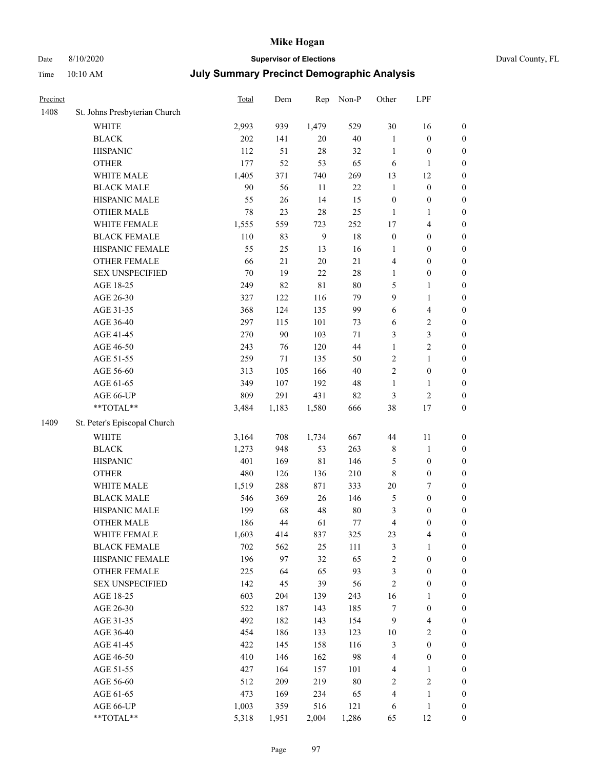# Date 8/10/2020 **Supervisor of Elections** Duval County, FL

| Precinct |                               | Total  | Dem    | Rep            | Non-P  | Other            | LPF              |                  |
|----------|-------------------------------|--------|--------|----------------|--------|------------------|------------------|------------------|
| 1408     | St. Johns Presbyterian Church |        |        |                |        |                  |                  |                  |
|          | <b>WHITE</b>                  | 2,993  | 939    | 1,479          | 529    | 30               | 16               | $\boldsymbol{0}$ |
|          | <b>BLACK</b>                  | 202    | 141    | $20\,$         | $40\,$ | $\mathbf{1}$     | $\boldsymbol{0}$ | $\boldsymbol{0}$ |
|          | <b>HISPANIC</b>               | 112    | 51     | 28             | 32     | $\mathbf{1}$     | $\boldsymbol{0}$ | $\boldsymbol{0}$ |
|          | <b>OTHER</b>                  | 177    | 52     | 53             | 65     | 6                | 1                | $\boldsymbol{0}$ |
|          | WHITE MALE                    | 1,405  | 371    | 740            | 269    | 13               | 12               | $\boldsymbol{0}$ |
|          | <b>BLACK MALE</b>             | 90     | 56     | 11             | 22     | $\mathbf{1}$     | $\boldsymbol{0}$ | $\boldsymbol{0}$ |
|          | HISPANIC MALE                 | 55     | $26\,$ | 14             | 15     | $\boldsymbol{0}$ | $\boldsymbol{0}$ | $\boldsymbol{0}$ |
|          | <b>OTHER MALE</b>             | 78     | 23     | 28             | 25     | $\mathbf{1}$     | 1                | $\boldsymbol{0}$ |
|          | WHITE FEMALE                  | 1,555  | 559    | 723            | 252    | 17               | $\overline{4}$   | $\boldsymbol{0}$ |
|          | <b>BLACK FEMALE</b>           | 110    | 83     | $\overline{9}$ | 18     | $\boldsymbol{0}$ | $\boldsymbol{0}$ | 0                |
|          | HISPANIC FEMALE               | 55     | 25     | 13             | 16     | $\mathbf{1}$     | $\boldsymbol{0}$ | $\boldsymbol{0}$ |
|          | <b>OTHER FEMALE</b>           | 66     | 21     | $20\,$         | 21     | 4                | $\boldsymbol{0}$ | $\boldsymbol{0}$ |
|          | SEX UNSPECIFIED               | $70\,$ | 19     | 22             | $28\,$ | 1                | $\boldsymbol{0}$ | $\boldsymbol{0}$ |
|          | AGE 18-25                     | 249    | 82     | $8\sqrt{1}$    | $80\,$ | 5                | $\mathbf{1}$     | $\boldsymbol{0}$ |
|          | AGE 26-30                     | 327    | 122    | 116            | 79     | 9                | $\mathbf{1}$     | $\boldsymbol{0}$ |
|          | AGE 31-35                     | 368    | 124    | 135            | 99     | 6                | $\overline{4}$   | $\boldsymbol{0}$ |
|          | AGE 36-40                     | 297    | 115    | 101            | 73     | 6                | $\sqrt{2}$       | $\boldsymbol{0}$ |
|          | AGE 41-45                     | 270    | $90\,$ | 103            | $71\,$ | 3                | 3                | $\boldsymbol{0}$ |
|          | AGE 46-50                     | 243    | 76     | 120            | 44     | $\mathbf{1}$     | $\sqrt{2}$       | $\boldsymbol{0}$ |
|          | AGE 51-55                     | 259    | 71     | 135            | 50     | 2                | $\mathbf{1}$     | 0                |
|          | AGE 56-60                     | 313    | 105    | 166            | $40\,$ | $\overline{c}$   | $\boldsymbol{0}$ | $\boldsymbol{0}$ |
|          | AGE 61-65                     | 349    | 107    | 192            | 48     | $\mathbf{1}$     | $\mathbf{1}$     | $\boldsymbol{0}$ |
|          | AGE 66-UP                     | 809    | 291    | 431            | 82     | 3                | $\sqrt{2}$       | $\boldsymbol{0}$ |
|          | **TOTAL**                     | 3,484  | 1,183  | 1,580          | 666    | 38               | 17               | $\boldsymbol{0}$ |
| 1409     | St. Peter's Episcopal Church  |        |        |                |        |                  |                  |                  |
|          | WHITE                         | 3,164  | 708    | 1,734          | 667    | 44               | 11               | $\boldsymbol{0}$ |
|          | <b>BLACK</b>                  | 1,273  | 948    | 53             | 263    | 8                | $\mathbf{1}$     | $\boldsymbol{0}$ |
|          | <b>HISPANIC</b>               | 401    | 169    | $8\sqrt{1}$    | 146    | 5                | $\boldsymbol{0}$ | $\boldsymbol{0}$ |
|          | <b>OTHER</b>                  | 480    | 126    | 136            | 210    | 8                | $\boldsymbol{0}$ | $\boldsymbol{0}$ |
|          | WHITE MALE                    | 1,519  | 288    | 871            | 333    | $20\,$           | $\boldsymbol{7}$ | $\boldsymbol{0}$ |
|          | <b>BLACK MALE</b>             | 546    | 369    | $26\,$         | 146    | 5                | $\boldsymbol{0}$ | $\boldsymbol{0}$ |
|          | HISPANIC MALE                 | 199    | 68     | 48             | $80\,$ | 3                | $\boldsymbol{0}$ | 0                |
|          | <b>OTHER MALE</b>             | 186    | 44     | 61             | $77\,$ | 4                | $\boldsymbol{0}$ | $\boldsymbol{0}$ |
|          | WHITE FEMALE                  | 1,603  | 414    | 837            | 325    | 23               | $\overline{4}$   | $\boldsymbol{0}$ |
|          | <b>BLACK FEMALE</b>           | 702    | 562    | 25             | 111    | 3                | $\mathbf{1}$     | $\boldsymbol{0}$ |
|          | HISPANIC FEMALE               | 196    | 97     | 32             | 65     | $\overline{c}$   | $\boldsymbol{0}$ | $\overline{0}$   |
|          | <b>OTHER FEMALE</b>           | 225    | 64     | 65             | 93     | 3                | $\boldsymbol{0}$ | $\overline{0}$   |
|          | <b>SEX UNSPECIFIED</b>        | 142    | 45     | 39             | 56     | $\overline{c}$   | $\boldsymbol{0}$ | 0                |
|          | AGE 18-25                     | 603    | 204    | 139            | 243    | 16               | $\mathbf{1}$     | $\overline{0}$   |
|          | AGE 26-30                     | 522    | 187    | 143            | 185    | 7                | $\boldsymbol{0}$ | 0                |
|          | AGE 31-35                     | 492    | 182    | 143            | 154    | 9                | $\overline{4}$   | 0                |
|          | AGE 36-40                     | 454    | 186    | 133            | 123    | $10\,$           | $\sqrt{2}$       | 0                |
|          | AGE 41-45                     | 422    | 145    | 158            | 116    | 3                | $\boldsymbol{0}$ | 0                |
|          | AGE 46-50                     | 410    | 146    | 162            | 98     | 4                | $\boldsymbol{0}$ | $\boldsymbol{0}$ |
|          | AGE 51-55                     | 427    | 164    | 157            | 101    | 4                | 1                | $\boldsymbol{0}$ |
|          | AGE 56-60                     | 512    | 209    | 219            | $80\,$ | 2                | $\sqrt{2}$       | $\boldsymbol{0}$ |
|          | AGE 61-65                     | 473    | 169    | 234            | 65     | 4                | $\mathbf{1}$     | $\boldsymbol{0}$ |
|          | AGE 66-UP                     | 1,003  | 359    | 516            | 121    | 6                | $\mathbf{1}$     | 0                |
|          | **TOTAL**                     | 5,318  | 1,951  | 2,004          | 1,286  | 65               | 12               | $\overline{0}$   |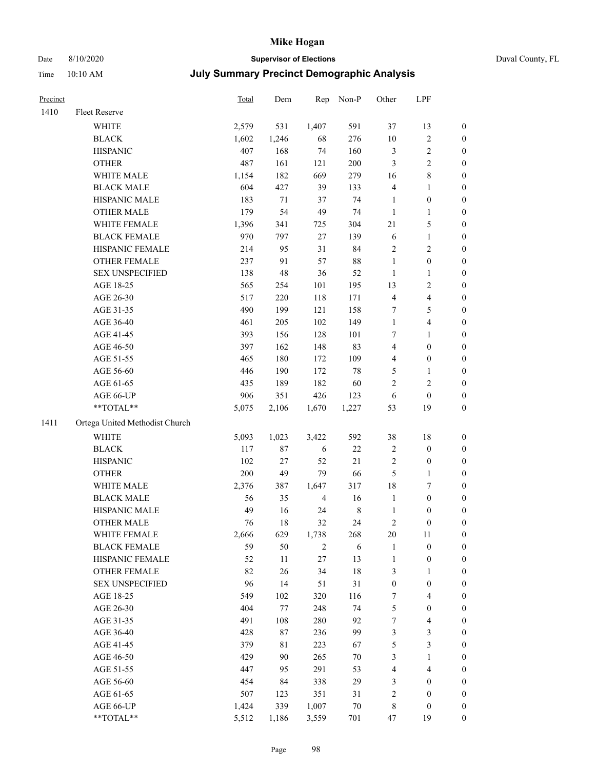### Date 8/10/2020 **Supervisor of Elections** Duval County, FL

| Precinct |                                | <b>Total</b> | Dem    | Rep            | Non-P   | Other                   | LPF              |                  |
|----------|--------------------------------|--------------|--------|----------------|---------|-------------------------|------------------|------------------|
| 1410     | Fleet Reserve                  |              |        |                |         |                         |                  |                  |
|          | WHITE                          | 2,579        | 531    | 1,407          | 591     | 37                      | 13               | 0                |
|          | <b>BLACK</b>                   | 1,602        | 1,246  | 68             | 276     | $10\,$                  | $\sqrt{2}$       | 0                |
|          | <b>HISPANIC</b>                | 407          | 168    | 74             | 160     | 3                       | $\sqrt{2}$       | $\boldsymbol{0}$ |
|          | <b>OTHER</b>                   | 487          | 161    | 121            | 200     | 3                       | $\sqrt{2}$       | $\boldsymbol{0}$ |
|          | WHITE MALE                     | 1,154        | 182    | 669            | 279     | 16                      | $\,$ 8 $\,$      | $\boldsymbol{0}$ |
|          | <b>BLACK MALE</b>              | 604          | 427    | 39             | 133     | 4                       | 1                | $\boldsymbol{0}$ |
|          | HISPANIC MALE                  | 183          | 71     | 37             | 74      | $\mathbf{1}$            | $\boldsymbol{0}$ | $\boldsymbol{0}$ |
|          | <b>OTHER MALE</b>              | 179          | 54     | 49             | 74      | $\mathbf{1}$            | $\mathbf{1}$     | $\boldsymbol{0}$ |
|          | WHITE FEMALE                   | 1,396        | 341    | 725            | 304     | 21                      | 5                | $\boldsymbol{0}$ |
|          | <b>BLACK FEMALE</b>            | 970          | 797    | 27             | 139     | 6                       | $\mathbf{1}$     | 0                |
|          | HISPANIC FEMALE                | 214          | 95     | 31             | 84      | $\mathbf{2}$            | $\sqrt{2}$       | 0                |
|          | OTHER FEMALE                   | 237          | 91     | 57             | 88      | $\mathbf{1}$            | $\boldsymbol{0}$ | 0                |
|          | <b>SEX UNSPECIFIED</b>         | 138          | 48     | 36             | 52      | $\mathbf{1}$            | $\mathbf{1}$     | $\boldsymbol{0}$ |
|          | AGE 18-25                      | 565          | 254    | 101            | 195     | 13                      | $\sqrt{2}$       | $\boldsymbol{0}$ |
|          | AGE 26-30                      | 517          | 220    | 118            | 171     | 4                       | $\overline{4}$   | $\boldsymbol{0}$ |
|          | AGE 31-35                      | 490          | 199    | 121            | 158     | 7                       | $\mathfrak{S}$   | $\boldsymbol{0}$ |
|          | AGE 36-40                      | 461          | 205    | 102            | 149     | $\mathbf{1}$            | $\overline{4}$   | $\boldsymbol{0}$ |
|          | AGE 41-45                      | 393          | 156    | 128            | 101     | 7                       | $\mathbf{1}$     | $\boldsymbol{0}$ |
|          | AGE 46-50                      | 397          | 162    | 148            | 83      | 4                       | $\boldsymbol{0}$ | $\boldsymbol{0}$ |
|          | AGE 51-55                      | 465          | 180    | 172            | 109     | 4                       | $\boldsymbol{0}$ | 0                |
|          | AGE 56-60                      | 446          | 190    | 172            | $78\,$  | 5                       | 1                | 0                |
|          | AGE 61-65                      | 435          | 189    | 182            | 60      | $\overline{c}$          | $\mathfrak{2}$   | 0                |
|          | AGE 66-UP                      | 906          | 351    | 426            | 123     | 6                       | $\boldsymbol{0}$ | $\boldsymbol{0}$ |
|          | $**TOTAL**$                    | 5,075        | 2,106  | 1,670          | 1,227   | 53                      | 19               | $\boldsymbol{0}$ |
| 1411     | Ortega United Methodist Church |              |        |                |         |                         |                  |                  |
|          | <b>WHITE</b>                   | 5,093        | 1,023  | 3,422          | 592     | 38                      | 18               | $\boldsymbol{0}$ |
|          | <b>BLACK</b>                   | 117          | 87     | 6              | $22\,$  | $\overline{\mathbf{c}}$ | $\boldsymbol{0}$ | $\boldsymbol{0}$ |
|          | <b>HISPANIC</b>                | 102          | $27\,$ | 52             | 21      | 2                       | $\boldsymbol{0}$ | $\boldsymbol{0}$ |
|          | <b>OTHER</b>                   | 200          | 49     | 79             | 66      | 5                       | $\mathbf{1}$     | $\boldsymbol{0}$ |
|          | WHITE MALE                     | 2,376        | 387    | 1,647          | 317     | 18                      | $\boldsymbol{7}$ | $\boldsymbol{0}$ |
|          | <b>BLACK MALE</b>              | 56           | 35     | $\overline{4}$ | 16      | $\mathbf{1}$            | $\boldsymbol{0}$ | $\boldsymbol{0}$ |
|          | HISPANIC MALE                  | 49           | 16     | 24             | $\,8\,$ | $\mathbf{1}$            | $\boldsymbol{0}$ | 0                |
|          | <b>OTHER MALE</b>              | 76           | 18     | 32             | 24      | 2                       | $\boldsymbol{0}$ | $\boldsymbol{0}$ |
|          | WHITE FEMALE                   | 2,666        | 629    | 1,738          | 268     | 20                      | 11               | 0                |
|          | <b>BLACK FEMALE</b>            | 59           | 50     | $\overline{c}$ | 6       | 1                       | $\boldsymbol{0}$ | $\boldsymbol{0}$ |
|          | HISPANIC FEMALE                | 52           | 11     | 27             | 13      | $\mathbf{1}$            | $\boldsymbol{0}$ | $\overline{0}$   |
|          | OTHER FEMALE                   | 82           | 26     | 34             | 18      | 3                       | $\mathbf{1}$     | $\overline{0}$   |
|          | <b>SEX UNSPECIFIED</b>         | 96           | 14     | 51             | 31      | $\boldsymbol{0}$        | $\boldsymbol{0}$ | 0                |
|          | AGE 18-25                      | 549          | 102    | 320            | 116     | 7                       | $\overline{4}$   | 0                |
|          | AGE 26-30                      | 404          | 77     | 248            | 74      | 5                       | $\boldsymbol{0}$ | 0                |
|          | AGE 31-35                      | 491          | 108    | 280            | 92      | 7                       | $\overline{4}$   | 0                |
|          | AGE 36-40                      | 428          | 87     | 236            | 99      | 3                       | $\mathfrak{Z}$   | 0                |
|          | AGE 41-45                      | 379          | 81     | 223            | 67      | 5                       | $\mathfrak{Z}$   | 0                |
|          | AGE 46-50                      | 429          | 90     | 265            | $70\,$  | 3                       | $\mathbf{1}$     | 0                |
|          | AGE 51-55                      | 447          | 95     | 291            | 53      | 4                       | $\overline{4}$   | 0                |
|          | AGE 56-60                      | 454          | 84     | 338            | 29      | 3                       | $\boldsymbol{0}$ | 0                |
|          | AGE 61-65                      | 507          | 123    | 351            | 31      | $\overline{\mathbf{c}}$ | $\boldsymbol{0}$ | $\boldsymbol{0}$ |
|          | AGE 66-UP                      | 1,424        | 339    | 1,007          | $70\,$  | 8                       | $\boldsymbol{0}$ | 0                |
|          | **TOTAL**                      | 5,512        | 1,186  | 3,559          | 701     | 47                      | 19               | $\boldsymbol{0}$ |
|          |                                |              |        |                |         |                         |                  |                  |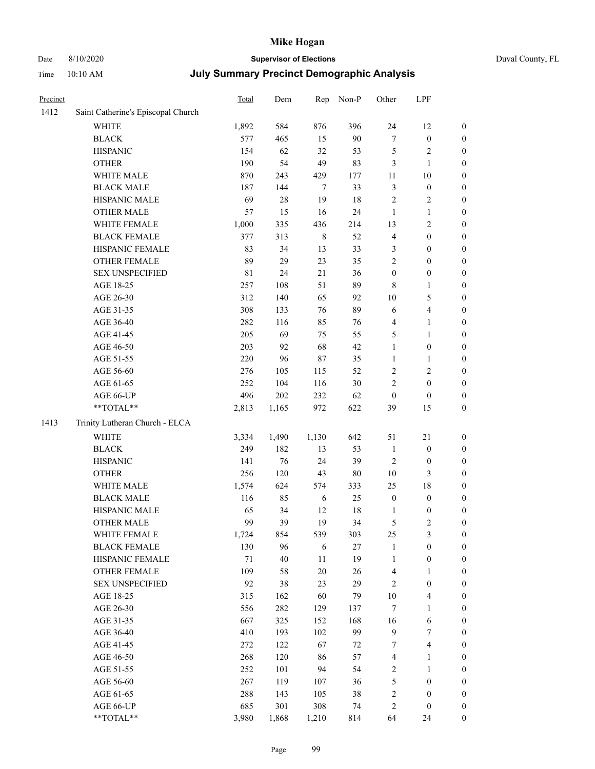# Date 8/10/2020 **Supervisor of Elections** Duval County, FL

| Precinct |                                    | <b>Total</b> | Dem    | Rep         | Non-P  | Other                   | LPF              |                  |
|----------|------------------------------------|--------------|--------|-------------|--------|-------------------------|------------------|------------------|
| 1412     | Saint Catherine's Episcopal Church |              |        |             |        |                         |                  |                  |
|          | <b>WHITE</b>                       | 1,892        | 584    | 876         | 396    | 24                      | 12               | 0                |
|          | <b>BLACK</b>                       | 577          | 465    | 15          | 90     | $\boldsymbol{7}$        | $\boldsymbol{0}$ | 0                |
|          | <b>HISPANIC</b>                    | 154          | 62     | 32          | 53     | 5                       | $\sqrt{2}$       | $\boldsymbol{0}$ |
|          | <b>OTHER</b>                       | 190          | 54     | 49          | 83     | 3                       | $\mathbf{1}$     | $\boldsymbol{0}$ |
|          | WHITE MALE                         | 870          | 243    | 429         | 177    | 11                      | 10               | $\boldsymbol{0}$ |
|          | <b>BLACK MALE</b>                  | 187          | 144    | $\tau$      | 33     | 3                       | $\boldsymbol{0}$ | $\boldsymbol{0}$ |
|          | HISPANIC MALE                      | 69           | $28\,$ | 19          | 18     | $\overline{c}$          | $\sqrt{2}$       | $\boldsymbol{0}$ |
|          | <b>OTHER MALE</b>                  | 57           | 15     | 16          | 24     | $\mathbf{1}$            | $\mathbf{1}$     | $\boldsymbol{0}$ |
|          | WHITE FEMALE                       | 1,000        | 335    | 436         | 214    | 13                      | $\sqrt{2}$       | $\boldsymbol{0}$ |
|          | <b>BLACK FEMALE</b>                | 377          | 313    | $\,$ 8 $\,$ | 52     | 4                       | $\boldsymbol{0}$ | $\boldsymbol{0}$ |
|          | HISPANIC FEMALE                    | 83           | 34     | 13          | 33     | 3                       | $\boldsymbol{0}$ | $\boldsymbol{0}$ |
|          | <b>OTHER FEMALE</b>                | 89           | 29     | 23          | 35     | $\overline{c}$          | $\boldsymbol{0}$ | $\boldsymbol{0}$ |
|          | <b>SEX UNSPECIFIED</b>             | $8\sqrt{1}$  | 24     | 21          | 36     | $\boldsymbol{0}$        | $\boldsymbol{0}$ | $\boldsymbol{0}$ |
|          | AGE 18-25                          | 257          | 108    | 51          | 89     | 8                       | $\mathbf{1}$     | $\boldsymbol{0}$ |
|          | AGE 26-30                          | 312          | 140    | 65          | 92     | $10\,$                  | 5                | $\boldsymbol{0}$ |
|          | AGE 31-35                          | 308          | 133    | 76          | 89     | 6                       | $\overline{4}$   | $\boldsymbol{0}$ |
|          | AGE 36-40                          | 282          | 116    | 85          | 76     | 4                       | $\mathbf{1}$     | $\boldsymbol{0}$ |
|          | AGE 41-45                          | 205          | 69     | 75          | 55     | 5                       | $\mathbf{1}$     | $\boldsymbol{0}$ |
|          | AGE 46-50                          | 203          | 92     | 68          | 42     | $\mathbf{1}$            | $\boldsymbol{0}$ | $\boldsymbol{0}$ |
|          | AGE 51-55                          | 220          | 96     | 87          | 35     | $\mathbf{1}$            | 1                | $\boldsymbol{0}$ |
|          | AGE 56-60                          | 276          | 105    | 115         | 52     | $\mathbf{2}$            | $\sqrt{2}$       | 0                |
|          | AGE 61-65                          | 252          | 104    | 116         | 30     | $\overline{c}$          | $\boldsymbol{0}$ | $\boldsymbol{0}$ |
|          | AGE 66-UP                          | 496          | 202    | 232         | 62     | $\boldsymbol{0}$        | $\boldsymbol{0}$ | $\boldsymbol{0}$ |
|          | $**TOTAL**$                        | 2,813        | 1,165  | 972         | 622    | 39                      | 15               | $\boldsymbol{0}$ |
| 1413     | Trinity Lutheran Church - ELCA     |              |        |             |        |                         |                  |                  |
|          | <b>WHITE</b>                       | 3,334        | 1,490  | 1,130       | 642    | 51                      | $21\,$           | $\boldsymbol{0}$ |
|          | <b>BLACK</b>                       | 249          | 182    | 13          | 53     | $\mathbf{1}$            | $\boldsymbol{0}$ | $\boldsymbol{0}$ |
|          | <b>HISPANIC</b>                    | 141          | 76     | 24          | 39     | 2                       | $\boldsymbol{0}$ | $\boldsymbol{0}$ |
|          | <b>OTHER</b>                       | 256          | 120    | 43          | $80\,$ | $10\,$                  | 3                | $\boldsymbol{0}$ |
|          | WHITE MALE                         | 1,574        | 624    | 574         | 333    | 25                      | 18               | $\boldsymbol{0}$ |
|          | <b>BLACK MALE</b>                  | 116          | 85     | 6           | 25     | $\boldsymbol{0}$        | $\boldsymbol{0}$ | $\boldsymbol{0}$ |
|          | HISPANIC MALE                      | 65           | 34     | 12          | $18\,$ | 1                       | $\boldsymbol{0}$ | 0                |
|          | <b>OTHER MALE</b>                  | 99           | 39     | 19          | 34     | 5                       | $\mathfrak{2}$   | $\boldsymbol{0}$ |
|          | WHITE FEMALE                       | 1,724        | 854    | 539         | 303    | 25                      | 3                | 0                |
|          | <b>BLACK FEMALE</b>                | 130          | 96     | 6           | $27\,$ | 1                       | $\boldsymbol{0}$ | $\overline{0}$   |
|          | HISPANIC FEMALE                    | $71\,$       | 40     | $11\,$      | 19     | 1                       | $\boldsymbol{0}$ | $\overline{0}$   |
|          | OTHER FEMALE                       | 109          | 58     | $20\,$      | 26     | 4                       | $\mathbf{1}$     | $\overline{0}$   |
|          | <b>SEX UNSPECIFIED</b>             | 92           | 38     | 23          | 29     | 2                       | $\boldsymbol{0}$ | 0                |
|          | AGE 18-25                          | 315          | 162    | 60          | 79     | $10\,$                  | $\overline{4}$   | 0                |
|          | AGE 26-30                          | 556          | 282    | 129         | 137    | 7                       | $\mathbf{1}$     | 0                |
|          | AGE 31-35                          | 667          | 325    | 152         | 168    | 16                      | 6                | 0                |
|          | AGE 36-40                          | 410          | 193    | 102         | 99     | 9                       | $\boldsymbol{7}$ | 0                |
|          | AGE 41-45                          | 272          | 122    | 67          | $72\,$ | 7                       | $\overline{4}$   | 0                |
|          | AGE 46-50                          | 268          | 120    | 86          | 57     | 4                       | $\mathbf{1}$     | 0                |
|          | AGE 51-55                          | 252          | 101    | 94          | 54     | 2                       | $\mathbf{1}$     | 0                |
|          | AGE 56-60                          | 267          | 119    | 107         | 36     | 5                       | $\boldsymbol{0}$ | 0                |
|          | AGE 61-65                          | 288          | 143    | 105         | 38     | $\overline{\mathbf{c}}$ | $\boldsymbol{0}$ | 0                |
|          | AGE 66-UP                          | 685          | 301    | 308         | 74     | 2                       | $\boldsymbol{0}$ | 0                |
|          | **TOTAL**                          | 3,980        | 1,868  | 1,210       | 814    | 64                      | 24               | $\boldsymbol{0}$ |